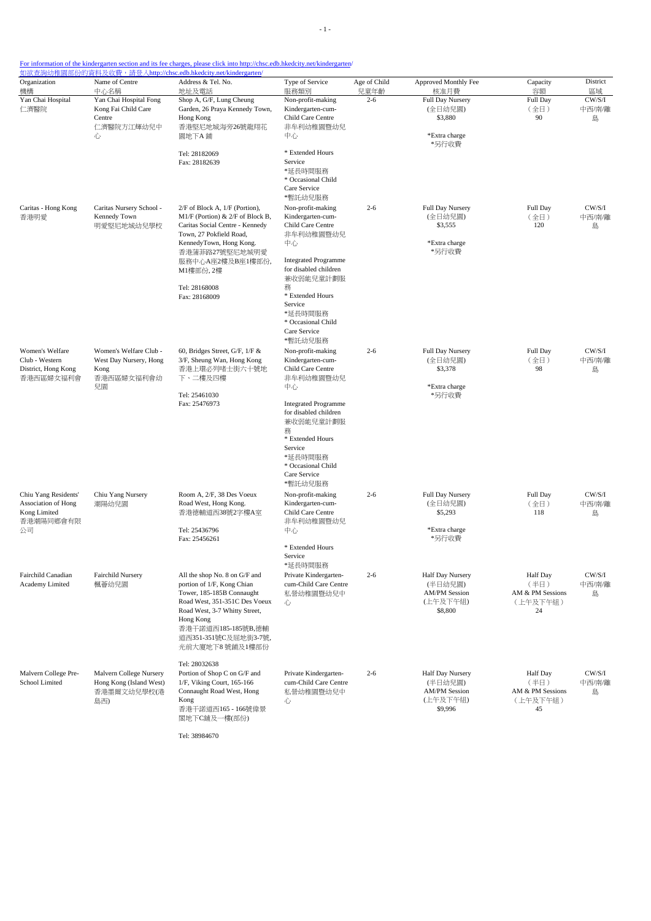| For information of the kindergarten section and its fee charges, please click into http://chsc.edb.hkedcity.net/kindergarten/ |
|-------------------------------------------------------------------------------------------------------------------------------|
|                                                                                                                               |

| Organization                                                                   | Name of Centre<br>中心名稱                                                       | Address & Tel. No.                                                                                                                                                                                                                      | Type of Service                                                                                                                                                   | Age of Child    | Approved Monthly Fee                                                              | Capacity                                                      | District                    |
|--------------------------------------------------------------------------------|------------------------------------------------------------------------------|-----------------------------------------------------------------------------------------------------------------------------------------------------------------------------------------------------------------------------------------|-------------------------------------------------------------------------------------------------------------------------------------------------------------------|-----------------|-----------------------------------------------------------------------------------|---------------------------------------------------------------|-----------------------------|
| 機構<br>Yan Chai Hospital<br>仁濟醫院                                                | Yan Chai Hospital Fong<br>Kong Fai Child Care<br>Centre<br>仁濟醫院方江輝幼兒中<br>心   | 地址及電話<br>Shop A, G/F, Lung Cheung<br>Garden, 26 Praya Kennedy Town,<br>Hong Kong<br>香港堅尼地城海旁26號龍翔花<br>園地下A 鋪                                                                                                                            | 服務類別<br>Non-profit-making<br>Kindergarten-cum-<br>Child Care Centre<br>非牟利幼稚園暨幼兒<br>中心                                                                            | 兒童年齡<br>$2 - 6$ | 核准月費<br>Full Day Nursery<br>(全日幼兒園)<br>\$3,880<br>*Extra charge<br>*另行收費          | 容額<br>Full Day<br>(全日)<br>90                                  | 區域<br>CW/S/I<br>中西/南/離<br>島 |
|                                                                                |                                                                              | Tel: 28182069<br>Fax: 28182639                                                                                                                                                                                                          | * Extended Hours<br>Service<br>*延長時間服務<br>* Occasional Child<br>Care Service<br>*暫託幼兒服務                                                                           |                 |                                                                                   |                                                               |                             |
| Caritas - Hong Kong<br>香港明愛                                                    | Caritas Nursery School -<br>Kennedy Town<br>明愛堅尼地城幼兒學校                       | 2/F of Block A, 1/F (Portion),<br>M1/F (Portion) & $2/F$ of Block B,<br>Caritas Social Centre - Kennedy<br>Town, 27 Pokfield Road,<br>KennedyTown, Hong Kong.<br>香港蒲菲路27號堅尼地城明愛<br>服務中心A座2樓及B座1樓部份,<br>M1樓部份, 2樓                        | Non-profit-making<br>Kindergarten-cum-<br>Child Care Centre<br>非牟利幼稚園暨幼兒<br>中心<br><b>Integrated Programme</b><br>for disabled children<br>兼收弱能兒童計劃服               | $2 - 6$         | Full Day Nursery<br>(全日幼兒園)<br>\$3,555<br>*Extra charge<br>*另行收費                  | Full Day<br>(全日)<br>120                                       | CW/S/I<br>中西/南/離<br>島       |
|                                                                                |                                                                              | Tel: 28168008<br>Fax: 28168009                                                                                                                                                                                                          | 務<br>* Extended Hours<br>Service<br>*延長時間服務<br>* Occasional Child<br>Care Service<br>*暫託幼兒服務                                                                      |                 |                                                                                   |                                                               |                             |
| Women's Welfare<br>Club - Western<br>District, Hong Kong<br>香港西區婦女福利會          | Women's Welfare Club -<br>West Day Nursery, Hong<br>Kong<br>香港西區婦女福利會幼<br>兒園 | 60, Bridges Street, G/F, 1/F &<br>3/F, Sheung Wan, Hong Kong<br>香港上環必列啫士街六十號地<br>下、二樓及四樓<br>Tel: 25461030                                                                                                                               | Non-profit-making<br>Kindergarten-cum-<br>Child Care Centre<br>非牟利幼稚園暨幼兒<br>中心                                                                                    | $2 - 6$         | Full Day Nursery<br>(全日幼兒園)<br>\$3,378<br>*Extra charge<br>*另行收費                  | Full Day<br>(全日)<br>98                                        | CW/S/I<br>中西/南/離<br>島       |
|                                                                                |                                                                              | Fax: 25476973                                                                                                                                                                                                                           | <b>Integrated Programme</b><br>for disabled children<br>兼收弱能兒童計劃服<br>務<br>* Extended Hours<br>Service<br>*延長時間服務<br>* Occasional Child<br>Care Service<br>*暫託幼兒服務 |                 |                                                                                   |                                                               |                             |
| Chiu Yang Residents'<br>Association of Hong<br>Kong Limited<br>香港潮陽同鄉會有限<br>公司 | Chiu Yang Nursery<br>潮陽幼兒園                                                   | Room A, 2/F, 38 Des Voeux<br>Road West, Hong Kong.<br>香港德輔道西38號2字樓A室<br>Tel: 25436796<br>Fax: 25456261                                                                                                                                  | Non-profit-making<br>Kindergarten-cum-<br>Child Care Centre<br>非牟利幼稚園暨幼兒<br>中心                                                                                    | $2 - 6$         | Full Day Nursery<br>(全日幼兒園)<br>\$5,293<br>*Extra charge<br>*另行收費                  | Full Day<br>(全日)<br>118                                       | CW/S/I<br>中西/南/離<br>島       |
|                                                                                |                                                                              |                                                                                                                                                                                                                                         | * Extended Hours<br>Service<br>*延長時間服務                                                                                                                            |                 |                                                                                   |                                                               |                             |
| Fairchild Canadian<br>Academy Limited                                          | Fairchild Nursery<br>楓薈幼兒園                                                   | All the shop No. 8 on G/F and<br>portion of 1/F, Kong Chian<br>Tower, 185-185B Connaught<br>Road West, 351-351C Des Voeux<br>Road West, 3-7 Whitty Street,<br>Hong Kong<br>香港干諾道西185-185號B,德輔<br>道西351-351號C及屈地街3-7號,<br>光前大廈地下8號鋪及1樓部份 | Private Kindergarten-<br>cum-Child Care Centre<br>私營幼稚園暨幼兒中<br>心                                                                                                  | $2 - 6$         | <b>Half Day Nursery</b><br>(半日幼兒園)<br><b>AM/PM Session</b><br>(上午及下午組)<br>\$8,800 | <b>Half Day</b><br>(半日)<br>AM & PM Sessions<br>(上午及下午組)<br>24 | CW/S/I<br>中西/南/離<br>島       |
| Malvern College Pre-<br>School Limited                                         | Malvern College Nursery<br>Hong Kong (Island West)<br>香港墨爾文幼兒學校(港<br>島西)     | Tel: 28032638<br>Portion of Shop C on G/F and<br>1/F, Viking Court, 165-166<br>Connaught Road West, Hong<br>Kong<br>香港干諾道西165 - 166號偉景<br>閣地下C舖及一樓(部份)                                                                                  | Private Kindergarten-<br>cum-Child Care Centre<br>私營幼稚園暨幼兒中<br>心                                                                                                  | $2 - 6$         | Half Day Nursery<br>(半日幼兒園)<br><b>AM/PM Session</b><br>(上午及下午組)<br>\$9,996        | <b>Half</b> Day<br>(半日)<br>AM & PM Sessions<br>(上午及下午組)<br>45 | CW/S/I<br>中西/南/離<br>島       |

Tel: 38984670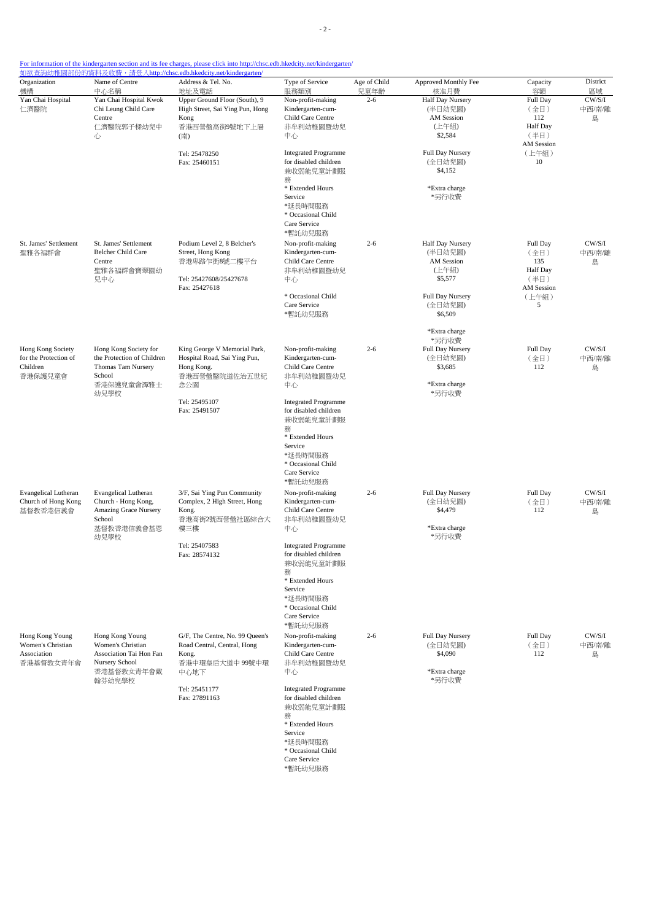| Organization<br>機構                                                | Name of Centre<br>中心名稱                                                                                      | Address & Tel. No.<br>地址及電話                                                                                         | Type of Service<br>服務類別                                                                                                                                           | Age of Child<br>兒童年齡 | Approved Monthly Fee<br>核准月費                                                                                   | Capacity<br>容額                                                                 | District<br>區域        |
|-------------------------------------------------------------------|-------------------------------------------------------------------------------------------------------------|---------------------------------------------------------------------------------------------------------------------|-------------------------------------------------------------------------------------------------------------------------------------------------------------------|----------------------|----------------------------------------------------------------------------------------------------------------|--------------------------------------------------------------------------------|-----------------------|
| Yan Chai Hospital<br>仁濟醫院                                         | Yan Chai Hospital Kwok<br>Chi Leung Child Care<br>Centre<br>仁濟醫院郭子樑幼兒中<br>心                                 | Upper Ground Floor (South), 9<br>High Street, Sai Ying Pun, Hong<br>Kong<br>香港西營盤高街9號地下上層<br>(南)                    | Non-profit-making<br>Kindergarten-cum-<br>Child Care Centre<br>非牟利幼稚園暨幼兒<br>中心                                                                                    | $2 - 6$              | <b>Half Day Nursery</b><br>(半日幼兒園)<br><b>AM</b> Session<br>(上午組)<br>\$2,584                                    | Full Day<br>(全日)<br>112<br><b>Half</b> Day<br>(半日)<br>AM Session               | CW/S/I<br>中西/南/離<br>島 |
|                                                                   |                                                                                                             | Tel: 25478250<br>Fax: 25460151                                                                                      | <b>Integrated Programme</b><br>for disabled children<br>兼收弱能兒童計劃服<br>務<br>* Extended Hours<br>Service<br>*延長時間服務<br>* Occasional Child<br>Care Service<br>*暫託幼兒服務 |                      | Full Day Nursery<br>(全日幼兒園)<br>\$4,152<br>*Extra charge<br>*另行收費                                               | (上午組)<br>10                                                                    |                       |
| St. James' Settlement<br>聖雅各福群會                                   | St. James' Settlement<br>Belcher Child Care<br>Centre<br>聖雅各福群會寶翠園幼<br>兒中心                                  | Podium Level 2, 8 Belcher's<br>Street, Hong Kong<br>香港卑路乍街8號二樓平台<br>Tel: 25427608/25427678<br>Fax: 25427618         | Non-profit-making<br>Kindergarten-cum-<br>Child Care Centre<br>非牟利幼稚園暨幼兒<br>中心<br>* Occasional Child<br>Care Service<br>*暫託幼兒服務                                   | $2 - 6$              | Half Day Nursery<br>(半日幼兒園)<br><b>AM</b> Session<br>(上午組)<br>\$5,577<br>Full Day Nursery<br>(全日幼兒園)<br>\$6,509 | Full Day<br>(全日)<br>135<br>Half Day<br>(半日)<br><b>AM</b> Session<br>(上午組)<br>5 | CW/S/I<br>中西/南/離<br>島 |
| Hong Kong Society<br>for the Protection of<br>Children<br>香港保護兒童會 | Hong Kong Society for<br>the Protection of Children<br>Thomas Tam Nursery<br>School<br>香港保護兒童會譚雅士<br>幼兒學校   | King George V Memorial Park,<br>Hospital Road, Sai Ying Pun,<br>Hong Kong.<br>香港西營盤醫院道佐治五世紀<br>念公園                  | Non-profit-making<br>Kindergarten-cum-<br>Child Care Centre<br>非牟利幼稚園暨幼兒<br>中心                                                                                    | $2 - 6$              | *Extra charge<br>*另行收費<br>Full Day Nursery<br>(全日幼兒園)<br>\$3,685<br>*Extra charge<br>*另行收費                     | Full Day<br>(全日)<br>112                                                        | CW/S/I<br>中西/南/離<br>島 |
|                                                                   |                                                                                                             | Tel: 25495107<br>Fax: 25491507                                                                                      | <b>Integrated Programme</b><br>for disabled children<br>兼收弱能兒童計劃服<br>務<br>* Extended Hours<br>Service<br>*延長時間服務<br>* Occasional Child<br>Care Service<br>*暫託幼兒服務 |                      |                                                                                                                |                                                                                |                       |
| <b>Evangelical Lutheran</b><br>Church of Hong Kong<br>基督教香港信義會    | <b>Evangelical Lutheran</b><br>Church - Hong Kong,<br>Amazing Grace Nursery<br>School<br>基督教香港信義會基恩<br>幼兒學校 | 3/F, Sai Ying Pun Community<br>Complex, 2 High Street, Hong<br>Kong.<br>香港高街2號西營盤社區綜合大<br>樓三樓                       | Non-profit-making<br>Kindergarten-cum-<br>Child Care Centre<br>非牟利幼稚園暨幼兒<br>中心                                                                                    | $2 - 6$              | Full Day Nursery<br>(全日幼兒園)<br>\$4,479<br>*Extra charge<br>*另行收費                                               | Full Day<br>(全日)<br>112                                                        | CW/S/I<br>中西/南/離<br>島 |
|                                                                   |                                                                                                             | Tel: 25407583<br>Fax: 28574132                                                                                      | <b>Integrated Programme</b><br>for disabled children<br>兼收弱能兒童計劃服<br>務<br>* Extended Hours<br>Service<br>*延長時間服務<br>* Occasional Child<br>Care Service<br>*暫託幼兒服務 |                      |                                                                                                                |                                                                                |                       |
| Hong Kong Young<br>Women's Christian<br>Association<br>香港基督教女青年會  | Hong Kong Young<br>Women's Christian<br>Association Tai Hon Fan<br>Nursery School<br>香港基督教女青年會戴<br>翰芬幼兒學校   | G/F, The Centre, No. 99 Queen's<br>Road Central, Central, Hong<br>Kong.<br>香港中環皇后大道中 99號中環<br>中心地下<br>Tel: 25451177 | Non-profit-making<br>Kindergarten-cum-<br>Child Care Centre<br>非牟利幼稚園暨幼兒<br>中心<br><b>Integrated Programme</b>                                                     | $2 - 6$              | Full Day Nursery<br>(全日幼兒園)<br>\$4,090<br>*Extra charge<br>*另行收費                                               | Full Day<br>(全日)<br>112                                                        | CW/S/I<br>中西/南/離<br>島 |
|                                                                   |                                                                                                             | Fax: 27891163                                                                                                       | for disabled children<br>兼收弱能兒童計劃服<br>務<br>* Extended Hours<br>Service<br>*延長時間服務<br>* Occasional Child<br>Care Service<br>*暫託幼兒服務                                |                      |                                                                                                                |                                                                                |                       |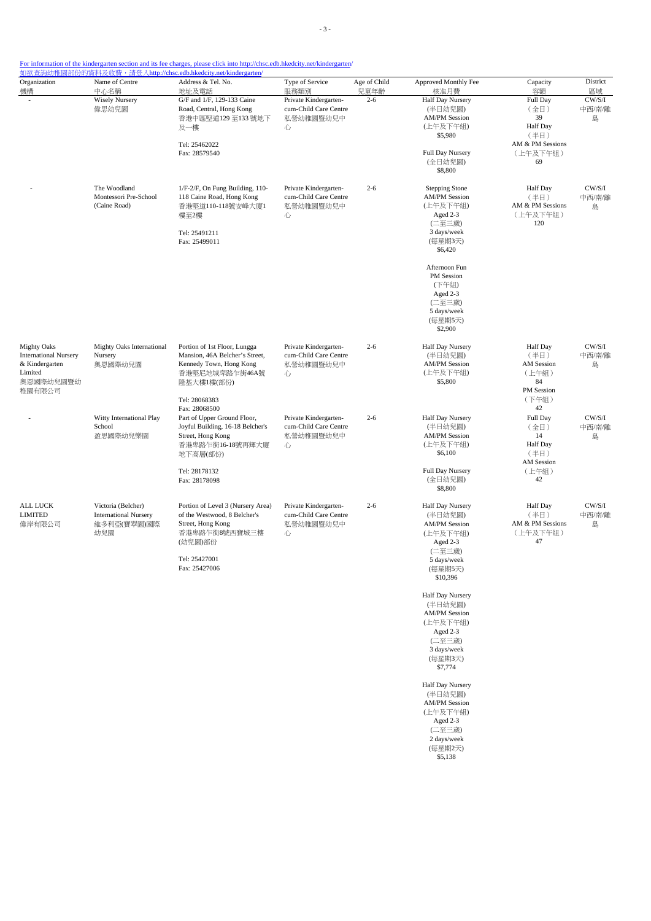| Organization                 | Name of Centre                | Address & Tel. No.                  | Type of Service               | Age of Child    | Approved Monthly Fee            | Capacity           | District     |
|------------------------------|-------------------------------|-------------------------------------|-------------------------------|-----------------|---------------------------------|--------------------|--------------|
| 機構                           | 中心名稱<br><b>Wisely Nursery</b> | 地址及電話<br>G/F and 1/F, 129-133 Caine | 服務類別<br>Private Kindergarten- | 兒童年齡<br>$2 - 6$ | 核准月費<br><b>Half Day Nursery</b> | 容額<br>Full Day     | 區域<br>CW/S/I |
|                              | 偉思幼兒園                         | Road, Central, Hong Kong            | cum-Child Care Centre         |                 | (半日幼兒園)                         | (全日)               | 中西/南/離       |
|                              |                               | 香港中區堅道129至133號地下                    | 私營幼稚園暨幼兒中                     |                 | <b>AM/PM Session</b>            | 39                 | 島            |
|                              |                               | 及一樓                                 | 心                             |                 | (上午及下午組)                        | Half Day           |              |
|                              |                               |                                     |                               |                 | \$5,980                         | (半日)               |              |
|                              |                               | Tel: 25462022                       |                               |                 |                                 | AM & PM Sessions   |              |
|                              |                               | Fax: 28579540                       |                               |                 | Full Day Nursery                | (上午及下午組)           |              |
|                              |                               |                                     |                               |                 | (全日幼兒園)                         | 69                 |              |
|                              |                               |                                     |                               |                 | \$8,800                         |                    |              |
|                              | The Woodland                  | 1/F-2/F, On Fung Building, 110-     | Private Kindergarten-         | $2 - 6$         | <b>Stepping Stone</b>           | Half Day           | CW/S/I       |
|                              | Montessori Pre-School         | 118 Caine Road, Hong Kong           | cum-Child Care Centre         |                 | <b>AM/PM Session</b>            | (半日)               | 中西/南/離       |
|                              | (Caine Road)                  | 香港堅道110-118號安峰大廈1                   | 私營幼稚園暨幼兒中                     |                 | (上午及下午組)                        | AM & PM Sessions   | 島            |
|                              |                               | 樓至2樓                                | 心                             |                 | Aged 2-3                        | (上午及下午組)           |              |
|                              |                               |                                     |                               |                 | (二至三歲)                          | 120                |              |
|                              |                               | Tel: 25491211<br>Fax: 25499011      |                               |                 | 3 days/week<br>(每星期3天)          |                    |              |
|                              |                               |                                     |                               |                 | \$6,420                         |                    |              |
|                              |                               |                                     |                               |                 | Afternoon Fun                   |                    |              |
|                              |                               |                                     |                               |                 | PM Session                      |                    |              |
|                              |                               |                                     |                               |                 | (下午組)                           |                    |              |
|                              |                               |                                     |                               |                 | Aged 2-3                        |                    |              |
|                              |                               |                                     |                               |                 | (二至三歲)                          |                    |              |
|                              |                               |                                     |                               |                 | 5 days/week                     |                    |              |
|                              |                               |                                     |                               |                 | (每星期5天)                         |                    |              |
|                              |                               |                                     |                               |                 | \$2,900                         |                    |              |
| <b>Mighty Oaks</b>           | Mighty Oaks International     | Portion of 1st Floor, Lungga        | Private Kindergarten-         | $2 - 6$         | Half Day Nursery                | Half Day           | $\rm CW/S/I$ |
| <b>International Nursery</b> | Nursery                       | Mansion, 46A Belcher's Street,      | cum-Child Care Centre         |                 | (半日幼兒園)                         | (半日)               | 中西/南/離       |
| & Kindergarten               | 奥恩國際幼兒園                       | Kennedy Town, Hong Kong             | 私營幼稚園暨幼兒中                     |                 | <b>AM/PM Session</b>            | AM Session         | 島            |
| Limited                      |                               | 香港堅尼地城卑路乍街46A號                      | 心                             |                 | (上午及下午組)                        | (上午組)              |              |
| 奥恩國際幼兒園暨幼<br>稚園有限公司          |                               | 隆基大樓1樓(部份)                          |                               |                 | \$5,800                         | 84<br>PM Session   |              |
|                              |                               | Tel: 28068383                       |                               |                 |                                 | (下午組)              |              |
|                              |                               | Fax: 28068500                       |                               |                 |                                 | 42                 |              |
|                              | Witty International Play      | Part of Upper Ground Floor,         | Private Kindergarten-         | $2 - 6$         | Half Day Nursery                | Full Day           | CW/S/I       |
|                              | School                        | Joyful Building, 16-18 Belcher's    | cum-Child Care Centre         |                 | (半日幼兒園)                         | (全日)               | 中西/南/離       |
|                              | 盈思國際幼兒樂園                      | Street, Hong Kong                   | 私營幼稚園暨幼兒中                     |                 | <b>AM/PM Session</b>            | 14                 | 島            |
|                              |                               | 香港卑路乍街16-18號再輝大廈                    | 心                             |                 | (上午及下午組)                        | Half Day           |              |
|                              |                               | 地下高層(部份)                            |                               |                 | \$6,100                         | (半日)<br>AM Session |              |
|                              |                               | Tel: 28178132                       |                               |                 | Full Day Nursery                | (上午組)              |              |
|                              |                               | Fax: 28178098                       |                               |                 | (全日幼兒園)                         | 42                 |              |
|                              |                               |                                     |                               |                 | \$8,800                         |                    |              |
| ALL LUCK                     | Victoria (Belcher)            | Portion of Level 3 (Nursery Area)   | Private Kindergarten-         | $2 - 6$         | Half Day Nursery                | Half Day           | $\rm CW/S/I$ |
| <b>LIMITED</b>               | <b>International Nursery</b>  | of the Westwood, 8 Belcher's        | cum-Child Care Centre         |                 | (半日幼兒園)                         | (半日)               | 中西/南/離       |
| 偉岸有限公司                       | 維多利亞(寶翠園)國際                   | Street, Hong Kong                   | 私營幼稚園暨幼兒中                     |                 | <b>AM/PM</b> Session            | AM & PM Sessions   | 島            |
|                              | 幼兒園                           | 香港卑路乍街8號西寶城三樓                       | 心                             |                 | (上午及下午組)                        | (上午及下午組)           |              |
|                              |                               | (幼兒園)部份                             |                               |                 | Aged 2-3                        | 47                 |              |
|                              |                               | Tel: 25427001                       |                               |                 | (二至三歲)                          |                    |              |
|                              |                               | Fax: 25427006                       |                               |                 | 5 days/week                     |                    |              |
|                              |                               |                                     |                               |                 | (每星期5天)<br>\$10,396             |                    |              |
|                              |                               |                                     |                               |                 |                                 |                    |              |
|                              |                               |                                     |                               |                 | Half Day Nursery<br>(半日幼兒園)     |                    |              |
|                              |                               |                                     |                               |                 | <b>AM/PM Session</b>            |                    |              |
|                              |                               |                                     |                               |                 | (上午及下午組)                        |                    |              |
|                              |                               |                                     |                               |                 | Aged 2-3                        |                    |              |
|                              |                               |                                     |                               |                 | (二至三歲)                          |                    |              |
|                              |                               |                                     |                               |                 | 3 days/week                     |                    |              |
|                              |                               |                                     |                               |                 | (每星期3天)                         |                    |              |
|                              |                               |                                     |                               |                 | \$7,774                         |                    |              |

Half Day Nursery (半日幼兒園) AM/PM Session (上午及下午組) Aged 2-3 (二至三歲) 2 days/week (每星期2天) \$5,138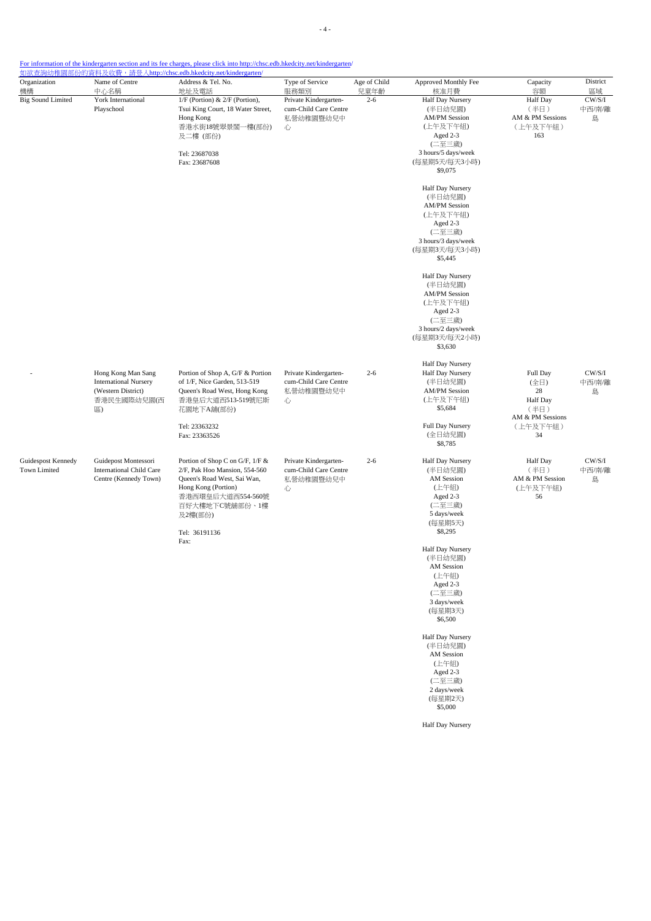| Organization<br>機構                                           | Name of Centre<br>中心名稱                                                                             | Address & Tel. No.<br>地址及電話                                                                                                                                                               | Type of Service<br>服務類別                                          | Age of Child<br>兒童年齡 | Approved Monthly Fee<br>核准月費                                                                                                             | Capacity<br>容額                                                             | District<br>區域        |
|--------------------------------------------------------------|----------------------------------------------------------------------------------------------------|-------------------------------------------------------------------------------------------------------------------------------------------------------------------------------------------|------------------------------------------------------------------|----------------------|------------------------------------------------------------------------------------------------------------------------------------------|----------------------------------------------------------------------------|-----------------------|
| <b>Big Sound Limited</b><br>York International<br>Playschool |                                                                                                    | 1/F (Portion) & 2/F (Portion),<br>Tsui King Court, 18 Water Street,<br>Hong Kong<br>香港水街18號翠景閣一樓(部份)<br>及二樓 (部份)<br>Tel: 23687038<br>Fax: 23687608                                        | Private Kindergarten-<br>cum-Child Care Centre<br>私營幼稚園暨幼兒中<br>心 | $2 - 6$              | Half Day Nursery<br>(半日幼兒園)<br><b>AM/PM Session</b><br>(上午及下午組)<br>Aged 2-3<br>(二至三歲)<br>3 hours/5 days/week<br>(每星期5天/每天3小時)<br>\$9,075 | Half Day<br>(半日)<br>AM & PM Sessions<br>(上午及下午組)<br>163                    | CW/S/I<br>中西/南/離<br>島 |
|                                                              |                                                                                                    |                                                                                                                                                                                           |                                                                  |                      | Half Day Nursery<br>(半日幼兒園)<br><b>AM/PM Session</b><br>(上午及下午組)<br>Aged 2-3<br>(二至三歲)<br>3 hours/3 days/week<br>(每星期3天/每天3小時)<br>\$5,445 |                                                                            |                       |
|                                                              |                                                                                                    |                                                                                                                                                                                           |                                                                  |                      | Half Day Nursery<br>(半日幼兒園)<br><b>AM/PM Session</b><br>(上午及下午組)<br>Aged 2-3<br>(二至三歲)<br>3 hours/2 days/week<br>(每星期3天/每天2小時)<br>\$3,630 |                                                                            |                       |
|                                                              | Hong Kong Man Sang<br><b>International Nursery</b><br>(Western District)<br>香港民生國際幼兒園(西<br>$\Xi$ ) | Portion of Shop A, G/F & Portion<br>of 1/F, Nice Garden, 513-519<br>Queen's Road West, Hong Kong<br>香港皇后大道西513-519號尼斯<br>花園地下A舖(部份)<br>Tel: 23363232                                      | Private Kindergarten-<br>cum-Child Care Centre<br>私營幼稚園暨幼兒中<br>心 | $2 - 6$              | Half Day Nursery<br>Half Day Nursery<br>(半日幼兒園)<br><b>AM/PM Session</b><br>(上午及下午組)<br>\$5,684<br>Full Day Nursery                       | Full Day<br>(全日)<br>28<br>Half Day<br>(半日)<br>AM & PM Sessions<br>(上午及下午組) | CW/S/I<br>中西/南/離<br>島 |
|                                                              |                                                                                                    | Fax: 23363526                                                                                                                                                                             |                                                                  |                      | (全日幼兒園)<br>\$8,785                                                                                                                       | 34                                                                         |                       |
| Guidespost Kennedy<br>Town Limited                           | Guidepost Montessori<br><b>International Child Care</b><br>Centre (Kennedy Town)                   | Portion of Shop C on G/F, 1/F &<br>2/F, Pak Hoo Mansion, 554-560<br>Queen's Road West, Sai Wan,<br>Hong Kong (Portion)<br>香港西環皇后大道西554-560號<br>百好大樓地下C號舖部份、1樓<br>及2樓(部份)<br>Tel: 36191136 | Private Kindergarten-<br>cum-Child Care Centre<br>私營幼稚園暨幼兒中<br>心 | $2 - 6$              | Half Day Nursery<br>(半日幼兒園)<br>AM Session<br>(上午組)<br>Aged 2-3<br>(二至三歲)<br>5 days/week<br>(每星期5天)<br>\$8,295                            | Half Day<br>(半日)<br>AM & PM Session<br>(上午及下午組)<br>56                      | CW/S/I<br>中西/南/離<br>島 |
|                                                              |                                                                                                    | Fax:                                                                                                                                                                                      |                                                                  |                      | Half Day Nursery<br>(半日幼兒園)<br>AM Session<br>(上午組)<br>Aged 2-3<br>(二至三歲)<br>3 days/week<br>(每星期3天)<br>\$6,500                            |                                                                            |                       |
|                                                              |                                                                                                    |                                                                                                                                                                                           |                                                                  |                      | Half Day Nursery<br>(半日幼兒園)<br>AM Session<br>(上午組)<br>Aged 2-3<br>(二至三歲)<br>2 days/week<br>(每星期2天)<br>\$5,000                            |                                                                            |                       |
|                                                              |                                                                                                    |                                                                                                                                                                                           |                                                                  |                      | Half Day Nursery                                                                                                                         |                                                                            |                       |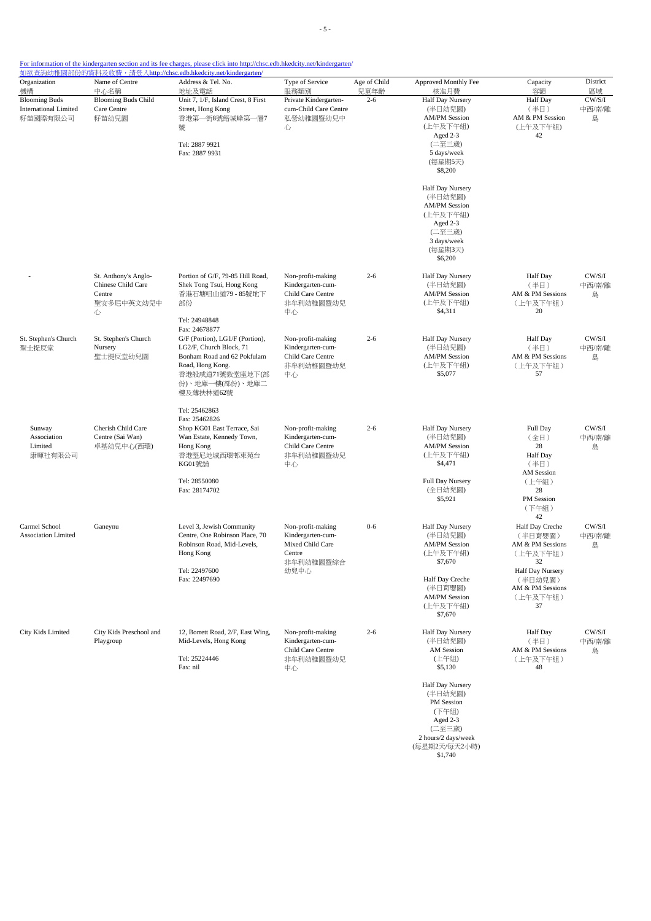| Organization<br>機構                                               | Name of Centre<br>中心名稱                                                  | Address & Tel. No.<br>地址及電話                                                                                                                                                | Type of Service<br>服務類別                                                                   | Age of Child    | Approved Monthly Fee<br>核准月費                                                                                                                                                                 | Capacity<br>容額                                                                                                                              | District                    |
|------------------------------------------------------------------|-------------------------------------------------------------------------|----------------------------------------------------------------------------------------------------------------------------------------------------------------------------|-------------------------------------------------------------------------------------------|-----------------|----------------------------------------------------------------------------------------------------------------------------------------------------------------------------------------------|---------------------------------------------------------------------------------------------------------------------------------------------|-----------------------------|
| <b>Blooming Buds</b><br><b>International Limited</b><br>籽苗國際有限公司 | <b>Blooming Buds Child</b><br>Care Centre<br>籽苗幼兒園                      | Unit 7, 1/F, Island Crest, 8 First<br>Street, Hong Kong<br>香港第一街8號縉城峰第一層7<br>號<br>Tel: 2887 9921<br>Fax: 2887 9931                                                         | Private Kindergarten-<br>cum-Child Care Centre<br>私營幼稚園暨幼兒中<br>心                          | 兒童年齡<br>$2 - 6$ | <b>Half Day Nursery</b><br>(半日幼兒園)<br><b>AM/PM Session</b><br>AM & PM Session<br>(上午及下午組)<br>(上午及下午組)<br>Aged 2-3<br>(二至三歲)<br>5 days/week<br>(每星期5天)<br>\$8,200                             |                                                                                                                                             | 區域<br>CW/S/I<br>中西/南/離<br>島 |
|                                                                  |                                                                         |                                                                                                                                                                            |                                                                                           |                 | Half Day Nursery<br>(半日幼兒園)<br><b>AM/PM Session</b><br>(上午及下午組)<br>Aged 2-3<br>(二至三歲)<br>3 days/week<br>(每星期3天)<br>\$6,200                                                                   |                                                                                                                                             |                             |
|                                                                  | St. Anthony's Anglo-<br>Chinese Child Care<br>Centre<br>聖安多尼中英文幼兒中<br>心 | Portion of G/F, 79-85 Hill Road,<br>Shek Tong Tsui, Hong Kong<br>香港石塘咀山道79 - 85號地下<br>部份<br>Tel: 24948848<br>Fax: 24678877                                                 | Non-profit-making<br>Kindergarten-cum-<br>Child Care Centre<br>非牟利幼稚園暨幼兒<br>中心            | $2 - 6$         | Half Day Nursery<br>(半日幼兒園)<br><b>AM/PM Session</b><br>(上午及下午組)<br>\$4,311                                                                                                                   | <b>Half Day</b><br>(半日)<br>AM & PM Sessions<br>(上午及下午組)<br>20                                                                               | CW/S/I<br>中西/南/離<br>島       |
| St. Stephen's Church<br>聖士提反堂                                    | St. Stephen's Church<br>Nursery<br>聖士提反堂幼兒園                             | G/F (Portion), LG1/F (Portion),<br>LG2/F, Church Block, 71<br>Bonham Road and 62 Pokfulam<br>Road, Hong Kong.<br>香港般咸道71號教堂座地下(部<br>份)、地庫一樓(部份)、地庫二<br>樓及薄扶林道62號           | Non-profit-making<br>Kindergarten-cum-<br>Child Care Centre<br>非牟利幼稚園暨幼兒<br>中心            | $2 - 6$         | Half Day Nursery<br>(半日幼兒園)<br><b>AM/PM Session</b><br>(上午及下午組)<br>\$5,077                                                                                                                   | Half Day<br>(半日)<br>AM & PM Sessions<br>(上午及下午組)<br>57                                                                                      | CW/S/I<br>中西/南/離<br>島       |
| Sunway<br>Association<br>Limited<br>康暉社有限公司                      | Cherish Child Care<br>Centre (Sai Wan)<br>卓基幼兒中心(西環)                    | Tel: 25462863<br>Fax: 25462826<br>Shop KG01 East Terrace, Sai<br>Wan Estate, Kennedy Town,<br>Hong Kong<br>香港堅尼地城西環邨東苑台<br><b>KG01號鋪</b><br>Tel: 28550080<br>Fax: 28174702 | Non-profit-making<br>Kindergarten-cum-<br>Child Care Centre<br>非牟利幼稚園暨幼兒<br>中心            | $2 - 6$         | Half Day Nursery<br>(半日幼兒園)<br><b>AM/PM</b> Session<br>(上午及下午組)<br>\$4,471<br>Full Day Nursery<br>(全日幼兒園)<br>\$5,921                                                                         | Full Day<br>(全日)<br>28<br><b>Half</b> Day<br>(半日)<br><b>AM Session</b><br>(上午組)<br>28<br>PM Session<br>(下午組)                                | CW/S/I<br>中西/南/離<br>島       |
| Carmel School<br><b>Association Limited</b>                      | Ganeynu                                                                 | Level 3, Jewish Community<br>Centre, One Robinson Place, 70<br>Robinson Road, Mid-Levels,<br>Hong Kong<br>Tel: 22497600<br>Fax: 22497690                                   | Non-profit-making<br>Kindergarten-cum-<br>Mixed Child Care<br>Centre<br>非牟利幼稚園暨綜合<br>幼兒中心 | $0 - 6$         | Half Day Nursery<br>(半日幼兒園)<br><b>AM/PM</b> Session<br>(上午及下午組)<br>3/0.010<br>Half Day Creche<br>(半日育嬰園)<br><b>AM/PM Session</b><br>(上午及下午組)<br>\$7,670                                      | 42<br>Half Day Creche<br>(半日育嬰園)<br>AM & PM Sessions<br>(上午及下午組)<br>32<br>Half Day Nursery<br>(半日幼兒園)<br>AM & PM Sessions<br>(上午及下午組)<br>37 | CW/S/I<br>中西/南/離<br>島       |
| City Kids Limited                                                | City Kids Preschool and<br>Playgroup                                    | 12, Borrett Road, 2/F, East Wing,<br>Mid-Levels, Hong Kong<br>Tel: 25224446<br>Fax: nil                                                                                    | Non-profit-making<br>Kindergarten-cum-<br>Child Care Centre<br>非牟利幼稚園暨幼兒<br>中心            | $2 - 6$         | Half Day Nursery<br>(半日幼兒園)<br>AM Session<br>(上午組)<br>\$5,130<br>Half Day Nursery<br>(半日幼兒園)<br>PM Session<br>(下午組)<br>Aged 2-3<br>(二至三歲)<br>2 hours/2 days/week<br>(每星期2天/每天2小時)<br>\$1,740 | Half Day<br>(半日)<br>AM & PM Sessions<br>(上午及下午組)<br>48                                                                                      | CW/S/I<br>中西/南/離<br>島       |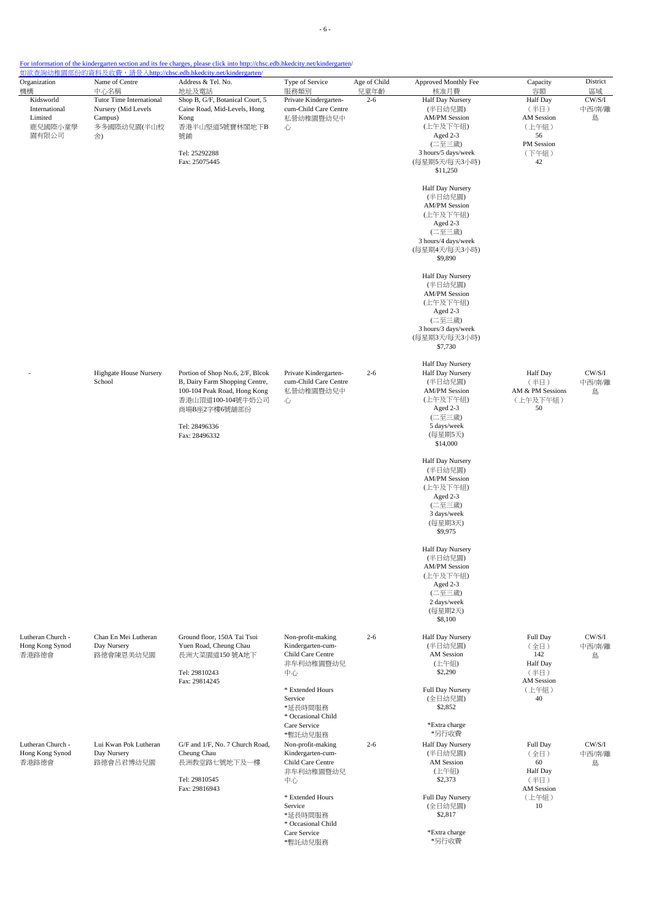| Organization<br>機構                                        | Name of Centre<br>中心名稱                                                          | Address & Tel. No.<br>地址及電話                                                                                                                                                                                 | Type of Service<br>服務類別                                                                            | Age of Child<br>兒童年齡                                                                                                                            | Approved Monthly Fee<br>核准月費                                                                                                                     | Capacity<br>容額                                                             | District<br>區域              |
|-----------------------------------------------------------|---------------------------------------------------------------------------------|-------------------------------------------------------------------------------------------------------------------------------------------------------------------------------------------------------------|----------------------------------------------------------------------------------------------------|-------------------------------------------------------------------------------------------------------------------------------------------------|--------------------------------------------------------------------------------------------------------------------------------------------------|----------------------------------------------------------------------------|-----------------------------|
| Kidsworld<br>International<br>Limited<br>鹿兒國際小童學<br>園有限公司 | Tutor Time International<br>Nursery (Mid Levels<br>Campus)<br>多多國際幼兒園(半山校<br>舍) | Shop B, G/F, Botanical Court, 5<br>Caine Road, Mid-Levels, Hong<br>Kong<br>香港半山堅道5號寶林閣地下B<br>號鋪<br>Tel: 25292288<br>Fax: 25075445                                                                           | Private Kindergarten-<br>cum-Child Care Centre<br>私營幼稚園暨幼兒中<br>心                                   | $2 - 6$                                                                                                                                         | <b>Half Day Nursery</b><br>(半日幼兒園)<br><b>AM/PM Session</b><br>(上午及下午組)<br>Aged 2-3<br>(二至三歲)<br>3 hours/5 days/week<br>(每星期5天/每天3小時)<br>\$11,250 | Half Day<br>(半日)<br>AM Session<br>(上午組)<br>56<br>PM Session<br>(下午組)<br>42 | CW/S/I<br>中西/南/離<br>島       |
|                                                           |                                                                                 |                                                                                                                                                                                                             |                                                                                                    |                                                                                                                                                 | Half Day Nursery<br>(半日幼兒園)<br><b>AM/PM Session</b><br>(上午及下午組)<br>Aged 2-3<br>(二至三歲)<br>3 hours/4 days/week<br>(每星期4天/每天3小時)<br>\$9,890         |                                                                            |                             |
|                                                           |                                                                                 |                                                                                                                                                                                                             |                                                                                                    |                                                                                                                                                 | Half Day Nursery<br>(半日幼兒園)<br><b>AM/PM Session</b><br>(上午及下午組)<br>Aged 2-3<br>(二至三歲)<br>3 hours/3 days/week<br>(每星期3天/每天3小時)<br>\$7,730         |                                                                            |                             |
|                                                           | <b>Highgate House Nursery</b><br>School<br>Tel: 28496336<br>Fax: 28496332       | Portion of Shop No.6, 2/F, Blcok<br>Private Kindergarten-<br>cum-Child Care Centre<br>B, Dairy Farm Shopping Centre,<br>100-104 Peak Road, Hong Kong<br>私營幼稚園暨幼兒中<br>香港山頂道100-104號牛奶公司<br>心<br>商場B座2字樓6號舖部份 | $2 - 6$                                                                                            | Half Day Nursery<br>Half Day Nursery<br>(半日幼兒園)<br><b>AM/PM Session</b><br>(上午及下午組)<br>Aged 2-3<br>(二至三歲)<br>5 days/week<br>(每星期5天)<br>\$14,000 | <b>Half Day</b><br>(半日)<br>AM & PM Sessions<br>(上午及下午組)<br>50                                                                                    | CW/S/I<br>中西/南/離<br>島                                                      |                             |
|                                                           |                                                                                 |                                                                                                                                                                                                             |                                                                                                    |                                                                                                                                                 | Half Day Nursery<br>(半日幼兒園)<br><b>AM/PM</b> Session<br>(上午及下午組)<br>Aged 2-3<br>(二至三歲)<br>3 days/week<br>(每星期3天)<br>\$9,975                       |                                                                            |                             |
|                                                           |                                                                                 |                                                                                                                                                                                                             |                                                                                                    |                                                                                                                                                 | Half Day Nursery<br>(半日幼兒園)<br><b>AM/PM Session</b><br>(上午及下午組)<br>Aged 2-3<br>(二至三歲)<br>2 days/week<br>(每星期2天)<br>\$8,100                       |                                                                            |                             |
| Lutheran Church -<br>Hong Kong Synod<br>香港路德會             | Chan En Mei Lutheran<br>Day Nursery<br>路德會陳恩美幼兒園                                | Ground floor, 150A Tai Tsoi<br>Yuen Road, Cheung Chau<br>長洲大菜園道150號A地下<br>Tel: 29810243<br>Fax: 29814245                                                                                                    | Non-profit-making<br>Kindergarten-cum-<br>Child Care Centre<br>非牟利幼稚園暨幼兒<br>中心<br>* Extended Hours | $2 - 6$                                                                                                                                         | Half Day Nursery<br>(半日幼兒園)<br><b>AM</b> Session<br>(上午組)<br>\$2,290<br>Full Day Nursery                                                         | Full Day<br>(全日)<br>142<br>Half Day<br>(半日)<br><b>AM Session</b><br>(上午組)  | $\rm CW/S/I$<br>中西/南/離<br>島 |
|                                                           |                                                                                 |                                                                                                                                                                                                             | Service<br>*延長時間服務<br>* Occasional Child<br>Care Service                                           |                                                                                                                                                 | (全日幼兒園)<br>\$2,852<br>*Extra charge                                                                                                              | 40                                                                         |                             |
| Lutheran Church -<br>Hong Kong Synod<br>香港路德會             | Lui Kwan Pok Lutheran<br>Day Nursery<br>路德會呂君博幼兒園                               | G/F and 1/F, No. 7 Church Road,<br>Cheung Chau<br>長洲教堂路七號地下及一樓<br>Tel: 29810545<br>Fax: 29816943                                                                                                            | *暫託幼兒服務<br>Non-profit-making<br>Kindergarten-cum-<br>Child Care Centre<br>非牟利幼稚園暨幼兒<br>中心          | $2 - 6$                                                                                                                                         | *另行收費<br>Half Day Nursery<br>(半日幼兒園)<br>AM Session<br>(上午組)<br>\$2,373                                                                           | Full Day<br>(全日)<br>60<br>Half Day<br>(半日)<br>AM Session                   | CW/S/I<br>中西/南/離<br>島       |
|                                                           |                                                                                 |                                                                                                                                                                                                             | * Extended Hours<br>Service<br>*延長時間服務<br>* Occasional Child<br>Care Service<br>*暫託幼兒服務            |                                                                                                                                                 | Full Day Nursery<br>(全日幼兒園)<br>\$2,817<br>*Extra charge<br>*另行收費                                                                                 | (上午組)<br>10                                                                |                             |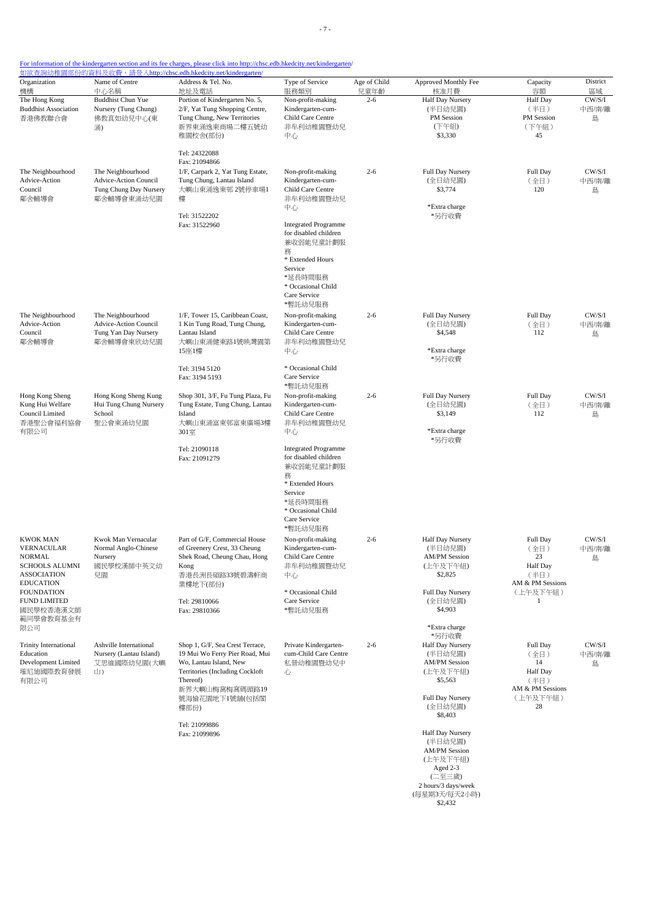- 7 -

| Organization<br>機構                                                                                                                            | Name of Centre<br>中心名稱                                                             | 如欲查詢幼稚園部份的資料及收費,請登入http://chsc.edb.hkedcity.net/kindergarten/<br>Address & Tel. No.<br>地址及電話                                                                                           | Type of Service<br>服務類別                                                                                                                                           | Age of Child<br>兒童年齡 | Approved Monthly Fee<br>核准月費                                                                                                             | Capacity<br>容額                                                                          | District<br>區域        |
|-----------------------------------------------------------------------------------------------------------------------------------------------|------------------------------------------------------------------------------------|----------------------------------------------------------------------------------------------------------------------------------------------------------------------------------------|-------------------------------------------------------------------------------------------------------------------------------------------------------------------|----------------------|------------------------------------------------------------------------------------------------------------------------------------------|-----------------------------------------------------------------------------------------|-----------------------|
| The Hong Kong<br><b>Buddhist Association</b><br>香港佛教聯合會                                                                                       | <b>Buddhist Chun Yue</b><br>Nursery (Tung Chung)<br>佛教真如幼兒中心(東<br>涌)               | Portion of Kindergarten No. 5,<br>2/F, Yat Tung Shopping Centre,<br>Tung Chung, New Territories<br>新界東涌逸東商場二樓五號幼<br>稚園校舍(部份)                                                           | Non-profit-making<br>Kindergarten-cum-<br>Child Care Centre<br>非牟利幼稚園暨幼兒<br>中心                                                                                    | $2 - 6$              | <b>Half Day Nursery</b><br>(半日幼兒園)<br>PM Session<br>(下午組)<br>\$3,330                                                                     | <b>Half Day</b><br>(半日)<br>PM Session<br>(下午組)<br>45                                    | CW/S/I<br>中西/南/離<br>島 |
| The Neighbourhood<br>Advice-Action<br>Council<br>鄰舍輔導會                                                                                        | The Neighbourhood<br>Advice-Action Council<br>Tung Chung Day Nursery<br>鄰舍輔導會東涌幼兒園 | Tel: 24322088<br>Fax: 21094866<br>1/F, Carpark 2, Yat Tung Estate,<br>Tung Chung, Lantau Island<br>大嶼山東涌逸東邨 2號停車場1<br>樓                                                                | Non-profit-making<br>Kindergarten-cum-<br>Child Care Centre<br>非牟利幼稚園暨幼兒<br>中心                                                                                    | $2 - 6$              | Full Day Nursery<br>(全日幼兒園)<br>\$3,774<br>*Extra charge                                                                                  | Full Day<br>(全日)<br>120                                                                 | CW/S/I<br>中西/南/離<br>島 |
|                                                                                                                                               |                                                                                    | Tel: 31522202<br>Fax: 31522960                                                                                                                                                         | <b>Integrated Programme</b><br>for disabled children<br>兼收弱能兒童計劃服<br>務<br>* Extended Hours<br>Service<br>*延長時間服務<br>* Occasional Child<br>Care Service<br>*暫託幼兒服務 |                      | *另行收費                                                                                                                                    |                                                                                         |                       |
| The Neighbourhood<br>Advice-Action<br>Council<br>鄰舍輔導會                                                                                        | The Neighbourhood<br>Advice-Action Council<br>Tung Yan Day Nursery<br>鄰舍輔導會東欣幼兒園   | 1/F, Tower 15, Caribbean Coast,<br>1 Kin Tung Road, Tung Chung,<br>Lantau Island<br>大嶼山東涌健東路1號映灣園第<br>15座1樓<br>Tel: 3194 5120<br>Fax: 3194 5193                                        | Non-profit-making<br>Kindergarten-cum-<br>Child Care Centre<br>非牟利幼稚園暨幼兒<br>中心<br>* Occasional Child<br>Care Service                                              | $2 - 6$              | Full Day Nursery<br>(全日幼兒園)<br>\$4,548<br>*Extra charge<br>*另行收費                                                                         | Full Day<br>(全日)<br>112                                                                 | CW/S/I<br>中西/南/離<br>島 |
| Hong Kong Sheng<br>Kung Hui Welfare<br>Council Limited<br>香港聖公會福利協會<br>有限公司                                                                   | Hong Kong Sheng Kung<br>Hui Tung Chung Nursery<br>School<br>聖公會東涌幼兒園               | Shop 301, 3/F, Fu Tung Plaza, Fu<br>Tung Estate, Tung Chung, Lantau<br>Island<br>大嶼山東涌富東邨富東廣場3樓<br>301室                                                                                | *暫託幼兒服務<br>Non-profit-making<br>Kindergarten-cum-<br>Child Care Centre<br>非牟利幼稚園暨幼兒<br>中心                                                                         | $2 - 6$              | Full Day Nursery<br>(全日幼兒園)<br>\$3,149<br>*Extra charge<br>*另行收費                                                                         | Full Day<br>(全日)<br>112                                                                 | CW/S/I<br>中西/南/離<br>島 |
|                                                                                                                                               |                                                                                    | Tel: 21090118<br>Fax: 21091279                                                                                                                                                         | <b>Integrated Programme</b><br>for disabled children<br>兼收弱能兒童計劃服<br>務<br>* Extended Hours<br>Service<br>*延長時間服務<br>* Occasional Child<br>Care Service<br>*暫託幼兒服務 |                      |                                                                                                                                          |                                                                                         |                       |
| <b>KWOK MAN</b><br><b>VERNACULAR</b><br><b>NORMAL</b><br><b>SCHOOLS ALUMNI</b><br><b>ASSOCIATION</b><br><b>EDUCATION</b><br><b>FOUNDATION</b> | Kwok Man Vernacular<br>Normal Anglo-Chinese<br>Nursery<br>國民學校漢師中英文幼<br>兒園         | Part of G/F, Commercial House<br>of Greenery Crest, 33 Cheung<br>Shek Road, Cheung Chau, Hong<br>Kong<br>香港長洲長碩路33號碧濤軒商<br>業樓地下(部份)                                                    | Non-profit-making<br>Kindergarten-cum-<br>Child Care Centre<br>非牟利幼稚園暨幼兒<br>中心<br>* Occasional Child                                                              | $2 - 6$              | Half Day Nursery<br>(半日幼兒園)<br><b>AM/PM</b> Session<br>(上午及下午組)<br>\$2,825<br>Full Day Nursery                                           | Full Day<br>(全日)<br>23<br><b>Half</b> Day<br>(半日)<br>AM & PM Sessions<br>(上午及下午組)       | CW/S/I<br>中西/南/離<br>島 |
| <b>FUND LIMITED</b><br>國民學校香港漢文師<br>範同學會教育基金有<br>限公司                                                                                          |                                                                                    | Tel: 29810066<br>Fax: 29810366                                                                                                                                                         | Care Service<br>*暫託幼兒服務                                                                                                                                           |                      | (全日幼兒園)<br>\$4,903<br>*Extra charge                                                                                                      | 1                                                                                       |                       |
| <b>Trinity International</b><br>Education<br>Development Limited<br>璀尼迪國際教育發展<br>有限公司                                                         | Ashville International<br>Nursery (Lantau Island)<br>艾思維國際幼兒園(大嶼<br>山)             | Shop 1, G/F, Sea Crest Terrace,<br>19 Mui Wo Ferry Pier Road, Mui<br>Wo, Lantau Island, New<br>Territories (Including Cockloft<br>Thereof)<br>新界大嶼山梅窩梅窩碼頭路19<br>號海愉花園地下1號舖(包括閣<br>樓部份) | Private Kindergarten-<br>cum-Child Care Centre<br>私營幼稚園暨幼兒中<br>心                                                                                                  | $2 - 6$              | *另行收費<br>Half Day Nursery<br>(半日幼兒園)<br><b>AM/PM</b> Session<br>(上午及下午組)<br>\$5,563<br><b>Full Day Nursery</b><br>(全日幼兒園)<br>\$8,403     | Full Day<br>(全日)<br>14<br><b>Half</b> Day<br>(半日)<br>AM & PM Sessions<br>(上午及下午組)<br>28 | CW/S/I<br>中西/南/離<br>島 |
|                                                                                                                                               |                                                                                    | Tel: 21099886<br>Fax: 21099896                                                                                                                                                         |                                                                                                                                                                   |                      | Half Day Nursery<br>(半日幼兒園)<br><b>AM/PM Session</b><br>(上午及下午組)<br>Aged 2-3<br>(二至三歲)<br>2 hours/3 days/week<br>(每星期3天/每天2小時)<br>\$2,432 |                                                                                         |                       |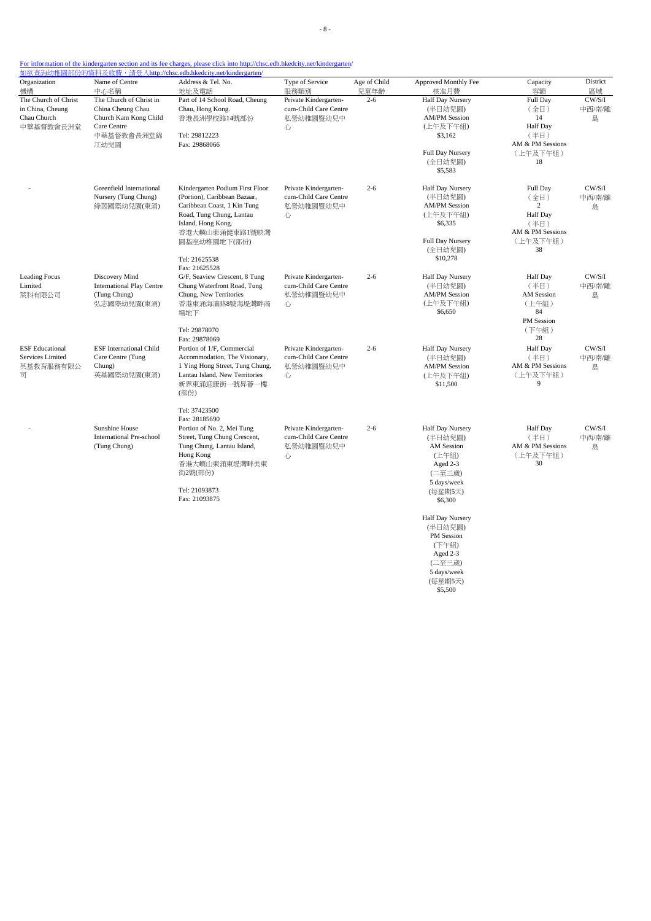| Organization                                                                 | Name of Centre                                                                                             | Address & Tel. No.                                                                                                                                                                                                   | Type of Service                                                                                                                                                                             | Age of Child                                                     | Approved Monthly Fee                                                                                                         | Capacity                                                                         | District                                                                    |                       |
|------------------------------------------------------------------------------|------------------------------------------------------------------------------------------------------------|----------------------------------------------------------------------------------------------------------------------------------------------------------------------------------------------------------------------|---------------------------------------------------------------------------------------------------------------------------------------------------------------------------------------------|------------------------------------------------------------------|------------------------------------------------------------------------------------------------------------------------------|----------------------------------------------------------------------------------|-----------------------------------------------------------------------------|-----------------------|
| 機構                                                                           | 中心名稱                                                                                                       | 地址及電話                                                                                                                                                                                                                | 服務類別                                                                                                                                                                                        | 兒童年齡                                                             | 核准月費                                                                                                                         | 容額                                                                               | 區域                                                                          |                       |
| The Church of Christ<br>in China, Cheung<br>Chau Church<br>中華基督教會長洲堂         | The Church of Christ in<br>China Cheung Chau<br>Church Kam Kong Child<br>Care Centre<br>中華基督教會長洲堂錦<br>江幼兒園 | Part of 14 School Road, Cheung<br>Chau, Hong Kong.<br>香港長洲學校路14號部份<br>Tel: 29812223<br>Fax: 29868066                                                                                                                 | Private Kindergarten-<br>cum-Child Care Centre<br>私營幼稚園暨幼兒中<br>心                                                                                                                            | $2 - 6$                                                          | Half Day Nursery<br>(半日幼兒園)<br><b>AM/PM Session</b><br>(上午及下午組)<br>\$3,162<br>Full Day Nursery<br>(全日幼兒園)<br>\$5,583         | Full Day<br>(全日)<br>14<br>Half Day<br>(半日)<br>AM & PM Sessions<br>(上午及下午組)<br>18 | CW/S/I<br>中西/南/離<br>島                                                       |                       |
|                                                                              | Greenfield International<br>Nursery (Tung Chung)<br>綠茵國際幼兒園(東涌)                                            | Kindergarten Podium First Floor<br>(Portion), Caribbean Bazaar,<br>Caribbean Coast, 1 Kin Tung<br>Road, Tung Chung, Lantau<br>Island, Hong Kong.<br>香港大嶼山東涌健東路1號映灣<br>園基座幼稚園地下(部份)<br>Tel: 21625538<br>Fax: 21625528 | Private Kindergarten-<br>cum-Child Care Centre<br>私營幼稚園暨幼兒中<br>心                                                                                                                            | $2 - 6$                                                          | Half Day Nursery<br>(半日幼兒園)<br><b>AM/PM Session</b><br>(上午及下午組)<br>\$6,335<br><b>Full Day Nursery</b><br>(全日幼兒園)<br>\$10,278 | Full Day<br>(全日)<br>2<br>Half Day<br>(半日)<br>AM & PM Sessions<br>(上午及下午組)<br>38  | CW/S/I<br>中西/南/離<br>島                                                       |                       |
| <b>Leading Focus</b><br>Limited<br>萊科有限公司                                    | Discovery Mind<br><b>International Play Centre</b><br>(Tung Chung)<br>弘志國際幼兒園(東涌)<br>場地下                   | G/F, Seaview Crescent, 8 Tung<br>Chung Waterfront Road, Tung<br>Chung, New Territories<br>香港東涌海濱路8號海堤灣畔商                                                                                                             | Private Kindergarten-<br>cum-Child Care Centre<br>私營幼稚園暨幼兒中<br>心                                                                                                                            | $2 - 6$                                                          | Half Day Nursery<br>(半日幼兒園)<br><b>AM/PM Session</b><br>(上午及下午組)<br>\$6,650                                                   | Half Day<br>(半日)<br><b>AM</b> Session<br>(上午組)<br>84<br>PM Session               | CW/S/I<br>中西/南/離<br>島                                                       |                       |
| <b>ESF</b> Educational<br>Services Limited<br>英基教育服務有限公<br>$\overline{\Box}$ | <b>ESF</b> International Child<br>Care Centre (Tung<br>Chung)<br>英基國際幼兒園(東涌)                               |                                                                                                                                                                                                                      | Tel: 29878070<br>Fax: 29878069<br>Portion of 1/F, Commercial<br>Accommodation, The Visionary,<br>1 Ying Hong Street, Tung Chung,<br>Lantau Island, New Territories<br>新界東涌迎康街一號昇薈一樓<br>(部份) | Private Kindergarten-<br>cum-Child Care Centre<br>私營幼稚園暨幼兒中<br>心 | $2 - 6$                                                                                                                      | Half Day Nursery<br>(半日幼兒園)<br><b>AM/PM Session</b><br>(上午及下午組)<br>\$11,500      | (下午組)<br>28<br><b>Half</b> Day<br>(半日)<br>AM & PM Sessions<br>(上午及下午組)<br>9 | CW/S/I<br>中西/南/離<br>島 |
|                                                                              | Sunshine House<br><b>International Pre-school</b><br>(Tung Chung)                                          | Tel: 37423500<br>Fax: 28185690<br>Portion of No. 2, Mei Tung<br>Street, Tung Chung Crescent,<br>Tung Chung, Lantau Island,<br>Hong Kong<br>香港大嶼山東涌東堤灣畔美東<br>街2號(部份)<br>Tel: 21093873<br>Fax: 21093875                | Private Kindergarten-<br>cum-Child Care Centre<br>私營幼稚園暨幼兒中<br>心                                                                                                                            | $2 - 6$                                                          | Half Day Nursery<br>(半日幼兒園)<br>AM Session<br>(上午組)<br>Aged 2-3<br>(二至三歲)<br>5 days/week<br>(每星期5天)<br>\$6,300                | <b>Half Day</b><br>(半日)<br>AM & PM Sessions<br>(上午及下午組)<br>30                    | CW/S/I<br>中西/南/離<br>島                                                       |                       |
|                                                                              |                                                                                                            |                                                                                                                                                                                                                      |                                                                                                                                                                                             |                                                                  | Half Day Nursery<br>(半日幼兒園)<br>PM Session<br>(下午組)<br>Aged 2-3<br>(二至三歲)<br>5 days/week<br>(每星期5天)<br>\$5,500                |                                                                                  |                                                                             |                       |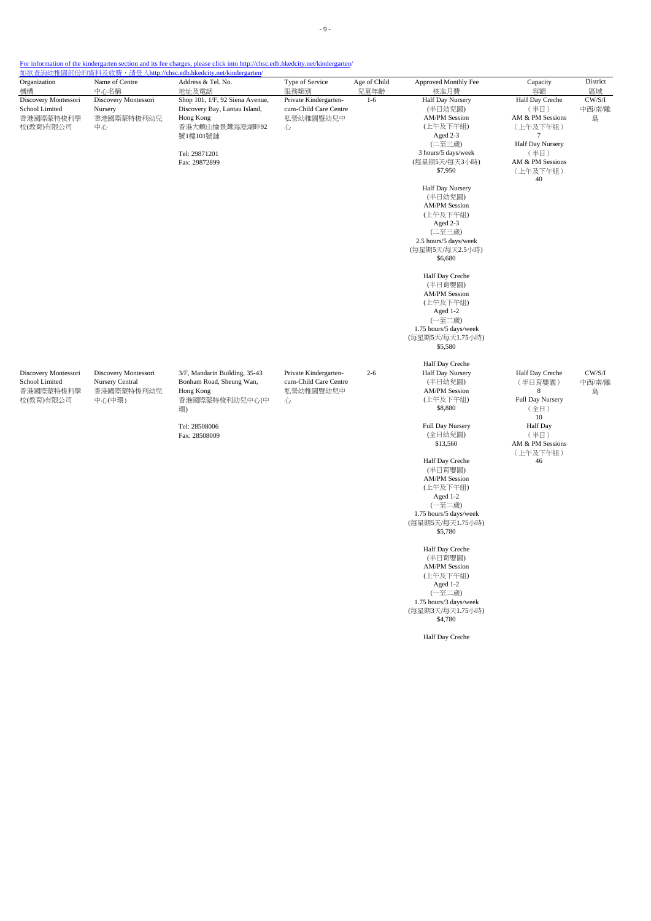- 9 -

# For information of the kindergarten section and its fee charges, please click into http://chsc.edb.hkedcity.net/kindergarten/

| Organization                                                                      | Name of Centre                                                  | <u> 如欲查詢幼稚園部份的資料及收費,請登入http://chsc.edb.hkedcity.net/kindergarten/</u><br>Address & Tel. No.                                                   | Type of Service                                                  | Age of Child | Approved Monthly Fee                                                                                                                                                 |                                                                                                                                | District                    |
|-----------------------------------------------------------------------------------|-----------------------------------------------------------------|-----------------------------------------------------------------------------------------------------------------------------------------------|------------------------------------------------------------------|--------------|----------------------------------------------------------------------------------------------------------------------------------------------------------------------|--------------------------------------------------------------------------------------------------------------------------------|-----------------------------|
| 機構                                                                                | 中心名稱                                                            | 地址及電話                                                                                                                                         | 服務類別                                                             | 兒童年齡         | 核准月費                                                                                                                                                                 | Capacity<br>容額                                                                                                                 | 區域                          |
| Discovery Montessori<br>School Limited<br>Nursery<br>香港國際蒙特梭利學<br>校(教育)有限公司<br>中心 | Discovery Montessori<br>香港國際蒙特梭利幼兒                              | Shop 101, 1/F, 92 Siena Avenue,<br>Discovery Bay, Lantau Island,<br>Hong Kong<br>香港大嶼山愉景灣海澄湖畔92<br>號1樓101號舖<br>Tel: 29871201<br>Fax: 29872899 | Private Kindergarten-<br>cum-Child Care Centre<br>私營幼稚園暨幼兒中<br>心 | $1-6$        | Half Day Nursery<br>(半日幼兒園)<br><b>AM/PM Session</b><br>(上午及下午組)<br>Aged 2-3<br>(二至三歲)<br>3 hours/5 days/week<br>(每星期5天/每天3小時)<br>\$7,950                             | Half Day Creche<br>(半日)<br>AM & PM Sessions<br>(上午及下午組)<br>7<br>Half Day Nursery<br>(半日)<br>AM & PM Sessions<br>(上午及下午組)<br>40 | $\rm CW/S/I$<br>中西/南/離<br>島 |
|                                                                                   |                                                                 |                                                                                                                                               |                                                                  |              | Half Day Nursery<br>(半日幼兒園)<br><b>AM/PM Session</b><br>(上午及下午組)<br>Aged 2-3<br>(二至三歲)<br>2.5 hours/5 days/week<br>(每星期5天/每天2.5小時)<br>\$6,680                         |                                                                                                                                |                             |
|                                                                                   |                                                                 |                                                                                                                                               |                                                                  |              | Half Day Creche<br>(半日育嬰園)<br><b>AM/PM Session</b><br>(上午及下午組)<br>Aged 1-2<br>(一至二歲)<br>1.75 hours/5 days/week<br>(每星期5天/每天1.75小時)<br>\$5,580                        |                                                                                                                                |                             |
| Discovery Montessori<br>School Limited<br>香港國際蒙特梭利學<br>校(教育)有限公司                  | Discovery Montessori<br>Nursery Central<br>香港國際蒙特梭利幼兒<br>中心(中環) | 3/F, Mandarin Building, 35-43<br>Bonham Road, Sheung Wan,<br>Hong Kong<br>香港國際蒙特梭利幼兒中心(中<br>環)<br>Tel: 28508006                               | Private Kindergarten-<br>cum-Child Care Centre<br>私營幼稚園暨幼兒中<br>心 | $2 - 6$      | Half Day Creche<br>Half Day Nursery<br>(半日幼兒園)<br><b>AM/PM Session</b><br>(上午及下午組)<br>\$8,880<br>Full Day Nursery                                                    | Half Day Creche<br>(半日育嬰園)<br>$\,$ 8 $\,$<br>Full Day Nursery<br>(全日)<br>10<br>Half Day                                        | CW/S/I<br>中西/南/離<br>島       |
|                                                                                   |                                                                 | Fax: 28508009                                                                                                                                 |                                                                  |              | (全日幼兒園)<br>\$13,560<br>Half Day Creche<br>(半日育嬰園)<br><b>AM/PM Session</b><br>(上午及下午組)<br>Aged 1-2<br>(一至二歲)<br>1.75 hours/5 days/week<br>(每星期5天/每天1.75小時)<br>\$5,780 | (半日)<br>AM & PM Sessions<br>(上午及下午組)<br>46                                                                                     |                             |
|                                                                                   |                                                                 |                                                                                                                                               |                                                                  |              | Half Day Creche<br>(半日育嬰園)<br><b>AM/PM Session</b><br>(上午及下午組)<br>Aged 1-2<br>(一至二歲)<br>1.75 hours/3 days/week<br>(每星期3天/每天1.75小時)<br>\$4,780                        |                                                                                                                                |                             |

Half Day Creche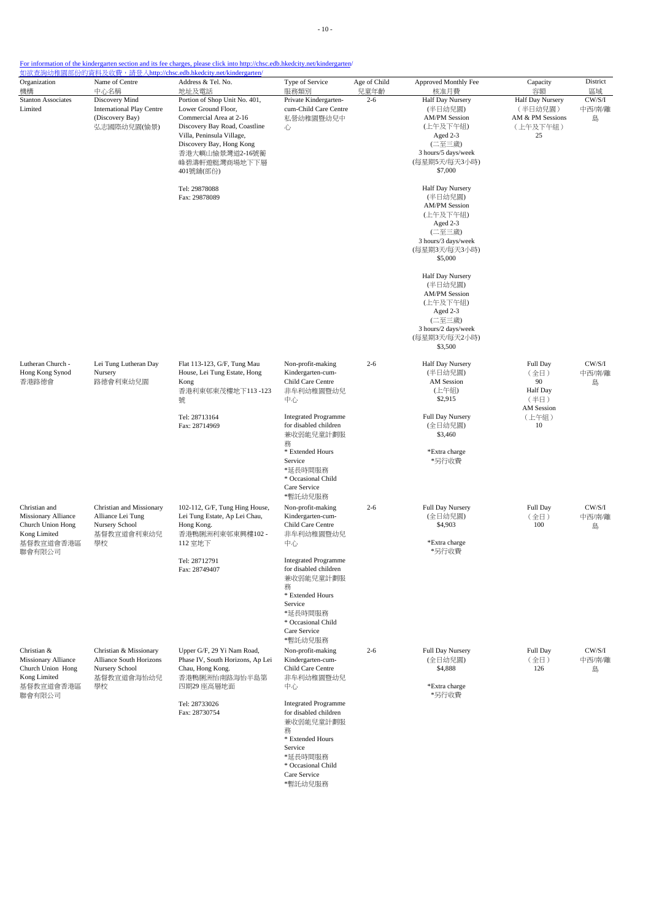- 10 -

For information of the kindergarten section and its fee charges, please click into http://chsc.edb.hkedcity.net/kindergarten/

| Organization<br>機構                                                                                      | Name of Centre<br>中心名稱                                                                  | Address & Tel. No.<br>地址及電話                                                                                                                                                                                                | Type of Service<br>服務類別                                                                                                                                           | Age of Child<br>兒童年齡                                                                                                                                              | Approved Monthly Fee<br>核准月費                                                                                                             | Capacity<br>容額                                                    | District<br>區域        |
|---------------------------------------------------------------------------------------------------------|-----------------------------------------------------------------------------------------|----------------------------------------------------------------------------------------------------------------------------------------------------------------------------------------------------------------------------|-------------------------------------------------------------------------------------------------------------------------------------------------------------------|-------------------------------------------------------------------------------------------------------------------------------------------------------------------|------------------------------------------------------------------------------------------------------------------------------------------|-------------------------------------------------------------------|-----------------------|
| <b>Stanton Associates</b><br>Limited                                                                    | Discovery Mind<br><b>International Play Centre</b><br>(Discovery Bay)<br>弘志國際幼兒園(愉景)    | Portion of Shop Unit No. 401,<br>Lower Ground Floor,<br>Commercial Area at 2-16<br>Discovery Bay Road, Coastline<br>Villa, Peninsula Village,<br>Discovery Bay, Hong Kong<br>香港大嶼山愉景灣道2-16號蘅<br>峰碧濤軒遊艇灣商場地下下層<br>401號舖(部份) | Private Kindergarten-<br>cum-Child Care Centre<br>私營幼稚園暨幼兒中<br>心                                                                                                  | $2 - 6$                                                                                                                                                           | Half Day Nursery<br>(半日幼兒園)<br><b>AM/PM Session</b><br>(上午及下午組)<br>Aged 2-3<br>(二至三歲)<br>3 hours/5 days/week<br>(每星期5天/每天3小時)<br>\$7,000 | Half Day Nursery<br>(半日幼兒園)<br>AM & PM Sessions<br>(上午及下午組)<br>25 | CW/S/I<br>中西/南/離<br>島 |
|                                                                                                         |                                                                                         | Tel: 29878088<br>Fax: 29878089                                                                                                                                                                                             |                                                                                                                                                                   |                                                                                                                                                                   | Half Day Nursery<br>(半日幼兒園)<br><b>AM/PM Session</b><br>(上午及下午組)<br>Aged 2-3<br>(二至三歲)<br>3 hours/3 days/week<br>(每星期3天/每天3小時)<br>\$5,000 |                                                                   |                       |
|                                                                                                         |                                                                                         |                                                                                                                                                                                                                            |                                                                                                                                                                   |                                                                                                                                                                   | Half Day Nursery<br>(半日幼兒園)<br><b>AM/PM Session</b><br>(上午及下午組)<br>Aged 2-3<br>(二至三歲)<br>3 hours/2 days/week<br>(每星期3天/每天2小時)<br>\$3,500 |                                                                   |                       |
| Lutheran Church -<br>Hong Kong Synod<br>香港路德會                                                           | Lei Tung Lutheran Day<br>Nursery<br>路德會利東幼兒園                                            | Flat 113-123, G/F, Tung Mau<br>House, Lei Tung Estate, Hong<br>Kong<br>香港利東邨東茂樓地下113-123<br>號                                                                                                                              | Non-profit-making<br>Kindergarten-cum-<br>Child Care Centre<br>非牟利幼稚園暨幼兒<br>中心                                                                                    | $2 - 6$                                                                                                                                                           | Half Day Nursery<br>(半日幼兒園)<br>AM Session<br>(上午組)<br>\$2,915                                                                            | Full Day<br>(全日)<br>90<br>Half Day<br>(半日)<br>AM Session          | CW/S/I<br>中西/南/離<br>島 |
|                                                                                                         |                                                                                         | Tel: 28713164<br>Fax: 28714969                                                                                                                                                                                             |                                                                                                                                                                   | <b>Integrated Programme</b><br>for disabled children<br>兼收弱能兒童計劃服<br>務<br>* Extended Hours<br>Service<br>*延長時間服務<br>* Occasional Child<br>Care Service<br>*暫託幼兒服務 |                                                                                                                                          | Full Day Nursery<br>(全日幼兒園)<br>\$3,460<br>*Extra charge<br>*另行收費  | (上午組)<br>10           |
| Christian and<br><b>Missionary Alliance</b><br>Church Union Hong<br>Kong Limited<br>基督教宣道會香港區<br>聯會有限公司 | Christian and Missionary<br>Alliance Lei Tung<br>Nursery School<br>基督教宣道會利東幼兒<br>學校     | 102-112, G/F, Tung Hing House,<br>Lei Tung Estate, Ap Lei Chau,<br>Hong Kong.<br>香港鴨脷洲利東邨東興樓102 -<br>112 室地下                                                                                                               | Non-profit-making<br>Kindergarten-cum-<br>Child Care Centre<br>非牟利幼稚園暨幼兒<br>中心                                                                                    | $2 - 6$                                                                                                                                                           | Full Day Nursery<br>(全日幼兒園)<br>\$4,903<br>*Extra charge<br>*另行收費                                                                         | Full Day<br>(全日)<br>100                                           | CW/S/I<br>中西/南/離<br>島 |
|                                                                                                         |                                                                                         | Tel: 28712791<br>Fax: 28749407                                                                                                                                                                                             | <b>Integrated Programme</b><br>for disabled children<br>兼收弱能兒童計劃服<br>務<br>* Extended Hours<br>Service<br>*延長時間服務<br>* Occasional Child<br>Care Service<br>*暫託幼兒服務 |                                                                                                                                                                   |                                                                                                                                          |                                                                   |                       |
| Christian &<br>Missionary Alliance<br>Church Union Hong<br>Kong Limited<br>基督教宣道會香港區                    | Christian & Missionary<br>Alliance South Horizons<br>Nursery School<br>基督教宣道會海怡幼兒<br>學校 | Upper G/F, 29 Yi Nam Road,<br>Phase IV, South Horizons, Ap Lei<br>Chau, Hong Kong.<br>香港鴨脷洲怡南路海怡半島第<br>四期29座高層地面                                                                                                           | Non-profit-making<br>Kindergarten-cum-<br>Child Care Centre<br>非牟利幼稚園暨幼兒<br>中心                                                                                    | $2 - 6$                                                                                                                                                           | Full Day Nursery<br>(全日幼兒園)<br>\$4,888<br>*Extra charge<br>*另行收費                                                                         | Full Day<br>(全日)<br>126                                           | CW/S/I<br>中西/南/離<br>島 |
| 聯會有限公司                                                                                                  |                                                                                         | Tel: 28733026<br>Fax: 28730754                                                                                                                                                                                             | <b>Integrated Programme</b><br>for disabled children<br>兼收弱能兒童計劃服<br>務<br>* Extended Hours<br>Service<br>*延長時間服務<br>* Occasional Child<br>Care Service            |                                                                                                                                                                   |                                                                                                                                          |                                                                   |                       |

are Service \*暫託幼兒服務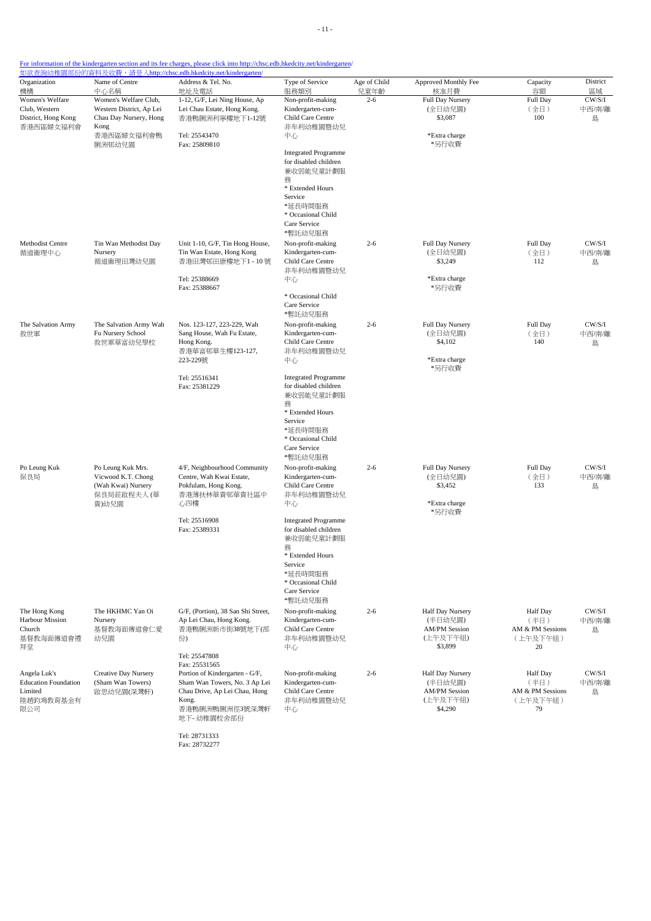| Organization                                                               | Name of Centre                                                                                                      | 如欲查詢幼稚園部份的資料及收費,請登入http://chsc.edb.hkedcity.net/kindergarten/<br>Address & Tel. No.                                                                        | Type of Service                                                                                                                                                                                                                                                | Age of Child    | Approved Monthly Fee                                                       | Capacity                                                      | District                    |
|----------------------------------------------------------------------------|---------------------------------------------------------------------------------------------------------------------|------------------------------------------------------------------------------------------------------------------------------------------------------------|----------------------------------------------------------------------------------------------------------------------------------------------------------------------------------------------------------------------------------------------------------------|-----------------|----------------------------------------------------------------------------|---------------------------------------------------------------|-----------------------------|
| 機構<br>Women's Welfare<br>Club, Western<br>District, Hong Kong<br>香港西區婦女福利會 | 中心名稱<br>Women's Welfare Club,<br>Western District, Ap Lei<br>Chau Day Nursery, Hong<br>Kong<br>香港西區婦女福利會鴨<br>脷洲邨幼兒園 | 地址及電話<br>1-12, G/F, Lei Ning House, Ap<br>Lei Chau Estate, Hong Kong.<br>香港鴨脷洲利寧樓地下1-12號<br>Tel: 25543470<br>Fax: 25809810                                 | 服務類別<br>Non-profit-making<br>Kindergarten-cum-<br>Child Care Centre<br>非牟利幼稚園暨幼兒<br>中心<br><b>Integrated Programme</b><br>for disabled children<br>兼收弱能兒童計劃服<br>務<br>* Extended Hours<br>Service<br>*延長時間服務<br>* Occasional Child<br>Care Service<br>*暫託幼兒服務    | 兒童年齡<br>$2 - 6$ | 核准月費<br>Full Day Nursery<br>(全日幼兒園)<br>\$3,087<br>*Extra charge<br>*另行收費   | 容額<br>Full Day<br>(全日)<br>100                                 | 區域<br>CW/S/I<br>中西/南/離<br>島 |
| Methodist Centre<br>循道衞理中心                                                 | Tin Wan Methodist Day<br>Nursery<br>循道衞理田灣幼兒園                                                                       | Unit 1-10, G/F, Tin Hong House,<br>Tin Wan Estate, Hong Kong<br>香港田灣邨田康樓地下1-10號<br>Tel: 25388669<br>Fax: 25388667                                          | Non-profit-making<br>Kindergarten-cum-<br>Child Care Centre<br>非牟利幼稚園暨幼兒<br>中心<br>* Occasional Child<br>Care Service<br>*暫託幼兒服務                                                                                                                                | $2 - 6$         | <b>Full Day Nursery</b><br>(全日幼兒園)<br>\$3,249<br>*Extra charge<br>*另行收費    | Full Day<br>(全日)<br>112                                       | CW/S/I<br>中西/南/離<br>島       |
| The Salvation Army<br>救世軍                                                  | The Salvation Army Wah<br>Fu Nursery School<br>救世軍華富幼兒學校                                                            | Nos. 123-127, 223-229, Wah<br>Sang House, Wah Fu Estate,<br>Hong Kong.<br>香港華富邨華生樓123-127,<br>223-229號<br>Tel: 25516341<br>Fax: 25381229                   | Non-profit-making<br>Kindergarten-cum-<br>Child Care Centre<br>非牟利幼稚園暨幼兒<br>中心<br><b>Integrated Programme</b><br>for disabled children<br>兼收弱能兒童計劃服<br>務<br>* Extended Hours<br>Service<br>*延長時間服務<br>* Occasional Child<br>Care Service                       | $2 - 6$         | Full Day Nursery<br>(全日幼兒園)<br>\$4,102<br>*Extra charge<br>*另行收費           | Full Day<br>(全日)<br>140                                       | CW/S/I<br>中西/南/離<br>島       |
| Po Leung Kuk<br>保良局                                                        | Po Leung Kuk Mrs.<br>Vicwood K.T. Chong<br>(Wah Kwai) Nursery<br>保良局莊啟程夫人(華<br>貴)幼兒園                                | 4/F, Neighbourhood Community<br>Centre, Wah Kwai Estate,<br>Pokfulam, Hong Kong.<br>香港薄扶林華貴邨華貴社區中<br>心四樓<br>Tel: 25516908<br>Fax: 25389331                 | *暫託幼兒服務<br>Non-profit-making<br>Kindergarten-cum-<br>Child Care Centre<br>非牟利幼稚園暨幼兒<br>中心<br><b>Integrated Programme</b><br>for disabled children<br>兼收弱能兒童計劃服<br>務<br>* Extended Hours<br>Service<br>*延長時間服務<br>* Occasional Child<br>Care Service<br>*暫託幼兒服務 | $2 - 6$         | Full Day Nursery<br>(全日幼兒園)<br>\$3,452<br>*Extra charge<br>*另行收費           | Full Day<br>(全日)<br>133                                       | CW/S/I<br>中西/南/離<br>島       |
| The Hong Kong<br><b>Harbour Mission</b><br>Church<br>基督教海面傳道會禮<br>拜堂       | The HKHMC Yan Oi<br>Nursery<br>基督教海面傳道會仁愛<br>幼兒園                                                                    | G/F, (Portion), 38 San Shi Street,<br>Ap Lei Chau, Hong Kong.<br>香港鴨脷洲新市街38號地下(部<br>份)<br>Tel: 25547808                                                    | Non-profit-making<br>Kindergarten-cum-<br>Child Care Centre<br>非牟利幼稚園暨幼兒<br>中心                                                                                                                                                                                 | $2 - 6$         | Half Day Nursery<br>(半日幼兒園)<br><b>AM/PM Session</b><br>(上午及下午組)<br>\$3,899 | <b>Half</b> Day<br>(半日)<br>AM & PM Sessions<br>(上午及下午組)<br>20 | CW/S/I<br>中西/南/離<br>島       |
| Angela Luk's<br><b>Education Foundation</b><br>Limited<br>陸趙鈞鴻教育基金有<br>限公司 | Creative Day Nursery<br>(Sham Wan Towers)<br>啟思幼兒園(深灣軒)                                                             | Fax: 25531565<br>Portion of Kindergarten - G/F,<br>Sham Wan Towers, No. 3 Ap Lei<br>Chau Drive, Ap Lei Chau, Hong<br>Kong.<br>香港鴨脷洲鴨脷洲徑3號深灣軒<br>地下-幼稚園校舍部份 | Non-profit-making<br>Kindergarten-cum-<br>Child Care Centre<br>非牟利幼稚園暨幼兒<br>中心                                                                                                                                                                                 | $2 - 6$         | Half Day Nursery<br>(半日幼兒園)<br><b>AM/PM Session</b><br>(上午及下午組)<br>\$4,290 | Half Day<br>(半日)<br>AM & PM Sessions<br>(上午及下午組)<br>79        | CW/S/I<br>中西/南/離<br>島       |

Tel: 28731333 Fax: 28732277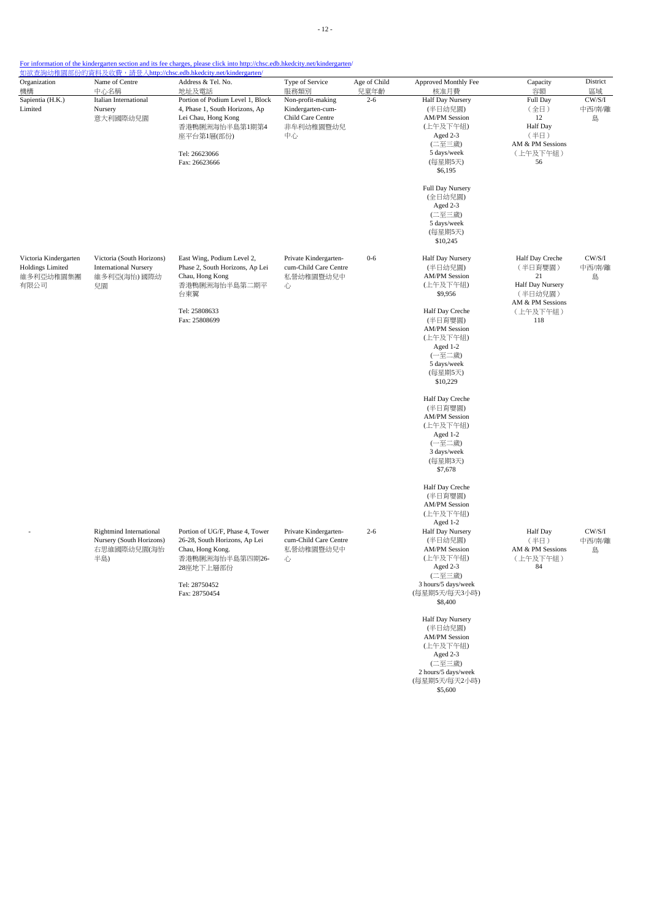| Organization            | Name of Centre                 | Address & Tel. No.               | Type of Service       | Age of Child | Approved Monthly Fee                                             | Capacity                    | District |
|-------------------------|--------------------------------|----------------------------------|-----------------------|--------------|------------------------------------------------------------------|-----------------------------|----------|
| 機構                      | 中心名稱                           | 地址及電話                            | 服務類別                  | 兒童年齡         | 核准月費                                                             | 容額                          | 區域       |
| Sapientia (H.K.)        | Italian International          | Portion of Podium Level 1, Block | Non-profit-making     | $2 - 6$      | Half Day Nursery                                                 | Full Day                    | CW/S/I   |
| Limited                 | Nursery                        | 4, Phase 1, South Horizons, Ap   | Kindergarten-cum-     |              | (半日幼兒園)                                                          | (全日)                        | 中西/南/離   |
|                         | 意大利國際幼兒園                       | Lei Chau, Hong Kong              | Child Care Centre     |              | <b>AM/PM Session</b><br>(上午及下午組)                                 | 12<br>Half Day              | 島        |
|                         |                                | 香港鴨脷洲海怡半島第1期第4                   | 非牟利幼稚園暨幼兒             |              | Aged 2-3                                                         |                             |          |
|                         |                                | 座平台第1層(部份)                       | 中心                    |              | (二至三歲)                                                           | (半日)<br>AM & PM Sessions    |          |
|                         |                                | Tel: 26623066                    |                       |              | 5 days/week                                                      | (上午及下午組)                    |          |
|                         |                                | Fax: 26623666                    |                       |              | (每星期5天)                                                          | 56                          |          |
|                         |                                |                                  |                       |              | \$6,195                                                          |                             |          |
|                         |                                |                                  |                       |              | Full Day Nursery<br>(全日幼兒園)<br>Aged 2-3<br>(二至三歲)<br>5 days/week |                             |          |
|                         |                                |                                  |                       |              | (每星期5天)<br>\$10,245                                              |                             |          |
| Victoria Kindergarten   | Victoria (South Horizons)      | East Wing, Podium Level 2,       | Private Kindergarten- | $0 - 6$      | Half Day Nursery                                                 | Half Day Creche             | CW/S/I   |
| <b>Holdings Limited</b> | <b>International Nursery</b>   | Phase 2, South Horizons, Ap Lei  | cum-Child Care Centre |              | (半日幼兒園)                                                          | (半日育嬰園)                     | 中西/南/離   |
| 維多利亞幼稚園集團               | 維多利亞(海怡) 國際幼                   | Chau, Hong Kong                  | 私營幼稚園暨幼兒中             |              | <b>AM/PM Session</b>                                             | 21                          | 島        |
| 有限公司                    | 兒園                             | 香港鴨脷洲海怡半島第二期平                    | 心                     |              | (上午及下午組)                                                         | Half Day Nursery            |          |
|                         |                                | 台東翼                              |                       |              | \$9,956                                                          | (半日幼兒園)<br>AM & PM Sessions |          |
|                         |                                | Tel: 25808633                    |                       |              | Half Day Creche                                                  | (上午及下午組)                    |          |
|                         |                                | Fax: 25808699                    |                       |              | (半日育嬰園)                                                          | 118                         |          |
|                         |                                |                                  |                       |              | <b>AM/PM Session</b>                                             |                             |          |
|                         |                                |                                  |                       |              | (上午及下午組)                                                         |                             |          |
|                         |                                |                                  |                       |              | Aged 1-2                                                         |                             |          |
|                         |                                |                                  |                       |              | (一至二歲)                                                           |                             |          |
|                         |                                |                                  |                       |              | 5 days/week                                                      |                             |          |
|                         |                                |                                  |                       |              | (每星期5天)<br>\$10,229                                              |                             |          |
|                         |                                |                                  |                       |              | Half Day Creche                                                  |                             |          |
|                         |                                |                                  |                       |              | (半日育嬰園)                                                          |                             |          |
|                         |                                |                                  |                       |              | <b>AM/PM Session</b><br>(上午及下午組)                                 |                             |          |
|                         |                                |                                  |                       |              | Aged 1-2                                                         |                             |          |
|                         |                                |                                  |                       |              | (一至二歲)                                                           |                             |          |
|                         |                                |                                  |                       |              | 3 days/week                                                      |                             |          |
|                         |                                |                                  |                       |              | (每星期3天)                                                          |                             |          |
|                         |                                |                                  |                       |              | \$7,678                                                          |                             |          |
|                         |                                |                                  |                       |              | Half Day Creche                                                  |                             |          |
|                         |                                |                                  |                       |              | (半日育嬰園)                                                          |                             |          |
|                         |                                |                                  |                       |              | <b>AM/PM Session</b><br>(上午及下午組)                                 |                             |          |
|                         |                                |                                  |                       |              | Aged 1-2                                                         |                             |          |
|                         | <b>Rightmind International</b> | Portion of UG/F, Phase 4, Tower  | Private Kindergarten- | $2 - 6$      | Half Day Nursery                                                 | Half Day                    | CW/S/I   |
|                         | Nursery (South Horizons)       | 26-28, South Horizons, Ap Lei    | cum-Child Care Centre |              | (半日幼兒園)                                                          | (半日)                        | 中西/南/離   |
|                         | 右思維國際幼兒園(海怡                    | Chau, Hong Kong.                 | 私營幼稚園暨幼兒中             |              | <b>AM/PM Session</b>                                             | AM & PM Sessions            | 島        |
|                         | 半島)                            | 香港鴨脷洲海怡半島第四期26-<br>28座地下上層部份     | 心                     |              | (上午及下午組)<br>Aged 2-3                                             | (上午及下午組)<br>84              |          |
|                         |                                |                                  |                       |              | (二至三歲)                                                           |                             |          |
|                         |                                | Tel: 28750452                    |                       |              | 3 hours/5 days/week                                              |                             |          |
|                         |                                | Fax: 28750454                    |                       |              | (每星期5天/每天3小時)<br>\$8,400                                         |                             |          |
|                         |                                |                                  |                       |              |                                                                  |                             |          |
|                         |                                |                                  |                       |              | Half Day Nursery<br>(半日幼兒園)                                      |                             |          |
|                         |                                |                                  |                       |              | <b>AM/PM Session</b>                                             |                             |          |
|                         |                                |                                  |                       |              | (上午及下午組)                                                         |                             |          |
|                         |                                |                                  |                       |              | Aged 2-3                                                         |                             |          |
|                         |                                |                                  |                       |              | (二至三歲)                                                           |                             |          |
|                         |                                |                                  |                       |              | 2 hours/5 days/week                                              |                             |          |
|                         |                                |                                  |                       |              | (每星期5天/每天2小時)                                                    |                             |          |
|                         |                                |                                  |                       |              | \$5,600                                                          |                             |          |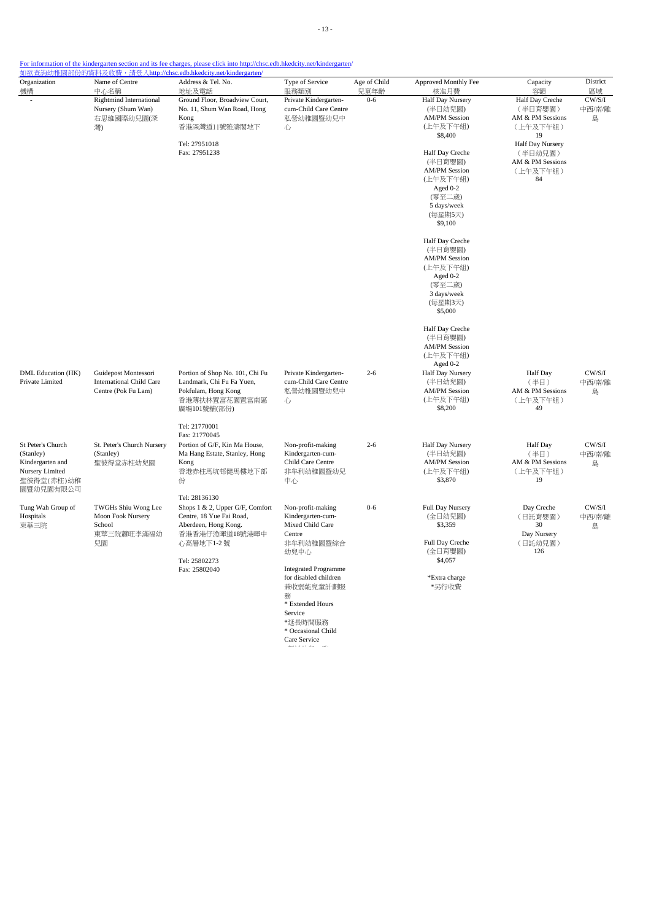| Organization                                                                        | Name of Centre                                                                 | 如欲查詢幼稚園部份的資料及收費,請登入http://chsc.edb.hkedcity.net/kindergarten/<br>Address & Tel. No.                                 | Type of Service                                                                | Age of Child | Approved Monthly Fee                                                       | Capacity                                                         | District              |
|-------------------------------------------------------------------------------------|--------------------------------------------------------------------------------|---------------------------------------------------------------------------------------------------------------------|--------------------------------------------------------------------------------|--------------|----------------------------------------------------------------------------|------------------------------------------------------------------|-----------------------|
| 機構                                                                                  | 中心名稱                                                                           | 地址及電話                                                                                                               | 服務類別                                                                           | 兒童年齡         | 核准月費                                                                       | 容額                                                               | 區域                    |
| ÷,                                                                                  | <b>Rightmind International</b><br>Nursery (Shum Wan)<br>右思維國際幼兒園(深<br>灣)       | Ground Floor, Broadview Court,<br>No. 11, Shum Wan Road, Hong<br>Kong<br>香港深灣道11號雅濤閣地下                              | Private Kindergarten-<br>cum-Child Care Centre<br>私營幼稚園暨幼兒中<br>心               | $0 - 6$      | Half Day Nursery<br>(半日幼兒園)<br><b>AM/PM Session</b><br>(上午及下午組)<br>\$8,400 | Half Day Creche<br>(半日育嬰園)<br>AM & PM Sessions<br>(上午及下午組)<br>19 | CW/S/I<br>中西/南/離<br>島 |
|                                                                                     |                                                                                | Tel: 27951018<br>Fax: 27951238                                                                                      |                                                                                |              | Half Day Creche                                                            | Half Day Nursery<br>(半日幼兒園)                                      |                       |
|                                                                                     |                                                                                |                                                                                                                     |                                                                                |              | (半日育嬰園)<br><b>AM/PM Session</b><br>(上午及下午組)                                | AM & PM Sessions<br>(上午及下午組)<br>84                               |                       |
|                                                                                     |                                                                                |                                                                                                                     |                                                                                |              | Aged 0-2<br>(零至二歲)<br>5 days/week                                          |                                                                  |                       |
|                                                                                     |                                                                                |                                                                                                                     |                                                                                |              | (每星期5天)<br>\$9,100                                                         |                                                                  |                       |
|                                                                                     |                                                                                |                                                                                                                     |                                                                                |              | Half Day Creche<br>(半日育嬰園)<br><b>AM/PM Session</b><br>(上午及下午組)             |                                                                  |                       |
|                                                                                     |                                                                                |                                                                                                                     |                                                                                |              | Aged 0-2<br>(零至二歲)<br>3 days/week<br>(每星期3天)                               |                                                                  |                       |
|                                                                                     |                                                                                |                                                                                                                     |                                                                                |              | \$5,000                                                                    |                                                                  |                       |
|                                                                                     |                                                                                |                                                                                                                     |                                                                                |              | Half Day Creche<br>(半日育嬰園)<br><b>AM/PM Session</b><br>(上午及下午組)<br>Aged 0-2 |                                                                  |                       |
| DML Education (HK)<br>Private Limited                                               | Guidepost Montessori<br><b>International Child Care</b><br>Centre (Pok Fu Lam) | Portion of Shop No. 101, Chi Fu<br>Landmark, Chi Fu Fa Yuen,<br>Pokfulam, Hong Kong<br>香港薄扶林置富花園置富南區<br>廣場101號舖(部份) | Private Kindergarten-<br>cum-Child Care Centre<br>私營幼稚園暨幼兒中<br>心               | $2 - 6$      | Half Day Nursery<br>(半日幼兒園)<br><b>AM/PM Session</b><br>(上午及下午組)<br>\$8,200 | <b>Half</b> Day<br>(半日)<br>AM & PM Sessions<br>(上午及下午組)<br>49    | CW/S/I<br>中西/南/離<br>島 |
|                                                                                     |                                                                                | Tel: 21770001<br>Fax: 21770045                                                                                      |                                                                                |              |                                                                            |                                                                  |                       |
| St Peter's Church<br>(Stanley)<br>Kindergarten and<br>Nursery Limited<br>聖彼得堂(赤柱)幼稚 | St. Peter's Church Nursery<br>(Stanley)<br>聖彼得堂赤柱幼兒園                           | Portion of G/F, Kin Ma House,<br>Ma Hang Estate, Stanley, Hong<br>Kong<br>香港赤柱馬坑邨健馬樓地下部<br>份                        | Non-profit-making<br>Kindergarten-cum-<br>Child Care Centre<br>非牟利幼稚園暨幼兒<br>中心 | $2 - 6$      | Half Day Nursery<br>(半日幼兒園)<br><b>AM/PM Session</b><br>(上午及下午組)<br>\$3,870 | Half Day<br>(半日)<br>AM & PM Sessions<br>(上午及下午組)<br>19           | CW/S/I<br>中西/南/離<br>島 |
| 園暨幼兒園有限公司                                                                           |                                                                                | Tel: 28136130                                                                                                       |                                                                                |              |                                                                            |                                                                  |                       |
| Tung Wah Group of<br>Hospitals<br>東華三院                                              | TWGHs Shiu Wong Lee<br>Moon Fook Nursery<br>School<br>東華三院蕭旺李滿福幼               | Shops 1 & 2, Upper G/F, Comfort<br>Centre, 18 Yue Fai Road,<br>Aberdeen, Hong Kong.<br>香港香港仔漁暉道18號港暉中               | Non-profit-making<br>Kindergarten-cum-<br>Mixed Child Care<br>Centre           | $0 - 6$      | <b>Full Day Nursery</b><br>(全日幼兒園)<br>\$3,359                              | Day Creche<br>(日託育嬰園)<br>30<br>Day Nursery                       | CW/S/I<br>中西/南/離<br>島 |
|                                                                                     | 兒園                                                                             | 心高層地下1-2 號                                                                                                          | 非牟利幼稚園暨綜合<br>幼兒中心                                                              |              | Full Day Creche<br>(全日育嬰園)<br>\$4,057                                      | (日託幼兒園)<br>126                                                   |                       |
|                                                                                     |                                                                                | Tel: 25802273<br>Fax: 25802040                                                                                      | <b>Integrated Programme</b>                                                    |              |                                                                            |                                                                  |                       |
|                                                                                     |                                                                                |                                                                                                                     | for disabled children<br>兼收弱能兒童計劃服<br>務<br>* Extended Hours                    |              | *Extra charge<br>*另行收費                                                     |                                                                  |                       |
|                                                                                     |                                                                                |                                                                                                                     | Service<br>*延長時間服務<br>* Occasional Child                                       |              |                                                                            |                                                                  |                       |

Care Service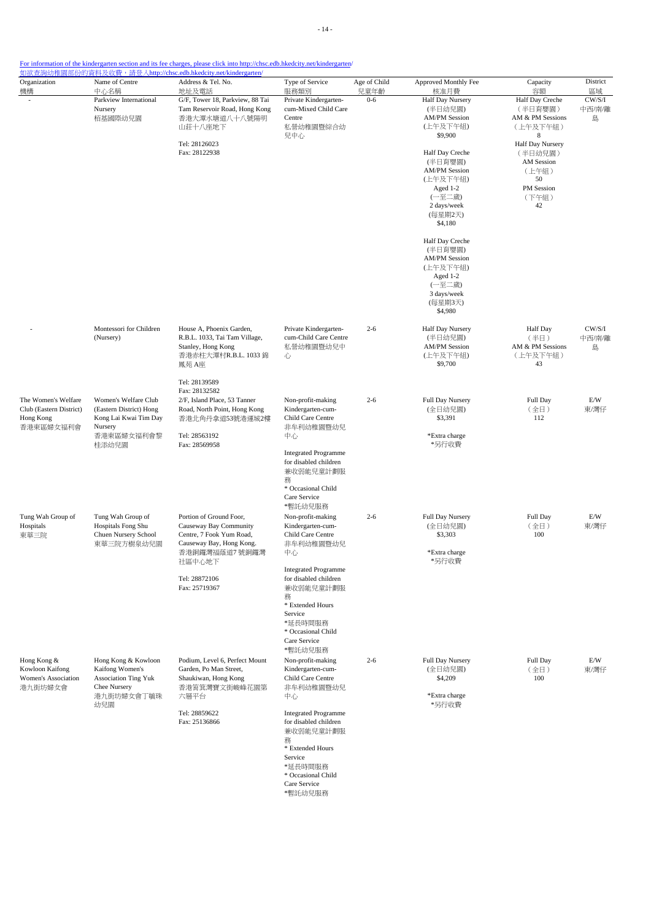| Organization                                                             | Name of Centre                                                                                             | <u> 如欲查詢幼稚園部份的資料及收費,請登入http://chsc.edb.hkedcity.net/kindergarten/</u><br>Address & Tel. No.                                             | Type of Service                                                                                                                                                   | Age of Child    | Approved Monthly Fee                                                                                                      | Capacity                                                                                             | District                    |
|--------------------------------------------------------------------------|------------------------------------------------------------------------------------------------------------|-----------------------------------------------------------------------------------------------------------------------------------------|-------------------------------------------------------------------------------------------------------------------------------------------------------------------|-----------------|---------------------------------------------------------------------------------------------------------------------------|------------------------------------------------------------------------------------------------------|-----------------------------|
| 機構                                                                       | 中心名稱<br>Parkview International<br>Nursery<br>栢基國際幼兒園                                                       | 地址及電話<br>G/F, Tower 18, Parkview, 88 Tai<br>Tam Reservoir Road, Hong Kong<br>香港大潭水塘道八十八號陽明<br>山莊十八座地下<br>Tel: 28126023<br>Fax: 28122938 | 服務類別<br>Private Kindergarten-<br>cum-Mixed Child Care<br>Centre<br>私營幼稚園暨綜合幼<br>兒中心                                                                               | 兒童年齡<br>$0 - 6$ | 核准月費<br><b>Half Day Nursery</b><br>(半日幼兒園)<br><b>AM/PM Session</b><br>(上午及下午組)<br>\$9,900<br>Half Day Creche              | 容額<br>Half Day Creche<br>(半日育嬰園)<br>AM & PM Sessions<br>(上午及下午組)<br>8<br>Half Day Nursery<br>(半日幼兒園) | 區域<br>CW/S/I<br>中西/南/離<br>島 |
|                                                                          |                                                                                                            |                                                                                                                                         |                                                                                                                                                                   |                 | (半日育嬰園)<br><b>AM/PM Session</b><br>(上午及下午組)<br>Aged 1-2<br>(一至二歲)<br>2 days/week<br>(每星期2天)<br>\$4,180                    | AM Session<br>(上午組)<br>50<br>PM Session<br>(下午組)<br>42                                               |                             |
|                                                                          |                                                                                                            |                                                                                                                                         |                                                                                                                                                                   |                 | Half Day Creche<br>(半日育嬰園)<br><b>AM/PM Session</b><br>(上午及下午組)<br>Aged 1-2<br>(一至二歲)<br>3 days/week<br>(每星期3天)<br>\$4,980 |                                                                                                      |                             |
|                                                                          | Montessori for Children<br>(Nursery)                                                                       | House A, Phoenix Garden,<br>R.B.L. 1033, Tai Tam Village,<br>Stanley, Hong Kong<br>香港赤柱大潭村R.B.L. 1033 錦<br>鳳苑 A座                        | Private Kindergarten-<br>cum-Child Care Centre<br>私營幼稚園暨幼兒中<br>心                                                                                                  | $2 - 6$         | Half Day Nursery<br>(半日幼兒園)<br><b>AM/PM Session</b><br>(上午及下午組)<br>\$9,700                                                | Half Day<br>(半日)<br>AM & PM Sessions<br>(上午及下午組)<br>43                                               | CW/S/I<br>中西/南/離<br>島       |
| The Women's Welfare<br>Club (Eastern District)<br>Hong Kong<br>香港東區婦女福利會 | Women's Welfare Club<br>(Eastern District) Hong<br>Kong Lai Kwai Tim Day<br>Nursery<br>香港東區婦女福利會黎          | Tel: 28139589<br>Fax: 28132582<br>2/F, Island Place, 53 Tanner<br>Road, North Point, Hong Kong<br>香港北角丹拿道53號港運城2樓<br>Tel: 28563192      | Non-profit-making<br>Kindergarten-cum-<br>Child Care Centre<br>非牟利幼稚園暨幼兒<br>中心                                                                                    | $2 - 6$         | Full Day Nursery<br>(全日幼兒園)<br>\$3,391<br>*Extra charge                                                                   | Full Day<br>(全日)<br>112                                                                              | E/W<br>東/灣仔                 |
|                                                                          | 桂添幼兒園                                                                                                      | Fax: 28569958                                                                                                                           | <b>Integrated Programme</b><br>for disabled children<br>兼收弱能兒童計劃服<br>務<br>* Occasional Child<br>Care Service<br>*暫託幼兒服務                                           |                 | *另行收費                                                                                                                     |                                                                                                      |                             |
| Tung Wah Group of<br>Hospitals<br>東華三院                                   | Tung Wah Group of<br>Hospitals Fong Shu<br>Chuen Nursery School<br>東華三院方樹泉幼兒園                              | Portion of Ground Foor,<br>Causeway Bay Community<br>Centre, 7 Fook Yum Road,<br>Causeway Bay, Hong Kong.<br>香港銅鑼灣福蔭道7號銅鑼灣<br>社區中心地下    | Non-profit-making<br>Kindergarten-cum-<br>Child Care Centre<br>非牟利幼稚園暨幼兒<br>中心                                                                                    | $2 - 6$         | Full Day Nursery<br>(全日幼兒園)<br>\$3,303<br>*Extra charge<br>*另行收費                                                          | Full Day<br>(全日)<br>100                                                                              | E/W<br>東/灣仔                 |
|                                                                          |                                                                                                            | Tel: 28872106<br>Fax: 25719367                                                                                                          | <b>Integrated Programme</b><br>for disabled children<br>兼收弱能兒童計劃服<br>務<br>* Extended Hours<br>Service<br>*延長時間服務<br>* Occasional Child<br>Care Service<br>*暫託幼兒服務 |                 |                                                                                                                           |                                                                                                      |                             |
| Hong Kong &<br>Kowloon Kaifong<br>Women's Association<br>港九街坊婦女會         | Hong Kong & Kowloon<br>Kaifong Women's<br><b>Association Ting Yuk</b><br>Chee Nursery<br>港九街坊婦女會丁毓珠<br>幼兒園 | Podium, Level 6, Perfect Mount<br>Garden, Po Man Street,<br>Shaukiwan, Hong Kong<br>香港筲箕灣寶文街峻峰花園第<br>六層平台                               | Non-profit-making<br>Kindergarten-cum-<br>Child Care Centre<br>非牟利幼稚園暨幼兒<br>中心                                                                                    | $2 - 6$         | Full Day Nursery<br>(全日幼兒園)<br>\$4,209<br>*Extra charge<br>*另行收費                                                          | Full Day<br>(全日)<br>100                                                                              | E/W<br>東/灣仔                 |
|                                                                          |                                                                                                            | Tel: 28859622<br>Fax: 25136866                                                                                                          | <b>Integrated Programme</b><br>for disabled children<br>兼收弱能兒童計劃服<br>務<br>* Extended Hours<br>Service<br>*延長時間服務<br>* Occasional Child<br>Care Service<br>*暫託幼兒服務 |                 |                                                                                                                           |                                                                                                      |                             |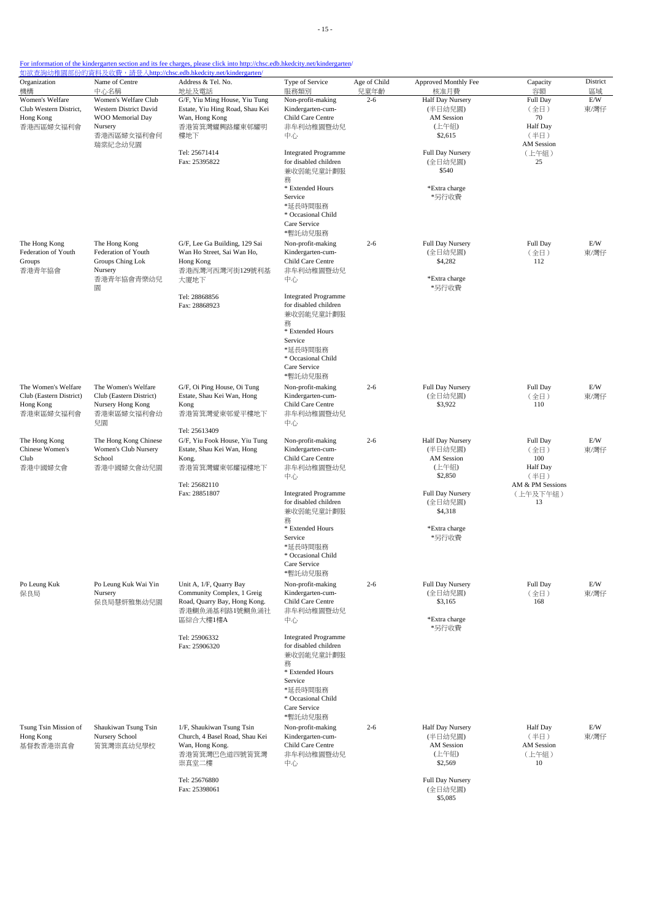| Organization<br>機構                                                       | Name of Centre<br>中心名稱                                                                             | Address & Tel. No.<br>地址及電話                                                                                             | Type of Service<br>服務類別                                                                                                                                                                                                  | Age of Child<br>兒童年齡 | Approved Monthly Fee<br>核准月費                                                                                                             | Capacity<br>容額                                                                    | District<br>區域 |
|--------------------------------------------------------------------------|----------------------------------------------------------------------------------------------------|-------------------------------------------------------------------------------------------------------------------------|--------------------------------------------------------------------------------------------------------------------------------------------------------------------------------------------------------------------------|----------------------|------------------------------------------------------------------------------------------------------------------------------------------|-----------------------------------------------------------------------------------|----------------|
| Women's Welfare<br>Club Western District,<br>Hong Kong<br>香港西區婦女福利會      | Women's Welfare Club<br><b>Western District David</b><br>WOO Memorial Day<br>Nursery<br>香港西區婦女福利會何 | G/F, Yiu Ming House, Yiu Tung<br>Estate, Yiu Hing Road, Shau Kei<br>Wan, Hong Kong<br>香港筲箕灣耀興路耀東邨耀明<br>樓地下              | Non-profit-making<br>Kindergarten-cum-<br>Child Care Centre<br>非牟利幼稚園暨幼兒<br>中心                                                                                                                                           | $2 - 6$              | <b>Half Day Nursery</b><br>(半日幼兒園)<br><b>AM Session</b><br>(上午組)<br>\$2,615                                                              | Full Day<br>(全日)<br>70<br>Half Day<br>(半日)                                        | E/W<br>東/灣仔    |
|                                                                          | 瑞棠紀念幼兒園                                                                                            | Tel: 25671414<br>Fax: 25395822                                                                                          | <b>Integrated Programme</b><br>for disabled children<br>兼收弱能兒童計劃服<br>務<br>* Extended Hours<br>Service<br>*延長時間服務<br>* Occasional Child<br>Care Service<br>*暫託幼兒服務                                                        |                      | Full Day Nursery<br>(全日幼兒園)<br>\$540<br>*Extra charge<br>*另行收費                                                                           | AM Session<br>(上午組)<br>25                                                         |                |
| The Hong Kong<br>Federation of Youth<br>Groups<br>香港青年協會                 | The Hong Kong<br>Federation of Youth<br>Groups Ching Lok<br>Nursery<br>香港青年協會青樂幼兒<br>圜             | G/F, Lee Ga Building, 129 Sai<br>Wan Ho Street, Sai Wan Ho,<br>Hong Kong<br>香港西灣河西灣河街129號利基<br>大廈地下                     | Non-profit-making<br>Kindergarten-cum-<br>Child Care Centre<br>非牟利幼稚園暨幼兒<br>中心                                                                                                                                           | $2 - 6$              | Full Day Nursery<br>(全日幼兒園)<br>\$4,282<br>*Extra charge<br>*另行收費                                                                         | Full Day<br>(全日)<br>112                                                           | E/W<br>東/灣仔    |
|                                                                          |                                                                                                    | Tel: 28868856<br>Fax: 28868923                                                                                          | <b>Integrated Programme</b><br>for disabled children<br>兼收弱能兒童計劃服<br>務<br>* Extended Hours<br>Service<br>*延長時間服務<br>* Occasional Child<br>Care Service<br>*暫託幼兒服務                                                        |                      |                                                                                                                                          |                                                                                   |                |
| The Women's Welfare<br>Club (Eastern District)<br>Hong Kong<br>香港東區婦女福利會 | The Women's Welfare<br>Club (Eastern District)<br>Nursery Hong Kong<br>香港東區婦女福利會幼<br>兒園            | G/F, Oi Ping House, Oi Tung<br>Estate, Shau Kei Wan, Hong<br>Kong<br>香港筲箕灣愛東邨愛平樓地下<br>Tel: 25613409                     | Non-profit-making<br>Kindergarten-cum-<br>Child Care Centre<br>非牟利幼稚園暨幼兒<br>中心                                                                                                                                           | $2 - 6$              | Full Day Nursery<br>(全日幼兒園)<br>\$3,922                                                                                                   | Full Day<br>(全日)<br>110                                                           | E/W<br>東/灣仔    |
| The Hong Kong<br>Chinese Women's<br>Club<br>香港中國婦女會                      | The Hong Kong Chinese<br>Women's Club Nursery<br>School<br>香港中國婦女會幼兒園                              | G/F, Yiu Fook House, Yiu Tung<br>Estate, Shau Kei Wan, Hong<br>Kong.<br>香港筲箕灣耀東邨耀福樓地下<br>Tel: 25682110<br>Fax: 28851807 | Non-profit-making<br>Kindergarten-cum-<br>Child Care Centre<br>非牟利幼稚園暨幼兒<br>中心<br><b>Integrated Programme</b><br>for disabled children<br>兼收弱能兒童計劃服<br>務<br>* Extended Hours<br>Service<br>*延長時間服務<br>* Occasional Child | $2 - 6$              | Half Day Nursery<br>(半日幼兒園)<br><b>AM</b> Session<br>(上午組)<br>\$2,850<br>Full Day Nursery<br>(全日幼兒園)<br>\$4,318<br>*Extra charge<br>*另行收費 | Full Day<br>(全日)<br>100<br>Half Day<br>(半日)<br>AM & PM Sessions<br>(上午及下午組)<br>13 | E/W<br>東/灣仔    |
| Po Leung Kuk<br>保良局                                                      | Po Leung Kuk Wai Yin<br>Nursery<br>保良局慧妍雅集幼兒園                                                      | Unit A, 1/F, Quarry Bay<br>Community Complex, 1 Greig<br>Road, Quarry Bay, Hong Kong.<br>香港鰂魚涌基利路1號鰂魚涌社<br>區綜合大樓1樓A     | Care Service<br>*暫託幼兒服務<br>Non-profit-making<br>Kindergarten-cum-<br>Child Care Centre<br>非牟利幼稚園暨幼兒<br>中心                                                                                                                | $2 - 6$              | Full Day Nursery<br>(全日幼兒園)<br>\$3,165<br>*Extra charge<br>*另行收費                                                                         | Full Day<br>(全日)<br>168                                                           | E/W<br>東/灣仔    |
|                                                                          |                                                                                                    | Tel: 25906332<br>Fax: 25906320                                                                                          | <b>Integrated Programme</b><br>for disabled children<br>兼收弱能兒童計劃服<br>務<br>* Extended Hours<br>Service<br>*延長時間服務<br>* Occasional Child<br>Care Service<br>*暫託幼兒服務                                                        |                      |                                                                                                                                          |                                                                                   |                |
| Tsung Tsin Mission of<br>Hong Kong<br>基督教香港崇真會                           | Shaukiwan Tsung Tsin<br>Nursery School<br>筲箕灣崇真幼兒學校                                                | 1/F, Shaukiwan Tsung Tsin<br>Church, 4 Basel Road, Shau Kei<br>Wan, Hong Kong.<br>香港筲箕灣巴色道四號筲箕灣<br>崇真堂二樓                | Non-profit-making<br>Kindergarten-cum-<br>Child Care Centre<br>非牟利幼稚園暨幼兒<br>中心                                                                                                                                           | $2 - 6$              | Half Day Nursery<br>(半日幼兒園)<br>AM Session<br>(上午組)<br>\$2,569                                                                            | <b>Half</b> Day<br>(半日)<br><b>AM</b> Session<br>(上午組)<br>10                       | E/W<br>東/灣仔    |
|                                                                          |                                                                                                    | Tel: 25676880<br>Fax: 25398061                                                                                          |                                                                                                                                                                                                                          |                      | Full Day Nursery<br>(全日幼兒園)<br>\$5,085                                                                                                   |                                                                                   |                |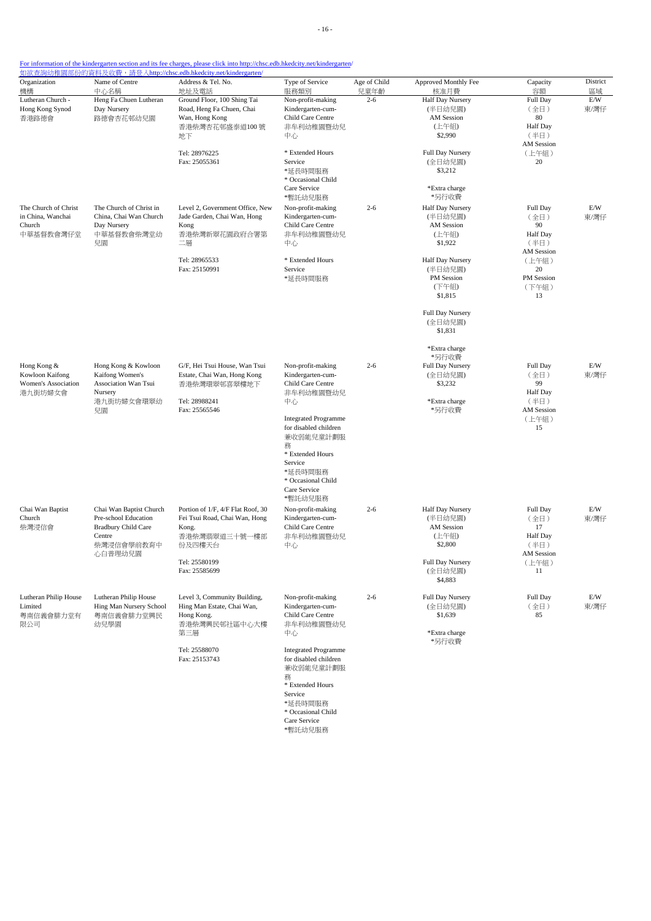| Organization                                                     | Name of Centre                                                                                                   | Address & Tel. No.                                                                                                      | Type of Service                                                                                                                                                   | Age of Child    | Approved Monthly Fee                                                                       | Capacity                                                                              | District          |
|------------------------------------------------------------------|------------------------------------------------------------------------------------------------------------------|-------------------------------------------------------------------------------------------------------------------------|-------------------------------------------------------------------------------------------------------------------------------------------------------------------|-----------------|--------------------------------------------------------------------------------------------|---------------------------------------------------------------------------------------|-------------------|
| 機構<br>Lutheran Church -<br>Hong Kong Synod<br>香港路德會              | 中心名稱<br>Heng Fa Chuen Lutheran<br>Day Nursery<br>路德會杏花邨幼兒園                                                       | 地址及電話<br>Ground Floor, 100 Shing Tai<br>Road, Heng Fa Chuen, Chai<br>Wan, Hong Kong<br>香港柴灣杏花邨盛泰道100 號<br>地下            | 服務類別<br>Non-profit-making<br>Kindergarten-cum-<br>Child Care Centre<br>非牟利幼稚園暨幼兒<br>中心                                                                            | 兒童年齡<br>$2 - 6$ | 核准月費<br>Half Day Nursery<br>(半日幼兒園)<br><b>AM Session</b><br>(上午組)<br>\$2,990               | 容額<br>Full Day<br>(全日)<br>80<br><b>Half</b> Day<br>(半日)                               | 區域<br>E/W<br>東/灣仔 |
|                                                                  |                                                                                                                  | Tel: 28976225<br>Fax: 25055361                                                                                          | * Extended Hours<br>Service<br>*延長時間服務<br>* Occasional Child<br>Care Service                                                                                      |                 | Full Day Nursery<br>(全日幼兒園)<br>\$3,212<br>*Extra charge                                    | <b>AM</b> Session<br>(上午組)<br>20                                                      |                   |
| The Church of Christ<br>in China, Wanchai<br>Church<br>中華基督教會灣仔堂 | The Church of Christ in<br>China, Chai Wan Church<br>Day Nursery<br>中華基督教會柴灣堂幼<br>兒園                             | Level 2, Government Office, New<br>Jade Garden, Chai Wan, Hong<br>Kong<br>香港柴灣新翠花園政府合署第<br>二層                           | *暫託幼兒服務<br>Non-profit-making<br>Kindergarten-cum-<br>Child Care Centre<br>非牟利幼稚園暨幼兒<br>中心                                                                         | $2 - 6$         | *另行收費<br>Half Day Nursery<br>(半日幼兒園)<br><b>AM</b> Session<br>(上午組)<br>\$1,922              | Full Day<br>(全日)<br>90<br>Half Day<br>(半日)<br><b>AM</b> Session                       | E/W<br>東/灣仔       |
|                                                                  |                                                                                                                  | Tel: 28965533<br>Fax: 25150991                                                                                          | * Extended Hours<br>Service<br>*延長時間服務                                                                                                                            |                 | Half Day Nursery<br>(半日幼兒園)<br>PM Session<br>(下午組)<br>\$1,815                              | (上午組)<br>$20\,$<br>PM Session<br>(下午組)<br>13                                          |                   |
|                                                                  |                                                                                                                  |                                                                                                                         |                                                                                                                                                                   |                 | Full Day Nursery<br>(全日幼兒園)<br>\$1,831                                                     |                                                                                       |                   |
| Hong Kong &<br>Kowloon Kaifong<br>Women's Association<br>港九街坊婦女會 | Hong Kong & Kowloon<br>Kaifong Women's<br>Association Wan Tsui<br>Nursery<br>港九街坊婦女會環翠幼<br>兒園                    | G/F, Hei Tsui House, Wan Tsui<br>Estate, Chai Wan, Hong Kong<br>香港柴灣環翠邨喜翠樓地下<br>Tel: 28988241<br>Fax: 25565546          | Non-profit-making<br>Kindergarten-cum-<br>Child Care Centre<br>非牟利幼稚園暨幼兒<br>中心                                                                                    | $2 - 6$         | *Extra charge<br>*另行收費<br>Full Day Nursery<br>(全日幼兒園)<br>\$3,232<br>*Extra charge<br>*另行收費 | Full Day<br>(全日)<br>99<br><b>Half</b> Day<br>(半日)<br><b>AM</b> Session                | E/W<br>東/灣仔       |
|                                                                  |                                                                                                                  |                                                                                                                         | <b>Integrated Programme</b><br>for disabled children<br>兼收弱能兒童計劃服<br>務<br>* Extended Hours<br>Service<br>*延長時間服務<br>* Occasional Child<br>Care Service<br>*暫託幼兒服務 |                 |                                                                                            | (上午組)<br>15                                                                           |                   |
| Chai Wan Baptist<br>Church<br>柴灣浸信會                              | Chai Wan Baptist Church<br>Pre-school Education<br><b>Bradbury Child Care</b><br>Centre<br>柴灣浸信會學前教育中<br>心白普理幼兒園 | Portion of 1/F, 4/F Flat Roof, 30<br>Fei Tsui Road, Chai Wan, Hong<br>Kong.<br>香港柴灣翡翠道三十號一樓部<br>份及四樓天台<br>Tel: 25580199 | Non-profit-making<br>Kindergarten-cum-<br>Child Care Centre<br>非牟利幼稚園暨幼兒<br>中心                                                                                    | $2 - 6$         | Half Day Nursery<br>(半日幼兒園)<br><b>AM</b> Session<br>(上午組)<br>\$2,800<br>Full Day Nursery   | Full Day<br>(全日)<br>17<br><b>Half Day</b><br>(半日)<br><b>AM</b> Session<br>(上午組)<br>11 | E/W<br>東/灣仔       |
|                                                                  |                                                                                                                  | Fax: 25585699                                                                                                           |                                                                                                                                                                   |                 | (全日幼兒園)<br>\$4,883                                                                         |                                                                                       |                   |
| Lutheran Philip House<br>Limited<br>粤南信義會腓力堂有<br>限公司             | Lutheran Philip House<br>Hing Man Nursery School<br>粵南信義會腓力堂興民<br>幼兒學園                                           | Level 3, Community Building,<br>Hing Man Estate, Chai Wan,<br>Hong Kong.<br>香港柴灣興民邨社區中心大樓<br>第三層                        | Non-profit-making<br>Kindergarten-cum-<br>Child Care Centre<br>非牟利幼稚園暨幼兒<br>中心                                                                                    | $2 - 6$         | Full Day Nursery<br>(全日幼兒園)<br>\$1,639<br>*Extra charge<br>*另行收費                           | Full Day<br>(全日)<br>85                                                                | E/W<br>東/灣仔       |
|                                                                  |                                                                                                                  | Tel: 25588070<br>Fax: 25153743                                                                                          | <b>Integrated Programme</b><br>for disabled children<br>兼收弱能兒童計劃服<br>務<br>* Extended Hours<br>Service<br>*延長時間服務<br>* Occasional Child<br>Care Service            |                 |                                                                                            |                                                                                       |                   |

\*暫託幼兒服務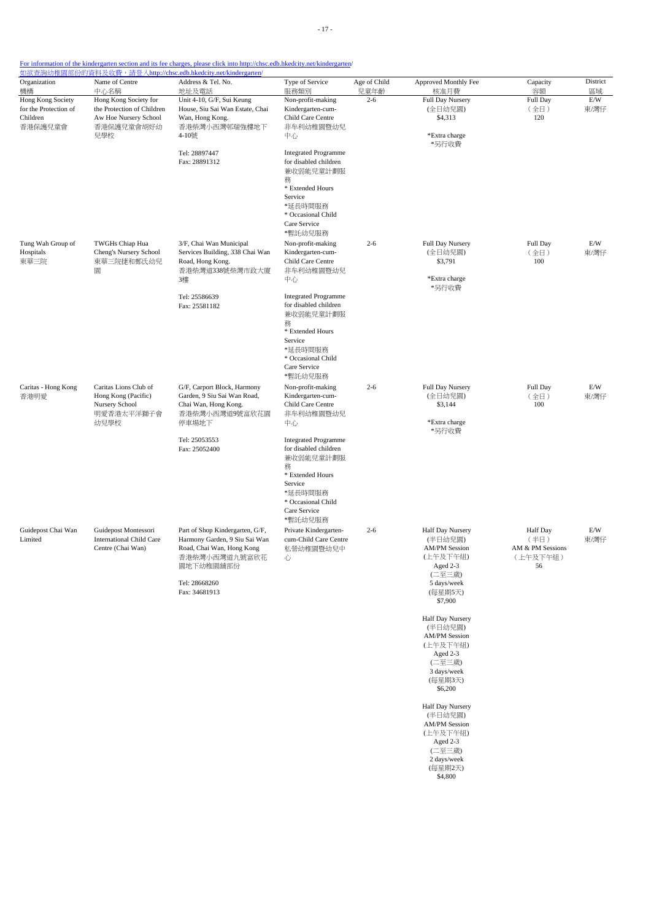| Organization                                                 | Name of Centre<br>中心名稱                                                               | Address & Tel. No.                                                                                                          | Type of Service                                                                                                                                                   | Age of Child    | Approved Monthly Fee                                                                                                       | Capacity                                                      | District          |
|--------------------------------------------------------------|--------------------------------------------------------------------------------------|-----------------------------------------------------------------------------------------------------------------------------|-------------------------------------------------------------------------------------------------------------------------------------------------------------------|-----------------|----------------------------------------------------------------------------------------------------------------------------|---------------------------------------------------------------|-------------------|
| 機構<br>Hong Kong Society<br>for the Protection of<br>Children | Hong Kong Society for<br>the Protection of Children<br>Aw Hoe Nursery School         | 地址及電話<br>Unit 4-10, G/F, Sui Keung<br>House, Siu Sai Wan Estate, Chai<br>Wan, Hong Kong.                                    | 服務類別<br>Non-profit-making<br>Kindergarten-cum-<br>Child Care Centre                                                                                               | 兒童年齡<br>$2 - 6$ | 核准月費<br><b>Full Day Nursery</b><br>(全日幼兒園)<br>\$4,313                                                                      | 容額<br>Full Day<br>(全日)<br>120                                 | 區域<br>E/W<br>東/灣仔 |
| 香港保護兒童會                                                      | 香港保護兒童會胡好幼<br>兒學校                                                                    | 香港柴灣小西灣邨瑞強樓地下<br>4-10號                                                                                                      | 非牟利幼稚園暨幼兒<br>中心                                                                                                                                                   |                 | *Extra charge<br>*另行收費                                                                                                     |                                                               |                   |
|                                                              |                                                                                      | Tel: 28897447<br>Fax: 28891312                                                                                              | <b>Integrated Programme</b><br>for disabled children<br>兼收弱能兒童計劃服<br>務<br>* Extended Hours<br>Service<br>*延長時間服務<br>* Occasional Child<br>Care Service<br>*暫託幼兒服務 |                 |                                                                                                                            |                                                               |                   |
| Tung Wah Group of<br>Hospitals<br>東華三院                       | TWGHs Chiap Hua<br>Cheng's Nursery School<br>東華三院捷和鄭氏幼兒<br>圜                         | 3/F, Chai Wan Municipal<br>Services Building, 338 Chai Wan<br>Road, Hong Kong.<br>香港柴灣道338號柴灣市政大廈<br>3樓                     | Non-profit-making<br>Kindergarten-cum-<br>Child Care Centre<br>非牟利幼稚園暨幼兒<br>中心                                                                                    | $2 - 6$         | Full Day Nursery<br>(全日幼兒園)<br>\$3,791<br>*Extra charge<br>*另行收費                                                           | Full Day<br>(全日)<br>100                                       | E/W<br>東/灣仔       |
|                                                              |                                                                                      | Tel: 25586639<br>Fax: 25581182                                                                                              | <b>Integrated Programme</b><br>for disabled children<br>兼收弱能兒童計劃服<br>務<br>* Extended Hours<br>Service<br>*延長時間服務<br>* Occasional Child<br>Care Service<br>*暫託幼兒服務 |                 |                                                                                                                            |                                                               |                   |
| Caritas - Hong Kong<br>香港明愛                                  | Caritas Lions Club of<br>Hong Kong (Pacific)<br>Nursery School<br>明愛香港太平洋獅子會<br>幼兒學校 | G/F, Carport Block, Harmony<br>Garden, 9 Siu Sai Wan Road,<br>Chai Wan, Hong Kong.<br>香港柴灣小西灣道9號富欣花園<br>停車場地下               | Non-profit-making<br>Kindergarten-cum-<br>Child Care Centre<br>非牟利幼稚園暨幼兒<br>中心                                                                                    | $2 - 6$         | Full Day Nursery<br>(全日幼兒園)<br>\$3,144<br>*Extra charge<br>*另行收費                                                           | Full Day<br>(全日)<br>100                                       | E/W<br>東/灣仔       |
|                                                              |                                                                                      | Tel: 25053553<br>Fax: 25052400                                                                                              | <b>Integrated Programme</b><br>for disabled children<br>兼收弱能兒童計劃服<br>務<br>* Extended Hours<br>Service<br>*延長時間服務<br>* Occasional Child<br>Care Service<br>*暫託幼兒服務 |                 |                                                                                                                            |                                                               |                   |
| Guidepost Chai Wan<br>Limited                                | Guidepost Montessori<br><b>International Child Care</b><br>Centre (Chai Wan)         | Part of Shop Kindergarten, G/F,<br>Harmony Garden, 9 Siu Sai Wan<br>Road, Chai Wan, Hong Kong<br>香港柴灣小西灣道九號富欣花<br>園地下幼稚園舖部份 | Private Kindergarten-<br>cum-Child Care Centre<br>私營幼稚園暨幼兒中<br>心                                                                                                  | $2 - 6$         | Half Day Nursery<br>(半日幼兒園)<br><b>AM/PM Session</b><br>(上午及下午組)<br>Aged 2-3<br>(二至三歲)                                      | <b>Half</b> Day<br>(半日)<br>AM & PM Sessions<br>(上午及下午組)<br>56 | E/W<br>東/灣仔       |
|                                                              |                                                                                      | Tel: 28668260<br>Fax: 34681913                                                                                              |                                                                                                                                                                   |                 | 5 days/week<br>(每星期5天)<br>\$7,900                                                                                          |                                                               |                   |
|                                                              |                                                                                      |                                                                                                                             |                                                                                                                                                                   |                 | Half Day Nursery<br>(半日幼兒園)<br><b>AM/PM Session</b><br>(上午及下午組)<br>Aged 2-3<br>(二至三歲)<br>3 days/week<br>(每星期3天)<br>\$6,200 |                                                               |                   |
|                                                              |                                                                                      |                                                                                                                             |                                                                                                                                                                   |                 | Half Day Nursery<br>(半日幼兒園)<br><b>AM/PM Session</b><br>(上午及下午組)<br>Aged 2-3<br>(二至三歲)<br>2 days/week<br>(每星期2天)<br>\$4,800 |                                                               |                   |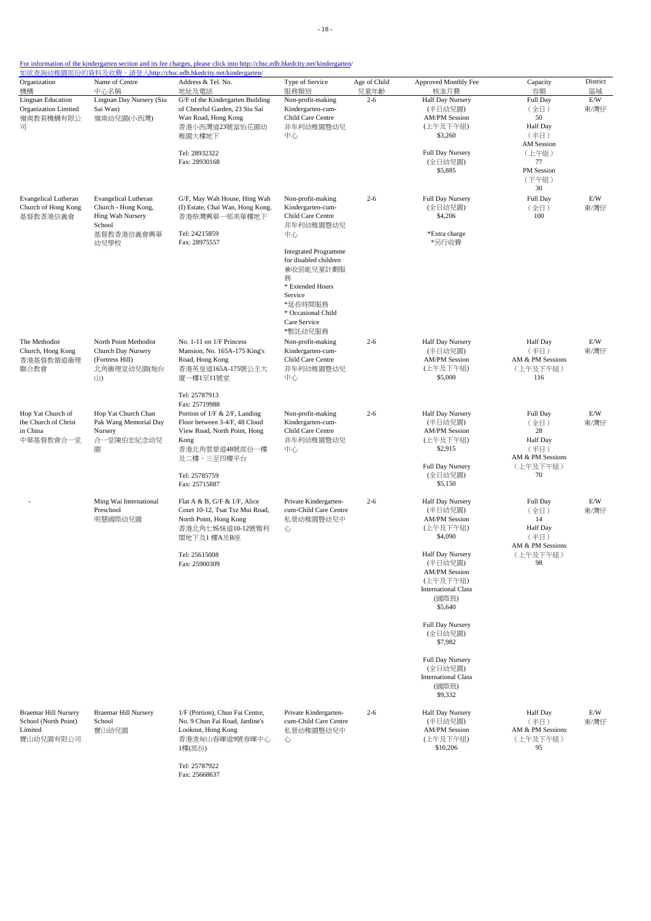| Organization<br>機構                                                          | Name of Centre<br>中心名稱                                                                                 | Address & Tel. No.<br>地址及電話                                                                                                                                                                                | Type of Service<br>服務類別                                                                                                                                                                                                                  | Age of Child<br>兒童年齡 | Approved Monthly Fee<br>核准月費                                                                                                                                                                                                                                                                                               | Capacity<br>容額                                                                                 | District<br>區域 |
|-----------------------------------------------------------------------------|--------------------------------------------------------------------------------------------------------|------------------------------------------------------------------------------------------------------------------------------------------------------------------------------------------------------------|------------------------------------------------------------------------------------------------------------------------------------------------------------------------------------------------------------------------------------------|----------------------|----------------------------------------------------------------------------------------------------------------------------------------------------------------------------------------------------------------------------------------------------------------------------------------------------------------------------|------------------------------------------------------------------------------------------------|----------------|
| <b>Lingnan Education</b><br>Organization Limited<br>嶺南教育機構有限公<br>급          | Lingnan Day Nursery (Siu<br>Sai Wan)<br>嶺南幼兒園(小西灣)                                                     | G/F of the Kindergarten Building<br>of Cheerful Garden, 23 Siu Sai<br>Wan Road, Hong Kong<br>香港小西灣道23號富怡花園幼<br>稚園大樓地下<br>Tel: 28932322<br>Fax: 28930168                                                    | Non-profit-making<br>Kindergarten-cum-<br>Child Care Centre<br>非牟利幼稚園暨幼兒<br>中心                                                                                                                                                           | $2 - 6$              | <b>Half Day Nursery</b><br>(半日幼兒園)<br><b>AM/PM Session</b><br>(上午及下午組)<br>\$3,260<br>Full Day Nursery<br>(全日幼兒園)<br>\$5,885                                                                                                                                                                                                | Full Day<br>(全日)<br>50<br>Half Day<br>(半日)<br>AM Session<br>(上午組)<br>77<br>PM Session<br>(下午組) | E/W<br>東/灣仔    |
| <b>Evangelical Lutheran</b><br>Church of Hong Kong<br>基督教香港信義會              | <b>Evangelical Lutheran</b><br>Church - Hong Kong,<br>Hing Wah Nursery<br>School<br>基督教香港信義會興華<br>幼兒學校 | G/F, May Wah House, Hing Wah<br>(I) Estate, Chai Wan, Hong Kong.<br>香港柴灣興華一邨美華樓地下<br>Tel: 24215859<br>Fax: 28975557                                                                                        | Non-profit-making<br>Kindergarten-cum-<br>Child Care Centre<br>非牟利幼稚園暨幼兒<br>中心<br><b>Integrated Programme</b><br>for disabled children<br>兼收弱能兒童計劃服<br>務<br>* Extended Hours<br>Service<br>*延長時間服務<br>* Occasional Child<br>Care Service | $2 - 6$              | Full Day Nursery<br>(全日幼兒園)<br>\$4,206<br>*Extra charge<br>*另行收費                                                                                                                                                                                                                                                           | 30<br>Full Day<br>(全日)<br>100                                                                  | E/W<br>東/灣仔    |
| The Methodist<br>Church, Hong Kong<br>香港基督教循道衞理<br>聯合教會                     | North Point Methodist<br>Church Day Nursery<br>(Fortress Hill)<br>北角衞理堂幼兒園(炮台<br>山)                    | No. 1-11 on 1/F Princess<br>Mansion, No. 165A-175 King's<br>Road, Hong Kong<br>香港英皇道165A-175號公主大<br>廈一樓1至11號室                                                                                              | *暫託幼兒服務<br>Non-profit-making<br>Kindergarten-cum-<br>Child Care Centre<br>非牟利幼稚園暨幼兒<br>中心                                                                                                                                                | $2 - 6$              | Half Day Nursery<br>(半日幼兒園)<br><b>AM/PM Session</b><br>(上午及下午組)<br>\$5,000                                                                                                                                                                                                                                                 | <b>Half</b> Day<br>(半日)<br>AM & PM Sessions<br>(上午及下午組)<br>116                                 | E/W<br>東/灣仔    |
| Hop Yat Church of<br>the Church of Christ<br>in China<br>中華基督教會合一堂          | Hop Yat Church Chan<br>Pak Wang Memorial Day<br>Nursery<br>合一堂陳伯宏紀念幼兒<br>園                             | Tel: 25787913<br>Fax: 25719988<br>Portion of 1/F & 2/F, Landing<br>Floor between 3-4/F, 48 Cloud<br>View Road, North Point, Hong<br>Kong<br>香港北角雲景道48號部份一樓<br>及二樓、三至四樓平台<br>Tel: 25785759<br>Fax: 25715887 | Non-profit-making<br>Kindergarten-cum-<br>Child Care Centre<br>非牟利幼稚園暨幼兒<br>中心                                                                                                                                                           | $2 - 6$              | Half Day Nursery<br>(半日幼兒園)<br><b>AM/PM Session</b><br>(上午及下午組)<br>\$2,915<br>Full Day Nursery<br>(全日幼兒園)<br>\$5,150                                                                                                                                                                                                       | Full Day<br>(全日)<br>28<br>Half Day<br>(半日)<br>AM & PM Sessions<br>(上午及下午組)<br>70               | E/W<br>東/灣仔    |
|                                                                             | Ming Wai International<br>Preschool<br>明慧國際幼兒園                                                         | Flat A & B, G/F & 1/F, Alice<br>Court 10-12, Tsat Tsz Mui Road,<br>North Point, Hong Kong<br>香港北角七姊妹道10-12號雅利<br>閣地下及1 樓A及B座<br>Tel: 25615008<br>Fax: 25900309                                             | Private Kindergarten-<br>cum-Child Care Centre<br>私營幼稚園暨幼兒中<br>心                                                                                                                                                                         | $2 - 6$              | Half Day Nursery<br>(半日幼兒園)<br><b>AM/PM Session</b><br>(上午及下午組)<br>\$4,090<br>Half Day Nursery<br>(半日幼兒園)<br><b>AM/PM Session</b><br>(上午及下午組)<br><b>International Class</b><br>(國際班)<br>\$5,640<br>Full Day Nursery<br>(全日幼兒園)<br>\$7,982<br>Full Day Nursery<br>(全日幼兒園)<br><b>International Class</b><br>(國際班)<br>\$9,332 | Full Day<br>(全日)<br>14<br><b>Half</b> Day<br>(半日)<br>AM & PM Sessions<br>(上午及下午組)<br>98        | E/W<br>東/灣仔    |
| <b>Braemar Hill Nursery</b><br>School (North Point)<br>Limited<br>寶山幼兒園有限公司 | <b>Braemar Hill Nursery</b><br>School<br>寶山幼兒園                                                         | 1/F (Portion), Chun Fai Centre,<br>No. 9 Chun Fai Road, Jardine's<br>Lookout, Hong Kong<br>香港渣甸山春暉道9號春暉中心<br>1樓(部份)                                                                                        | Private Kindergarten-<br>cum-Child Care Centre<br>私營幼稚園暨幼兒中<br>心                                                                                                                                                                         | $2 - 6$              | Half Day Nursery<br>(半日幼兒園)<br><b>AM/PM Session</b><br>(上午及下午組)<br>\$10,206                                                                                                                                                                                                                                                | <b>Half</b> Day<br>(半日)<br>AM & PM Sessions<br>(上午及下午組)<br>95                                  | E/W<br>東/灣仔    |

Tel: 25787922 Fax: 25668637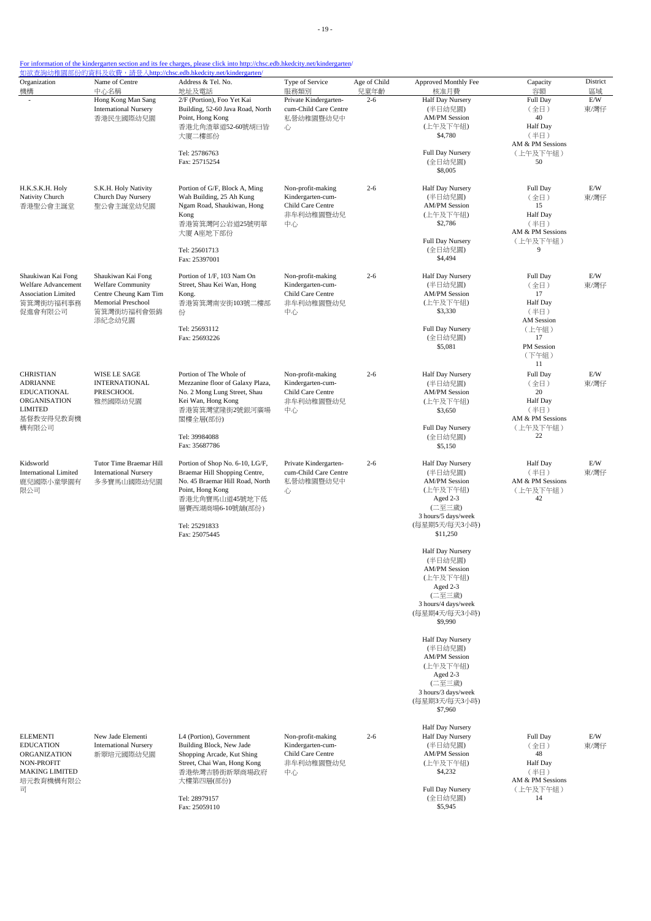- 19 -

| For information of the kindergarten section and its fee charges, please click into http://chsc.edb.hkedcity.net/kindergarten |  |  |
|------------------------------------------------------------------------------------------------------------------------------|--|--|
|                                                                                                                              |  |  |

| Organization                                                                                                 | Name of Centre                                                                                                        | Address & Tel. No.                                                                                                                                                                              | Type of Service                                                                | Age of Child    | Approved Monthly Fee                                                                                                                                                                                                                                                                                                                                                                                                              | Capacity                                                                                                           | District          |
|--------------------------------------------------------------------------------------------------------------|-----------------------------------------------------------------------------------------------------------------------|-------------------------------------------------------------------------------------------------------------------------------------------------------------------------------------------------|--------------------------------------------------------------------------------|-----------------|-----------------------------------------------------------------------------------------------------------------------------------------------------------------------------------------------------------------------------------------------------------------------------------------------------------------------------------------------------------------------------------------------------------------------------------|--------------------------------------------------------------------------------------------------------------------|-------------------|
| 機構<br>$\overline{\phantom{a}}$                                                                               | 中心名稱<br>Hong Kong Man Sang<br><b>International Nursery</b><br>香港民生國際幼兒園                                               | 地址及電話<br>2/F (Portion), Foo Yet Kai<br>Building, 52-60 Java Road, North<br>Point, Hong Kong<br>香港北角渣華道52-60號胡曰皆<br>大廈二樓部份                                                                       | 服務類別<br>Private Kindergarten-<br>cum-Child Care Centre<br>私營幼稚園暨幼兒中<br>心       | 兒童年齡<br>$2 - 6$ | 核准月費<br>Half Day Nursery<br>(半日幼兒園)<br><b>AM/PM Session</b><br>(上午及下午組)<br>\$4,780                                                                                                                                                                                                                                                                                                                                                | 容額<br>Full Day<br>(全日)<br>40<br><b>Half Day</b><br>(半日)                                                            | 區域<br>E/W<br>東/灣仔 |
|                                                                                                              |                                                                                                                       | Tel: 25786763<br>Fax: 25715254                                                                                                                                                                  |                                                                                |                 | Full Day Nursery<br>(全日幼兒園)<br>\$8,005                                                                                                                                                                                                                                                                                                                                                                                            | AM & PM Sessions<br>(上午及下午組)<br>50                                                                                 |                   |
| H.K.S.K.H. Holy<br>Nativity Church<br>香港聖公會主誕堂                                                               | S.K.H. Holy Nativity<br>Church Day Nursery<br>聖公會主誕堂幼兒園                                                               | Portion of G/F, Block A, Ming<br>Wah Building, 25 Ah Kung<br>Ngam Road, Shaukiwan, Hong<br>Kong<br>香港筲箕灣阿公岩道25號明華<br>大廈 A座地下部份<br>Tel: 25601713<br>Fax: 25397001                                | Non-profit-making<br>Kindergarten-cum-<br>Child Care Centre<br>非牟利幼稚園暨幼兒<br>中心 | $2 - 6$         | Half Day Nursery<br>(半日幼兒園)<br><b>AM/PM Session</b><br>(上午及下午組)<br>\$2,786<br>Full Day Nursery<br>(全日幼兒園)<br>\$4,494                                                                                                                                                                                                                                                                                                              | Full Day<br>(全日)<br>15<br>Half Day<br>(半日)<br>AM & PM Sessions<br>(上午及下午組)<br>9                                    | E/W<br>東/灣仔       |
| Shaukiwan Kai Fong<br>Welfare Advancement<br>Association Limited<br>筲箕灣街坊福利事務<br>促進會有限公司                     | Shaukiwan Kai Fong<br><b>Welfare Community</b><br>Centre Cheung Kam Tim<br>Memorial Preschool<br>筲箕灣街坊福利會張錦<br>添紀念幼兒園 | Portion of 1/F, 103 Nam On<br>Street, Shau Kei Wan, Hong<br>Kong.<br>香港筲箕灣南安街103號二樓部<br>份<br>Tel: 25693112<br>Fax: 25693226                                                                     | Non-profit-making<br>Kindergarten-cum-<br>Child Care Centre<br>非牟利幼稚園暨幼兒<br>中心 | $2 - 6$         | Half Day Nursery<br>(半日幼兒園)<br><b>AM/PM</b> Session<br>(上午及下午組)<br>\$3,330<br>Full Day Nursery<br>(全日幼兒園)<br>\$5,081                                                                                                                                                                                                                                                                                                              | Full Day<br>(全日)<br>17<br><b>Half</b> Day<br>(半日)<br><b>AM</b> Session<br>(上午組)<br>17<br>PM Session<br>(下午組)<br>11 | E/W<br>東/灣仔       |
| <b>CHRISTIAN</b><br><b>ADRIANNE</b><br>EDUCATIONAL<br>ORGANISATION<br><b>LIMITED</b><br>基督教安得兒教育機<br>構有限公司   | WISE LE SAGE<br><b>INTERNATIONAL</b><br>PRESCHOOL<br>雅然國際幼兒園                                                          | Portion of The Whole of<br>Mezzanine floor of Galaxy Plaza,<br>No. 2 Mong Lung Street, Shau<br>Kei Wan, Hong Kong<br>香港筲箕灣望隆街2號銀河廣場<br>閣樓全層(部份)<br>Tel: 39984088<br>Fax: 35687786               | Non-profit-making<br>Kindergarten-cum-<br>Child Care Centre<br>非牟利幼稚園暨幼兒<br>中心 | $2 - 6$         | Half Day Nursery<br>(半日幼兒園)<br><b>AM/PM Session</b><br>(上午及下午組)<br>\$3,650<br>Full Day Nursery<br>(全日幼兒園)<br>\$5,150                                                                                                                                                                                                                                                                                                              | Full Day<br>(全日)<br>20<br><b>Half Day</b><br>(半日)<br>AM & PM Sessions<br>(上午及下午組)<br>22                            | E/W<br>東/灣仔       |
| Kidsworld<br><b>International Limited</b><br>鹿兒國際小童學園有<br>限公司                                                | Tutor Time Braemar Hill<br><b>International Nursery</b><br>多多寶馬山國際幼兒園                                                 | Portion of Shop No. 6-10, LG/F,<br>Braemar Hill Shopping Centre,<br>No. 45 Braemar Hill Road, North<br>Point, Hong Kong<br>香港北角寶馬山道45號地下低<br>層賽西湖商場6-10號舖(部份)<br>Tel: 25291833<br>Fax: 25075445 | Private Kindergarten-<br>cum-Child Care Centre<br>私營幼稚園暨幼兒中<br>心               | $2 - 6$         | Half Day Nursery<br>(半日幼兒園)<br><b>AM/PM Session</b><br>(上午及下午組)<br>Aged 2-3<br>(二至三歲)<br>3 hours/5 days/week<br>(每星期5天/每天3小時)<br>\$11,250<br>Half Day Nursery<br>(半日幼兒園)<br><b>AM/PM Session</b><br>(上午及下午組)<br>Aged 2-3<br>(二至三歲)<br>3 hours/4 days/week<br>(每星期4天/每天3小時)<br>\$9,990<br>Half Day Nursery<br>(半日幼兒園)<br><b>AM/PM Session</b><br>(上午及下午組)<br>Aged 2-3<br>(二至三歲)<br>3 hours/3 days/week<br>(每星期3天/每天3小時)<br>\$7,960 | <b>Half Day</b><br>(半日)<br>AM & PM Sessions<br>(上午及下午組)<br>42                                                      | E/W<br>東/灣仔       |
| <b>ELEMENTI</b><br><b>EDUCATION</b><br>ORGANIZATION<br>NON-PROFIT<br><b>MAKING LIMITED</b><br>培元教育機構有限公<br>司 | New Jade Elementi<br><b>International Nursery</b><br>新翠培元國際幼兒園                                                        | L4 (Portion), Government<br>Building Block, New Jade<br>Shopping Arcade, Kut Shing<br>Street, Chai Wan, Hong Kong<br>香港柴灣吉勝街新翠商場政府<br>大樓第四層(部份)<br>Tel: 28979157<br>Fax: 25059110               | Non-profit-making<br>Kindergarten-cum-<br>Child Care Centre<br>非牟利幼稚園暨幼兒<br>中心 | $2 - 6$         | Half Day Nursery<br><b>Half Day Nursery</b><br>(半日幼兒園)<br><b>AM/PM</b> Session<br>(上午及下午組)<br>\$4,232<br>Full Day Nursery<br>(全日幼兒園)<br>\$5,945                                                                                                                                                                                                                                                                                   | Full Day<br>(全日)<br>48<br><b>Half Day</b><br>(半日)<br>AM & PM Sessions<br>(上午及下午組)<br>14                            | E/W<br>東/灣仔       |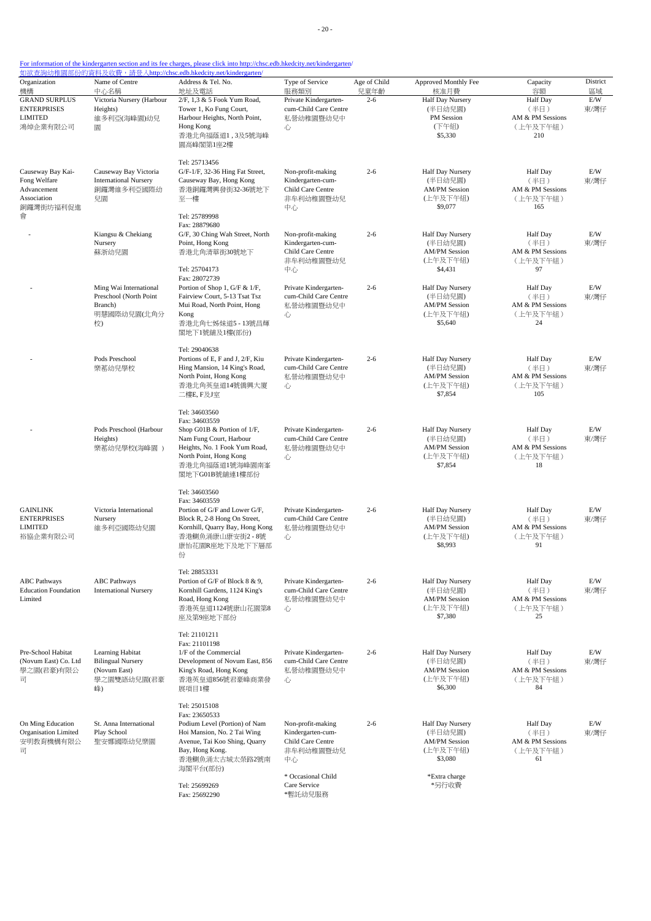| Organization<br>機構                                                           | Name of Centre<br>中心名稱                                                            | Address & Tel. No.<br>地址及電話                                                                                                                                                             | Type of Service<br>服務類別                                                        | Age of Child<br>兒童年齡 | Approved Monthly Fee<br>核准月費                                               | Capacity<br>容額                                                 | District<br>區域    |
|------------------------------------------------------------------------------|-----------------------------------------------------------------------------------|-----------------------------------------------------------------------------------------------------------------------------------------------------------------------------------------|--------------------------------------------------------------------------------|----------------------|----------------------------------------------------------------------------|----------------------------------------------------------------|-------------------|
| <b>GRAND SURPLUS</b><br><b>ENTERPRISES</b><br><b>LIMITED</b><br>鴻焯企業有限公司     | Victoria Nursery (Harbour<br>Heights)<br>維多利亞(海峰園)幼兒<br>圜                         | 2/F, 1,3 & 5 Fook Yum Road,<br>Tower 1, Ko Fung Court,<br>Harbour Heights, North Point,<br>Hong Kong<br>香港北角福蔭道1,3及5號海峰<br>園高峰閣第1座2樓                                                    | Private Kindergarten-<br>cum-Child Care Centre<br>私營幼稚園暨幼兒中<br>心               | $2 - 6$              | Half Day Nursery<br>(半日幼兒園)<br>PM Session<br>(下午組)<br>\$5,330              | <b>Half</b> Day<br>(半日)<br>AM & PM Sessions<br>(上午及下午組)<br>210 | E/W<br>東/灣仔       |
| Causeway Bay Kai-<br>Fong Welfare<br>Advancement<br>Association<br>銅鑼灣街坊福利促進 | Causeway Bay Victoria<br><b>International Nursery</b><br>銅鑼灣維多利亞國際幼<br>兒園         | Tel: 25713456<br>G/F-1/F, 32-36 Hing Fat Street,<br>Causeway Bay, Hong Kong<br>香港銅鑼灣興發街32-36號地下<br>至一樓                                                                                  | Non-profit-making<br>Kindergarten-cum-<br>Child Care Centre<br>非牟利幼稚園暨幼兒<br>中心 | $2 - 6$              | Half Day Nursery<br>(半日幼兒園)<br><b>AM/PM Session</b><br>(上午及下午組)<br>\$9,077 | <b>Half Day</b><br>(半日)<br>AM & PM Sessions<br>(上午及下午組)<br>165 | E/W<br>東/灣仔       |
| 會                                                                            | Kiangsu & Chekiang<br>Nursery<br>蘇浙幼兒園                                            | Tel: 25789998<br>Fax: 28879680<br>G/F, 30 Ching Wah Street, North<br>Point, Hong Kong<br>香港北角清華街30號地下<br>Tel: 25704173                                                                  | Non-profit-making<br>Kindergarten-cum-<br>Child Care Centre<br>非牟利幼稚園暨幼兒<br>中心 | $2 - 6$              | Half Day Nursery<br>(半日幼兒園)<br><b>AM/PM Session</b><br>(上午及下午組)<br>\$4,431 | Half Day<br>(半日)<br>AM & PM Sessions<br>(上午及下午組)<br>97         | $\rm E/W$<br>東/灣仔 |
|                                                                              | Ming Wai International<br>Preschool (North Point<br>Branch)<br>明慧國際幼兒園(北角分<br>校)  | Fax: 28072739<br>Portion of Shop 1, G/F & 1/F,<br>Fairview Court, 5-13 Tsat Tsz<br>Mui Road, North Point, Hong<br>Kong<br>香港北角七姊妹道5 - 13號昌輝<br>閣地下1號舖及1樓(部份)                            | Private Kindergarten-<br>cum-Child Care Centre<br>私營幼稚園暨幼兒中<br>心               | $2 - 6$              | Half Day Nursery<br>(半日幼兒園)<br><b>AM/PM Session</b><br>(上午及下午組)<br>\$5,640 | <b>Half Day</b><br>(半日)<br>AM & PM Sessions<br>(上午及下午組)<br>24  | E/W<br>東/灣仔       |
|                                                                              | Pods Preschool<br>樂蓄幼兒學校                                                          | Tel: 29040638<br>Portions of E, F and J, 2/F, Kiu<br>Hing Mansion, 14 King's Road,<br>North Point, Hong Kong<br>香港北角英皇道14號僑興大廈<br>二樓E, F及J室                                             | Private Kindergarten-<br>cum-Child Care Centre<br>私營幼稚園暨幼兒中<br>心               | $2 - 6$              | Half Day Nursery<br>(半日幼兒園)<br><b>AM/PM Session</b><br>(上午及下午組)<br>\$7,854 | <b>Half</b> Day<br>(半日)<br>AM & PM Sessions<br>(上午及下午組)<br>105 | E/W<br>東/灣仔       |
|                                                                              | Pods Preschool (Harbour<br>Heights)<br>樂蓄幼兒學校(海峰園)                                | Tel: 34603560<br>Fax: 34603559<br>Shop G01B & Portion of 1/F,<br>Nam Fung Court, Harbour<br>Heights, No. 1 Fook Yum Road,<br>North Point, Hong Kong<br>香港北角福蔭道1號海峰園南峯<br>閣地下G01B號舖連1樓部份 | Private Kindergarten-<br>cum-Child Care Centre<br>私營幼稚園暨幼兒中<br>心               | $2 - 6$              | Half Day Nursery<br>(半日幼兒園)<br><b>AM/PM Session</b><br>(上午及下午組)<br>\$7,854 | <b>Half</b> Day<br>(半日)<br>AM & PM Sessions<br>(上午及下午組)<br>18  | E/W<br>東/灣仔       |
| <b>GAINLINK</b><br><b>ENTERPRISES</b><br><b>LIMITED</b><br>裕協企業有限公司          | Victoria International<br>Nursery<br>維多利亞國際幼兒園                                    | Tel: 34603560<br>Fax: 34603559<br>Portion of G/F and Lower G/F,<br>Block R, 2-8 Hong On Street,<br>Kornhill, Quarry Bay, Hong Kong<br>香港鰂魚涌康山康安街2-8號<br>康怡花園R座地下及地下下層部<br>份             | Private Kindergarten-<br>cum-Child Care Centre<br>私營幼稚園暨幼兒中<br>心               | $2 - 6$              | Half Day Nursery<br>(半日幼兒園)<br><b>AM/PM</b> Session<br>(上午及下午組)<br>\$8,993 | <b>Half</b> Day<br>(半日)<br>AM & PM Sessions<br>(上午及下午組)<br>91  | E/W<br>東/灣仔       |
| <b>ABC</b> Pathways<br><b>Education Foundation</b><br>Limited                | <b>ABC</b> Pathways<br><b>International Nursery</b>                               | Tel: 28853331<br>Portion of G/F of Block 8 & 9,<br>Kornhill Gardens, 1124 King's<br>Road, Hong Kong<br>香港英皇道1124號康山花園第8<br>座及第9座地下部份                                                    | Private Kindergarten-<br>cum-Child Care Centre<br>私營幼稚園暨幼兒中<br>心               | $2 - 6$              | Half Day Nursery<br>(半日幼兒園)<br><b>AM/PM Session</b><br>(上午及下午組)<br>\$7,380 | <b>Half Day</b><br>(半日)<br>AM & PM Sessions<br>(上午及下午組)<br>25  | E/W<br>東/灣仔       |
| Pre-School Habitat<br>(Novum East) Co. Ltd<br>學之園(君豪)有限公<br>司                | Learning Habitat<br><b>Bilingual Nursery</b><br>(Novum East)<br>學之園雙語幼兒園(君豪<br>峰) | Tel: 21101211<br>Fax: 21101198<br>1/F of the Commercial<br>Development of Novum East, 856<br>King's Road, Hong Kong<br>香港英皇道856號君豪峰商業發<br>展項目1樓                                         | Private Kindergarten-<br>cum-Child Care Centre<br>私營幼稚園暨幼兒中<br>心               | $2 - 6$              | Half Day Nursery<br>(半日幼兒園)<br><b>AM/PM Session</b><br>(上午及下午組)<br>\$6,300 | <b>Half Day</b><br>(半日)<br>AM & PM Sessions<br>(上午及下午組)<br>84  | E/W<br>東/灣仔       |
| On Ming Education<br>Organisation Limited<br>安明教育機構有限公<br>급                  | St. Anna International<br>Play School<br>聖安娜國際幼兒樂園                                | Tel: 25015108<br>Fax: 23650533<br>Podium Level (Portion) of Nam<br>Hoi Mansion, No. 2 Tai Wing<br>Avenue, Tai Koo Shing, Quarry<br>Bay, Hong Kong.<br>香港鰂魚涌太古城太榮路2號南<br>海閣平台(部份)        | Non-profit-making<br>Kindergarten-cum-<br>Child Care Centre<br>非牟利幼稚園暨幼兒<br>中心 | $2 - 6$              | Half Day Nursery<br>(半日幼兒園)<br><b>AM/PM</b> Session<br>(上午及下午組)<br>\$3,080 | <b>Half Day</b><br>(半日)<br>AM & PM Sessions<br>(上午及下午組)<br>61  | E/W<br>東/灣仔       |
|                                                                              |                                                                                   | Tel: 25699269<br>Fax: 25692290                                                                                                                                                          | * Occasional Child<br>Care Service<br>*暫託幼兒服務                                  |                      | *Extra charge<br>*另行收費                                                     |                                                                |                   |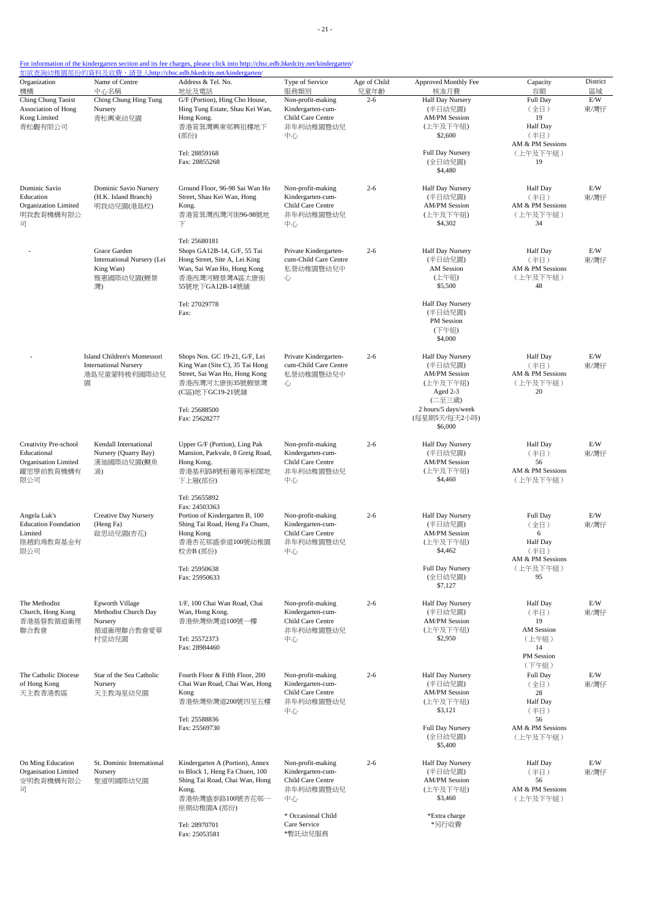| Organization<br>機構                                                               | Name of Centre<br>中心名稱                                                            | <u> 如欲查詢幼稚園部份的資料及收費,請登入http://chsc.edb.hkedcity.net/kindergarten/</u><br>Address & Tel. No.<br>地址及電話                                                   | Type of Service<br>服務類別                                                        | Age of Child<br>兒童年齡 | Approved Monthly Fee<br>核准月費                                                                                 | Capacity<br>容額                                                       | District<br>區域 |
|----------------------------------------------------------------------------------|-----------------------------------------------------------------------------------|--------------------------------------------------------------------------------------------------------------------------------------------------------|--------------------------------------------------------------------------------|----------------------|--------------------------------------------------------------------------------------------------------------|----------------------------------------------------------------------|----------------|
| Ching Chung Taoist<br>Association of Hong<br>Kong Limited                        | Ching Chung Hing Tung<br>Nursery<br>青松興東幼兒園                                       | G/F (Portion), Hing Cho House,<br>Hing Tung Estate, Shau Kei Wan,<br>Hong Kong.                                                                        | Non-profit-making<br>Kindergarten-cum-<br>Child Care Centre                    | $2 - 6$              | <b>Half Day Nursery</b><br>(半日幼兒園)<br><b>AM/PM Session</b>                                                   | Full Day<br>(全日)<br>19                                               | E/W<br>東/灣仔    |
| 青松觀有限公司                                                                          |                                                                                   | 香港筲箕灣興東邨興祖樓地下<br>(部份)                                                                                                                                  | 非牟利幼稚園暨幼兒<br>中心                                                                |                      | (上午及下午組)<br>\$2,600                                                                                          | <b>Half</b> Day<br>(半日)<br>AM & PM Sessions                          |                |
|                                                                                  |                                                                                   | Tel: 28859168<br>Fax: 28855268                                                                                                                         |                                                                                |                      | <b>Full Day Nursery</b><br>(全日幼兒園)<br>\$4,480                                                                | (上午及下午組)<br>19                                                       |                |
| Dominic Savio<br>Education<br>Organization Limited<br>明我教育機構有限公<br>급             | Dominic Savio Nursery<br>(H.K. Island Branch)<br>明我幼兒園(港島校)                       | Ground Floor, 96-98 Sai Wan Ho<br>Street, Shau Kei Wan, Hong<br>Kong.<br>香港筲箕灣西灣河街96-98號地<br>下                                                         | Non-profit-making<br>Kindergarten-cum-<br>Child Care Centre<br>非牟利幼稚園暨幼兒<br>中心 | $2 - 6$              | Half Day Nursery<br>(半日幼兒園)<br><b>AM/PM Session</b><br>(上午及下午組)<br>\$4,302                                   | <b>Half</b> Day<br>(半日)<br>AM & PM Sessions<br>(上午及下午組)<br>34        | E/W<br>東/灣仔    |
|                                                                                  | Grace Garden<br>International Nursery (Lei<br>King Wan)<br>雅惠國際幼兒園(鯉景<br>灣)       | Tel: 25680181<br>Shops GA12B-14, G/F, 55 Tai<br>Hong Street, Site A, Lei King<br>Wan, Sai Wan Ho, Hong Kong<br>香港西灣河鯉景灣A區太康街<br>55號地下GA12B-14號舖        | Private Kindergarten-<br>cum-Child Care Centre<br>私營幼稚園暨幼兒中<br>心               | $2 - 6$              | Half Day Nursery<br>(半日幼兒園)<br>AM Session<br>(上午組)<br>\$5,500                                                | <b>Half</b> Day<br>(半日)<br>AM & PM Sessions<br>(上午及下午組)<br>48        | E/W<br>東/灣仔    |
|                                                                                  |                                                                                   | Tel: 27029778<br>Fax:                                                                                                                                  |                                                                                |                      | Half Day Nursery<br>(半日幼兒園)<br>PM Session<br>(下午組)<br>\$4,000                                                |                                                                      |                |
|                                                                                  | Island Children's Montessori<br><b>International Nursery</b><br>港島兒童蒙特梭利國際幼兒<br>圜 | Shops Nos. GC 19-21, G/F, Lei<br>King Wan (Site C), 35 Tai Hong<br>Street, Sai Wan Ho, Hong Kong<br>香港西灣河太康街35號鯉景灣<br>(C區)地下GC19-21號舖<br>Tel: 25688500 | Private Kindergarten-<br>cum-Child Care Centre<br>私營幼稚園暨幼兒中<br>心               | $2 - 6$              | Half Day Nursery<br>(半日幼兒園)<br><b>AM/PM Session</b><br>(上午及下午組)<br>Aged 2-3<br>(二至三歲)<br>2 hours/5 days/week | <b>Half Day</b><br>(半日)<br>AM & PM Sessions<br>(上午及下午組)<br>20        | E/W<br>東/灣仔    |
|                                                                                  |                                                                                   | Fax: 25628277                                                                                                                                          |                                                                                |                      | (每星期5天/每天2小時)<br>\$6,000                                                                                     |                                                                      |                |
| Creativity Pre-school<br>Educational<br>Organisation Limited<br>躍思學前教育機構有<br>限公司 | Kendall International<br>Nursery (Quarry Bay)<br>漢廸國際幼兒園(鰂魚<br>涌)                 | Upper G/F (Portion), Ling Pak<br>Mansion, Parkvale, 8 Greig Road,<br>Hong Kong.<br>香港基利路8號栢蕙苑寧栢閣地<br>下上層(部份)                                           | Non-profit-making<br>Kindergarten-cum-<br>Child Care Centre<br>非牟利幼稚園暨幼兒<br>中心 | $2 - 6$              | Half Day Nursery<br>(半日幼兒園)<br><b>AM/PM Session</b><br>(上午及下午組)<br>\$4,460                                   | <b>Half</b> Day<br>(半日)<br>56<br>AM & PM Sessions<br>(上午及下午組)        | E/W<br>東/灣仔    |
| Angela Luk's<br><b>Education Foundation</b><br>Limited<br>陸趙鈞鴻教育基金有<br>限公司       | <b>Creative Day Nursery</b><br>(Heng Fa)<br>啟思幼兒園(杏花)                             | Tel: 25655892<br>Fax: 24503363<br>Portion of Kindergarten B, 100<br>Shing Tai Road, Heng Fa Chuen,<br>Hong Kong<br>香港杏花邨盛泰道100號幼稚園<br>校舍B(部份)          | Non-profit-making<br>Kindergarten-cum-<br>Child Care Centre<br>非牟利幼稚園暨幼兒<br>中心 | $2 - 6$              | Half Day Nursery<br>(半日幼兒園)<br><b>AM/PM Session</b><br>(上午及下午組)<br>\$4,462                                   | Full Day<br>(全日)<br>6<br><b>Half</b> Day<br>(半日)<br>AM & PM Sessions | E/W<br>東/灣仔    |
|                                                                                  |                                                                                   | Tel: 25950638<br>Fax: 25950633                                                                                                                         |                                                                                |                      | Full Day Nursery<br>(全日幼兒園)<br>\$7,127                                                                       | (上午及下午組)<br>95                                                       |                |
| The Methodist<br>Church, Hong Kong<br>香港基督教循道衛理<br>聯合教會                          | Epworth Village<br>Methodist Church Day<br>Nursery<br>循道衛理聯合教會愛華<br>村堂幼兒園         | 1/F, 100 Chai Wan Road, Chai<br>Wan, Hong Kong.<br>香港柴灣柴灣道100號一樓<br>Tel: 25572373                                                                      | Non-profit-making<br>Kindergarten-cum-<br>Child Care Centre<br>非牟利幼稚園暨幼兒<br>中心 | $2 - 6$              | Half Day Nursery<br>(半日幼兒園)<br><b>AM/PM Session</b><br>(上午及下午組)<br>\$2,950                                   | <b>Half Day</b><br>(半日)<br>19<br>AM Session<br>(上午組)                 | E/W<br>東/灣仔    |
|                                                                                  |                                                                                   | Fax: 28984460                                                                                                                                          |                                                                                |                      |                                                                                                              | 14<br>PM Session<br>(下午組)                                            |                |
| The Catholic Diocese<br>of Hong Kong<br>天主教香港教區                                  | Star of the Sea Catholic<br>Nursery<br>天主教海星幼兒園                                   | Fourth Floor & Fifth Floor, 200<br>Chai Wan Road, Chai Wan, Hong<br>Kong<br>香港柴灣柴灣道200號四至五樓                                                            | Non-profit-making<br>Kindergarten-cum-<br>Child Care Centre<br>非牟利幼稚園暨幼兒<br>中心 | $2 - 6$              | Half Day Nursery<br>(半日幼兒園)<br><b>AM/PM Session</b><br>(上午及下午組)<br>\$3,121                                   | Full Day<br>(全日)<br>28<br><b>Half Day</b><br>(半日)                    | E/W<br>東/灣仔    |
|                                                                                  |                                                                                   | Tel: 25588836<br>Fax: 25569730                                                                                                                         |                                                                                |                      | Full Day Nursery<br>(全日幼兒園)<br>\$5,400                                                                       | 56<br>AM & PM Sessions<br>(上午及下午組)                                   |                |
| On Ming Education<br>Organisation Limited<br>安明教育機構有限公<br>급                      | St. Dominic International<br>Nursery<br>聖道明國際幼兒園                                  | Kindergarten A (Portion), Annex<br>to Block 1, Heng Fa Chuen, 100<br>Shing Tai Road, Chai Wan, Hong<br>Kong.<br>香港柴灣盛泰路100號杏花邨一<br>座側幼稚園A (部份)         | Non-profit-making<br>Kindergarten-cum-<br>Child Care Centre<br>非牟利幼稚園暨幼兒<br>中心 | $2 - 6$              | Half Day Nursery<br>(半日幼兒園)<br><b>AM/PM Session</b><br>(上午及下午組)<br>\$3,460                                   | Half Day<br>(半日)<br>56<br>AM & PM Sessions<br>(上午及下午組)               | E/W<br>東/灣仔    |
|                                                                                  |                                                                                   | Tel: 28970701<br>Fax: 25053581                                                                                                                         | * Occasional Child<br>Care Service<br>*暫託幼兒服務                                  |                      | *Extra charge<br>*另行收費                                                                                       |                                                                      |                |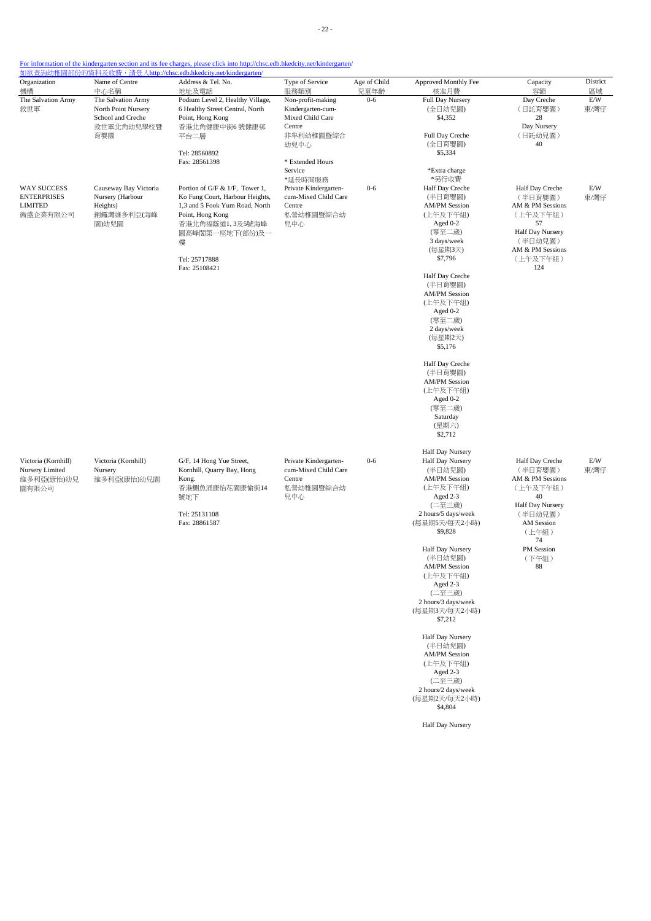| Organization                                                    | Name of Centre<br>中心名稱                                                              | Address & Tel. No.                                                                                                                                                                                                    | Type of Service                                                                                                       | Age of Child    | Approved Monthly Fee                                                                                                                                                                                                                                                                                                                                                                                                                                                     | Capacity<br>容額                                                                                                                                                | District          |
|-----------------------------------------------------------------|-------------------------------------------------------------------------------------|-----------------------------------------------------------------------------------------------------------------------------------------------------------------------------------------------------------------------|-----------------------------------------------------------------------------------------------------------------------|-----------------|--------------------------------------------------------------------------------------------------------------------------------------------------------------------------------------------------------------------------------------------------------------------------------------------------------------------------------------------------------------------------------------------------------------------------------------------------------------------------|---------------------------------------------------------------------------------------------------------------------------------------------------------------|-------------------|
| 機構<br>The Salvation Army<br>救世軍                                 | The Salvation Army<br>North Point Nursery<br>School and Creche<br>救世軍北角幼兒學校暨<br>育嬰園 | 地址及電話<br>Podium Level 2, Healthy Village,<br>6 Healthy Street Central, North<br>Point, Hong Kong<br>香港北角健康中街6號健康邨<br>平台二層<br>Tel: 28560892                                                                            | 服務類別<br>Non-profit-making<br>Kindergarten-cum-<br>Mixed Child Care<br>Centre<br>非牟利幼稚園暨綜合<br>幼兒中心                     | 兒童年齡<br>$0 - 6$ | 核准月費<br><b>Full Day Nursery</b><br>(全日幼兒園)<br>\$4,352<br>Full Day Creche<br>(全日育嬰園)<br>\$5,334                                                                                                                                                                                                                                                                                                                                                                           | Day Creche<br>(日託育嬰園)<br>28<br>Day Nursery<br>(日託幼兒園)<br>40                                                                                                   | 區域<br>E/W<br>東/灣仔 |
| WAY SUCCESS<br><b>ENTERPRISES</b><br><b>LIMITED</b><br>衞盛企業有限公司 | Causeway Bay Victoria<br>Nursery (Harbour<br>Heights)<br>銅鑼灣維多利亞(海峰<br>園)幼兒園        | Fax: 28561398<br>Portion of G/F & 1/F, Tower 1,<br>Ko Fung Court, Harbour Heights,<br>1,3 and 5 Fook Yum Road, North<br>Point, Hong Kong<br>香港北角福蔭道1,3及5號海峰<br>園高峰閣第一座地下(部份)及一<br>樓<br>Tel: 25717888<br>Fax: 25108421 | * Extended Hours<br>Service<br>*延長時間服務<br>Private Kindergarten-<br>cum-Mixed Child Care<br>Centre<br>私營幼稚園暨綜合幼<br>兒中心 | $0 - 6$         | *Extra charge<br>*另行收費<br>Half Day Creche<br>(半日育嬰園)<br><b>AM/PM Session</b><br>(上午及下午組)<br>Aged 0-2<br>(零至二歲)<br>3 days/week<br>(每星期3天)<br>\$7,796                                                                                                                                                                                                                                                                                                                      | Half Day Creche<br>(半日育嬰園)<br>AM & PM Sessions<br>(上午及下午組)<br>57<br>Half Day Nursery<br>(半日幼兒園)<br>AM & PM Sessions<br>(上午及下午組)<br>124                        | E/W<br>東/灣仔       |
|                                                                 |                                                                                     |                                                                                                                                                                                                                       |                                                                                                                       |                 | Half Day Creche<br>(半日育嬰園)<br><b>AM/PM Session</b><br>(上午及下午組)<br>Aged 0-2<br>(零至二歲)<br>2 days/week<br>(每星期2天)<br>\$5,176<br>Half Day Creche<br>(半日育嬰園)<br><b>AM/PM Session</b><br>(上午及下午組)<br>Aged 0-2<br>(零至二歲)<br>Saturday<br>(星期六)<br>\$2,712                                                                                                                                                                                                                        |                                                                                                                                                               |                   |
| Victoria (Kornhill)<br>Nursery Limited<br>維多利亞(康怡)幼兒<br>園有限公司   | Victoria (Kornhill)<br>Nursery<br>維多利亞(康怡)幼兒園                                       | G/F, 14 Hong Yue Street,<br>Kornhill, Quarry Bay, Hong<br>Kong.<br>香港鰂魚涌康怡花園康愉街14<br>號地下<br>Tel: 25131108<br>Fax: 28861587                                                                                            | Private Kindergarten-<br>cum-Mixed Child Care<br>Centre<br>私營幼稚園暨綜合幼<br>兒中心                                           | $0 - 6$         | Half Day Nursery<br>Half Day Nursery<br>(半日幼兒園)<br><b>AM/PM Session</b><br>(上午及下午組)<br>Aged 2-3<br>(二至三歲)<br>2 hours/5 days/week<br>(每星期5天/每天2小時)<br>\$9,828<br>Half Day Nursery<br>(半日幼兒園)<br><b>AM/PM Session</b><br>(上午及下午組)<br>Aged 2-3<br>(二至三歲)<br>2 hours/3 days/week<br>(每星期3天/每天2小時)<br>\$7,212<br>Half Day Nursery<br>(半日幼兒園)<br><b>AM/PM Session</b><br>(上午及下午組)<br>Aged 2-3<br>(二至三歲)<br>2 hours/2 days/week<br>(每星期2天/每天2小時)<br>\$4,804<br>Half Day Nursery | Half Day Creche<br>(半日育嬰園)<br>AM & PM Sessions<br>(上午及下午組)<br>40<br>Half Day Nursery<br>(半日幼兒園)<br>AM Session<br>(上午組)<br>74<br>PM Session<br>(下午組)<br>$88\,$ | E/W<br>東/灣仔       |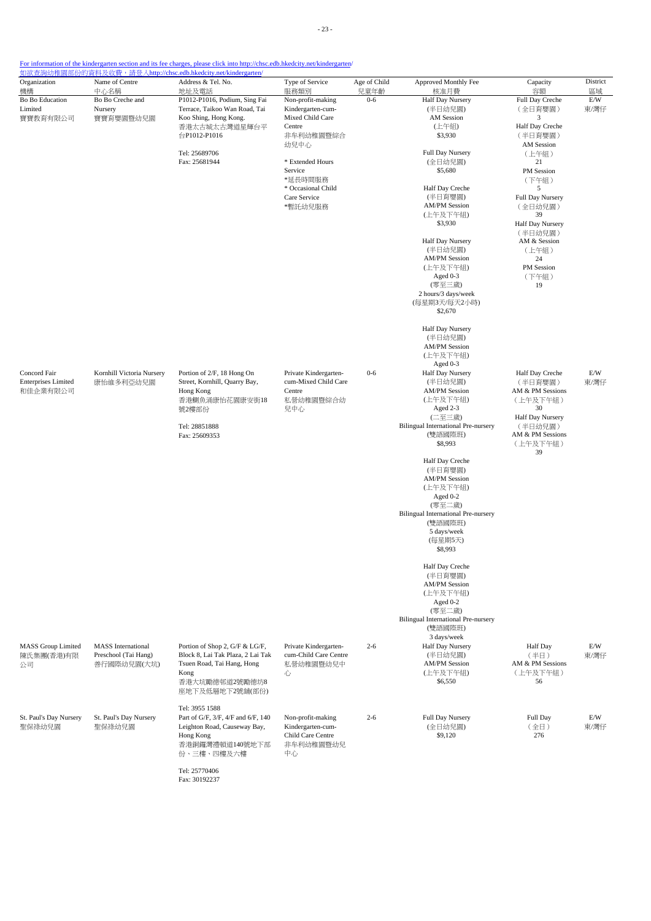| Organization                                           | Name of Centre                                                   | <u> 如欲查詢幼稚園部份的資料及收費,請登入http://chsc.edb.hkedcity.net/kindergarten/</u><br>Address & Tel. No.                                                    | Type of Service                                                                | Age of Child | Approved Monthly Fee                                                                      | Capacity                                               | District    |
|--------------------------------------------------------|------------------------------------------------------------------|------------------------------------------------------------------------------------------------------------------------------------------------|--------------------------------------------------------------------------------|--------------|-------------------------------------------------------------------------------------------|--------------------------------------------------------|-------------|
| 機構                                                     | 中心名稱                                                             | 地址及電話                                                                                                                                          | 服務類別                                                                           | 兒童年齡         | 核准月費                                                                                      | 容額                                                     | 區域          |
| Bo Bo Education<br>Limited<br>寶寶教育有限公司                 | Bo Bo Creche and<br>Nursery<br>寶寶育嬰園暨幼兒園                         | P1012-P1016, Podium, Sing Fai<br>Terrace, Taikoo Wan Road, Tai<br>Koo Shing, Hong Kong.                                                        | Non-profit-making<br>Kindergarten-cum-<br>Mixed Child Care                     | $0 - 6$      | Half Day Nursery<br>(半日幼兒園)<br><b>AM</b> Session                                          | Full Day Creche<br>(全日育嬰園)<br>3                        | E/W<br>東/灣仔 |
|                                                        |                                                                  | 香港太古城太古灣道星輝台平<br>台P1012-P1016                                                                                                                  | Centre<br>非牟利幼稚園暨綜合<br>幼兒中心                                                    |              | (上午組)<br>\$3,930                                                                          | Half Day Creche<br>(半日育嬰園)<br>AM Session               |             |
|                                                        |                                                                  | Tel: 25689706<br>Fax: 25681944                                                                                                                 | * Extended Hours<br>Service                                                    |              | Full Day Nursery<br>(全日幼兒園)<br>\$5,680                                                    | (上午組)<br>21<br>PM Session                              |             |
|                                                        |                                                                  |                                                                                                                                                | *延長時間服務<br>* Occasional Child                                                  |              | Half Day Creche                                                                           | (下午組)<br>5                                             |             |
|                                                        |                                                                  |                                                                                                                                                | Care Service<br>*暫託幼兒服務                                                        |              | (半日育嬰園)<br><b>AM/PM Session</b><br>(上午及下午組)                                               | Full Day Nursery<br>(全日幼兒園)<br>39                      |             |
|                                                        |                                                                  |                                                                                                                                                |                                                                                |              | \$3,930<br>Half Day Nursery                                                               | Half Day Nursery<br>(半日幼兒園)<br>AM & Session            |             |
|                                                        |                                                                  |                                                                                                                                                |                                                                                |              | (半日幼兒園)<br><b>AM/PM Session</b><br>(上午及下午組)                                               | (上午組)<br>24<br>PM Session                              |             |
|                                                        |                                                                  |                                                                                                                                                |                                                                                |              | Aged 0-3<br>(零至三歲)<br>2 hours/3 days/week<br>(每星期3天/每天2小時)                                | (下午組)<br>19                                            |             |
|                                                        |                                                                  |                                                                                                                                                |                                                                                |              | \$2,670<br><b>Half Day Nursery</b>                                                        |                                                        |             |
|                                                        |                                                                  |                                                                                                                                                |                                                                                |              | (半日幼兒園)<br><b>AM/PM Session</b><br>(上午及下午組)                                               |                                                        |             |
| Concord Fair<br><b>Enterprises Limited</b><br>和佳企業有限公司 | Kornhill Victoria Nursery<br>康怡維多利亞幼兒園                           | Portion of 2/F, 18 Hong On<br>Street, Kornhill, Quarry Bay,<br>Hong Kong                                                                       | Private Kindergarten-<br>cum-Mixed Child Care<br>Centre                        | $0 - 6$      | Aged 0-3<br>Half Day Nursery<br>(半日幼兒園)<br><b>AM/PM Session</b>                           | Half Day Creche<br>(半日育嬰園)<br>AM & PM Sessions         | E/W<br>東/灣仔 |
|                                                        |                                                                  | 香港鰂魚涌康怡花園康安街18<br>號2樓部份                                                                                                                        | 私營幼稚園暨綜合幼<br>兒中心                                                               |              | (上午及下午組)<br>Aged 2-3<br>(二至三歲)                                                            | (上午及下午組)<br>30<br>Half Day Nursery                     |             |
|                                                        |                                                                  | Tel: 28851888<br>Fax: 25609353                                                                                                                 |                                                                                |              | Bilingual International Pre-nursery<br>(雙語國際班)<br>\$8,993                                 | (半日幼兒園)<br>AM & PM Sessions<br>(上午及下午組)<br>39          |             |
|                                                        |                                                                  |                                                                                                                                                |                                                                                |              | Half Day Creche<br>(半日育嬰園)<br><b>AM/PM Session</b>                                        |                                                        |             |
|                                                        |                                                                  |                                                                                                                                                |                                                                                |              | (上午及下午組)<br>Aged 0-2<br>(零至二歲)                                                            |                                                        |             |
|                                                        |                                                                  |                                                                                                                                                |                                                                                |              | Bilingual International Pre-nursery<br>(雙語國際班)<br>5 days/week<br>(每星期5天)<br>\$8,993       |                                                        |             |
|                                                        |                                                                  |                                                                                                                                                |                                                                                |              | Half Day Creche<br>(半日育嬰園)<br><b>AM/PM Session</b><br>(上午及下午組)<br>Aged 0-2                |                                                        |             |
|                                                        |                                                                  |                                                                                                                                                |                                                                                |              | (零至二歲)<br><b>Bilingual International Pre-nursery</b><br>(雙語國際班)                           |                                                        |             |
| <b>MASS Group Limited</b><br>陳氏集團(香港)有限<br>公司          | <b>MASS</b> International<br>Preschool (Tai Hang)<br>善行國際幼兒園(大坑) | Portion of Shop 2, G/F & LG/F,<br>Block 8, Lai Tak Plaza, 2 Lai Tak<br>Tsuen Road, Tai Hang, Hong<br>Kong<br>香港大坑勵德邨道2號勵德坊8<br>座地下及低層地下2號舖(部份) | Private Kindergarten-<br>cum-Child Care Centre<br>私營幼稚園暨幼兒中<br>心               | $2 - 6$      | 3 days/week<br>Half Day Nursery<br>(半日幼兒園)<br><b>AM/PM Session</b><br>(上午及下午組)<br>\$6,550 | Half Day<br>(半日)<br>AM & PM Sessions<br>(上午及下午組)<br>56 | E/W<br>東/灣仔 |
|                                                        |                                                                  | Tel: 3955 1588                                                                                                                                 |                                                                                |              |                                                                                           |                                                        |             |
| St. Paul's Day Nursery<br>聖保祿幼兒園                       | St. Paul's Day Nursery<br>聖保祿幼兒園                                 | Part of G/F, 3/F, 4/F and 6/F, 140<br>Leighton Road, Causeway Bay,<br>Hong Kong<br>香港銅鑼灣禮頓道140號地下部<br>份、三樓、四樓及六樓                               | Non-profit-making<br>Kindergarten-cum-<br>Child Care Centre<br>非牟利幼稚園暨幼兒<br>中心 | $2 - 6$      | Full Day Nursery<br>(全日幼兒園)<br>\$9,120                                                    | Full Day<br>(全日)<br>276                                | E/W<br>東/灣仔 |
|                                                        |                                                                  | Tel: 25770406                                                                                                                                  |                                                                                |              |                                                                                           |                                                        |             |

Fax: 30192237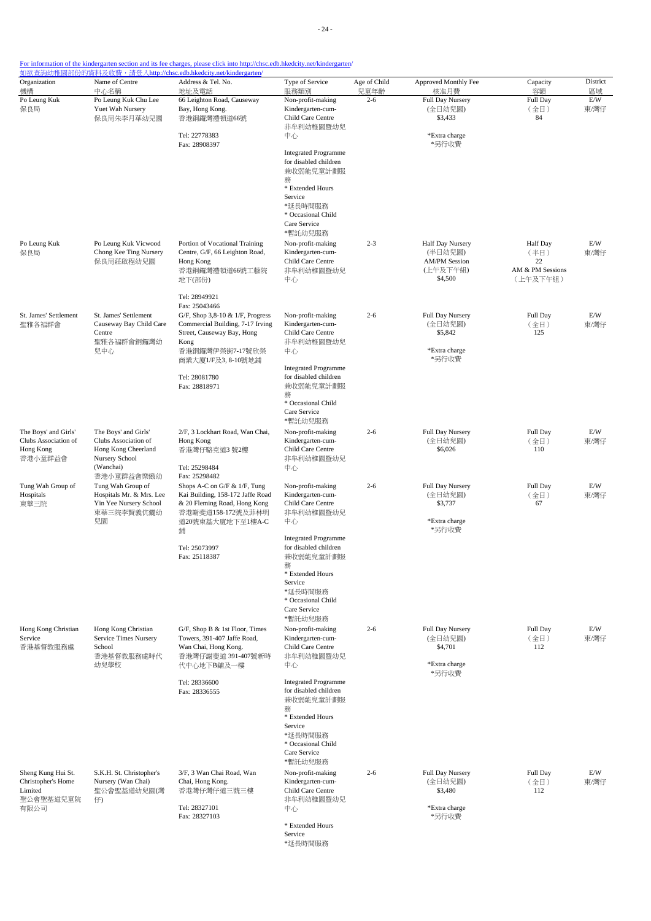| Organization<br>機構                                                   | Name of Centre<br>中心名稱                                                                                                 | Address & Tel. No.<br>地址及電話                                                                                                                                                 | Type of Service<br>服務類別                                                                        | Age of Child<br>兒童年齡 | Approved Monthly Fee<br>核准月費                                               | Capacity<br>容額                                                | District<br>區域 |
|----------------------------------------------------------------------|------------------------------------------------------------------------------------------------------------------------|-----------------------------------------------------------------------------------------------------------------------------------------------------------------------------|------------------------------------------------------------------------------------------------|----------------------|----------------------------------------------------------------------------|---------------------------------------------------------------|----------------|
| Po Leung Kuk<br>保良局                                                  | Po Leung Kuk Chu Lee<br>Yuet Wah Nursery<br>保良局朱李月華幼兒園                                                                 | 66 Leighton Road, Causeway<br>Bay, Hong Kong.<br>香港銅鑼灣禮頓道66號                                                                                                                | Non-profit-making<br>Kindergarten-cum-<br>Child Care Centre<br>非牟利幼稚園暨幼兒                       | $2 - 6$              | <b>Full Day Nursery</b><br>(全日幼兒園)<br>\$3,433                              | Full Day<br>(全日)<br>84                                        | E/W<br>東/灣仔    |
|                                                                      |                                                                                                                        | Tel: 22778383<br>Fax: 28908397                                                                                                                                              | 中心<br><b>Integrated Programme</b><br>for disabled children<br>兼收弱能兒童計劃服<br>務                   |                      | *Extra charge<br>*另行收費                                                     |                                                               |                |
|                                                                      |                                                                                                                        |                                                                                                                                                                             | * Extended Hours<br>Service<br>*延長時間服務<br>* Occasional Child<br>Care Service                   |                      |                                                                            |                                                               |                |
| Po Leung Kuk<br>保良局                                                  | Po Leung Kuk Vicwood<br>Chong Kee Ting Nursery<br>保良局莊啟程幼兒園                                                            | Portion of Vocational Training<br>Centre, G/F, 66 Leighton Road,<br>Hong Kong<br>香港銅鑼灣禮頓道66號工藝院<br>地下(部份)                                                                   | *暫託幼兒服務<br>Non-profit-making<br>Kindergarten-cum-<br>Child Care Centre<br>非牟利幼稚園暨幼兒<br>中心      | $2 - 3$              | Half Day Nursery<br>(半日幼兒園)<br><b>AM/PM</b> Session<br>(上午及下午組)<br>\$4,500 | <b>Half Day</b><br>(半日)<br>22<br>AM & PM Sessions<br>(上午及下午組) | E/W<br>東/灣仔    |
|                                                                      |                                                                                                                        | Tel: 28949921<br>Fax: 25043466                                                                                                                                              |                                                                                                |                      |                                                                            |                                                               |                |
| St. James' Settlement<br>聖雅各福群會                                      | St. James' Settlement<br>Causeway Bay Child Care<br>Centre<br>聖雅各福群會銅鑼灣幼                                               | G/F, Shop 3,8-10 & 1/F, Progress<br>Commercial Building, 7-17 Irving<br>Street, Causeway Bay, Hong<br>Kong                                                                  | Non-profit-making<br>Kindergarten-cum-<br>Child Care Centre<br>非牟利幼稚園暨幼兒                       | $2 - 6$              | Full Day Nursery<br>(全日幼兒園)<br>\$5,842<br>*Extra charge                    | Full Day<br>(全日)<br>125                                       | E/W<br>東/灣仔    |
|                                                                      | 兒中心                                                                                                                    | 香港銅鑼灣伊榮街7-17號欣榮<br>商業大廈1/F及3, 8-10號地鋪<br>Tel: 28081780<br>Fax: 28818971                                                                                                     | 中心<br><b>Integrated Programme</b><br>for disabled children<br>兼收弱能兒童計劃服                        |                      | *另行收費                                                                      |                                                               |                |
|                                                                      |                                                                                                                        |                                                                                                                                                                             | 務<br>* Occasional Child<br>Care Service<br>*暫託幼兒服務                                             |                      |                                                                            |                                                               |                |
| The Boys' and Girls'<br>Clubs Association of<br>Hong Kong<br>香港小童群益會 | The Boys' and Girls'<br>Clubs Association of<br>Hong Kong Cheerland<br>Nursery School                                  | 2/F, 3 Lockhart Road, Wan Chai,<br>Hong Kong<br>香港灣仔駱克道3號2樓                                                                                                                 | Non-profit-making<br>Kindergarten-cum-<br>Child Care Centre<br>非牟利幼稚園暨幼兒                       | $2 - 6$              | Full Day Nursery<br>(全日幼兒園)<br>\$6,026                                     | Full Day<br>(全日)<br>110                                       | E/W<br>東/灣仔    |
| Tung Wah Group of<br>Hospitals<br>東華三院                               | (Wanchai)<br>香港小童群益會樂緻幼<br>Tung Wah Group of<br>Hospitals Mr. & Mrs. Lee<br>Yin Yee Nursery School<br>東華三院李賢義伉儷幼<br>兒園 | Tel: 25298484<br>Fax: 25298482<br>Shops A-C on G/F & 1/F, Tung<br>Kai Building, 158-172 Jaffe Road<br>& 20 Fleming Road, Hong Kong<br>香港謝斐道158-172號及菲林明<br>道20號東基大廈地下至1樓A-C | 中心<br>Non-profit-making<br>Kindergarten-cum-<br>Child Care Centre<br>非牟利幼稚園暨幼兒<br>中心           | $2 - 6$              | Full Day Nursery<br>(全日幼兒園)<br>\$3,737<br>*Extra charge                    | Full Day<br>(全日)<br>67                                        | E/W<br>東/灣仔    |
|                                                                      |                                                                                                                        | 鋪<br>Tel: 25073997<br>Fax: 25118387                                                                                                                                         | <b>Integrated Programme</b><br>for disabled children<br>兼收弱能兒童計劃服                              |                      | *另行收費                                                                      |                                                               |                |
|                                                                      |                                                                                                                        |                                                                                                                                                                             | 務<br>* Extended Hours<br>Service<br>*延長時間服務<br>* Occasional Child<br>Care Service              |                      |                                                                            |                                                               |                |
| Hong Kong Christian<br>Service<br>香港基督教服務處                           | Hong Kong Christian<br><b>Service Times Nursery</b><br>School<br>香港基督教服務處時代                                            | G/F, Shop B & 1st Floor, Times<br>Towers, 391-407 Jaffe Road,<br>Wan Chai, Hong Kong.<br>香港灣仔謝斐道 391-407號新時                                                                 | *暫託幼兒服務<br>Non-profit-making<br>Kindergarten-cum-<br>Child Care Centre<br>非牟利幼稚園暨幼兒            | $2 - 6$              | Full Day Nursery<br>(全日幼兒園)<br>\$4,701                                     | Full Day<br>(全日)<br>112                                       | E/W<br>東/灣仔    |
|                                                                      | 幼兒學校                                                                                                                   | 代中心地下B舖及一樓<br>Tel: 28336600                                                                                                                                                 | 中心<br><b>Integrated Programme</b><br>for disabled children                                     |                      | *Extra charge<br>*另行收費                                                     |                                                               |                |
|                                                                      |                                                                                                                        | Fax: 28336555                                                                                                                                                               | 兼收弱能兒童計劃服<br>務<br>* Extended Hours<br>Service<br>*延長時間服務<br>* Occasional Child<br>Care Service |                      |                                                                            |                                                               |                |
| Sheng Kung Hui St.<br>Christopher's Home<br>Limited                  | S.K.H. St. Christopher's<br>Nursery (Wan Chai)<br>聖公會聖基道幼兒園(灣                                                          | 3/F, 3 Wan Chai Road, Wan<br>Chai, Hong Kong.<br>香港灣仔灣仔道三號三樓                                                                                                                | *暫託幼兒服務<br>Non-profit-making<br>Kindergarten-cum-<br>Child Care Centre                         | $2 - 6$              | Full Day Nursery<br>(全日幼兒園)<br>\$3,480                                     | Full Day<br>(全日)<br>112                                       | E/W<br>東/灣仔    |
| 聖公會聖基道兒童院<br>有限公司                                                    | 仔                                                                                                                      | Tel: 28327101<br>Fax: 28327103                                                                                                                                              | 非牟利幼稚園暨幼兒<br>中心                                                                                |                      | *Extra charge<br>*另行收費                                                     |                                                               |                |
|                                                                      |                                                                                                                        |                                                                                                                                                                             | * Extended Hours<br>Service<br>*延長時間服務                                                         |                      |                                                                            |                                                               |                |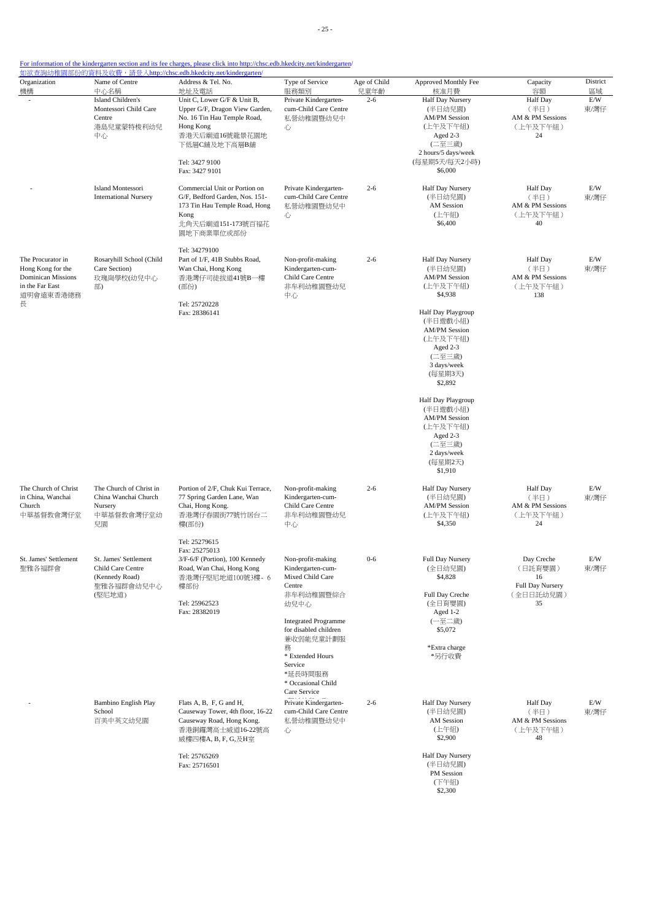| Organization<br>機構                                                                                       | Name of Centre<br>中心名稱                                                               | <u> 如欲查詢幼稚園部份的資料及收費,請登入http://chsc.edb.hkedcity.net/kindergarten/</u><br>Address & Tel. No.<br>地址及電話                                                                            | Type of Service<br>服務類別                                                                                                                                                                                                             | Age of Child<br>兒童年齡 | Approved Monthly Fee<br>核准月費                                                                                                                                                                                | Capacity<br>容額                                                     | District<br>區域 |
|----------------------------------------------------------------------------------------------------------|--------------------------------------------------------------------------------------|---------------------------------------------------------------------------------------------------------------------------------------------------------------------------------|-------------------------------------------------------------------------------------------------------------------------------------------------------------------------------------------------------------------------------------|----------------------|-------------------------------------------------------------------------------------------------------------------------------------------------------------------------------------------------------------|--------------------------------------------------------------------|----------------|
|                                                                                                          | Island Children's<br>Montessori Child Care<br>Centre<br>港島兒童蒙特梭利幼兒<br>中心             | Unit C, Lower G/F & Unit B,<br>Upper G/F, Dragon View Garden,<br>No. 16 Tin Hau Temple Road,<br>Hong Kong<br>香港天后廟道16號龍景花園地<br>下低層C舖及地下高層B舖<br>Tel: 3427 9100<br>Fax: 3427 9101 | Private Kindergarten-<br>cum-Child Care Centre<br>私營幼稚園暨幼兒中<br>心                                                                                                                                                                    | $2 - 6$              | <b>Half Day Nursery</b><br>(半日幼兒園)<br><b>AM/PM Session</b><br>(上午及下午組)<br>Aged 2-3<br>(二至三歲)<br>2 hours/5 days/week<br>(每星期5天/每天2小時)<br>\$6,000                                                             | <b>Half Day</b><br>(半日)<br>AM & PM Sessions<br>(上午及下午組)<br>24      | E/W<br>東/灣仔    |
|                                                                                                          | Island Montessori<br><b>International Nursery</b>                                    | Commercial Unit or Portion on<br>G/F, Bedford Garden, Nos. 151-<br>173 Tin Hau Temple Road, Hong<br>Kong<br>北角天后廟道151-173號百福花<br>園地下商業單位或部份                                     | Private Kindergarten-<br>cum-Child Care Centre<br>私營幼稚園暨幼兒中<br>心                                                                                                                                                                    | $2 - 6$              | Half Day Nursery<br>(半日幼兒園)<br>AM Session<br>(上午組)<br>\$6,400                                                                                                                                               | <b>Half</b> Day<br>(半日)<br>AM & PM Sessions<br>(上午及下午組)<br>40      | E/W<br>東/灣仔    |
| The Procurator in<br>Hong Kong for the<br><b>Dominican Missions</b><br>in the Far East<br>道明會遠東香港總務<br>長 | Rosaryhill School (Child<br>Care Section)<br>玫瑰崗學校(幼兒中心<br>部)                        | Tel: 34279100<br>Part of 1/F, 41B Stubbs Road,<br>Wan Chai, Hong Kong<br>香港灣仔司徒拔道41號B一樓<br>(部份)<br>Tel: 25720228<br>Fax: 28386141                                               | Non-profit-making<br>Kindergarten-cum-<br>Child Care Centre<br>非牟利幼稚園暨幼兒<br>中心                                                                                                                                                      | $2 - 6$              | Half Day Nursery<br>(半日幼兒園)<br><b>AM/PM</b> Session<br>(上午及下午組)<br>\$4,938<br>Half Day Playgroup<br>(半日遊戲小組)<br><b>AM/PM</b> Session<br>(上午及下午組)<br>Aged 2-3<br>(二至三歲)<br>3 days/week<br>(每星期3天)<br>\$2,892 | <b>Half</b> Day<br>(半日)<br>AM & PM Sessions<br>(上午及下午組)<br>138     | E/W<br>東/灣仔    |
|                                                                                                          |                                                                                      |                                                                                                                                                                                 |                                                                                                                                                                                                                                     |                      | Half Day Playgroup<br>(半日遊戲小組)<br><b>AM/PM Session</b><br>(上午及下午組)<br>Aged 2-3<br>(二至三歲)<br>2 days/week<br>(每星期2天)<br>\$1,910                                                                               |                                                                    |                |
| The Church of Christ<br>in China, Wanchai<br>Church<br>中華基督教會灣仔堂                                         | The Church of Christ in<br>China Wanchai Church<br>Nursery<br>中華基督教會灣仔堂幼<br>兒園       | Portion of 2/F, Chuk Kui Terrace,<br>77 Spring Garden Lane, Wan<br>Chai, Hong Kong.<br>香港灣仔春園街77號竹居台二<br>樓(部份)                                                                  | Non-profit-making<br>Kindergarten-cum-<br>Child Care Centre<br>非牟利幼稚園暨幼兒<br>中心                                                                                                                                                      | $2 - 6$              | Half Day Nursery<br>(半日幼兒園)<br><b>AM/PM Session</b><br>(上午及下午組)<br>\$4,350                                                                                                                                  | <b>Half</b> Day<br>(半日)<br>AM & PM Sessions<br>(上午及下午組)<br>24      | E/W<br>東/灣仔    |
| St. James' Settlement<br>聖雅各福群會                                                                          | St. James' Settlement<br>Child Care Centre<br>(Kennedy Road)<br>聖雅各福群會幼兒中心<br>(堅尼地道) | Tel: 25279615<br>Fax: 25275013<br>3/F-6/F (Portion), 100 Kennedy<br>Road, Wan Chai, Hong Kong<br>香港灣仔堅尼地道100號3樓- 6<br>樓部份<br>Tel: 25962523<br>Fax: 28382019                     | Non-profit-making<br>Kindergarten-cum-<br>Mixed Child Care<br>Centre<br>非牟利幼稚園暨綜合<br>幼兒中心<br><b>Integrated Programme</b><br>for disabled children<br>兼收弱能兒童計劃服<br>務<br>* Extended Hours<br>Service<br>*延長時間服務<br>* Occasional Child | $0 - 6$              | Full Day Nursery<br>(全日幼兒園)<br>\$4,828<br>Full Day Creche<br>(全日育嬰園)<br>Aged 1-2<br>(一至二歲)<br>\$5,072<br>*Extra charge<br>*另行收費                                                                             | Day Creche<br>(日託育嬰園)<br>16<br>Full Day Nursery<br>(全日日託幼兒園)<br>35 | E/W<br>東/灣仔    |
|                                                                                                          | Bambino English Play<br>School<br>百美中英文幼兒園                                           | Flats A, B, F, G and H,<br>Causeway Tower, 4th floor, 16-22<br>Causeway Road, Hong Kong.<br>香港銅鑼灣高士威道16-22號高<br>威樓四樓A, B, F, G,及H室<br>Tel: 25765269<br>Fax: 25716501            | Care Service<br>Private Kindergarten-<br>cum-Child Care Centre<br>私營幼稚園暨幼兒中<br>心                                                                                                                                                    | $2 - 6$              | Half Day Nursery<br>(半日幼兒園)<br><b>AM</b> Session<br>(上午組)<br>\$2,900<br>Half Day Nursery<br>(半日幼兒園)                                                                                                         | <b>Half Day</b><br>(半日)<br>AM & PM Sessions<br>(上午及下午組)<br>48      | E/W<br>東/灣仔    |
|                                                                                                          |                                                                                      |                                                                                                                                                                                 |                                                                                                                                                                                                                                     |                      | PM Session<br>(下午組)<br>\$2,300                                                                                                                                                                              |                                                                    |                |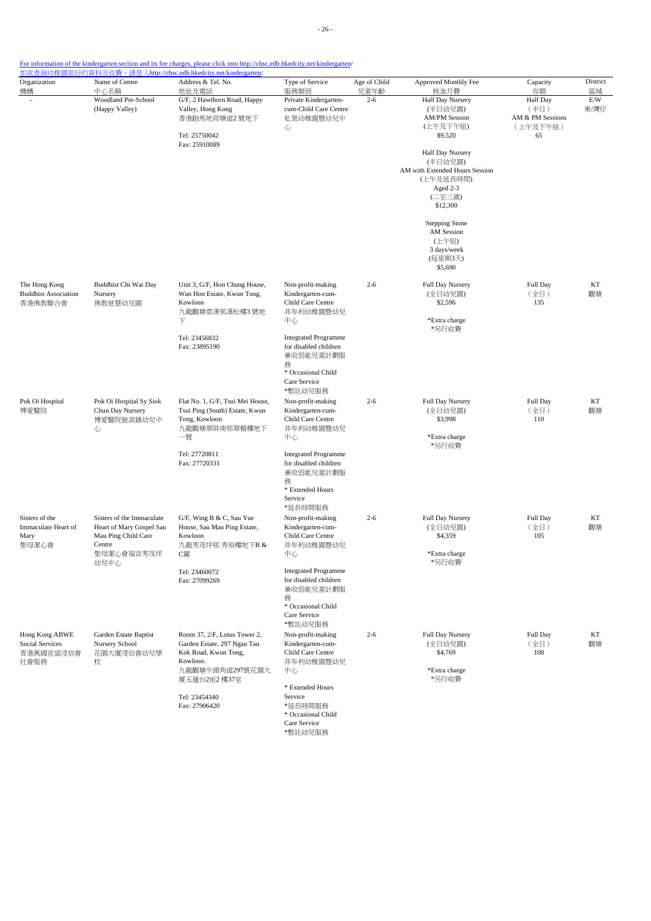| Organization<br>機構                                      | Name of Centre<br>中心名稱                                                                                       | Address & Tel. No.<br>地址及電話                                                                                                        | Type of Service<br>服務類別                                                                                                 | Age of Child<br>兒童年齡 | Approved Monthly Fee<br>核准月費                                                                                                                                                                                                                              | Capacity<br>容額                                                | District<br>區域 |
|---------------------------------------------------------|--------------------------------------------------------------------------------------------------------------|------------------------------------------------------------------------------------------------------------------------------------|-------------------------------------------------------------------------------------------------------------------------|----------------------|-----------------------------------------------------------------------------------------------------------------------------------------------------------------------------------------------------------------------------------------------------------|---------------------------------------------------------------|----------------|
|                                                         | Woodland Pre-School<br>(Happy Valley)                                                                        | G/F, 2 Hawthorn Road, Happy<br>Valley, Hong Kong<br>香港跑馬地荷塘道2號地下<br>Tel: 25750042<br>Fax: 25910089                                 | Private Kindergarten-<br>cum-Child Care Centre<br>私營幼稚園暨幼兒中<br>心                                                        | $2 - 6$              | Half Day Nursery<br>(半日幼兒園)<br><b>AM/PM Session</b><br>(上午及下午組)<br>\$9,520<br>Half Day Nursery<br>(半日幼兒園)<br>AM with Extended Hours Session<br>(上午及延長時間)<br>Aged 2-3<br>(二至三歲)<br>\$12,300<br><b>Stepping Stone</b><br>AM Session<br>(上午組)<br>3 days/week | <b>Half Day</b><br>(半日)<br>AM & PM Sessions<br>(上午及下午組)<br>65 | E/W<br>東/灣仔    |
|                                                         |                                                                                                              |                                                                                                                                    |                                                                                                                         |                      | (每星期3天)<br>\$5,690                                                                                                                                                                                                                                        |                                                               |                |
| The Hong Kong<br><b>Buddhist Association</b><br>香港佛教聯合會 | Buddhist Chi Wai Day<br>Nursery<br>佛教慈慧幼兒園                                                                   | Unit 3, G/F, Hon Chung House,<br>Wan Hon Estate, Kwun Tong,<br>Kowloon<br>九龍觀塘雲漢邨漢松樓3號地<br>下                                       | Non-profit-making<br>Kindergarten-cum-<br>Child Care Centre<br>非牟利幼稚園暨幼兒<br>中心                                          | $2 - 6$              | Full Day Nursery<br>(全日幼兒園)<br>\$2,596<br>*Extra charge<br>*另行收費                                                                                                                                                                                          | Full Day<br>(全日)<br>135                                       | KT<br>觀塘       |
|                                                         |                                                                                                              | Tel: 23456832<br>Fax: 23895190                                                                                                     | <b>Integrated Programme</b><br>for disabled children<br>兼收弱能兒童計劃服<br>務<br>* Occasional Child<br>Care Service<br>*暫託幼兒服務 |                      |                                                                                                                                                                                                                                                           |                                                               |                |
| Pok Oi Hospital<br>博愛醫院                                 | Pok Oi Hospital Sy Siok<br>Chun Day Nursery<br>博愛醫院施淑鎮幼兒中<br>心                                               | Flat No. 1, G/F, Tsui Mei House,<br>Tsui Ping (South) Estate, Kwun<br>Tong, Kowloon<br>九龍觀塘翠屏南邨翠楣樓地下<br>一號                         | Non-profit-making<br>Kindergarten-cum-<br>Child Care Centre<br>非牟利幼稚園暨幼兒<br>中心                                          | $2 - 6$              | Full Day Nursery<br>(全日幼兒園)<br>\$3,998<br>*Extra charge                                                                                                                                                                                                   | Full Day<br>(全日)<br>110                                       | KT<br>觀塘       |
|                                                         |                                                                                                              | Tel: 27720811<br>Fax: 27720331                                                                                                     | <b>Integrated Programme</b><br>for disabled children<br>兼收弱能兒童計劃服<br>務<br>* Extended Hours<br>Service<br>*延長時間服務        |                      | *另行收費                                                                                                                                                                                                                                                     |                                                               |                |
| Sisters of the<br>Immaculate Heart of<br>Mary<br>聖母潔心會  | Sisters of the Immaculate<br>Heart of Mary Gospel Sau<br>Mau Ping Child Care<br>Centre<br>聖母潔心會福音秀茂坪<br>幼兒中心 | G/F, Wing B & C, Sau Yue<br>House, Sau Mau Ping Estate,<br>Kowloon<br>九龍秀茂坪邨 秀裕樓地下B &<br>C翼                                        | Non-profit-making<br>Kindergarten-cum-<br>Child Care Centre<br>非牟利幼稚園暨幼兒<br>中心                                          | $2 - 6$              | Full Day Nursery<br>(全日幼兒園)<br>\$4,359<br>*Extra charge<br>*另行收費                                                                                                                                                                                          | Full Day<br>(全日)<br>105                                       | KT<br>觀塘       |
|                                                         |                                                                                                              | Tel: 23460072<br>Fax: 27099269                                                                                                     | <b>Integrated Programme</b><br>for disabled children<br>兼收弱能兒童計劃服<br>務<br>* Occasional Child<br>Care Service<br>*暫託幼兒服務 |                      |                                                                                                                                                                                                                                                           |                                                               |                |
| Hong Kong ABWE<br>Social Services<br>香港萬國宣道浸信會<br>社會服務  | Garden Estate Baptist<br>Nursery School<br>花園大廈浸信會幼兒學<br>校                                                   | Room 37, 2/F, Lotus Tower 2,<br>Garden Estate, 297 Ngau Tau<br>Kok Road, Kwun Tong,<br>Kowloon.<br>九龍觀塘牛頭角道297號花園大<br>厦玉蓮台2座2 樓37室 | Non-profit-making<br>Kindergarten-cum-<br>Child Care Centre<br>非牟利幼稚園暨幼兒<br>中心<br>* Extended Hours                      | $2 - 6$              | Full Day Nursery<br>(全日幼兒園)<br>\$4,769<br>*Extra charge<br>*另行收費                                                                                                                                                                                          | Full Day<br>(全日)<br>108                                       | KT<br>觀塘       |
|                                                         |                                                                                                              | Tel: 23454340<br>Fax: 27906420                                                                                                     | Service<br>*延長時間服務<br>* Occasional Child<br>Care Service<br>*暫託幼兒服務                                                     |                      |                                                                                                                                                                                                                                                           |                                                               |                |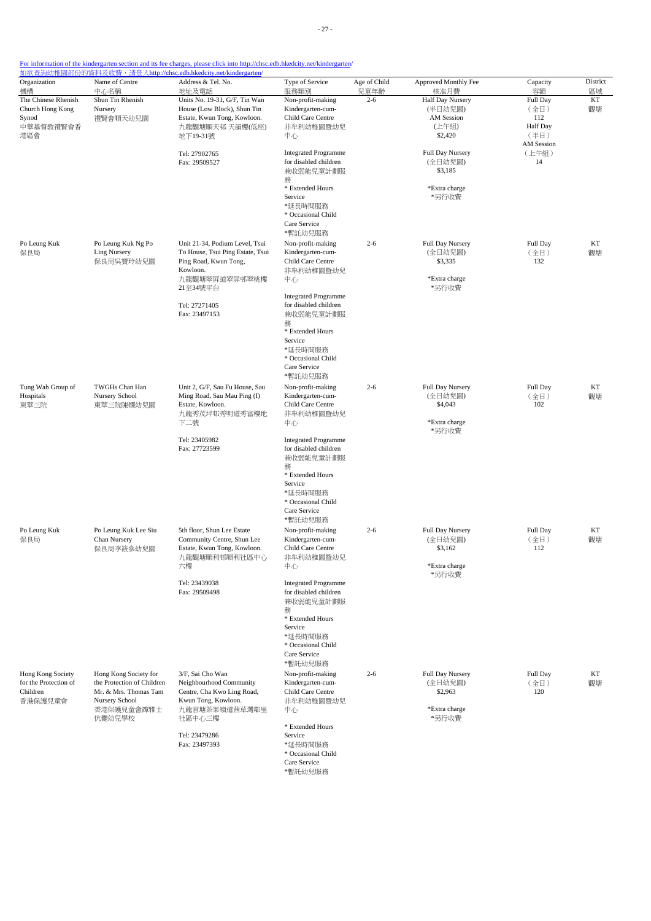| Organization                                                      | Name of Centre                                                                                                         | <u>如欲查詢幼稚園部份的資料及收費,請登入http://chsc.edb.hkedcity.net/kindergarten/</u><br>Address & Tel. No.                                  | Type of Service                                                                                                                                                   | Age of Child    | Approved Monthly Fee                                             | Capacity                               | District |
|-------------------------------------------------------------------|------------------------------------------------------------------------------------------------------------------------|-----------------------------------------------------------------------------------------------------------------------------|-------------------------------------------------------------------------------------------------------------------------------------------------------------------|-----------------|------------------------------------------------------------------|----------------------------------------|----------|
| 機構<br>The Chinese Rhenish                                         | 中心名稱<br>Shun Tin Rhenish                                                                                               | 地址及電話<br>Units No. 19-31, G/F, Tin Wan                                                                                      | 服務類別<br>Non-profit-making                                                                                                                                         | 兒童年齡<br>$2 - 6$ | 核准月費<br><b>Half Day Nursery</b>                                  | 容額<br>Full Day                         | 區域<br>KT |
| Church Hong Kong<br>Synod<br>中華基督教禮賢會香<br>港區會                     | Nursery<br>禮賢會順天幼兒園                                                                                                    | House (Low Block), Shun Tin<br>Estate, Kwun Tong, Kowloon.<br>九龍觀塘順天邨 天韻樓(低座)<br>地下19-31號                                   | Kindergarten-cum-<br>Child Care Centre<br>非牟利幼稚園暨幼兒<br>中心                                                                                                         |                 | (半日幼兒園)<br><b>AM</b> Session<br>(上午組)<br>\$2,420                 | (全日)<br>112<br><b>Half</b> Day<br>(半日) | 觀塘       |
|                                                                   |                                                                                                                        | Tel: 27902765<br>Fax: 29509527                                                                                              | <b>Integrated Programme</b><br>for disabled children<br>兼收弱能兒童計劃服<br>務<br>* Extended Hours                                                                        |                 | Full Day Nursery<br>(全日幼兒園)<br>\$3,185<br>*Extra charge          | AM Session<br>(上午組)<br>14              |          |
|                                                                   |                                                                                                                        |                                                                                                                             | Service<br>*延長時間服務<br>* Occasional Child<br>Care Service<br>*暫託幼兒服務                                                                                               |                 | *另行收費                                                            |                                        |          |
| Po Leung Kuk<br>保良局                                               | Po Leung Kuk Ng Po<br><b>Ling Nursery</b><br>保良局吳寶玲幼兒園                                                                 | Unit 21-34, Podium Level, Tsui<br>To House, Tsui Ping Estate, Tsui<br>Ping Road, Kwun Tong,<br>Kowloon.<br>九龍觀塘翠屏道翠屏邨翠桃樓    | Non-profit-making<br>Kindergarten-cum-<br>Child Care Centre<br>非牟利幼稚園暨幼兒<br>中心                                                                                    | $2 - 6$         | Full Day Nursery<br>(全日幼兒園)<br>\$3,335<br>*Extra charge          | Full Day<br>(全日)<br>132                | KT<br>觀塘 |
|                                                                   |                                                                                                                        | 21至34號平台<br>Tel: 27271405<br>Fax: 23497153                                                                                  | <b>Integrated Programme</b><br>for disabled children<br>兼收弱能兒童計劃服<br>務<br>* Extended Hours<br>Service<br>*延長時間服務<br>* Occasional Child<br>Care Service<br>*暫託幼兒服務 |                 | *另行收費                                                            |                                        |          |
| Tung Wah Group of<br>Hospitals<br>東華三院                            | TWGHs Chan Han<br>Nursery School<br>東華三院陳嫺幼兒園                                                                          | Unit 2, G/F, Sau Fu House, Sau<br>Ming Road, Sau Mau Ping (I)<br>Estate, Kowloon.<br>九龍秀茂坪邨秀明道秀富樓地<br>下二號                   | Non-profit-making<br>Kindergarten-cum-<br>Child Care Centre<br>非牟利幼稚園暨幼兒<br>中心                                                                                    | $2 - 6$         | Full Day Nursery<br>(全日幼兒園)<br>\$4,043<br>*Extra charge<br>*另行收費 | Full Day<br>(全日)<br>102                | KT<br>觀塘 |
|                                                                   |                                                                                                                        | Tel: 23405982<br>Fax: 27723599                                                                                              | <b>Integrated Programme</b><br>for disabled children<br>兼收弱能兒童計劃服<br>務<br>* Extended Hours<br>Service<br>*延長時間服務<br>* Occasional Child<br>Care Service<br>*暫託幼兒服務 |                 |                                                                  |                                        |          |
| Po Leung Kuk<br>保良局                                               | Po Leung Kuk Lee Siu<br>Chan Nursery<br>保良局李筱参幼兒園                                                                      | 5th floor, Shun Lee Estate<br>Community Centre, Shun Lee<br>Estate, Kwun Tong, Kowloon.<br>九龍觀塘順利邨順利社區中心<br>六樓              | Non-profit-making<br>Kindergarten-cum-<br>Child Care Centre<br>非牟利幼稚園暨幼兒<br>中心                                                                                    | $2 - 6$         | Full Day Nursery<br>(全日幼兒園)<br>\$3,162<br>*Extra charge<br>*另行收費 | Full Day<br>(全日)<br>112                | КT<br>觀塘 |
|                                                                   |                                                                                                                        | Tel: 23439038<br>Fax: 29509498                                                                                              | <b>Integrated Programme</b><br>for disabled children<br>兼收弱能兒童計劃服<br>務<br>* Extended Hours<br>Service<br>*延長時間服務<br>* Occasional Child<br>Care Service<br>*暫託幼兒服務 |                 |                                                                  |                                        |          |
| Hong Kong Society<br>for the Protection of<br>Children<br>香港保護兒童會 | Hong Kong Society for<br>the Protection of Children<br>Mr. & Mrs. Thomas Tam<br>Nursery School<br>香港保護兒童會譚雅士<br>伉儷幼兒學校 | 3/F, Sai Cho Wan<br>Neighbourhood Community<br>Centre, Cha Kwo Ling Road,<br>Kwun Tong, Kowloon.<br>九龍官塘茶果嶺道茜草灣鄰里<br>社區中心三樓 | Non-profit-making<br>Kindergarten-cum-<br>Child Care Centre<br>非牟利幼稚園暨幼兒<br>中心<br>* Extended Hours                                                                | $2 - 6$         | Full Day Nursery<br>(全日幼兒園)<br>\$2,963<br>*Extra charge<br>*另行收費 | Full Day<br>(全日)<br>120                | KT<br>觀塘 |
|                                                                   |                                                                                                                        | Tel: 23479286<br>Fax: 23497393                                                                                              | Service<br>*延長時間服務<br>* Occasional Child<br>Care Service<br>*暫託幼兒服務                                                                                               |                 |                                                                  |                                        |          |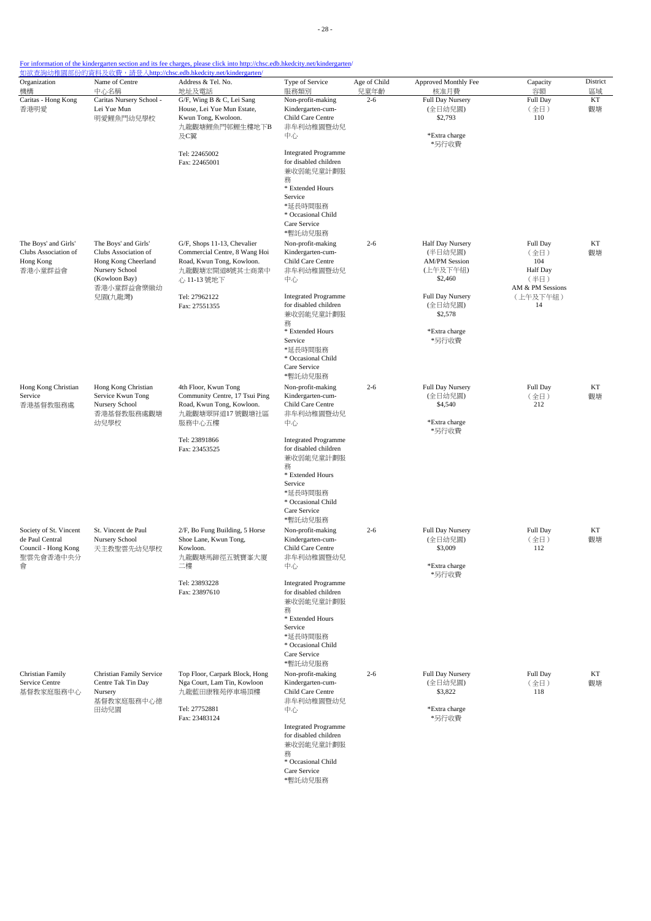| Organization<br>機構                                                                 | Name of Centre<br>中心名稱                                                                                               | Address & Tel. No.<br>地址及電話                                                                                                | Type of Service<br>服務類別                                                                                                                                           | Age of Child<br>兒童年齡 | Approved Monthly Fee<br>核准月費                                               | Capacity<br>容額                                                  | District<br>區域 |
|------------------------------------------------------------------------------------|----------------------------------------------------------------------------------------------------------------------|----------------------------------------------------------------------------------------------------------------------------|-------------------------------------------------------------------------------------------------------------------------------------------------------------------|----------------------|----------------------------------------------------------------------------|-----------------------------------------------------------------|----------------|
| Caritas - Hong Kong<br>香港明愛                                                        | Caritas Nursery School -<br>Lei Yue Mun<br>明愛鯉魚門幼兒學校                                                                 | G/F, Wing B & C, Lei Sang<br>House, Lei Yue Mun Estate,<br>Kwun Tong, Kwoloon.<br>九龍觀塘鯉魚門邨鯉生樓地下B<br>及C翼                    | Non-profit-making<br>Kindergarten-cum-<br>Child Care Centre<br>非牟利幼稚園暨幼兒<br>中心                                                                                    | $2 - 6$              | Full Day Nursery<br>(全日幼兒園)<br>\$2,793<br>*Extra charge                    | Full Day<br>(全日)<br>110                                         | KT<br>觀塘       |
|                                                                                    |                                                                                                                      | Tel: 22465002<br>Fax: 22465001                                                                                             | <b>Integrated Programme</b><br>for disabled children<br>兼收弱能兒童計劃服<br>務<br>* Extended Hours<br>Service<br>*延長時間服務<br>* Occasional Child<br>Care Service<br>*暫託幼兒服務 |                      | *另行收費                                                                      |                                                                 |                |
| The Boys' and Girls'<br>Clubs Association of<br>Hong Kong<br>香港小童群益會               | The Boys' and Girls'<br>Clubs Association of<br>Hong Kong Cheerland<br>Nursery School<br>(Kowloon Bay)<br>香港小童群益會樂緻幼 | G/F, Shops 11-13, Chevalier<br>Commercial Centre, 8 Wang Hoi<br>Road, Kwun Tong, Kowloon.<br>九龍觀塘宏開道8號其士商業中<br>心 11-13 號地下 | Non-profit-making<br>Kindergarten-cum-<br>Child Care Centre<br>非牟利幼稚園暨幼兒<br>中心                                                                                    | $2 - 6$              | Half Day Nursery<br>(半日幼兒園)<br><b>AM/PM Session</b><br>(上午及下午組)<br>\$2,460 | Full Day<br>(全日)<br>104<br>Half Day<br>(半日)<br>AM & PM Sessions | KT<br>觀塘       |
|                                                                                    | 兒園(九龍灣)                                                                                                              | Tel: 27962122<br>Fax: 27551355                                                                                             | <b>Integrated Programme</b><br>for disabled children<br>兼收弱能兒童計劃服<br>務<br>* Extended Hours<br>Service                                                             |                      | Full Day Nursery<br>(全日幼兒園)<br>\$2,578<br>*Extra charge<br>*另行收費           | (上午及下午組)<br>14                                                  |                |
|                                                                                    |                                                                                                                      |                                                                                                                            | *延長時間服務<br>* Occasional Child<br>Care Service<br>*暫託幼兒服務                                                                                                          |                      |                                                                            |                                                                 |                |
| Hong Kong Christian<br>Service<br>香港基督教服務處                                         | Hong Kong Christian<br>Service Kwun Tong<br>Nursery School<br>香港基督教服務處觀塘<br>幼兒學校                                     | 4th Floor, Kwun Tong<br>Community Centre, 17 Tsui Ping<br>Road, Kwun Tong, Kowloon.<br>九龍觀塘翠屏道17號觀塘社區<br>服務中心五樓            | Non-profit-making<br>Kindergarten-cum-<br>Child Care Centre<br>非牟利幼稚園暨幼兒<br>中心                                                                                    | $2 - 6$              | Full Day Nursery<br>(全日幼兒園)<br>\$4,540<br>*Extra charge                    | Full Day<br>(全日)<br>212                                         | KT<br>觀塘       |
|                                                                                    |                                                                                                                      | Tel: 23891866<br>Fax: 23453525                                                                                             | <b>Integrated Programme</b><br>for disabled children<br>兼收弱能兒童計劃服<br>務<br>* Extended Hours<br>Service<br>*延長時間服務<br>* Occasional Child<br>Care Service<br>*暫託幼兒服務 |                      | *另行收費                                                                      |                                                                 |                |
| Society of St. Vincent<br>de Paul Central<br>Council - Hong Kong<br>聖雲先會香港中央分<br>會 | St. Vincent de Paul<br>Nursery School<br>天主教聖雲先幼兒學校                                                                  | 2/F, Bo Fung Building, 5 Horse<br>Shoe Lane, Kwun Tong,<br>Kowloon.<br>九龍觀塘馬蹄徑五號寶峯大廈<br>二樓                                 | Non-profit-making<br>Kindergarten-cum-<br>Child Care Centre<br>非牟利幼稚園暨幼兒<br>中心                                                                                    | $2 - 6$              | <b>Full Day Nursery</b><br>(全日幼兒園)<br>\$3,009<br>*Extra charge<br>*另行收費    | <b>Full Day</b><br>(全日)<br>112                                  | KT<br>觀塘       |
|                                                                                    |                                                                                                                      | Tel: 23893228<br>Fax: 23897610                                                                                             | <b>Integrated Programme</b><br>for disabled children<br>兼收弱能兒童計劃服<br>務<br>* Extended Hours<br>Service<br>*延長時間服務<br>* Occasional Child<br>Care Service<br>*暫託幼兒服務 |                      |                                                                            |                                                                 |                |
| Christian Family<br>Service Centre<br>基督教家庭服務中心                                    | Christian Family Service<br>Centre Tak Tin Day<br>Nursery<br>基督教家庭服務中心德<br>田幼兒園                                      | Top Floor, Carpark Block, Hong<br>Nga Court, Lam Tin, Kowloon<br>九龍藍田康雅苑停車場頂樓<br>Tel: 27752881<br>Fax: 23483124            | Non-profit-making<br>Kindergarten-cum-<br>Child Care Centre<br>非牟利幼稚園暨幼兒<br>中心                                                                                    | $2 - 6$              | Full Day Nursery<br>(全日幼兒園)<br>\$3,822<br>*Extra charge<br>*另行收費           | Full Day<br>(全日)<br>118                                         | KT<br>觀塘       |
|                                                                                    |                                                                                                                      |                                                                                                                            | <b>Integrated Programme</b><br>for disabled children<br>兼收弱能兒童計劃服<br>務<br>* Occasional Child<br>Care Service                                                      |                      |                                                                            |                                                                 |                |

\*暫託幼兒服務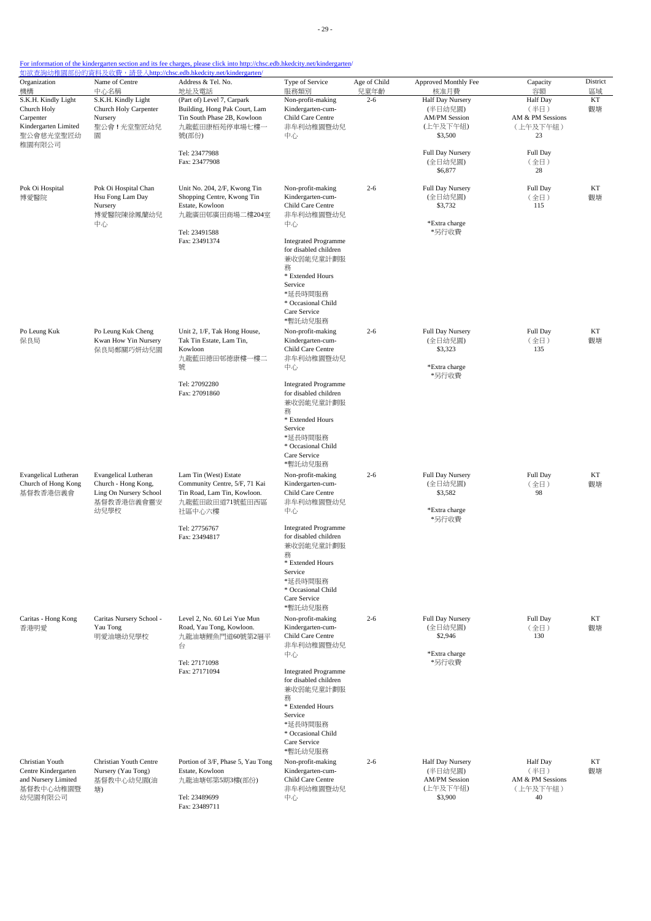| Organization<br>機構                                                                    | Name of Centre<br>中心名稱                                                                             | Address & Tel. No.<br>地址及電話                                                                                          | Type of Service<br>服務類別                                                                                                                                           | Age of Child<br>兒童年齡 | Approved Monthly Fee<br>核准月費                                               | Capacity<br>容額                                         | District<br>區域 |
|---------------------------------------------------------------------------------------|----------------------------------------------------------------------------------------------------|----------------------------------------------------------------------------------------------------------------------|-------------------------------------------------------------------------------------------------------------------------------------------------------------------|----------------------|----------------------------------------------------------------------------|--------------------------------------------------------|----------------|
| S.K.H. Kindly Light<br>Church Holy<br>Carpenter<br>Kindergarten Limited<br>聖公會慈光堂聖匠幼  | S.K.H. Kindly Light<br>Church Holy Carpenter<br>Nursery<br>聖公會!光堂聖匠幼兒<br>圜                         | (Part of) Level 7, Carpark<br>Building, Hong Pak Court, Lam<br>Tin South Phase 2B, Kowloon<br>九龍藍田康栢苑停車場七樓一<br>號(部份) | Non-profit-making<br>Kindergarten-cum-<br>Child Care Centre<br>非牟利幼稚園暨幼兒<br>中心                                                                                    | $2 - 6$              | Half Day Nursery<br>(半日幼兒園)<br><b>AM/PM Session</b><br>(上午及下午組)<br>\$3,500 | Half Day<br>(半日)<br>AM & PM Sessions<br>(上午及下午組)<br>23 | KT<br>觀塘       |
| 稚園有限公司                                                                                |                                                                                                    | Tel: 23477988<br>Fax: 23477908                                                                                       |                                                                                                                                                                   |                      | Full Day Nursery<br>(全日幼兒園)<br>\$6,877                                     | <b>Full Day</b><br>(全日)<br>28                          |                |
| Pok Oi Hospital<br>博愛醫院                                                               | Pok Oi Hospital Chan<br>Hsu Fong Lam Day<br>Nursery<br>博愛醫院陳徐鳳蘭幼兒<br>中心                            | Unit No. 204, 2/F, Kwong Tin<br>Shopping Centre, Kwong Tin<br>Estate, Kowloon<br>九龍廣田邨廣田商場二樓204室                     | Non-profit-making<br>Kindergarten-cum-<br>Child Care Centre<br>非牟利幼稚園暨幼兒<br>中心                                                                                    | $2 - 6$              | Full Day Nursery<br>(全日幼兒園)<br>\$3,732<br>*Extra charge                    | Full Day<br>(全日)<br>115                                | KT<br>觀塘       |
|                                                                                       |                                                                                                    | Tel: 23491588<br>Fax: 23491374                                                                                       | <b>Integrated Programme</b><br>for disabled children<br>兼收弱能兒童計劃服<br>務<br>* Extended Hours<br>Service<br>*延長時間服務<br>* Occasional Child<br>Care Service<br>*暫託幼兒服務 |                      | *另行收費                                                                      |                                                        |                |
| Po Leung Kuk<br>保良局                                                                   | Po Leung Kuk Cheng<br>Kwan How Yin Nursery<br>保良局鄭關巧妍幼兒園                                           | Unit 2, 1/F, Tak Hong House,<br>Tak Tin Estate, Lam Tin,<br>Kowloon<br>九龍藍田德田邨德康樓一樓二<br>號                            | Non-profit-making<br>Kindergarten-cum-<br>Child Care Centre<br>非牟利幼稚園暨幼兒<br>中心                                                                                    | $2 - 6$              | Full Day Nursery<br>(全日幼兒園)<br>\$3,323<br>*Extra charge<br>*另行收費           | Full Day<br>(全日)<br>135                                | KT<br>觀塘       |
|                                                                                       |                                                                                                    | Tel: 27092280<br>Fax: 27091860                                                                                       | <b>Integrated Programme</b><br>for disabled children<br>兼收弱能兒童計劃服<br>務<br>* Extended Hours<br>Service<br>*延長時間服務<br>* Occasional Child<br>Care Service<br>*暫託幼兒服務 |                      |                                                                            |                                                        |                |
| <b>Evangelical Lutheran</b><br>Church of Hong Kong<br>基督教香港信義會                        | <b>Evangelical Lutheran</b><br>Church - Hong Kong,<br>Ling On Nursery School<br>基督教香港信義會靈安<br>幼兒學校 | Lam Tin (West) Estate<br>Community Centre, 5/F, 71 Kai<br>Tin Road, Lam Tin, Kowloon.<br>九龍藍田啟田道71號藍田西區<br>社區中心六樓    | Non-profit-making<br>Kindergarten-cum-<br>Child Care Centre<br>非牟利幼稚園暨幼兒<br>中心                                                                                    | $2 - 6$              | Full Day Nursery<br>(全日幼兒園)<br>\$3,582<br>*Extra charge<br>*另行收費           | Full Day<br>(全日)<br>98                                 | KT<br>觀塘       |
|                                                                                       |                                                                                                    | Tel: 27756767<br>Fax: 23494817                                                                                       | <b>Integrated Programme</b><br>for disabled children<br>兼收弱能兒童計劃服<br>務<br>* Extended Hours<br>Service<br>*延長時間服務<br>* Occasional Child<br>Care Service<br>*暫託幼兒服務 |                      |                                                                            |                                                        |                |
| Caritas - Hong Kong<br>香港明愛                                                           | Caritas Nursery School -<br>Yau Tong<br>明愛油塘幼兒學校                                                   | Level 2, No. 60 Lei Yue Mun<br>Road, Yau Tong, Kowloon.<br>九龍油塘鯉魚門道60號第2層平<br>台                                      | Non-profit-making<br>Kindergarten-cum-<br>Child Care Centre<br>非牟利幼稚園暨幼兒<br>中心                                                                                    | $2 - 6$              | Full Day Nursery<br>(全日幼兒園)<br>\$2,946<br>*Extra charge                    | Full Day<br>(全日)<br>130                                | KT<br>觀塘       |
|                                                                                       |                                                                                                    | Tel: 27171098<br>Fax: 27171094                                                                                       | <b>Integrated Programme</b><br>for disabled children<br>兼收弱能兒童計劃服<br>務<br>* Extended Hours<br>Service<br>*延長時間服務<br>* Occasional Child<br>Care Service<br>*暫託幼兒服務 |                      | *另行收費                                                                      |                                                        |                |
| Christian Youth<br>Centre Kindergarten<br>and Nursery Limited<br>基督教中心幼稚園暨<br>幼兒園有限公司 | Christian Youth Centre<br>Nursery (Yau Tong)<br>基督教中心幼兒園(油<br>塘)                                   | Portion of 3/F, Phase 5, Yau Tong<br>Estate, Kowloon<br>九龍油塘邨第5期3樓(部份)<br>Tel: 23489699<br>Fax: 23489711             | Non-profit-making<br>Kindergarten-cum-<br>Child Care Centre<br>非牟利幼稚園暨幼兒<br>中心                                                                                    | $2 - 6$              | Half Day Nursery<br>(半日幼兒園)<br><b>AM/PM Session</b><br>(上午及下午組)<br>\$3,900 | Half Day<br>(半日)<br>AM & PM Sessions<br>(上午及下午組)<br>40 | KT<br>觀塘       |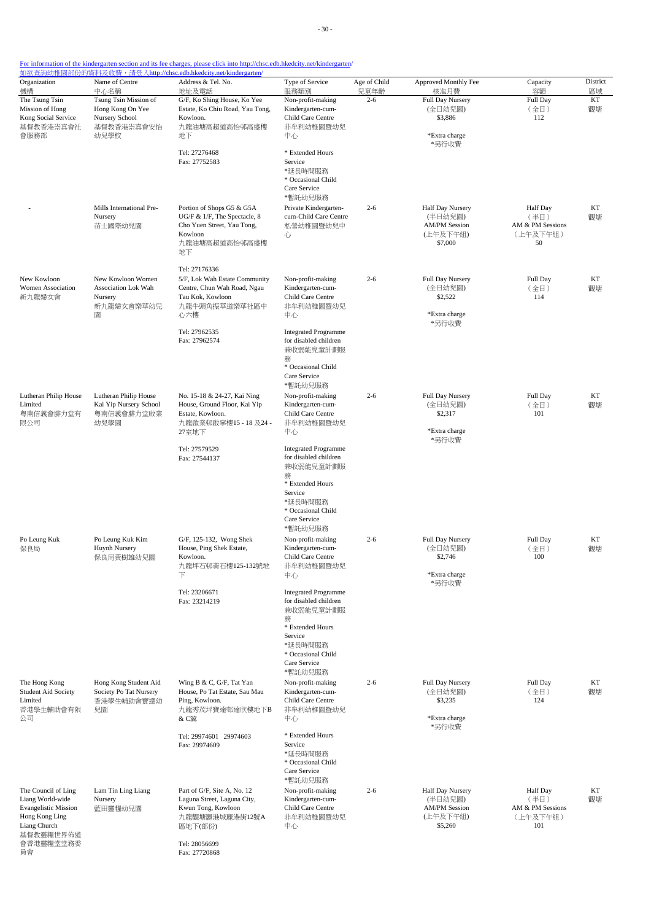- 30 -

| Organization<br>機構                              | Name of Centre<br>中心名稱                    | Address & Tel. No.<br>地址及電話                                    | Type of Service<br>服務類別                              | Age of Child<br>兒童年齡 | Approved Monthly Fee<br>核准月費     | Capacity<br>容額           | District<br>區域 |
|-------------------------------------------------|-------------------------------------------|----------------------------------------------------------------|------------------------------------------------------|----------------------|----------------------------------|--------------------------|----------------|
| The Tsung Tsin<br>Mission of Hong               | Tsung Tsin Mission of<br>Hong Kong On Yee | G/F, Ko Shing House, Ko Yee<br>Estate, Ko Chiu Road, Yau Tong, | Non-profit-making<br>Kindergarten-cum-               | $2 - 6$              | Full Day Nursery<br>(全日幼兒園)      | Full Day<br>(全日)         | KT<br>觀塘       |
| Kong Social Service                             | Nursery School                            | Kowloon.                                                       | Child Care Centre                                    |                      | \$3,886                          | 112                      |                |
| 基督教香港崇真會社<br>會服務部                               | 基督教香港崇真會安怡<br>幼兒學校                        | 九龍油塘高超道高怡邨高盛樓<br>地下                                            | 非牟利幼稚園暨幼兒<br>中心                                      |                      | *Extra charge                    |                          |                |
|                                                 |                                           |                                                                |                                                      |                      | *另行收費                            |                          |                |
|                                                 |                                           | Tel: 27276468<br>Fax: 27752583                                 | * Extended Hours<br>Service                          |                      |                                  |                          |                |
|                                                 |                                           |                                                                | *延長時間服務                                              |                      |                                  |                          |                |
|                                                 |                                           |                                                                | * Occasional Child<br>Care Service                   |                      |                                  |                          |                |
|                                                 |                                           |                                                                | *暫託幼兒服務                                              |                      |                                  |                          |                |
|                                                 | Mills International Pre-<br>Nursery       | Portion of Shops G5 & G5A<br>UG/F & 1/F, The Spectacle, 8      | Private Kindergarten-<br>cum-Child Care Centre       | $2 - 6$              | Half Day Nursery<br>(半日幼兒園)      | <b>Half</b> Day<br>(半日)  | KT<br>觀塘       |
|                                                 | 苗士國際幼兒園                                   | Cho Yuen Street, Yau Tong,<br>Kowloon                          | 私營幼稚園暨幼兒中                                            |                      | <b>AM/PM Session</b><br>(上午及下午組) | AM & PM Sessions         |                |
|                                                 |                                           | 九龍油塘高超道高怡邨高盛樓                                                  | 心                                                    |                      | \$7,000                          | (上午及下午組)<br>50           |                |
|                                                 |                                           | 地下                                                             |                                                      |                      |                                  |                          |                |
|                                                 |                                           | Tel: 27176336                                                  |                                                      |                      |                                  |                          |                |
| New Kowloon<br>Women Association                | New Kowloon Women<br>Association Lok Wah  | 5/F, Lok Wah Estate Community<br>Centre, Chun Wah Road, Ngau   | Non-profit-making<br>Kindergarten-cum-               | $2 - 6$              | Full Day Nursery<br>(全日幼兒園)      | Full Day<br>(全日)         | KT<br>觀塘       |
| 新九龍婦女會                                          | Nursery                                   | Tau Kok, Kowloon                                               | Child Care Centre                                    |                      | \$2,522                          | 114                      |                |
|                                                 | 新九龍婦女會樂華幼兒<br>圜                           | 九龍牛頭角振華道樂華社區中<br>心六樓                                           | 非牟利幼稚園暨幼兒<br>中心                                      |                      | *Extra charge                    |                          |                |
|                                                 |                                           |                                                                |                                                      |                      | *另行收費                            |                          |                |
|                                                 |                                           | Tel: 27962535<br>Fax: 27962574                                 | <b>Integrated Programme</b><br>for disabled children |                      |                                  |                          |                |
|                                                 |                                           |                                                                | 兼收弱能兒童計劃服                                            |                      |                                  |                          |                |
|                                                 |                                           |                                                                | 務<br>* Occasional Child                              |                      |                                  |                          |                |
|                                                 |                                           |                                                                | Care Service<br>*暫託幼兒服務                              |                      |                                  |                          |                |
| Lutheran Philip House                           | Lutheran Philip House                     | No. 15-18 & 24-27, Kai Ning                                    | Non-profit-making                                    | $2 - 6$              | Full Day Nursery                 | Full Day                 | KT             |
| Limited                                         | Kai Yip Nursery School                    | House, Ground Floor, Kai Yip                                   | Kindergarten-cum-                                    |                      | (全日幼兒園)                          | (全日)                     | 觀塘             |
| 粵南信義會腓力堂有<br>限公司                                | 粵南信義會腓力堂啟業<br>幼兒學園                        | Estate, Kowloon.<br>九龍啟業邨啟寧樓15 - 18 及24 -                      | Child Care Centre<br>非牟利幼稚園暨幼兒                       |                      | \$2,317                          | 101                      |                |
|                                                 |                                           | 27室地下                                                          | 中心                                                   |                      | *Extra charge<br>*另行收費           |                          |                |
|                                                 |                                           | Tel: 27579529                                                  | <b>Integrated Programme</b>                          |                      |                                  |                          |                |
|                                                 |                                           | Fax: 27544137                                                  | for disabled children<br>兼收弱能兒童計劃服                   |                      |                                  |                          |                |
|                                                 |                                           |                                                                | 務                                                    |                      |                                  |                          |                |
|                                                 |                                           |                                                                | * Extended Hours<br>Service                          |                      |                                  |                          |                |
|                                                 |                                           |                                                                | *延長時間服務                                              |                      |                                  |                          |                |
|                                                 |                                           |                                                                | * Occasional Child<br>Care Service                   |                      |                                  |                          |                |
|                                                 |                                           |                                                                | *暫託幼兒服務                                              |                      |                                  |                          |                |
| Po Leung Kuk<br>保良局                             | Po Leung Kuk Kim<br>Huynh Nursery         | G/F, 125-132, Wong Shek<br>House, Ping Shek Estate,            | Non-profit-making<br>Kindergarten-cum-               | $2 - 6$              | Full Day Nursery<br>(全日幼兒園)      | Full Day<br>(全日)         | КT<br>觀塘       |
|                                                 | 保良局黄樹雄幼兒園                                 | Kowloon.                                                       | Child Care Centre                                    |                      | \$2,746                          | 100                      |                |
|                                                 |                                           | 九龍坪石邨黃石樓125-132號地<br>下                                         | 非牟利幼稚園暨幼兒<br>中心                                      |                      | *Extra charge                    |                          |                |
|                                                 |                                           |                                                                |                                                      |                      | *另行收費                            |                          |                |
|                                                 |                                           | Tel: 23206671<br>Fax: 23214219                                 | <b>Integrated Programme</b><br>for disabled children |                      |                                  |                          |                |
|                                                 |                                           |                                                                | 兼收弱能兒童計劃服                                            |                      |                                  |                          |                |
|                                                 |                                           |                                                                | 務<br>* Extended Hours                                |                      |                                  |                          |                |
|                                                 |                                           |                                                                | Service<br>*延長時間服務                                   |                      |                                  |                          |                |
|                                                 |                                           |                                                                | * Occasional Child                                   |                      |                                  |                          |                |
|                                                 |                                           |                                                                | Care Service<br>*暫託幼兒服務                              |                      |                                  |                          |                |
| The Hong Kong                                   | Hong Kong Student Aid                     | Wing B & C, G/F, Tat Yan                                       | Non-profit-making                                    | $2 - 6$              | Full Day Nursery                 | Full Day                 | KT             |
| Student Aid Society<br>Limited                  | Society Po Tat Nursery<br>香港學生輔助會寶達幼      | House, Po Tat Estate, Sau Mau<br>Ping, Kowloon.                | Kindergarten-cum-<br>Child Care Centre               |                      | (全日幼兒園)<br>\$3,235               | (全日)<br>124              | 觀塘             |
| 香港學生輔助會有限                                       | 兒園                                        | 九龍秀茂坪寶達邨達欣樓地下B                                                 | 非牟利幼稚園暨幼兒                                            |                      |                                  |                          |                |
| 公司                                              |                                           | & C翼                                                           | 中心                                                   |                      | *Extra charge<br>*另行收費           |                          |                |
|                                                 |                                           | Tel: 29974601 29974603                                         | * Extended Hours                                     |                      |                                  |                          |                |
|                                                 |                                           | Fax: 29974609                                                  | Service<br>*延長時間服務                                   |                      |                                  |                          |                |
|                                                 |                                           |                                                                | * Occasional Child                                   |                      |                                  |                          |                |
|                                                 |                                           |                                                                | Care Service<br>*暫託幼兒服務                              |                      |                                  |                          |                |
| The Council of Ling                             | Lam Tin Ling Liang                        | Part of G/F, Site A, No. 12                                    | Non-profit-making                                    | $2 - 6$              | Half Day Nursery                 | <b>Half</b> Day          | KT             |
| Liang World-wide<br><b>Evangelistic Mission</b> | Nursery<br>藍田靈糧幼兒園                        | Laguna Street, Laguna City,<br>Kwun Tong, Kowloon              | Kindergarten-cum-<br>Child Care Centre               |                      | (半日幼兒園)<br><b>AM/PM Session</b>  | (半日)<br>AM & PM Sessions | 觀塘             |
| Hong Kong Ling                                  |                                           | 九龍觀塘麗港城麗港街12號A                                                 | 非牟利幼稚園暨幼兒                                            |                      | (上午及下午組)                         | (上午及下午組)                 |                |
| Liang Church<br>基督教靈糧世界佈道                       |                                           | 區地下(部份)                                                        | 中心                                                   |                      | \$5,260                          | 101                      |                |
| 會香港靈糧堂堂務委                                       |                                           | Tel: 28056699                                                  |                                                      |                      |                                  |                          |                |
| 員會                                              |                                           | Fax: 27720868                                                  |                                                      |                      |                                  |                          |                |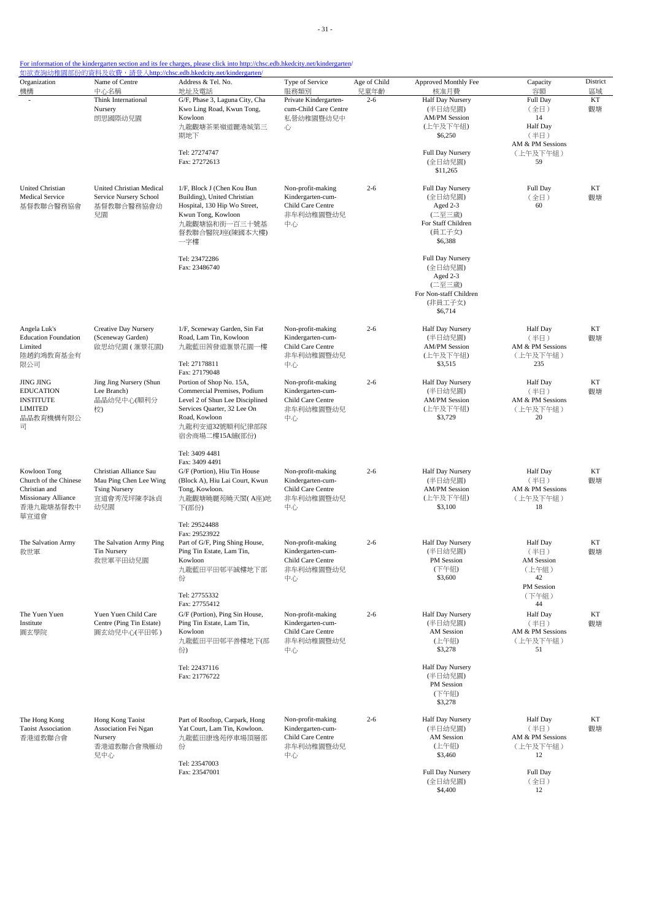| For information of the kindergarten section and its fee charges, please click into http://chsc.edb.hkedcity.net/kindergarten/ |  |  |  |
|-------------------------------------------------------------------------------------------------------------------------------|--|--|--|
|                                                                                                                               |  |  |  |

| Organization                                                                                              | Name of Centre                                                                                | Address & Tel. No.                                                                                                                                                                                            | Type of Service                                                                | Age of Child    | Approved Monthly Fee                                                                                                                                           | Capacity                                                                                | District       |
|-----------------------------------------------------------------------------------------------------------|-----------------------------------------------------------------------------------------------|---------------------------------------------------------------------------------------------------------------------------------------------------------------------------------------------------------------|--------------------------------------------------------------------------------|-----------------|----------------------------------------------------------------------------------------------------------------------------------------------------------------|-----------------------------------------------------------------------------------------|----------------|
| 機構                                                                                                        | 中心名稱<br>Think International<br>Nursery<br>朗思國際幼兒園                                             | 地址及電話<br>G/F, Phase 3, Laguna City, Cha<br>Kwo Ling Road, Kwun Tong,<br>Kowloon<br>九龍觀塘茶果嶺道麗港城第三<br>期地下<br>Tel: 27274747                                                                                      | 服務類別<br>Private Kindergarten-<br>cum-Child Care Centre<br>私營幼稚園暨幼兒中<br>心       | 兒童年齡<br>$2 - 6$ | 核准月費<br>Half Day Nursery<br>(半日幼兒園)<br><b>AM/PM Session</b><br>(上午及下午組)<br>\$6,250<br>Full Day Nursery                                                         | 容額<br>Full Day<br>(全日)<br>14<br><b>Half Day</b><br>(半日)<br>AM & PM Sessions<br>(上午及下午組) | 區域<br>KT<br>觀塘 |
| <b>United Christian</b><br><b>Medical Service</b><br>基督教聯合醫務協會                                            | United Christian Medical<br>Service Nursery School<br>基督教聯合醫務協會幼<br>兒園                        | Fax: 27272613<br>1/F, Block J (Chen Kou Bun<br>Building), United Christian<br>Hospital, 130 Hip Wo Street,<br>Kwun Tong, Kowloon<br>九龍觀塘協和街一百三十號基<br>督教聯合醫院J座(陳國本大樓)<br>一字樓<br>Tel: 23472286<br>Fax: 23486740 | Non-profit-making<br>Kindergarten-cum-<br>Child Care Centre<br>非牟利幼稚園暨幼兒<br>中心 | $2 - 6$         | (全日幼兒園)<br>\$11,265<br>Full Day Nursery<br>(全日幼兒園)<br>Aged 2-3<br>(二至三歲)<br>For Staff Children<br>(員工子女)<br>\$6,388<br>Full Day Nursery<br>(全日幼兒園)<br>Aged 2-3 | 59<br>Full Day<br>(全日)<br>60                                                            | KT<br>觀塘       |
| Angela Luk's                                                                                              | Creative Day Nursery                                                                          | 1/F, Sceneway Garden, Sin Fat                                                                                                                                                                                 | Non-profit-making                                                              | $2 - 6$         | (二至三歲)<br>For Non-staff Children<br>(非員工子女)<br>\$6,714<br>Half Day Nursery                                                                                     | <b>Half Day</b>                                                                         | KT             |
| <b>Education Foundation</b><br>Limited<br>陸趙鈞鴻教育基金有<br>限公司                                                | (Sceneway Garden)<br>啟思幼兒園(滙景花園)                                                              | Road, Lam Tin, Kowloon<br>九龍藍田茜發道滙景花園一樓<br>Tel: 27178811<br>Fax: 27179048                                                                                                                                     | Kindergarten-cum-<br>Child Care Centre<br>非牟利幼稚園暨幼兒<br>中心                      |                 | (半日幼兒園)<br><b>AM/PM Session</b><br>(上午及下午組)<br>\$3,515                                                                                                         | (半日)<br>AM & PM Sessions<br>(上午及下午組)<br>235                                             | 觀塘             |
| <b>JING JING</b><br><b>EDUCATION</b><br><b>INSTITUTE</b><br><b>LIMITED</b><br>晶晶教育機構有限公<br>司              | Jing Jing Nursery (Shun<br>Lee Branch)<br>晶晶幼兒中心(順利分<br>校)                                    | Portion of Shop No. 15A,<br>Commercial Premises, Podium<br>Level 2 of Shun Lee Disciplined<br>Services Quarter, 32 Lee On<br>Road, Kowloon<br>九龍利安道32號順利紀律部隊<br>宿舍商場二樓15A舖(部份)                                | Non-profit-making<br>Kindergarten-cum-<br>Child Care Centre<br>非牟利幼稚園暨幼兒<br>中心 | $2 - 6$         | <b>Half Day Nursery</b><br>(半日幼兒園)<br><b>AM/PM Session</b><br>(上午及下午組)<br>\$3,729                                                                              | <b>Half Day</b><br>(半日)<br>AM & PM Sessions<br>(上午及下午組)<br>20                           | KT<br>觀塘       |
| Kowloon Tong<br>Church of the Chinese<br>Christian and<br><b>Missionary Alliance</b><br>香港九龍塘基督教中<br>華宣道會 | Christian Alliance Sau<br>Mau Ping Chen Lee Wing<br><b>Tsing Nursery</b><br>宣道會秀茂坪陳李詠貞<br>幼兒園 | Tel: 3409 4481<br>Fax: 3409 4491<br>G/F (Portion), Hiu Tin House<br>(Block A), Hiu Lai Court, Kwun<br>Tong, Kowloon.<br>九龍觀塘曉麗苑曉天閣(A座)地<br>下(部份)                                                              | Non-profit-making<br>Kindergarten-cum-<br>Child Care Centre<br>非牟利幼稚園暨幼兒<br>中心 | $2 - 6$         | Half Day Nursery<br>(半日幼兒園)<br><b>AM/PM Session</b><br>(上午及下午組)<br>\$3,100                                                                                     | <b>Half Day</b><br>(半日)<br>AM & PM Sessions<br>(上午及下午組)<br>18                           | КT<br>觀塘       |
| The Salvation Army<br>救世軍                                                                                 | The Salvation Army Ping<br>Tin Nursery<br>救世軍平田幼兒園                                            | Tel: 29524488<br>Fax: 29523922<br>Part of G/F, Ping Shing House,<br>Ping Tin Estate, Lam Tin,<br>Kowloon<br>九龍藍田平田邨平誠樓地下部<br>份                                                                                | Non-profit-making<br>Kindergarten-cum-<br>Child Care Centre<br>非牟利幼稚園暨幼兒<br>中心 | $2 - 6$         | <b>Half Day Nursery</b><br>(半日幼兒園)<br>PM Session<br>(下午組)<br>\$3,600                                                                                           | <b>Half Day</b><br>(半日)<br><b>AM</b> Session<br>(上午組)<br>42<br>PM Session               | KT<br>觀塘       |
| The Yuen Yuen<br>Institute<br>圓玄學院                                                                        | Yuen Yuen Child Care<br>Centre (Ping Tin Estate)<br>圓玄幼兒中心(平田邨)                               | Tel: 27755332<br>Fax: 27755412<br>G/F (Portion), Ping Sin House,<br>Ping Tin Estate, Lam Tin,<br>Kowloon<br>九龍藍田平田邨平善樓地下(部<br>份                                                                               | Non-profit-making<br>Kindergarten-cum-<br>Child Care Centre<br>非牟利幼稚園暨幼兒<br>中心 | $2 - 6$         | Half Day Nursery<br>(半日幼兒園)<br>AM Session<br>(上午組)<br>\$3,278                                                                                                  | (下午組)<br>44<br><b>Half</b> Day<br>(半日)<br>AM & PM Sessions<br>(上午及下午組)<br>51            | KT<br>觀塘       |
|                                                                                                           |                                                                                               | Tel: 22437116<br>Fax: 21776722                                                                                                                                                                                |                                                                                |                 | Half Day Nursery<br>(半日幼兒園)<br>PM Session<br>(下午組)<br>\$3,278                                                                                                  |                                                                                         |                |
| The Hong Kong<br><b>Taoist Association</b><br>香港道教聯合會                                                     | Hong Kong Taoist<br>Association Fei Ngan<br>Nursery<br>香港道教聯合會飛雁幼<br>兒中心                      | Part of Rooftop, Carpark, Hong<br>Yat Court, Lam Tin, Kowloon.<br>九龍藍田康逸苑停車場頂層部<br>份<br>Tel: 23547003                                                                                                         | Non-profit-making<br>Kindergarten-cum-<br>Child Care Centre<br>非牟利幼稚園暨幼兒<br>中心 | $2 - 6$         | Half Day Nursery<br>(半日幼兒園)<br>AM Session<br>(上午組)<br>\$3,460                                                                                                  | Half Day<br>(半日)<br>AM & PM Sessions<br>(上午及下午組)<br>12                                  | KT<br>觀塘       |
|                                                                                                           |                                                                                               | Fax: 23547001                                                                                                                                                                                                 |                                                                                |                 | Full Day Nursery<br>(全日幼兒園)<br>\$4,400                                                                                                                         | Full Day<br>(全日)<br>12                                                                  |                |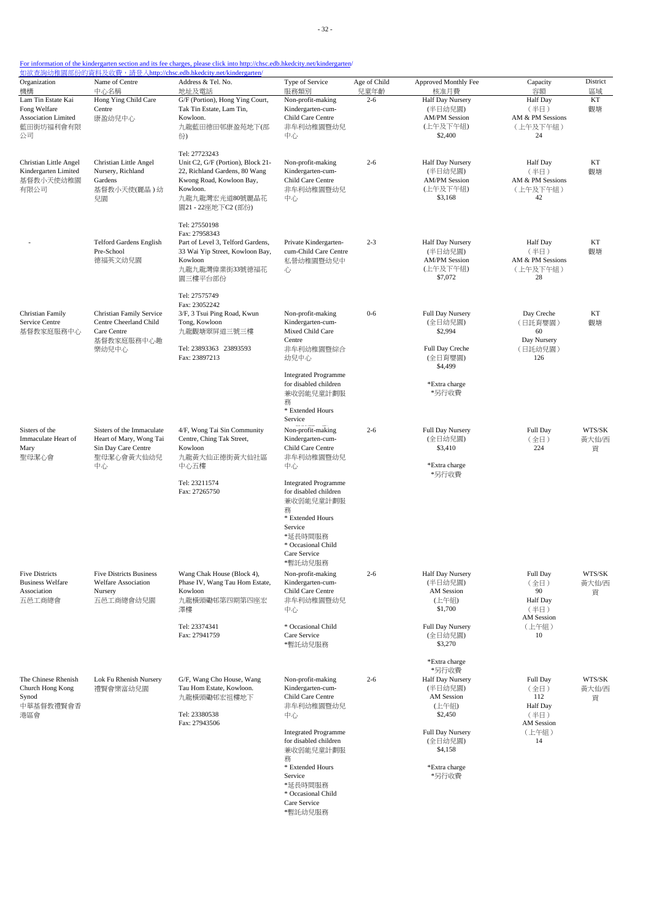- 32 -

## For information of the kindergarten section and its fee charges, please click into http://chsc.edb.hkedcity.net/kindergarten/

| Organization<br>機構                                                           | Name of Centre<br>中心名稱                                                                          | 如欲查詢幼稚園部份的資料及收費, 請登入http://chsc.edb.hkedcity.net/kindergarten/<br>Address & Tel. No.<br>地址及電話                                                                       | Type of Service<br>服務類別                                                                                                                                                      | Age of Child<br>兒童年齡 | Approved Monthly Fee<br>核准月費                                                                                             | Capacity<br>容額                                                                  | District<br>區域       |
|------------------------------------------------------------------------------|-------------------------------------------------------------------------------------------------|---------------------------------------------------------------------------------------------------------------------------------------------------------------------|------------------------------------------------------------------------------------------------------------------------------------------------------------------------------|----------------------|--------------------------------------------------------------------------------------------------------------------------|---------------------------------------------------------------------------------|----------------------|
| Lam Tin Estate Kai<br>Fong Welfare<br>Association Limited<br>藍田街坊福利會有限<br>公司 | Hong Ying Child Care<br>Centre<br>康盈幼兒中心                                                        | G/F (Portion), Hong Ying Court,<br>Tak Tin Estate, Lam Tin,<br>Kowloon.<br>九龍藍田德田邨康盈苑地下(部<br>份)                                                                     | Non-profit-making<br>Kindergarten-cum-<br>Child Care Centre<br>非牟利幼稚園暨幼兒<br>中心                                                                                               | $2 - 6$              | Half Day Nursery<br>(半日幼兒園)<br><b>AM/PM Session</b><br>(上午及下午組)<br>\$2,400                                               | <b>Half</b> Day<br>(半日)<br>AM & PM Sessions<br>(上午及下午組)<br>24                   | KT<br>觀塘             |
| Christian Little Angel<br>Kindergarten Limited<br>基督教小天使幼稚園<br>有限公司          | Christian Little Angel<br>Nursery, Richland<br>Gardens<br>基督教小天使(麗晶)幼<br>兒園                     | Tel: 27723243<br>Unit C2, G/F (Portion), Block 21-<br>22, Richland Gardens, 80 Wang<br>Kwong Road, Kowloon Bay,<br>Kowloon.<br>九龍九龍灣宏光道80號麗晶花<br>園21 - 22座地下C2 (部份) | Non-profit-making<br>Kindergarten-cum-<br>Child Care Centre<br>非牟利幼稚園暨幼兒<br>中心                                                                                               | $2 - 6$              | Half Day Nursery<br>(半日幼兒園)<br><b>AM/PM Session</b><br>(上午及下午組)<br>\$3,168                                               | <b>Half Day</b><br>(半日)<br>AM & PM Sessions<br>(上午及下午組)<br>42                   | КT<br>觀塘             |
|                                                                              | <b>Telford Gardens English</b><br>Pre-School<br>德福英文幼兒園                                         | Tel: 27550198<br>Fax: 27958343<br>Part of Level 3, Telford Gardens,<br>33 Wai Yip Street, Kowloon Bay,<br>Kowloon<br>九龍九龍灣偉業街33號德福花<br>園三樓平台部份                      | Private Kindergarten-<br>cum-Child Care Centre<br>私營幼稚園暨幼兒中<br>心                                                                                                             | $2 - 3$              | Half Day Nursery<br>(半日幼兒園)<br><b>AM/PM Session</b><br>(上午及下午組)<br>\$7,072                                               | <b>Half</b> Day<br>(半日)<br>AM & PM Sessions<br>(上午及下午組)<br>28                   | KT<br>觀塘             |
| Christian Family<br>Service Centre<br>基督教家庭服務中心                              | <b>Christian Family Service</b><br>Centre Cheerland Child<br>Care Centre<br>基督教家庭服務中心趣<br>樂幼兒中心 | Tel: 27575749<br>Fax: 23052242<br>3/F, 3 Tsui Ping Road, Kwun<br>Tong, Kowloon<br>九龍觀塘翠屏道三號三樓<br>Tel: 23893363 23893593<br>Fax: 23897213                            | Non-profit-making<br>Kindergarten-cum-<br>Mixed Child Care<br>Centre<br>非牟利幼稚園暨綜合<br>幼兒中心                                                                                    | $0 - 6$              | Full Day Nursery<br>(全日幼兒園)<br>\$2,994<br>Full Day Creche<br>(全日育嬰園)                                                     | Day Creche<br>(日託育嬰園)<br>60<br>Day Nursery<br>(日託幼兒園)<br>126                    | КT<br>觀塘             |
|                                                                              |                                                                                                 |                                                                                                                                                                     | <b>Integrated Programme</b><br>for disabled children<br>兼收弱能兒童計劃服<br>務<br>* Extended Hours<br>Service                                                                        |                      | \$4,499<br>*Extra charge<br>*另行收費                                                                                        |                                                                                 |                      |
| Sisters of the<br>Immaculate Heart of<br>Mary<br>聖母潔心會                       | Sisters of the Immaculate<br>Heart of Mary, Wong Tai<br>Sin Day Care Centre<br>聖母潔心會黃大仙幼兒<br>中心 | 4/F, Wong Tai Sin Community<br>Centre, Ching Tak Street,<br>Kowloon<br>九龍黃大仙正德街黃大仙社區<br>中心五樓                                                                        | Non-profit-making<br>Kindergarten-cum-<br>Child Care Centre<br>非牟利幼稚園暨幼兒<br>中心                                                                                               | $2 - 6$              | Full Day Nursery<br>(全日幼兒園)<br>\$3,410<br>*Extra charge<br>*另行收費                                                         | Full Day<br>(全日)<br>224                                                         | WTS/SK<br>黃大仙/西<br>貢 |
|                                                                              |                                                                                                 | Tel: 23211574<br>Fax: 27265750                                                                                                                                      | <b>Integrated Programme</b><br>for disabled children<br>兼收弱能兒童計劃服<br>務<br>* Extended Hours<br>Service<br>*延長時間服務<br>* Occasional Child<br>Care Service<br>*暫託幼兒服務            |                      |                                                                                                                          |                                                                                 |                      |
| <b>Five Districts</b><br><b>Business Welfare</b><br>Association<br>五邑工商總會    | <b>Five Districts Business</b><br>Welfare Association<br>Nursery<br>五邑工商總會幼兒園                   | Wang Chak House (Block 4),<br>Phase IV, Wang Tau Hom Estate,<br>Kowloon<br>九龍橫頭磡邨第四期第四座宏<br>澤樓<br>Tel: 23374341<br>Fax: 27941759                                    | Non-profit-making<br>Kindergarten-cum-<br>Child Care Centre<br>非牟利幼稚園暨幼兒<br>中心<br>* Occasional Child<br>Care Service                                                         | $2 - 6$              | Half Day Nursery<br>(半日幼兒園)<br>AM Session<br>(上午組)<br>\$1,700<br>Full Day Nursery<br>(全日幼兒園)                             | Full Day<br>(全日)<br>90<br>Half Day<br>(半日)<br>AM Session<br>(上午組)<br>10         | WTS/SK<br>黃大仙/西<br>貢 |
|                                                                              |                                                                                                 |                                                                                                                                                                     | *暫託幼兒服務                                                                                                                                                                      |                      | \$3,270<br>*Extra charge<br>*另行收費                                                                                        |                                                                                 |                      |
| The Chinese Rhenish<br>Church Hong Kong<br>Synod<br>中華基督教禮賢會香<br>港區會         | Lok Fu Rhenish Nursery<br>禮賢會樂富幼兒園                                                              | G/F, Wang Cho House, Wang<br>Tau Hom Estate, Kowloon.<br>九龍橫頭磡邨宏祖樓地下<br>Tel: 23380538<br>Fax: 27943506                                                              | Non-profit-making<br>Kindergarten-cum-<br>Child Care Centre<br>非牟利幼稚園暨幼兒<br>中心<br><b>Integrated Programme</b><br>for disabled children<br>兼收弱能兒童計劃服<br>務<br>* Extended Hours | $2 - 6$              | Half Day Nursery<br>(半日幼兒園)<br>AM Session<br>(上午組)<br>\$2,450<br>Full Day Nursery<br>(全日幼兒園)<br>\$4,158<br>*Extra charge | Full Day<br>(全日)<br>112<br><b>Half</b> Day<br>(半日)<br>AM Session<br>(上午組)<br>14 | WTS/SK<br>黃大仙/西<br>貢 |
|                                                                              |                                                                                                 |                                                                                                                                                                     | Service<br>*延長時間服務<br>* Occasional Child<br>Care Service                                                                                                                     |                      | *另行收費                                                                                                                    |                                                                                 |                      |

\*暫託幼兒服務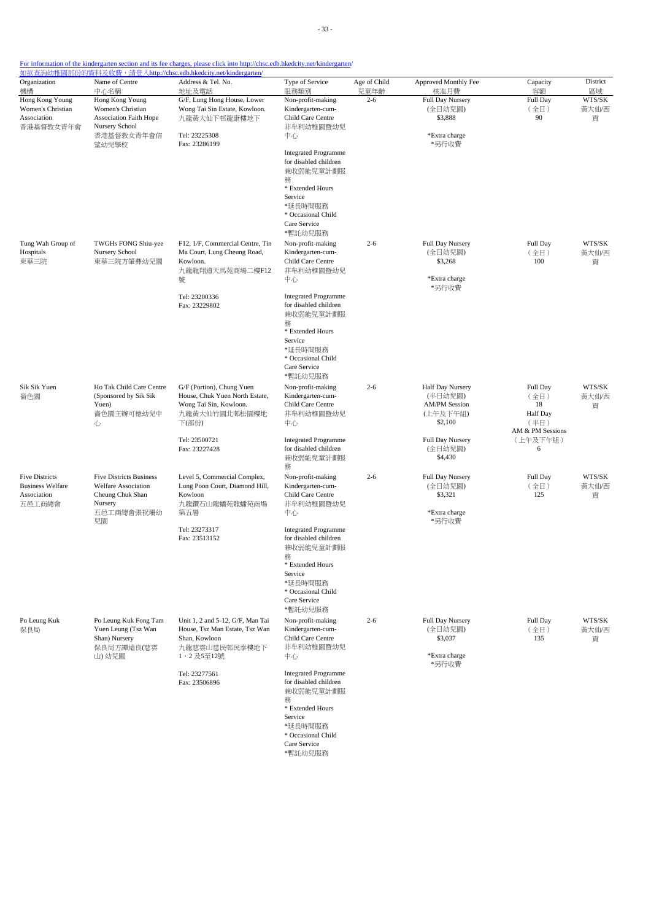| Organization<br>機構                                                        | Name of Centre<br>中心名稱                                                                                   | Address & Tel. No.<br>地址及電話                                                                                       | Type of Service<br>服務類別                                                                                                                                           | Age of Child<br>兒童年齡 | Approved Monthly Fee<br>核准月費                                                                   | Capacity<br>容額                                                 | District<br>區域       |
|---------------------------------------------------------------------------|----------------------------------------------------------------------------------------------------------|-------------------------------------------------------------------------------------------------------------------|-------------------------------------------------------------------------------------------------------------------------------------------------------------------|----------------------|------------------------------------------------------------------------------------------------|----------------------------------------------------------------|----------------------|
| Hong Kong Young<br>Women's Christian<br>Association<br>香港基督教女青年會          | Hong Kong Young<br>Women's Christian<br><b>Association Faith Hope</b><br>Nursery School<br>香港基督教女青年會信    | G/F, Lung Hong House, Lower<br>Wong Tai Sin Estate, Kowloon.<br>九龍黃大仙下邨龍康樓地下<br>Tel: 23225308                     | Non-profit-making<br>Kindergarten-cum-<br>Child Care Centre<br>非牟利幼稚園暨幼兒<br>中心                                                                                    | $2 - 6$              | Full Day Nursery<br>(全日幼兒園)<br>\$3,888<br>*Extra charge<br>*另行收費                               | Full Day<br>(全日)<br>90                                         | WTS/SK<br>黃大仙/西<br>貢 |
|                                                                           | 望幼兒學校                                                                                                    | Fax: 23286199                                                                                                     | <b>Integrated Programme</b><br>for disabled children<br>兼收弱能兒童計劃服<br>務<br>* Extended Hours<br>Service<br>*延長時間服務<br>* Occasional Child<br>Care Service<br>*暫託幼兒服務 |                      |                                                                                                |                                                                |                      |
| Tung Wah Group of<br>Hospitals<br>東華三院                                    | TWGHs FONG Shiu-yee<br>Nursery School<br>東華三院方肇彝幼兒園                                                      | F12, 1/F, Commercial Centre, Tin<br>Ma Court, Lung Cheung Road,<br>Kowloon.<br>九龍龍翔道天馬苑商場二樓F12<br>號               | Non-profit-making<br>Kindergarten-cum-<br>Child Care Centre<br>非牟利幼稚園暨幼兒<br>中心                                                                                    | $2 - 6$              | Full Day Nursery<br>(全日幼兒園)<br>\$3,268<br>*Extra charge<br>*另行收費                               | Full Day<br>(全日)<br>100                                        | WTS/SK<br>黃大仙/西<br>貢 |
|                                                                           |                                                                                                          | Tel: 23200336<br>Fax: 23229802                                                                                    | <b>Integrated Programme</b><br>for disabled children<br>兼收弱能兒童計劃服<br>務<br>* Extended Hours<br>Service<br>*延長時間服務<br>* Occasional Child<br>Care Service<br>*暫託幼兒服務 |                      |                                                                                                |                                                                |                      |
| Sik Sik Yuen<br>嗇色園                                                       | Ho Tak Child Care Centre<br>(Sponsored by Sik Sik<br>Yuen)<br>嗇色園主辦可德幼兒中<br>心                            | G/F (Portion), Chung Yuen<br>House, Chuk Yuen North Estate,<br>Wong Tai Sin, Kowloon.<br>九龍黃大仙竹園北邨松園樓地<br>下(部份)   | Non-profit-making<br>Kindergarten-cum-<br>Child Care Centre<br>非牟利幼稚園暨幼兒<br>中心<br><b>Integrated Programme</b>                                                     | $2 - 6$              | Half Day Nursery<br>(半日幼兒園)<br><b>AM/PM Session</b><br>(上午及下午組)<br>\$2,100<br>Full Day Nursery | Full Day<br>(全日)<br>18<br>Half Day<br>(半日)<br>AM & PM Sessions | WTS/SK<br>黄大仙/西<br>貢 |
|                                                                           |                                                                                                          | Tel: 23500721<br>Fax: 23227428                                                                                    | for disabled children<br>兼收弱能兒童計劃服<br>務                                                                                                                           |                      | (全日幼兒園)<br>\$4,430                                                                             | (上午及下午組)<br>6                                                  |                      |
| <b>Five Districts</b><br><b>Business Welfare</b><br>Association<br>五邑工商總會 | <b>Five Districts Business</b><br>Welfare Association<br>Cheung Chuk Shan<br>Nursery<br>五邑工商總會張祝珊幼<br>兒園 | Level 5, Commercial Complex,<br>Lung Poon Court, Diamond Hill,<br>Kowloon<br>九龍鑽石山龍蟠苑龍蟠苑商場<br>第五層                 | Non-profit-making<br>Kindergarten-cum-<br>Child Care Centre<br>非牟利幼稚園暨幼兒<br>中心                                                                                    | $2 - 6$              | Full Day Nursery<br>(全日幼兒園)<br>\$3,321<br>*Extra charge<br>*另行收費                               | Full Day<br>(全日)<br>125                                        | WTS/SK<br>黄大仙/西<br>貢 |
|                                                                           |                                                                                                          | Tel: 23273317<br>Fax: 23513152                                                                                    | <b>Integrated Programme</b><br>for disabled children<br>兼收弱能兒童計劃服<br>務<br>* Extended Hours<br>Service<br>*延長時間服務<br>* Occasional Child<br>Care Service<br>*暫託幼兒服務 |                      |                                                                                                |                                                                |                      |
| Po Leung Kuk<br>保良局                                                       | Po Leung Kuk Fong Tam<br>Yuen Leung (Tsz Wan<br>Shan) Nursery<br>保良局方譚遠良(慈雲<br>山)幼兒園                     | Unit 1, 2 and 5-12, G/F, Man Tai<br>House, Tsz Man Estate, Tsz Wan<br>Shan, Kowloon<br>九龍慈雲山慈民邨民泰樓地下<br>1、2及5至12號 | Non-profit-making<br>Kindergarten-cum-<br>Child Care Centre<br>非牟利幼稚園暨幼兒<br>中心                                                                                    | $2 - 6$              | Full Day Nursery<br>(全日幼兒園)<br>\$3,037<br>*Extra charge<br>*另行收費                               | Full Day<br>(全日)<br>135                                        | WTS/SK<br>黃大仙/西<br>貢 |
|                                                                           |                                                                                                          | Tel: 23277561<br>Fax: 23506896                                                                                    | <b>Integrated Programme</b><br>for disabled children<br>兼收弱能兒童計劃服<br>務<br>* Extended Hours<br>Service<br>*延長時間服務<br>* Occasional Child<br>Care Service            |                      |                                                                                                |                                                                |                      |

Care Service \*暫託幼兒服務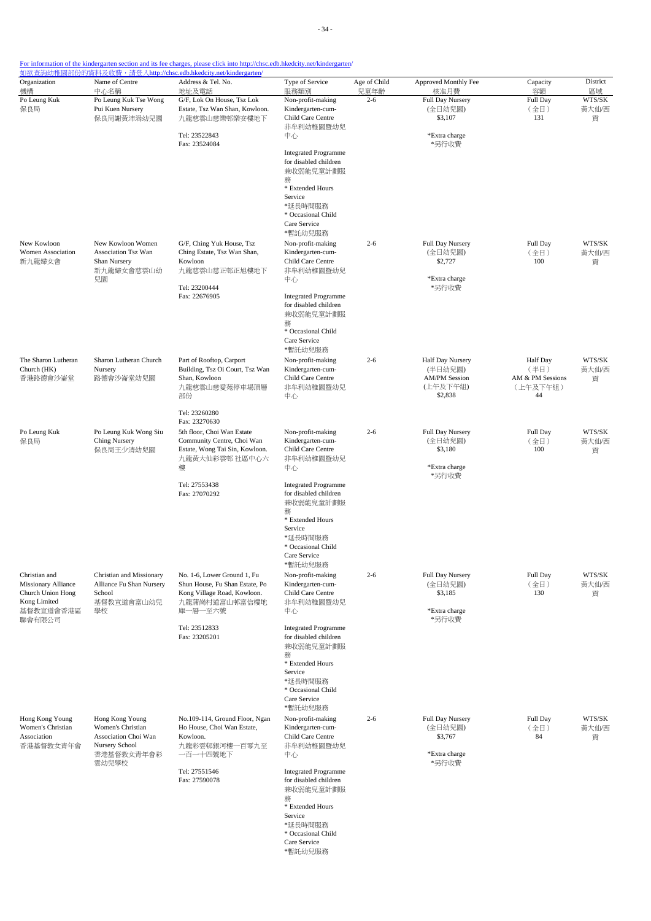| Organization<br>機構                                                              | Name of Centre<br>中心名稱                                                                                | Address & Tel. No.<br>地址及電話                                                                                  | Type of Service<br>服務類別                                                  | Age of Child<br>兒童年齡 | Approved Monthly Fee<br>核准月費                        | Capacity<br>容額                              | District<br>區域       |
|---------------------------------------------------------------------------------|-------------------------------------------------------------------------------------------------------|--------------------------------------------------------------------------------------------------------------|--------------------------------------------------------------------------|----------------------|-----------------------------------------------------|---------------------------------------------|----------------------|
| Po Leung Kuk<br>保良局                                                             | Po Leung Kuk Tse Wong<br>Pui Kuen Nursery<br>保良局謝黃沛涓幼兒園                                               | G/F, Lok On House, Tsz Lok<br>Estate, Tsz Wan Shan, Kowloon.<br>九龍慈雲山慈樂邨樂安樓地下                                | Non-profit-making<br>Kindergarten-cum-<br>Child Care Centre<br>非牟利幼稚園暨幼兒 | $2 - 6$              | <b>Full Day Nursery</b><br>(全日幼兒園)<br>\$3,107       | Full Day<br>(全日)<br>131                     | WTS/SK<br>黃大仙/西<br>貢 |
|                                                                                 |                                                                                                       | Tel: 23522843<br>Fax: 23524084                                                                               | 中心                                                                       |                      | *Extra charge<br>*另行收費                              |                                             |                      |
|                                                                                 |                                                                                                       |                                                                                                              | <b>Integrated Programme</b><br>for disabled children<br>兼收弱能兒童計劃服<br>務   |                      |                                                     |                                             |                      |
|                                                                                 |                                                                                                       |                                                                                                              | * Extended Hours<br>Service<br>*延長時間服務                                   |                      |                                                     |                                             |                      |
|                                                                                 |                                                                                                       |                                                                                                              | * Occasional Child<br>Care Service<br>*暫託幼兒服務                            |                      |                                                     |                                             |                      |
| New Kowloon<br>Women Association<br>新九龍婦女會                                      | New Kowloon Women<br>Association Tsz Wan<br>Shan Nursery<br>新九龍婦女會慈雲山幼<br>兒園                          | G/F, Ching Yuk House, Tsz<br>Ching Estate, Tsz Wan Shan,<br>Kowloon                                          | Non-profit-making<br>Kindergarten-cum-<br>Child Care Centre              | $2 - 6$              | Full Day Nursery<br>(全日幼兒園)<br>\$2,727              | Full Day<br>(全日)<br>100                     | WTS/SK<br>黃大仙/西<br>貢 |
|                                                                                 |                                                                                                       | 九龍慈雲山慈正邨正旭樓地下<br>Tel: 23200444                                                                               | 非牟利幼稚園暨幼兒<br>中心                                                          |                      | *Extra charge<br>*另行收費                              |                                             |                      |
|                                                                                 |                                                                                                       | Fax: 22676905                                                                                                | <b>Integrated Programme</b><br>for disabled children<br>兼收弱能兒童計劃服<br>務   |                      |                                                     |                                             |                      |
|                                                                                 |                                                                                                       |                                                                                                              | * Occasional Child<br>Care Service<br>*暫託幼兒服務                            |                      |                                                     |                                             |                      |
| The Sharon Lutheran<br>Church (HK)<br>香港路德會沙崙堂                                  | Sharon Lutheran Church<br>Nursery<br>路德會沙崙堂幼兒園                                                        | Part of Rooftop, Carport<br>Building, Tsz Oi Court, Tsz Wan<br>Shan, Kowloon                                 | Non-profit-making<br>Kindergarten-cum-<br>Child Care Centre              | $2 - 6$              | Half Day Nursery<br>(半日幼兒園)<br><b>AM/PM Session</b> | <b>Half</b> Day<br>(半日)<br>AM & PM Sessions | WTS/SK<br>黃大仙/西<br>貢 |
|                                                                                 |                                                                                                       | 九龍慈雲山慈愛苑停車場頂層<br>部份                                                                                          | 非牟利幼稚園暨幼兒<br>中心                                                          |                      | (上午及下午組)<br>\$2,838                                 | (上午及下午組)<br>44                              |                      |
|                                                                                 |                                                                                                       | Tel: 23260280<br>Fax: 23270630                                                                               | Non-profit-making                                                        | $2 - 6$              |                                                     |                                             | WTS/SK               |
| Po Leung Kuk<br>保良局                                                             | Po Leung Kuk Wong Siu<br>Ching Nursery<br>保良局王少清幼兒園                                                   | 5th floor, Choi Wan Estate<br>Community Centre, Choi Wan<br>Estate, Wong Tai Sin, Kowloon.<br>九龍黃大仙彩雲邨 社區中心六 | Kindergarten-cum-<br>Child Care Centre<br>非牟利幼稚園暨幼兒                      |                      | Full Day Nursery<br>(全日幼兒園)<br>\$3,180              | Full Day<br>(全日)<br>100                     | 黃大仙/西<br>貢           |
|                                                                                 |                                                                                                       | 樓<br>Tel: 27553438<br>Fax: 27070292                                                                          | 中心<br><b>Integrated Programme</b><br>for disabled children               |                      | *Extra charge<br>*另行收費                              |                                             |                      |
|                                                                                 |                                                                                                       |                                                                                                              | 兼收弱能兒童計劃服<br>務<br>* Extended Hours                                       |                      |                                                     |                                             |                      |
|                                                                                 |                                                                                                       |                                                                                                              | Service<br>*延長時間服務<br>* Occasional Child<br>Care Service                 |                      |                                                     |                                             |                      |
| Christian and                                                                   | Christian and Missionary                                                                              | No. 1-6, Lower Ground 1, Fu                                                                                  | *暫託幼兒服務<br>Non-profit-making                                             | $2 - 6$              | Full Day Nursery                                    | Full Day                                    | WTS/SK               |
| Missionary Alliance<br>Church Union Hong<br>Kong Limited<br>基督教宣道會香港區<br>聯會有限公司 | Alliance Fu Shan Nursery<br>School<br>基督教宣道會富山幼兒<br>學校                                                | Shun House, Fu Shan Estate, Po<br>Kong Village Road, Kowloon.<br>九龍蒲崗村道富山邨富信樓地                               | Kindergarten-cum-<br>Child Care Centre<br>非牟利幼稚園暨幼兒                      |                      | (全日幼兒園)<br>\$3,185                                  | (全日)<br>130                                 | 黃大仙/西<br>貢           |
|                                                                                 |                                                                                                       | 庫一層一至六號<br>Tel: 23512833                                                                                     | 中心<br><b>Integrated Programme</b>                                        |                      | *Extra charge<br>*另行收費                              |                                             |                      |
|                                                                                 |                                                                                                       | Fax: 23205201                                                                                                | for disabled children<br>兼收弱能兒童計劃服<br>務<br>* Extended Hours              |                      |                                                     |                                             |                      |
|                                                                                 |                                                                                                       |                                                                                                              | Service<br>*延長時間服務<br>* Occasional Child<br>Care Service                 |                      |                                                     |                                             |                      |
| Hong Kong Young<br>Women's Christian<br>Association<br>香港基督教女青年會                | Hong Kong Young<br>Women's Christian<br>Association Choi Wan<br>Nursery School<br>香港基督教女青年會彩<br>雲幼兒學校 | No.109-114, Ground Floor, Ngan<br>Ho House, Choi Wan Estate,                                                 | *暫託幼兒服務<br>Non-profit-making<br>Kindergarten-cum-                        | $2 - 6$              | Full Day Nursery<br>(全日幼兒園)                         | Full Day<br>(全日)                            | WTS/SK<br>黃大仙/西      |
|                                                                                 |                                                                                                       | Kowloon.<br>九龍彩雲邨銀河樓一百零九至<br>一百一十四號地下                                                                        | Child Care Centre<br>非牟利幼稚園暨幼兒<br>中心                                     |                      | \$3,767<br>84<br>*Extra charge<br>*另行收費             |                                             | 貢                    |
|                                                                                 |                                                                                                       | Tel: 27551546<br>Fax: 27590078                                                                               | <b>Integrated Programme</b><br>for disabled children                     |                      |                                                     |                                             |                      |
|                                                                                 |                                                                                                       |                                                                                                              | 兼收弱能兒童計劃服<br>務<br>* Extended Hours<br>Service                            |                      |                                                     |                                             |                      |
|                                                                                 |                                                                                                       |                                                                                                              | *延長時間服務<br>* Occasional Child<br>Care Service                            |                      |                                                     |                                             |                      |
|                                                                                 |                                                                                                       |                                                                                                              | *暫託幼兒服務                                                                  |                      |                                                     |                                             |                      |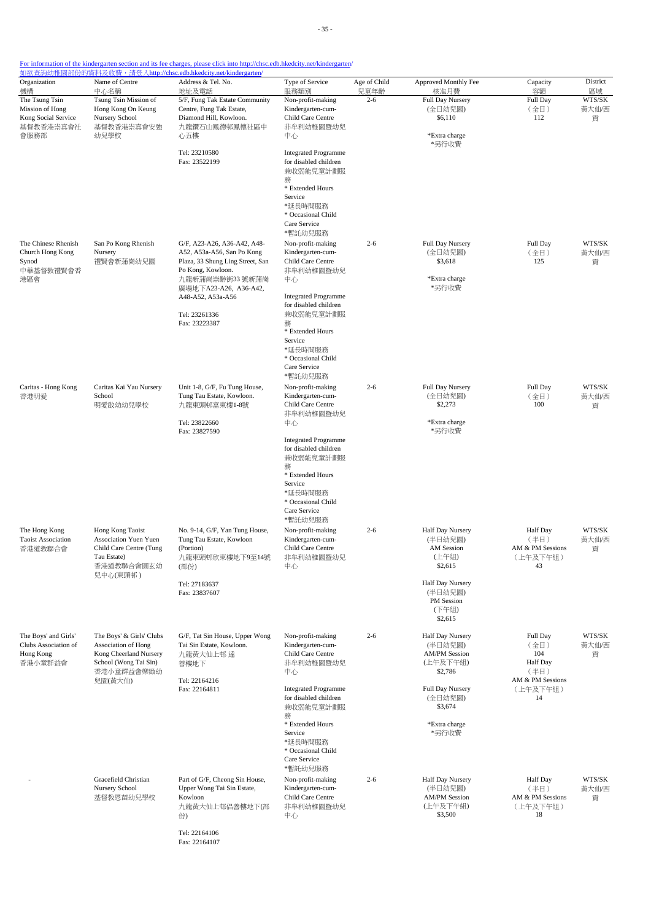|  | For information of the kindergarten section and its fee charges, please click into http://chsc.edb.hkedcity.net/kindergarten/ |  |
|--|-------------------------------------------------------------------------------------------------------------------------------|--|

Fax: 22164107

| Organization<br>機構                                                            | Name of Centre<br>中心名稱                                                                                                      | Address & Tel. No.<br>地址及電話                                                                                                                                                        | Type of Service<br>服務類別                                                                                                 | Age of Child<br>兒童年齡 | Approved Monthly Fee<br>核准月費                                               | Capacity<br>容額                                                | District                   |
|-------------------------------------------------------------------------------|-----------------------------------------------------------------------------------------------------------------------------|------------------------------------------------------------------------------------------------------------------------------------------------------------------------------------|-------------------------------------------------------------------------------------------------------------------------|----------------------|----------------------------------------------------------------------------|---------------------------------------------------------------|----------------------------|
| The Tsung Tsin<br>Mission of Hong<br>Kong Social Service<br>基督教香港崇真會社<br>會服務部 | Tsung Tsin Mission of<br>Hong Kong On Keung<br>Nursery School<br>基督教香港崇真會安強<br>幼兒學校                                         | 5/F, Fung Tak Estate Community<br>Centre, Fung Tak Estate,<br>Diamond Hill, Kowloon.<br>九龍鑽石山鳳德邨鳳德社區中<br>心五樓                                                                       | Non-profit-making<br>Kindergarten-cum-<br>Child Care Centre<br>非牟利幼稚園暨幼兒<br>中心                                          | $2 - 6$              | Full Day Nursery<br>(全日幼兒園)<br>\$6,110<br>*Extra charge<br>*另行收費           | Full Day<br>(全日)<br>112                                       | 區域<br>WTS/SK<br>黃大仙/西<br>貢 |
|                                                                               |                                                                                                                             | Tel: 23210580<br>Fax: 23522199                                                                                                                                                     | <b>Integrated Programme</b><br>for disabled children<br>兼收弱能兒童計劃服<br>務                                                  |                      |                                                                            |                                                               |                            |
|                                                                               |                                                                                                                             |                                                                                                                                                                                    | * Extended Hours<br>Service<br>*延長時間服務<br>* Occasional Child<br>Care Service<br>*暫託幼兒服務                                 |                      |                                                                            |                                                               |                            |
| The Chinese Rhenish<br>Church Hong Kong<br>Synod<br>中華基督教禮賢會香<br>港區會          | San Po Kong Rhenish<br>Nursery<br>禮賢會新蒲崗幼兒園                                                                                 | G/F, A23-A26, A36-A42, A48-<br>A52, A53a-A56, San Po Kong<br>Plaza, 33 Shung Ling Street, San<br>Po Kong, Kowloon.<br>九龍新蒲崗崇齡街33號新蒲崗<br>廣場地下A23-A26, A36-A42,<br>A48-A52, A53a-A56 | Non-profit-making<br>Kindergarten-cum-<br>Child Care Centre<br>非牟利幼稚園暨幼兒<br>中心<br><b>Integrated Programme</b>           | $2 - 6$              | Full Day Nursery<br>(全日幼兒園)<br>\$3,618<br>*Extra charge<br>*另行收費           | Full Day<br>(全日)<br>125                                       | WTS/SK<br>黄大仙/西<br>貢       |
|                                                                               |                                                                                                                             | Tel: 23261336<br>Fax: 23223387                                                                                                                                                     | for disabled children<br>兼收弱能兒童計劃服<br>務<br>* Extended Hours                                                             |                      |                                                                            |                                                               |                            |
|                                                                               |                                                                                                                             |                                                                                                                                                                                    | Service<br>*延長時間服務<br>* Occasional Child<br>Care Service<br>*暫託幼兒服務                                                     |                      |                                                                            |                                                               |                            |
| Caritas - Hong Kong<br>香港明愛                                                   | Caritas Kai Yau Nursery<br>School<br>明愛啟幼幼兒學校                                                                               | Unit 1-8, G/F, Fu Tung House,<br>Tung Tau Estate, Kowloon.<br>九龍東頭邨富東樓1-8號<br>Tel: 23822660<br>Fax: 23827590                                                                       | Non-profit-making<br>Kindergarten-cum-<br>Child Care Centre<br>非牟利幼稚園暨幼兒<br>中心<br><b>Integrated Programme</b>           | $2 - 6$              | Full Day Nursery<br>(全日幼兒園)<br>\$2,273<br>*Extra charge<br>*另行收費           | Full Day<br>(全日)<br>100                                       | WTS/SK<br>黄大仙/西<br>貢       |
|                                                                               |                                                                                                                             |                                                                                                                                                                                    | for disabled children<br>兼收弱能兒童計劃服<br>務<br>* Extended Hours<br>Service<br>*延長時間服務<br>* Occasional Child<br>Care Service |                      |                                                                            |                                                               |                            |
| The Hong Kong<br><b>Taoist Association</b><br>香港道教聯合會                         | Hong Kong Taoist<br>Association Yuen Yuen<br>Child Care Centre (Tung<br>Tau Estate)<br>香港道教聯合會圓玄幼<br>兒中心(東頭邨)               | No. 9-14, G/F, Yan Tung House,<br>Tung Tau Estate, Kowloon<br>(Portion)<br>九龍東頭邨欣東樓地下9至14號<br>(部份)                                                                                 | *暫託幼兒服務<br>Non-profit-making<br>Kindergarten-cum-<br>Child Care Centre<br>非牟利幼稚園暨幼兒<br>中心                               | $2 - 6$              | <b>Half Day Nursery</b><br>(半日幼兒園)<br>AM Session<br>(上午組)<br>\$2,615       | <b>Half Day</b><br>(半日)<br>AM & PM Sessions<br>(上午及下午組)<br>43 | WTS/SK<br>黄大仙/西<br>貢       |
|                                                                               |                                                                                                                             | Tel: 27183637<br>Fax: 23837607                                                                                                                                                     |                                                                                                                         |                      | Half Day Nursery<br>(半日幼兒園)<br>PM Session<br>(下午組)<br>\$2,615              |                                                               |                            |
| The Boys' and Girls'<br>Clubs Association of<br>Hong Kong<br>香港小童群益會          | The Boys' & Girls' Clubs<br>Association of Hong<br>Kong Cheerland Nursery<br>School (Wong Tai Sin)<br>香港小童群益會樂緻幼<br>兒園(黃大仙) | G/F, Tat Sin House, Upper Wong<br>Tai Sin Estate, Kowloon.<br>九龍黃大仙上邨 達<br>善樓地下<br>Tel: 22164216<br>Fax: 22164811                                                                  | Non-profit-making<br>Kindergarten-cum-<br>Child Care Centre<br>非牟利幼稚園暨幼兒<br>中心                                          | $2 - 6$              | Half Day Nursery<br>(半日幼兒園)<br><b>AM/PM Session</b><br>(上午及下午組)<br>\$2,786 | Full Day<br>(全日)<br>104<br>Half Day<br>(半日)                   | WTS/SK<br>黄大仙/西<br>貢       |
|                                                                               |                                                                                                                             |                                                                                                                                                                                    | <b>Integrated Programme</b><br>for disabled children<br>兼收弱能兒童計劃服<br>務                                                  |                      | Full Day Nursery<br>(全日幼兒園)<br>\$3,674                                     | AM & PM Sessions<br>(上午及下午組)<br>14                            |                            |
|                                                                               |                                                                                                                             |                                                                                                                                                                                    | * Extended Hours<br>Service<br>*延長時間服務<br>* Occasional Child<br>Care Service<br>*暫託幼兒服務                                 |                      | *Extra charge<br>*另行收費                                                     |                                                               |                            |
|                                                                               | Gracefield Christian<br>Nursery School<br>基督教恩苗幼兒學校                                                                         | Part of G/F, Cheong Sin House,<br>Upper Wong Tai Sin Estate,<br>Kowloon<br>九龍黃大仙上邨倡善樓地下(部<br>份)                                                                                    | Non-profit-making<br>Kindergarten-cum-<br>Child Care Centre<br>非牟利幼稚園暨幼兒<br>中心                                          | $2 - 6$              | Half Day Nursery<br>(半日幼兒園)<br><b>AM/PM Session</b><br>(上午及下午組)<br>\$3,500 | Half Day<br>(半日)<br>AM & PM Sessions<br>(上午及下午組)<br>18        | WTS/SK<br>黄大仙/西<br>貢       |
|                                                                               |                                                                                                                             | Tel: 22164106                                                                                                                                                                      |                                                                                                                         |                      |                                                                            |                                                               |                            |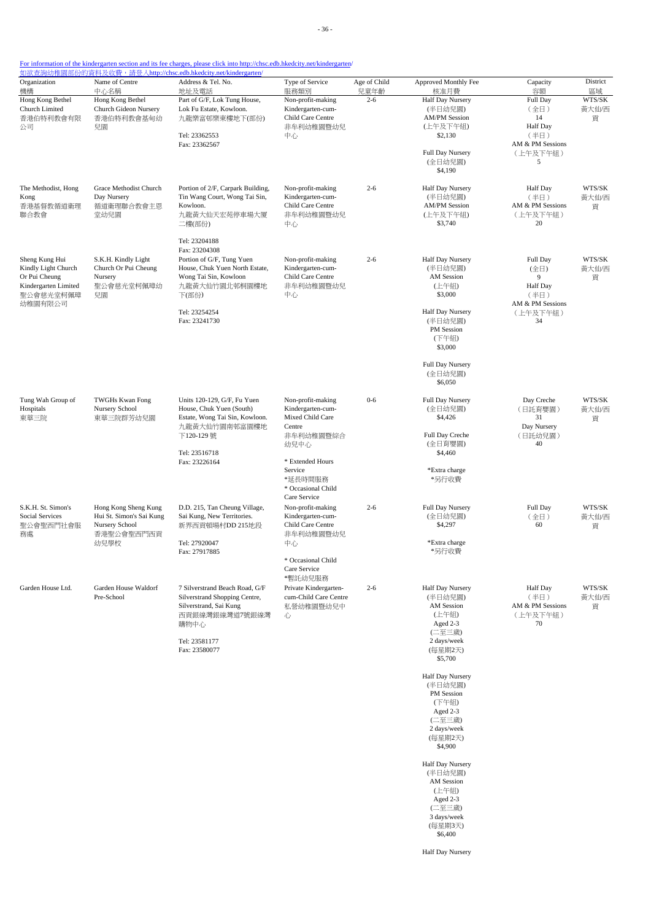| Organization<br>機構                    | Name of Centre<br>中心名稱                                             | <u>如欲查詢幼稚園部份的資料及收費,請登入http://chsc.edb.hkedcity.net/kindergarten/</u><br>Address & Tel. No.<br>地址及電話 | Type of Service<br>服務類別                                     | Age of Child<br>兒童年齡 | Approved Monthly Fee<br>核准月費    | Capacity<br>容額               | District<br>區域  |
|---------------------------------------|--------------------------------------------------------------------|-----------------------------------------------------------------------------------------------------|-------------------------------------------------------------|----------------------|---------------------------------|------------------------------|-----------------|
| Hong Kong Bethel                      | Hong Kong Bethel                                                   | Part of G/F, Lok Tung House,                                                                        | Non-profit-making                                           | $2 - 6$              | <b>Half Day Nursery</b>         | Full Day                     | WTS/SK          |
| Church Limited<br>香港伯特利教會有限           | Church Gideon Nursery<br>香港伯特利教會基甸幼                                | Lok Fu Estate, Kowloon.<br>九龍樂富邨樂東樓地下(部份)                                                           | Kindergarten-cum-<br>Child Care Centre                      |                      | (半日幼兒園)<br><b>AM/PM Session</b> | (全日)<br>14                   | 黄大仙/西<br>貢      |
| 公司                                    | 兒園                                                                 |                                                                                                     | 非牟利幼稚園暨幼兒                                                   |                      | (上午及下午組)                        | Half Day                     |                 |
|                                       |                                                                    | Tel: 23362553<br>Fax: 23362567                                                                      | 中心                                                          |                      | \$2,130                         | (半日)<br>AM & PM Sessions     |                 |
|                                       |                                                                    |                                                                                                     |                                                             |                      | Full Day Nursery<br>(全日幼兒園)     | (上午及下午組)<br>5                |                 |
|                                       |                                                                    |                                                                                                     |                                                             |                      | \$4,190                         |                              |                 |
| The Methodist, Hong                   | Grace Methodist Church                                             | Portion of 2/F, Carpark Building,                                                                   | Non-profit-making                                           | $2 - 6$              | Half Day Nursery                | Half Day                     | WTS/SK          |
| Kong<br>香港基督教循道衛理                     | Day Nursery<br>循道衛理聯合教會主恩                                          | Tin Wang Court, Wong Tai Sin,<br>Kowloon.                                                           | Kindergarten-cum-<br>Child Care Centre                      |                      | (半日幼兒園)<br><b>AM/PM Session</b> | (半日)<br>AM & PM Sessions     | 黄大仙/西<br>貢      |
| 聯合教會                                  | 堂幼兒園                                                               | 九龍黃大仙天宏苑停車場大厦                                                                                       | 非牟利幼稚園暨幼兒                                                   |                      | (上午及下午組)                        | (上午及下午組)                     |                 |
|                                       |                                                                    | 二樓(部份)                                                                                              | 中心                                                          |                      | \$3,740                         | 20                           |                 |
|                                       |                                                                    | Tel: 23204188<br>Fax: 23204308                                                                      |                                                             |                      |                                 |                              |                 |
| Sheng Kung Hui                        | S.K.H. Kindly Light                                                | Portion of G/F, Tung Yuen                                                                           | Non-profit-making                                           | $2 - 6$              | Half Day Nursery                | Full Day                     | WTS/SK          |
| Kindly Light Church<br>Or Pui Cheung  | Church Or Pui Cheung<br>Nursery                                    | House, Chuk Yuen North Estate,<br>Wong Tai Sin, Kowloon                                             | Kindergarten-cum-<br>Child Care Centre                      |                      | (半日幼兒園)<br>AM Session           | (全日)<br>9                    | 黃大仙/西<br>貢      |
| Kindergarten Limited                  | 聖公會慈光堂柯佩璋幼                                                         | 九龍黃大仙竹園北邨桐園樓地                                                                                       | 非牟利幼稚園暨幼兒<br>中心                                             |                      | (上午組)<br>\$3,000                | <b>Half Day</b>              |                 |
| 聖公會慈光堂柯佩璋<br>幼稚園有限公司                  | 兒園                                                                 | 下(部份)                                                                                               |                                                             |                      |                                 | (半日)<br>AM & PM Sessions     |                 |
|                                       |                                                                    | Tel: 23254254<br>Fax: 23241730                                                                      |                                                             |                      | Half Day Nursery<br>(半日幼兒園)     | (上午及下午組)<br>34               |                 |
|                                       |                                                                    |                                                                                                     |                                                             |                      | PM Session                      |                              |                 |
|                                       |                                                                    |                                                                                                     |                                                             |                      | (下午組)<br>\$3,000                |                              |                 |
|                                       |                                                                    |                                                                                                     |                                                             |                      | Full Day Nursery                |                              |                 |
|                                       |                                                                    |                                                                                                     |                                                             |                      | (全日幼兒園)<br>\$6,050              |                              |                 |
|                                       |                                                                    |                                                                                                     |                                                             |                      |                                 |                              |                 |
| Tung Wah Group of<br>Hospitals        | <b>TWGHs Kwan Fong</b><br>Nursery School                           | Units 120-129, G/F, Fu Yuen<br>House, Chuk Yuen (South)                                             | Non-profit-making<br>Kindergarten-cum-                      | $0 - 6$              | Full Day Nursery<br>(全日幼兒園)     | Day Creche<br>(日託育嬰園)        | WTS/SK<br>黄大仙/西 |
| 東華三院                                  | 東華三院群芳幼兒園                                                          | Estate, Wong Tai Sin, Kowloon.<br>九龍黃大仙竹園南邨富園樓地                                                     | Mixed Child Care<br>Centre                                  |                      | \$4,426                         | 31<br>Day Nursery            | 貢               |
|                                       |                                                                    | 下120-129 號                                                                                          | 非牟利幼稚園暨綜合                                                   |                      | Full Day Creche                 | (日託幼兒園)                      |                 |
|                                       |                                                                    | Tel: 23516718                                                                                       | 幼兒中心                                                        |                      | (全日育嬰園)<br>\$4,460              | 40                           |                 |
|                                       |                                                                    | Fax: 23226164                                                                                       | * Extended Hours<br>Service                                 |                      | *Extra charge                   |                              |                 |
|                                       |                                                                    |                                                                                                     | *延長時間服務                                                     |                      | *另行收費                           |                              |                 |
|                                       |                                                                    |                                                                                                     | * Occasional Child<br>Care Service                          |                      |                                 |                              |                 |
| S.K.H. St. Simon's<br>Social Services | Hong Kong Sheng Kung<br>Hui St. Simon's Sai Kung<br>Nursery School | D.D. 215, Tan Cheung Village,<br>Sai Kung, New Territories.<br>新界西貢頓場村DD 215地段                      | Non-profit-making<br>Kindergarten-cum-<br>Child Care Centre | $2 - 6$              | Full Day Nursery                | Full Day                     | WTS/SK          |
| 聖公會聖西門社會服                             |                                                                    |                                                                                                     |                                                             |                      | (全日幼兒園)<br>\$4,297              | (全日)<br>60                   | 黄大仙/西<br>貢      |
| 務處                                    | 香港聖公會聖西門西貢<br>幼兒學校                                                 | Tel: 27920047                                                                                       | 非牟利幼稚園暨幼兒<br>中心                                             |                      | *Extra charge                   |                              |                 |
|                                       |                                                                    | Fax: 27917885                                                                                       |                                                             |                      | *另行收費                           |                              |                 |
|                                       |                                                                    |                                                                                                     | * Occasional Child<br>Care Service                          |                      |                                 |                              |                 |
| Garden House Ltd.                     | Garden House Waldorf                                               | 7 Silverstrand Beach Road, G/F                                                                      | *暫託幼兒服務<br>Private Kindergarten-                            | $2 - 6$              | Half Day Nursery                | Half Day                     | WTS/SK          |
|                                       | Pre-School                                                         | Silverstrand Shopping Centre,                                                                       | cum-Child Care Centre                                       |                      | (半日幼兒園)                         | (半日)                         | 黃大仙/西           |
|                                       |                                                                    | Silverstrand, Sai Kung<br>西貢銀線灣銀線灣道7號銀線灣<br>購物中心                                                    | 私營幼稚園暨幼兒中<br>心                                              |                      | <b>AM</b> Session<br>(上午組)      | AM & PM Sessions<br>(上午及下午組) | 貢               |
|                                       |                                                                    |                                                                                                     |                                                             |                      | Aged 2-3<br>(二至三歲)              | 70                           |                 |
|                                       |                                                                    | Tel: 23581177                                                                                       |                                                             |                      | 2 days/week                     |                              |                 |
|                                       |                                                                    | Fax: 23580077                                                                                       |                                                             |                      | (每星期2天)<br>\$5,700              |                              |                 |
|                                       |                                                                    |                                                                                                     |                                                             |                      | Half Day Nursery                |                              |                 |
|                                       |                                                                    |                                                                                                     |                                                             |                      | (半日幼兒園)<br>PM Session           |                              |                 |
|                                       |                                                                    |                                                                                                     |                                                             |                      | (下午組)                           |                              |                 |
|                                       |                                                                    |                                                                                                     |                                                             |                      | Aged 2-3<br>(二至三歲)              |                              |                 |
|                                       |                                                                    |                                                                                                     |                                                             |                      | 2 days/week                     |                              |                 |
|                                       |                                                                    |                                                                                                     |                                                             |                      | (每星期2天)<br>\$4,900              |                              |                 |
|                                       |                                                                    |                                                                                                     |                                                             |                      | Half Day Nursery                |                              |                 |
|                                       |                                                                    |                                                                                                     |                                                             |                      | (半日幼兒園)<br>AM Session           |                              |                 |
|                                       |                                                                    |                                                                                                     |                                                             |                      | (上午組)                           |                              |                 |
|                                       |                                                                    |                                                                                                     |                                                             |                      | Aged 2-3<br>(二至三歲)              |                              |                 |
|                                       |                                                                    |                                                                                                     |                                                             |                      | 3 days/week<br>(每星期3天)          |                              |                 |
|                                       |                                                                    |                                                                                                     |                                                             |                      | \$6,400                         |                              |                 |
|                                       |                                                                    |                                                                                                     |                                                             |                      | Half Day Nursery                |                              |                 |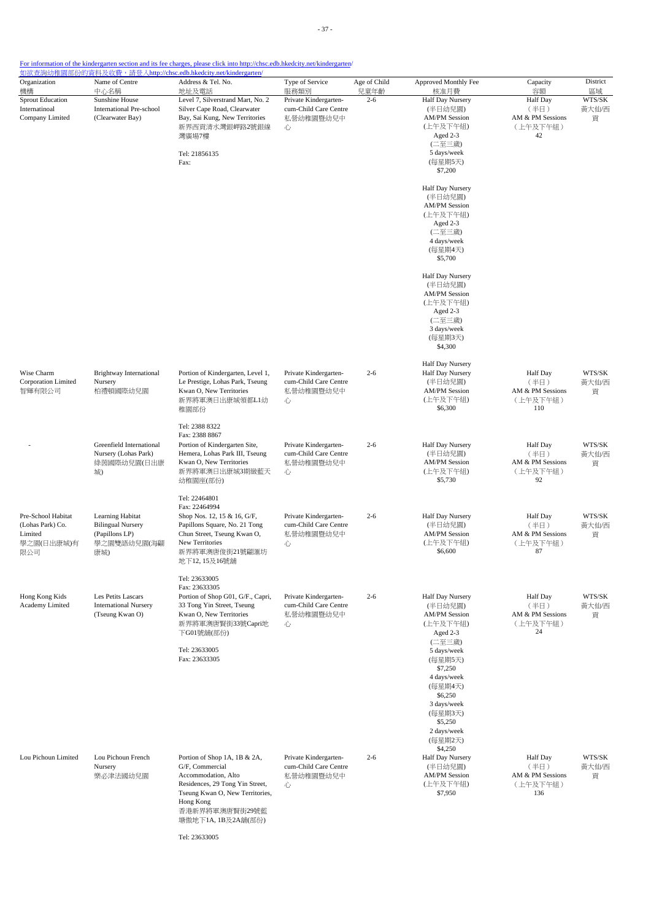| Organization<br>機構                                                     | Name of Centre<br>中心名稱                                                               | Address & Tel. No.<br>地址及電話                                                                                                                                                                       | Type of Service<br>服務類別                                          | Age of Child<br>兒童年齡 | Approved Monthly Fee<br>核准月費                                                                                                          | Capacity<br>容額                                                 | District<br>區域       |
|------------------------------------------------------------------------|--------------------------------------------------------------------------------------|---------------------------------------------------------------------------------------------------------------------------------------------------------------------------------------------------|------------------------------------------------------------------|----------------------|---------------------------------------------------------------------------------------------------------------------------------------|----------------------------------------------------------------|----------------------|
| <b>Sprout Education</b><br>Internatinoal<br>Company Limited            | Sunshine House<br>International Pre-school<br>(Clearwater Bay)                       | Level 7, Silverstrand Mart, No. 2<br>Silver Cape Road, Clearwater<br>Bay, Sai Kung, New Territories<br>新界西貢清水灣銀岬路2號銀線<br>心<br>灣廣場7樓<br>Tel: 21856135<br>Fax:                                      | Private Kindergarten-<br>cum-Child Care Centre<br>私營幼稚園暨幼兒中      | $2 - 6$              | Half Day Nursery<br>(半日幼兒園)<br><b>AM/PM Session</b><br>(上午及下午組)<br>Aged 2-3<br>(二至三歲)<br>5 days/week<br>(每星期5天)<br>\$7,200            | <b>Half Day</b><br>(半日)<br>AM & PM Sessions<br>(上午及下午組)<br>42  | WTS/SK<br>黃大仙/西<br>貢 |
|                                                                        |                                                                                      |                                                                                                                                                                                                   |                                                                  |                      | Half Day Nursery<br>(半日幼兒園)<br><b>AM/PM Session</b><br>(上午及下午組)<br>Aged 2-3<br>(二至三歲)<br>4 days/week<br>(每星期4天)<br>\$5,700            |                                                                |                      |
|                                                                        |                                                                                      |                                                                                                                                                                                                   |                                                                  |                      | Half Day Nursery<br>(半日幼兒園)<br><b>AM/PM Session</b><br>(上午及下午組)<br>Aged 2-3<br>(二至三歲)<br>3 days/week<br>(每星期3天)<br>\$4,300            |                                                                |                      |
| Wise Charm<br>Corporation Limited<br>智輝有限公司                            | Brightway International<br>Nursery<br>柏禮頓國際幼兒園                                       | Portion of Kindergarten, Level 1,<br>Le Prestige, Lohas Park, Tseung<br>Kwan O, New Territories<br>新界將軍澳日出康城領都L1幼<br>稚園部份                                                                         | Private Kindergarten-<br>cum-Child Care Centre<br>私營幼稚園暨幼兒中<br>心 | $2 - 6$              | Half Day Nursery<br>Half Day Nursery<br>(半日幼兒園)<br><b>AM/PM Session</b><br>(上午及下午組)<br>\$6,300                                        | <b>Half</b> Day<br>(半日)<br>AM & PM Sessions<br>(上午及下午組)<br>110 | WTS/SK<br>黃大仙/西<br>貢 |
|                                                                        | Greenfield International<br>Nursery (Lohas Park)<br>綠茵國際幼兒園(日出康<br>城)                | Tel: 2388 8322<br>Fax: 2388 8867<br>Portion of Kindergarten Site,<br>Hemera, Lohas Park III, Tseung<br>Kwan O, New Territories<br>新界將軍澳日出康城3期緻藍天<br>幼稚園座(部份)                                      | Private Kindergarten-<br>cum-Child Care Centre<br>私營幼稚園暨幼兒中<br>心 | $2 - 6$              | Half Day Nursery<br>(半日幼兒園)<br><b>AM/PM Session</b><br>(上午及下午組)<br>\$5,730                                                            | <b>Half</b> Day<br>(半日)<br>AM & PM Sessions<br>(上午及下午組)<br>92  | WTS/SK<br>黃大仙/西<br>貢 |
| Pre-School Habitat<br>(Lohas Park) Co.<br>Limited<br>學之園(日出康城)有<br>限公司 | Learning Habitat<br><b>Bilingual Nursery</b><br>(Papillons LP)<br>學之園雙語幼兒園(海翩<br>康城) | Tel: 22464801<br>Fax: 22464994<br>Shop Nos. 12, 15 & 16, G/F,<br>Papillons Square, No. 21 Tong<br>Chun Street, Tseung Kwan O,<br>New Territories<br>新界將軍澳唐俊街21號翩滙坊<br>地下12,15及16號舖                | Private Kindergarten-<br>cum-Child Care Centre<br>私營幼稚園暨幼兒中<br>心 | $2 - 6$              | Half Day Nursery<br>(半日幼兒園)<br><b>AM/PM Session</b><br>(上午及下午組)<br>\$6,600                                                            | <b>Half</b> Day<br>(半日)<br>AM & PM Sessions<br>(上午及下午組)<br>87  | WTS/SK<br>黃大仙/西<br>貢 |
| Hong Kong Kids<br>Academy Limited                                      | Les Petits Lascars<br><b>International Nursery</b><br>(Tseung Kwan O)                | Tel: 23633005<br>Fax: 23633305<br>Portion of Shop G01, G/F., Capri,<br>33 Tong Yin Street, Tseung<br>Kwan O, New Territories<br>新界將軍澳唐賢街33號Capri地<br>下G01號舖(部份)                                   | Private Kindergarten-<br>cum-Child Care Centre<br>私營幼稚園暨幼兒中<br>心 | $2 - 6$              | Half Day Nursery<br>(半日幼兒園)<br><b>AM/PM Session</b><br>(上午及下午組)<br>Aged 2-3<br>(二至三歲)                                                 | <b>Half Day</b><br>(半日)<br>AM & PM Sessions<br>(上午及下午組)<br>24  | WTS/SK<br>黃大仙/西<br>貢 |
|                                                                        |                                                                                      | Tel: 23633005<br>Fax: 23633305                                                                                                                                                                    |                                                                  |                      | 5 days/week<br>(每星期5天)<br>\$7,250<br>4 days/week<br>(每星期4天)<br>\$6,250<br>3 days/week<br>(每星期3天)<br>\$5,250<br>2 days/week<br>(每星期2天) |                                                                |                      |
| Lou Pichoun Limited                                                    | Lou Pichoun French<br>Nursery<br>樂必津法國幼兒園                                            | Portion of Shop 1A, 1B & 2A,<br>G/F, Commercial<br>Accommodation, Alto<br>Residences, 29 Tong Yin Street,<br>Tseung Kwan O, New Territories,<br>Hong Kong<br>香港新界將軍澳唐賢街29號藍<br>塘傲地下1A, 1B及2A舖(部份) | Private Kindergarten-<br>cum-Child Care Centre<br>私營幼稚園暨幼兒中<br>心 | $2 - 6$              | \$4,250<br>Half Day Nursery<br>(半日幼兒園)<br><b>AM/PM Session</b><br>(上午及下午組)<br>\$7,950                                                 | <b>Half Day</b><br>(半日)<br>AM & PM Sessions<br>(上午及下午組)<br>136 | WTS/SK<br>黃大仙/西<br>貢 |

Tel: 23633005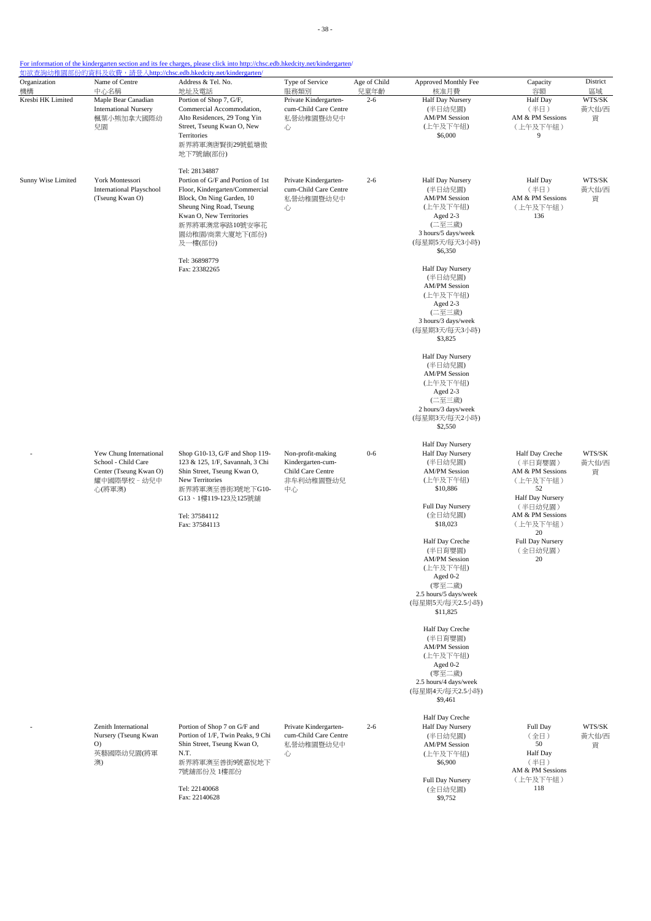| Organization<br>機構 | Name of Centre<br>中心名稱                                                                             | <u> 如欲查詢幼稚園部份的資料及收費,請登入http://chsc.edb.hkedcity.net/kindergarten/</u><br>Address & Tel. No.                                                                                                                                                                | Type of Service<br>服務類別                                                        | Age of Child<br>兒童年齡 | Approved Monthly Fee                                                                                                                                                                                                                                                                                                                                                                                                           | Capacity<br>容額                                                                                                                                                             | District                   |
|--------------------|----------------------------------------------------------------------------------------------------|------------------------------------------------------------------------------------------------------------------------------------------------------------------------------------------------------------------------------------------------------------|--------------------------------------------------------------------------------|----------------------|--------------------------------------------------------------------------------------------------------------------------------------------------------------------------------------------------------------------------------------------------------------------------------------------------------------------------------------------------------------------------------------------------------------------------------|----------------------------------------------------------------------------------------------------------------------------------------------------------------------------|----------------------------|
| Kresbi HK Limited  | Maple Bear Canadian<br><b>International Nursery</b><br>楓葉小熊加拿大國際幼<br>兒園                            | 地址及電話<br>Portion of Shop 7, G/F,<br>Commercial Accommodation,<br>Alto Residences, 29 Tong Yin<br>Street, Tseung Kwan O, New<br>Territories<br>新界將軍澳唐賢街29號藍塘傲<br>地下7號舖(部份)                                                                                  | Private Kindergarten-<br>cum-Child Care Centre<br>私營幼稚園暨幼兒中<br>心               | $2 - 6$              | 核准月費<br><b>Half Day Nursery</b><br>(半日幼兒園)<br><b>AM/PM Session</b><br>(上午及下午組)<br>\$6,000                                                                                                                                                                                                                                                                                                                                      | Half Day<br>(半日)<br>AM & PM Sessions<br>(上午及下午組)<br>9                                                                                                                      | 區域<br>WTS/SK<br>黃大仙/西<br>貢 |
| Sunny Wise Limited | York Montessori<br><b>International Playschool</b><br>(Tseung Kwan O)                              | Tel: 28134887<br>Portion of G/F and Portion of 1st<br>Floor, Kindergarten/Commercial<br>Block, On Ning Garden, 10<br>Sheung Ning Road, Tseung<br>Kwan O, New Territories<br>新界將軍澳常寧路10號安寧花<br>園幼稚園/商業大廈地下(部份)<br>及一樓(部份)<br>Tel: 36898779<br>Fax: 23382265 | Private Kindergarten-<br>cum-Child Care Centre<br>私營幼稚園暨幼兒中<br>心               | $2 - 6$              | Half Day Nursery<br>(半日幼兒園)<br><b>AM/PM Session</b><br>(上午及下午組)<br>Aged 2-3<br>(二至三歲)<br>3 hours/5 days/week<br>(每星期5天/每天3小時)<br>\$6,350<br>Half Day Nursery<br>(半日幼兒園)<br><b>AM/PM Session</b><br>(上午及下午組)<br>Aged 2-3<br>(二至三歲)<br>3 hours/3 days/week<br>(每星期3天/每天3小時)<br>\$3,825                                                                                                                                           | <b>Half</b> Day<br>(半日)<br>AM & PM Sessions<br>(上午及下午組)<br>136                                                                                                             | WTS/SK<br>黃大仙/西<br>貢       |
|                    |                                                                                                    |                                                                                                                                                                                                                                                            |                                                                                |                      | Half Day Nursery<br>(半日幼兒園)<br><b>AM/PM Session</b><br>(上午及下午組)<br>Aged 2-3<br>(二至三歲)<br>2 hours/3 days/week<br>(每星期3天/每天2小時)<br>\$2,550                                                                                                                                                                                                                                                                                       |                                                                                                                                                                            |                            |
|                    | Yew Chung International<br>School - Child Care<br>Center (Tseung Kwan O)<br>耀中國際學校 - 幼兒中<br>心(將軍澳) | Shop G10-13, G/F and Shop 119-<br>123 & 125, 1/F, Savannah, 3 Chi<br>Shin Street, Tseung Kwan O,<br>New Territories<br>新界將軍澳至善街3號地下G10-<br>G13、1樓119-123及125號舖<br>Tel: 37584112<br>Fax: 37584113                                                           | Non-profit-making<br>Kindergarten-cum-<br>Child Care Centre<br>非牟利幼稚園暨幼兒<br>中心 | $0 - 6$              | Half Day Nursery<br>Half Day Nursery<br>(半日幼兒園)<br><b>AM/PM Session</b><br>(上午及下午組)<br>\$10,886<br>Full Day Nursery<br>(全日幼兒園)<br>\$18,023<br>Half Day Creche<br>(半日育嬰園)<br><b>AM/PM Session</b><br>(上午及下午組)<br>Aged 0-2<br>(零至二歲)<br>2.5 hours/5 days/week<br>(每星期5天/每天2.5小時)<br>\$11,825<br>Half Day Creche<br>(半日育嬰園)<br><b>AM/PM Session</b><br>(上午及下午組)<br>Aged 0-2<br>(零至二歲)<br>2.5 hours/4 days/week<br>(每星期4天/每天2.5小時) | Half Day Creche<br>(半日育嬰園)<br>AM & PM Sessions<br>(上午及下午組)<br>52<br>Half Day Nursery<br>(半日幼兒園)<br>AM & PM Sessions<br>(上午及下午組)<br>20<br>Full Day Nursery<br>(全日幼兒園)<br>20 | WTS/SK<br>黃大仙/西<br>貢       |
|                    | Zenith International<br>Nursery (Tseung Kwan<br>O)<br>英藝國際幼兒園(將軍<br>澳)                             | Portion of Shop 7 on G/F and<br>Portion of 1/F, Twin Peaks, 9 Chi<br>Shin Street, Tseung Kwan O,<br>N.T.<br>新界將軍澳至善街9號嘉悅地下<br>7號舖部份及1樓部份<br>Tel: 22140068<br>Fax: 22140628                                                                                 | Private Kindergarten-<br>cum-Child Care Centre<br>私營幼稚園暨幼兒中<br>心               | $2 - 6$              | \$9,461<br>Half Day Creche<br>Half Day Nursery<br>(半日幼兒園)<br><b>AM/PM Session</b><br>(上午及下午組)<br>\$6,900<br>Full Day Nursery<br>(全日幼兒園)<br>\$9,752                                                                                                                                                                                                                                                                             | Full Day<br>(全日)<br>50<br>Half Day<br>(半日)<br>AM & PM Sessions<br>(上午及下午組)<br>118                                                                                          | WTS/SK<br>黃大仙/西<br>貢       |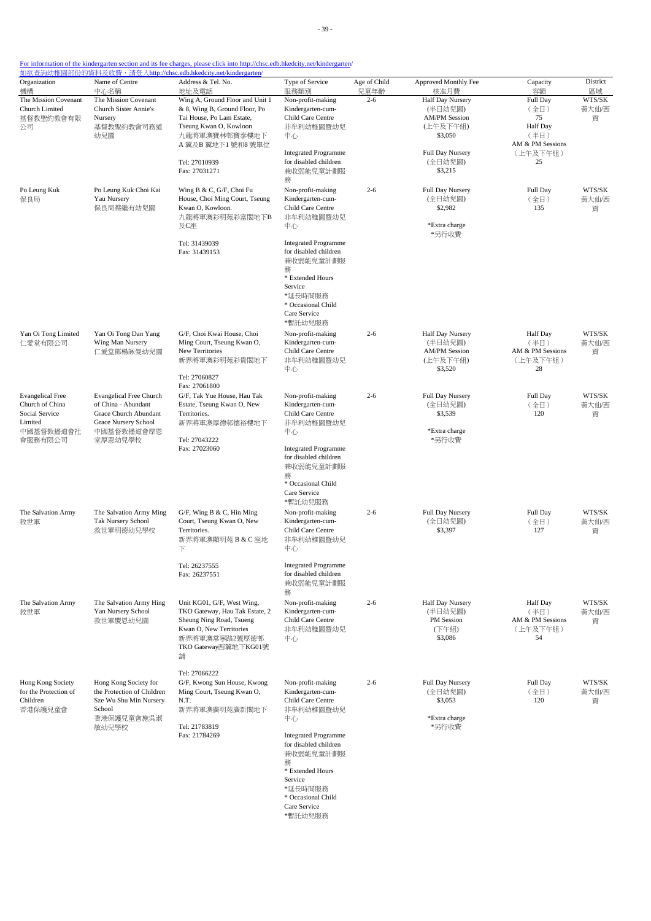| Organization<br>機構      | Name of Centre<br>中心名稱             | 如欲查詢幼稚園部份的資料及收費,請登入http://chsc.edb.hkedcity.net/kindergarten/<br>Address & Tel. No.<br>地址及電話 | Type of Service<br>服務類別                              | Age of Child<br>兒童年齡 | Approved Monthly Fee<br>核准月費 | Capacity<br>容額           | District<br>區域 |
|-------------------------|------------------------------------|----------------------------------------------------------------------------------------------|------------------------------------------------------|----------------------|------------------------------|--------------------------|----------------|
| The Mission Covenant    | The Mission Covenant               | Wing A, Ground Floor and Unit 1                                                              | Non-profit-making                                    | $2 - 6$              | Half Day Nursery             | Full Day                 | WTS/SK         |
| Church Limited          | <b>Church Sister Annie's</b>       | & 8, Wing B, Ground Floor, Po                                                                | Kindergarten-cum-                                    |                      | (半日幼兒園)                      | (全日)                     | 黃大仙/西          |
| 基督教聖約教會有限               | Nursery                            | Tai House, Po Lam Estate,                                                                    | Child Care Centre                                    |                      | <b>AM/PM Session</b>         | 75                       | 貢              |
| 公司                      | 基督教聖約教會司務道                         | Tseung Kwan O, Kowloon                                                                       | 非牟利幼稚園暨幼兒                                            |                      | (上午及下午組)                     | Half Day                 |                |
|                         | 幼兒園                                | 九龍將軍澳寶林邨寶泰樓地下                                                                                | 中心                                                   |                      | \$3,050                      | (半日)<br>AM & PM Sessions |                |
|                         |                                    | A 翼及B 翼地下1 號和8 號單位                                                                           | <b>Integrated Programme</b>                          |                      | Full Day Nursery             | (上午及下午組)                 |                |
|                         |                                    | Tel: 27010939                                                                                | for disabled children                                |                      | (全日幼兒園)                      | 25                       |                |
|                         |                                    | Fax: 27031271                                                                                | 兼收弱能兒童計劃服                                            |                      | \$3,215                      |                          |                |
|                         |                                    |                                                                                              | 務                                                    |                      |                              |                          |                |
| Po Leung Kuk            | Po Leung Kuk Choi Kai              | Wing B & C, G/F, Choi Fu                                                                     | Non-profit-making                                    | $2 - 6$              | Full Day Nursery             | Full Day                 | WTS/SK         |
| 保良局                     | Yau Nursery<br>保良局蔡繼有幼兒園           | House, Choi Ming Court, Tseung<br>Kwan O, Kowloon.                                           | Kindergarten-cum-<br>Child Care Centre               |                      | (全日幼兒園)<br>\$2,982           | (全日)<br>135              | 黃大仙/西<br>貢     |
|                         |                                    | 九龍將軍澳彩明苑彩富閣地下B                                                                               | 非牟利幼稚園暨幼兒                                            |                      |                              |                          |                |
|                         |                                    | 及C座                                                                                          | 中心                                                   |                      | *Extra charge                |                          |                |
|                         |                                    |                                                                                              |                                                      |                      | *另行收費                        |                          |                |
|                         |                                    | Tel: 31439039                                                                                | <b>Integrated Programme</b><br>for disabled children |                      |                              |                          |                |
|                         |                                    | Fax: 31439153                                                                                | 兼收弱能兒童計劃服                                            |                      |                              |                          |                |
|                         |                                    |                                                                                              | 務                                                    |                      |                              |                          |                |
|                         |                                    |                                                                                              | * Extended Hours                                     |                      |                              |                          |                |
|                         |                                    |                                                                                              | Service                                              |                      |                              |                          |                |
|                         |                                    |                                                                                              | *延長時間服務<br>* Occasional Child                        |                      |                              |                          |                |
|                         |                                    |                                                                                              | Care Service                                         |                      |                              |                          |                |
|                         |                                    |                                                                                              | *暫託幼兒服務                                              |                      |                              |                          |                |
| Yan Oi Tong Limited     | Yan Oi Tong Dan Yang               | G/F, Choi Kwai House, Choi                                                                   | Non-profit-making                                    | $2 - 6$              | Half Day Nursery             | <b>Half Day</b>          | WTS/SK         |
| 仁愛堂有限公司                 | Wing Man Nursery                   | Ming Court, Tseung Kwan O,                                                                   | Kindergarten-cum-                                    |                      | (半日幼兒園)                      | (半日)                     | 黄大仙/西          |
|                         | 仁愛堂鄧楊詠曼幼兒園                         | New Territories                                                                              | Child Care Centre                                    |                      | <b>AM/PM Session</b>         | AM & PM Sessions         | 貢              |
|                         |                                    | 新界將軍澳彩明苑彩貴閣地下                                                                                | 非牟利幼稚園暨幼兒                                            |                      | (上午及下午組)                     | (上午及下午組)                 |                |
|                         |                                    | Tel: 27060827                                                                                | 中心                                                   |                      | \$3,520                      | 28                       |                |
|                         |                                    | Fax: 27061800                                                                                |                                                      |                      |                              |                          |                |
| <b>Evangelical Free</b> | <b>Evangelical Free Church</b>     | G/F, Tak Yue House, Hau Tak                                                                  | Non-profit-making                                    | $2 - 6$              | Full Day Nursery             | Full Day                 | WTS/SK         |
| Church of China         | of China - Abundant                | Estate, Tseung Kwan O, New                                                                   | Kindergarten-cum-                                    |                      | (全日幼兒園)                      | (全日)                     | 黃大仙/西          |
| Social Service          | Grace Church Abundant              | Territories.                                                                                 | Child Care Centre                                    |                      | \$3,539                      | 120                      | 貢              |
| Limited<br>中國基督教播道會社    | Grace Nursery School<br>中國基督教播道會厚恩 | 新界將軍澳厚德邨德裕樓地下                                                                                | 非牟利幼稚園暨幼兒<br>中心                                      |                      | *Extra charge                |                          |                |
| 會服務有限公司                 | 堂厚恩幼兒學校                            | Tel: 27043222                                                                                |                                                      |                      | *另行收費                        |                          |                |
|                         |                                    | Fax: 27023060                                                                                | <b>Integrated Programme</b>                          |                      |                              |                          |                |
|                         |                                    |                                                                                              | for disabled children                                |                      |                              |                          |                |
|                         |                                    |                                                                                              | 兼收弱能兒童計劃服                                            |                      |                              |                          |                |
|                         |                                    |                                                                                              | 務<br>* Occasional Child                              |                      |                              |                          |                |
|                         |                                    |                                                                                              | Care Service                                         |                      |                              |                          |                |
|                         |                                    |                                                                                              | *暫託幼兒服務                                              |                      |                              |                          |                |
| The Salvation Army      | The Salvation Army Ming            | G/F, Wing B & C, Hin Ming                                                                    | Non-profit-making                                    | $2 - 6$              | Full Day Nursery             | Full Day                 | WTS/SK         |
| 救世軍                     | Tak Nursery School                 | Court, Tseung Kwan O, New                                                                    | Kindergarten-cum-                                    |                      | (全日幼兒園)                      | (全日)                     | 黃大仙/西          |
|                         | 救世軍明德幼兒學校                          | Territories.                                                                                 | Child Care Centre                                    |                      | \$3,397                      | 127                      | 貢              |
|                         |                                    | 新界將軍澳顯明苑B&C座地<br>下                                                                           | 非牟利幼稚園暨幼兒<br>中心                                      |                      |                              |                          |                |
|                         |                                    |                                                                                              |                                                      |                      |                              |                          |                |
|                         |                                    | Tel: 26237555                                                                                | <b>Integrated Programme</b>                          |                      |                              |                          |                |
|                         |                                    | Fax: 26237551                                                                                | for disabled children                                |                      |                              |                          |                |
|                         |                                    |                                                                                              | 兼收弱能兒童計劃服<br>務                                       |                      |                              |                          |                |
| The Salvation Army      | The Salvation Army Hing            | Unit KG01, G/F, West Wing,                                                                   | Non-profit-making                                    | $2 - 6$              | Half Day Nursery             | <b>Half Day</b>          | WTS/SK         |
| 救世軍                     | Yan Nursery School                 | TKO Gateway, Hau Tak Estate, 2                                                               | Kindergarten-cum-                                    |                      | (半日幼兒園)                      | (半日)                     | 黃大仙/西          |
|                         | 救世軍慶恩幼兒園                           | Sheung Ning Road, Tsueng                                                                     | Child Care Centre                                    |                      | PM Session                   | AM & PM Sessions         | 貢              |
|                         |                                    | Kwan O. New Territories                                                                      | 非牟利幼稚園暨幼兒                                            |                      | (下午組)                        | (上午及下午組)                 |                |
|                         |                                    | 新界將軍澳常寧路2號厚德邨                                                                                | 中心                                                   |                      | \$3,086                      | 54                       |                |
|                         |                                    | TKO Gateway西翼地下KG01號                                                                         |                                                      |                      |                              |                          |                |
|                         |                                    | 舖                                                                                            |                                                      |                      |                              |                          |                |
|                         |                                    | Tel: 27066222                                                                                |                                                      |                      |                              |                          |                |
| Hong Kong Society       | Hong Kong Society for              | G/F, Kwong Sun House, Kwong                                                                  | Non-profit-making                                    | $2 - 6$              | Full Day Nursery             | Full Day                 | WTS/SK         |
| for the Protection of   | the Protection of Children         | Ming Court, Tseung Kwan O,                                                                   | Kindergarten-cum-                                    |                      | (全日幼兒園)                      | (全日)                     | 黃大仙/西          |
| Children<br>香港保護兒童會     | Sze Wu Shu Min Nursery<br>School   | N.T.<br>新界將軍澳廣明苑廣新閣地下                                                                        | Child Care Centre<br>非牟利幼稚園暨幼兒                       |                      | \$3,053                      | 120                      | 貢              |
|                         | 香港保護兒童會施吳淑                         |                                                                                              | 中心                                                   |                      | *Extra charge                |                          |                |
|                         | 敏幼兒學校                              | Tel: 21783819                                                                                |                                                      |                      | *另行收費                        |                          |                |
|                         |                                    | Fax: 21784269                                                                                | <b>Integrated Programme</b>                          |                      |                              |                          |                |
|                         |                                    |                                                                                              | for disabled children                                |                      |                              |                          |                |
|                         |                                    |                                                                                              | 兼收弱能兒童計劃服                                            |                      |                              |                          |                |
|                         |                                    |                                                                                              | 務<br>* Extended Hours                                |                      |                              |                          |                |
|                         |                                    |                                                                                              | Service                                              |                      |                              |                          |                |
|                         |                                    |                                                                                              | *延長時間服務                                              |                      |                              |                          |                |
|                         |                                    |                                                                                              | * Occasional Child                                   |                      |                              |                          |                |
|                         |                                    |                                                                                              | Care Service                                         |                      |                              |                          |                |
|                         |                                    |                                                                                              | *暫託幼兒服務                                              |                      |                              |                          |                |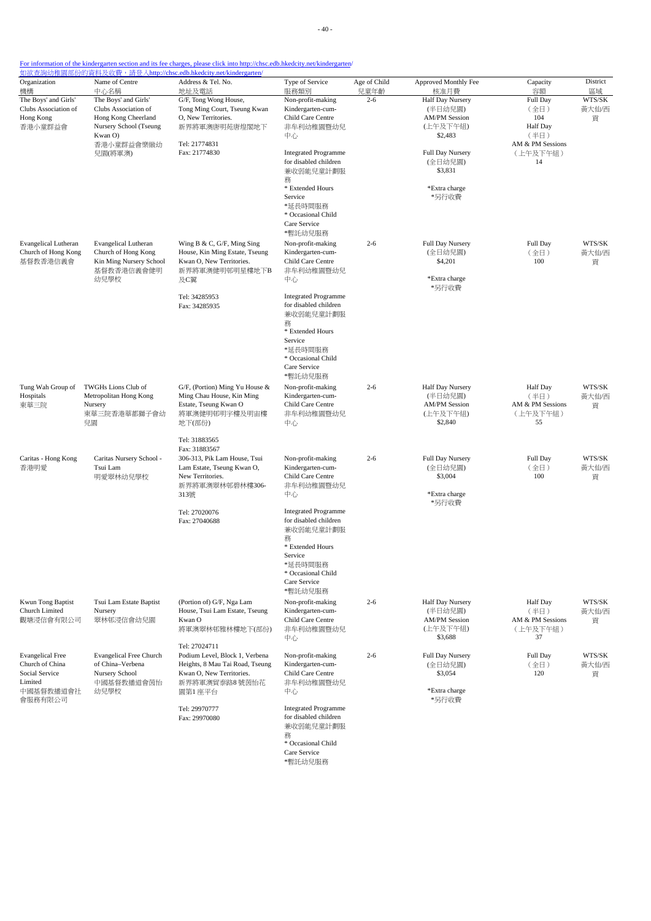- 40 -

### For information of the kindergarten section and its fee charges, please click into http://chsc.edb.hkedcity.net/kindergarten/

| Organization<br>機構                                                                              | Name of Centre<br>中心名稱                                                                                                            | Address & Tel. No.<br>地址及電話                                                                                                                                  | Type of Service<br>服務類別                                                                                                                                                                                                                             | Age of Child<br>兒童年齡 | Approved Monthly Fee<br>核准月費                                                                                                                   | Capacity<br>容額                                                                           | District<br>區域       |
|-------------------------------------------------------------------------------------------------|-----------------------------------------------------------------------------------------------------------------------------------|--------------------------------------------------------------------------------------------------------------------------------------------------------------|-----------------------------------------------------------------------------------------------------------------------------------------------------------------------------------------------------------------------------------------------------|----------------------|------------------------------------------------------------------------------------------------------------------------------------------------|------------------------------------------------------------------------------------------|----------------------|
| The Boys' and Girls'<br>Clubs Association of<br>Hong Kong<br>香港小童群益會                            | The Boys' and Girls'<br>Clubs Association of<br>Hong Kong Cheerland<br>Nursery School (Tseung<br>Kwan O)<br>香港小童群益會樂緻幼<br>兒園(將軍澳) | G/F, Tong Wong House,<br>Tong Ming Court, Tseung Kwan<br>O, New Territories.<br>新界將軍澳唐明苑唐煌閣地下<br>Tel: 21774831<br>Fax: 21774830                              | Non-profit-making<br>Kindergarten-cum-<br>Child Care Centre<br>非牟利幼稚園暨幼兒<br>中心<br><b>Integrated Programme</b><br>for disabled children<br>兼收弱能兒童計劃服<br>務<br>* Extended Hours<br>Service<br>*延長時間服務<br>* Occasional Child<br>Care Service<br>*暫託幼兒服務 | $2 - 6$              | Half Day Nursery<br>(半日幼兒園)<br><b>AM/PM Session</b><br>(上午及下午組)<br>\$2,483<br>Full Day Nursery<br>(全日幼兒園)<br>\$3,831<br>*Extra charge<br>*另行收費 | Full Day<br>(全日)<br>104<br><b>Half</b> Day<br>(半日)<br>AM & PM Sessions<br>(上午及下午組)<br>14 | WTS/SK<br>黃大仙/西<br>貢 |
| <b>Evangelical Lutheran</b><br>Church of Hong Kong<br>基督教香港信義會                                  | <b>Evangelical Lutheran</b><br>Church of Hong Kong<br>Kin Ming Nursery School<br>基督教香港信義會健明<br>幼兒學校                               | Wing B & C, G/F, Ming Sing<br>House, Kin Ming Estate, Tseung<br>Kwan O, New Territories.<br>新界將軍澳健明邨明星樓地下B<br>及C翼<br>Tel: 34285953<br>Fax: 34285935          | Non-profit-making<br>Kindergarten-cum-<br>Child Care Centre<br>非牟利幼稚園暨幼兒<br>中心<br><b>Integrated Programme</b><br>for disabled children<br>兼收弱能兒童計劃服<br>務<br>* Extended Hours<br>Service<br>*延長時間服務<br>* Occasional Child<br>Care Service<br>*暫託幼兒服務 | $2 - 6$              | Full Day Nursery<br>(全日幼兒園)<br>\$4,201<br>*Extra charge<br>*另行收費                                                                               | Full Day<br>(全日)<br>100                                                                  | WTS/SK<br>黃大仙/西<br>貢 |
| Tung Wah Group of<br>Hospitals<br>東華三院                                                          | TWGHs Lions Club of<br>Metropolitan Hong Kong<br>Nursery<br>東華三院香港華都獅子會幼<br>兒園                                                    | G/F, (Portion) Ming Yu House &<br>Ming Chau House, Kin Ming<br>Estate, Tseung Kwan O<br>將軍澳健明邨明宇樓及明宙樓<br>地下(部份)<br>Tel: 31883565                             | Non-profit-making<br>Kindergarten-cum-<br>Child Care Centre<br>非牟利幼稚園暨幼兒<br>中心                                                                                                                                                                      | $2 - 6$              | Half Day Nursery<br>(半日幼兒園)<br><b>AM/PM Session</b><br>(上午及下午組)<br>\$2,840                                                                     | <b>Half</b> Day<br>(半日)<br>AM & PM Sessions<br>(上午及下午組)<br>55                            | WTS/SK<br>黃大仙/西<br>貢 |
| Caritas - Hong Kong<br>香港明愛                                                                     | Caritas Nursery School -<br>Tsui Lam<br>明愛翠林幼兒學校                                                                                  | Fax: 31883567<br>306-313, Pik Lam House, Tsui<br>Lam Estate, Tseung Kwan O,<br>New Territories.<br>新界將軍澳翠林邨碧林樓306-<br>313號<br>Tel: 27020076<br>Fax: 27040688 | Non-profit-making<br>Kindergarten-cum-<br>Child Care Centre<br>非牟利幼稚園暨幼兒<br>中心<br><b>Integrated Programme</b><br>for disabled children<br>兼收弱能兒童計劃服<br>務<br>* Extended Hours<br>Service<br>*延長時間服務<br>* Occasional Child<br>Care Service<br>*暫託幼兒服務 | $2 - 6$              | Full Day Nursery<br>(全日幼兒園)<br>\$3,004<br>*Extra charge<br>*另行收費                                                                               | Full Day<br>(全日)<br>100                                                                  | WTS/SK<br>黃大仙/西<br>貢 |
| Kwun Tong Baptist<br>Church Limited<br>觀塘浸信會有限公司                                                | Tsui Lam Estate Baptist<br>Nursery<br>翠林邨浸信會幼兒園                                                                                   | (Portion of) G/F, Nga Lam<br>House, Tsui Lam Estate, Tseung<br>Kwan O<br>將軍澳翠林邨雅林樓地下(部份)<br>Tel: 27024711                                                    | Non-profit-making<br>Kindergarten-cum-<br>Child Care Centre<br>非牟利幼稚園暨幼兒<br>中心                                                                                                                                                                      | $2 - 6$              | Half Day Nursery<br>(半日幼兒園)<br><b>AM/PM Session</b><br>(上午及下午組)<br>\$3,688                                                                     | <b>Half</b> Day<br>(半日)<br>AM & PM Sessions<br>(上午及下午組)<br>37                            | WTS/SK<br>黄大仙/西<br>貢 |
| <b>Evangelical Free</b><br>Church of China<br>Social Service<br>Limited<br>中國基督教播道會社<br>會服務有限公司 | <b>Evangelical Free Church</b><br>of China-Verbena<br>Nursery School<br>中國基督教播道會茵怡<br>幼兒學校                                        | Podium Level, Block 1, Verbena<br>Heights, 8 Mau Tai Road, Tseung<br>Kwan O, New Territories.<br>新界將軍澳貿泰路8號茵怡花<br>園第1座平台<br>Tel: 29970777<br>Fax: 29970080   | Non-profit-making<br>Kindergarten-cum-<br>Child Care Centre<br>非牟利幼稚園暨幼兒<br>中心<br><b>Integrated Programme</b><br>for disabled children<br>兼收弱能兒童計劃服<br>務<br>* Occasional Child                                                                      | $2 - 6$              | Full Day Nursery<br>(全日幼兒園)<br>\$3,054<br>*Extra charge<br>*另行收費                                                                               | Full Day<br>(全日)<br>120                                                                  | WTS/SK<br>黃大仙/西<br>貢 |

Care Service \*暫託幼兒服務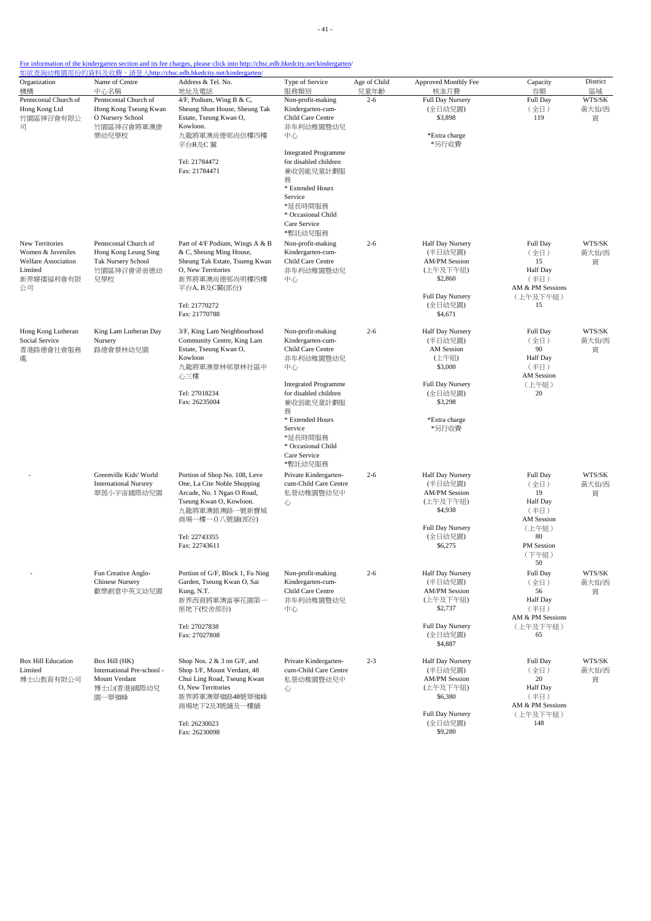| Organization<br>機構                                                                               | Name of Centre<br>中心名稱                                                                    | Address & Tel. No.<br>地址及電話                                                                                                                                                               | Type of Service<br>服務類別                                                                                                                                                                                                                             | Age of Child<br>兒童年齡 | Approved Monthly Fee<br>核准月費                                                                                                      | Capacity<br>容額                                                                                              | District<br>區域       |
|--------------------------------------------------------------------------------------------------|-------------------------------------------------------------------------------------------|-------------------------------------------------------------------------------------------------------------------------------------------------------------------------------------------|-----------------------------------------------------------------------------------------------------------------------------------------------------------------------------------------------------------------------------------------------------|----------------------|-----------------------------------------------------------------------------------------------------------------------------------|-------------------------------------------------------------------------------------------------------------|----------------------|
| Pentecostal Church of<br>Hong Kong Ltd<br>竹園區神召會有限公<br>급                                         | Pentecostal Church of<br>Hong Kong Tseung Kwan<br>O Nursery School<br>竹園區神召會將軍澳康<br>樂幼兒學校 | 4/F, Podium, Wing B & C,<br>Sheung Shun House, Sheung Tak<br>Estate, Tseung Kwan O,<br>Kowloon.<br>九龍將軍澳尚德邨尚信樓四樓<br>平台B及C 翼<br>Tel: 21784472<br>Fax: 21784471                             | Non-profit-making<br>Kindergarten-cum-<br>Child Care Centre<br>非牟利幼稚園暨幼兒<br>中心<br><b>Integrated Programme</b><br>for disabled children<br>兼收弱能兒童計劃服<br>務<br>* Extended Hours<br>Service<br>*延長時間服務<br>* Occasional Child<br>Care Service<br>*暫託幼兒服務 | $2 - 6$              | Full Day Nursery<br>(全日幼兒園)<br>\$3,898<br>*Extra charge<br>*另行收費                                                                  | Full Day<br>(全日)<br>119                                                                                     | WTS/SK<br>黃大仙/西<br>貢 |
| New Territories<br>Women & Juveniles<br><b>Welfare Association</b><br>Limited<br>新界婦孺福利會有限<br>公司 | Pentecostal Church of<br>Hong Kong Leung Sing<br>Tak Nursery School<br>竹園區神召會梁省德幼<br>兒學校  | Part of 4/F Podium, Wings A & B<br>& C, Sheung Ming House,<br>Sheung Tak Estate, Tsueng Kwan<br>O, New Territories<br>新界將軍澳尚德邨尚明樓四樓<br>平台A, B及C翼(部份)<br>Tel: 21770272<br>Fax: 21770788    | Non-profit-making<br>Kindergarten-cum-<br>Child Care Centre<br>非牟利幼稚園暨幼兒<br>中心                                                                                                                                                                      | $2 - 6$              | Half Day Nursery<br>(半日幼兒園)<br><b>AM/PM Session</b><br>(上午及下午組)<br>\$2,860<br>Full Day Nursery<br>(全日幼兒園)<br>\$4,671              | Full Day<br>(全日)<br>15<br>Half Day<br>(半日)<br>AM & PM Sessions<br>(上午及下午組)<br>15                            | WTS/SK<br>黃大仙/西<br>貢 |
| Hong Kong Lutheran<br>Social Service<br>香港路德會社會服務<br>處                                           | King Lam Lutheran Day<br>Nursery<br>路德會景林幼兒園                                              | 3/F, King Lam Neighbourhood<br>Community Centre, King Lam<br>Estate, Tseung Kwan O,<br>Kowloon<br>九龍將軍澳景林邨景林社區中<br>心三樓<br>Tel: 27018234<br>Fax: 26235004                                  | Non-profit-making<br>Kindergarten-cum-<br>Child Care Centre<br>非牟利幼稚園暨幼兒<br>中心<br><b>Integrated Programme</b><br>for disabled children<br>兼收弱能兒童計劃服<br>務<br>* Extended Hours<br>Service<br>*延長時間服務<br>* Occasional Child<br>Care Service            | $2 - 6$              | Half Day Nursery<br>(半日幼兒園)<br>AM Session<br>(上午組)<br>\$3,000<br>Full Day Nursery<br>(全日幼兒園)<br>\$3,298<br>*Extra charge<br>*另行收費 | Full Day<br>(全日)<br>90<br><b>Half Day</b><br>(半日)<br>AM Session<br>(上午組)<br>20                              | WTS/SK<br>黃大仙/西<br>貢 |
|                                                                                                  | Greenville Kids' World<br><b>International Nursrey</b><br>翠茵小宇宙國際幼兒園                      | Portion of Shop No. 108, Leve<br>One, La Cite Noble Shopping<br>Arcade, No. 1 Ngan O Road,<br>Tseung Kwan O, Kowloon.<br>九龍將軍澳銀澳路一號新寶城<br>商場一樓一0八號舖(部份)<br>Tel: 22743355<br>Fax: 22743611 | *暫託幼兒服務<br>Private Kindergarten-<br>cum-Child Care Centre<br>私營幼稚園暨幼兒中<br>心                                                                                                                                                                         | $2 - 6$              | Half Day Nursery<br>(半日幼兒園)<br><b>AM/PM Session</b><br>(上午及下午組)<br>\$4,938<br>Full Day Nursery<br>(全日幼兒園)<br>\$6,275              | Full Day<br>(全日)<br>19<br><b>Half Day</b><br>(半日)<br>AM Session<br>(上午組)<br>80<br>PM Session<br>(下午組)<br>50 | WTS/SK<br>黃大仙/西<br>貢 |
|                                                                                                  | Fun Creative Anglo-<br><b>Chinese Nursery</b><br>歡樂創意中英文幼兒園                               | Portion of G/F, Block 1, Fu Ning<br>Garden, Tseung Kwan O, Sai<br>Kung, N.T.<br>新界西貢將軍澳富寧花園第一<br>座地下(校舍部份)<br>Tel: 27027838<br>Fax: 27027808                                              | Non-profit-making<br>Kindergarten-cum-<br>Child Care Centre<br>非牟利幼稚園暨幼兒<br>中心                                                                                                                                                                      | $2 - 6$              | Half Day Nursery<br>(半日幼兒園)<br><b>AM/PM Session</b><br>(上午及下午組)<br>\$2,737<br>Full Day Nursery<br>(全日幼兒園)<br>\$4,887              | Full Day<br>(全日)<br>56<br><b>Half Day</b><br>(半日)<br>AM & PM Sessions<br>(上午及下午組)<br>65                     | WTS/SK<br>黃大仙/西<br>貢 |
| <b>Box Hill Education</b><br>Limited<br>博士山教育有限公司                                                | Box Hill (HK)<br>International Pre-school -<br>Mount Verdant<br>博士山(香港)國際幼兒<br>園一翠嶺峰      | Shop Nos. $2 \& 3$ on G/F, and<br>Shop 1/F, Mount Verdant, 48<br>Chui Ling Road, Tseung Kwan<br>O, New Territories<br>新界將軍澳翠嶺路48號翠嶺峰<br>商場地下2及3號舖及一樓舖<br>Tel: 26230023<br>Fax: 26230098   | Private Kindergarten-<br>cum-Child Care Centre<br>私營幼稚園暨幼兒中<br>心                                                                                                                                                                                    | $2 - 3$              | Half Day Nursery<br>(半日幼兒園)<br><b>AM/PM Session</b><br>(上午及下午組)<br>\$6,380<br><b>Full Day Nursery</b><br>(全日幼兒園)<br>\$9,280       | Full Day<br>(全日)<br>20<br><b>Half Day</b><br>(半日)<br>AM & PM Sessions<br>(上午及下午組)<br>148                    | WTS/SK<br>黃大仙/西<br>貢 |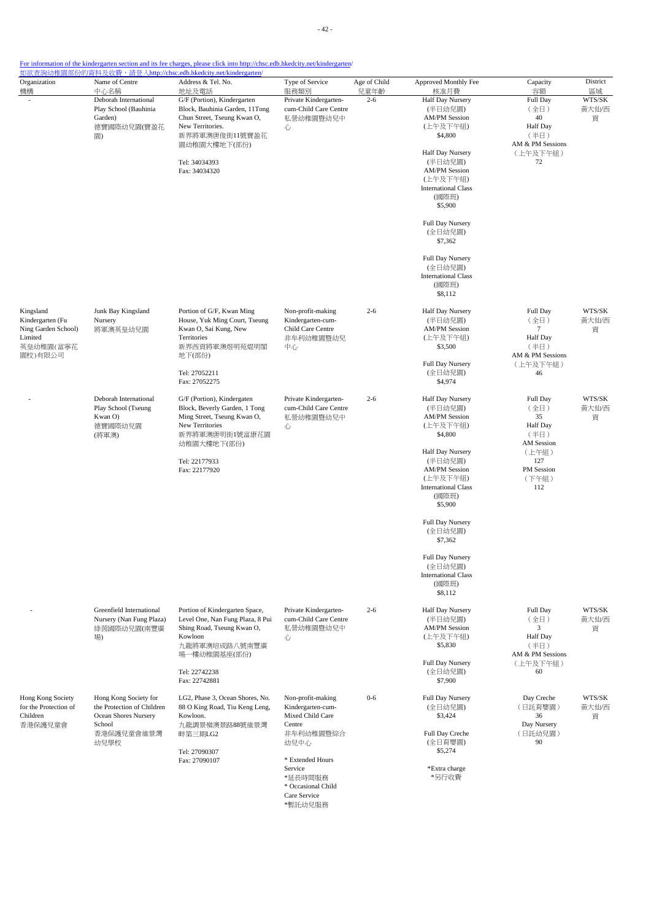- 42 -

| Organization<br>機構                                                                      | Name of Centre<br>中心名稱                                                                                      | <u> 如欲查詢幼稚園部份的資料及收費,請登入http://chsc.edb.hkedcity.net/kindergarten/</u><br>Address & Tel. No.<br>地址及電話                                                                                 | Type of Service<br>服務類別                                                                                                                                                              | Age of Child<br>兒童年齡 | Approved Monthly Fee<br>核准月費                                                                                                                                                                                                                                                                                                      | Capacity<br>容額                                                                                                       | District<br>區域       |
|-----------------------------------------------------------------------------------------|-------------------------------------------------------------------------------------------------------------|--------------------------------------------------------------------------------------------------------------------------------------------------------------------------------------|--------------------------------------------------------------------------------------------------------------------------------------------------------------------------------------|----------------------|-----------------------------------------------------------------------------------------------------------------------------------------------------------------------------------------------------------------------------------------------------------------------------------------------------------------------------------|----------------------------------------------------------------------------------------------------------------------|----------------------|
|                                                                                         | Deborah International<br>Play School (Bauhinia<br>Garden)<br>德寶國際幼兒園(寶盈花<br>園)                              | G/F (Portion), Kindergarten<br>Block, Bauhinia Garden, 11Tong<br>Chun Street, Tseung Kwan O,<br>New Territories.<br>新界將軍澳唐俊街11號寶盈花<br>園幼稚園大樓地下(部份)<br>Tel: 34034393<br>Fax: 34034320 | Private Kindergarten-<br>cum-Child Care Centre<br>私營幼稚園暨幼兒中<br>心                                                                                                                     | $2 - 6$              | Half Day Nursery<br>(半日幼兒園)<br><b>AM/PM</b> Session<br>(上午及下午組)<br>\$4,800<br>Half Day Nursery<br>(半日幼兒園)<br><b>AM/PM Session</b><br>(上午及下午組)<br><b>International Class</b><br>(國際班)<br>\$5,900<br>Full Day Nursery<br>(全日幼兒園)<br>\$7,362<br>Full Day Nursery<br>(全日幼兒園)<br><b>International Class</b><br>(國際班)<br>\$8,112        | Full Day<br>(全日)<br>40<br>Half Day<br>(半日)<br>AM & PM Sessions<br>(上午及下午組)<br>72                                     | WTS/SK<br>黃大仙/西<br>貢 |
| Kingsland<br>Kindergarten (Fu<br>Ning Garden School)<br>Limited<br>英皇幼稚園(富寧花<br>園校)有限公司 | Junk Bay Kingsland<br>Nursery<br>將軍澳英皇幼兒園                                                                   | Portion of G/F, Kwan Ming<br>House, Yuk Ming Court, Tseung<br>Kwan O, Sai Kung, New<br>Territories<br>新界西貢將軍澳煜明苑焜明閣<br>地下(部份)<br>Tel: 27052211<br>Fax: 27052275                      | Non-profit-making<br>Kindergarten-cum-<br>Child Care Centre<br>非牟利幼稚園暨幼兒<br>中心                                                                                                       | $2 - 6$              | Half Day Nursery<br>(半日幼兒園)<br><b>AM/PM Session</b><br>(上午及下午組)<br>\$3,500<br>Full Day Nursery<br>(全日幼兒園)<br>\$4,974                                                                                                                                                                                                              | Full Day<br>(全日)<br>7<br>Half Day<br>(半日)<br>AM & PM Sessions<br>(上午及下午組)<br>46                                      | WTS/SK<br>黃大仙/西<br>貢 |
|                                                                                         | Deborah International<br>Play School (Tseung<br>Kwan O)<br>德寶國際幼兒園<br>(將軍澳)                                 | G/F (Portion), Kindergaten<br>Block, Beverly Garden, 1 Tong<br>Ming Street, Tseung Kwan O,<br>New Territories<br>新界將軍澳唐明街1號富康花園<br>幼稚園大樓地下(部份)<br>Tel: 22177933<br>Fax: 22177920     | Private Kindergarten-<br>cum-Child Care Centre<br>私營幼稚園暨幼兒中<br>心                                                                                                                     | $2 - 6$              | Half Day Nursery<br>(半日幼兒園)<br><b>AM/PM</b> Session<br>(上午及下午組)<br>\$4,800<br>Half Day Nursery<br>(半日幼兒園)<br><b>AM/PM Session</b><br>(上午及下午組)<br><b>International Class</b><br>(國際班)<br>\$5,900<br>Full Day Nursery<br>(全日幼兒園)<br>\$7,362<br><b>Full Day Nursery</b><br>(全日幼兒園)<br><b>International Class</b><br>(國際班)<br>\$8,112 | Full Day<br>(全日)<br>35<br><b>Half Day</b><br>(半日)<br><b>AM</b> Session<br>(上午組)<br>127<br>PM Session<br>(下午組)<br>112 | WTS/SK<br>黃大仙/西<br>貢 |
|                                                                                         | Greenfield International<br>Nursery (Nan Fung Plaza)<br>綠茵國際幼兒園(南豐廣<br>場)                                   | Portion of Kindergarten Space,<br>Level One, Nan Fung Plaza, 8 Pui<br>Shing Road, Tseung Kwan O,<br>Kowloon<br>九龍將軍澳培成路八號南豐廣<br>場一樓幼稚園基座(部份)<br>Tel: 22742238<br>Fax: 22742881       | Private Kindergarten-<br>cum-Child Care Centre<br>私營幼稚園暨幼兒中<br>心                                                                                                                     | $2 - 6$              | Half Day Nursery<br>(半日幼兒園)<br><b>AM/PM Session</b><br>(上午及下午組)<br>\$5,830<br>Full Day Nursery<br>(全日幼兒園)<br>\$7,900                                                                                                                                                                                                              | Full Day<br>(全日)<br>3<br>Half Day<br>(半日)<br>AM & PM Sessions<br>(上午及下午組)<br>60                                      | WTS/SK<br>黃大仙/西<br>貢 |
| Hong Kong Society<br>for the Protection of<br>Children<br>香港保護兒童會                       | Hong Kong Society for<br>the Protection of Children<br>Ocean Shores Nursery<br>School<br>香港保護兒童會維景灣<br>幼兒學校 | LG2, Phase 3, Ocean Shores, No.<br>88 O King Road, Tiu Keng Leng,<br>Kowloon.<br>九龍調景嶺澳景路88號維景灣<br>畔第三期LG2<br>Tel: 27090307<br>Fax: 27090107                                         | Non-profit-making<br>Kindergarten-cum-<br>Mixed Child Care<br>Centre<br>非牟利幼稚園暨綜合<br>幼兒中心<br>* Extended Hours<br>Service<br>*延長時間服務<br>* Occasional Child<br>Care Service<br>*暫託幼兒服務 | $0 - 6$              | Full Day Nursery<br>(全日幼兒園)<br>\$3,424<br>Full Day Creche<br>(全日育嬰園)<br>\$5,274<br>*Extra charge<br>*另行收費                                                                                                                                                                                                                         | Day Creche<br>(日託育嬰園)<br>36<br>Day Nursery<br>(日託幼兒園)<br>90                                                          | WTS/SK<br>黃大仙/西<br>貢 |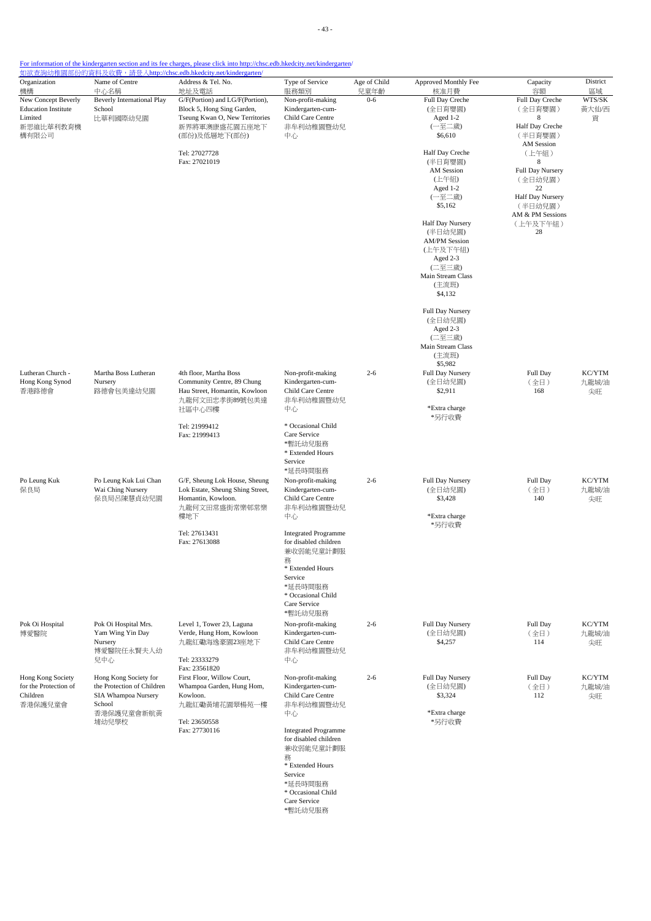| Organization<br>機構         | Name of Centre<br>中心名稱     | Address & Tel. No.<br>地址及電話                     | Type of Service<br>服務類別                              | Age of Child<br>兒童年齡 | Approved Monthly Fee<br>核准月費 | Capacity<br>容額              | District<br>區域 |
|----------------------------|----------------------------|-------------------------------------------------|------------------------------------------------------|----------------------|------------------------------|-----------------------------|----------------|
| New Concept Beverly        | Beverly International Play | G/F(Portion) and LG/F(Portion),                 | Non-profit-making                                    | $0 - 6$              | Full Day Creche              | Full Day Creche             | WTS/SK         |
| <b>Education Institute</b> | School                     | Block 5, Hong Sing Garden,                      | Kindergarten-cum-                                    |                      | (全日育嬰園)                      | (全日育嬰園)                     | 黃大仙/西          |
| Limited<br>新思維比華利教育機       | 比華利國際幼兒園                   | Tseung Kwan O, New Territories<br>新界將軍澳康盛花園五座地下 | Child Care Centre<br>非牟利幼稚園暨幼兒                       |                      | Aged 1-2<br>(一至二歲)           | 8<br>Half Day Creche        | 貢              |
| 構有限公司                      |                            | (部份)及低層地下(部份)                                   | 中心                                                   |                      | \$6,610                      | (半日育嬰園)<br>AM Session       |                |
|                            |                            | Tel: 27027728                                   |                                                      |                      | Half Day Creche              | (上午組)                       |                |
|                            |                            | Fax: 27021019                                   |                                                      |                      | (半日育嬰園)                      | 8                           |                |
|                            |                            |                                                 |                                                      |                      | AM Session<br>(上午組)          | Full Day Nursery<br>(全日幼兒園) |                |
|                            |                            |                                                 |                                                      |                      | Aged 1-2                     | 22                          |                |
|                            |                            |                                                 |                                                      |                      | (一至二歲)<br>\$5,162            | Half Day Nursery<br>(半日幼兒園) |                |
|                            |                            |                                                 |                                                      |                      |                              | AM & PM Sessions            |                |
|                            |                            |                                                 |                                                      |                      | Half Day Nursery<br>(半日幼兒園)  | (上午及下午組)<br>28              |                |
|                            |                            |                                                 |                                                      |                      | <b>AM/PM Session</b>         |                             |                |
|                            |                            |                                                 |                                                      |                      | (上午及下午組)                     |                             |                |
|                            |                            |                                                 |                                                      |                      | Aged 2-3<br>(二至三歲)           |                             |                |
|                            |                            |                                                 |                                                      |                      | Main Stream Class            |                             |                |
|                            |                            |                                                 |                                                      |                      | (主流班)<br>\$4,132             |                             |                |
|                            |                            |                                                 |                                                      |                      | Full Day Nursery             |                             |                |
|                            |                            |                                                 |                                                      |                      | (全日幼兒園)                      |                             |                |
|                            |                            |                                                 |                                                      |                      | Aged 2-3<br>(二至三歲)           |                             |                |
|                            |                            |                                                 |                                                      |                      | Main Stream Class            |                             |                |
|                            |                            |                                                 |                                                      |                      | (主流班)<br>\$5,982             |                             |                |
| Lutheran Church -          | Martha Boss Lutheran       | 4th floor, Martha Boss                          | Non-profit-making                                    | $2 - 6$              | Full Day Nursery             | Full Day                    | KC/YTM         |
| Hong Kong Synod            | Nursery                    | Community Centre, 89 Chung                      | Kindergarten-cum-                                    |                      | (全日幼兒園)                      | (全日)                        | 九龍城/油          |
| 香港路德會                      | 路德會包美達幼兒園                  | Hau Street, Homantin, Kowloon<br>九龍何文田忠孝街89號包美達 | Child Care Centre<br>非牟利幼稚園暨幼兒                       |                      | \$2,911                      | 168                         | 尖旺             |
|                            |                            | 社區中心四樓                                          | 中心                                                   |                      | *Extra charge<br>*另行收費       |                             |                |
|                            |                            | Tel: 21999412                                   | * Occasional Child<br>Care Service                   |                      |                              |                             |                |
|                            |                            | Fax: 21999413                                   | *暫託幼兒服務                                              |                      |                              |                             |                |
|                            |                            |                                                 | * Extended Hours                                     |                      |                              |                             |                |
|                            |                            |                                                 | Service                                              |                      |                              |                             |                |
| Po Leung Kuk               | Po Leung Kuk Lui Chan      | G/F, Sheung Lok House, Sheung                   | *延長時間服務<br>Non-profit-making                         | $2 - 6$              | Full Day Nursery             | Full Day                    | KC/YTM         |
| 保良局                        | Wai Ching Nursery          | Lok Estate, Sheung Shing Street,                | Kindergarten-cum-                                    |                      | (全日幼兒園)                      | (全日)                        | 九龍城/油          |
|                            | 保良局呂陳慧貞幼兒園                 | Homantin, Kowloon.                              | Child Care Centre                                    |                      | \$3,428                      | 140                         | 尖旺             |
|                            |                            | 九龍何文田常盛街常樂邨常樂<br>樓地下                            | 非牟利幼稚園暨幼兒<br>中心                                      |                      | *Extra charge                |                             |                |
|                            |                            |                                                 |                                                      |                      | *另行收費                        |                             |                |
|                            |                            | Tel: 27613431<br>Fax: 27613088                  | <b>Integrated Programme</b><br>for disabled children |                      |                              |                             |                |
|                            |                            |                                                 | 兼收弱能兒童計劃服                                            |                      |                              |                             |                |
|                            |                            |                                                 | 務<br>* Extended Hours                                |                      |                              |                             |                |
|                            |                            |                                                 | Service                                              |                      |                              |                             |                |
|                            |                            |                                                 | *延長時間服務                                              |                      |                              |                             |                |
|                            |                            |                                                 | * Occasional Child                                   |                      |                              |                             |                |
|                            |                            |                                                 | Care Service<br>*暫託幼兒服務                              |                      |                              |                             |                |
| Pok Oi Hospital            | Pok Oi Hospital Mrs.       | Level 1, Tower 23, Laguna                       | Non-profit-making                                    | $2 - 6$              | Full Day Nursery             | Full Day                    | KC/YTM         |
| 博愛醫院                       | Yam Wing Yin Day           | Verde, Hung Hom, Kowloon                        | Kindergarten-cum-                                    |                      | (全日幼兒園)                      | (全日)                        | 九龍城/油          |
|                            | Nursery<br>博愛醫院任永賢夫人幼      | 九龍紅磡海逸豪園23座地下                                   | Child Care Centre<br>非牟利幼稚園暨幼兒                       |                      | \$4,257                      | 114                         | 尖旺             |
|                            | 兒中心                        | Tel: 23333279                                   | 中心                                                   |                      |                              |                             |                |
| Hong Kong Society          | Hong Kong Society for      | Fax: 23561820<br>First Floor, Willow Court,     | Non-profit-making                                    | $2 - 6$              | Full Day Nursery             | Full Day                    | KC/YTM         |
| for the Protection of      | the Protection of Children | Whampoa Garden, Hung Hom,                       | Kindergarten-cum-                                    |                      | (全日幼兒園)                      | (全日)                        | 九龍城/油          |
| Children                   | SIA Whampoa Nursery        | Kowloon.                                        | Child Care Centre                                    |                      | \$3,324                      | 112                         | 尖旺             |
| 香港保護兒童會                    | School<br>香港保護兒童會新航黃       | 九龍紅磡黃埔花園翠楊苑一樓                                   | 非牟利幼稚園暨幼兒<br>中心                                      |                      | *Extra charge                |                             |                |
|                            | 埔幼兒學校                      | Tel: 23650558                                   |                                                      |                      | *另行收費                        |                             |                |
|                            |                            | Fax: 27730116                                   | <b>Integrated Programme</b>                          |                      |                              |                             |                |
|                            |                            |                                                 | for disabled children<br>兼收弱能兒童計劃服                   |                      |                              |                             |                |
|                            |                            |                                                 | 務                                                    |                      |                              |                             |                |
|                            |                            |                                                 | * Extended Hours                                     |                      |                              |                             |                |
|                            |                            |                                                 | Service<br>*延長時間服務                                   |                      |                              |                             |                |
|                            |                            |                                                 | * Occasional Child                                   |                      |                              |                             |                |
|                            |                            |                                                 | Care Service                                         |                      |                              |                             |                |
|                            |                            |                                                 | *暫託幼兒服務                                              |                      |                              |                             |                |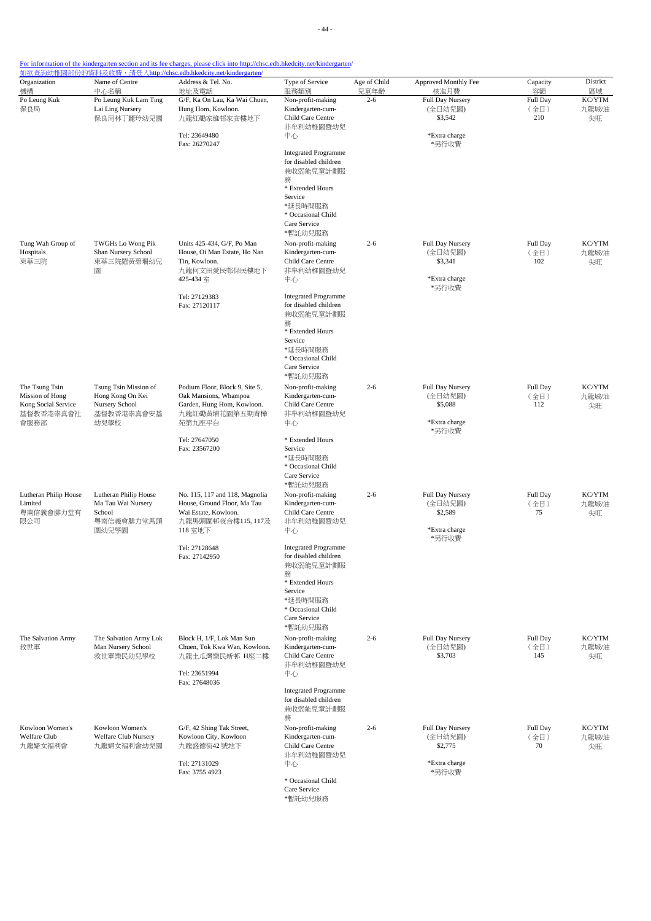| Name of Centre                                                                    | Address & Tel. No.                                                                                                    | Type of Service                                                                                                                                                   | Age of Child                                                               | Approved Monthly Fee                                             | Capacity                          | District<br>區域        |
|-----------------------------------------------------------------------------------|-----------------------------------------------------------------------------------------------------------------------|-------------------------------------------------------------------------------------------------------------------------------------------------------------------|----------------------------------------------------------------------------|------------------------------------------------------------------|-----------------------------------|-----------------------|
| Po Leung Kuk Lam Ting<br>Lai Ling Nursery<br>保良局林丁麗玲幼兒園                           | G/F, Ka On Lau, Ka Wai Chuen,<br>Hung Hom, Kowloon.<br>九龍紅磡家維邨家安樓地下                                                   | Non-profit-making<br>Kindergarten-cum-<br>Child Care Centre                                                                                                       | $2 - 6$                                                                    | Full Day Nursery<br>(全日幼兒園)<br>\$3,542                           | Full Day<br>(全日)<br>210           | KC/YTM<br>九龍城/油<br>尖旺 |
|                                                                                   | Tel: 23649480<br>Fax: 26270247                                                                                        | 中心<br><b>Integrated Programme</b><br>for disabled children<br>兼收弱能兒童計劃服<br>務<br>* Extended Hours<br>Service<br>*延長時間服務<br>* Occasional Child                      |                                                                            | *Extra charge<br>*另行收費                                           |                                   |                       |
| TWGHs Lo Wong Pik<br>Shan Nursery School<br>東華三院羅黃碧珊幼兒<br>園                       | Units 425-434, G/F, Po Man<br>House, Oi Man Estate, Ho Nan<br>Tin, Kowloon.<br>九龍何文田愛民邨保民樓地下<br>425-434 室             | *暫託幼兒服務<br>Non-profit-making<br>Kindergarten-cum-<br>Child Care Centre<br>非牟利幼稚園暨幼兒<br>中心                                                                         | $2 - 6$                                                                    | Full Day Nursery<br>(全日幼兒園)<br>\$3,341<br>*Extra charge          | Full Day<br>(全日)<br>102           | KC/YTM<br>九龍城/油<br>尖旺 |
|                                                                                   | Tel: 27129383<br>Fax: 27120117                                                                                        | <b>Integrated Programme</b><br>for disabled children<br>兼收弱能兒童計劃服<br>務<br>* Extended Hours<br>Service<br>*延長時間服務<br>* Occasional Child<br>Care Service<br>*暫託幼兒服務 |                                                                            |                                                                  |                                   |                       |
| Tsung Tsin Mission of<br>Hong Kong On Kei<br>Nursery School<br>基督教香港崇真會安基<br>幼兒學校 | Podium Floor, Block 9, Site 5,<br>Oak Mansions, Whampoa<br>Garden, Hung Hom, Kowloon.<br>九龍紅磡黃埔花園第五期青樺<br>苑第九座平台      | Non-profit-making<br>Kindergarten-cum-<br>Child Care Centre<br>非牟利幼稚園暨幼兒<br>中心                                                                                    | $2 - 6$                                                                    | Full Day Nursery<br>(全日幼兒園)<br>\$5,088<br>*Extra charge<br>*另行收費 | Full Day<br>(全日)<br>112           | KC/YTM<br>九龍城/油<br>尖旺 |
|                                                                                   | Fax: 23567200                                                                                                         | Service<br>*延長時間服務<br>* Occasional Child<br>Care Service<br>*暫託幼兒服務                                                                                               |                                                                            |                                                                  |                                   |                       |
| Lutheran Philip House<br>Ma Tau Wai Nursery<br>School<br>粵南信義會腓力堂馬頭<br>圍幼兒學園      | No. 115, 117 and 118, Magnolia<br>House, Ground Floor, Ma Tau<br>Wai Estate, Kowloon.<br>九龍馬頭圍邨夜合樓115,117及<br>118 室地下 | Non-profit-making<br>Kindergarten-cum-<br>Child Care Centre<br>非牟利幼稚園暨幼兒<br>中心                                                                                    | $2 - 6$                                                                    | Full Day Nursery<br>(全日幼兒園)<br>\$2,589<br>*Extra charge<br>*另行收費 | Full Day<br>(全日)<br>75            | KC/YTM<br>九龍城/油<br>尖旺 |
|                                                                                   | Tel: 27128648<br>Fax: 27142950                                                                                        | <b>Integrated Programme</b><br>for disabled children<br>兼收弱能兒童計劃服<br>務<br>* Extended Hours<br>Service<br>*延長時間服務<br>* Occasional Child<br>Care Service<br>*暫託幼兒服務 |                                                                            |                                                                  |                                   |                       |
| The Salvation Army Lok<br>Man Nursery School<br>救世軍樂民幼兒學校                         | Block H, 1/F, Lok Man Sun<br>Chuen. Tok Kwa Wan. Kowloon.<br>九龍土瓜灣樂民新邨 H座二樓<br>Tel: 23651994<br>Fax: 27648036         | Non-profit-making<br>Kindergarten-cum-<br>Child Care Centre<br>非牟利幼稚園暨幼兒<br>中心<br><b>Integrated Programme</b>                                                     | $2 - 6$                                                                    | Full Day Nursery<br>(全日幼兒園)<br>\$3,703                           | Full Day<br>(全日)<br>145           | KC/YTM<br>九龍城/油<br>尖旺 |
|                                                                                   |                                                                                                                       | for disabled children<br>兼收弱能兒童計劃服<br>務                                                                                                                           |                                                                            |                                                                  |                                   | KC/YTM                |
| Welfare Club Nursery<br>九龍婦女福利會幼兒園                                                | Kowloon City, Kowloon<br>九龍盛德街42號地下<br>Tel: 27131029<br>Fax: 3755 4923                                                | Kindergarten-cum-<br>Child Care Centre<br>非牟利幼稚園暨幼兒<br>中心<br>* Occasional Child<br>Care Service                                                                   |                                                                            | (全日幼兒園)<br>\$2,775<br>*Extra charge<br>*另行收費                     | (全日)<br>70                        | 九龍城/油<br>尖旺           |
|                                                                                   | 中心名稱<br>Kowloon Women's                                                                                               | 地址及電話<br>Tel: 27647050<br>G/F, 42 Shing Tak Street,                                                                                                               | 服務類別<br>非牟利幼稚園暨幼兒<br>Care Service<br>* Extended Hours<br>Non-profit-making | 兒童年齡<br>$2 - 6$                                                  | 核准月費<br>*另行收費<br>Full Day Nursery | 容額<br>Full Day        |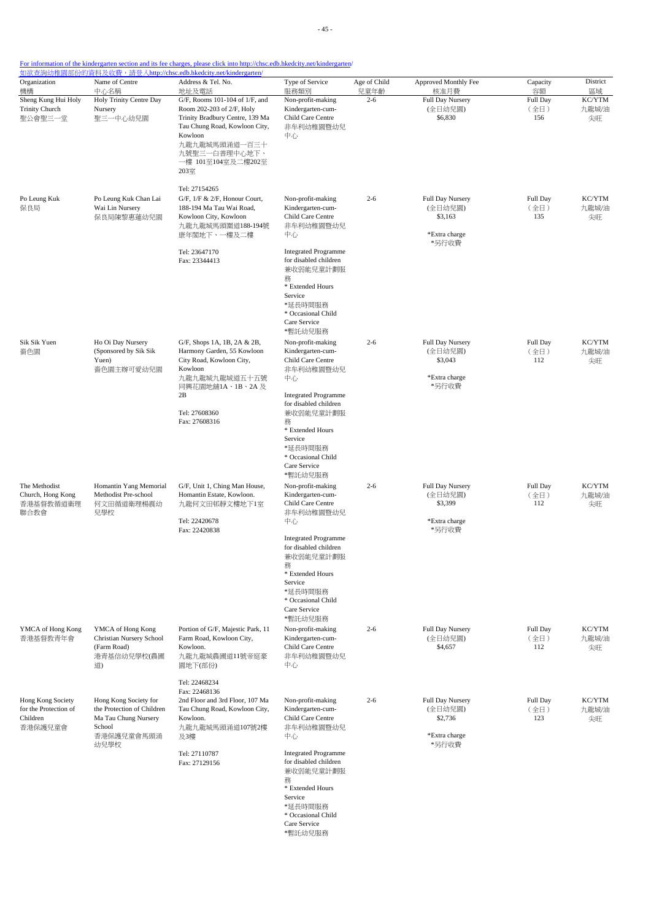- 45 -

| Organization<br>機構                                                | Name of Centre<br>中心名稱                                                                                      | Address & Tel. No.<br>地址及電話                                                                                                                                                                                | Type of Service<br>服務類別                                                                                                                                           | Age of Child<br>兒童年齡 | Approved Monthly Fee<br>核准月費                                     | Capacity<br>容額          | District<br>區域        |
|-------------------------------------------------------------------|-------------------------------------------------------------------------------------------------------------|------------------------------------------------------------------------------------------------------------------------------------------------------------------------------------------------------------|-------------------------------------------------------------------------------------------------------------------------------------------------------------------|----------------------|------------------------------------------------------------------|-------------------------|-----------------------|
| Sheng Kung Hui Holy<br><b>Trinity Church</b><br>聖公會聖三一堂           | Holy Trinity Centre Day<br>Nursery<br>聖三一中心幼兒園                                                              | G/F, Rooms 101-104 of 1/F, and<br>Room 202-203 of 2/F, Holy<br>Trinity Bradbury Centre, 139 Ma<br>Tau Chung Road, Kowloon City,<br>Kowloon<br>九龍九龍城馬頭涌道一百三十<br>九號聖三一白普理中心地下、<br>一樓 101至104室及二樓202至<br>203室 | Non-profit-making<br>Kindergarten-cum-<br>Child Care Centre<br>非牟利幼稚園暨幼兒<br>中心                                                                                    | $2 - 6$              | Full Day Nursery<br>(全日幼兒園)<br>\$6,830                           | Full Day<br>(全日)<br>156 | KC/YTM<br>九龍城/油<br>尖旺 |
| Po Leung Kuk<br>保良局                                               | Po Leung Kuk Chan Lai<br>Wai Lin Nursery<br>保良局陳黎惠蓮幼兒園                                                      | Tel: 27154265<br>$G/F$ , $1/F & 2/F$ , Honour Court,<br>188-194 Ma Tau Wai Road,<br>Kowloon City, Kowloon<br>九龍九龍城馬頭圍道188-194號<br>康年閣地下、一樓及二樓                                                              | Non-profit-making<br>Kindergarten-cum-<br>Child Care Centre<br>非牟利幼稚園暨幼兒<br>中心                                                                                    | $2 - 6$              | Full Day Nursery<br>(全日幼兒園)<br>\$3,163<br>*Extra charge          | Full Day<br>(全日)<br>135 | KC/YTM<br>九龍城/油<br>尖旺 |
|                                                                   |                                                                                                             | Tel: 23647170<br>Fax: 23344413                                                                                                                                                                             | <b>Integrated Programme</b><br>for disabled children<br>兼收弱能兒童計劃服<br>務<br>* Extended Hours<br>Service<br>*延長時間服務<br>* Occasional Child<br>Care Service<br>*暫託幼兒服務 |                      | *另行收費                                                            |                         |                       |
| Sik Sik Yuen<br>嗇色園                                               | Ho Oi Day Nursery<br>(Sponsored by Sik Sik<br>Yuen)<br>嗇色園主辦可愛幼兒園                                           | G/F, Shops 1A, 1B, 2A & 2B,<br>Harmony Garden, 55 Kowloon<br>City Road, Kowloon City,<br>Kowloon<br>九龍九龍城九龍城道五十五號<br>同興花園地舖1A、1B、2A 及<br>2B<br>Tel: 27608360<br>Fax: 27608316                              | Non-profit-making<br>Kindergarten-cum-<br>Child Care Centre<br>非牟利幼稚園暨幼兒<br>中心<br><b>Integrated Programme</b><br>for disabled children<br>兼收弱能兒童計劃服               | $2 - 6$              | Full Day Nursery<br>(全日幼兒園)<br>\$3,043<br>*Extra charge<br>*另行收費 | Full Day<br>(全日)<br>112 | KC/YTM<br>九龍城/油<br>尖旺 |
| The Methodist<br>Church, Hong Kong<br>香港基督教循道衛理<br>聯合教會           | Homantin Yang Memorial<br>Methodist Pre-school<br>何文田循道衛理楊震幼<br>兒學校                                         | Service<br>*延長時間服務<br>Care Service<br>*暫託幼兒服務<br>G/F, Unit 1, Ching Man House,<br>Homantin Estate, Kowloon.<br>九龍何文田邨靜文樓地下1室<br>Child Care Centre<br>中心<br>Tel: 22420678                                   | 務<br>* Extended Hours<br>* Occasional Child<br>Non-profit-making<br>Kindergarten-cum-<br>非牟利幼稚園暨幼兒                                                                | $2 - 6$              | Full Day Nursery<br>(全日幼兒園)<br>\$3,399<br>*Extra charge          | Full Day<br>(全日)<br>112 | KC/YTM<br>九龍城/油<br>尖旺 |
|                                                                   |                                                                                                             | Fax: 22420838                                                                                                                                                                                              | <b>Integrated Programme</b><br>for disabled children<br>兼收弱能兒童計劃服<br>務<br>* Extended Hours<br>Service<br>*延長時間服務<br>* Occasional Child<br>Care Service<br>*暫託幼兒服務 |                      | *另行收費                                                            |                         |                       |
| YMCA of Hong Kong<br>香港基督教青年會                                     | YMCA of Hong Kong<br>Christian Nursery School<br>(Farm Road)<br>港青基信幼兒學校(農圃<br>道)                           | Portion of G/F, Majestic Park, 11<br>Farm Road, Kowloon City,<br>Kowloon.<br>九龍九龍城農圃道11號帝庭豪<br>園地下(部份)                                                                                                     | Non-profit-making<br>Kindergarten-cum-<br>Child Care Centre<br>非牟利幼稚園暨幼兒<br>中心                                                                                    | $2 - 6$              | Full Day Nursery<br>(全日幼兒園)<br>\$4,657                           | Full Day<br>(全日)<br>112 | KC/YTM<br>九龍城/油<br>尖旺 |
| Hong Kong Society<br>for the Protection of<br>Children<br>香港保護兒童會 | Hong Kong Society for<br>the Protection of Children<br>Ma Tau Chung Nursery<br>School<br>香港保護兒童會馬頭涌<br>幼兒學校 | Tel: 22468234<br>Fax: 22468136<br>2nd Floor and 3rd Floor, 107 Ma<br>Tau Chung Road, Kowloon City,<br>Kowloon.<br>九龍九龍城馬頭涌道107號2樓<br>及3樓                                                                   | Non-profit-making<br>Kindergarten-cum-<br>Child Care Centre<br>非牟利幼稚園暨幼兒<br>中心                                                                                    | $2 - 6$              | Full Day Nursery<br>(全日幼兒園)<br>\$2,736<br>*Extra charge<br>*另行收費 | Full Day<br>(全日)<br>123 | KC/YTM<br>九龍城/油<br>尖旺 |
|                                                                   |                                                                                                             | Tel: 27110787<br>Fax: 27129156                                                                                                                                                                             | <b>Integrated Programme</b><br>for disabled children<br>兼收弱能兒童計劃服<br>務<br>* Extended Hours<br>Service<br>*延長時間服務<br>* Occasional Child<br>Care Service<br>*暫託幼兒服務 |                      |                                                                  |                         |                       |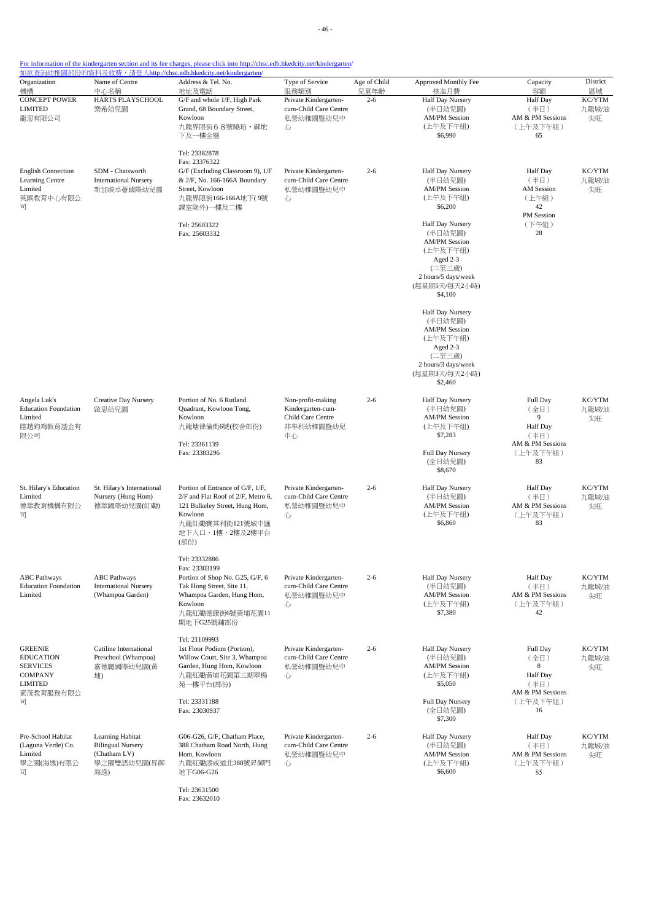- 46 -

| Organization                                                                                           | Name of Centre                                                                     | 如欲查詢幼稚園部份的資料及收費,請登入http://chsc.edb.hkedcity.net/kindergarten/<br>Address & Tel. No.                                                                                     | Type of Service                                                                | Age of Child    | Approved Monthly Fee                                                                                                                     | Capacity                                                                               | District                    |
|--------------------------------------------------------------------------------------------------------|------------------------------------------------------------------------------------|-------------------------------------------------------------------------------------------------------------------------------------------------------------------------|--------------------------------------------------------------------------------|-----------------|------------------------------------------------------------------------------------------------------------------------------------------|----------------------------------------------------------------------------------------|-----------------------------|
| 機構<br><b>CONCEPT POWER</b><br><b>LIMITED</b><br>龍思有限公司                                                 | 中心名稱<br>HARTS PLAYSCHOOL<br>樂希幼兒園                                                  | 地址及電話<br>G/F and whole 1/F, High Park<br>Grand, 68 Boundary Street,<br>Kowloon<br>九龍界限街68號曉珀· 御地<br>下及一樓全層                                                              | 服務類別<br>Private Kindergarten-<br>cum-Child Care Centre<br>私營幼稚園暨幼兒中<br>心       | 兒童年齡<br>$2 - 6$ | 核准月費<br>Half Day Nursery<br>(半日幼兒園)<br><b>AM/PM Session</b><br>(上午及下午組)<br>\$6,990                                                       | 容額<br><b>Half</b> Day<br>(半日)<br>AM & PM Sessions<br>(上午及下午組)<br>65                    | 區域<br>KC/YTM<br>九龍城/油<br>尖旺 |
| <b>English Connection</b><br>Learning Centre<br>Limited<br>英匯教育中心有限公<br>급                              | SDM - Chatsworth<br><b>International Nursery</b><br>新加坡卓薈國際幼兒園                     | Tel: 23382878<br>Fax: 23376322<br>G/F (Excluding Classroom 9), 1/F<br>& 2/F, No. 166-166A Boundary<br>Street, Kowloon<br>九龍界限街166-166A地下(9號<br>課室除外)一樓及二樓               | Private Kindergarten-<br>cum-Child Care Centre<br>私營幼稚園暨幼兒中<br>心               | $2 - 6$         | Half Day Nursery<br>(半日幼兒園)<br><b>AM/PM Session</b><br>(上午及下午組)<br>\$6,200                                                               | <b>Half</b> Day<br>(半日)<br><b>AM</b> Session<br>(上午組)<br>42                            | KC/YTM<br>九龍城/油<br>尖旺       |
|                                                                                                        |                                                                                    | Tel: 25603322<br>Fax: 25603332                                                                                                                                          |                                                                                |                 | Half Day Nursery<br>(半日幼兒園)<br><b>AM/PM Session</b><br>(上午及下午組)<br>Aged 2-3<br>(二至三歲)<br>2 hours/5 days/week<br>(每星期5天/每天2小時)<br>\$4,100 | PM Session<br>(下午組)<br>28                                                              |                             |
|                                                                                                        |                                                                                    |                                                                                                                                                                         |                                                                                |                 | Half Day Nursery<br>(半日幼兒園)<br><b>AM/PM Session</b><br>(上午及下午組)<br>Aged 2-3<br>(二至三歲)<br>2 hours/3 days/week<br>(每星期3天/每天2小時)<br>\$2,460 |                                                                                        |                             |
| Angela Luk's<br><b>Education Foundation</b><br>Limited<br>陸趙鈞鴻教育基金有<br>限公司                             | Creative Day Nursery<br>啟思幼兒園                                                      | Portion of No. 6 Rutland<br>Quadrant, Kowloon Tong,<br>Kowloon<br>九龍塘律倫街6號(校舍部份)<br>Tel: 23361139<br>Fax: 23383296                                                      | Non-profit-making<br>Kindergarten-cum-<br>Child Care Centre<br>非牟利幼稚園暨幼兒<br>中心 | $2 - 6$         | Half Day Nursery<br>(半日幼兒園)<br><b>AM/PM Session</b><br>(上午及下午組)<br>\$7,283<br>Full Day Nursery<br>(全日幼兒園)<br>\$8,670                     | Full Day<br>(全日)<br>9<br><b>Half</b> Day<br>(半日)<br>AM & PM Sessions<br>(上午及下午組)<br>83 | KC/YTM<br>九龍城/油<br>尖旺       |
| St. Hilary's Education<br>Limited<br>德萃教育機構有限公<br>司                                                    | St. Hilary's International<br>Nursery (Hung Hom)<br>德萃國際幼兒園(紅磡)                    | Portion of Entrance of G/F, 1/F,<br>2/F and Flat Roof of 2/F, Metro 6,<br>121 Bulkeley Street, Hung Hom,<br>Kowloon<br>九龍紅磡寶其利街121號城中匯<br>地下入口,1樓,2樓及2樓平台<br>(部份)       | Private Kindergarten-<br>cum-Child Care Centre<br>私營幼稚園暨幼兒中<br>心               | $2 - 6$         | Half Day Nursery<br>(半日幼兒園)<br><b>AM/PM Session</b><br>(上午及下午組)<br>\$6,860                                                               | <b>Half</b> Day<br>(半日)<br>AM & PM Sessions<br>(上午及下午組)<br>83                          | KC/YTM<br>九龍城/油<br>尖旺       |
| <b>ABC</b> Pathways<br><b>Education Foundation</b><br>Limited                                          | <b>ABC</b> Pathways<br><b>International Nursery</b><br>(Whampoa Garden)            | Tel: 23332886<br>Fax: 23303199<br>Portion of Shop No. G25, G/F, 6<br>Tak Hong Street, Site 11,<br>Whampoa Garden, Hung Hom,<br>Kowloon<br>九龍紅磡德康街6號黃埔花園11<br>期地下G25號舖部份 | Private Kindergarten-<br>cum-Child Care Centre<br>私營幼稚園暨幼兒中<br>心               | $2 - 6$         | Half Day Nursery<br>(半日幼兒園)<br><b>AM/PM Session</b><br>(上午及下午組)<br>\$7,380                                                               | <b>Half</b> Day<br>(半日)<br>AM & PM Sessions<br>(上午及下午組)<br>42                          | KC/YTM<br>九龍城/油<br>尖旺       |
| <b>GREENIE</b><br><b>EDUCATION</b><br><b>SERVICES</b><br><b>COMPANY</b><br><b>LIMITED</b><br>素茂教育服務有限公 | Catiline International<br>Preschool (Whampoa)<br>嘉德麗國際幼兒園(黃<br>埔)                  | Tel: 21109993<br>1st Floor Podium (Portion),<br>Willow Court, Site 3, Whampoa<br>Garden, Hung Hom, Kowloon<br>九龍紅磡黃埔花園第三期翠楊<br>苑一樓平台(部份)                                | Private Kindergarten-<br>cum-Child Care Centre<br>私營幼稚園暨幼兒中<br>心               | $2 - 6$         | Half Day Nursery<br>(半日幼兒園)<br><b>AM/PM Session</b><br>(上午及下午組)<br>\$5,050                                                               | Full Day<br>(全日)<br>8<br><b>Half</b> Day<br>(半日)<br>AM & PM Sessions                   | KC/YTM<br>九龍城/油<br>尖旺       |
| 司                                                                                                      |                                                                                    | Tel: 23331188<br>Fax: 23030937                                                                                                                                          |                                                                                |                 | Full Day Nursery<br>(全日幼兒園)<br>\$7,300                                                                                                   | (上午及下午組)<br>16                                                                         |                             |
| Pre-School Habitat<br>(Laguna Verde) Co.<br>Limited<br>學之園(海逸)有限公<br>司                                 | Learning Habitat<br><b>Bilingual Nursery</b><br>(Chatham LV)<br>學之園雙語幼兒園(昇御<br>海逸) | G06-G26, G/F, Chatham Place,<br>388 Chatham Road North, Hung<br>Hom, Kowloon<br>九龍紅磡漆咸道北388號昇御門<br>地下G06-G26                                                            | Private Kindergarten-<br>cum-Child Care Centre<br>私營幼稚園暨幼兒中<br>心               | $2 - 6$         | Half Day Nursery<br>(半日幼兒園)<br><b>AM/PM Session</b><br>(上午及下午組)<br>\$6,600                                                               | <b>Half</b> Day<br>(半日)<br>AM & PM Sessions<br>(上午及下午組)<br>85                          | KC/YTM<br>九龍城/油<br>尖旺       |
|                                                                                                        |                                                                                    | Tel: 23631500<br>Fax: 23632010                                                                                                                                          |                                                                                |                 |                                                                                                                                          |                                                                                        |                             |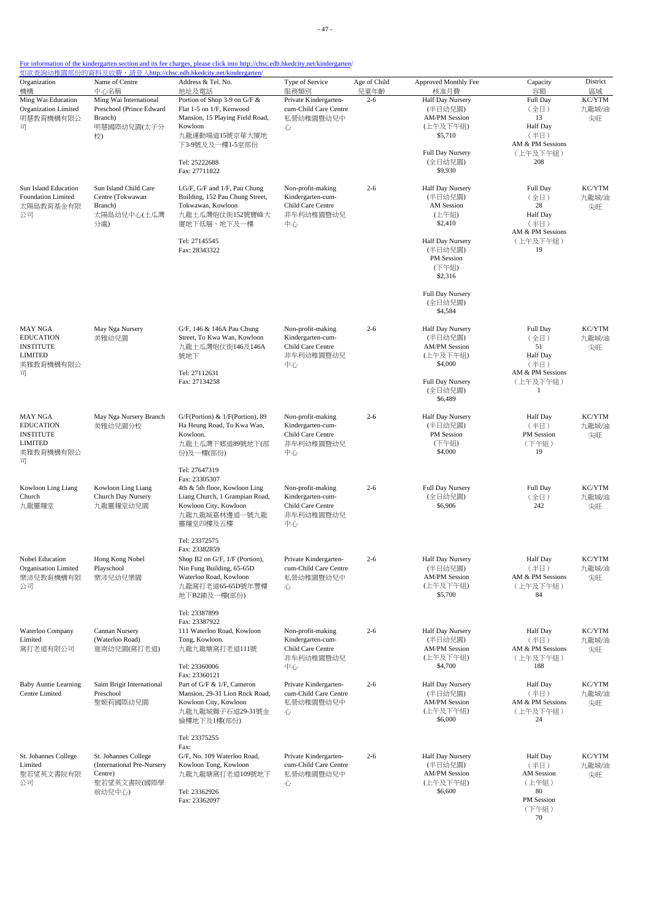- 47 -

| Organization<br>機構                                                                         | Name of Centre<br>中心名稱                                                                 | <u> 如欲查詢幼稚園部份的資料及收費,請登入http://chsc.edb.hkedcity.net/kindergarten/</u><br>Address & Tel. No.<br>地址及電話                                                                          | Type of Service<br>服務類別                                                        | Age of Child<br>兒童年齡 | Approved Monthly Fee<br>核准月費                                                                                                                                                           | Capacity<br>容額                                                                           | District<br>區域        |
|--------------------------------------------------------------------------------------------|----------------------------------------------------------------------------------------|-------------------------------------------------------------------------------------------------------------------------------------------------------------------------------|--------------------------------------------------------------------------------|----------------------|----------------------------------------------------------------------------------------------------------------------------------------------------------------------------------------|------------------------------------------------------------------------------------------|-----------------------|
| Ming Wai Education<br>Organization Limited<br>明慧教育機構有限公<br>급                               | Ming Wai International<br>Preschool (Prince Edward<br>Branch)<br>明慧國際幼兒園(太子分<br>校)     | Portion of Shop 3-9 on G/F &<br>Flat 1-5 on 1/F, Kenwood<br>Mansion, 15 Playing Field Road,<br>Kowloon<br>九龍運動場道15號京華大厦地<br>下3-9號及及一樓1-5室部份<br>Tel: 25222688<br>Fax: 27711822 | Private Kindergarten-<br>cum-Child Care Centre<br>私營幼稚園暨幼兒中<br>心               | $2 - 6$              | Half Day Nursery<br>(半日幼兒園)<br><b>AM/PM Session</b><br>(上午及下午組)<br>\$5,710<br>Full Day Nursery<br>(全日幼兒園)<br>\$9,930                                                                   | Full Day<br>(全日)<br>13<br><b>Half Day</b><br>(半日)<br>AM & PM Sessions<br>(上午及下午組)<br>208 | KC/YTM<br>九龍城/油<br>尖旺 |
| Sun Island Education<br>Foundation Limited<br>太陽島教育基金有限<br>公司                              | Sun Island Child Care<br>Centre (Tokwawan<br>Branch)<br>太陽島幼兒中心(土瓜灣<br>分處)             | LG/F, G/F and 1/F, Pau Chung<br>Building, 152 Pau Chung Street,<br>Tokwawan, Kowloon<br>九龍土瓜灣炮仗街152號寶峰大<br>廈地下低層、地下及一樓<br>Tel: 27145545<br>Fax: 28343322                      | Non-profit-making<br>Kindergarten-cum-<br>Child Care Centre<br>非牟利幼稚園暨幼兒<br>中心 | $2 - 6$              | Half Day Nursery<br>(半日幼兒園)<br><b>AM</b> Session<br>(上午組)<br>\$2,410<br>Half Day Nursery<br>(半日幼兒園)<br><b>PM</b> Session<br>(下午組)<br>\$2,316<br>Full Day Nursery<br>(全日幼兒園)<br>\$4,584 | Full Day<br>(全日)<br>28<br><b>Half Day</b><br>(半日)<br>AM & PM Sessions<br>(上午及下午組)<br>19  | KC/YTM<br>九龍城/油<br>尖旺 |
| <b>MAY NGA</b><br><b>EDUCATION</b><br><b>INSTITUTE</b><br><b>LIMITED</b><br>美雅教育機構有限公<br>司 | May Nga Nursery<br>美雅幼兒園                                                               | G/F, 146 & 146A Pau Chung<br>Street, To Kwa Wan, Kowloon<br>九龍土瓜灣炮仗街146及146A<br>號地下<br>Tel: 27112631<br>Fax: 27134258                                                         | Non-profit-making<br>Kindergarten-cum-<br>Child Care Centre<br>非牟利幼稚園暨幼兒<br>中心 | $2 - 6$              | Half Day Nursery<br>(半日幼兒園)<br><b>AM/PM Session</b><br>(上午及下午組)<br>\$4,000<br>Full Day Nursery<br>(全日幼兒園)<br>\$6,489                                                                   | Full Day<br>(全日)<br>51<br>Half Day<br>(半日)<br>AM & PM Sessions<br>(上午及下午組)<br>-1         | KC/YTM<br>九龍城/油<br>尖旺 |
| <b>MAY NGA</b><br><b>EDUCATION</b><br><b>INSTITUTE</b><br><b>LIMITED</b><br>美雅教育機構有限公<br>급 | May Nga Nursery Branch<br>美雅幼兒園分校                                                      | G/F(Portion) & 1/F(Portion), 89<br>Ha Heung Road, To Kwa Wan,<br>Kowloon.<br>九龍土瓜灣下鄉道89號地下(部<br>份)及一樓(部份)                                                                     | Non-profit-making<br>Kindergarten-cum-<br>Child Care Centre<br>非牟利幼稚園暨幼兒<br>中心 | $2 - 6$              | Half Day Nursery<br>(半日幼兒園)<br>PM Session<br>(下午組)<br>\$4,000                                                                                                                          | <b>Half Day</b><br>(半日)<br>PM Session<br>(下午組)<br>19                                     | KC/YTM<br>九龍城/油<br>尖旺 |
| Kowloon Ling Liang<br>Church<br>九龍靈糧堂                                                      | Kowloon Ling Liang<br>Church Day Nursery<br>九龍靈糧堂幼兒園                                   | Tel: 27647319<br>Fax: 23305307<br>4th & 5th floor, Kowloon Ling<br>Liang Church, 1 Grampian Road,<br>Kowloon City, Kowloon<br>九龍九龍城嘉林邊道一號九龍<br>靈糧堂四樓及五樓                       | Non-profit-making<br>Kindergarten-cum-<br>Child Care Centre<br>非牟利幼稚園暨幼兒<br>中心 | $2 - 6$              | Full Day Nursery<br>(全日幼兒園)<br>\$6,906                                                                                                                                                 | Full Day<br>(全日)<br>242                                                                  | KC/YTM<br>九龍城/油<br>尖旺 |
| Nobel Education<br>Organisation Limited<br>樂沛兒教育機構有限<br>公司                                 | Hong Kong Nobel<br>Playschool<br>樂沛兒幼兒樂園                                               | Tel: 23372575<br>Fax: 23382859<br>Shop B2 on $G/F$ , $1/F$ (Portion),<br>Nin Fung Building, 65-65D<br>Waterloo Road, Kowloon<br>九龍窩打老道65-65D號年豐樓<br>地下B2鋪及一樓(部份)              | Private Kindergarten-<br>cum-Child Care Centre<br>私營幼稚園暨幼兒中<br>心               | $2 - 6$              | <b>Half Day Nursery</b><br>(半日幼兒園)<br><b>AM/PM</b> Session<br>(上午及下午組)<br>\$5,700                                                                                                      | Half Day<br>(半日)<br>AM & PM Sessions<br>(上午及下午組)<br>84                                   | KC/YTM<br>九龍城油<br>尖旺  |
| Waterloo Company<br>Limited<br>窩打老道有限公司                                                    | Cannan Nursery<br>(Waterloo Road)<br>迦南幼兒園(窩打老道)                                       | Tel: 23387899<br>Fax: 23387922<br>111 Waterloo Road, Kowloon<br>Tong, Kowloon.<br>九龍九龍塘窩打老道111號<br>Tel: 23360006                                                              | Non-profit-making<br>Kindergarten-cum-<br>Child Care Centre<br>非牟利幼稚園暨幼兒<br>中心 | $2 - 6$              | Half Day Nursery<br>(半日幼兒園)<br><b>AM/PM</b> Session<br>(上午及下午組)<br>\$4,700                                                                                                             | Half Day<br>(半日)<br>AM & PM Sessions<br>(上午及下午組)<br>188                                  | KC/YTM<br>九龍城/油<br>尖旺 |
| <b>Baby Auntie Learning</b><br>Centre Limited                                              | Saint Brigit International<br>Preschool<br>聖姬莉國際幼兒園                                    | Fax: 23360121<br>Part of G/F & 1/F, Cameron<br>Mansion, 29-31 Lion Rock Road,<br>Kowloon City, Kowloon<br>九龍九龍城獅子石道29-31號金<br>倫樓地下及1樓(部份)                                     | Private Kindergarten-<br>cum-Child Care Centre<br>私營幼稚園暨幼兒中<br>心               | $2 - 6$              | Half Day Nursery<br>(半日幼兒園)<br><b>AM/PM</b> Session<br>(上午及下午組)<br>\$6,000                                                                                                             | Half Day<br>(半日)<br>AM & PM Sessions<br>(上午及下午組)<br>24                                   | KC/YTM<br>九龍城/油<br>尖旺 |
| St. Johannes College<br>Limited<br>聖若望英文書院有限<br>公司                                         | St. Johannes College<br>(International Pre-Nursery<br>Centre)<br>聖若望英文書院(國際學<br>前幼兒中心) | Tel: 23375255<br>Fax:<br>G/F, No. 109 Waterloo Road,<br>Kowloon Tong, Kowloon<br>九龍九龍塘窩打老道109號地下<br>Tel: 23362926<br>Fax: 23362097                                            | Private Kindergarten-<br>cum-Child Care Centre<br>私營幼稚園暨幼兒中<br>心               | $2 - 6$              | Half Day Nursery<br>(半日幼兒園)<br><b>AM/PM</b> Session<br>(上午及下午組)<br>\$6,600                                                                                                             | <b>Half</b> Day<br>(半日)<br><b>AM</b> Session<br>(上午組)<br>80<br>PM Session<br>(下午組)<br>70 | KC/YTM<br>九龍城/油<br>尖旺 |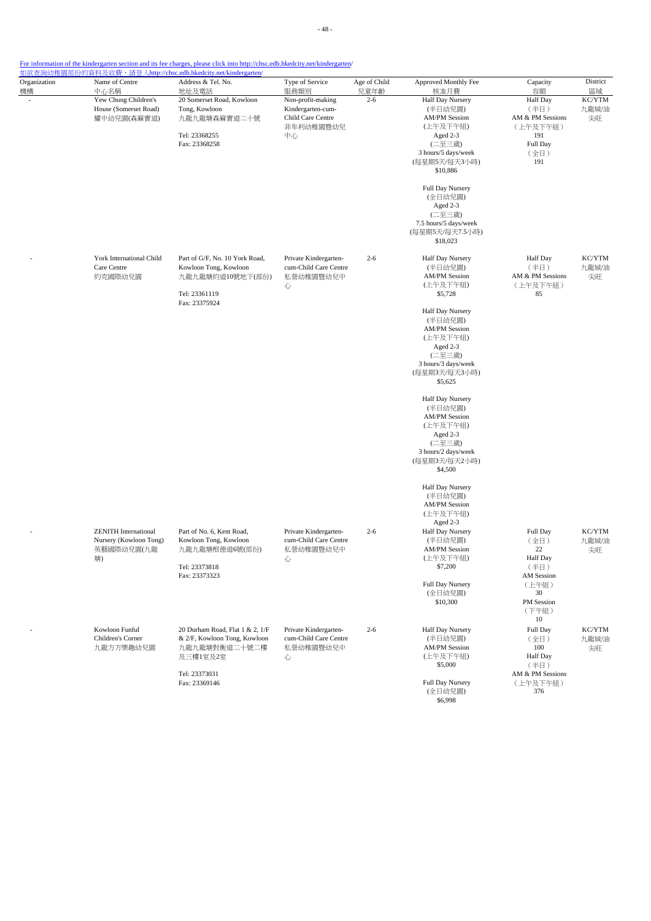| Organization<br>機構 | Name of Centre<br>中心名稱                                                    | Address & Tel. No.<br>地址及電話                                                                                   | Type of Service<br>服務類別                                                        | Age of Child<br>兒童年齡 | Approved Monthly Fee<br>核准月費                                                                                                                                                                                                               | Capacity<br>容額                                                                     | District<br>區域        |
|--------------------|---------------------------------------------------------------------------|---------------------------------------------------------------------------------------------------------------|--------------------------------------------------------------------------------|----------------------|--------------------------------------------------------------------------------------------------------------------------------------------------------------------------------------------------------------------------------------------|------------------------------------------------------------------------------------|-----------------------|
|                    | Yew Chung Children's<br>House (Somerset Road)<br>耀中幼兒園(森麻實道)              | 20 Somerset Road, Kowloon<br>Tong, Kowloon<br>九龍九龍塘森麻實道二十號<br>Tel: 23368255<br>Fax: 23368258                  | Non-profit-making<br>Kindergarten-cum-<br>Child Care Centre<br>非牟利幼稚園暨幼兒<br>中心 | $2 - 6$              | Half Day Nursery<br>(半日幼兒園)<br><b>AM/PM Session</b><br>(上午及下午組)<br>Aged 2-3<br>(二至三歲)<br>3 hours/5 days/week<br>(每星期5天/每天3小時)<br>\$10,886<br>Full Day Nursery<br>(全日幼兒園)<br>Aged 2-3<br>(二至三歲)<br>7.5 hours/5 days/week<br>(每星期5天/每天7.5小時) | Half Day<br>(半日)<br>AM & PM Sessions<br>(上午及下午組)<br>191<br>Full Day<br>(全日)<br>191 | KC/YTM<br>九龍城/油<br>尖旺 |
|                    | York International Child<br>Care Centre<br>約克國際幼兒園                        | Part of G/F, No. 10 York Road,<br>Kowloon Tong, Kowloon<br>九龍九龍塘約道10號地下(部份)<br>Tel: 23361119<br>Fax: 23375924 | Private Kindergarten-<br>cum-Child Care Centre<br>私營幼稚園暨幼兒中<br>心               | $2 - 6$              | \$18,023<br>Half Day Nursery<br>(半日幼兒園)<br><b>AM/PM Session</b><br>(上午及下午組)<br>\$5,728                                                                                                                                                     | <b>Half Day</b><br>(半日)<br>AM & PM Sessions<br>(上午及下午組)<br>85                      | KC/YTM<br>九龍城/油<br>尖旺 |
|                    |                                                                           |                                                                                                               |                                                                                |                      | Half Day Nursery<br>(半日幼兒園)<br><b>AM/PM Session</b><br>(上午及下午組)<br>Aged 2-3<br>(二至三歲)<br>3 hours/3 days/week<br>(每星期3天/每天3小時)<br>\$5,625                                                                                                   |                                                                                    |                       |
|                    |                                                                           |                                                                                                               |                                                                                |                      | Half Day Nursery<br>(半日幼兒園)<br><b>AM/PM Session</b><br>(上午及下午組)<br>Aged 2-3<br>(二至三歲)<br>3 hours/2 days/week<br>(每星期3天/每天2小時)<br>\$4,500                                                                                                   |                                                                                    |                       |
|                    |                                                                           |                                                                                                               |                                                                                |                      | Half Day Nursery<br>(半日幼兒園)<br><b>AM/PM Session</b><br>(上午及下午組)<br>Aged 2-3                                                                                                                                                                |                                                                                    |                       |
|                    | <b>ZENITH</b> International<br>Nursery (Kowloon Tong)<br>英藝國際幼兒園(九龍<br>塘) | Part of No. 6, Kent Road,<br>Kowloon Tong, Kowloon<br>九龍九龍塘根德道6號(部份)<br>Tel: 23373818<br>Fax: 23373323        | Private Kindergarten-<br>cum-Child Care Centre<br>私營幼稚園暨幼兒中<br>心               | $2 - 6$              | Half Day Nursery<br>(半日幼兒園)<br><b>AM/PM Session</b><br>(上午及下午組)<br>\$7,200<br>Full Day Nursery                                                                                                                                             | Full Day<br>(全日)<br>22<br>Half Day<br>(半日)<br>AM Session<br>(上午組)                  | KC/YTM<br>九龍城/油<br>尖旺 |
|                    |                                                                           |                                                                                                               |                                                                                |                      | (全日幼兒園)<br>\$10,300                                                                                                                                                                                                                        | 30<br>PM Session<br>(下午組)<br>10                                                    |                       |
|                    | Kowloon Funful<br>Children's Corner<br>九龍方方樂趣幼兒園                          | 20 Durham Road, Flat 1 & 2, 1/F<br>& 2/F, Kowloon Tong, Kowloon<br>九龍九龍塘對衡道二十號二樓<br>及三樓1室及2室                  | Private Kindergarten-<br>cum-Child Care Centre<br>私營幼稚園暨幼兒中<br>心               | $2 - 6$              | Half Day Nursery<br>(半日幼兒園)<br><b>AM/PM Session</b><br>(上午及下午組)<br>\$5,000                                                                                                                                                                 | Full Day<br>(全日)<br>100<br>Half Day<br>(半日)                                        | KC/YTM<br>九龍城/油<br>尖旺 |
|                    |                                                                           | Tel: 23373031<br>Fax: 23369146                                                                                |                                                                                |                      | Full Day Nursery<br>(全日幼兒園)<br>\$6,998                                                                                                                                                                                                     | AM & PM Sessions<br>(上午及下午組)<br>376                                                |                       |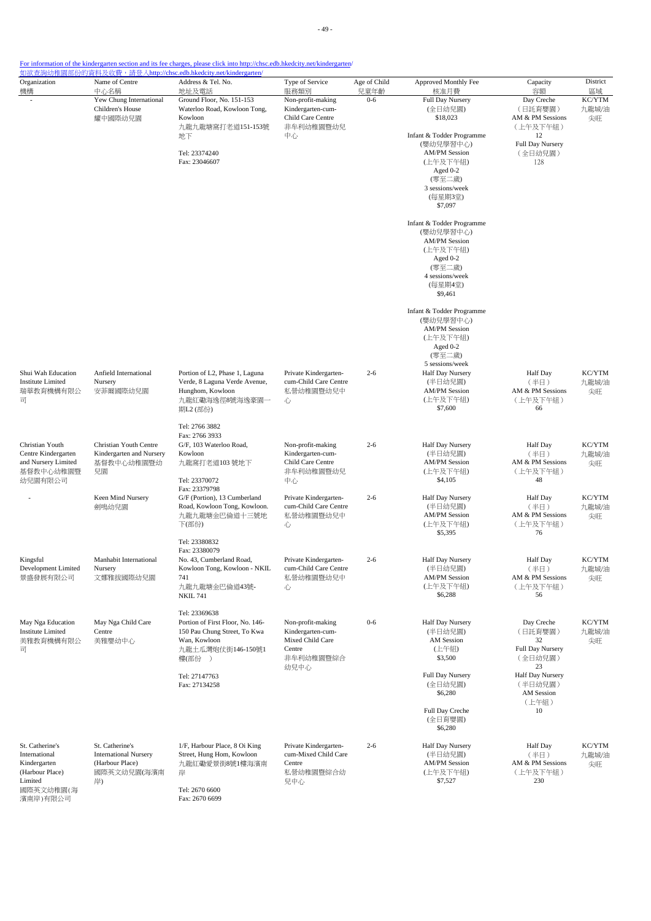| Organization<br>機構                                                                                      | Name of Centre<br>中心名稱                                                                  | Address & Tel. No.<br>地址及電話                                                                                                           | Type of Service<br>服務類別                                                                   | Age of Child<br>兒童年齡 | Approved Monthly Fee<br>核准月費                                                                                                                                                                                                                                         | Capacity<br>容額                                                                                    | District<br>區域        |
|---------------------------------------------------------------------------------------------------------|-----------------------------------------------------------------------------------------|---------------------------------------------------------------------------------------------------------------------------------------|-------------------------------------------------------------------------------------------|----------------------|----------------------------------------------------------------------------------------------------------------------------------------------------------------------------------------------------------------------------------------------------------------------|---------------------------------------------------------------------------------------------------|-----------------------|
|                                                                                                         | Yew Chung International<br>Children's House<br>耀中國際幼兒園                                  | Ground Floor, No. 151-153<br>Waterloo Road, Kowloon Tong,<br>Kowloon<br>九龍九龍塘窩打老道151-153號<br>地下<br>Tel: 23374240<br>Fax: 23046607     | Non-profit-making<br>Kindergarten-cum-<br>Child Care Centre<br>非牟利幼稚園暨幼兒<br>中心            | $0 - 6$              | Full Day Nursery<br>(全日幼兒園)<br>\$18,023<br>Infant & Todder Programme<br>(嬰幼兒學習中心)<br><b>AM/PM</b> Session<br>(上午及下午組)<br>Aged $0-2$<br>(零至二歳)<br>3 sessions/week<br>(每星期3堂)<br>\$7,097<br>Infant & Todder Programme<br>(嬰幼兒學習中心)<br><b>AM/PM</b> Session<br>(上午及下午組) | Day Creche<br>(日託育嬰園)<br>AM & PM Sessions<br>(上午及下午組)<br>12<br>Full Day Nursery<br>(全日幼兒園)<br>128 | KC/YTM<br>九龍城/油<br>尖旺 |
|                                                                                                         |                                                                                         |                                                                                                                                       |                                                                                           |                      | Aged 0-2<br>(零至二歲)<br>4 sessions/week<br>(每星期4堂)<br>\$9,461                                                                                                                                                                                                          |                                                                                                   |                       |
|                                                                                                         |                                                                                         |                                                                                                                                       |                                                                                           |                      | Infant & Todder Programme<br>(嬰幼兒學習中心)<br><b>AM/PM Session</b><br>(上午及下午組)<br>Aged 0-2<br>(零至二歲)<br>5 sessions/week                                                                                                                                                  |                                                                                                   |                       |
| Shui Wah Education<br><b>Institute Limited</b><br>瑞華教育機構有限公<br>司                                        | Anfield International<br>Nursery<br>安菲爾國際幼兒園                                            | Portion of L2, Phase 1, Laguna<br>Verde, 8 Laguna Verde Avenue,<br>Hunghom, Kowloon<br>九龍紅磡海逸徑8號海逸豪園一<br>期L2 (部份)                     | Private Kindergarten-<br>cum-Child Care Centre<br>私營幼稚園暨幼兒中<br>心                          | $2 - 6$              | Half Day Nursery<br>(半日幼兒園)<br><b>AM/PM Session</b><br>(上午及下午組)<br>\$7,600                                                                                                                                                                                           | <b>Half</b> Day<br>(半日)<br>AM & PM Sessions<br>(上午及下午組)<br>66                                     | KC/YTM<br>九龍城/油<br>尖旺 |
| Christian Youth<br>Centre Kindergarten<br>and Nursery Limited<br>基督教中心幼稚園暨<br>幼兒園有限公司                   | Christian Youth Centre<br>Kindergarten and Nursery<br>基督教中心幼稚園暨幼<br>兒園                  | Tel: 2766 3882<br>Fax: 2766 3933<br>G/F, 103 Waterloo Road,<br>Kowloon<br>九龍窩打老道103號地下<br>Tel: 23370072                               | Non-profit-making<br>Kindergarten-cum-<br>Child Care Centre<br>非牟利幼稚園暨幼兒<br>中心            | $2 - 6$              | Half Day Nursery<br>(半日幼兒園)<br><b>AM/PM</b> Session<br>(上午及下午組)<br>\$4,105                                                                                                                                                                                           | <b>Half</b> Day<br>(半日)<br>AM & PM Sessions<br>(上午及下午組)<br>48                                     | KC/YTM<br>九龍城/油<br>尖旺 |
|                                                                                                         | Keen Mind Nursery<br>劍鳴幼兒園                                                              | Fax: 23379798<br>G/F (Portion), 13 Cumberland<br>Road, Kowloon Tong, Kowloon.<br>九龍九龍塘金巴倫道十三號地<br>下(部份)                               | Private Kindergarten-<br>cum-Child Care Centre<br>私營幼稚園暨幼兒中<br>心                          | $2 - 6$              | Half Day Nursery<br>(半日幼兒園)<br><b>AM/PM Session</b><br>(上午及下午組)<br>\$5,395                                                                                                                                                                                           | <b>Half</b> Day<br>(半日)<br>AM & PM Sessions<br>(上午及下午組)<br>76                                     | KC/YTM<br>九龍城/油<br>尖旺 |
| Kingsful<br>Development Limited<br>景盛發展有限公司                                                             | Manhabit International<br>Nursery<br>文娜雅拔國際幼兒園                                          | Tel: 23380832<br>Fax: 23380079<br>No. 43. Cumberland Road.<br>Kowloon Tong, Kowloon - NKIL<br>741<br>九龍九龍塘金巴倫道43號-<br><b>NKIL 741</b> | Private Kindergarten-<br>cum-Child Care Centre<br>私營幼稚園暨幼兒中<br>心                          | $2 - 6$              | Half Day Nursery<br>(半日幼兒園)<br><b>AM/PM Session</b><br>(上午及下午組)<br>\$6,288                                                                                                                                                                                           | Half Day<br>(半日)<br>AM & PM Sessions<br>(上午及下午組)<br>56                                            | KC/YTM<br>九龍城/油<br>尖旺 |
| May Nga Education<br><b>Institute Limited</b><br>美雅教育機構有限公<br>司                                         | May Nga Child Care<br>Centre<br>美雅嬰幼中心                                                  | Tel: 23369638<br>Portion of First Floor, No. 146-<br>150 Pau Chung Street, To Kwa<br>Wan, Kowloon<br>九龍土瓜灣炮仗街146-150號1<br>樓(部份 )      | Non-profit-making<br>Kindergarten-cum-<br>Mixed Child Care<br>Centre<br>非牟利幼稚園暨綜合<br>幼兒中心 | $0 - 6$              | Half Day Nursery<br>(半日幼兒園)<br><b>AM</b> Session<br>(上午組)<br>\$3,500                                                                                                                                                                                                 | Day Creche<br>(日託育嬰園)<br>32<br>Full Day Nursery<br>(全日幼兒園)<br>23                                  | KC/YTM<br>九龍城/油<br>尖旺 |
|                                                                                                         |                                                                                         | Tel: 27147763<br>Fax: 27134258                                                                                                        |                                                                                           |                      | Full Day Nursery<br>(全日幼兒園)<br>\$6,280<br>Full Day Creche<br>(全日育嬰園)<br>\$6,280                                                                                                                                                                                      | Half Day Nursery<br>(半日幼兒園)<br><b>AM</b> Session<br>(上午組)<br>10                                   |                       |
| St. Catherine's<br>International<br>Kindergarten<br>(Harbour Place)<br>Limited<br>國際英文幼稚園(海<br>濱南岸)有限公司 | St. Catherine's<br><b>International Nursery</b><br>(Harbour Place)<br>國際英文幼兒園(海濱南<br>岸) | 1/F, Harbour Place, 8 Oi King<br>Street, Hung Hom, Kowloon<br>九龍紅磡愛景街8號1樓海濱南<br>岸<br>Tel: 2670 6600<br>Fax: 2670 6699                 | Private Kindergarten-<br>cum-Mixed Child Care<br>Centre<br>私營幼稚園暨綜合幼<br>兒中心               | $2 - 6$              | Half Day Nursery<br>(半日幼兒園)<br><b>AM/PM</b> Session<br>(上午及下午組)<br>\$7,527                                                                                                                                                                                           | <b>Half Day</b><br>(半日)<br>AM & PM Sessions<br>(上午及下午組)<br>230                                    | KC/YTM<br>九龍城/油<br>尖旺 |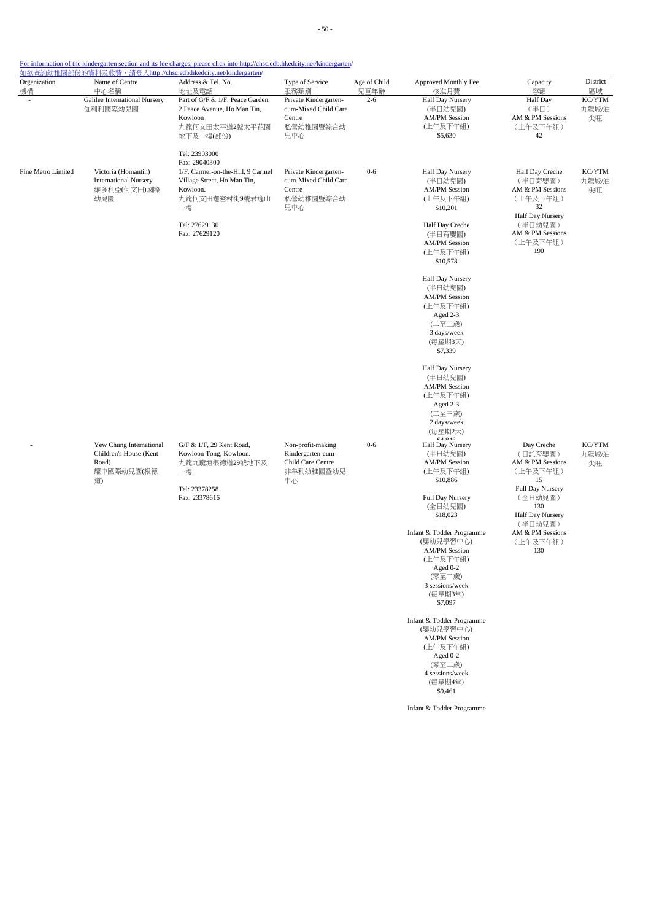| Organization<br>機構 | Name of Centre<br>中心名稱                                                                                                 | Address & Tel. No.<br>地址及電話                                                                                                                             | Type of Service<br>服務類別                                                        | Age of Child<br>兒童年齡 | Approved Monthly Fee<br>核准月費                                                                                                                                                                                                                                                                   | Capacity<br>容額                                                                                                                                                          | District<br>區域        |
|--------------------|------------------------------------------------------------------------------------------------------------------------|---------------------------------------------------------------------------------------------------------------------------------------------------------|--------------------------------------------------------------------------------|----------------------|------------------------------------------------------------------------------------------------------------------------------------------------------------------------------------------------------------------------------------------------------------------------------------------------|-------------------------------------------------------------------------------------------------------------------------------------------------------------------------|-----------------------|
|                    | Galilee International Nursery<br>伽利利國際幼兒園                                                                              | Part of G/F & 1/F, Peace Garden,<br>2 Peace Avenue, Ho Man Tin,<br>Kowloon<br>九龍何文田太平道2號太平花園<br>地下及一樓(部份)                                               | Private Kindergarten-<br>cum-Mixed Child Care<br>Centre<br>私營幼稚園暨綜合幼<br>兒中心    | $2 - 6$              | Half Day Nursery<br>(半日幼兒園)<br><b>AM/PM Session</b><br>(上午及下午組)<br>\$5,630                                                                                                                                                                                                                     | <b>Half</b> Day<br>(半日)<br>AM & PM Sessions<br>(上午及下午組)<br>42                                                                                                           | KC/YTM<br>九龍城/油<br>尖旺 |
|                    |                                                                                                                        | Tel: 23903000                                                                                                                                           |                                                                                |                      |                                                                                                                                                                                                                                                                                                |                                                                                                                                                                         |                       |
| Fine Metro Limited | Victoria (Homantin)<br><b>International Nursery</b><br>維多利亞(何文田)國際<br>幼兒園                                              | Fax: 29040300<br>1/F, Carmel-on-the-Hill, 9 Carmel<br>Village Street, Ho Man Tin,<br>Kowloon.<br>九龍何文田迦密村街9號君逸山<br>一樓<br>Tel: 27629130<br>Fax: 27629120 | Private Kindergarten-<br>cum-Mixed Child Care<br>Centre<br>私營幼稚園暨綜合幼<br>兒中心    | $0 - 6$              | Half Day Nursery<br>(半日幼兒園)<br><b>AM/PM Session</b><br>(上午及下午組)<br>\$10,201<br>Half Day Creche<br>(半日育嬰園)<br><b>AM/PM Session</b><br>(上午及下午組)<br>\$10,578                                                                                                                                      | Half Day Creche<br>(半日育嬰園)<br>AM & PM Sessions<br>(上午及下午組)<br>32<br>Half Day Nursery<br>(半日幼兒園)<br>AM & PM Sessions<br>(上午及下午組)<br>190                                  | KC/YTM<br>九龍城/油<br>尖旺 |
|                    |                                                                                                                        |                                                                                                                                                         |                                                                                |                      | Half Day Nursery<br>(半日幼兒園)<br><b>AM/PM</b> Session<br>(上午及下午組)<br>Aged 2-3<br>(二至三歲)<br>3 days/week<br>(每星期3天)<br>\$7,339                                                                                                                                                                     |                                                                                                                                                                         |                       |
|                    | Yew Chung International<br>Children's House (Kent<br>Road)<br>耀中國際幼兒園(根德<br>一樓<br>道)<br>Tel: 23378258<br>Fax: 23378616 |                                                                                                                                                         |                                                                                |                      | Half Day Nursery<br>(半日幼兒園)<br><b>AM/PM</b> Session<br>(上午及下午組)<br>Aged 2-3<br>(二至三歲)<br>2 days/week<br>(每星期2天)                                                                                                                                                                                |                                                                                                                                                                         |                       |
|                    |                                                                                                                        | G/F & 1/F, 29 Kent Road,<br>Kowloon Tong, Kowloon.<br>九龍九龍塘根德道29號地下及                                                                                    | Non-profit-making<br>Kindergarten-cum-<br>Child Care Centre<br>非牟利幼稚園暨幼兒<br>中心 | $0 - 6$              | $\mathbb{C}$ $A$ $\bullet$ $A$ $C$<br>Half Day Nursery<br>(半日幼兒園)<br><b>AM/PM</b> Session<br>(上午及下午組)<br>\$10,886<br>Full Day Nursery<br>(全日幼兒園)<br>\$18,023<br>Infant & Todder Programme<br>(嬰幼兒學習中心)<br><b>AM/PM</b> Session<br>(上午及下午組)<br>Aged 0-2<br>(零至二歲)<br>3 sessions/week<br>(每星期3堂) | Day Creche<br>(日託育嬰園)<br>AM & PM Sessions<br>(上午及下午組)<br>15<br>Full Day Nursery<br>(全日幼兒園)<br>130<br>Half Day Nursery<br>(半日幼兒園)<br>AM & PM Sessions<br>(上午及下午組)<br>130 | KC/YTM<br>九龍城/油<br>尖旺 |
|                    |                                                                                                                        |                                                                                                                                                         |                                                                                |                      | \$7,097<br>Infant & Todder Programme<br>(嬰幼兒學習中心)<br><b>AM/PM</b> Session<br>(上午及下午組)<br>Aged 0-2<br>(零至二歲)<br>4 sessions/week<br>(每星期4堂)<br>\$9,461                                                                                                                                           |                                                                                                                                                                         |                       |
|                    |                                                                                                                        |                                                                                                                                                         |                                                                                |                      | Infant & Todder Programme                                                                                                                                                                                                                                                                      |                                                                                                                                                                         |                       |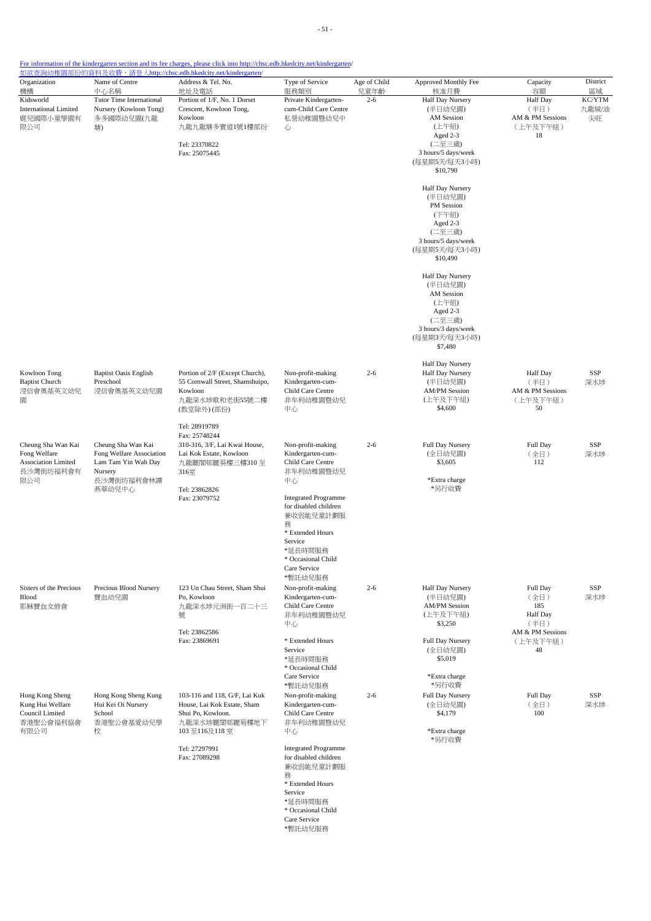| Organization<br>機構                                                            | Name of Centre<br>中心名稱                                                                                   | Address & Tel. No.<br>地址及電話                                                                                                           | Type of Service<br>服務類別                                                                                                                                           | Age of Child<br>兒童年齡 | Approved Monthly Fee<br>核准月費                                                                                                 | Capacity<br>容額                                                                    | District<br>區域        |
|-------------------------------------------------------------------------------|----------------------------------------------------------------------------------------------------------|---------------------------------------------------------------------------------------------------------------------------------------|-------------------------------------------------------------------------------------------------------------------------------------------------------------------|----------------------|------------------------------------------------------------------------------------------------------------------------------|-----------------------------------------------------------------------------------|-----------------------|
| Kidsworld<br><b>International Limited</b><br>鹿兒國際小童學園有<br>限公司                 | Tutor Time International<br>Nursery (Kowloon Tong)<br>多多國際幼兒園(九龍<br>塘)                                   | Portion of 1/F, No. 1 Dorset<br>Crescent, Kowloon Tong,<br>Kowloon<br>九龍九龍塘多實道1號1樓部份<br>Tel: 23370822<br>Fax: 25075445                | Private Kindergarten-<br>cum-Child Care Centre<br>私營幼稚園暨幼兒中<br>心                                                                                                  | $2 - 6$              | Half Day Nursery<br>(半日幼兒園)<br>AM Session<br>(上午組)<br>Aged 2-3<br>(二至三歲)<br>3 hours/5 days/week<br>(每星期5天/每天3小時)<br>\$10,790 | <b>Half</b> Day<br>(半日)<br>AM & PM Sessions<br>(上午及下午組)<br>18                     | KC/YTM<br>九龍城/油<br>尖旺 |
|                                                                               |                                                                                                          |                                                                                                                                       |                                                                                                                                                                   |                      | Half Day Nursery<br>(半日幼兒園)<br>PM Session<br>(下午組)<br>Aged 2-3<br>(二至三歲)<br>3 hours/5 days/week<br>(每星期5天/每天3小時)<br>\$10,490 |                                                                                   |                       |
|                                                                               |                                                                                                          |                                                                                                                                       |                                                                                                                                                                   |                      | Half Day Nursery<br>(半日幼兒園)<br>AM Session<br>(上午組)<br>Aged 2-3<br>(二至三歲)<br>3 hours/3 days/week<br>(每星期3天/每天3小時)<br>\$7,480  |                                                                                   |                       |
| Kowloon Tong<br><b>Baptist Church</b><br>浸信會奧基英文幼兒<br>圜                       | <b>Baptist Oasis English</b><br>Preschool<br>浸信會奧基英文幼兒園                                                  | Portion of 2/F (Except Church),<br>55 Cornwall Street, Shamshuipo,<br>Kowloon<br>九龍深水埗歌和老街55號二樓<br>(教堂除外)(部份)                         | Non-profit-making<br>Kindergarten-cum-<br>Child Care Centre<br>非牟利幼稚園暨幼兒<br>中心                                                                                    | $2 - 6$              | Half Day Nursery<br>Half Day Nursery<br>(半日幼兒園)<br><b>AM/PM Session</b><br>(上午及下午組)<br>\$4,600                               | Half Day<br>(半日)<br>AM & PM Sessions<br>(上午及下午組)<br>50                            | SSP<br>深水埗            |
| Cheung Sha Wan Kai<br>Fong Welfare<br>Association Limited<br>長沙灣街坊福利會有<br>限公司 | Cheung Sha Wan Kai<br>Fong Welfare Association<br>Lam Tam Yin Wah Day<br>Nursery<br>長沙灣街坊福利會林譚<br>燕華幼兒中心 | Tel: 28919789<br>Fax: 25748244<br>310-316, 3/F, Lai Kwai House,<br>Lai Kok Estate, Kowloon<br>九龍麗閣邨麗葵樓三樓310至<br>316室<br>Tel: 23862826 | Non-profit-making<br>Kindergarten-cum-<br>Child Care Centre<br>非牟利幼稚園暨幼兒<br>中心                                                                                    | $2 - 6$              | Full Day Nursery<br>(全日幼兒園)<br>\$3,605<br>*Extra charge<br>*另行收費                                                             | Full Day<br>(全日)<br>112                                                           | SSP<br>深水埗            |
|                                                                               |                                                                                                          | Fax: 23079752                                                                                                                         | <b>Integrated Programme</b><br>for disabled children<br>兼收弱能兒童計劃服<br>務<br>* Extended Hours<br>Service<br>*延長時間服務<br>* Occasional Child<br>Care Service            |                      |                                                                                                                              |                                                                                   |                       |
| Sisters of the Precious<br>Blood<br>耶穌寶血女修會                                   | Precious Blood Nursery<br>寶血幼兒園                                                                          | 123 Un Chau Street, Sham Shui<br>Po, Kowloon<br>九龍深水埗元洲街一百二十三<br>號<br>Tel: 23862586<br>Fax: 23869691                                  | *暫託幼兒服務<br>Non-profit-making<br>Kindergarten-cum-<br>Child Care Centre<br>非牟利幼稚園暨幼兒<br>中心<br>* Extended Hours<br>Service                                          | $2 - 6$              | Half Day Nursery<br>(半日幼兒園)<br><b>AM/PM Session</b><br>(上午及下午組)<br>\$3,250<br>Full Day Nursery<br>(全日幼兒園)                    | Full Day<br>(全日)<br>185<br>Half Day<br>(半日)<br>AM & PM Sessions<br>(上午及下午組)<br>48 | SSP<br>深水埗            |
| Hong Kong Sheng<br>Kung Hui Welfare<br>Council Limited<br>香港聖公會福利協會<br>有限公司   | Hong Kong Sheng Kung<br>Hui Kei Oi Nursery<br>School<br>香港聖公會基愛幼兒學<br>校                                  | 103-116 and 118, G/F, Lai Kuk<br>House, Lai Kok Estate, Sham<br>Shui Po, Kowloon.<br>九龍深水埗麗閣邨麗菊樓地下<br>103至116及118室                    | *延長時間服務<br>* Occasional Child<br>Care Service<br>*暫託幼兒服務<br>Non-profit-making<br>Kindergarten-cum-<br>Child Care Centre<br>非牟利幼稚園暨幼兒<br>中心                        | $2 - 6$              | \$5,019<br>*Extra charge<br>*另行收費<br><b>Full Day Nursery</b><br>(全日幼兒園)<br>\$4,179<br>*Extra charge                          | Full Day<br>(全日)<br>100                                                           | SSP<br>深水埗            |
|                                                                               |                                                                                                          | Tel: 27297991<br>Fax: 27089298                                                                                                        | <b>Integrated Programme</b><br>for disabled children<br>兼收弱能兒童計劃服<br>務<br>* Extended Hours<br>Service<br>*延長時間服務<br>* Occasional Child<br>Care Service<br>*暫託幼兒服務 |                      | *另行收費                                                                                                                        |                                                                                   |                       |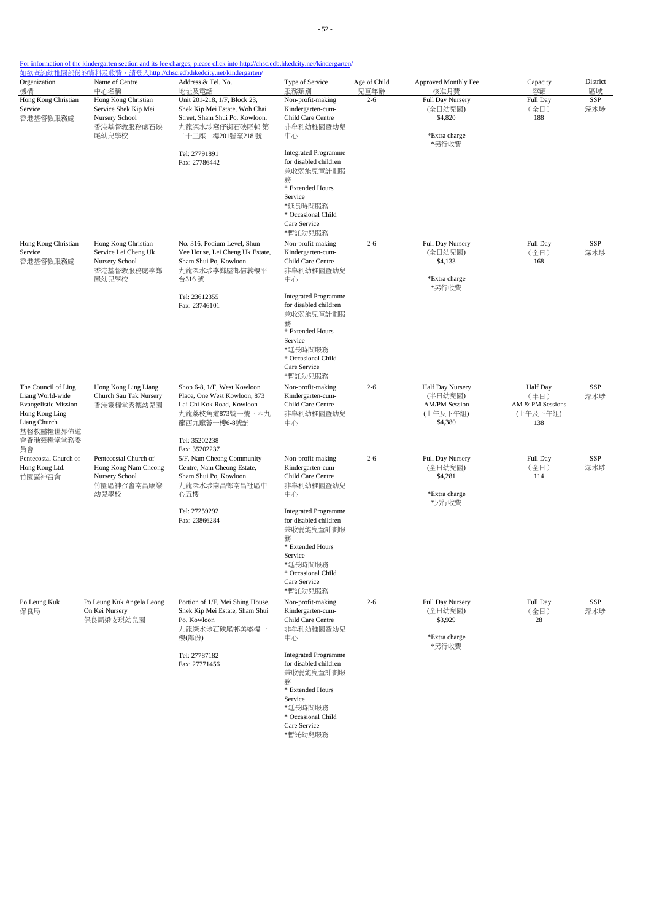| Organization<br>機構                                                                                                                 | Name of Centre<br>中心名稱                                                                | Address & Tel. No.<br>地址及電話                                                                                                                  | Type of Service<br>服務類別                                                                                                                                           | Age of Child<br>兒童年齡 | Approved Monthly Fee<br>核准月費                                               | Capacity<br>容額                                          | District<br>區域 |
|------------------------------------------------------------------------------------------------------------------------------------|---------------------------------------------------------------------------------------|----------------------------------------------------------------------------------------------------------------------------------------------|-------------------------------------------------------------------------------------------------------------------------------------------------------------------|----------------------|----------------------------------------------------------------------------|---------------------------------------------------------|----------------|
| Hong Kong Christian<br>Service<br>香港基督教服務處                                                                                         | Hong Kong Christian<br>Service Shek Kip Mei<br>Nursery School<br>香港基督教服務處石硤<br>尾幼兒學校  | Unit 201-218, 1/F, Block 23,<br>Shek Kip Mei Estate, Woh Chai<br>Street, Sham Shui Po, Kowloon.<br>九龍深水埗窩仔街石硤尾邨 第<br>二十三座一樓201號至218 號        | Non-profit-making<br>Kindergarten-cum-<br>Child Care Centre<br>非牟利幼稚園暨幼兒<br>中心                                                                                    | $2 - 6$              | Full Day Nursery<br>(全日幼兒園)<br>\$4,820<br>*Extra charge<br>*另行收費           | Full Day<br>(全日)<br>188                                 | SSP<br>深水埗     |
|                                                                                                                                    |                                                                                       | Tel: 27791891<br>Fax: 27786442                                                                                                               | <b>Integrated Programme</b><br>for disabled children<br>兼收弱能兒童計劃服<br>務<br>* Extended Hours<br>Service                                                             |                      |                                                                            |                                                         |                |
|                                                                                                                                    |                                                                                       |                                                                                                                                              | *延長時間服務<br>* Occasional Child<br>Care Service<br>*暫託幼兒服務                                                                                                          |                      |                                                                            |                                                         |                |
| Hong Kong Christian<br>Service<br>香港基督教服務處                                                                                         | Hong Kong Christian<br>Service Lei Cheng Uk<br>Nursery School<br>香港基督教服務處李鄭<br>屋幼兒學校  | No. 316, Podium Level, Shun<br>Yee House, Lei Cheng Uk Estate,<br>Sham Shui Po, Kowloon.<br>九龍深水埗李鄭屋邨信義樓平<br>台316號                           | Non-profit-making<br>Kindergarten-cum-<br>Child Care Centre<br>非牟利幼稚園暨幼兒<br>中心                                                                                    | $2 - 6$              | Full Day Nursery<br>(全日幼兒園)<br>\$4,133<br>*Extra charge<br>*另行收費           | Full Day<br>(全日)<br>168                                 | SSP<br>深水埗     |
|                                                                                                                                    |                                                                                       | Tel: 23612355<br>Fax: 23746101                                                                                                               | <b>Integrated Programme</b><br>for disabled children<br>兼收弱能兒童計劃服<br>務<br>* Extended Hours<br>Service<br>*延長時間服務<br>* Occasional Child<br>Care Service<br>*暫託幼兒服務 |                      |                                                                            |                                                         |                |
| The Council of Ling<br>Liang World-wide<br><b>Evangelistic Mission</b><br>Hong Kong Ling<br>Liang Church<br>基督教靈糧世界佈道<br>會香港靈糧堂堂務委 | Hong Kong Ling Liang<br>Church Sau Tak Nursery<br>香港靈糧堂秀德幼兒園                          | Shop 6-8, 1/F, West Kowloon<br>Place, One West Kowloon, 873<br>Lai Chi Kok Road, Kowloon<br>九龍荔枝角道873號一號。西九<br>龍西九龍薈一樓6-8號舖<br>Tel: 35202238 | Non-profit-making<br>Kindergarten-cum-<br>Child Care Centre<br>非牟利幼稚園暨幼兒<br>中心                                                                                    | $2 - 6$              | Half Day Nursery<br>(半日幼兒園)<br><b>AM/PM Session</b><br>(上午及下午組)<br>\$4,380 | Half Day<br>(半日)<br>AM & PM Sessions<br>(上午及下午組)<br>138 | SSP<br>深水埗     |
| 員會<br>Pentecostal Church of<br>Hong Kong Ltd.<br>竹園區神召會                                                                            | Pentecostal Church of<br>Hong Kong Nam Cheong<br>Nursery School<br>竹園區神召會南昌康樂<br>幼兒學校 | Fax: 35202237<br>5/F, Nam Cheong Community<br>Centre, Nam Cheong Estate,<br>Sham Shui Po, Kowloon.<br>九龍深水埗南昌邨南昌社區中<br>心五樓                   | Non-profit-making<br>Kindergarten-cum-<br>Child Care Centre<br>非牟利幼稚園暨幼兒<br>中心                                                                                    | $2 - 6$              | Full Day Nursery<br>(全日幼兒園)<br>\$4,281<br>*Extra charge<br>*另行收費           | Full Day<br>(全日)<br>114                                 | SSP<br>深水埗     |
|                                                                                                                                    |                                                                                       | Tel: 27259292<br>Fax: 23866284                                                                                                               | <b>Integrated Programme</b><br>for disabled children<br>兼收弱能兒童計劃服<br>務<br>* Extended Hours                                                                        |                      |                                                                            |                                                         |                |
|                                                                                                                                    |                                                                                       |                                                                                                                                              | Service<br>*延長時間服務<br>* Occasional Child<br>Care Service<br>*暫託幼兒服務                                                                                               |                      |                                                                            |                                                         |                |
| Po Leung Kuk<br>保良局                                                                                                                | Po Leung Kuk Angela Leong<br>On Kei Nursery<br>保良局梁安琪幼兒園                              | Portion of 1/F, Mei Shing House,<br>Shek Kip Mei Estate, Sham Shui<br>Po, Kowloon<br>九龍深水埗石硤尾邨美盛樓一<br>樓(部份)                                  | Non-profit-making<br>Kindergarten-cum-<br>Child Care Centre<br>非牟利幼稚園暨幼兒<br>中心                                                                                    | $2 - 6$              | Full Day Nursery<br>(全日幼兒園)<br>\$3,929<br>*Extra charge                    | Full Day<br>(全日)<br>28                                  | SSP<br>深水埗     |
|                                                                                                                                    |                                                                                       | Tel: 27787182<br>Fax: 27771456                                                                                                               | <b>Integrated Programme</b><br>for disabled children<br>兼收弱能兒童計劃服<br>務<br>* Extended Hours<br>Service<br>*延長時間服務<br>* Occasional Child<br>Care Service            |                      | *另行收費                                                                      |                                                         |                |

\*暫託幼兒服務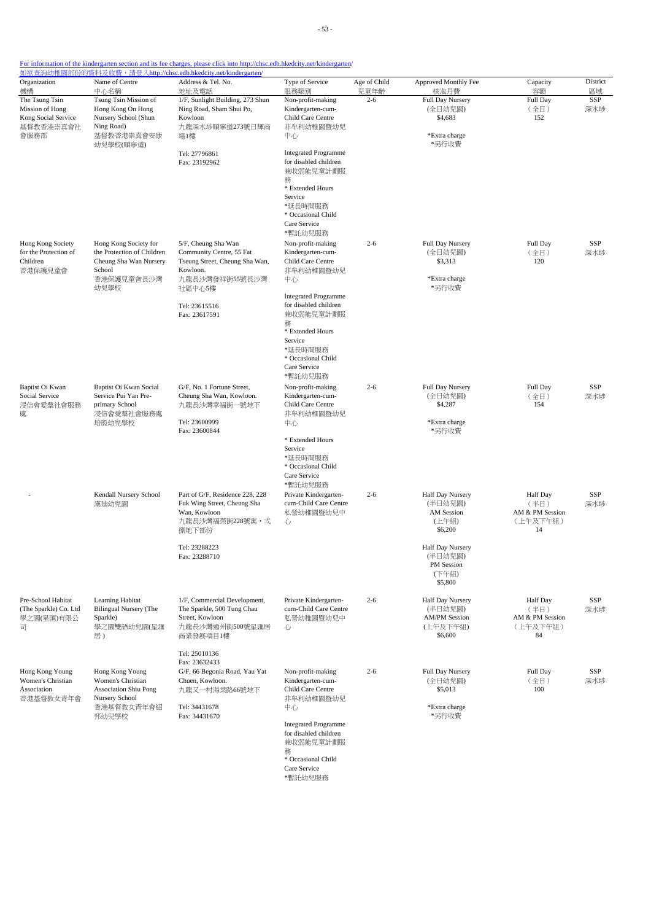| Organization                                                                  | Name of Centre                                                                                                | 如欲查詢幼稚園部份的資料及收費,請登入http://chsc.edb.hkedcity.net/kindergarten/<br>Address & Tel. No.                                                   | Type of Service                                                                                                                                                                                | Age of Child | Approved Monthly Fee                                                       | Capacity                                              | District   |
|-------------------------------------------------------------------------------|---------------------------------------------------------------------------------------------------------------|---------------------------------------------------------------------------------------------------------------------------------------|------------------------------------------------------------------------------------------------------------------------------------------------------------------------------------------------|--------------|----------------------------------------------------------------------------|-------------------------------------------------------|------------|
| 機構                                                                            | 中心名稱                                                                                                          | 地址及電話                                                                                                                                 | 服務類別                                                                                                                                                                                           | 兒童年齡         | 核准月費                                                                       | 容額                                                    | 區域         |
| The Tsung Tsin<br>Mission of Hong<br>Kong Social Service<br>基督教香港崇真會社<br>會服務部 | Tsung Tsin Mission of<br>Hong Kong On Hong<br>Nursery School (Shun<br>Ning Road)<br>基督教香港崇真會安康<br>幼兒學校(順寧道)   | 1/F, Sunlight Building, 273 Shun<br>Ning Road, Sham Shui Po,<br>Kowloon<br>九龍深水埗順寧道273號日輝商<br>場1樓                                     | Non-profit-making<br>Kindergarten-cum-<br>Child Care Centre<br>非牟利幼稚園暨幼兒<br>中心                                                                                                                 | $2 - 6$      | Full Day Nursery<br>(全日幼兒園)<br>\$4,683<br>*Extra charge<br>*另行收費           | Full Day<br>(全日)<br>152                               | SSP<br>深水埗 |
|                                                                               |                                                                                                               | Tel: 27796861<br>Fax: 23192962                                                                                                        | <b>Integrated Programme</b><br>for disabled children<br>兼收弱能兒童計劃服<br>務<br>* Extended Hours<br>Service<br>*延長時間服務<br>* Occasional Child<br>Care Service<br>*暫託幼兒服務                              |              |                                                                            |                                                       |            |
| Hong Kong Society<br>for the Protection of<br>Children<br>香港保護兒童會             | Hong Kong Society for<br>the Protection of Children<br>Cheung Sha Wan Nursery<br>School<br>香港保護兒童會長沙灣<br>幼兒學校 | 5/F, Cheung Sha Wan<br>Community Centre, 55 Fat<br>Tseung Street, Cheung Sha Wan,<br>Kowloon.<br>九龍長沙灣發祥街55號長沙灣<br>社區中心5樓             | Non-profit-making<br>Kindergarten-cum-<br>Child Care Centre<br>非牟利幼稚園暨幼兒<br>中心                                                                                                                 | $2 - 6$      | Full Day Nursery<br>(全日幼兒園)<br>\$3,313<br>*Extra charge<br>*另行收費           | Full Day<br>(全日)<br>120                               | SSP<br>深水埗 |
|                                                                               |                                                                                                               | Tel: 23615516<br>Fax: 23617591                                                                                                        | <b>Integrated Programme</b><br>for disabled children<br>兼收弱能兒童計劃服<br>務<br>* Extended Hours<br>Service<br>*延長時間服務<br>* Occasional Child<br>Care Service<br>*暫託幼兒服務                              |              |                                                                            |                                                       |            |
| Baptist Oi Kwan<br>Social Service<br>浸信會愛羣社會服務<br>處                           | Baptist Oi Kwan Social<br>Service Pui Yan Pre-<br>primary School<br>浸信會愛羣社會服務處<br>培殷幼兒學校                      | G/F, No. 1 Fortune Street,<br>Cheung Sha Wan, Kowloon.<br>九龍長沙灣幸福街一號地下<br>Tel: 23600999<br>Fax: 23600844                              | Non-profit-making<br>Kindergarten-cum-<br>Child Care Centre<br>非牟利幼稚園暨幼兒<br>中心<br>* Extended Hours<br>Service<br>*延長時間服務<br>* Occasional Child<br>Care Service<br>*暫託幼兒服務                      | $2 - 6$      | <b>Full Day Nursery</b><br>(全日幼兒園)<br>\$4,287<br>*Extra charge<br>*另行收費    | Full Day<br>(全日)<br>154                               | SSP<br>深水埗 |
|                                                                               | Kendall Nursery School<br>漢廸幼兒園                                                                               | Part of G/F, Residence 228, 228<br>Fuk Wing Street, Cheung Sha<br>Wan, Kowloon<br>九龍長沙灣福榮街228號寓・弍<br>捌地下部份                            | Private Kindergarten-<br>cum-Child Care Centre<br>私營幼稚園暨幼兒中<br>心                                                                                                                               | $2 - 6$      | Half Day Nursery<br>(半日幼兒園)<br>AM Session<br>(上午組)<br>\$6,200              | Half Day<br>(半日)<br>AM & PM Session<br>(上午及下午組)<br>14 | SSP<br>深水埗 |
|                                                                               |                                                                                                               | Tel: 23288223<br>Fax: 23288710                                                                                                        |                                                                                                                                                                                                |              | Half Day Nursery<br>(半日幼兒園)<br>PM Session<br>(下午組)<br>\$5,800              |                                                       |            |
| Pre-School Habitat<br>(The Sparkle) Co. Ltd<br>學之園(星匯)有限公<br>급                | Learning Habitat<br>Bilingual Nursery (The<br>Sparkle)<br>學之園雙語幼兒園(星滙<br>居)                                   | 1/F, Commercial Development,<br>The Sparkle, 500 Tung Chau<br>Street, Kowloon<br>九龍長沙灣通州街500號星匯居<br>商業發展項目1樓                          | Private Kindergarten-<br>cum-Child Care Centre<br>私營幼稚園暨幼兒中<br>心                                                                                                                               | $2 - 6$      | Half Day Nursery<br>(半日幼兒園)<br><b>AM/PM Session</b><br>(上午及下午組)<br>\$6,600 | Half Day<br>(半日)<br>AM & PM Session<br>(上午及下午組)<br>84 | SSP<br>深水埗 |
| Hong Kong Young<br>Women's Christian<br>Association<br>香港基督教女青年會              | Hong Kong Young<br>Women's Christian<br><b>Association Shiu Pong</b><br>Nursery School<br>香港基督教女青年會紹<br>邦幼兒學校 | Tel: 25010136<br>Fax: 23632433<br>G/F, 66 Begonia Road, Yau Yat<br>Chuen, Kowloon.<br>九龍又一村海棠路66號地下<br>Tel: 34431678<br>Fax: 34431670 | Non-profit-making<br>Kindergarten-cum-<br>Child Care Centre<br>非牟利幼稚園暨幼兒<br>中心<br><b>Integrated Programme</b><br>for disabled children<br>兼收弱能兒童計劃服<br>務<br>* Occasional Child<br>Care Service | $2 - 6$      | Full Day Nursery<br>(全日幼兒園)<br>\$5,013<br>*Extra charge<br>*另行收費           | Full Day<br>(全日)<br>100                               | SSP<br>深水埗 |

\*暫託幼兒服務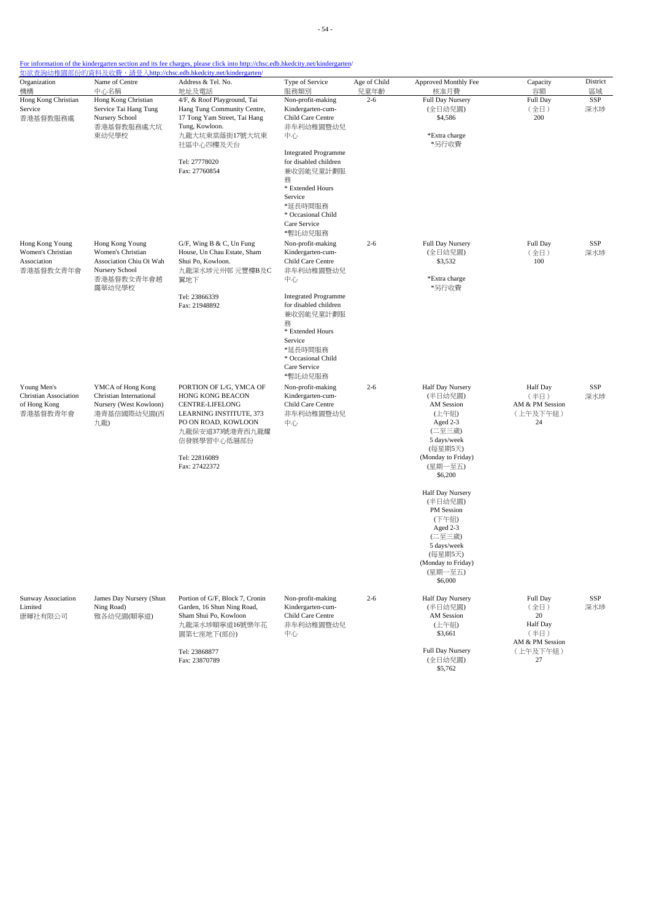- 54 -

| Organization                                                            | Name of Centre                                                                                            | Address & Tel. No.                                                                                                                                                                          | Type of Service                                                                                                                                                   | Age of Child | Approved Monthly Fee                                                                                                                           | Capacity                                                                        | District          |
|-------------------------------------------------------------------------|-----------------------------------------------------------------------------------------------------------|---------------------------------------------------------------------------------------------------------------------------------------------------------------------------------------------|-------------------------------------------------------------------------------------------------------------------------------------------------------------------|--------------|------------------------------------------------------------------------------------------------------------------------------------------------|---------------------------------------------------------------------------------|-------------------|
| 機構                                                                      | 中心名稱                                                                                                      | 地址及電話                                                                                                                                                                                       | 服務類別                                                                                                                                                              | 兒童年齡         | 核准月費                                                                                                                                           | 容額                                                                              | 區域                |
| Hong Kong Christian<br>Service<br>香港基督教服務處                              | Hong Kong Christian<br>Service Tai Hang Tung<br>Nursery School<br>香港基督教服務處大坑<br>東幼兒學校                     | 4/F, & Roof Playground, Tai<br>Hang Tung Community Centre,<br>17 Tong Yam Street, Tai Hang<br>Tung, Kowloon.<br>九龍大坑東棠蔭街17號大坑東<br>社區中心四樓及天台                                                 | Non-profit-making<br>Kindergarten-cum-<br>Child Care Centre<br>非牟利幼稚園暨幼兒<br>中心                                                                                    | $2 - 6$      | Full Day Nursery<br>(全日幼兒園)<br>\$4,586<br>*Extra charge<br>*另行收費                                                                               | Full Day<br>(全日)<br>200                                                         | SSP<br>深水埗        |
|                                                                         |                                                                                                           | Tel: 27778020<br>Fax: 27760854                                                                                                                                                              | <b>Integrated Programme</b><br>for disabled children<br>兼收弱能兒童計劃服<br>務<br>* Extended Hours<br>Service<br>*延長時間服務<br>* Occasional Child<br>Care Service<br>*暫託幼兒服務 |              |                                                                                                                                                |                                                                                 |                   |
| Hong Kong Young<br>Women's Christian<br>Association<br>香港基督教女青年會        | Hong Kong Young<br>Women's Christian<br>Association Chiu Oi Wah<br>Nursery School<br>香港基督教女青年會趙<br>靄華幼兒學校 | G/F, Wing B & C, Un Fung<br>House, Un Chau Estate, Sham<br>Shui Po, Kowloon.<br>九龍深水埗元州邨 元豐樓B及C<br>翼地下<br>Tel: 23866339                                                                     | Non-profit-making<br>Kindergarten-cum-<br>Child Care Centre<br>非牟利幼稚園暨幼兒<br>中心<br><b>Integrated Programme</b>                                                     | $2 - 6$      | Full Day Nursery<br>(全日幼兒園)<br>\$3,532<br>*Extra charge<br>*另行收費                                                                               | Full Day<br>(全日)<br>100                                                         | <b>SSP</b><br>深水埗 |
|                                                                         |                                                                                                           | Fax: 21948892                                                                                                                                                                               | for disabled children<br>兼收弱能兒童計劃服<br>務<br>* Extended Hours<br>Service<br>*延長時間服務<br>* Occasional Child<br>Care Service<br>*暫託幼兒服務                                |              |                                                                                                                                                |                                                                                 |                   |
| Young Men's<br><b>Christian Association</b><br>of Hong Kong<br>香港基督教青年會 | YMCA of Hong Kong<br>Christian International<br>Nursery (West Kowloon)<br>港青基信國際幼兒園(西<br>九龍)              | PORTION OF L/G, YMCA OF<br>HONG KONG BEACON<br><b>CENTRE-LIFELONG</b><br>LEARNING INSTITUTE, 373<br>PO ON ROAD, KOWLOON<br>九龍保安道373號港青西九龍耀<br>信發展學習中心低層部份<br>Tel: 22816089<br>Fax: 27422372 | Non-profit-making<br>Kindergarten-cum-<br>Child Care Centre<br>非牟利幼稚園暨幼兒<br>中心                                                                                    | $2 - 6$      | Half Day Nursery<br>(半日幼兒園)<br>AM Session<br>(上午組)<br>Aged 2-3<br>(二至三歲)<br>5 days/week<br>(每星期5天)<br>(Monday to Friday)<br>(星期一至五)<br>\$6,200 | <b>Half Day</b><br>(半日)<br>AM & PM Session<br>(上午及下午組)<br>24                    | SSP<br>深水埗        |
|                                                                         |                                                                                                           |                                                                                                                                                                                             |                                                                                                                                                                   |              | Half Day Nursery<br>(半日幼兒園)<br>PM Session<br>(下午組)<br>Aged 2-3<br>(二至三歲)<br>5 days/week<br>(每星期5天)<br>(Monday to Friday)<br>(星期一至五)<br>\$6,000 |                                                                                 |                   |
| Sunway Association<br>Limited<br>康暉社有限公司                                | James Day Nursery (Shun<br>Ning Road)<br>雅各幼兒園(順寧道)                                                       | Portion of G/F, Block 7, Cronin<br>Garden, 16 Shun Ning Road,<br>Sham Shui Po, Kowloon<br>九龍深水埗順寧道16號樂年花<br>園第七座地下(部份)<br>Tel: 23868877<br>Fax: 23870789                                    | Non-profit-making<br>Kindergarten-cum-<br>Child Care Centre<br>非牟利幼稚園暨幼兒<br>中心                                                                                    | $2 - 6$      | Half Day Nursery<br>(半日幼兒園)<br>AM Session<br>(上午組)<br>\$3,661<br>Full Day Nursery<br>(全日幼兒園)                                                   | Full Day<br>(全日)<br>20<br>Half Day<br>(半日)<br>AM & PM Session<br>(上午及下午組)<br>27 | SSP<br>深水埗        |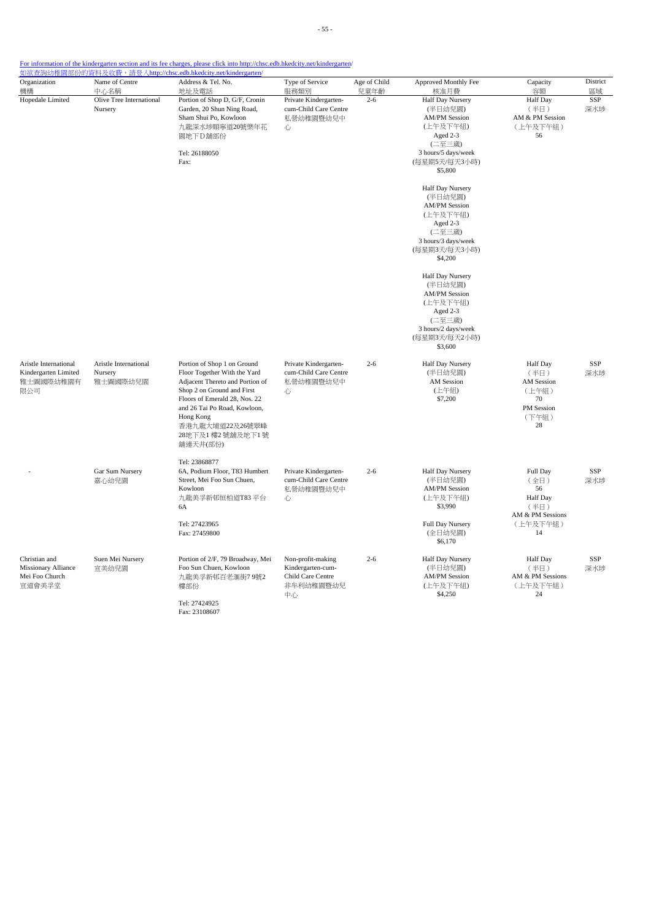- 55 -

For information of the kindergarten section and its fee charges, please click into http://chsc.edb.hkedcity.net/kindergarten/

| Organization<br>機構                                                | Name of Centre<br>中心名稱                       | Address & Tel. No.<br>地址及電話                                                                                                                                                                                                                                    | Type of Service<br>服務類別                                                        | Age of Child<br>兒童年齡 | Approved Monthly Fee<br>核准月費                                                                                                                    | Capacity<br>容額                                                                          | District<br>區域    |
|-------------------------------------------------------------------|----------------------------------------------|----------------------------------------------------------------------------------------------------------------------------------------------------------------------------------------------------------------------------------------------------------------|--------------------------------------------------------------------------------|----------------------|-------------------------------------------------------------------------------------------------------------------------------------------------|-----------------------------------------------------------------------------------------|-------------------|
| Hopedale Limited                                                  | Olive Tree International<br>Nursery          | Portion of Shop D, G/F, Cronin<br>Garden, 20 Shun Ning Road,<br>Sham Shui Po, Kowloon<br>九龍深水埗順寧道20號樂年花<br>園地下D舗部份<br>Tel: 26188050<br>Fax:                                                                                                                    | Private Kindergarten-<br>cum-Child Care Centre<br>私營幼稚園暨幼兒中<br>心               | $2 - 6$              | <b>Half Day Nursery</b><br>(半日幼兒園)<br><b>AM/PM Session</b><br>(上午及下午組)<br>Aged 2-3<br>(二至三歲)<br>3 hours/5 days/week<br>(每星期5天/每天3小時)<br>\$5,800 | Half Day<br>(半日)<br>AM & PM Session<br>(上午及下午組)<br>56                                   | SSP<br>深水埗        |
|                                                                   |                                              |                                                                                                                                                                                                                                                                |                                                                                |                      | Half Day Nursery<br>(半日幼兒園)<br><b>AM/PM Session</b><br>(上午及下午組)<br>Aged 2-3<br>(二至三歲)<br>3 hours/3 days/week<br>(每星期3天/每天3小時)<br>\$4,200        |                                                                                         |                   |
|                                                                   |                                              |                                                                                                                                                                                                                                                                |                                                                                |                      | Half Day Nursery<br>(半日幼兒園)<br><b>AM/PM Session</b><br>(上午及下午組)<br>Aged 2-3<br>(二至三歲)<br>3 hours/2 days/week<br>(每星期3天/每天2小時)<br>\$3,600        |                                                                                         |                   |
| Aristle International<br>Kindergarten Limited<br>雅士圖國際幼稚園有<br>限公司 | Aristle International<br>Nursery<br>雅士圖國際幼兒園 | Portion of Shop 1 on Ground<br>Floor Together With the Yard<br>Adjacent Thereto and Portion of<br>Shop 2 on Ground and First<br>Floors of Emerald 28, Nos. 22<br>and 26 Tai Po Road, Kowloon,<br>Hong Kong<br>香港九龍大埔道22及26號翠峰<br>28地下及1 樓2 號舖及地下1號<br>舖連天井(部份) | Private Kindergarten-<br>cum-Child Care Centre<br>私營幼稚園暨幼兒中<br>心               | $2 - 6$              | Half Day Nursery<br>(半日幼兒園)<br><b>AM</b> Session<br>(上午組)<br>\$7,200                                                                            | <b>Half</b> Day<br>(半日)<br>AM Session<br>(上午組)<br>70<br>PM Session<br>(下午組)<br>28       | <b>SSP</b><br>深水埗 |
|                                                                   | Gar Sum Nursery<br>嘉心幼兒園                     | Tel: 23868877<br>6A, Podium Floor, T83 Humbert<br>Street, Mei Foo Sun Chuen,<br>Kowloon<br>九龍美孚新邨恒柏道T83 平台<br>6A<br>Tel: 27423965                                                                                                                              | Private Kindergarten-<br>cum-Child Care Centre<br>私營幼稚園暨幼兒中<br>心               | $2 - 6$              | Half Day Nursery<br>(半日幼兒園)<br><b>AM/PM Session</b><br>(上午及下午組)<br>\$3,990<br>Full Day Nursery                                                  | Full Day<br>(全日)<br>56<br><b>Half</b> Day<br>(半日)<br>AM & PM Sessions<br>(上午及下午組)<br>14 | SSP<br>深水埗        |
|                                                                   |                                              | Fax: 27459800                                                                                                                                                                                                                                                  |                                                                                |                      | (全日幼兒園)<br>\$6,170                                                                                                                              |                                                                                         |                   |
| Christian and<br>Missionary Alliance<br>Mei Foo Church<br>宣道會美孚堂  | Suen Mei Nursery<br>宣美幼兒園                    | Portion of 2/F, 79 Broadway, Mei<br>Foo Sun Chuen, Kowloon<br>九龍美孚新邨百老滙街79號2<br>樓部份<br>Tel: 27424925<br>Fax: 23108607                                                                                                                                          | Non-profit-making<br>Kindergarten-cum-<br>Child Care Centre<br>非牟利幼稚園暨幼兒<br>中心 | $2 - 6$              | Half Day Nursery<br>(半日幼兒園)<br><b>AM/PM Session</b><br>(上午及下午組)<br>\$4,250                                                                      | <b>Half</b> Day<br>(半日)<br>AM & PM Sessions<br>(上午及下午組)<br>24                           | <b>SSP</b><br>深水埗 |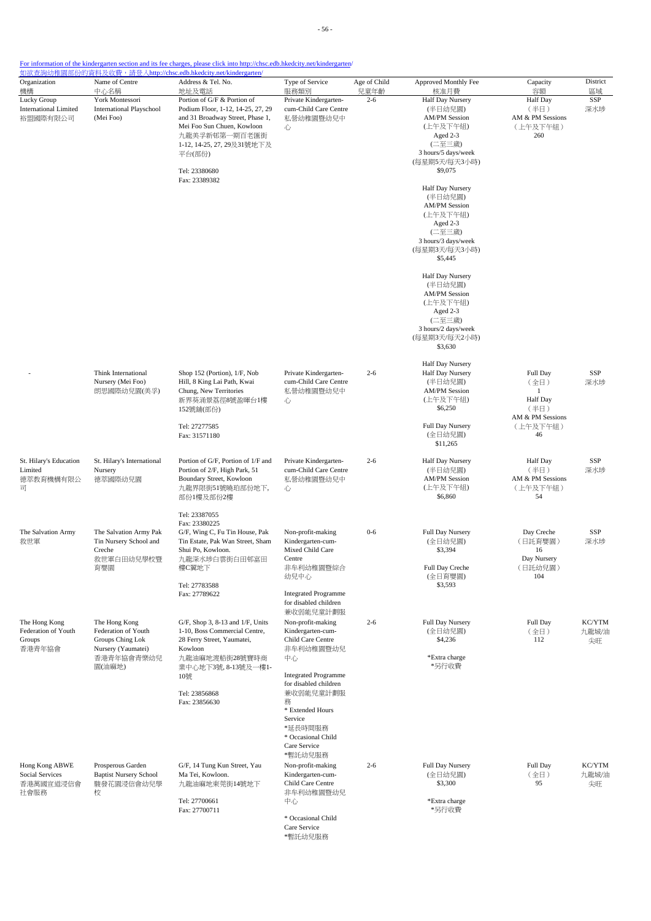- 56 -

For information of the kindergarten section and its fee charges, please click into http://chsc.edb.hkedcity.net/kindergarten/

| Organization<br>機構                                            | Name of Centre<br>中心名稱                                                         | Address & Tel. No.<br>地址及電話                                                                                                                                                                                                   | Type of Service<br>服務類別                                                                                   | Age of Child<br>兒童年齡 | Approved Monthly Fee<br>核准月費                                                                                                             | Capacity<br>容額                                                                  | District<br>區域        |
|---------------------------------------------------------------|--------------------------------------------------------------------------------|-------------------------------------------------------------------------------------------------------------------------------------------------------------------------------------------------------------------------------|-----------------------------------------------------------------------------------------------------------|----------------------|------------------------------------------------------------------------------------------------------------------------------------------|---------------------------------------------------------------------------------|-----------------------|
| Lucky Group<br><b>International Limited</b><br>裕盟國際有限公司       | York Montessori<br><b>International Playschool</b><br>(Mei Foo)                | Portion of G/F & Portion of<br>Podium Floor, 1-12, 14-25, 27, 29<br>and 31 Broadway Street, Phase 1,<br>Mei Foo Sun Chuen, Kowloon<br>九龍美孚新邨第一期百老匯街<br>1-12, 14-25, 27, 29及31號地下及<br>平台(部份)<br>Tel: 23380680<br>Fax: 23389382 | Private Kindergarten-<br>cum-Child Care Centre<br>私營幼稚園暨幼兒中<br>心                                          | $2 - 6$              | Half Day Nursery<br>(半日幼兒園)<br><b>AM/PM</b> Session<br>(上午及下午組)<br>Aged 2-3<br>(二至三歲)<br>3 hours/5 days/week<br>(每星期5天/每天3小時)<br>\$9,075 | <b>Half</b> Day<br>(半日)<br>AM & PM Sessions<br>(上午及下午組)<br>260                  | SSP<br>深水埗            |
|                                                               |                                                                                |                                                                                                                                                                                                                               |                                                                                                           |                      | Half Day Nursery<br>(半日幼兒園)<br><b>AM/PM</b> Session<br>(上午及下午組)<br>Aged 2-3<br>(二至三歲)<br>3 hours/3 days/week<br>(每星期3天/每天3小時)<br>\$5,445 |                                                                                 |                       |
|                                                               |                                                                                |                                                                                                                                                                                                                               |                                                                                                           |                      | Half Day Nursery<br>(半日幼兒園)<br><b>AM/PM</b> Session<br>(上午及下午組)<br>Aged 2-3<br>(二至三歲)<br>3 hours/2 days/week<br>(每星期3天/每天2小時)<br>\$3,630 |                                                                                 |                       |
|                                                               | Think International<br>Nursery (Mei Foo)<br>朗思國際幼兒園(美孚)                        | Shop 152 (Portion), 1/F, Nob<br>Hill, 8 King Lai Path, Kwai<br>Chung, New Territories<br>新界葵涌景荔徑8號盈暉台1樓<br>152號舖(部份)                                                                                                          | Private Kindergarten-<br>cum-Child Care Centre<br>私營幼稚園暨幼兒中<br>心                                          | $2 - 6$              | <b>Half Day Nursery</b><br>Half Day Nursery<br>(半日幼兒園)<br><b>AM/PM Session</b><br>(上午及下午組)<br>\$6,250                                    | Full Day<br>(全日)<br>$\mathbf{1}$<br><b>Half</b> Day<br>(半日)<br>AM & PM Sessions | SSP<br>深水埗            |
|                                                               |                                                                                | Tel: 27277585<br>Fax: 31571180                                                                                                                                                                                                |                                                                                                           |                      | Full Day Nursery<br>(全日幼兒園)<br>\$11,265                                                                                                  | (上午及下午組)<br>46                                                                  |                       |
| St. Hilary's Education<br>Limited<br>德萃教育機構有限公<br>司           | St. Hilary's International<br>Nursery<br>德萃國際幼兒園                               | Portion of G/F, Portion of 1/F and<br>Portion of 2/F, High Park, 51<br>Boundary Street, Kowloon<br>九龍界限街51號曉珀部份地下,<br>部份1樓及部份2樓                                                                                               | Private Kindergarten-<br>cum-Child Care Centre<br>私營幼稚園暨幼兒中<br>心                                          | $2 - 6$              | Half Day Nursery<br>(半日幼兒園)<br><b>AM/PM</b> Session<br>(上午及下午組)<br>\$6,860                                                               | Half Day<br>(半日)<br>AM & PM Sessions<br>(上午及下午組)<br>54                          | SSP<br>深水埗            |
| The Salvation Army<br>救世軍                                     | The Salvation Army Pak<br>Tin Nursery School and<br>Creche                     | Tel: 23387055<br>Fax: 23380225<br>G/F, Wing C, Fu Tin House, Pak<br>Tin Estate, Pak Wan Street, Sham<br>Shui Po, Kowloon.                                                                                                     | Non-profit-making<br>Kindergarten-cum-<br>Mixed Child Care                                                | $0 - 6$              | Full Day Nursery<br>(全日幼兒園)<br>\$3,394                                                                                                   | Day Creche<br>(日託育嬰園)<br>16                                                     | SSP<br>深水埗            |
|                                                               | 救世軍白田幼兒學校暨<br>育嬰園                                                              | 九龍深水埗白雲街白田邨富田<br>樓C翼地下<br>Tel: 27783588<br>Fax: 27789622                                                                                                                                                                      | Centre<br>非牟利幼稚園暨綜合<br>幼兒中心<br><b>Integrated Programme</b>                                                |                      | Full Day Creche<br>(全日育嬰園)<br>\$3,593                                                                                                    | Day Nursery<br>(日託幼兒園)<br>104                                                   |                       |
| The Hong Kong                                                 |                                                                                |                                                                                                                                                                                                                               | for disabled children<br>兼收弱能兒童計劃服                                                                        |                      |                                                                                                                                          |                                                                                 |                       |
| Federation of Youth<br>Groups<br>香港青年協會                       | The Hong Kong<br>Federation of Youth<br>Groups Ching Lok<br>Nursery (Yaumatei) | G/F, Shop 3, 8-13 and 1/F, Units<br>1-10, Boss Commercial Centre,<br>28 Ferry Street, Yaumatei,<br>Kowloon                                                                                                                    | Non-profit-making<br>Kindergarten-cum-<br>Child Care Centre<br>非牟利幼稚園暨幼兒                                  | $2 - 6$              | Full Day Nursery<br>(全日幼兒園)<br>\$4,236                                                                                                   | Full Day<br>(全日)<br>112                                                         | KC/YTM<br>九龍城/油<br>尖旺 |
|                                                               | 香港青年協會青樂幼兒<br>園(油麻地)                                                           | 九龍油麻地渡船街28號寶時商<br>業中心地下3號, 8-13號及一樓1-<br>10號<br>Tel: 23856868                                                                                                                                                                 | 中心<br><b>Integrated Programme</b><br>for disabled children                                                |                      | *Extra charge<br>*另行收費                                                                                                                   |                                                                                 |                       |
|                                                               |                                                                                | Fax: 23856630                                                                                                                                                                                                                 | 兼收弱能兒童計劃服<br>務<br>* Extended Hours<br>Service<br>*延長時間服務<br>* Occasional Child<br>Care Service<br>*暫託幼兒服務 |                      |                                                                                                                                          |                                                                                 |                       |
| Hong Kong ABWE<br><b>Social Services</b><br>香港萬國宣道浸信會<br>社會服務 | Prosperous Garden<br><b>Baptist Nursery School</b><br>駿發花園浸信會幼兒學<br>校          | G/F, 14 Tung Kun Street, Yau<br>Ma Tei, Kowloon.<br>九龍油麻地東莞街14號地下                                                                                                                                                             | Non-profit-making<br>Kindergarten-cum-<br>Child Care Centre<br>非牟利幼稚園暨幼兒                                  | $2 - 6$              | Full Day Nursery<br>(全日幼兒園)<br>\$3,300                                                                                                   | Full Day<br>(全日)<br>95                                                          | KC/YTM<br>九龍城/油<br>尖旺 |
|                                                               |                                                                                | Tel: 27700661<br>Fax: 27700711                                                                                                                                                                                                | 中心<br>* Occasional Child<br>Care Service<br>*暫託幼兒服務                                                       |                      | *Extra charge<br>*另行收費                                                                                                                   |                                                                                 |                       |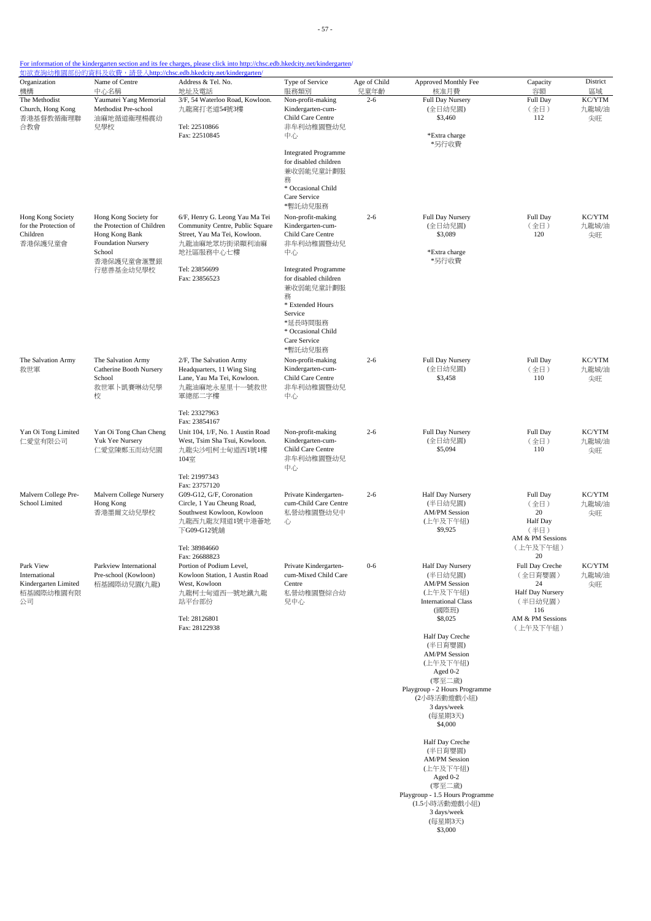| Organization<br>機構                                                    | Name of Centre<br>中心名稱                                                                                       | Address & Tel. No.<br>地址及電話                                                                                                                              | Type of Service<br>服務類別                                                                                                                                                                                   | Age of Child<br>兒童年齡 | Approved Monthly Fee<br>核准月費                                                                                                                                                                                                                                                                   | Capacity<br>容額                                                                                               | District<br>區域        |
|-----------------------------------------------------------------------|--------------------------------------------------------------------------------------------------------------|----------------------------------------------------------------------------------------------------------------------------------------------------------|-----------------------------------------------------------------------------------------------------------------------------------------------------------------------------------------------------------|----------------------|------------------------------------------------------------------------------------------------------------------------------------------------------------------------------------------------------------------------------------------------------------------------------------------------|--------------------------------------------------------------------------------------------------------------|-----------------------|
| The Methodist<br>Church, Hong Kong<br>香港基督教循衛理聯<br>合教會                | Yaumatei Yang Memorial<br>Methodist Pre-school<br>油麻地循道衞理楊震幼<br>兒學校                                          | 3/F, 54 Waterloo Road, Kowloon.<br>九龍窩打老道54號3樓<br>Tel: 22510866<br>Fax: 22510845                                                                         | Non-profit-making<br>Kindergarten-cum-<br>Child Care Centre<br>非牟利幼稚園暨幼兒<br>中心                                                                                                                            | $2 - 6$              | Full Day Nursery<br>(全日幼兒園)<br>\$3,460<br>*Extra charge                                                                                                                                                                                                                                        | Full Day<br>(全日)<br>112                                                                                      | KC/YTM<br>九龍城/油<br>尖旺 |
| Hong Kong Society<br>for the Protection of<br>Children<br>香港保護兒童會     | Hong Kong Society for<br>the Protection of Children<br>Hong Kong Bank<br><b>Foundation Nursery</b><br>School | 6/F, Henry G. Leong Yau Ma Tei<br>Community Centre, Public Square<br>Street, Yau Ma Tei, Kowloon.<br>九龍油麻地眾坊街梁顯利油麻<br>地社區服務中心七樓                          | <b>Integrated Programme</b><br>for disabled children<br>兼收弱能兒童計劃服<br>務<br>* Occasional Child<br>Care Service<br>*暫託幼兒服務<br>Non-profit-making<br>Kindergarten-cum-<br>Child Care Centre<br>非牟利幼稚園暨幼兒<br>中心 | $2 - 6$              | *另行收費<br>Full Day Nursery<br>(全日幼兒園)<br>\$3,089<br>*Extra charge                                                                                                                                                                                                                               | Full Day<br>(全日)<br>120                                                                                      | KC/YTM<br>九龍城/油<br>尖旺 |
|                                                                       | 香港保護兒童會滙豐銀<br>行慈善基金幼兒學校                                                                                      | Tel: 23856699<br>Fax: 23856523                                                                                                                           | <b>Integrated Programme</b><br>for disabled children<br>兼收弱能兒童計劃服<br>務<br>* Extended Hours<br>Service<br>*延長時間服務<br>* Occasional Child<br>Care Service<br>*暫託幼兒服務                                         |                      | *另行收費                                                                                                                                                                                                                                                                                          |                                                                                                              |                       |
| The Salvation Army<br>救世軍                                             | The Salvation Army<br>Catherine Booth Nursery<br>School<br>救世軍卜凱賽琳幼兒學<br>校                                   | 2/F, The Salvation Army<br>Headquarters, 11 Wing Sing<br>Lane, Yau Ma Tei, Kowloon.<br>九龍油麻地永星里十一號救世<br>軍總部二字樓<br>Tel: 23327963                          | Non-profit-making<br>Kindergarten-cum-<br>Child Care Centre<br>非牟利幼稚園暨幼兒<br>中心                                                                                                                            | $2 - 6$              | Full Day Nursery<br>(全日幼兒園)<br>\$3,458                                                                                                                                                                                                                                                         | Full Day<br>(全日)<br>110                                                                                      | KC/YTM<br>九龍城/油<br>尖旺 |
| Yan Oi Tong Limited<br>仁愛堂有限公司                                        | Yan Oi Tong Chan Cheng<br>Yuk Yee Nursery<br>仁愛堂陳鄭玉而幼兒園                                                      | Fax: 23854167<br>Unit 104, 1/F, No. 1 Austin Road<br>West, Tsim Sha Tsui, Kowloon.<br>九龍尖沙咀柯士甸道西1號1樓<br>104室<br>Tel: 21997343                            | Non-profit-making<br>Kindergarten-cum-<br>Child Care Centre<br>非牟利幼稚園暨幼兒<br>中心                                                                                                                            | $2 - 6$              | Full Day Nursery<br>(全日幼兒園)<br>\$5,094                                                                                                                                                                                                                                                         | Full Day<br>(全日)<br>110                                                                                      | KC/YTM<br>九龍城/油<br>尖旺 |
| Malvern College Pre-<br>School Limited                                | Malvern College Nursery<br>Hong Kong<br>香港墨爾文幼兒學校                                                            | Fax: 23757120<br>G09-G12, G/F, Coronation<br>Circle, 1 Yau Cheung Road,<br>Southwest Kowloon, Kowloon<br>九龍西九龍友翔道1號中港薈地<br>下G09-G12號舖<br>Tel: 38984660   | Private Kindergarten-<br>cum-Child Care Centre<br>私營幼稚園暨幼兒中<br>心                                                                                                                                          | $2 - 6$              | Half Day Nursery<br>(半日幼兒園)<br><b>AM/PM Session</b><br>(上午及下午組)<br>\$9,925                                                                                                                                                                                                                     | Full Day<br>(全日)<br>20<br><b>Half</b> Day<br>(半日)<br>AM & PM Sessions<br>(上午及下午組)                            | KC/YTM<br>九龍城/油<br>尖旺 |
| Park View<br>International<br>Kindergarten Limited<br>栢基國際幼稚園有限<br>公司 | Parkview International<br>Pre-school (Kowloon)<br>栢基國際幼兒園(九龍)                                                | Fax: 26688823<br>Portion of Podium Level,<br>Kowloon Station, 1 Austin Road<br>West, Kowloon<br>九龍柯士甸道西一號地鐵九龍<br>站平台部份<br>Tel: 28126801<br>Fax: 28122938 | Private Kindergarten-<br>cum-Mixed Child Care<br>Centre<br>私營幼稚園暨綜合幼<br>兒中心                                                                                                                               | $0 - 6$              | Half Day Nursery<br>(半日幼兒園)<br><b>AM/PM Session</b><br>(上午及下午組)<br><b>International Class</b><br>(國際班)<br>\$8,025<br>Half Day Creche<br>(半日育嬰園)<br><b>AM/PM Session</b><br>(上午及下午組)<br>Aged 0-2<br>(零至二歲)<br>Playgroup - 2 Hours Programme<br>(2小時活動遊戲小組)<br>3 days/week<br>(每星期3天)<br>\$4,000 | 20<br>Full Day Creche<br>(全日育嬰園)<br>24<br>Half Day Nursery<br>(半日幼兒園)<br>116<br>AM & PM Sessions<br>(上午及下午組) | KC/YTM<br>九龍城/油<br>尖旺 |
|                                                                       |                                                                                                              |                                                                                                                                                          |                                                                                                                                                                                                           |                      | Half Day Creche<br>(半日育嬰園)<br><b>AM/PM Session</b><br>(上午及下午組)<br>Aged 0-2<br>(零至二歲)<br>Playgroup - 1.5 Hours Programme<br>(1.5小時活動遊戲小組)<br>3 days/week<br>(每星期3天)<br>\$3,000                                                                                                                  |                                                                                                              |                       |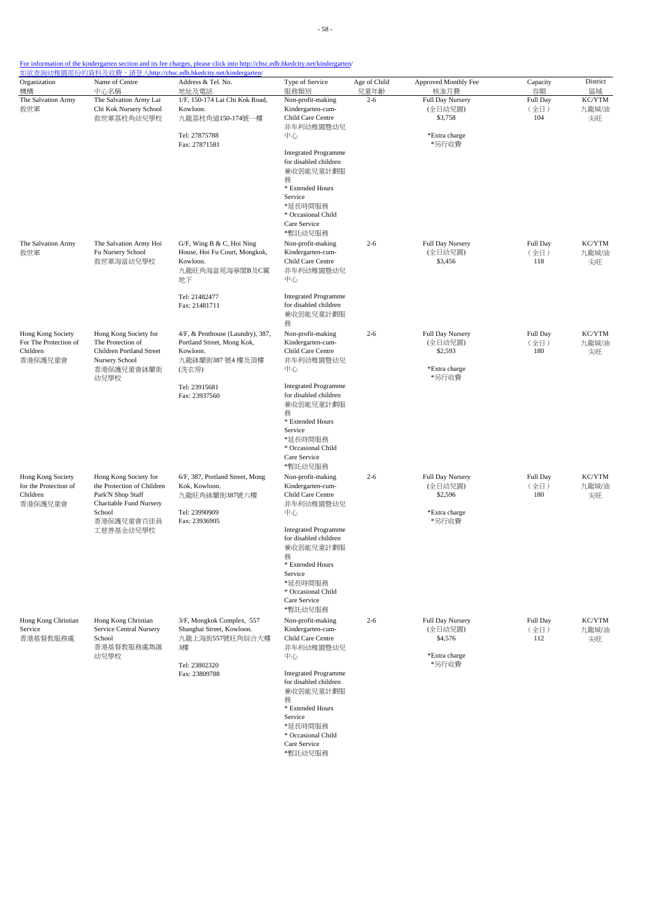| Organization                               | Name of Centre                                      | Address & Tel. No.                                             | Type of Service                                      | Age of Child    | Approved Monthly Fee        | Capacity         | District        |
|--------------------------------------------|-----------------------------------------------------|----------------------------------------------------------------|------------------------------------------------------|-----------------|-----------------------------|------------------|-----------------|
| 機構<br>The Salvation Army                   | 中心名稱<br>The Salvation Army Lai                      | 地址及電話<br>1/F, 150-174 Lai Chi Kok Road,                        | 服務類別<br>Non-profit-making                            | 兒童年齡<br>$2 - 6$ | 核准月費<br>Full Day Nursery    | 容額<br>Full Day   | 區域<br>KC/YTM    |
| 救世軍                                        | Chi Kok Nursery School<br>救世軍荔枝角幼兒學校                | Kowloon.<br>九龍荔枝角道150-174號一樓                                   | Kindergarten-cum-<br>Child Care Centre               |                 | (全日幼兒園)<br>\$3,758          | (全日)<br>104      | 九龍城/油<br>尖旺     |
|                                            |                                                     | Tel: 27875788                                                  | 非牟利幼稚園暨幼兒<br>中心                                      |                 | *Extra charge               |                  |                 |
|                                            |                                                     | Fax: 27871581                                                  |                                                      |                 | *另行收費                       |                  |                 |
|                                            |                                                     |                                                                | <b>Integrated Programme</b><br>for disabled children |                 |                             |                  |                 |
|                                            |                                                     |                                                                | 兼收弱能兒童計劃服<br>務                                       |                 |                             |                  |                 |
|                                            |                                                     |                                                                | * Extended Hours                                     |                 |                             |                  |                 |
|                                            |                                                     |                                                                | Service<br>*延長時間服務                                   |                 |                             |                  |                 |
|                                            |                                                     |                                                                | * Occasional Child<br>Care Service                   |                 |                             |                  |                 |
|                                            |                                                     |                                                                | *暫託幼兒服務                                              |                 |                             |                  |                 |
| The Salvation Army<br>救世軍                  | The Salvation Army Hoi<br>Fu Nursery School         | G/F, Wing B & C, Hoi Ning<br>House, Hoi Fu Court, Mongkok,     | Non-profit-making<br>Kindergarten-cum-               | $2 - 6$         | Full Day Nursery<br>(全日幼兒園) | Full Day<br>(全日) | KC/YTM<br>九龍城/油 |
|                                            | 救世軍海富幼兒學校                                           | Kowloon.                                                       | Child Care Centre                                    |                 | \$3,456                     | 118              | 尖旺              |
|                                            |                                                     | 九龍旺角海富苑海寧閣B及C翼<br>地下                                           | 非牟利幼稚園暨幼兒<br>中心                                      |                 |                             |                  |                 |
|                                            |                                                     | Tel: 21482477                                                  | <b>Integrated Programme</b>                          |                 |                             |                  |                 |
|                                            |                                                     | Fax: 21481711                                                  | for disabled children<br>兼收弱能兒童計劃服                   |                 |                             |                  |                 |
|                                            |                                                     |                                                                | 務                                                    |                 |                             |                  |                 |
| Hong Kong Society<br>For The Protection of | Hong Kong Society for<br>The Protection of          | 4/F, & Penthouse (Laundry), 387,<br>Portland Street, Mong Kok, | Non-profit-making<br>Kindergarten-cum-               | $2 - 6$         | Full Day Nursery<br>(全日幼兒園) | Full Day<br>(全日) | KC/YTM<br>九龍城/油 |
| Children                                   | Children Portland Street<br>Nursery School          | Kowloon.                                                       | Child Care Centre                                    |                 | \$2,593                     | 180              | 尖旺              |
| 香港保護兒童會                                    | 香港保護兒童會砵蘭街                                          | 九龍砵蘭街387號4樓及頂樓<br>(洗衣房)                                        | 非牟利幼稚園暨幼兒<br>中心                                      |                 | *Extra charge               |                  |                 |
|                                            | 幼兒學校                                                | Tel: 23915681                                                  | <b>Integrated Programme</b>                          |                 | *另行收費                       |                  |                 |
|                                            |                                                     | Fax: 23937560                                                  | for disabled children                                |                 |                             |                  |                 |
|                                            |                                                     |                                                                | 兼收弱能兒童計劃服<br>務                                       |                 |                             |                  |                 |
|                                            |                                                     |                                                                | * Extended Hours<br>Service                          |                 |                             |                  |                 |
|                                            |                                                     |                                                                | *延長時間服務                                              |                 |                             |                  |                 |
|                                            |                                                     |                                                                | * Occasional Child<br>Care Service                   |                 |                             |                  |                 |
|                                            |                                                     |                                                                | *暫託幼兒服務                                              |                 |                             |                  |                 |
| Hong Kong Society<br>for the Protection of | Hong Kong Society for<br>the Protection of Children | 6/F, 387, Portland Street, Mong<br>Kok, Kowloon.               | Non-profit-making<br>Kindergarten-cum-               | $2 - 6$         | Full Day Nursery<br>(全日幼兒園) | Full Day<br>(全日) | KC/YTM<br>九龍城/油 |
| Children<br>香港保護兒童會                        | Park'N Shop Staff<br>Charitable Fund Nursery        | 九龍旺角砵蘭街387號六樓                                                  | Child Care Centre<br>非牟利幼稚園暨幼兒                       |                 | \$2,596                     | 180              | 尖旺              |
|                                            | School                                              | Tel: 23990909                                                  | 中心                                                   |                 | *Extra charge               |                  |                 |
|                                            | 香港保護兒童會百佳員<br>工慈善基金幼兒學校                             | Fax: 23936905                                                  | <b>Integrated Programme</b>                          |                 | *另行收費                       |                  |                 |
|                                            |                                                     |                                                                | for disabled children                                |                 |                             |                  |                 |
|                                            |                                                     |                                                                | 兼收弱能兒童計劃服<br>務                                       |                 |                             |                  |                 |
|                                            |                                                     |                                                                | * Extended Hours<br>Service                          |                 |                             |                  |                 |
|                                            |                                                     |                                                                | *延長時間服務                                              |                 |                             |                  |                 |
|                                            |                                                     |                                                                | * Occasional Child<br>Care Service                   |                 |                             |                  |                 |
|                                            |                                                     |                                                                | *暫託幼兒服務                                              |                 |                             |                  |                 |
| Hong Kong Christian<br>Service             | Hong Kong Christian<br>Service Central Nursery      | 3/F, Mongkok Complex, 557<br>Shanghai Street, Kowloon.         | Non-profit-making<br>Kindergarten-cum-               | $2 - 6$         | Full Day Nursery<br>(全日幼兒園) | Full Day<br>(全日) | KC/YTM<br>九龍城/油 |
| 香港基督教服務處                                   | School<br>香港基督教服務處雋匯                                | 九龍上海街557號旺角綜合大樓<br>3樓                                          | Child Care Centre<br>非牟利幼稚園暨幼兒                       |                 | \$4,576                     | 112              | 尖旺              |
|                                            | 幼兒學校                                                |                                                                | 中心                                                   |                 | *Extra charge               |                  |                 |
|                                            |                                                     | Tel: 23802320<br>Fax: 23809788                                 | <b>Integrated Programme</b>                          |                 | *另行收費                       |                  |                 |
|                                            |                                                     |                                                                | for disabled children<br>兼收弱能兒童計劃服                   |                 |                             |                  |                 |
|                                            |                                                     |                                                                | 務                                                    |                 |                             |                  |                 |
|                                            |                                                     |                                                                | * Extended Hours<br>Service                          |                 |                             |                  |                 |
|                                            |                                                     |                                                                | *延長時間服務                                              |                 |                             |                  |                 |
|                                            |                                                     |                                                                | * Occasional Child<br>Care Service                   |                 |                             |                  |                 |

\*暫託幼兒服務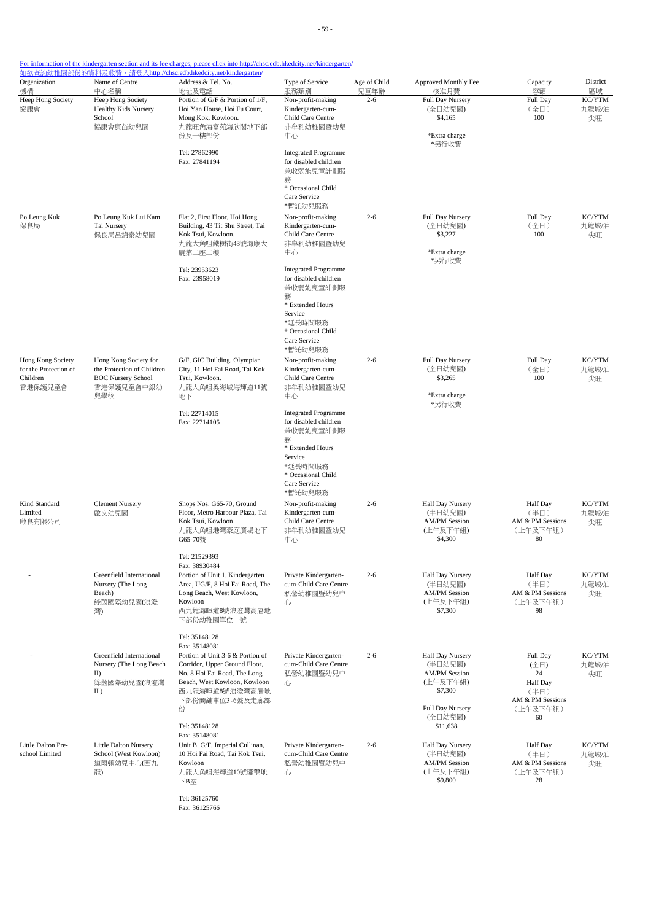| Organization                               | Name of Centre                                      | <u> 如欲查詢幼稚園部份的資料及收費,請登入http://chsc.edb.hkedcity.net/kindergarten/</u><br>Address & Tel. No. | Type of Service                                      | Age of Child    | Approved Monthly Fee             | Capacity                     | District        |
|--------------------------------------------|-----------------------------------------------------|---------------------------------------------------------------------------------------------|------------------------------------------------------|-----------------|----------------------------------|------------------------------|-----------------|
| 機構<br>Heep Hong Society                    | 中心名稱<br>Heep Hong Society                           | 地址及電話<br>Portion of G/F & Portion of 1/F,                                                   | 服務類別<br>Non-profit-making                            | 兒童年齡<br>$2 - 6$ | 核准月費<br><b>Full Day Nursery</b>  | 容額<br>Full Day               | 區域<br>KC/YTM    |
| 協康會                                        | <b>Healthy Kids Nursery</b>                         | Hoi Yan House, Hoi Fu Court,                                                                | Kindergarten-cum-                                    |                 | (全日幼兒園)                          | (全日)                         | 九龍城/油           |
|                                            | School<br>協康會康苗幼兒園                                  | Mong Kok, Kowloon.<br>九龍旺角海富苑海欣閣地下部                                                         | Child Care Centre<br>非牟利幼稚園暨幼兒                       |                 | \$4,165                          | 100                          | 尖旺              |
|                                            |                                                     | 份及一樓部份                                                                                      | 中心                                                   |                 | *Extra charge                    |                              |                 |
|                                            |                                                     | Tel: 27862990                                                                               | <b>Integrated Programme</b>                          |                 | *另行收費                            |                              |                 |
|                                            |                                                     | Fax: 27841194                                                                               | for disabled children                                |                 |                                  |                              |                 |
|                                            |                                                     |                                                                                             | 兼收弱能兒童計劃服                                            |                 |                                  |                              |                 |
|                                            |                                                     |                                                                                             | 務<br>* Occasional Child                              |                 |                                  |                              |                 |
|                                            |                                                     |                                                                                             | Care Service                                         |                 |                                  |                              |                 |
| Po Leung Kuk                               | Po Leung Kuk Lui Kam                                | Flat 2, First Floor, Hoi Hong                                                               | *暫託幼兒服務<br>Non-profit-making                         | $2 - 6$         | <b>Full Day Nursery</b>          | Full Day                     | KC/YTM          |
| 保良局                                        | Tai Nursery                                         | Building, 43 Tit Shu Street, Tai                                                            | Kindergarten-cum-                                    |                 | (全日幼兒園)                          | (全日)                         | 九龍城/油           |
|                                            | 保良局呂錦泰幼兒園                                           | Kok Tsui, Kowloon.<br>九龍大角咀鐵樹街43號海康大                                                        | Child Care Centre<br>非牟利幼稚園暨幼兒                       |                 | \$3,227                          | 100                          | 尖旺              |
|                                            |                                                     | 廈第二座二樓                                                                                      | 中心                                                   |                 | *Extra charge                    |                              |                 |
|                                            |                                                     |                                                                                             |                                                      |                 | *另行收費                            |                              |                 |
|                                            |                                                     | Tel: 23953623<br>Fax: 23958019                                                              | <b>Integrated Programme</b><br>for disabled children |                 |                                  |                              |                 |
|                                            |                                                     |                                                                                             | 兼收弱能兒童計劃服                                            |                 |                                  |                              |                 |
|                                            |                                                     |                                                                                             | 務<br>* Extended Hours                                |                 |                                  |                              |                 |
|                                            |                                                     |                                                                                             | Service                                              |                 |                                  |                              |                 |
|                                            |                                                     |                                                                                             | *延長時間服務<br>* Occasional Child                        |                 |                                  |                              |                 |
|                                            |                                                     |                                                                                             | Care Service                                         |                 |                                  |                              |                 |
|                                            |                                                     |                                                                                             | *暫託幼兒服務                                              |                 |                                  |                              |                 |
| Hong Kong Society<br>for the Protection of | Hong Kong Society for<br>the Protection of Children | G/F, GIC Building, Olympian<br>City, 11 Hoi Fai Road, Tai Kok                               | Non-profit-making<br>Kindergarten-cum-               | $2 - 6$         | Full Day Nursery<br>(全日幼兒園)      | Full Day<br>(全日)             | KC/YTM<br>九龍城/油 |
| Children                                   | <b>BOC Nursery School</b>                           | Tsui, Kowloon.                                                                              | Child Care Centre                                    |                 | \$3,265                          | 100                          | 尖旺              |
| 香港保護兒童會                                    | 香港保護兒童會中銀幼<br>兒學校                                   | 九龍大角咀奧海城海輝道11號<br>地下                                                                        | 非牟利幼稚園暨幼兒<br>中心                                      |                 | *Extra charge                    |                              |                 |
|                                            |                                                     |                                                                                             |                                                      |                 | *另行收費                            |                              |                 |
|                                            |                                                     | Tel: 22714015<br>Fax: 22714105                                                              | <b>Integrated Programme</b><br>for disabled children |                 |                                  |                              |                 |
|                                            |                                                     |                                                                                             | 兼收弱能兒童計劃服                                            |                 |                                  |                              |                 |
|                                            |                                                     |                                                                                             | 務<br>* Extended Hours                                |                 |                                  |                              |                 |
|                                            |                                                     |                                                                                             | Service                                              |                 |                                  |                              |                 |
|                                            |                                                     |                                                                                             | *延長時間服務                                              |                 |                                  |                              |                 |
|                                            |                                                     |                                                                                             | * Occasional Child<br>Care Service                   |                 |                                  |                              |                 |
|                                            |                                                     |                                                                                             | *暫託幼兒服務                                              |                 |                                  |                              |                 |
| Kind Standard<br>Limited                   | <b>Clement Nursery</b><br>啟文幼兒園                     | Shops Nos. G65-70, Ground<br>Floor, Metro Harbour Plaza, Tai                                | Non-profit-making<br>Kindergarten-cum-               | $2 - 6$         | Half Day Nursery<br>(半日幼兒園)      | <b>Half Day</b><br>(半日)      | KC/YTM<br>九龍城/油 |
| 啟良有限公司                                     |                                                     | Kok Tsui, Kowloon                                                                           | Child Care Centre                                    |                 | <b>AM/PM Session</b>             | AM & PM Sessions             | 尖旺              |
|                                            |                                                     | 九龍大角咀港灣豪庭廣場地下                                                                               | 非牟利幼稚園暨幼兒                                            |                 | (上午及下午組)                         | (上午及下午組)<br>80               |                 |
|                                            |                                                     | G65-70號                                                                                     | 中心                                                   |                 | \$4,300                          |                              |                 |
|                                            |                                                     | Tel: 21529393                                                                               |                                                      |                 |                                  |                              |                 |
|                                            | Greenfield International                            | Fax: 38930484<br>Portion of Unit 1, Kindergarten                                            | Private Kindergarten-                                | $2 - 6$         | Half Day Nursery                 | <b>Half</b> Day              | KC/YTM          |
|                                            | Nursery (The Long                                   | Area, UG/F, 8 Hoi Fai Road, The                                                             | cum-Child Care Centre                                |                 | (半日幼兒園)                          | (半日)                         | 九龍城/油           |
|                                            | Beach)<br>綠茵國際幼兒園(浪澄                                | Long Beach, West Kowloon,<br>Kowloon                                                        | 私營幼稚園暨幼兒中<br>心                                       |                 | <b>AM/PM Session</b><br>(上午及下午組) | AM & PM Sessions<br>(上午及下午組) | 尖旺              |
|                                            | 灣)                                                  | 西九龍海暉道8號浪澄灣高層地                                                                              |                                                      |                 | \$7,300                          | 98                           |                 |
|                                            |                                                     | 下部份幼稚園單位一號                                                                                  |                                                      |                 |                                  |                              |                 |
|                                            |                                                     | Tel: 35148128                                                                               |                                                      |                 |                                  |                              |                 |
|                                            |                                                     | Fax: 35148081                                                                               |                                                      |                 |                                  |                              |                 |
|                                            | Greenfield International<br>Nursery (The Long Beach | Portion of Unit 3-6 & Portion of<br>Corridor, Upper Ground Floor,                           | Private Kindergarten-<br>cum-Child Care Centre       | $2 - 6$         | Half Day Nursery<br>(半日幼兒園)      | Full Day<br>(全日)             | KC/YTM<br>九龍城/油 |
|                                            | II)                                                 | No. 8 Hoi Fai Road, The Long                                                                | 私營幼稚園暨幼兒中                                            |                 | <b>AM/PM Session</b>             | 24                           | 尖旺              |
|                                            | 綠茵國際幼兒園(浪澄灣<br>$II$ )                               | Beach, West Kowloon, Kowloon<br>西九龍海暉道8號浪澄灣高層地                                              | 心                                                    |                 | (上午及下午組)<br>\$7,300              | <b>Half</b> Day<br>(半日)      |                 |
|                                            |                                                     | 下部份商舖單位3-6號及走廊部                                                                             |                                                      |                 |                                  | AM & PM Sessions             |                 |
|                                            |                                                     | 份                                                                                           |                                                      |                 | Full Day Nursery<br>(全日幼兒園)      | (上午及下午組)<br>60               |                 |
|                                            |                                                     | Tel: 35148128                                                                               |                                                      |                 | \$11,638                         |                              |                 |
| Little Dalton Pre-                         | Little Dalton Nursery                               | Fax: 35148081<br>Unit B, G/F, Imperial Cullinan,                                            | Private Kindergarten-                                | $2 - 6$         | Half Day Nursery                 | <b>Half</b> Day              | KC/YTM          |
| school Limited                             | School (West Kowloon)                               | 10 Hoi Fai Road, Tai Kok Tsui,                                                              | cum-Child Care Centre                                |                 | (半日幼兒園)                          | (半日)                         | 九龍城/油           |
|                                            | 道爾頓幼兒中心(西九                                          | Kowloon<br>九龍大角咀海輝道10號瓏璽地                                                                   | 私營幼稚園暨幼兒中                                            |                 | <b>AM/PM Session</b><br>(上午及下午組) | AM & PM Sessions             | 尖旺              |
|                                            | 龍)                                                  | 下B室                                                                                         | 心                                                    |                 | \$9,800                          | (上午及下午組)<br>28               |                 |

Tel: 36125760 Fax: 36125766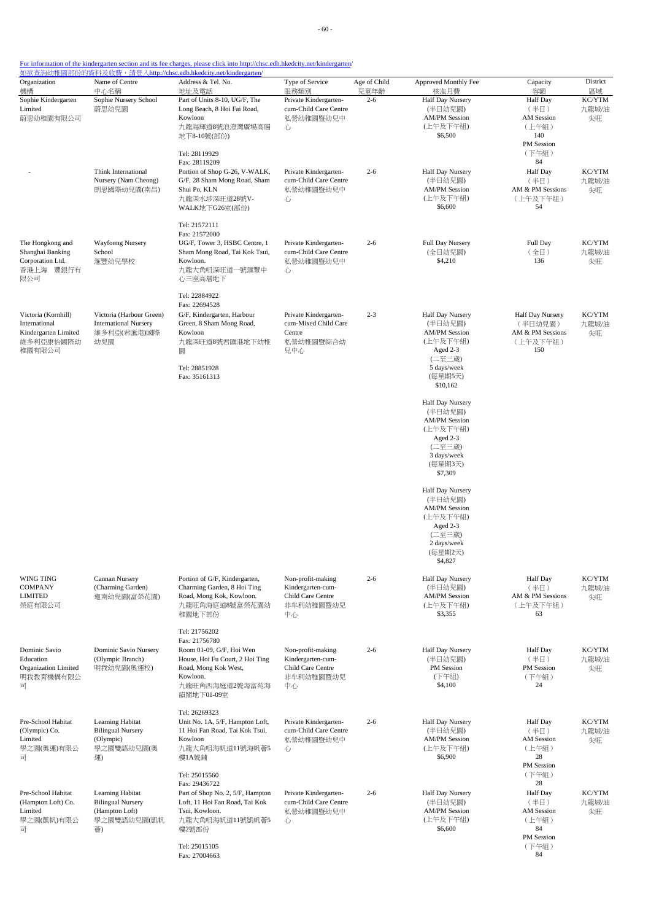- 60 -

| Organization<br>機構                                                                  | Name of Centre<br>中心名稱                                                              | Address & Tel. No.<br>地址及電話                                                                                                                                       | Type of Service<br>服務類別                                                        | Age of Child<br>兒童年齡 | Approved Monthly Fee<br>核准月費                                                                                                | Capacity<br>容額                                                               | District<br>區域        |
|-------------------------------------------------------------------------------------|-------------------------------------------------------------------------------------|-------------------------------------------------------------------------------------------------------------------------------------------------------------------|--------------------------------------------------------------------------------|----------------------|-----------------------------------------------------------------------------------------------------------------------------|------------------------------------------------------------------------------|-----------------------|
| Sophie Kindergarten<br>Limited<br>蔚思幼稚園有限公司                                         | Sophie Nursery School<br>蔚思幼兒園                                                      | Part of Units 8-10, UG/F, The<br>Long Beach, 8 Hoi Fai Road,<br>Kowloon<br>九龍海輝道8號浪澄灣廣場高層<br>地下8-10號(部份)<br>Tel: 28119929                                         | Private Kindergarten-<br>cum-Child Care Centre<br>私營幼稚園暨幼兒中<br>心               | $2 - 6$              | <b>Half Day Nursery</b><br>(半日幼兒園)<br><b>AM/PM Session</b><br>(上午及下午組)<br>\$6,500                                           | <b>Half</b> Day<br>(半日)<br>AM Session<br>(上午組)<br>140<br>PM Session<br>(下午組) | KC/YTM<br>九龍城/油<br>尖旺 |
|                                                                                     | Think International<br>Nursery (Nam Cheong)<br>朗思國際幼兒園(南昌)                          | Fax: 28119209<br>Portion of Shop G-26, V-WALK,<br>G/F, 28 Sham Mong Road, Sham<br>Shui Po, KLN<br>九龍深水埗深旺道28號V-<br>WALK地下G26室(部份)                                 | Private Kindergarten-<br>cum-Child Care Centre<br>私營幼稚園暨幼兒中<br>心               | $2 - 6$              | Half Day Nursery<br>(半日幼兒園)<br><b>AM/PM Session</b><br>(上午及下午組)<br>\$6,600                                                  | 84<br>Half Day<br>(半日)<br>AM & PM Sessions<br>(上午及下午組)<br>54                 | KC/YTM<br>九龍城/油<br>尖旺 |
| The Hongkong and<br>Shanghai Banking<br>Corporation Ltd.<br>香港上海 豐銀行有<br>限公司        | Wayfoong Nursery<br>School<br>滙豐幼兒學校                                                | Tel: 21572111<br>Fax: 21572000<br>UG/F, Tower 3, HSBC Centre, 1<br>Sham Mong Road, Tai Kok Tsui,<br>Kowloon.<br>九龍大角咀深旺道一號滙豐中<br>心三座高層地下                          | Private Kindergarten-<br>cum-Child Care Centre<br>私營幼稚園暨幼兒中<br>心               | $2 - 6$              | <b>Full Day Nursery</b><br>(全日幼兒園)<br>\$4,210                                                                               | Full Day<br>(全日)<br>136                                                      | KC/YTM<br>九龍城/油<br>尖旺 |
| Victoria (Kornhill)<br>International<br>Kindergarten Limited<br>維多利亞康怡國際幼<br>稚園有限公司 | Victoria (Harbour Green)<br><b>International Nursery</b><br>維多利亞(君匯港)國際<br>幼兒園      | Tel: 22884922<br>Fax: 22694528<br>G/F, Kindergarten, Harbour<br>Green, 8 Sham Mong Road,<br>Kowloon<br>九龍深旺道8號君匯港地下幼稚<br>圜<br>Tel: 28851928<br>Fax: 35161313      | Private Kindergarten-<br>cum-Mixed Child Care<br>Centre<br>私營幼稚園暨綜合幼<br>兒中心    | $2 - 3$              | Half Day Nursery<br>(半日幼兒園)<br><b>AM/PM Session</b><br>(上午及下午組)<br>Aged 2-3<br>(二至三歲)<br>5 days/week<br>(每星期5天)<br>\$10,162 | Half Day Nursery<br>(半日幼兒園)<br>AM & PM Sessions<br>(上午及下午組)<br>150           | KC/YTM<br>九龍城/油<br>尖旺 |
|                                                                                     |                                                                                     |                                                                                                                                                                   |                                                                                |                      | Half Day Nursery<br>(半日幼兒園)<br><b>AM/PM Session</b><br>(上午及下午組)<br>Aged 2-3<br>(二至三歲)<br>3 days/week<br>(每星期3天)<br>\$7,309  |                                                                              |                       |
|                                                                                     |                                                                                     |                                                                                                                                                                   |                                                                                |                      | Half Day Nursery<br>(半日幼兒園)<br><b>AM/PM Session</b><br>(上午及下午組)<br>Aged 2-3<br>(二至三歲)<br>2 days/week<br>(每星期2天)<br>\$4,827  |                                                                              |                       |
| WING TING<br>COMPANY<br><b>LIMITED</b><br>榮庭有限公司                                    | Cannan Nursery<br>(Charming Garden)<br>迦南幼兒園(富榮花園)                                  | Portion of G/F, Kindergarten,<br>Charming Garden, 8 Hoi Ting<br>Road, Mong Kok, Kowloon.<br>九龍旺角海庭道8號富榮花園幼<br>稚園地下部份                                              | Non-profit-making<br>Kindergarten-cum-<br>Child Care Centre<br>非牟利幼稚園暨幼兒<br>中心 | $2 - 6$              | Half Day Nursery<br>(半日幼兒園)<br><b>AM/PM Session</b><br>(上午及下午組)<br>\$3,355                                                  | Half Day<br>(半日)<br>AM & PM Sessions<br>(上午及下午組)<br>63                       | KC/YTM<br>九龍城/油<br>尖旺 |
| Dominic Savio<br>Education<br>Organization Limited<br>明我教育機構有限公<br>司                | Dominic Savio Nursery<br>(Olympic Branch)<br>明我幼兒園(奧運校)                             | Tel: 21756202<br>Fax: 21756780<br>Room 01-09, G/F, Hoi Wen<br>House, Hoi Fu Court, 2 Hoi Ting<br>Road, Mong Kok West,<br>Kowloon.<br>九龍旺角西海庭道2號海富苑海<br>韻閣地下01-09室 | Non-profit-making<br>Kindergarten-cum-<br>Child Care Centre<br>非牟利幼稚園暨幼兒<br>中心 | $2 - 6$              | Half Day Nursery<br>(半日幼兒園)<br>PM Session<br>(下午組)<br>\$4,100                                                               | <b>Half</b> Day<br>(半日)<br>PM Session<br>(下午組)<br>24                         | KC/YTM<br>九龍城/油<br>尖旺 |
| Pre-School Habitat<br>(Olympic) Co.<br>Limited<br>學之園(奧運)有限公<br>司                   | Learning Habitat<br><b>Bilingual Nursery</b><br>(Olympic)<br>學之園雙語幼兒園(奥<br>運)       | Tel: 26269323<br>Unit No. 1A, 5/F, Hampton Loft,<br>11 Hoi Fan Road, Tai Kok Tsui,<br>Kowloon<br>九龍大角咀海帆道11號海帆薈5<br>樓1A號舖                                         | Private Kindergarten-<br>cum-Child Care Centre<br>私營幼稚園暨幼兒中<br>心               | $2 - 6$              | Half Day Nursery<br>(半日幼兒園)<br><b>AM/PM Session</b><br>(上午及下午組)<br>\$6,900                                                  | <b>Half</b> Day<br>(半日)<br><b>AM</b> Session<br>(上午組)<br>28<br>PM Session    | KC/YTM<br>九龍城/油<br>尖旺 |
| Pre-School Habitat<br>(Hampton Loft) Co.<br>Limited<br>學之園(凱帆)有限公<br>급              | Learning Habitat<br><b>Bilingual Nursery</b><br>(Hampton Loft)<br>學之園雙語幼兒園(凱帆<br>薈) | Tel: 25015560<br>Fax: 29436722<br>Part of Shop No. 2, 5/F, Hampton<br>Loft, 11 Hoi Fan Road, Tai Kok<br>Tsui, Kowloon.<br>九龍大角咀海帆道11號凱帆薈5<br>樓2號部份                | Private Kindergarten-<br>cum-Child Care Centre<br>私營幼稚園暨幼兒中<br>心               | $2 - 6$              | Half Day Nursery<br>(半日幼兒園)<br><b>AM/PM Session</b><br>(上午及下午組)<br>\$6,600                                                  | (下午組)<br>28<br><b>Half</b> Day<br>(半日)<br><b>AM</b> Session<br>(上午組)<br>84   | KC/YTM<br>九龍城/油<br>尖旺 |
|                                                                                     |                                                                                     | Tel: 25015105<br>Fax: 27004663                                                                                                                                    |                                                                                |                      |                                                                                                                             | <b>PM</b> Session<br>(下午組)<br>84                                             |                       |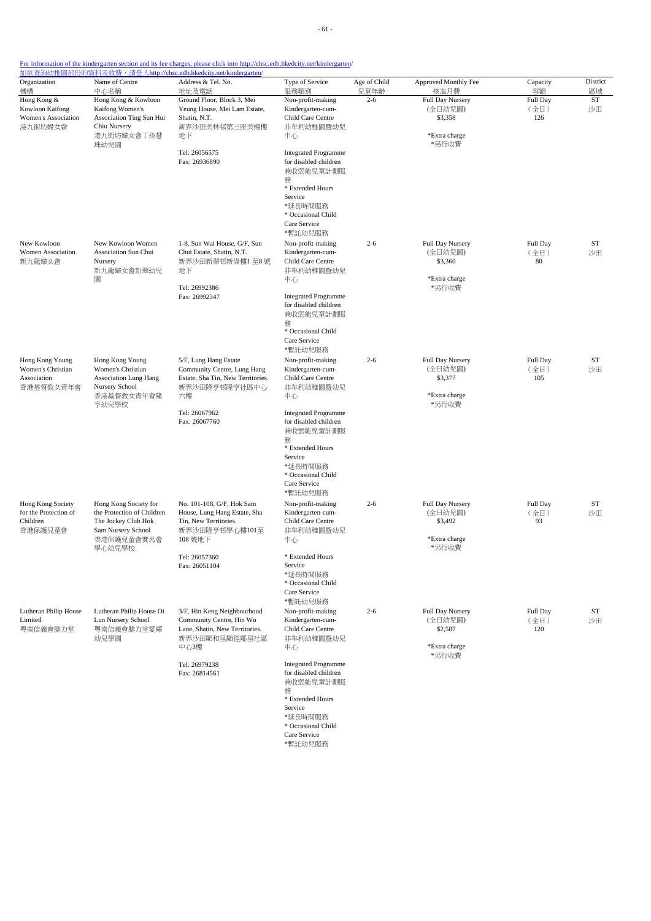| Organization                                                           | Name of Centre                                                                                                           | Address & Tel. No.                                                                                                                                   | Type of Service<br>服務類別                                                                                                                                                                                                                             | Age of Child    | Approved Monthly Fee                                                     | Capacity                      | District              |
|------------------------------------------------------------------------|--------------------------------------------------------------------------------------------------------------------------|------------------------------------------------------------------------------------------------------------------------------------------------------|-----------------------------------------------------------------------------------------------------------------------------------------------------------------------------------------------------------------------------------------------------|-----------------|--------------------------------------------------------------------------|-------------------------------|-----------------------|
| 機構<br>Hong Kong &<br>Kowloon Kaifong<br>Women's Association<br>港九街坊婦女會 | 中心名稱<br>Hong Kong & Kowloon<br>Kaifong Women's<br>Association Ting Sun Hui<br>Chiu Nursery<br>港九街坊婦女會丁孫慧<br>珠幼兒園         | 地址及電話<br>Ground Floor, Block 3, Mei<br>Yeung House, Mei Lam Estate,<br>Shatin, N.T.<br>新界沙田美林邨第三座美楊樓<br>地下                                           | Non-profit-making<br>Kindergarten-cum-<br>Child Care Centre<br>非牟利幼稚園暨幼兒<br>中心                                                                                                                                                                      | 兒童年齡<br>$2 - 6$ | 核准月費<br>Full Day Nursery<br>(全日幼兒園)<br>\$3,358<br>*Extra charge<br>*另行收費 | 容額<br>Full Day<br>(全日)<br>126 | 區域<br><b>ST</b><br>沙田 |
|                                                                        |                                                                                                                          | Tel: 26056575<br>Fax: 26936890                                                                                                                       | <b>Integrated Programme</b><br>for disabled children<br>兼收弱能兒童計劃服<br>務<br>* Extended Hours<br>Service<br>*延長時間服務<br>* Occasional Child<br>Care Service<br>*暫託幼兒服務                                                                                   |                 |                                                                          |                               |                       |
| New Kowloon<br>Women Association<br>新九龍婦女會                             | New Kowloon Women<br>Association Sun Chui<br>Nursery<br>新九龍婦女會新翠幼兒<br>圜                                                  | 1-8, Sun Wai House, G/F, Sun<br>Chui Estate, Shatin, N.T.<br>新界沙田新翠邨新偉樓1至8號<br>地下<br>Tel: 26992386<br>Fax: 26992347                                  | Non-profit-making<br>Kindergarten-cum-<br>Child Care Centre<br>非牟利幼稚園暨幼兒<br>中心<br><b>Integrated Programme</b><br>for disabled children<br>兼收弱能兒童計劃服<br>務<br>* Occasional Child<br>Care Service<br>*暫託幼兒服務                                           | $2 - 6$         | <b>Full Day Nursery</b><br>(全日幼兒園)<br>\$3,360<br>*Extra charge<br>*另行收費  | Full Day<br>(全日)<br>80        | ST<br>沙田              |
| Hong Kong Young<br>Women's Christian<br>Association<br>香港基督教女青年會       | Hong Kong Young<br>Women's Christian<br><b>Association Lung Hang</b><br>Nursery School<br>香港基督教女青年會隆<br>亨幼兒學校            | 5/F, Lung Hang Estate<br>Community Centre, Lung Hang<br>Estate, Sha Tin, New Territories.<br>新界沙田隆亨邨隆亨社區中心<br>六樓<br>Tel: 26067962<br>Fax: 26067760   | Non-profit-making<br>Kindergarten-cum-<br>Child Care Centre<br>非牟利幼稚園暨幼兒<br>中心<br><b>Integrated Programme</b><br>for disabled children<br>兼收弱能兒童計劃服<br>務<br>* Extended Hours<br>Service<br>*延長時間服務<br>* Occasional Child<br>Care Service<br>*暫託幼兒服務 | $2 - 6$         | Full Day Nursery<br>(全日幼兒園)<br>\$3,377<br>*Extra charge<br>*另行收費         | Full Day<br>(全日)<br>105       | <b>ST</b><br>沙田       |
| Hong Kong Society<br>for the Protection of<br>Children<br>香港保護兒童會      | Hong Kong Society for<br>the Protection of Children<br>The Jockey Club Hok<br>Sam Nursery School<br>香港保護兒童會賽馬會<br>學心幼兒學校 | No. 101-108, G/F, Hok Sam<br>House, Lung Hang Estate, Sha<br>Tin, New Territories.<br>新界沙田隆亨邨學心樓101至<br>108 號地下<br>Tel: 26057360<br>Fax: 26051104    | Non-profit-making<br>Kindergarten-cum-<br>Child Care Centre<br>非牟利幼稚園暨幼兒<br>中心<br>* Extended Hours<br>Service<br>*延長時間服務<br>* Occasional Child<br>Care Service<br>*暫託幼兒服務                                                                           | $2 - 6$         | Full Day Nursery<br>(全日幼兒園)<br>\$3,492<br>*Extra charge<br>*另行收費         | Full Day<br>(全日)<br>93        | ST<br>沙田              |
| Lutheran Philip House<br>Limited<br>粤南信義會腓力堂                           | Lutheran Philip House Oi<br>Lun Nursery School<br>粵南信義會腓力堂愛鄰<br>幼兒學園                                                     | 3/F, Hin Keng Neighbourhood<br>Community Centre, Hin Wo<br>Lane, Shatin, New Territories.<br>新界沙田顯和里顯徑鄰里社區<br>中心3樓<br>Tel: 26979238<br>Fax: 26814561 | Non-profit-making<br>Kindergarten-cum-<br>Child Care Centre<br>非牟利幼稚園暨幼兒<br>中心<br><b>Integrated Programme</b><br>for disabled children<br>兼收弱能兒童計劃服<br>務<br>* Extended Hours<br>Service<br>*延長時間服務<br>* Occasional Child<br>Care Service            | $2 - 6$         | Full Day Nursery<br>(全日幼兒園)<br>\$2,587<br>*Extra charge<br>*另行收費         | Full Day<br>(全日)<br>120       | ST<br>沙田              |

\*暫託幼兒服務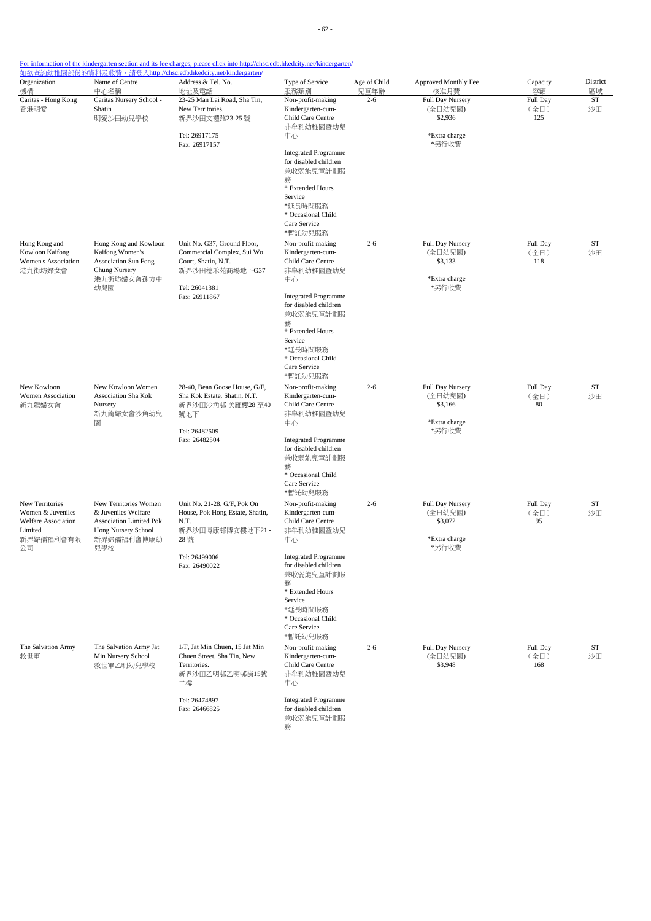| Organization<br>機構                                                 | Name of Centre<br>中心名稱                                                                                 | Address & Tel. No.<br>地址及電話                                                                                                | Type of Service<br>服務類別                                                                                                                                                                        | Age of Child<br>兒童年齡 | Approved Monthly Fee<br>核准月費                                     | Capacity<br>容額          | District              |
|--------------------------------------------------------------------|--------------------------------------------------------------------------------------------------------|----------------------------------------------------------------------------------------------------------------------------|------------------------------------------------------------------------------------------------------------------------------------------------------------------------------------------------|----------------------|------------------------------------------------------------------|-------------------------|-----------------------|
| Caritas - Hong Kong<br>香港明愛                                        | Caritas Nursery School -<br>Shatin<br>明愛沙田幼兒學校                                                         | 23-25 Man Lai Road, Sha Tin,<br>New Territories.<br>新界沙田文禮路23-25 號<br>Tel: 26917175                                        | Non-profit-making<br>Kindergarten-cum-<br>Child Care Centre<br>非牟利幼稚園暨幼兒<br>中心                                                                                                                 | $2 - 6$              | Full Day Nursery<br>(全日幼兒園)<br>\$2,936<br>*Extra charge          | Full Day<br>(全日)<br>125 | 區域<br><b>ST</b><br>沙田 |
|                                                                    |                                                                                                        | Fax: 26917157                                                                                                              | <b>Integrated Programme</b><br>for disabled children<br>兼收弱能兒童計劃服<br>務                                                                                                                         |                      | *另行收費                                                            |                         |                       |
|                                                                    |                                                                                                        |                                                                                                                            | * Extended Hours<br>Service<br>*延長時間服務<br>* Occasional Child<br>Care Service<br>*暫託幼兒服務                                                                                                        |                      |                                                                  |                         |                       |
| Hong Kong and<br>Kowloon Kaifong<br>Women's Association<br>港九街坊婦女會 | Hong Kong and Kowloon<br>Kaifong Women's<br><b>Association Sun Fong</b><br>Chung Nursery<br>港九街坊婦女會孫方中 | Unit No. G37, Ground Floor,<br>Commercial Complex, Sui Wo<br>Court, Shatin, N.T.<br>新界沙田穗禾苑商場地下G37                         | Non-profit-making<br>Kindergarten-cum-<br>Child Care Centre<br>非牟利幼稚園暨幼兒<br>中心                                                                                                                 | $2 - 6$              | Full Day Nursery<br>(全日幼兒園)<br>\$3,133<br>*Extra charge          | Full Day<br>(全日)<br>118 | ST<br>沙田              |
|                                                                    | 幼兒園                                                                                                    | Tel: 26041381<br>Fax: 26911867                                                                                             | <b>Integrated Programme</b><br>for disabled children<br>兼收弱能兒童計劃服<br>務<br>* Extended Hours<br>Service<br>*延長時間服務<br>* Occasional Child<br>Care Service<br>*暫託幼兒服務                              |                      | *另行收費                                                            |                         |                       |
| New Kowloon<br>Women Association<br>新九龍婦女會                         | New Kowloon Women<br>Association Sha Kok<br>Nursery<br>新九龍婦女會沙角幼兒<br>圜                                 | 28-40, Bean Goose House, G/F,<br>Sha Kok Estate, Shatin, N.T.<br>新界沙田沙角邨 美雁樓28至40<br>號地下<br>Tel: 26482509<br>Fax: 26482504 | Non-profit-making<br>Kindergarten-cum-<br>Child Care Centre<br>非牟利幼稚園暨幼兒<br>中心<br><b>Integrated Programme</b><br>for disabled children<br>兼收弱能兒童計劃服<br>務<br>* Occasional Child<br>Care Service | $2 - 6$              | Full Day Nursery<br>(全日幼兒園)<br>\$3,166<br>*Extra charge<br>*另行收費 | Full Day<br>(全日)<br>80  | <b>ST</b><br>沙田       |
| <b>New Territories</b><br>Women & Juveniles                        | New Territories Women<br>& Juveniles Welfare                                                           | Unit No. 21-28, G/F, Pok On<br>House, Pok Hong Estate, Shatin,                                                             | *暫託幼兒服務<br>Non-profit-making<br>Kindergarten-cum-                                                                                                                                              | $2 - 6$              | Full Day Nursery<br>(全日幼兒園)                                      | Full Day<br>(全日)        | ST<br>沙田              |
| <b>Welfare Association</b><br>Limited<br>新界婦孺福利會有限<br>公司           | <b>Association Limited Pok</b><br>Hong Nursery School<br>新界婦孺福利會博康幼<br>兒學校                             | N.T.<br>新界沙田博康邨博安樓地下21-<br>28號                                                                                             | Child Care Centre<br>非牟利幼稚園暨幼兒<br>中心                                                                                                                                                           |                      | \$3,072<br>*Extra charge<br>*另行收費                                | 95                      |                       |
|                                                                    |                                                                                                        | Tel: 26499006<br>Fax: 26490022                                                                                             | <b>Integrated Programme</b><br>for disabled children<br>兼收弱能兒童計劃服<br>務<br>* Extended Hours<br>Service<br>*延長時間服務<br>* Occasional Child<br>Care Service<br>*暫託幼兒服務                              |                      |                                                                  |                         |                       |
| The Salvation Army<br>救世軍                                          | The Salvation Army Jat<br>Min Nursery School<br>救世軍乙明幼兒學校                                              | 1/F, Jat Min Chuen, 15 Jat Min<br>Chuen Street, Sha Tin, New<br>Territories.<br>新界沙田乙明邨乙明邨街15號<br>二樓                       | Non-profit-making<br>Kindergarten-cum-<br>Child Care Centre<br>非牟利幼稚園暨幼兒<br>中心                                                                                                                 | $2 - 6$              | Full Day Nursery<br>(全日幼兒園)<br>\$3,948                           | Full Day<br>(全日)<br>168 | ST<br>沙田              |
|                                                                    |                                                                                                        | Tel: 26474897<br>Fax: 26466825                                                                                             | <b>Integrated Programme</b><br>for disabled children<br>兼收弱能兒童計劃服<br>務                                                                                                                         |                      |                                                                  |                         |                       |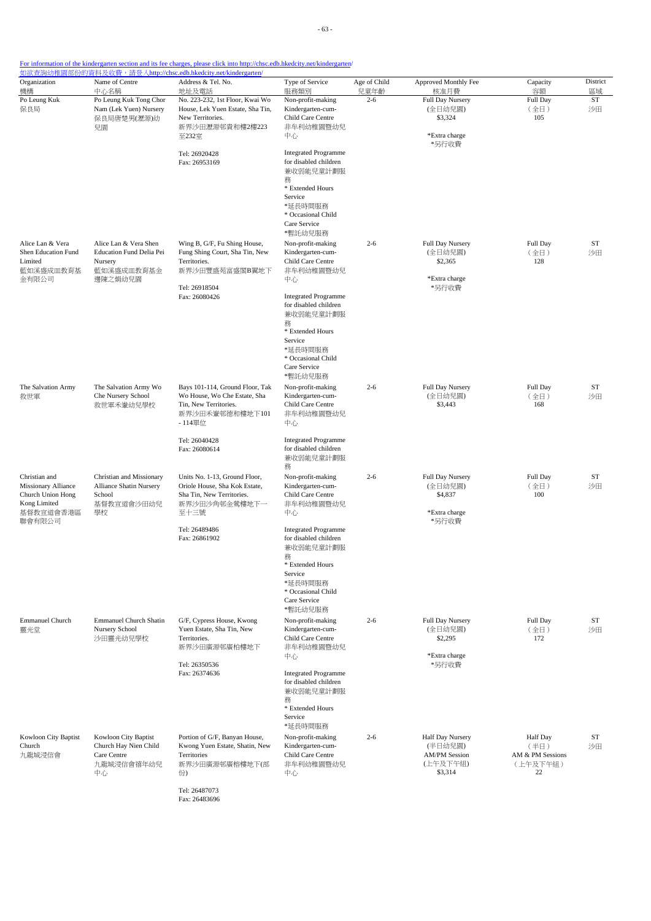| Organization<br>機構                                                                                      | Name of Centre<br>中心名稱                                                                | Address & Tel. No.<br>地址及電話                                                                                                             | Type of Service<br>服務類別                                                                                                                                           | Age of Child<br>兒童年齡 | Approved Monthly Fee<br>核准月費                                               | Capacity<br>容額                                         | District<br>區域  |
|---------------------------------------------------------------------------------------------------------|---------------------------------------------------------------------------------------|-----------------------------------------------------------------------------------------------------------------------------------------|-------------------------------------------------------------------------------------------------------------------------------------------------------------------|----------------------|----------------------------------------------------------------------------|--------------------------------------------------------|-----------------|
| Po Leung Kuk<br>保良局                                                                                     | Po Leung Kuk Tong Chor<br>Nam (Lek Yuen) Nursery<br>保良局唐楚男(瀝源)幼<br>兒園                 | No. 223-232, 1st Floor, Kwai Wo<br>House, Lek Yuen Estate, Sha Tin,<br>New Territories.<br>新界沙田瀝源邨貴和樓2樓223<br>至232室                     | Non-profit-making<br>Kindergarten-cum-<br>Child Care Centre<br>非牟利幼稚園暨幼兒<br>中心                                                                                    | $2 - 6$              | <b>Full Day Nursery</b><br>(全日幼兒園)<br>\$3,324<br>*Extra charge<br>*另行收費    | Full Day<br>(全日)<br>105                                | <b>ST</b><br>沙田 |
|                                                                                                         |                                                                                       | Tel: 26920428<br>Fax: 26953169                                                                                                          | <b>Integrated Programme</b><br>for disabled children<br>兼收弱能兒童計劃服<br>務<br>* Extended Hours<br>Service<br>*延長時間服務<br>* Occasional Child<br>Care Service<br>*暫託幼兒服務 |                      |                                                                            |                                                        |                 |
| Alice Lan & Vera<br>Shen Education Fund<br>Limited<br>藍如溪盛成皿教育基<br>金有限公司                                | Alice Lan & Vera Shen<br>Education Fund Delia Pei<br>Nursery<br>藍如溪盛成皿教育基金<br>邊陳之娟幼兒園 | Wing B, G/F, Fu Shing House,<br>Fung Shing Court, Sha Tin, New<br>Territories.<br>新界沙田豐盛苑富盛閣B翼地下<br>Tel: 26918504                       | Non-profit-making<br>Kindergarten-cum-<br>Child Care Centre<br>非牟利幼稚園暨幼兒<br>中心                                                                                    | $2 - 6$              | Full Day Nursery<br>(全日幼兒園)<br>\$2,365<br>*Extra charge<br>*另行收費           | Full Day<br>(全日)<br>128                                | ST<br>沙田        |
|                                                                                                         |                                                                                       | Fax: 26080426                                                                                                                           | <b>Integrated Programme</b><br>for disabled children<br>兼收弱能兒童計劃服<br>務<br>* Extended Hours<br>Service<br>*延長時間服務<br>* Occasional Child<br>Care Service<br>*暫託幼兒服務 |                      |                                                                            |                                                        |                 |
| The Salvation Army<br>救世軍                                                                               | The Salvation Army Wo<br>Che Nursery School<br>救世軍禾輋幼兒學校                              | Bays 101-114, Ground Floor, Tak<br>Wo House, Wo Che Estate, Sha<br>Tin, New Territories.<br>新界沙田禾輋邨德和樓地下101<br>- 114單位<br>Tel: 26040428 | Non-profit-making<br>Kindergarten-cum-<br>Child Care Centre<br>非牟利幼稚園暨幼兒<br>中心<br><b>Integrated Programme</b>                                                     | $2 - 6$              | Full Day Nursery<br>(全日幼兒園)<br>\$3,443                                     | Full Day<br>(全日)<br>168                                | <b>ST</b><br>沙田 |
|                                                                                                         |                                                                                       | Fax: 26080614                                                                                                                           | for disabled children<br>兼收弱能兒童計劃服<br>務                                                                                                                           |                      |                                                                            |                                                        |                 |
| Christian and<br><b>Missionary Alliance</b><br>Church Union Hong<br>Kong Limited<br>基督教宣道會香港區<br>聯會有限公司 | Christian and Missionary<br>Alliance Shatin Nursery<br>School<br>基督教宣道會沙田幼兒<br>學校     | Units No. 1-13, Ground Floor,<br>Oriole House, Sha Kok Estate,<br>Sha Tin, New Territories.<br>新界沙田沙角邨金鶯樓地下一<br>至十三號                    | Non-profit-making<br>Kindergarten-cum-<br>Child Care Centre<br>非牟利幼稚園暨幼兒<br>中心                                                                                    | $2 - 6$              | Full Day Nursery<br>(全日幼兒園)<br>\$4,837<br>*Extra charge<br>*另行收費           | Full Day<br>(全日)<br>100                                | ST<br>沙田        |
|                                                                                                         |                                                                                       | Tel: 26489486<br>Fax: 26861902                                                                                                          | <b>Integrated Programme</b><br>for disabled children<br>兼收弱能兒童計劃服<br>務<br>* Extended Hours<br>Service<br>*延長時間服務<br>* Occasional Child<br>Care Service<br>*暫託幼兒服務 |                      |                                                                            |                                                        |                 |
| <b>Emmanuel Church</b><br>靈光堂                                                                           | <b>Emmanuel Church Shatin</b><br>Nursery School<br>沙田靈光幼兒學校                           | G/F, Cypress House, Kwong<br>Yuen Estate, Sha Tin, New<br>Territories.<br>新界沙田廣源邨廣柏樓地下                                                  | Non-profit-making<br>Kindergarten-cum-<br>Child Care Centre<br>非牟利幼稚園暨幼兒<br>中心                                                                                    | $2 - 6$              | Full Day Nursery<br>(全日幼兒園)<br>\$2,295<br>*Extra charge                    | Full Day<br>(全日)<br>172                                | <b>ST</b><br>沙田 |
|                                                                                                         |                                                                                       | Tel: 26350536<br>Fax: 26374636                                                                                                          | <b>Integrated Programme</b><br>for disabled children<br>兼收弱能兒童計劃服<br>務<br>* Extended Hours<br>Service<br>*延長時間服務                                                  |                      | *另行收費                                                                      |                                                        |                 |
| Kowloon City Baptist<br>Church<br>九龍城浸信會                                                                | Kowloon City Baptist<br>Church Hay Nien Child<br>Care Centre<br>九龍城浸信會禧年幼兒<br>中心      | Portion of G/F, Banyan House,<br>Kwong Yuen Estate, Shatin, New<br>Territories<br>新界沙田廣源邨廣榕樓地下(部<br>份)<br>Tel: 26487073                 | Non-profit-making<br>Kindergarten-cum-<br>Child Care Centre<br>非牟利幼稚園暨幼兒<br>中心                                                                                    | $2 - 6$              | Half Day Nursery<br>(半日幼兒園)<br><b>AM/PM Session</b><br>(上午及下午組)<br>\$3,314 | Half Day<br>(半日)<br>AM & PM Sessions<br>(上午及下午組)<br>22 | <b>ST</b><br>沙田 |

Fax: 26483696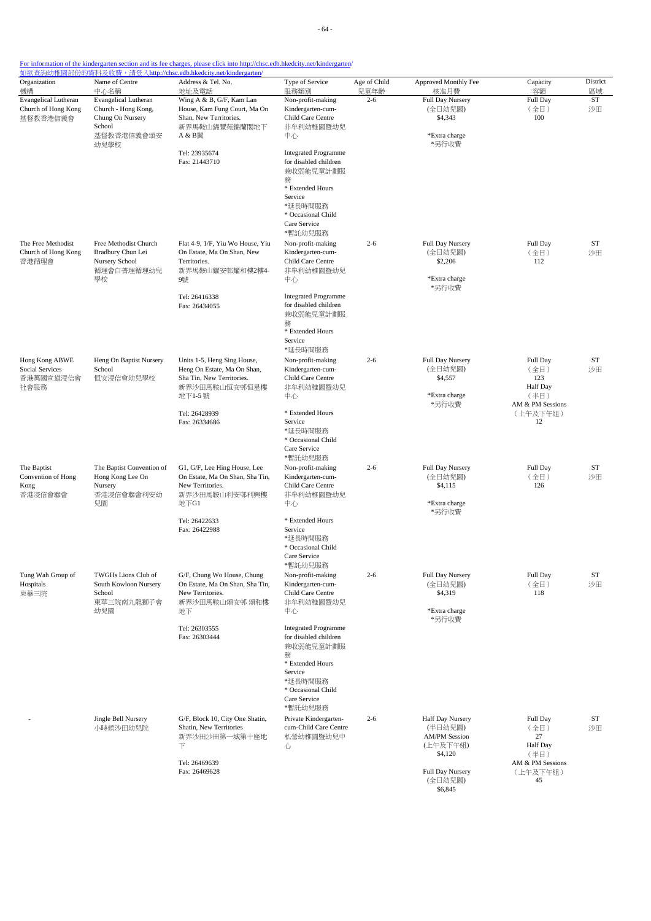| Organization<br>機構                                             | Name of Centre<br>中心名稱                                                                         | Address & Tel. No.<br>地址及電話                                                                                        | Type of Service<br>服務類別                                                                                                                                           | Age of Child<br>兒童年齡 | Approved Monthly Fee<br>核准月費                                               | Capacity<br>容額                                                         | District<br>區域  |
|----------------------------------------------------------------|------------------------------------------------------------------------------------------------|--------------------------------------------------------------------------------------------------------------------|-------------------------------------------------------------------------------------------------------------------------------------------------------------------|----------------------|----------------------------------------------------------------------------|------------------------------------------------------------------------|-----------------|
| <b>Evangelical Lutheran</b><br>Church of Hong Kong<br>基督教香港信義會 | <b>Evangelical Lutheran</b><br>Church - Hong Kong,<br>Chung On Nursery<br>School<br>基督教香港信義會頌安 | Wing A & B, G/F, Kam Lan<br>House, Kam Fung Court, Ma On<br>Shan, New Territories.<br>新界馬鞍山錦豐苑錦蘭閣地下<br>A & B翼      | Non-profit-making<br>Kindergarten-cum-<br>Child Care Centre<br>非牟利幼稚園暨幼兒<br>中心                                                                                    | $2 - 6$              | Full Day Nursery<br>(全日幼兒園)<br>\$4,343<br>*Extra charge                    | Full Day<br>(全日)<br>100                                                | <b>ST</b><br>沙田 |
|                                                                | 幼兒學校                                                                                           | Tel: 23935674<br>Fax: 21443710                                                                                     | <b>Integrated Programme</b><br>for disabled children<br>兼收弱能兒童計劃服<br>務<br>* Extended Hours<br>Service<br>*延長時間服務<br>* Occasional Child<br>Care Service<br>*暫託幼兒服務 |                      | *另行收費                                                                      |                                                                        |                 |
| The Free Methodist<br>Church of Hong Kong<br>香港循理會             | Free Methodist Church<br>Bradbury Chun Lei<br>Nursery School<br>循理會白普理循理幼兒<br>學校               | Flat 4-9, 1/F, Yiu Wo House, Yiu<br>On Estate, Ma On Shan, New<br>Territories.<br>新界馬鞍山耀安邨耀和樓2樓4-<br>9號            | Non-profit-making<br>Kindergarten-cum-<br>Child Care Centre<br>非牟利幼稚園暨幼兒<br>中心                                                                                    | $2 - 6$              | Full Day Nursery<br>(全日幼兒園)<br>\$2,206<br>*Extra charge<br>*另行收費           | Full Day<br>(全日)<br>112                                                | ST<br>沙田        |
|                                                                |                                                                                                | Tel: 26416338<br>Fax: 26434055                                                                                     | <b>Integrated Programme</b><br>for disabled children<br>兼收弱能兒童計劃服<br>務<br>* Extended Hours<br>Service<br>*延長時間服務                                                  |                      |                                                                            |                                                                        |                 |
| Hong Kong ABWE<br>Social Services<br>香港萬國宣道浸信會<br>社會服務         | Heng On Baptist Nursery<br>School<br>恒安浸信會幼兒學校                                                 | Units 1-5, Heng Sing House,<br>Heng On Estate, Ma On Shan,<br>Sha Tin, New Territories.<br>新界沙田馬鞍山恒安邨恒星樓<br>地下1-5號 | Non-profit-making<br>Kindergarten-cum-<br>Child Care Centre<br>非牟利幼稚園暨幼兒<br>中心                                                                                    | $2 - 6$              | Full Day Nursery<br>(全日幼兒園)<br>\$4,557<br>*Extra charge<br>*另行收費           | Full Day<br>(全日)<br>123<br><b>Half Day</b><br>(半日)<br>AM & PM Sessions | <b>ST</b><br>沙田 |
|                                                                |                                                                                                | Tel: 26428939<br>Fax: 26334686                                                                                     | * Extended Hours<br>Service<br>*延長時間服務<br>* Occasional Child<br>Care Service<br>*暫託幼兒服務                                                                           |                      |                                                                            | (上午及下午組)<br>12                                                         |                 |
| The Baptist<br>Convention of Hong<br>Kong<br>香港浸信會聯會           | The Baptist Convention of<br>Hong Kong Lee On<br>Nursery<br>香港浸信會聯會利安幼<br>兒園                   | G1, G/F, Lee Hing House, Lee<br>On Estate, Ma On Shan, Sha Tin,<br>New Territories.<br>新界沙田馬鞍山利安邨利興樓<br>地下G1       | Non-profit-making<br>Kindergarten-cum-<br>Child Care Centre<br>非牟利幼稚園暨幼兒<br>中心                                                                                    | $2 - 6$              | Full Day Nursery<br>(全日幼兒園)<br>\$4,115<br>*Extra charge<br>*另行收費           | Full Day<br>(全日)<br>126                                                | ST<br>沙田        |
|                                                                |                                                                                                | Tel: 26422633<br>Fax: 26422988                                                                                     | * Extended Hours<br>Service<br>*延長時間服務<br>* Occasional Child<br>Care Service<br>*暫託幼兒服務                                                                           |                      |                                                                            |                                                                        |                 |
| Tung Wah Group of<br>Hospitals<br>東華三院                         | TWGHs Lions Club of<br>South Kowloon Nursery<br>School<br>東華三院南九龍獅子會<br>幼兒園                    | G/F, Chung Wo House, Chung<br>On Estate, Ma On Shan, Sha Tin,<br>New Territories.<br>新界沙田馬鞍山頌安邨 頌和樓<br>地下          | Non-profit-making<br>Kindergarten-cum-<br>Child Care Centre<br>非牟利幼稚園暨幼兒<br>中心                                                                                    | $2 - 6$              | Full Day Nursery<br>(全日幼兒園)<br>\$4,319<br>*Extra charge<br>*另行收費           | Full Day<br>(全日)<br>118                                                | ST<br>沙田        |
|                                                                |                                                                                                | Tel: 26303555<br>Fax: 26303444                                                                                     | <b>Integrated Programme</b><br>for disabled children<br>兼收弱能兒童計劃服<br>務<br>* Extended Hours<br>Service<br>*延長時間服務<br>* Occasional Child<br>Care Service<br>*暫託幼兒服務 |                      |                                                                            |                                                                        |                 |
|                                                                | Jingle Bell Nursery<br>小時候沙田幼兒院                                                                | G/F, Block 10, City One Shatin,<br>Shatin, New Territories<br>新界沙田沙田第一城第十座地<br>下<br>Tel: 26469639                  | Private Kindergarten-<br>cum-Child Care Centre<br>私營幼稚園暨幼兒中<br>心                                                                                                  | $2 - 6$              | Half Day Nursery<br>(半日幼兒園)<br><b>AM/PM Session</b><br>(上午及下午組)<br>\$4,120 | Full Day<br>(全日)<br>27<br>Half Day<br>(半日)<br>AM & PM Sessions         | ST<br>沙田        |
|                                                                |                                                                                                | Fax: 26469628                                                                                                      |                                                                                                                                                                   |                      | Full Day Nursery<br>(全日幼兒園)<br>\$6,845                                     | (上午及下午組)<br>45                                                         |                 |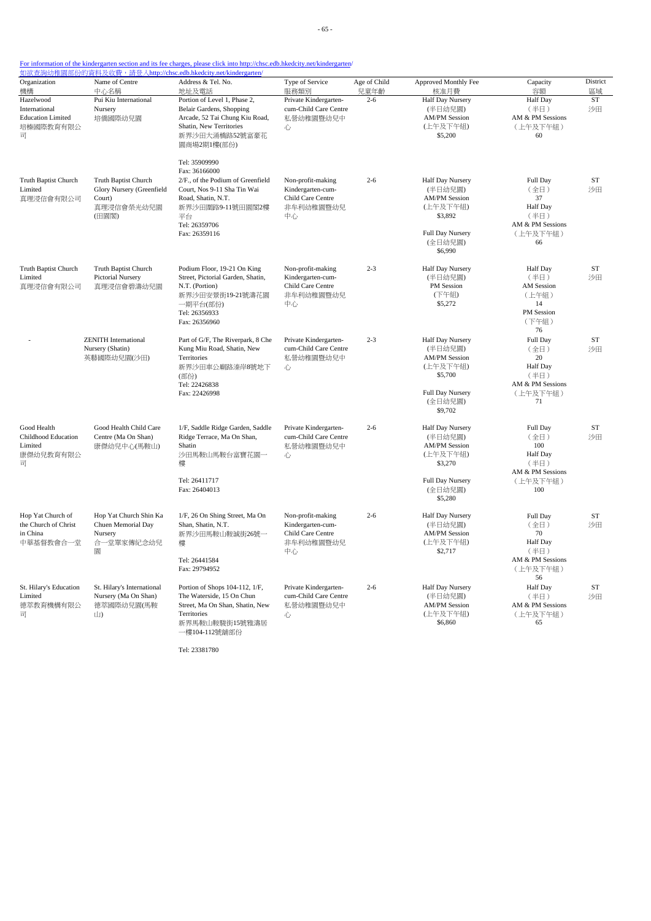- 65 -

### For information of the kindergarten section and its fee charges, please click into http://chsc.edb.hkedcity.net/kindergarten/

|                                                                                              |                                                                                    | <u> 如欲查詢幼稚園部份的資料及收費,請登入http://chsc.edb.hkedcity.net/kindergarten/</u>                                                                                                                |                                                                                |                      |                                                                                                                             |                                                                                          |                 |
|----------------------------------------------------------------------------------------------|------------------------------------------------------------------------------------|--------------------------------------------------------------------------------------------------------------------------------------------------------------------------------------|--------------------------------------------------------------------------------|----------------------|-----------------------------------------------------------------------------------------------------------------------------|------------------------------------------------------------------------------------------|-----------------|
| Organization<br>機構                                                                           | Name of Centre<br>中心名稱                                                             | Address & Tel. No.<br>地址及電話                                                                                                                                                          | Type of Service<br>服務類別                                                        | Age of Child<br>兒童年齡 | Approved Monthly Fee<br>核准月費                                                                                                | Capacity<br>容額                                                                           | District<br>區域  |
| Hazelwood<br>International<br><b>Education Limited</b><br>培榛國際教育有限公<br>司                     | Pui Kiu International<br>Nursery<br>培僑國際幼兒園                                        | Portion of Level 1, Phase 2,<br>Belair Gardens, Shopping<br>Arcade, 52 Tai Chung Kiu Road,<br>Shatin, New Territories<br>新界沙田大涌橋路52號富豪花<br>園商場2期1樓(部份)                               | Private Kindergarten-<br>cum-Child Care Centre<br>私營幼稚園暨幼兒中<br>心               | $2 - 6$              | <b>Half Day Nursery</b><br>(半日幼兒園)<br><b>AM/PM Session</b><br>(上午及下午組)<br>\$5,200                                           | Half Day<br>(半日)<br>AM & PM Sessions<br>(上午及下午組)<br>60                                   | <b>ST</b><br>沙田 |
| Truth Baptist Church<br>Limited<br>真理浸信會有限公司                                                 | Truth Baptist Church<br>Glory Nursery (Greenfield<br>Court)<br>真理浸信會榮光幼兒園<br>(田園閣) | Tel: 35909990<br>Fax: 36166000<br>2/F., of the Podium of Greenfield<br>Court, Nos 9-11 Sha Tin Wai<br>Road, Shatin, N.T.<br>新界沙田圍路9-11號田園閣2樓<br>平台<br>Tel: 26359706<br>Fax: 26359116 | Non-profit-making<br>Kindergarten-cum-<br>Child Care Centre<br>非牟利幼稚園暨幼兒<br>中心 | $2 - 6$              | <b>Half Day Nursery</b><br>(半日幼兒園)<br><b>AM/PM Session</b><br>(上午及下午組)<br>\$3,892<br>Full Day Nursery<br>(全日幼兒園)<br>\$6,990 | Full Day<br>(全日)<br>37<br>Half Day<br>(半日)<br>AM & PM Sessions<br>(上午及下午組)<br>66         | ST<br>沙田        |
| Truth Baptist Church<br>Limited<br>真理浸信會有限公司                                                 | Truth Baptist Church<br>Pictorial Nursery<br>真理浸信會碧濤幼兒園                            | Podium Floor, 19-21 On King<br>Street, Pictorial Garden, Shatin,<br>N.T. (Portion)<br>新界沙田安景街19-21號濤花園<br>一期平台(部份)<br>Tel: 26356933<br>Fax: 26356960                                 | Non-profit-making<br>Kindergarten-cum-<br>Child Care Centre<br>非牟利幼稚園暨幼兒<br>中心 | $2 - 3$              | Half Day Nursery<br>(半日幼兒園)<br>PM Session<br>(下午組)<br>\$5,272                                                               | <b>Half</b> Day<br>(半日)<br><b>AM</b> Session<br>(上午組)<br>14<br>PM Session<br>(下午組)<br>76 | ST<br>沙田        |
|                                                                                              | <b>ZENITH</b> International<br>Nursery (Shatin)<br>英藝國際幼兒園(沙田)                     | Part of G/F, The Riverpark, 8 Che<br>Kung Miu Road, Shatin, New<br>Territories<br>新界沙田車公廟路溱岸8號地下<br>(部份)<br>Tel: 22426838<br>Fax: 22426998                                           | Private Kindergarten-<br>cum-Child Care Centre<br>私營幼稚園暨幼兒中<br>心               | $2 - 3$              | Half Day Nursery<br>(半日幼兒園)<br><b>AM/PM Session</b><br>(上午及下午組)<br>\$5,700<br>Full Day Nursery<br>(全日幼兒園)<br>\$9,702        | Full Day<br>(全日)<br>20<br><b>Half</b> Day<br>(半日)<br>AM & PM Sessions<br>(上午及下午組)<br>71  | ST<br>沙田        |
| Good Health<br><b>Childhood Education</b><br>Limited<br>康傑幼兒教育有限公<br>$\overline{\mathbf{H}}$ | Good Health Child Care<br>Centre (Ma On Shan)<br>康傑幼兒中心(馬鞍山)                       | 1/F, Saddle Ridge Garden, Saddle<br>Ridge Terrace, Ma On Shan,<br>Shatin<br>沙田馬鞍山馬鞍台富寶花園一<br>樓<br>Tel: 26411717<br>Fax: 26404013                                                     | Private Kindergarten-<br>cum-Child Care Centre<br>私營幼稚園暨幼兒中<br>心               | $2 - 6$              | Half Day Nursery<br>(半日幼兒園)<br><b>AM/PM Session</b><br>(上午及下午組)<br>\$3,270<br>Full Day Nursery<br>(全日幼兒園)<br>\$5,280        | Full Day<br>(全日)<br>100<br>Half Day<br>(半日)<br>AM & PM Sessions<br>(上午及下午組)<br>100       | ST<br>沙田        |
| Hop Yat Church of<br>the Church of Christ<br>in China<br>中華基督教會合一堂                           | Hop Yat Church Shin Ka<br>Chuen Memorial Day<br>Nursery<br>合一堂單家傳紀念幼兒<br>圜         | 1/F, 26 On Shing Street, Ma On<br>Shan, Shatin, N.T.<br>新界沙田馬鞍山鞍誠街26號一<br>樓<br>Tel: 26441584<br>Fax: 29794952                                                                        | Non-profit-making<br>Kindergarten-cum-<br>Child Care Centre<br>非牟利幼稚園暨幼兒<br>中心 | $2 - 6$              | Half Day Nursery<br>(半日幼兒園)<br><b>AM/PM Session</b><br>(上午及下午組)<br>\$2,717                                                  | Full Day<br>(全日)<br>70<br>Half Day<br>(半日)<br>AM & PM Sessions<br>(上午及下午組)<br>56         | ST<br>沙田        |
| St. Hilary's Education<br>Limited<br>德萃教育機構有限公<br>$\overline{\Box}$                          | St. Hilary's International<br>Nursery (Ma On Shan)<br>德萃國際幼兒園(馬鞍<br>山)             | Portion of Shops 104-112, 1/F,<br>The Waterside, 15 On Chun<br>Street, Ma On Shan, Shatin, New<br>Territories<br>新界馬鞍山鞍駿街15號雅濤居<br>一樓104-112號舖部份                                     | Private Kindergarten-<br>cum-Child Care Centre<br>私營幼稚園暨幼兒中<br>心               | $2 - 6$              | Half Day Nursery<br>(半日幼兒園)<br><b>AM/PM Session</b><br>(上午及下午組)<br>\$6,860                                                  | Half Day<br>(半日)<br>AM & PM Sessions<br>(上午及下午組)<br>65                                   | ST<br>沙田        |

Tel: 23381780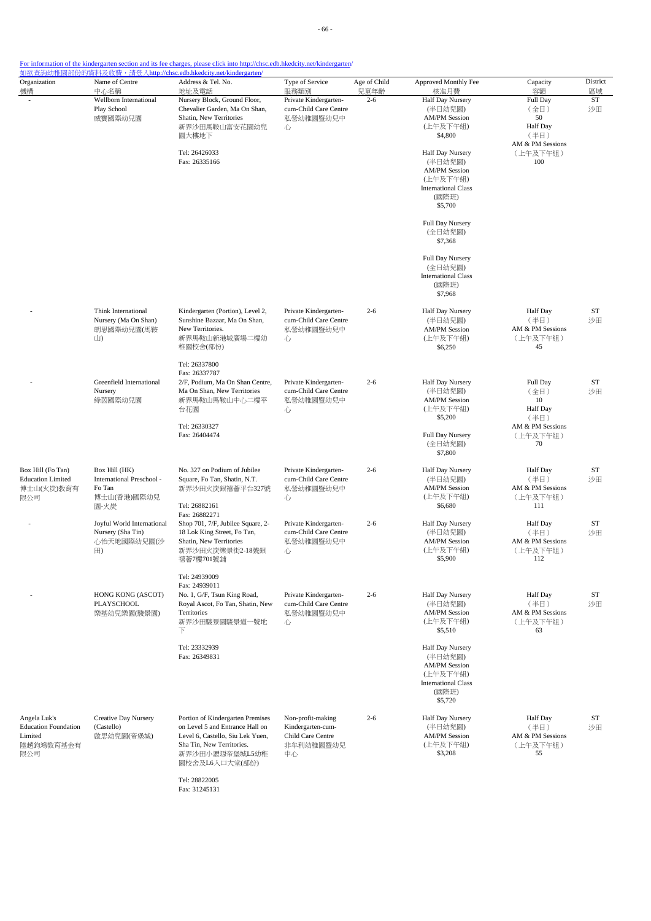- 66 -

### For information of the kindergarten section and its fee charges, please click into http://chsc.edb.hkedcity.net/kindergarten/

| Organization                                                               | Name of Centre                                                                                                           | <u> 如欲查詢幼稚園部份的資料及收費,請登入http://chsc.edb.hkedcity.net/kindergarten/</u><br>Address & Tel. No.                                                                              | Type of Service                                                                | Age of Child                                                               | Approved Monthly Fee                                                                                              | Capacity                                                              | District |
|----------------------------------------------------------------------------|--------------------------------------------------------------------------------------------------------------------------|--------------------------------------------------------------------------------------------------------------------------------------------------------------------------|--------------------------------------------------------------------------------|----------------------------------------------------------------------------|-------------------------------------------------------------------------------------------------------------------|-----------------------------------------------------------------------|----------|
| 機構                                                                         | 中心名稱                                                                                                                     | 地址及電話                                                                                                                                                                    | 服務類別                                                                           | 兒童年齡                                                                       | 核准月費                                                                                                              | 容額                                                                    | 區域       |
|                                                                            | Wellborn International<br>Play School<br>威寶國際幼兒園                                                                         | Nursery Block, Ground Floor,<br>Chevalier Garden, Ma On Shan,<br>Shatin, New Territories<br>新界沙田馬鞍山富安花園幼兒<br>園大樓地下                                                       | Private Kindergarten-<br>cum-Child Care Centre<br>私營幼稚園暨幼兒中<br>心               | $2 - 6$                                                                    | Half Day Nursery<br>(半日幼兒園)<br><b>AM/PM Session</b><br>(上午及下午組)<br>\$4,800                                        | Full Day<br>(全日)<br>50<br><b>Half</b> Day<br>(半日)<br>AM & PM Sessions | ST<br>沙田 |
|                                                                            |                                                                                                                          | Tel: 26426033<br>Fax: 26335166                                                                                                                                           |                                                                                |                                                                            | Half Day Nursery<br>(半日幼兒園)<br><b>AM/PM Session</b><br>(上午及下午組)<br><b>International Class</b><br>(國際班)<br>\$5,700 | (上午及下午組)<br>100                                                       |          |
|                                                                            |                                                                                                                          |                                                                                                                                                                          |                                                                                |                                                                            | Full Day Nursery<br>(全日幼兒園)<br>\$7,368                                                                            |                                                                       |          |
|                                                                            |                                                                                                                          |                                                                                                                                                                          |                                                                                |                                                                            | Full Day Nursery<br>(全日幼兒園)<br><b>International Class</b><br>(國際班)<br>\$7,968                                     |                                                                       |          |
|                                                                            | Think International<br>Nursery (Ma On Shan)<br>朗思國際幼兒園(馬鞍<br>山)                                                          | Kindergarten (Portion), Level 2,<br>Sunshine Bazaar, Ma On Shan,<br>New Territories.<br>新界馬鞍山新港城廣場二樓幼<br>稚園校舍(部份)                                                        | Private Kindergarten-<br>cum-Child Care Centre<br>私營幼稚園暨幼兒中<br>心               | $2 - 6$                                                                    | Half Day Nursery<br>(半日幼兒園)<br><b>AM/PM Session</b><br>(上午及下午組)<br>\$6,250                                        | <b>Half</b> Day<br>(半日)<br>AM & PM Sessions<br>(上午及下午組)<br>45         | ST<br>沙田 |
| Greenfield International<br>Nursery<br>綠茵國際幼兒園                             | Tel: 26337800<br>Fax: 26337787<br>2/F, Podium, Ma On Shan Centre,<br>Ma On Shan, New Territories<br>新界馬鞍山馬鞍山中心二樓平<br>台花園 | Private Kindergarten-<br>cum-Child Care Centre<br>私營幼稚園暨幼兒中<br>心                                                                                                         | $2 - 6$                                                                        | Half Day Nursery<br>(半日幼兒園)<br><b>AM/PM Session</b><br>(上午及下午組)<br>\$5,200 | Full Day<br>(全日)<br>10<br><b>Half</b> Day<br>(半日)                                                                 | ST<br>沙田                                                              |          |
|                                                                            |                                                                                                                          | Tel: 26330327<br>Fax: 26404474                                                                                                                                           |                                                                                |                                                                            | Full Day Nursery<br>(全日幼兒園)<br>\$7,800                                                                            | AM & PM Sessions<br>(上午及下午組)<br>70                                    |          |
| Box Hill (Fo Tan)<br><b>Education Limited</b><br>博士山(火炭)教育有<br>限公司         | Box Hill (HK)<br>International Preschool -<br>Fo Tan<br>博士山(香港)國際幼兒<br>園-火炭                                              | No. 327 on Podium of Jubilee<br>Square, Fo Tan, Shatin, N.T.<br>新界沙田火炭銀禧薈平台327號<br>Tel: 26882161<br>Fax: 26882271                                                        | Private Kindergarten-<br>cum-Child Care Centre<br>私營幼稚園暨幼兒中<br>心               | $2 - 6$                                                                    | Half Day Nursery<br>(半日幼兒園)<br><b>AM/PM Session</b><br>(上午及下午組)<br>\$6,680                                        | <b>Half</b> Day<br>(半日)<br>AM & PM Sessions<br>(上午及下午組)<br>111        | ST<br>沙田 |
|                                                                            | Joyful World International<br>Nursery (Sha Tin)<br>心怡天地國際幼兒園(沙<br>$\boxplus$                                             | Shop 701, 7/F, Jubilee Square, 2-<br>18 Lok King Street, Fo Tan,<br>Shatin, New Territories<br>新界沙田火炭樂景街2-18號銀<br>禧薈7樓701號舖                                              | Private Kindergarten-<br>cum-Child Care Centre<br>私營幼稚園暨幼兒中<br>心               | $2 - 6$                                                                    | Half Day Nursery<br>(半日幼兒園)<br><b>AM/PM Session</b><br>(上午及下午組)<br>\$5,900                                        | <b>Half Day</b><br>(半日)<br>AM & PM Sessions<br>(上午及下午組)<br>112        | ST<br>沙田 |
|                                                                            | HONG KONG (ASCOT)<br>PLAYSCHOOL<br>樂基幼兒樂園(駿景園)                                                                           | Tel: 24939009<br>Fax: 24939011<br>No. 1, G/F, Tsun King Road,<br>Royal Ascot, Fo Tan, Shatin, New<br>Territories<br>新界沙田駿景園駿景道一號地<br>下                                   | Private Kindergarten-<br>cum-Child Care Centre<br>私營幼稚園暨幼兒中<br>心               | $2 - 6$                                                                    | Half Day Nursery<br>(半日幼兒園)<br><b>AM/PM Session</b><br>(上午及下午組)<br>\$5,510                                        | Half Day<br>(半日)<br>AM & PM Sessions<br>(上午及下午組)<br>63                | ST<br>沙田 |
|                                                                            |                                                                                                                          | Tel: 23332939<br>Fax: 26349831                                                                                                                                           |                                                                                |                                                                            | Half Day Nursery<br>(半日幼兒園)<br><b>AM/PM Session</b><br>(上午及下午組)<br><b>International Class</b><br>(國際班)<br>\$5,720 |                                                                       |          |
| Angela Luk's<br><b>Education Foundation</b><br>Limited<br>陸趙鈞鴻教育基金有<br>限公司 | Creative Day Nursery<br>(Castello)<br>啟思幼兒園(帝堡城)                                                                         | Portion of Kindergarten Premises<br>on Level 5 and Entrance Hall on<br>Level 6, Castello, Siu Lek Yuen,<br>Sha Tin, New Territories.<br>新界沙田小瀝源帝堡城L5幼稚<br>園校舍及L6入口大堂(部份) | Non-profit-making<br>Kindergarten-cum-<br>Child Care Centre<br>非牟利幼稚園暨幼兒<br>中心 | $2 - 6$                                                                    | Half Day Nursery<br>(半日幼兒園)<br><b>AM/PM Session</b><br>(上午及下午組)<br>\$3,208                                        | Half Day<br>(半日)<br>AM & PM Sessions<br>(上午及下午組)<br>55                | ST<br>沙田 |

Tel: 28822005 Fax: 31245131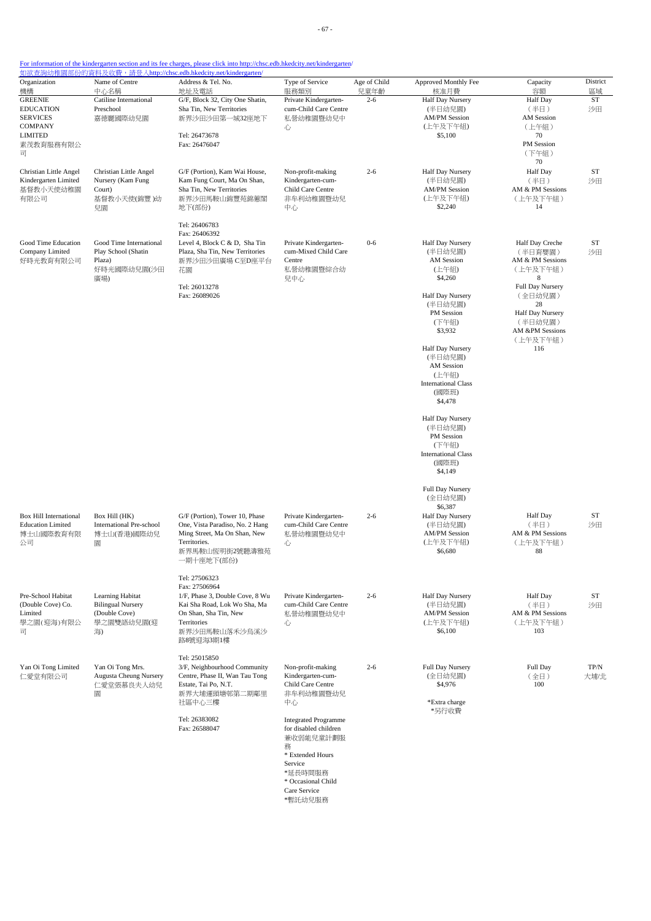| Organization                                                                 | Name of Centre                                                                    | <u> 如欲查詢幼稚園部份的資料及收費,請登入http://chsc.edb.hkedcity.net/kindergarten/</u><br>Address & Tel. No.                                                            | Type of Service                                                                | Age of Child                                                                                         | Approved Monthly Fee                                                                  | Capacity                                                                            | District        |
|------------------------------------------------------------------------------|-----------------------------------------------------------------------------------|--------------------------------------------------------------------------------------------------------------------------------------------------------|--------------------------------------------------------------------------------|------------------------------------------------------------------------------------------------------|---------------------------------------------------------------------------------------|-------------------------------------------------------------------------------------|-----------------|
| 機構<br><b>GREENIE</b>                                                         | 中心名稱<br>Catiline International                                                    | 地址及電話<br>G/F, Block 32, City One Shatin,                                                                                                               | 服務類別<br>Private Kindergarten-                                                  | 兒童年齡<br>$2 - 6$                                                                                      | 核准月費<br>Half Day Nursery                                                              | 容額<br><b>Half</b> Day                                                               | 區域<br><b>ST</b> |
| <b>EDUCATION</b><br><b>SERVICES</b>                                          | Preschool<br>嘉德麗國際幼兒園                                                             | Sha Tin, New Territories<br>新界沙田沙田第一城32座地下                                                                                                             | cum-Child Care Centre<br>私營幼稚園暨幼兒中                                             |                                                                                                      | (半日幼兒園)<br><b>AM/PM Session</b>                                                       | (半日)<br>AM Session                                                                  | 沙田              |
| COMPANY<br><b>LIMITED</b><br>素茂教育服務有限公<br>급                                  |                                                                                   | Tel: 26473678<br>Fax: 26476047                                                                                                                         | 心                                                                              |                                                                                                      | (上午及下午組)<br>\$5,100                                                                   | (上午組)<br>70<br>PM Session<br>(下午組)                                                  |                 |
|                                                                              |                                                                                   |                                                                                                                                                        |                                                                                |                                                                                                      |                                                                                       | 70                                                                                  |                 |
| Christian Little Angel<br>Kindergarten Limited<br>基督教小天使幼稚園<br>有限公司          | Christian Little Angel<br>Nursery (Kam Fung<br>Court)<br>基督教小天使(錦豐)幼<br>兒園        | G/F (Portion), Kam Wai House,<br>Kam Fung Court, Ma On Shan,<br>Sha Tin, New Territories<br>新界沙田馬鞍山錦豐苑錦蕙閣<br>地下(部份)                                    | Non-profit-making<br>Kindergarten-cum-<br>Child Care Centre<br>非牟利幼稚園暨幼兒<br>中心 | $2 - 6$                                                                                              | Half Day Nursery<br>(半日幼兒園)<br><b>AM/PM Session</b><br>(上午及下午組)<br>\$2,240            | Half Day<br>(半日)<br>AM & PM Sessions<br>(上午及下午組)<br>14                              | ST<br>沙田        |
|                                                                              |                                                                                   | Tel: 26406783<br>Fax: 26406392                                                                                                                         |                                                                                |                                                                                                      |                                                                                       |                                                                                     |                 |
| Good Time Education<br>Company Limited<br>好時光教育有限公司                          | Good Time International<br>Play School (Shatin<br>Plaza)<br>好時光國際幼兒園(沙田<br>廣場)    | Level 4, Block C & D, Sha Tin<br>Plaza, Sha Tin, New Territories<br>新界沙田沙田廣場 C至D座平台<br>花園                                                              | Private Kindergarten-<br>cum-Mixed Child Care<br>Centre<br>私營幼稚園暨綜合幼<br>兒中心    | $0 - 6$                                                                                              | Half Day Nursery<br>(半日幼兒園)<br><b>AM Session</b><br>(上午組)<br>\$4,260                  | Half Day Creche<br>(半日育嬰園)<br>AM & PM Sessions<br>(上午及下午組)<br>8<br>Full Day Nursery | <b>ST</b><br>沙田 |
|                                                                              |                                                                                   | Tel: 26013278<br>Fax: 26089026                                                                                                                         |                                                                                |                                                                                                      | Half Day Nursery<br>(半日幼兒園)<br>PM Session<br>(下午組)<br>\$3,932                         | (全日幼兒園)<br>28<br>Half Day Nursery<br>(半日幼兒園)<br>AM &PM Sessions<br>(上午及下午組)<br>116  |                 |
|                                                                              |                                                                                   |                                                                                                                                                        |                                                                                |                                                                                                      | Half Day Nursery<br>(半日幼兒園)<br>AM Session<br>(上午組)<br><b>International Class</b>      |                                                                                     |                 |
|                                                                              |                                                                                   |                                                                                                                                                        |                                                                                |                                                                                                      | (國際班)<br>\$4,478                                                                      |                                                                                     |                 |
|                                                                              |                                                                                   |                                                                                                                                                        |                                                                                | Half Day Nursery<br>(半日幼兒園)<br>PM Session<br>(下午組)<br><b>International Class</b><br>(國際班)<br>\$4,149 |                                                                                       |                                                                                     |                 |
|                                                                              |                                                                                   |                                                                                                                                                        |                                                                                |                                                                                                      | Full Day Nursery<br>(全日幼兒園)                                                           |                                                                                     |                 |
| <b>Box Hill International</b><br><b>Education Limited</b><br>博士山國際教育有限<br>公司 | Box Hill (HK)<br>International Pre-school<br>博士山(香港)國際幼兒<br>園                     | G/F (Portion), Tower 10, Phase<br>One, Vista Paradiso, No. 2 Hang<br>Ming Street, Ma On Shan, New<br>Territories.<br>新界馬鞍山恆明街2號聽濤雅苑<br>一期十座地下(部份)      | Private Kindergarten-<br>cum-Child Care Centre<br>私營幼稚園暨幼兒中<br>心               | $2 - 6$                                                                                              | \$6,387<br>Half Day Nursery<br>(半日幼兒園)<br><b>AM/PM Session</b><br>(上午及下午組)<br>\$6,680 | <b>Half</b> Day<br>(半日)<br>AM & PM Sessions<br>(上午及下午組)<br>88                       | ST<br>沙田        |
|                                                                              |                                                                                   | Tel: 27506323                                                                                                                                          |                                                                                |                                                                                                      |                                                                                       |                                                                                     |                 |
| Pre-School Habitat<br>(Double Cove) Co.<br>Limited<br>學之園(迎海)有限公<br>급        | Learning Habitat<br><b>Bilingual Nursery</b><br>(Double Cove)<br>學之園雙語幼兒園(迎<br>海) | Fax: 27506964<br>1/F, Phase 3, Double Cove, 8 Wu<br>Kai Sha Road, Lok Wo Sha, Ma<br>On Shan, Sha Tin, New<br>Territories<br>新界沙田馬鞍山落禾沙烏溪沙<br>路8號迎海3期1樓 | Private Kindergarten-<br>cum-Child Care Centre<br>私營幼稚園暨幼兒中<br>心               | $2 - 6$                                                                                              | Half Day Nursery<br>(半日幼兒園)<br><b>AM/PM Session</b><br>(上午及下午組)<br>\$6,100            | <b>Half Day</b><br>(半日)<br>AM & PM Sessions<br>(上午及下午組)<br>103                      | <b>ST</b><br>沙田 |
| Yan Oi Tong Limited                                                          | Yan Oi Tong Mrs.                                                                  | Tel: 25015850<br>3/F, Neighbourhood Community                                                                                                          | Non-profit-making                                                              | $2 - 6$                                                                                              | Full Day Nursery                                                                      | Full Day                                                                            | TP/N            |
| 仁愛堂有限公司                                                                      | <b>Augusta Cheung Nursery</b><br>仁愛堂張慕良夫人幼兒<br>圜                                  | Centre, Phase II, Wan Tau Tong<br>Estate, Tai Po, N.T.<br>新界大埔運頭塘邨第二期鄰里                                                                                | Kindergarten-cum-<br>Child Care Centre<br>非牟利幼稚園暨幼兒                            |                                                                                                      | (全日幼兒園)<br>\$4,976                                                                    | (全日)<br>100                                                                         | 大埔/北            |
|                                                                              |                                                                                   | 社區中心三樓<br>Tel: 26383082                                                                                                                                | 中心<br><b>Integrated Programme</b>                                              |                                                                                                      | *Extra charge<br>*另行收費                                                                |                                                                                     |                 |
|                                                                              |                                                                                   | Fax: 26588047                                                                                                                                          | for disabled children<br>兼收弱能兒童計劃服<br>務<br>* Extended Hours<br>Service         |                                                                                                      |                                                                                       |                                                                                     |                 |
|                                                                              |                                                                                   |                                                                                                                                                        | *延長時間服務<br>* Occasional Child<br>Care Service<br>*暫託幼兒服務                       |                                                                                                      |                                                                                       |                                                                                     |                 |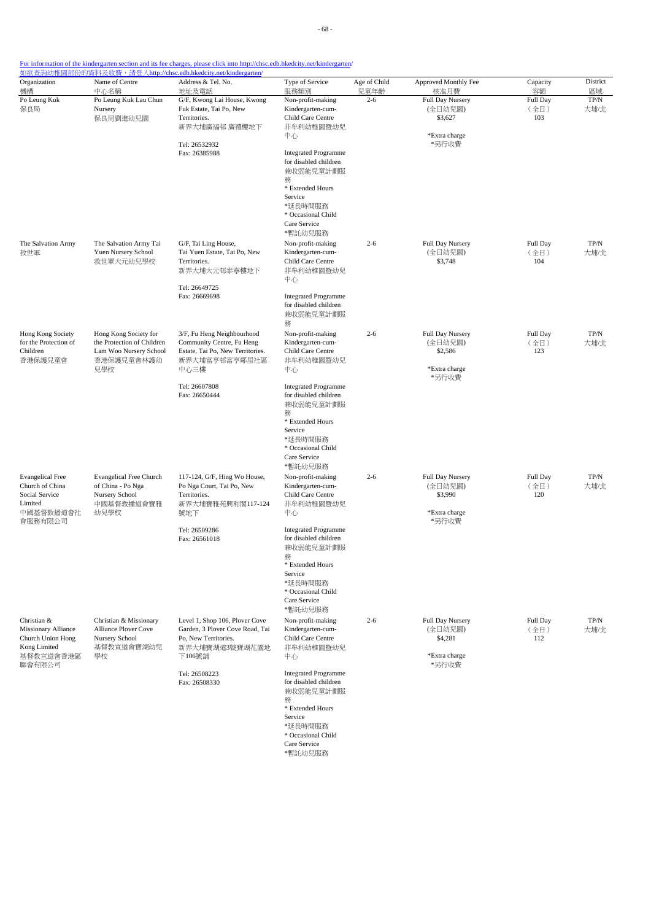| Organization<br>機構                                                                                    | Name of Centre<br>中心名稱                                                                             | Address & Tel. No.<br>地址及電話                                                                                                                             | Type of Service<br>服務類別                                                                                                                                                                                                                                        | Age of Child<br>兒童年齡 | Approved Monthly Fee<br>核准月費                                     | Capacity<br>容額          | District<br>區域 |
|-------------------------------------------------------------------------------------------------------|----------------------------------------------------------------------------------------------------|---------------------------------------------------------------------------------------------------------------------------------------------------------|----------------------------------------------------------------------------------------------------------------------------------------------------------------------------------------------------------------------------------------------------------------|----------------------|------------------------------------------------------------------|-------------------------|----------------|
| Po Leung Kuk<br>保良局                                                                                   | Po Leung Kuk Lau Chun<br>Nursery<br>保良局劉進幼兒園                                                       | G/F, Kwong Lai House, Kwong<br>Fuk Estate, Tai Po, New<br>Territories.<br>新界大埔廣福邨 廣禮樓地下<br>Tel: 26532932<br>Fax: 26385988                               | Non-profit-making<br>Kindergarten-cum-<br>Child Care Centre<br>非牟利幼稚園暨幼兒<br>中心<br><b>Integrated Programme</b><br>for disabled children<br>兼收弱能兒童計劃服<br>務<br>* Extended Hours<br>Service<br>*延長時間服務<br>* Occasional Child<br>Care Service<br>*暫託幼兒服務            | $2 - 6$              | Full Day Nursery<br>(全日幼兒園)<br>\$3,627<br>*Extra charge<br>*另行收費 | Full Day<br>(全日)<br>103 | TP/N<br>大埔/北   |
| The Salvation Army<br>救世軍                                                                             | The Salvation Army Tai<br>Yuen Nursery School<br>救世軍大元幼兒學校                                         | G/F, Tai Ling House,<br>Tai Yuen Estate, Tai Po, New<br>Territories.<br>新界大埔大元邨泰寧樓地下<br>Tel: 26649725<br>Fax: 26669698                                  | Non-profit-making<br>Kindergarten-cum-<br>Child Care Centre<br>非牟利幼稚園暨幼兒<br>中心<br><b>Integrated Programme</b><br>for disabled children<br>兼收弱能兒童計劃服<br>務                                                                                                       | $2 - 6$              | Full Day Nursery<br>(全日幼兒園)<br>\$3,748                           | Full Day<br>(全日)<br>104 | $TP/N$<br>大埔/北 |
| Hong Kong Society<br>for the Protection of<br>Children<br>香港保護兒童會                                     | Hong Kong Society for<br>the Protection of Children<br>Lam Woo Nursery School<br>香港保護兒童會林護幼<br>兒學校 | 3/F, Fu Heng Neighbourhood<br>Community Centre, Fu Heng<br>Estate, Tai Po, New Territories.<br>新界大埔富亨邨富亨鄰里社區<br>中心三樓<br>Tel: 26607808<br>Fax: 26650444  | Non-profit-making<br>Kindergarten-cum-<br>Child Care Centre<br>非牟利幼稚園暨幼兒<br>中心<br><b>Integrated Programme</b><br>for disabled children<br>兼收弱能兒童計劃服<br>務<br>* Extended Hours<br>Service<br>*延長時間服務<br>* Occasional Child<br>Care Service                       | $2 - 6$              | Full Day Nursery<br>(全日幼兒園)<br>\$2,586<br>*Extra charge<br>*另行收費 | Full Day<br>(全日)<br>123 | $TP/N$<br>大埔/北 |
| <b>Evangelical Free</b><br>Church of China<br>Social Service<br>Limited<br>中國基督教播道會社<br>會服務有限公司       | <b>Evangelical Free Church</b><br>of China - Po Nga<br>Nursery School<br>中國基督教播道會寶雅<br>幼兒學校        | 117-124, G/F, Hing Wo House,<br>Po Nga Court, Tai Po, New<br>Territories.<br>新界大埔寶雅苑興和閣117-124<br>號地下<br>Tel: 26509286<br>Fax: 26561018                 | *暫託幼兒服務<br>Non-profit-making<br>Kindergarten-cum-<br>Child Care Centre<br>非牟利幼稚園暨幼兒<br>中心<br><b>Integrated Programme</b><br>for disabled children<br>兼收弱能兒童計劃服<br>務<br>* Extended Hours<br>Service<br>*延長時間服務<br>* Occasional Child<br>Care Service<br>*暫託幼兒服務 | $2 - 6$              | Full Day Nursery<br>(全日幼兒園)<br>\$3,990<br>*Extra charge<br>*另行收費 | Full Day<br>(全日)<br>120 | TP/N<br>大埔/北   |
| Christian &<br><b>Missionary Alliance</b><br>Church Union Hong<br>Kong Limited<br>基督教宣道會香港區<br>聯會有限公司 | Christian & Missionary<br>Alliance Plover Cove<br>Nursery School<br>基督教宣道會寶湖幼兒<br>學校               | Level 1, Shop 106, Plover Cove<br>Garden, 3 Plover Cove Road, Tai<br>Po, New Territories.<br>新界大埔寶湖道3號寶湖花園地<br>下106號舖<br>Tel: 26508223<br>Fax: 26508330 | Non-profit-making<br>Kindergarten-cum-<br>Child Care Centre<br>非牟利幼稚園暨幼兒<br>中心<br><b>Integrated Programme</b><br>for disabled children<br>兼收弱能兒童計劃服<br>務<br>* Extended Hours<br>Service<br>*延長時間服務<br>* Occasional Child<br>Care Service                       | $2 - 6$              | Full Day Nursery<br>(全日幼兒園)<br>\$4,281<br>*Extra charge<br>*另行收費 | Full Day<br>(全日)<br>112 | $TP/N$<br>大埔/北 |

\*暫託幼兒服務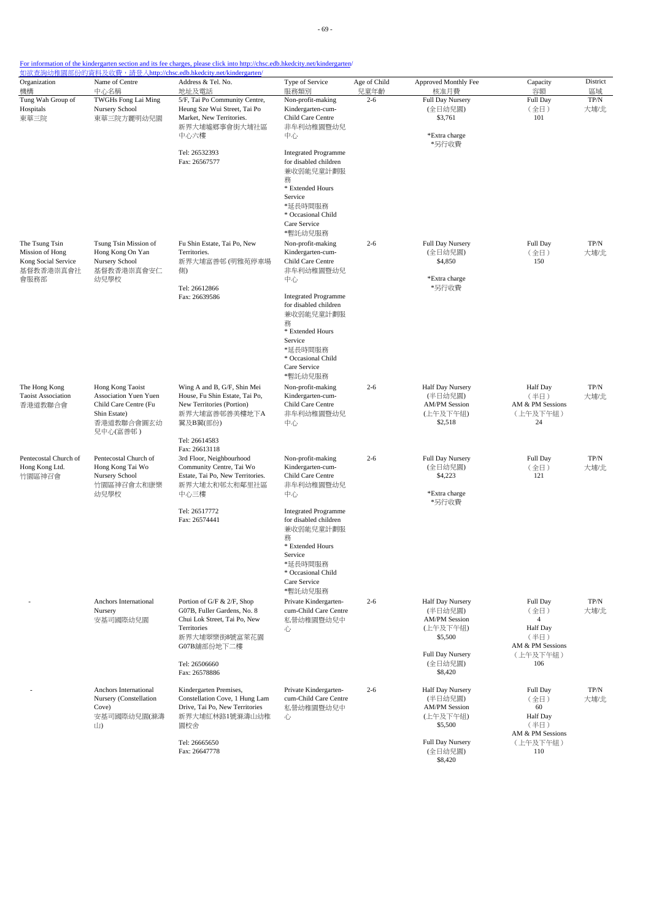| Organization                                                          | Name of Centre                                                                                                | Address & Tel. No.                                                                                                                                  | Type of Service<br>服務類別                                                                                                                                                 | Age of Child    | Approved Monthly Fee                                                       | Capacity                                                                   | District                    |
|-----------------------------------------------------------------------|---------------------------------------------------------------------------------------------------------------|-----------------------------------------------------------------------------------------------------------------------------------------------------|-------------------------------------------------------------------------------------------------------------------------------------------------------------------------|-----------------|----------------------------------------------------------------------------|----------------------------------------------------------------------------|-----------------------------|
| 機構<br>Tung Wah Group of<br>Hospitals<br>東華三院                          | 中心名稱<br>TWGHs Fong Lai Ming<br>Nursery School<br>東華三院方麗明幼兒園                                                   | 地址及電話<br>5/F, Tai Po Community Centre,<br>Heung Sze Wui Street, Tai Po<br>Market, New Territories.                                                  | Non-profit-making<br>Kindergarten-cum-<br>Child Care Centre                                                                                                             | 兒童年齡<br>$2 - 6$ | 核准月費<br>Full Day Nursery<br>(全日幼兒園)<br>\$3,761                             | 容額<br>Full Day<br>(全日)<br>101                                              | 區域<br>$\mbox{TP/N}$<br>大埔/北 |
|                                                                       |                                                                                                               | 新界大埔墟鄉事會街大埔社區<br>中心六樓<br>Tel: 26532393                                                                                                              | 非牟利幼稚園暨幼兒<br>中心<br><b>Integrated Programme</b>                                                                                                                          |                 | *Extra charge<br>*另行收費                                                     |                                                                            |                             |
|                                                                       |                                                                                                               | Fax: 26567577                                                                                                                                       | for disabled children<br>兼收弱能兒童計劃服<br>務<br>* Extended Hours<br>Service<br>*延長時間服務<br>* Occasional Child<br>Care Service<br>*暫託幼兒服務                                      |                 |                                                                            |                                                                            |                             |
| The Tsung Tsin<br>Mission of Hong<br>Kong Social Service<br>基督教香港崇真會社 | Tsung Tsin Mission of<br>Hong Kong On Yan<br>Nursery School<br>基督教香港崇真會安仁                                     | Fu Shin Estate, Tai Po, New<br>Territories.<br>新界大埔富善邨 (明雅苑停車場<br>側)                                                                                | Non-profit-making<br>Kindergarten-cum-<br>Child Care Centre<br>非牟利幼稚園暨幼兒                                                                                                | $2 - 6$         | <b>Full Day Nursery</b><br>(全日幼兒園)<br>\$4,850                              | Full Day<br>(全日)<br>150                                                    | $TP/N$<br>大埔/北              |
| 會服務部                                                                  | 幼兒學校                                                                                                          | Tel: 26612866<br>Fax: 26639586                                                                                                                      | 中心<br><b>Integrated Programme</b><br>for disabled children<br>兼收弱能兒童計劃服<br>務<br>* Extended Hours<br>Service<br>*延長時間服務<br>* Occasional Child<br>Care Service<br>*暫託幼兒服務 |                 | *Extra charge<br>*另行收費                                                     |                                                                            |                             |
| The Hong Kong<br><b>Taoist Association</b><br>香港道教聯合會                 | Hong Kong Taoist<br>Association Yuen Yuen<br>Child Care Centre (Fu<br>Shin Estate)<br>香港道教聯合會圓玄幼<br>兒中心(富善邨 ) | Wing A and B, G/F, Shin Mei<br>House, Fu Shin Estate, Tai Po,<br>New Territories (Portion)<br>新界大埔富善邨善美樓地下A<br>翼及B翼(部份)                             | Non-profit-making<br>Kindergarten-cum-<br>Child Care Centre<br>非牟利幼稚園暨幼兒<br>中心                                                                                          | $2 - 6$         | Half Day Nursery<br>(半日幼兒園)<br><b>AM/PM</b> Session<br>(上午及下午組)<br>\$2,518 | <b>Half Day</b><br>(半日)<br>AM & PM Sessions<br>(上午及下午組)<br>24              | TP/N<br>大埔/北                |
| Pentecostal Church of<br>Hong Kong Ltd.<br>竹園區神召會                     | Pentecostal Church of<br>Hong Kong Tai Wo<br>Nursery School<br>竹園區神召會太和康樂<br>幼兒學校                             | Tel: 26614583<br>Fax: 26613118<br>3rd Floor, Neighbourhood<br>Community Centre, Tai Wo<br>Estate, Tai Po, New Territories.<br>新界大埔太和邨太和鄰里社區<br>中心三樓 | Non-profit-making<br>Kindergarten-cum-<br>Child Care Centre<br>非牟利幼稚園暨幼兒<br>中心                                                                                          | $2 - 6$         | Full Day Nursery<br>(全日幼兒園)<br>\$4,223<br>*Extra charge<br>*另行收費           | Full Day<br>(全日)<br>121                                                    | TP/N<br>大埔/北                |
|                                                                       |                                                                                                               | Tel: 26517772<br>Fax: 26574441                                                                                                                      | <b>Integrated Programme</b><br>for disabled children<br>兼收弱能兒童計劃服<br>務<br>* Extended Hours<br>Service<br>*延長時間服務<br>* Occasional Child<br>Care Service<br>*暫託幼兒服務       |                 |                                                                            |                                                                            |                             |
|                                                                       | Anchors International<br>Nursery<br>安基司國際幼兒園                                                                  | Portion of G/F & 2/F, Shop<br>G07B, Fuller Gardens, No. 8<br>Chui Lok Street, Tai Po, New<br><b>Territories</b><br>新界大埔翠樂街8號富萊花園<br>G07B舗部份地下二樓     | Private Kindergarten-<br>cum-Child Care Centre<br>私營幼稚園暨幼兒中<br>心                                                                                                        | $2 - 6$         | Half Day Nursery<br>(半日幼兒園)<br><b>AM/PM Session</b><br>(上午及下午組)<br>\$5,500 | Full Day<br>(全日)<br>$\overline{4}$<br>Half Day<br>(半日)<br>AM & PM Sessions | TP/N<br>大埔/北                |
|                                                                       |                                                                                                               | Tel: 26506660<br>Fax: 26578886                                                                                                                      |                                                                                                                                                                         |                 | Full Day Nursery<br>(全日幼兒園)<br>\$8,420                                     | (上午及下午組)<br>106                                                            |                             |
|                                                                       | Anchors International<br>Nursery (Constellation<br>Cove)<br>安基司國際幼兒園(滌濤<br>山)                                 | Kindergarten Premises,<br>Constellation Cove, 1 Hung Lam<br>Drive, Tai Po, New Territories<br>新界大埔紅林路1號滌濤山幼稚<br>園校舍                                 | Private Kindergarten-<br>cum-Child Care Centre<br>私營幼稚園暨幼兒中<br>心                                                                                                        | $2 - 6$         | Half Day Nursery<br>(半日幼兒園)<br><b>AM/PM Session</b><br>(上午及下午組)<br>\$5,500 | Full Day<br>(全日)<br>60<br>Half Day<br>(半日)<br>AM & PM Sessions             | TP/N<br>大埔/北                |
|                                                                       |                                                                                                               | Tel: 26665650<br>Fax: 26647778                                                                                                                      |                                                                                                                                                                         |                 | Full Day Nursery<br>(全日幼兒園)<br>\$8,420                                     | (上午及下午組)<br>110                                                            |                             |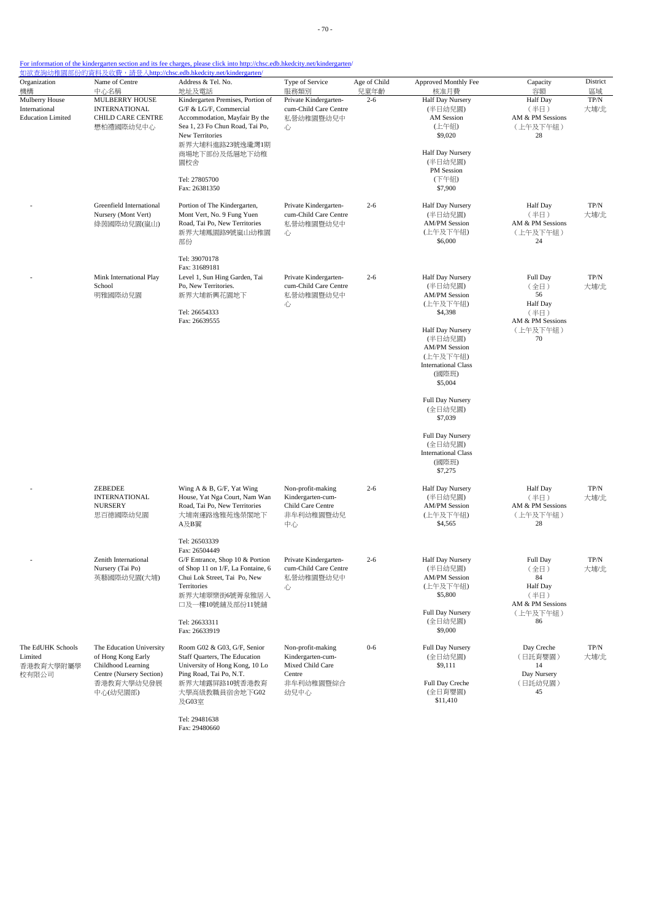| Organization                                                      | Name of Centre                                                                                   | <u> 如欲查詢幼稚園部份的資料及收費,請登入http://chsc.edb.hkedcity.net/kindergarten/</u><br>Address & Tel. No.                                                              | Type of Service                                                                | Age of Child    | Approved Monthly Fee                                                                                              | Capacity                                                              | District              |
|-------------------------------------------------------------------|--------------------------------------------------------------------------------------------------|----------------------------------------------------------------------------------------------------------------------------------------------------------|--------------------------------------------------------------------------------|-----------------|-------------------------------------------------------------------------------------------------------------------|-----------------------------------------------------------------------|-----------------------|
| 機構<br>Mulberry House<br>International<br><b>Education Limited</b> | 中心名稱<br>MULBERRY HOUSE<br><b>INTERNATIONAL</b><br>CHILD CARE CENTRE<br>懋柏禮國際幼兒中心                 | 地址及電話<br>Kindergarten Premises, Portion of<br>G/F & LG/F, Commercial<br>Accommodation, Mayfair By the<br>Sea 1, 23 Fo Chun Road, Tai Po,                 | 服務類別<br>Private Kindergarten-<br>cum-Child Care Centre<br>私營幼稚園暨幼兒中<br>心       | 兒童年齡<br>$2 - 6$ | 核准月費<br>Half Day Nursery<br>(半日幼兒園)<br>AM Session<br>(上午組)                                                        | 容額<br><b>Half</b> Day<br>(半日)<br>AM & PM Sessions<br>(上午及下午組)<br>28   | 區域<br>TP/N<br>大埔/北    |
|                                                                   |                                                                                                  | New Territories<br>新界大埔科進路23號逸瓏灣1期<br>商場地下部份及低層地下幼稚<br>園校舍                                                                                               |                                                                                |                 | \$9,020<br>Half Day Nursery<br>(半日幼兒園)<br>PM Session                                                              |                                                                       |                       |
|                                                                   |                                                                                                  | Tel: 27805700<br>Fax: 26381350                                                                                                                           |                                                                                |                 | (下午組)<br>\$7,900                                                                                                  |                                                                       |                       |
|                                                                   | Greenfield International<br>Nursery (Mont Vert)<br>綠茵國際幼兒園(嵐山)                                   | Portion of The Kindergarten,<br>Mont Vert, No. 9 Fung Yuen<br>Road, Tai Po, New Territories<br>新界大埔鳳園路9號嵐山幼稚園<br>部份                                      | Private Kindergarten-<br>cum-Child Care Centre<br>私營幼稚園暨幼兒中<br>心               | $2 - 6$         | Half Day Nursery<br>(半日幼兒園)<br><b>AM/PM Session</b><br>(上午及下午組)<br>\$6,000                                        | <b>Half</b> Day<br>(半日)<br>AM & PM Sessions<br>(上午及下午組)<br>24         | $\mbox{TP/N}$<br>大埔/北 |
|                                                                   |                                                                                                  | Tel: 39070178<br>Fax: 31689181                                                                                                                           |                                                                                |                 |                                                                                                                   |                                                                       |                       |
|                                                                   | Mink International Play<br>School<br>明雅國際幼兒園                                                     | Level 1, Sun Hing Garden, Tai<br>Po, New Territories.<br>新界大埔新興花園地下                                                                                      | Private Kindergarten-<br>cum-Child Care Centre<br>私營幼稚園暨幼兒中<br>心               | $2 - 6$         | Half Day Nursery<br>(半日幼兒園)<br><b>AM/PM Session</b><br>(上午及下午組)                                                   | Full Day<br>(全日)<br>56<br><b>Half</b> Day                             | TP/N<br>大埔/北          |
|                                                                   |                                                                                                  | Tel: 26654333<br>Fax: 26639555                                                                                                                           |                                                                                |                 | \$4,398                                                                                                           | (半日)<br>AM & PM Sessions                                              |                       |
|                                                                   |                                                                                                  |                                                                                                                                                          |                                                                                |                 | Half Day Nursery<br>(半日幼兒園)<br><b>AM/PM Session</b><br>(上午及下午組)<br><b>International Class</b><br>(國際班)<br>\$5,004 | (上午及下午組)<br>70                                                        |                       |
|                                                                   |                                                                                                  |                                                                                                                                                          |                                                                                |                 | Full Day Nursery<br>(全日幼兒園)<br>\$7,039                                                                            |                                                                       |                       |
|                                                                   |                                                                                                  |                                                                                                                                                          |                                                                                |                 | Full Day Nursery<br>(全日幼兒園)<br><b>International Class</b><br>(國際班)<br>\$7,275                                     |                                                                       |                       |
|                                                                   | ZEBEDEE<br><b>INTERNATIONAL</b><br><b>NURSERY</b><br>思百德國際幼兒園                                    | Wing A & B, G/F, Yat Wing<br>House, Yat Nga Court, Nam Wan<br>Road, Tai Po, New Territories<br>大埔南運路逸雅苑逸榮閣地下<br>A及B翼                                     | Non-profit-making<br>Kindergarten-cum-<br>Child Care Centre<br>非牟利幼稚園暨幼兒<br>中心 | $2 - 6$         | Half Day Nursery<br>(半日幼兒園)<br><b>AM/PM Session</b><br>(上午及下午組)<br>\$4,565                                        | <b>Half</b> Day<br>(半日)<br>AM & PM Sessions<br>(上午及下午組)<br>28         | TP/N<br>大埔/北          |
|                                                                   |                                                                                                  | Tel: 26503339<br>Fax: 26504449                                                                                                                           |                                                                                |                 |                                                                                                                   |                                                                       |                       |
|                                                                   | Zenith International<br>Nursery (Tai Po)<br>英藝國際幼兒園(大埔)                                          | G/F Entrance, Shop 10 & Portion<br>of Shop 11 on 1/F, La Fontaine, 6<br>Chui Lok Street, Tai Po, New<br>Territories<br>新界大埔翠樂街6號菁泉雅居入<br>口及一樓10號舖及部份11號舖 | Private Kindergarten-<br>cum-Child Care Centre<br>私營幼稚園暨幼兒中<br>心               | $2 - 6$         | Half Day Nursery<br>(半日幼兒園)<br><b>AM/PM Session</b><br>(上午及下午組)<br>\$5,800                                        | Full Day<br>(全日)<br>84<br><b>Half</b> Day<br>(半日)<br>AM & PM Sessions | TP/N<br>大埔/北          |
|                                                                   |                                                                                                  | Tel: 26633311<br>Fax: 26633919                                                                                                                           |                                                                                |                 | Full Day Nursery<br>(全日幼兒園)<br>\$9,000                                                                            | (上午及下午組)<br>86                                                        |                       |
| The EdUHK Schools<br>Limited<br>香港教育大學附屬學<br>校有限公司                | The Education University<br>of Hong Kong Early<br>Childhood Learning<br>Centre (Nursery Section) | Room G02 & G03, G/F, Senior<br>Staff Quarters, The Education<br>University of Hong Kong, 10 Lo<br>Ping Road, Tai Po, N.T.                                | Non-profit-making<br>Kindergarten-cum-<br>Mixed Child Care<br>Centre           | $0 - 6$         | Full Day Nursery<br>(全日幼兒園)<br>\$9,111                                                                            | Day Creche<br>(日託育嬰園)<br>14<br>Day Nursery                            | $\mbox{TP/N}$<br>大埔/北 |
|                                                                   | 香港教育大學幼兒發展<br>中心(幼兒園部)                                                                           | 新界大埔露屏路10號香港教育<br>大學高級教職員宿舍地下G02<br>及G03室                                                                                                                | 非牟利幼稚園暨綜合<br>幼兒中心                                                              |                 | Full Day Creche<br>(全日育嬰園)<br>\$11,410                                                                            | (日託幼兒園)<br>45                                                         |                       |

Tel: 29481638 Fax: 29480660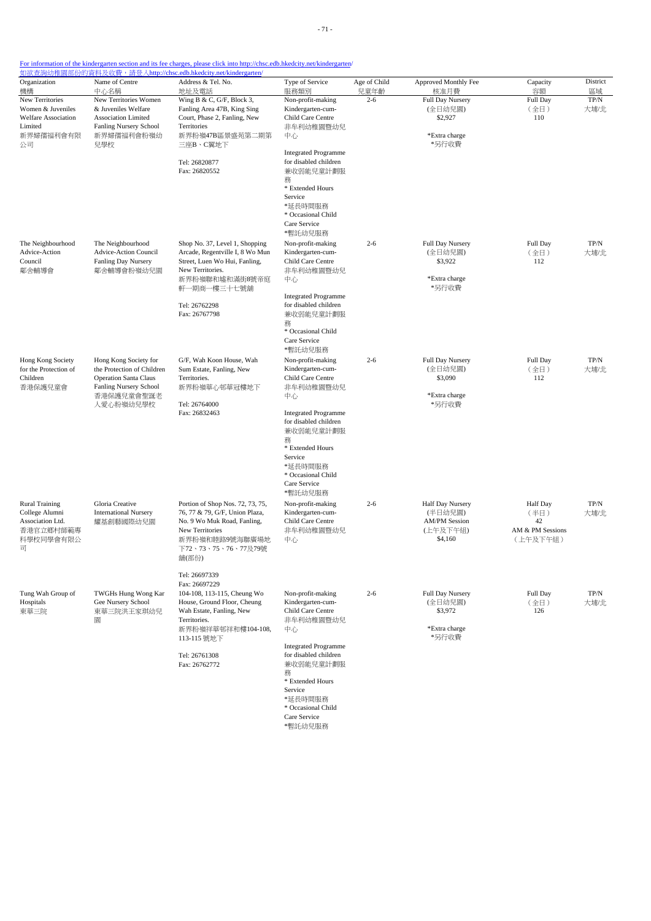| For information of the kindergarten section and its fee charges, please click into http://chsc.edb.hkedcity.net/kindergarten/ |  |
|-------------------------------------------------------------------------------------------------------------------------------|--|

|                                      |                                                            | 如欲查詢幼稚園部份的資料及收費,請登入http://chsc.edb.hkedcity.net/kindergarten/    |                                        |              |                             |                  |               |
|--------------------------------------|------------------------------------------------------------|------------------------------------------------------------------|----------------------------------------|--------------|-----------------------------|------------------|---------------|
| Organization                         | Name of Centre                                             | Address & Tel. No.                                               | Type of Service                        | Age of Child | Approved Monthly Fee        | Capacity         | District      |
| 機構                                   | 中心名稱                                                       | 地址及電話                                                            | 服務類別                                   | 兒童年齡         | 核准月費                        | 容額               | 區域            |
| New Territories<br>Women & Juveniles | New Territories Women<br>& Juveniles Welfare               | Wing B & C, G/F, Block 3,                                        | Non-profit-making<br>Kindergarten-cum- | $2 - 6$      | Full Day Nursery<br>(全日幼兒園) | Full Day         | TP/N          |
| Welfare Association                  | Association Limited                                        | Fanling Area 47B, King Sing<br>Court, Phase 2, Fanling, New      | Child Care Centre                      |              | \$2,927                     | (全日)<br>110      | 大埔/北          |
| Limited                              | Fanling Nursery School                                     | Territories                                                      | 非牟利幼稚園暨幼兒                              |              |                             |                  |               |
| 新界婦孺福利會有限                            | 新界婦孺福利會粉嶺幼                                                 | 新界粉嶺47B區景盛苑第二期第                                                  | 中心                                     |              | *Extra charge               |                  |               |
| 公司                                   | 兒學校                                                        | 三座B、C翼地下                                                         |                                        |              | *另行收費                       |                  |               |
|                                      |                                                            |                                                                  | <b>Integrated Programme</b>            |              |                             |                  |               |
|                                      |                                                            | Tel: 26820877                                                    | for disabled children                  |              |                             |                  |               |
|                                      |                                                            | Fax: 26820552                                                    | 兼收弱能兒童計劃服                              |              |                             |                  |               |
|                                      |                                                            |                                                                  | 務                                      |              |                             |                  |               |
|                                      |                                                            |                                                                  | * Extended Hours                       |              |                             |                  |               |
|                                      |                                                            |                                                                  | Service                                |              |                             |                  |               |
|                                      |                                                            |                                                                  | *延長時間服務                                |              |                             |                  |               |
|                                      |                                                            |                                                                  | * Occasional Child                     |              |                             |                  |               |
|                                      |                                                            |                                                                  | Care Service                           |              |                             |                  |               |
|                                      |                                                            |                                                                  | *暫託幼兒服務                                |              |                             |                  |               |
| The Neighbourhood<br>Advice-Action   | The Neighbourhood                                          | Shop No. 37, Level 1, Shopping                                   | Non-profit-making                      | $2 - 6$      | Full Day Nursery            | Full Day         | $\mbox{TP/N}$ |
| Council                              | Advice-Action Council<br>Fanling Day Nursery               | Arcade, Regentville I, 8 Wo Mun<br>Street, Luen Wo Hui, Fanling, | Kindergarten-cum-<br>Child Care Centre |              | (全日幼兒園)<br>\$3,922          | (全日)<br>112      | 大埔/北          |
| 鄰舍輔導會                                | 鄰舍輔導會粉嶺幼兒園                                                 | New Territories.                                                 | 非牟利幼稚園暨幼兒                              |              |                             |                  |               |
|                                      |                                                            | 新界粉嶺聯和墟和滿街8號帝庭                                                   | 中心                                     |              | *Extra charge               |                  |               |
|                                      |                                                            | 軒一期商一樓三十七號舖                                                      |                                        |              | *另行收費                       |                  |               |
|                                      |                                                            |                                                                  | <b>Integrated Programme</b>            |              |                             |                  |               |
|                                      |                                                            | Tel: 26762298                                                    | for disabled children                  |              |                             |                  |               |
|                                      |                                                            | Fax: 26767798                                                    | 兼收弱能兒童計劃服                              |              |                             |                  |               |
|                                      |                                                            |                                                                  | 務                                      |              |                             |                  |               |
|                                      |                                                            |                                                                  | * Occasional Child                     |              |                             |                  |               |
|                                      |                                                            |                                                                  | Care Service                           |              |                             |                  |               |
|                                      |                                                            |                                                                  | *暫託幼兒服務                                |              |                             |                  |               |
| Hong Kong Society                    | Hong Kong Society for                                      | G/F, Wah Koon House, Wah                                         | Non-profit-making                      | $2 - 6$      | Full Day Nursery            | Full Day         | TP/N          |
| for the Protection of<br>Children    | the Protection of Children<br><b>Operation Santa Claus</b> | Sum Estate, Fanling, New<br>Territories.                         | Kindergarten-cum-<br>Child Care Centre |              | (全日幼兒園)<br>\$3,090          | (全日)<br>112      | 大埔/北          |
| 香港保護兒童會                              | Fanling Nursery School                                     | 新界粉嶺華心邨華冠樓地下                                                     | 非牟利幼稚園暨幼兒                              |              |                             |                  |               |
|                                      | 香港保護兒童會聖誕老                                                 |                                                                  | 中心                                     |              | *Extra charge               |                  |               |
|                                      | 人愛心粉嶺幼兒學校                                                  | Tel: 26764000                                                    |                                        |              | *另行收費                       |                  |               |
|                                      |                                                            | Fax: 26832463                                                    | <b>Integrated Programme</b>            |              |                             |                  |               |
|                                      |                                                            |                                                                  | for disabled children                  |              |                             |                  |               |
|                                      |                                                            |                                                                  | 兼收弱能兒童計劃服                              |              |                             |                  |               |
|                                      |                                                            |                                                                  | 務                                      |              |                             |                  |               |
|                                      |                                                            |                                                                  | * Extended Hours                       |              |                             |                  |               |
|                                      |                                                            |                                                                  | Service                                |              |                             |                  |               |
|                                      |                                                            |                                                                  | *延長時間服務<br>* Occasional Child          |              |                             |                  |               |
|                                      |                                                            |                                                                  | Care Service                           |              |                             |                  |               |
|                                      |                                                            |                                                                  | *暫託幼兒服務                                |              |                             |                  |               |
| <b>Rural Training</b>                | Gloria Creative                                            | Portion of Shop Nos. 72, 73, 75,                                 | Non-profit-making                      | $2 - 6$      | Half Day Nursery            | <b>Half</b> Day  | $\mbox{TP/N}$ |
| College Alumni                       | <b>International Nursery</b>                               | 76, 77 & 79, G/F, Union Plaza,                                   | Kindergarten-cum-                      |              | (半日幼兒園)                     | (半日)             | 大埔/北          |
| Association Ltd.                     | 耀基創藝國際幼兒園                                                  | No. 9 Wo Muk Road, Fanling,                                      | Child Care Centre                      |              | <b>AM/PM Session</b>        | 42               |               |
| 香港官立鄉村師範專                            |                                                            | New Territories                                                  | 非牟利幼稚園暨幼兒                              |              | (上午及下午組)                    | AM & PM Sessions |               |
| 科學校同學會有限公                            |                                                            | 新界粉嶺和睦路9號海聯廣場地                                                   | 中心                                     |              | \$4,160                     | (上午及下午組)         |               |
| 司                                    |                                                            | 下72、73、75、76、77及79號                                              |                                        |              |                             |                  |               |
|                                      |                                                            | 舖(部份)                                                            |                                        |              |                             |                  |               |
|                                      |                                                            |                                                                  |                                        |              |                             |                  |               |
|                                      |                                                            | Tel: 26697339                                                    |                                        |              |                             |                  |               |
|                                      |                                                            | Fax: 26697229                                                    |                                        |              |                             | Full Day         |               |
| Tung Wah Group of<br>Hospitals       | TWGHs Hung Wong Kar<br>Gee Nursery School                  | 104-108, 113-115, Cheung Wo<br>House, Ground Floor, Cheung       | Non-profit-making<br>Kindergarten-cum- | $2 - 6$      | Full Day Nursery<br>(全日幼兒園) | (全日)             | TP/N<br>大埔/北  |
| 東華三院                                 | 東華三院洪王家琪幼兒                                                 | Wah Estate, Fanling, New                                         | Child Care Centre                      |              | \$3,972                     | 126              |               |
|                                      | 圜                                                          | Territories.                                                     | 非牟利幼稚園暨幼兒                              |              |                             |                  |               |
|                                      |                                                            | 新界粉嶺祥華邨祥和樓104-108,                                               | 中心                                     |              | *Extra charge               |                  |               |
|                                      |                                                            | 113-115 號地下                                                      |                                        |              | *另行收費                       |                  |               |
|                                      |                                                            |                                                                  | <b>Integrated Programme</b>            |              |                             |                  |               |
|                                      |                                                            | Tel: 26761308                                                    | for disabled children                  |              |                             |                  |               |
|                                      |                                                            | Fax: 26762772                                                    | 兼收弱能兒童計劃服                              |              |                             |                  |               |
|                                      |                                                            |                                                                  | 務<br>* Extended Hours                  |              |                             |                  |               |
|                                      |                                                            |                                                                  | Service                                |              |                             |                  |               |
|                                      |                                                            |                                                                  | *延長時間服務                                |              |                             |                  |               |
|                                      |                                                            |                                                                  | * Occasional Child                     |              |                             |                  |               |
|                                      |                                                            |                                                                  | Care Service                           |              |                             |                  |               |

\*暫託幼兒服務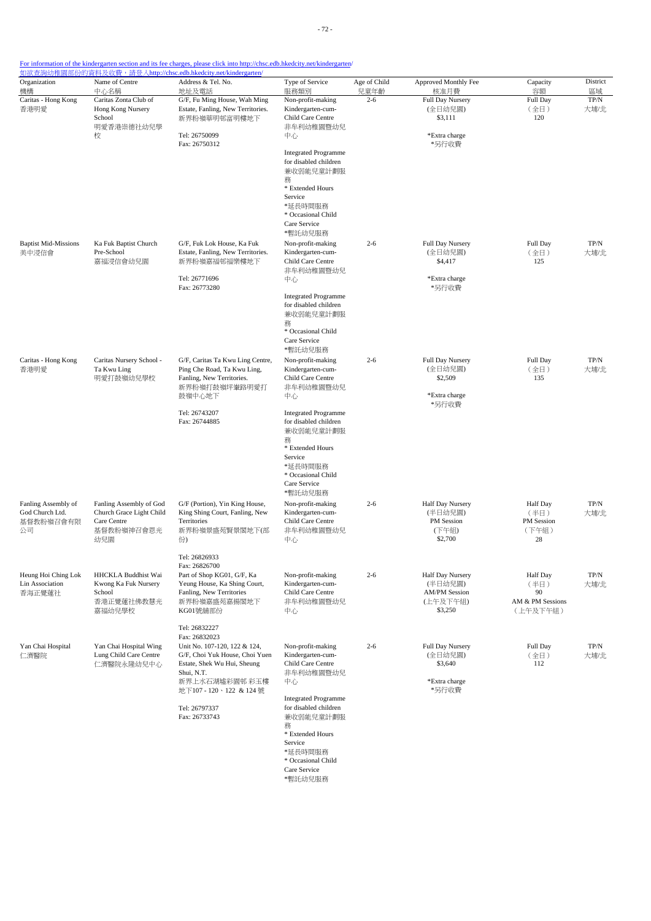|                                                           | Name of Centre                                                                   | 如欲查詢幼稚園部份的資料及收費, 請登入http://chsc.edb.hkedcity.net/kindergarten/<br>Address & Tel. No.                          |                                                                                              |                      |                                                     |                                                | District              |
|-----------------------------------------------------------|----------------------------------------------------------------------------------|---------------------------------------------------------------------------------------------------------------|----------------------------------------------------------------------------------------------|----------------------|-----------------------------------------------------|------------------------------------------------|-----------------------|
| Organization<br>機構                                        | 中心名稱                                                                             | 地址及電話                                                                                                         | Type of Service<br>服務類別                                                                      | Age of Child<br>兒童年齡 | Approved Monthly Fee<br>核准月費                        | Capacity<br>容額                                 | 區域                    |
| Caritas - Hong Kong<br>香港明愛                               | Caritas Zonta Club of<br>Hong Kong Nursery<br>School                             | G/F, Fu Ming House, Wah Ming<br>Estate, Fanling, New Territories.<br>新界粉嶺華明邨富明樓地下                             | Non-profit-making<br>Kindergarten-cum-<br>Child Care Centre                                  | $2 - 6$              | Full Day Nursery<br>(全日幼兒園)<br>\$3,111              | Full Day<br>(全日)<br>120                        | TP/N<br>大埔/北          |
|                                                           | 明愛香港崇德社幼兒學<br>校                                                                  | Tel: 26750099<br>Fax: 26750312                                                                                | 非牟利幼稚園暨幼兒<br>中心                                                                              |                      | *Extra charge<br>*另行收費                              |                                                |                       |
|                                                           |                                                                                  |                                                                                                               | <b>Integrated Programme</b><br>for disabled children<br>兼收弱能兒童計劃服                            |                      |                                                     |                                                |                       |
|                                                           |                                                                                  |                                                                                                               | 務<br>* Extended Hours<br>Service                                                             |                      |                                                     |                                                |                       |
|                                                           |                                                                                  |                                                                                                               | *延長時間服務<br>* Occasional Child<br>Care Service<br>*暫託幼兒服務                                     |                      |                                                     |                                                |                       |
| <b>Baptist Mid-Missions</b><br>美中浸信會                      | Ka Fuk Baptist Church<br>Pre-School<br>嘉福浸信會幼兒園                                  | G/F, Fuk Lok House, Ka Fuk<br>Estate, Fanling, New Territories.<br>新界粉嶺嘉福邨福樂樓地下                               | Non-profit-making<br>Kindergarten-cum-<br>Child Care Centre<br>非牟利幼稚園暨幼兒                     | $2 - 6$              | Full Day Nursery<br>(全日幼兒園)<br>\$4,417              | Full Day<br>(全日)<br>125                        | TP/N<br>大埔/北          |
|                                                           |                                                                                  | Tel: 26771696<br>Fax: 26773280                                                                                | 中心                                                                                           |                      | *Extra charge<br>*另行收費                              |                                                |                       |
|                                                           |                                                                                  |                                                                                                               | <b>Integrated Programme</b><br>for disabled children<br>兼收弱能兒童計劃服<br>務<br>* Occasional Child |                      |                                                     |                                                |                       |
|                                                           |                                                                                  |                                                                                                               | Care Service<br>*暫託幼兒服務                                                                      |                      |                                                     |                                                |                       |
| Caritas - Hong Kong<br>香港明愛                               | Caritas Nursery School -<br>Ta Kwu Ling<br>明愛打鼓嶺幼兒學校                             | G/F, Caritas Ta Kwu Ling Centre,<br>Ping Che Road, Ta Kwu Ling,<br>Fanling, New Territories.<br>新界粉嶺打鼓嶺坪輋路明愛打 | Non-profit-making<br>Kindergarten-cum-<br>Child Care Centre<br>非牟利幼稚園暨幼兒                     | $2 - 6$              | Full Day Nursery<br>(全日幼兒園)<br>\$2,509              | Full Day<br>(全日)<br>135                        | $\mbox{TP/N}$<br>大埔/北 |
|                                                           |                                                                                  | 鼓嶺中心地下<br>Tel: 26743207                                                                                       | 中心<br><b>Integrated Programme</b>                                                            |                      | *Extra charge<br>*另行收費                              |                                                |                       |
|                                                           |                                                                                  | Fax: 26744885                                                                                                 | for disabled children<br>兼收弱能兒童計劃服<br>務<br>* Extended Hours<br>Service                       |                      |                                                     |                                                |                       |
|                                                           |                                                                                  |                                                                                                               | *延長時間服務<br>* Occasional Child<br>Care Service<br>*暫託幼兒服務                                     |                      |                                                     |                                                |                       |
| Fanling Assembly of<br>God Church Ltd.<br>基督教粉嶺召會有限<br>公司 | Fanling Assembly of God<br>Church Grace Light Child<br>Care Centre<br>基督教粉嶺神召會恩光 | G/F (Portion), Yin King House,<br>King Shing Court, Fanling, New<br>Territories<br>新界粉嶺景盛苑賢景閣地下(部             | Non-profit-making<br>Kindergarten-cum-<br>Child Care Centre<br>非牟利幼稚園暨幼兒                     | $2 - 6$              | Half Day Nursery<br>(半日幼兒園)<br>PM Session<br>(下午組)  | <b>Half</b> Day<br>(半日)<br>PM Session<br>(下午組) | TP/N<br>大埔/北          |
|                                                           | 幼兒園                                                                              | 份)<br>Tel: 26826933                                                                                           | 中心                                                                                           |                      | \$2,700                                             | 28                                             |                       |
| Heung Hoi Ching Lok<br>Lin Association<br>香海正覺蓮社          | HHCKLA Buddhist Wai<br>Kwong Ka Fuk Nursery<br>School                            | Fax: 26826700<br>Part of Shop KG01, G/F, Ka<br>Yeung House, Ka Shing Court,<br>Fanling, New Territories       | Non-profit-making<br>Kindergarten-cum-<br>Child Care Centre                                  | $2 - 6$              | Half Day Nursery<br>(半日幼兒園)<br><b>AM/PM Session</b> | Half Day<br>(半日)<br>90                         | TP/N<br>大埔/北          |
|                                                           | 香港正覺蓮社佛教慧光<br>嘉福幼兒學校                                                             | 新界粉嶺嘉盛苑嘉揚閣地下<br>KG01號舖部份                                                                                      | 非牟利幼稚園暨幼兒<br>中心                                                                              |                      | (上午及下午組)<br>\$3,250                                 | AM & PM Sessions<br>(上午及下午組)                   |                       |
| Yan Chai Hospital                                         | Yan Chai Hospital Wing                                                           | Tel: 26832227<br>Fax: 26832023<br>Unit No. 107-120, 122 & 124,                                                | Non-profit-making                                                                            | $2 - 6$              | Full Day Nursery                                    | Full Day                                       | TP/N                  |
| 仁濟醫院                                                      | Lung Child Care Centre<br>仁濟醫院永隆幼兒中心                                             | G/F, Choi Yuk House, Choi Yuen<br>Estate, Shek Wu Hui, Sheung<br>Shui, N.T.<br>新界上水石湖墟彩園邨 彩玉樓                 | Kindergarten-cum-<br>Child Care Centre<br>非牟利幼稚園暨幼兒<br>中心                                    |                      | (全日幼兒園)<br>\$3,640<br>*Extra charge                 | (全日)<br>112                                    | 大埔/北                  |
|                                                           |                                                                                  | 地下107 - 120、122 & 124號                                                                                        | <b>Integrated Programme</b>                                                                  |                      | *另行收費                                               |                                                |                       |
|                                                           |                                                                                  | Tel: 26797337<br>Fax: 26733743                                                                                | for disabled children<br>兼收弱能兒童計劃服<br>務<br>* Extended Hours                                  |                      |                                                     |                                                |                       |
|                                                           |                                                                                  |                                                                                                               | Service<br>*延長時間服務<br>* Occasional Child<br>Care Service                                     |                      |                                                     |                                                |                       |

\*暫託幼兒服務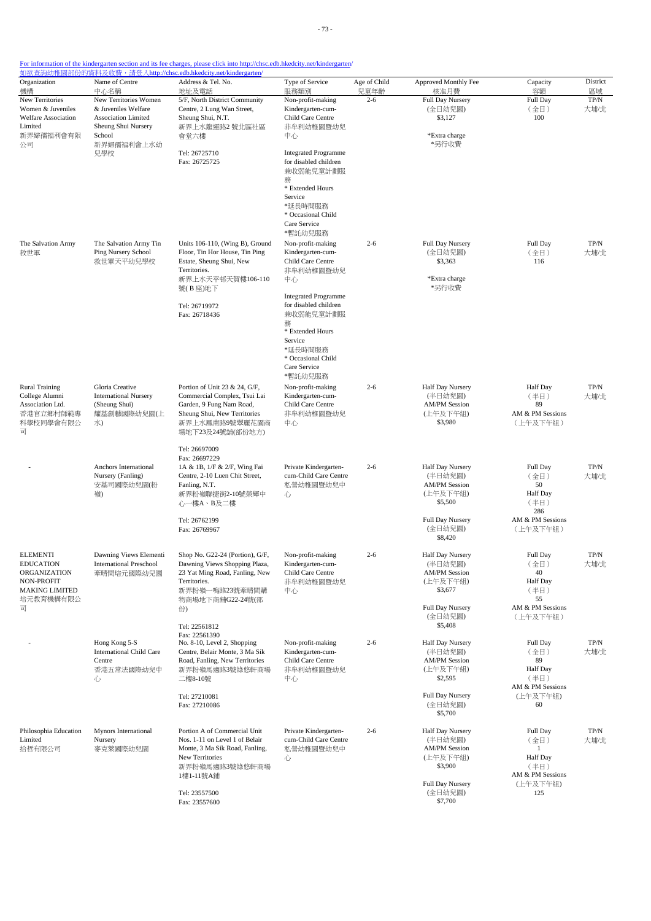| Organization<br>機構                                                                                                           | Name of Centre<br>中心名稱                                                                     | Address & Tel. No.<br>地址及電話                                                                                                                                                                      | Type of Service<br>服務類別                                                                                                                                                                                                                  | Age of Child<br>兒童年齡 | Approved Monthly Fee<br>核准月費                                                                                         | Capacity<br>容額                                                                           | District<br>區域        |
|------------------------------------------------------------------------------------------------------------------------------|--------------------------------------------------------------------------------------------|--------------------------------------------------------------------------------------------------------------------------------------------------------------------------------------------------|------------------------------------------------------------------------------------------------------------------------------------------------------------------------------------------------------------------------------------------|----------------------|----------------------------------------------------------------------------------------------------------------------|------------------------------------------------------------------------------------------|-----------------------|
| New Territories<br>Women & Juveniles<br><b>Welfare Association</b><br>Limited                                                | New Territories Women<br>& Juveniles Welfare<br>Association Limited<br>Sheung Shui Nursery | 5/F, North District Community<br>Centre, 2 Lung Wan Street,<br>Sheung Shui, N.T.<br>新界上水龍運路2號北區社區                                                                                                | Non-profit-making<br>Kindergarten-cum-<br>Child Care Centre<br>非牟利幼稚園暨幼兒                                                                                                                                                                 | $2 - 6$              | Full Day Nursery<br>(全日幼兒園)<br>\$3,127                                                                               | Full Day<br>(全日)<br>100                                                                  | TP/N<br>大埔/北          |
| 新界婦孺福利會有限<br>公司                                                                                                              | School<br>新界婦孺福利會上水幼<br>兒學校                                                                | 會堂六樓<br>Tel: 26725710<br>Fax: 26725725                                                                                                                                                           | 中心<br><b>Integrated Programme</b><br>for disabled children<br>兼收弱能兒童計劃服<br>務<br>* Extended Hours<br>Service<br>*延長時間服務<br>* Occasional Child<br>Care Service<br>*暫託幼兒服務                                                                  |                      | *Extra charge<br>*另行收費                                                                                               |                                                                                          |                       |
| The Salvation Army<br>救世軍                                                                                                    | The Salvation Army Tin<br>Ping Nursery School<br>救世軍天平幼兒學校                                 | Units 106-110, (Wing B), Ground<br>Floor, Tin Hor House, Tin Ping<br>Estate, Sheung Shui, New<br>Territories.<br>新界上水天平邨天賀樓106-110<br>號(B座)地下<br>Tel: 26719972<br>Fax: 26718436                  | Non-profit-making<br>Kindergarten-cum-<br>Child Care Centre<br>非牟利幼稚園暨幼兒<br>中心<br><b>Integrated Programme</b><br>for disabled children<br>兼收弱能兒童計劃服<br>務<br>* Extended Hours<br>Service<br>*延長時間服務<br>* Occasional Child<br>Care Service | $2 - 6$              | Full Day Nursery<br>(全日幼兒園)<br>\$3,363<br>*Extra charge<br>*另行收費                                                     | Full Day<br>(全日)<br>116                                                                  | $\mbox{TP/N}$<br>大埔/北 |
| <b>Rural Training</b><br>College Alumni<br>Association Ltd.<br>香港官立鄉村師範專<br>科學校同學會有限公<br>司                                   | Gloria Creative<br><b>International Nursery</b><br>(Sheung Shui)<br>耀基創藝國際幼兒園(上<br>水)      | Portion of Unit 23 & 24, G/F,<br>Commercial Complex, Tsui Lai<br>Garden, 9 Fung Nam Road,<br>Sheung Shui, New Territories<br>新界上水鳳南路9號翠麗花園商<br>場地下23及24號舖(部份地方)                                  | *暫託幼兒服務<br>Non-profit-making<br>Kindergarten-cum-<br>Child Care Centre<br>非牟利幼稚園暨幼兒<br>中心                                                                                                                                                | $2 - 6$              | Half Day Nursery<br>(半日幼兒園)<br><b>AM/PM Session</b><br>(上午及下午組)<br>\$3,980                                           | <b>Half</b> Day<br>(半日)<br>89<br>AM & PM Sessions<br>(上午及下午組)                            | $TP/N$<br>大埔/北        |
|                                                                                                                              | Anchors International<br>Nursery (Fanling)<br>安基司國際幼兒園(粉<br>嶺)                             | Tel: 26697009<br>Fax: 26697229<br>1A & 1B, 1/F & 2/F, Wing Fai<br>Centre, 2-10 Luen Chit Street,<br>Fanling, N.T.<br>新界粉嶺聯捷街2-10號榮輝中<br>心一樓A、B及二樓<br>Tel: 26762199<br>Fax: 26769967              | Private Kindergarten-<br>cum-Child Care Centre<br>私營幼稚園暨幼兒中<br>心                                                                                                                                                                         | $2 - 6$              | Half Day Nursery<br>(半日幼兒園)<br><b>AM/PM Session</b><br>(上午及下午組)<br>\$5,500<br>Full Day Nursery<br>(全日幼兒園)<br>\$8,420 | Full Day<br>(全日)<br>50<br><b>Half</b> Day<br>(半日)<br>286<br>AM & PM Sessions<br>(上午及下午組) | TP/N<br>大埔/北          |
| <b>ELEMENTI</b><br><b>EDUCATION</b><br>ORGANIZATION<br>NON-PROFIT<br><b>MAKING LIMITED</b><br>培元教育機構有限公<br>$\overline{\Box}$ | Dawning Views Elementi<br><b>International Preschool</b><br>牽晴間培元國際幼兒園                     | Shop No. G22-24 (Portion), G/F,<br>Dawning Views Shopping Plaza,<br>23 Yat Ming Road, Fanling, New<br>Territories.<br>新界粉嶺一鳴路23號牽晴間購<br>物商場地下商舖G22-24號(部<br>份)<br>Tel: 22561812<br>Fax: 22561390 | Non-profit-making<br>Kindergarten-cum-<br>Child Care Centre<br>非牟利幼稚園暨幼兒<br>中心                                                                                                                                                           | $2 - 6$              | Half Day Nursery<br>(半日幼兒園)<br><b>AM/PM Session</b><br>(上午及下午組)<br>\$3,677<br>Full Day Nursery<br>(全日幼兒園)<br>\$5,408 | Full Day<br>(全日)<br>40<br><b>Half</b> Day<br>(半日)<br>55<br>AM & PM Sessions<br>(上午及下午組)  | TP/N<br>大埔/北          |
|                                                                                                                              | Hong Kong 5-S<br><b>International Child Care</b><br>Centre<br>香港五常法國際幼兒中<br>心              | No. 8-10, Level 2, Shopping<br>Centre, Belair Monte, 3 Ma Sik<br>Road, Fanling, New Territories<br>新界粉嶺馬適路3號綠悠軒商場<br>二樓8-10號<br>Tel: 27210081<br>Fax: 27210086                                   | Non-profit-making<br>Kindergarten-cum-<br>Child Care Centre<br>非牟利幼稚園暨幼兒<br>中心                                                                                                                                                           | $2 - 6$              | Half Day Nursery<br>(半日幼兒園)<br><b>AM/PM Session</b><br>(上午及下午組)<br>\$2,595<br>Full Day Nursery<br>(全日幼兒園)<br>\$5,700 | Full Day<br>(全日)<br>89<br>Half Day<br>(半日)<br>AM & PM Sessions<br>(上午及下午組)<br>60         | $TP/N$<br>大埔/北        |
| Philosophia Education<br>Limited<br>拾哲有限公司                                                                                   | Mynors International<br>Nursery<br>麥克萊國際幼兒園                                                | Portion A of Commercial Unit<br>Nos. 1-11 on Level 1 of Belair<br>Monte, 3 Ma Sik Road, Fanling,<br>New Territories<br>新界粉嶺馬適路3號綠悠軒商場<br>1樓1-11號A鋪<br>Tel: 23557500<br>Fax: 23557600             | Private Kindergarten-<br>cum-Child Care Centre<br>私營幼稚園暨幼兒中<br>心                                                                                                                                                                         | $2 - 6$              | Half Day Nursery<br>(半日幼兒園)<br><b>AM/PM Session</b><br>(上午及下午組)<br>\$3,900<br>Full Day Nursery<br>(全日幼兒園)<br>\$7,700 | Full Day<br>(全日)<br>1<br>Half Day<br>(半日)<br>AM & PM Sessions<br>(上午及下午組)<br>125         | $\mbox{TP/N}$<br>大埔/北 |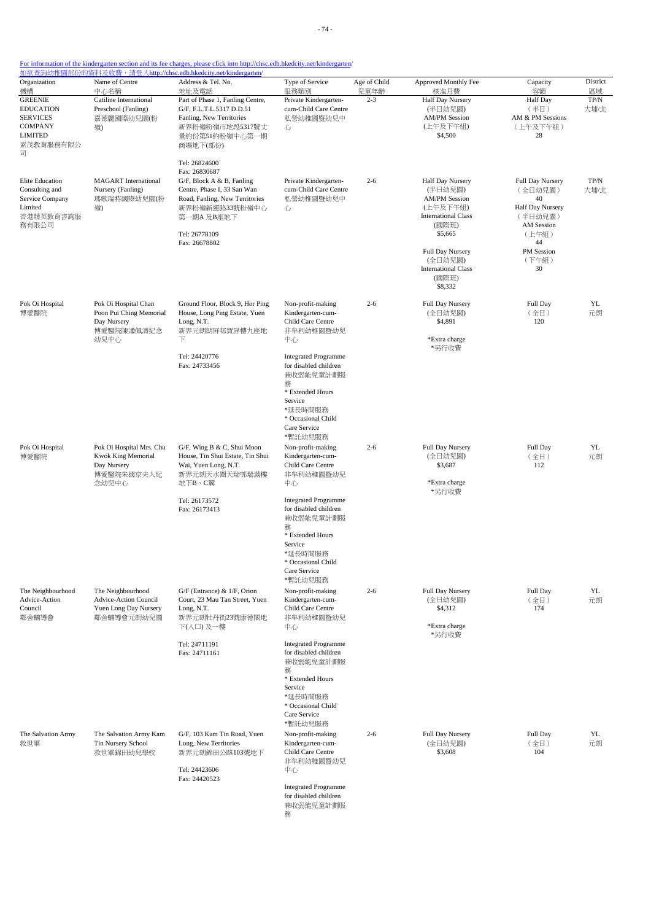- 74 -

### For information of the kindergarten section and its fee charges, please click into http://chsc.edb.hkedcity.net/kindergarten/

| Organization                                                                                                      | Name of Centre                                                                       | 如欲查詢幼稚園部份的資料及收費,請登入http://chsc.edb.hkedcity.net/kindergarten/<br>Address & Tel. No.                                                                                                               | Type of Service                                                                                                                                                                                                                                     | Age of Child    | Approved Monthly Fee                                                                                                                                                                               | Capacity                                                                                                                   | District           |
|-------------------------------------------------------------------------------------------------------------------|--------------------------------------------------------------------------------------|---------------------------------------------------------------------------------------------------------------------------------------------------------------------------------------------------|-----------------------------------------------------------------------------------------------------------------------------------------------------------------------------------------------------------------------------------------------------|-----------------|----------------------------------------------------------------------------------------------------------------------------------------------------------------------------------------------------|----------------------------------------------------------------------------------------------------------------------------|--------------------|
| 機構<br><b>GREENIE</b><br><b>EDUCATION</b><br><b>SERVICES</b><br><b>COMPANY</b><br><b>LIMITED</b><br>素茂教育服務有限公<br>司 | 中心名稱<br>Catiline International<br>Preschool (Fanling)<br>嘉德麗國際幼兒園(粉<br>嶺)            | 地址及電話<br>Part of Phase 1, Fanling Centre,<br>G/F, F.L.T.L.5317 D.D.51<br>Fanling, New Territories<br>新界粉嶺粉嶺市地段5317號丈<br>量約份第51約粉嶺中心第一期<br>商場地下(部份)                                                | 服務類別<br>Private Kindergarten-<br>cum-Child Care Centre<br>私營幼稚園暨幼兒中<br>心                                                                                                                                                                            | 兒童年齡<br>$2 - 3$ | 核准月費<br>Half Day Nursery<br>(半日幼兒園)<br><b>AM/PM Session</b><br>(上午及下午組)<br>\$4,500                                                                                                                 | 容額<br><b>Half</b> Day<br>(半日)<br>AM & PM Sessions<br>(上午及下午組)<br>28                                                        | 區域<br>TP/N<br>大埔/北 |
| Elite Education<br>Consulting and<br>Service Company<br>Limited<br>香港精英教育咨詢服<br>務有限公司                             | <b>MAGART</b> International<br>Nursery (Fanling)<br>瑪歌瑞特國際幼兒園(粉<br>嶺)                | Tel: 26824600<br>Fax: 26830687<br>$G/F$ , Block A & B, Fanling<br>Centre, Phase I, 33 San Wan<br>Road, Fanling, New Territories<br>新界粉嶺新運路33號粉嶺中心<br>第一期A 及B座地下<br>Tel: 26778109<br>Fax: 26678802 | Private Kindergarten-<br>cum-Child Care Centre<br>私營幼稚園暨幼兒中<br>心                                                                                                                                                                                    | $2 - 6$         | Half Day Nursery<br>(半日幼兒園)<br><b>AM/PM Session</b><br>(上午及下午組)<br><b>International Class</b><br>(國際班)<br>\$5,665<br>Full Day Nursery<br>(全日幼兒園)<br><b>International Class</b><br>(國際班)<br>\$8,332 | Full Day Nursery<br>(全日幼兒園)<br>40<br>Half Day Nursery<br>(半日幼兒園)<br>AM Session<br>(上午組)<br>44<br>PM Session<br>(下午組)<br>30 | TP/N<br>大埔/北       |
| Pok Oi Hospital<br>博愛醫院                                                                                           | Pok Oi Hospital Chan<br>Poon Pui Ching Memorial<br>Day Nursery<br>博愛醫院陳潘佩清紀念<br>幼兒中心 | Ground Floor, Block 9, Hor Ping<br>House, Long Ping Estate, Yuen<br>Long, N.T.<br>新界元朗朗屏邨賀屏樓九座地<br>下<br>Tel: 24420776                                                                             | Non-profit-making<br>Kindergarten-cum-<br>Child Care Centre<br>非牟利幼稚園暨幼兒<br>中心<br><b>Integrated Programme</b>                                                                                                                                       | $2 - 6$         | Full Day Nursery<br>(全日幼兒園)<br>\$4,891<br>*Extra charge<br>*另行收費                                                                                                                                   | Full Day<br>(全日)<br>120                                                                                                    | YL<br>元朗           |
| Pok Oi Hospital<br>博愛醫院                                                                                           | Pok Oi Hospital Mrs. Chu<br><b>Kwok King Memorial</b><br>Day Nursery                 | Fax: 24733456<br>G/F, Wing B & C, Shui Moon<br>House, Tin Shui Estate, Tin Shui<br>Wai, Yuen Long, N.T.                                                                                           | for disabled children<br>兼收弱能兒童計劃服<br>務<br>* Extended Hours<br>Service<br>*延長時間服務<br>* Occasional Child<br>Care Service<br>*暫託幼兒服務<br>Non-profit-making<br>Kindergarten-cum-<br>Child Care Centre                                                   | $2 - 6$         | Full Day Nursery<br>(全日幼兒園)<br>\$3,687                                                                                                                                                             | Full Day<br>(全日)<br>112                                                                                                    | YL<br>元朗           |
|                                                                                                                   | 博愛醫院朱國京夫人紀<br>念幼兒中心                                                                  | 新界元朗天水圍天瑞邨瑞滿樓<br>地下B、C翼<br>Tel: 26173572<br>Fax: 26173413                                                                                                                                         | 非牟利幼稚園暨幼兒<br>中心<br><b>Integrated Programme</b><br>for disabled children<br>兼收弱能兒童計劃服<br>務<br>* Extended Hours<br>Service<br>*延長時間服務<br>* Occasional Child<br>Care Service                                                                           |                 | *Extra charge<br>*另行收費                                                                                                                                                                             |                                                                                                                            |                    |
| The Neighbourhood<br>Advice-Action<br>Council<br>鄰舍輔導會                                                            | The Neighbourhood<br>Advice-Action Council<br>Yuen Long Day Nursery<br>鄰舍輔導會元朗幼兒園    | G/F (Entrance) & 1/F, Orion<br>Court, 23 Mau Tan Street, Yuen<br>Long, N.T.<br>新界元朗牡丹街23號康德閣地<br>下(入口)及一樓<br>Tel: 24711191<br>Fax: 24711161                                                       | *暫託幼兒服務<br>Non-profit-making<br>Kindergarten-cum-<br>Child Care Centre<br>非牟利幼稚園暨幼兒<br>中心<br><b>Integrated Programme</b><br>for disabled children                                                                                                   | $2 - 6$         | Full Day Nursery<br>(全日幼兒園)<br>\$4,312<br>*Extra charge<br>*另行收費                                                                                                                                   | Full Day<br>(全日)<br>174                                                                                                    | YL<br>元朗           |
| The Salvation Army<br>救世軍                                                                                         | The Salvation Army Kam<br>Tin Nursery School<br>救世軍錦田幼兒學校                            | G/F, 103 Kam Tin Road, Yuen<br>Long, New Territories<br>新界元朗錦田公路103號地下<br>Tel: 24423606<br>Fax: 24420523                                                                                          | 兼收弱能兒童計劃服<br>務<br>* Extended Hours<br>Service<br>*延長時間服務<br>* Occasional Child<br>Care Service<br>*暫託幼兒服務<br>Non-profit-making<br>Kindergarten-cum-<br>Child Care Centre<br>非牟利幼稚園暨幼兒<br>中心<br><b>Integrated Programme</b><br>for disabled children | $2 - 6$         | Full Day Nursery<br>(全日幼兒園)<br>\$3,608                                                                                                                                                             | Full Day<br>(全日)<br>104                                                                                                    | YL<br>元朗           |

務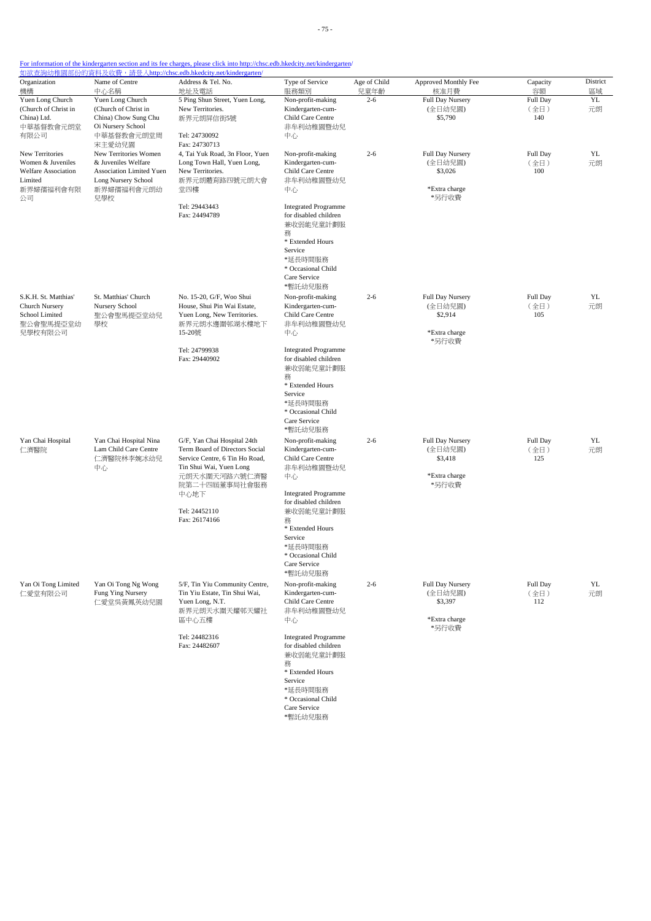| Organization                             | Name of Centre                               | Address & Tel. No.                                            | Type of Service                                      | Age of Child | Approved Monthly Fee        | Capacity         | District |
|------------------------------------------|----------------------------------------------|---------------------------------------------------------------|------------------------------------------------------|--------------|-----------------------------|------------------|----------|
| 機構                                       | 中心名稱<br>Yuen Long Church                     | 地址及電話                                                         | 服務類別                                                 | 兒童年齡         | 核准月費                        | 容額               | 區域       |
| Yuen Long Church<br>(Church of Christ in | (Church of Christ in                         | 5 Ping Shun Street, Yuen Long,<br>New Territories.            | Non-profit-making<br>Kindergarten-cum-               | $2 - 6$      | Full Day Nursery<br>(全日幼兒園) | Full Day<br>(全日) | YL<br>元朗 |
| China) Ltd.                              | China) Chow Sung Chu                         | 新界元朗屏信街5號                                                     | Child Care Centre                                    |              | \$5,790                     | 140              |          |
| 中華基督教會元朗堂                                | Oi Nursery School                            |                                                               | 非牟利幼稚園暨幼兒                                            |              |                             |                  |          |
| 有限公司                                     | 中華基督教會元朗堂周                                   | Tel: 24730092                                                 | 中心                                                   |              |                             |                  |          |
|                                          | 宋主愛幼兒園                                       | Fax: 24730713                                                 |                                                      |              |                             |                  |          |
| New Territories<br>Women & Juveniles     | New Territories Women<br>& Juveniles Welfare | 4, Tai Yuk Road, 3n Floor, Yuen<br>Long Town Hall, Yuen Long, | Non-profit-making<br>Kindergarten-cum-               | $2 - 6$      | Full Day Nursery<br>(全日幼兒園) | Full Day<br>(全日) | YL<br>元朗 |
| Welfare Association                      | Association Limited Yuen                     | New Territories.                                              | Child Care Centre                                    |              | \$3,026                     | 100              |          |
| Limited                                  | Long Nursery School                          | 新界元朗體育路四號元朗大會                                                 | 非牟利幼稚園暨幼兒                                            |              |                             |                  |          |
| 新界婦孺福利會有限                                | 新界婦孺福利會元朗幼                                   | 堂四樓                                                           | 中心                                                   |              | *Extra charge               |                  |          |
| 公司                                       | 兒學校                                          | Tel: 29443443                                                 | <b>Integrated Programme</b>                          |              | *另行收費                       |                  |          |
|                                          |                                              | Fax: 24494789                                                 | for disabled children                                |              |                             |                  |          |
|                                          |                                              |                                                               | 兼收弱能兒童計劃服                                            |              |                             |                  |          |
|                                          |                                              |                                                               | 務                                                    |              |                             |                  |          |
|                                          |                                              |                                                               | * Extended Hours<br>Service                          |              |                             |                  |          |
|                                          |                                              |                                                               | *延長時間服務                                              |              |                             |                  |          |
|                                          |                                              |                                                               | * Occasional Child                                   |              |                             |                  |          |
|                                          |                                              |                                                               | Care Service                                         |              |                             |                  |          |
|                                          |                                              |                                                               | *暫託幼兒服務                                              |              |                             |                  |          |
| S.K.H. St. Matthias'                     | St. Matthias' Church                         | No. 15-20, G/F, Woo Shui                                      | Non-profit-making                                    | $2 - 6$      | Full Day Nursery            | Full Day         | YL       |
| <b>Church Nursery</b><br>School Limited  | Nursery School<br>聖公會聖馬提亞堂幼兒                 | House, Shui Pin Wai Estate,<br>Yuen Long, New Territories.    | Kindergarten-cum-<br>Child Care Centre               |              | (全日幼兒園)<br>\$2,914          | (全日)<br>105      | 元朗       |
| 聖公會聖馬提亞堂幼                                | 學校                                           | 新界元朗水邊圍邨湖水樓地下                                                 | 非牟利幼稚園暨幼兒                                            |              |                             |                  |          |
| 兒學校有限公司                                  |                                              | 15-20號                                                        | 中心                                                   |              | *Extra charge               |                  |          |
|                                          |                                              |                                                               |                                                      |              | *另行收費                       |                  |          |
|                                          |                                              | Tel: 24799938<br>Fax: 29440902                                | <b>Integrated Programme</b><br>for disabled children |              |                             |                  |          |
|                                          |                                              |                                                               | 兼收弱能兒童計劃服                                            |              |                             |                  |          |
|                                          |                                              |                                                               | 務                                                    |              |                             |                  |          |
|                                          |                                              |                                                               | * Extended Hours                                     |              |                             |                  |          |
|                                          |                                              |                                                               | Service                                              |              |                             |                  |          |
|                                          |                                              |                                                               | *延長時間服務<br>* Occasional Child                        |              |                             |                  |          |
|                                          |                                              |                                                               | Care Service                                         |              |                             |                  |          |
|                                          |                                              |                                                               | *暫託幼兒服務                                              |              |                             |                  |          |
| Yan Chai Hospital                        | Yan Chai Hospital Nina                       | G/F, Yan Chai Hospital 24th                                   | Non-profit-making                                    | $2 - 6$      | Full Day Nursery            | Full Day         | YL       |
| 仁濟醫院                                     | Lam Child Care Centre                        | Term Board of Directors Social                                | Kindergarten-cum-                                    |              | (全日幼兒園)                     | (全日)             | 元朗       |
|                                          | 仁濟醫院林李婉冰幼兒<br>中心                             | Service Centre, 6 Tin Ho Road,<br>Tin Shui Wai, Yuen Long     | Child Care Centre<br>非牟利幼稚園暨幼兒                       |              | \$3,418                     | 125              |          |
|                                          |                                              | 元朗天水圍天河路六號仁濟醫                                                 | 中心                                                   |              | *Extra charge               |                  |          |
|                                          |                                              | 院第二十四屆董事局社會服務                                                 |                                                      |              | *另行收費                       |                  |          |
|                                          |                                              | 中心地下                                                          | <b>Integrated Programme</b>                          |              |                             |                  |          |
|                                          |                                              | Tel: 24452110                                                 | for disabled children                                |              |                             |                  |          |
|                                          |                                              | Fax: 26174166                                                 | 兼收弱能兒童計劃服<br>務                                       |              |                             |                  |          |
|                                          |                                              |                                                               | * Extended Hours                                     |              |                             |                  |          |
|                                          |                                              |                                                               | Service                                              |              |                             |                  |          |
|                                          |                                              |                                                               | *延長時間服務                                              |              |                             |                  |          |
|                                          |                                              |                                                               | * Occasional Child<br>Care Service                   |              |                             |                  |          |
|                                          |                                              |                                                               | *暫託幼兒服務                                              |              |                             |                  |          |
| Yan Oi Tong Limited                      | Yan Oi Tong Ng Wong                          | 5/F, Tin Yiu Community Centre,                                | Non-profit-making                                    | $2 - 6$      | Full Day Nursery            | Full Day         | YL       |
| 仁愛堂有限公司                                  | Fung Ying Nursery                            | Tin Yiu Estate, Tin Shui Wai,                                 | Kindergarten-cum-                                    |              | (全日幼兒園)                     | (全日)             | 元朗       |
|                                          | 仁愛堂吳黃鳳英幼兒園                                   | Yuen Long, N.T.                                               | Child Care Centre                                    |              | \$3,397                     | 112              |          |
|                                          |                                              | 新界元朗天水圍天耀邨天耀社<br>區中心五樓                                        | 非牟利幼稚園暨幼兒                                            |              | *Extra charge               |                  |          |
|                                          |                                              |                                                               | 中心                                                   |              | *另行收費                       |                  |          |
|                                          |                                              | Tel: 24482316                                                 | <b>Integrated Programme</b>                          |              |                             |                  |          |
|                                          |                                              | Fax: 24482607                                                 | for disabled children                                |              |                             |                  |          |
|                                          |                                              |                                                               | 兼收弱能兒童計劃服                                            |              |                             |                  |          |
|                                          |                                              |                                                               | 務<br>* Extended Hours                                |              |                             |                  |          |
|                                          |                                              |                                                               | Service                                              |              |                             |                  |          |
|                                          |                                              |                                                               | *延長時間服務                                              |              |                             |                  |          |
|                                          |                                              |                                                               | * Occasional Child                                   |              |                             |                  |          |

Care Service \*暫託幼兒服務

- 75 -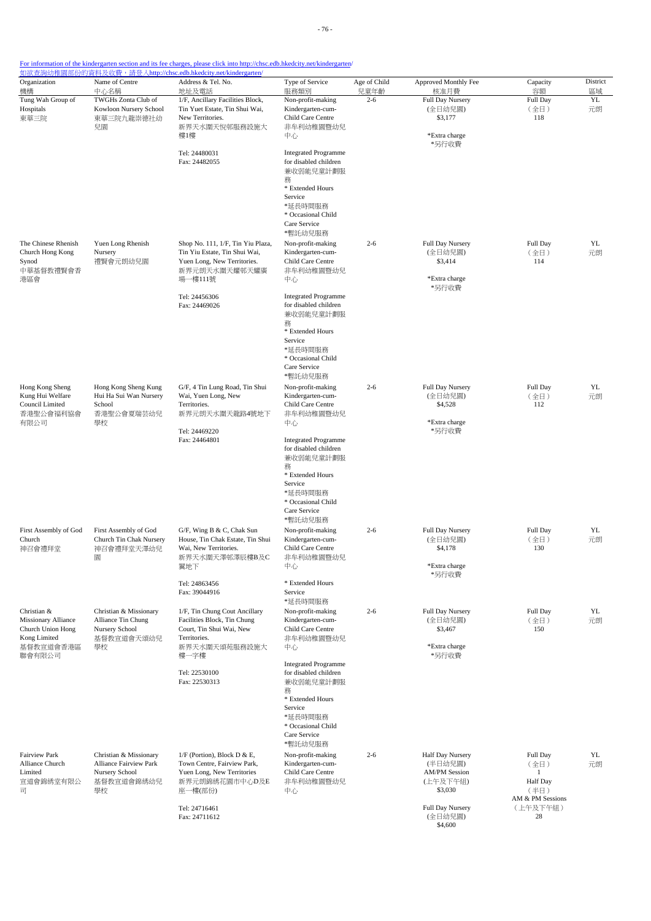| Organization<br>機構                                                                   | Name of Centre<br>中心名稱                                                                 | Address & Tel. No.<br>地址及電話                                                                                                   | Type of Service<br>服務類別                                                                                                                                           | Age of Child<br>兒童年齡 | Approved Monthly Fee<br>核准月費                                               | Capacity<br>容額                                                 | District<br>區域 |
|--------------------------------------------------------------------------------------|----------------------------------------------------------------------------------------|-------------------------------------------------------------------------------------------------------------------------------|-------------------------------------------------------------------------------------------------------------------------------------------------------------------|----------------------|----------------------------------------------------------------------------|----------------------------------------------------------------|----------------|
| Tung Wah Group of<br>Hospitals<br>東華三院                                               | TWGHs Zonta Club of<br>Kowloon Nursery School<br>東華三院九龍崇德社幼<br>兒園                      | 1/F, Ancillary Facilities Block,<br>Tin Yuet Estate, Tin Shui Wai,<br>New Territories.<br>新界天水圍天悅邨服務設施大<br>樓1樓                | Non-profit-making<br>Kindergarten-cum-<br>Child Care Centre<br>非牟利幼稚園暨幼兒<br>中心                                                                                    | $2 - 6$              | Full Day Nursery<br>(全日幼兒園)<br>\$3,177<br>*Extra charge                    | Full Day<br>(全日)<br>118                                        | YL<br>元朗       |
|                                                                                      |                                                                                        | Tel: 24480031<br>Fax: 24482055                                                                                                | <b>Integrated Programme</b><br>for disabled children<br>兼收弱能兒童計劃服<br>務                                                                                            |                      | *另行收費                                                                      |                                                                |                |
|                                                                                      |                                                                                        |                                                                                                                               | * Extended Hours<br>Service<br>*延長時間服務<br>* Occasional Child<br>Care Service<br>*暫託幼兒服務                                                                           |                      |                                                                            |                                                                |                |
| The Chinese Rhenish<br>Church Hong Kong<br>Synod<br>中華基督教禮賢會香<br>港區會                 | Yuen Long Rhenish<br>Nursery<br>禮賢會元朗幼兒園                                               | Shop No. 111, 1/F, Tin Yiu Plaza,<br>Tin Yiu Estate, Tin Shui Wai,<br>Yuen Long, New Territories.<br>新界元朗天水圍天耀邨天耀廣<br>場一樓111號 | Non-profit-making<br>Kindergarten-cum-<br>Child Care Centre<br>非牟利幼稚園暨幼兒<br>中心                                                                                    | $2 - 6$              | Full Day Nursery<br>(全日幼兒園)<br>\$3,414<br>*Extra charge<br>*另行收費           | Full Day<br>(全日)<br>114                                        | YL<br>元朗       |
|                                                                                      |                                                                                        | Tel: 24456306<br>Fax: 24469026                                                                                                | <b>Integrated Programme</b><br>for disabled children<br>兼收弱能兒童計劃服<br>務<br>* Extended Hours                                                                        |                      |                                                                            |                                                                |                |
|                                                                                      |                                                                                        |                                                                                                                               | Service<br>*延長時間服務<br>* Occasional Child<br>Care Service<br>*暫託幼兒服務                                                                                               |                      |                                                                            |                                                                |                |
| Hong Kong Sheng<br>Kung Hui Welfare<br>Council Limited<br>香港聖公會福利協會<br>有限公司          | Hong Kong Sheng Kung<br>Hui Ha Sui Wan Nursery<br>School<br>香港聖公會夏瑞芸幼兒<br>學校           | G/F, 4 Tin Lung Road, Tin Shui<br>Wai, Yuen Long, New<br>Territories.<br>新界元朗天水圍天龍路4號地下<br>Tel: 24469220                      | Non-profit-making<br>Kindergarten-cum-<br>Child Care Centre<br>非牟利幼稚園暨幼兒<br>中心                                                                                    | $2 - 6$              | <b>Full Day Nursery</b><br>(全日幼兒園)<br>\$4,528<br>*Extra charge<br>*另行收費    | Full Day<br>(全日)<br>112                                        | YL<br>元朗       |
|                                                                                      |                                                                                        | Fax: 24464801                                                                                                                 | <b>Integrated Programme</b><br>for disabled children<br>兼收弱能兒童計劃服<br>務<br>* Extended Hours<br>Service<br>*延長時間服務<br>* Occasional Child<br>Care Service<br>*暫託幼兒服務 |                      |                                                                            |                                                                |                |
| First Assembly of God<br>Church<br>神召會禮拜堂                                            | First Assembly of God<br>Church Tin Chak Nursery<br>神召會禮拜堂天澤幼兒<br>園                    | G/F, Wing B & C, Chak Sun<br>House, Tin Chak Estate, Tin Shui<br>Wai, New Territories.<br>新界天水圍天澤邨澤辰樓B及C<br>翼地下               | Non-profit-making<br>Kindergarten-cum-<br>Child Care Centre<br>非牟利幼稚園暨幼兒<br>中心                                                                                    | $2 - 6$              | Full Day Nursery<br>(全日幼兒園)<br>\$4,178<br>*Extra charge<br>*另行收費           | Full Day<br>(全日)<br>130                                        | YL<br>元朗       |
|                                                                                      |                                                                                        | Tel: 24863456<br>Fax: 39044916                                                                                                | * Extended Hours<br>Service<br>*延長時間服務                                                                                                                            |                      |                                                                            |                                                                |                |
| Christian &<br>Missionary Alliance<br>Church Union Hong<br>Kong Limited<br>基督教宣道會香港區 | Christian & Missionary<br>Alliance Tin Chung<br>Nursery School<br>基督教宣道會天頌幼兒<br>學校     | 1/F, Tin Chung Cout Ancillary<br>Facilities Block, Tin Chung<br>Court, Tin Shui Wai, New<br>Territories.<br>新界天水圍天頌苑服務設施大     | Non-profit-making<br>Kindergarten-cum-<br>Child Care Centre<br>非牟利幼稚園暨幼兒<br>中心                                                                                    | $2 - 6$              | Full Day Nursery<br>(全日幼兒園)<br>\$3,467<br>*Extra charge                    | Full Day<br>(全日)<br>150                                        | YL<br>元朗       |
| 聯會有限公司                                                                               |                                                                                        | 樓一字樓<br>Tel: 22530100<br>Fax: 22530313                                                                                        | <b>Integrated Programme</b><br>for disabled children<br>兼收弱能兒童計劃服<br>務<br>* Extended Hours<br>Service<br>*延長時間服務<br>* Occasional Child<br>Care Service<br>*暫託幼兒服務 |                      | *另行收費                                                                      |                                                                |                |
| <b>Fairview Park</b><br>Alliance Church<br>Limited<br>宣道會錦綉堂有限公<br>司                 | Christian & Missionary<br>Alliance Fairview Park<br>Nursery School<br>基督教宣道會錦綉幼兒<br>學校 | $1/F$ (Portion), Block D & E,<br>Town Centre, Fairview Park,<br>Yuen Long, New Territories<br>新界元朗錦綉花園市中心D及E<br>座一樓(部份)       | Non-profit-making<br>Kindergarten-cum-<br>Child Care Centre<br>非牟利幼稚園暨幼兒<br>中心                                                                                    | $2 - 6$              | Half Day Nursery<br>(半日幼兒園)<br><b>AM/PM Session</b><br>(上午及下午組)<br>\$3,030 | Full Day<br>(全日)<br>-1<br>Half Day<br>(半日)<br>AM & PM Sessions | YL<br>元朗       |
|                                                                                      |                                                                                        | Tel: 24716461<br>Fax: 24711612                                                                                                |                                                                                                                                                                   |                      | Full Day Nursery<br>(全日幼兒園)<br>\$4,600                                     | (上午及下午組)<br>28                                                 |                |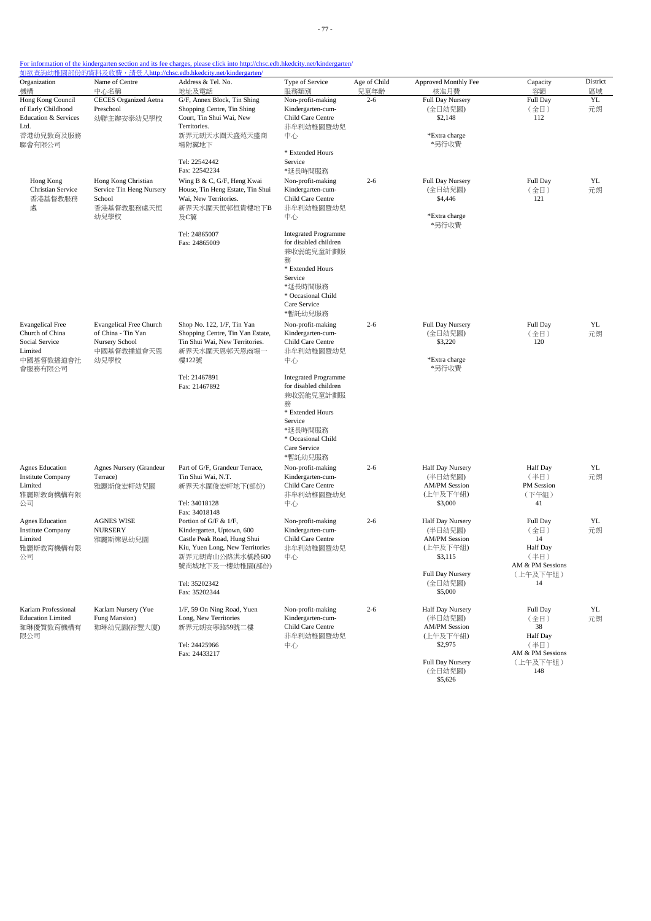| Organization                    | Name of Centre                 | Address & Tel. No.               | Type of Service                | Age of Child | Approved Monthly Fee   | Capacity         | District |
|---------------------------------|--------------------------------|----------------------------------|--------------------------------|--------------|------------------------|------------------|----------|
| 機構                              | 中心名稱                           | 地址及電話                            | 服務類別                           | 兒童年齡         | 核准月費                   | 容額               | 區域       |
| Hong Kong Council               | <b>CECES</b> Organized Aetna   | G/F, Annex Block, Tin Shing      | Non-profit-making              | $2 - 6$      | Full Day Nursery       | Full Day         | YL       |
| of Early Childhood              | Preschool                      | Shopping Centre, Tin Shing       | Kindergarten-cum-              |              | (全日幼兒園)                | (全日)             | 元朗       |
| <b>Education &amp; Services</b> | 幼聯主辦安泰幼兒學校                     | Court, Tin Shui Wai, New         | Child Care Centre              |              | \$2,148                | 112              |          |
| Ltd.                            |                                | Territories.                     | 非牟利幼稚園暨幼兒                      |              |                        |                  |          |
| 香港幼兒教育及服務<br>聯會有限公司             |                                | 新界元朗天水圍天盛苑天盛商<br>場附翼地下           | 中心                             |              | *Extra charge<br>*另行收費 |                  |          |
|                                 |                                |                                  | * Extended Hours               |              |                        |                  |          |
|                                 |                                | Tel: 22542442                    | Service                        |              |                        |                  |          |
|                                 |                                | Fax: 22542234                    | *延長時間服務                        |              |                        |                  |          |
| Hong Kong                       | Hong Kong Christian            | Wing B & C, G/F, Heng Kwai       | Non-profit-making              | $2 - 6$      | Full Day Nursery       | Full Day         | YL       |
| Christian Service               | Service Tin Heng Nursery       | House, Tin Heng Estate, Tin Shui | Kindergarten-cum-              |              | (全日幼兒園)                | (全日)             | 元朗       |
| 香港基督教服務                         | School                         | Wai, New Territories.            | Child Care Centre              |              | \$4,446                | 121              |          |
| 處                               | 香港基督教服務處天恒                     | 新界天水圍天恒邨恒貴樓地下B                   | 非牟利幼稚園暨幼兒                      |              |                        |                  |          |
|                                 | 幼兒學校                           | 及C翼                              | 中心                             |              | *Extra charge<br>*另行收費 |                  |          |
|                                 |                                | Tel: 24865007                    | <b>Integrated Programme</b>    |              |                        |                  |          |
|                                 |                                | Fax: 24865009                    | for disabled children          |              |                        |                  |          |
|                                 |                                |                                  | 兼收弱能兒童計劃服                      |              |                        |                  |          |
|                                 |                                |                                  | 務                              |              |                        |                  |          |
|                                 |                                |                                  | * Extended Hours               |              |                        |                  |          |
|                                 |                                |                                  | Service                        |              |                        |                  |          |
|                                 |                                |                                  | *延長時間服務                        |              |                        |                  |          |
|                                 |                                |                                  | * Occasional Child             |              |                        |                  |          |
|                                 |                                |                                  | Care Service                   |              |                        |                  |          |
|                                 |                                |                                  | *暫託幼兒服務                        |              |                        |                  |          |
| <b>Evangelical Free</b>         | <b>Evangelical Free Church</b> | Shop No. 122, 1/F, Tin Yan       | Non-profit-making              | $2 - 6$      | Full Day Nursery       | Full Day         | YL       |
| Church of China                 | of China - Tin Yan             | Shopping Centre, Tin Yan Estate, | Kindergarten-cum-              |              | (全日幼兒園)                | (全日)             | 元朗       |
| Social Service<br>Limited       | Nursery School<br>中國基督教播道會天恩   | Tin Shui Wai, New Territories.   | Child Care Centre<br>非牟利幼稚園暨幼兒 |              | \$3,220                | 120              |          |
| 中國基督教播道會社                       | 幼兒學校                           | 新界天水圍天恩邨天恩商場一<br>樓122號           | 中心                             |              | *Extra charge          |                  |          |
| 會服務有限公司                         |                                |                                  |                                |              | *另行收費                  |                  |          |
|                                 |                                | Tel: 21467891                    | <b>Integrated Programme</b>    |              |                        |                  |          |
|                                 |                                | Fax: 21467892                    | for disabled children          |              |                        |                  |          |
|                                 |                                |                                  | 兼收弱能兒童計劃服                      |              |                        |                  |          |
|                                 |                                |                                  | 務                              |              |                        |                  |          |
|                                 |                                |                                  | * Extended Hours               |              |                        |                  |          |
|                                 |                                |                                  | Service                        |              |                        |                  |          |
|                                 |                                |                                  | *延長時間服務                        |              |                        |                  |          |
|                                 |                                |                                  | * Occasional Child             |              |                        |                  |          |
|                                 |                                |                                  | Care Service                   |              |                        |                  |          |
|                                 |                                |                                  | *暫託幼兒服務                        |              |                        |                  |          |
| <b>Agnes Education</b>          | Agnes Nursery (Grandeur        | Part of G/F, Grandeur Terrace,   | Non-profit-making              | $2 - 6$      | Half Day Nursery       | Half Day         | YL       |
| <b>Institute Company</b>        | Terrace)                       | Tin Shui Wai, N.T.               | Kindergarten-cum-              |              | (半日幼兒園)                | (半日)             | 元朗       |
| Limited                         | 雅麗斯俊宏軒幼兒園                      | 新界天水圍俊宏軒地下(部份)                   | Child Care Centre              |              | <b>AM/PM</b> Session   | PM Session       |          |
| 雅麗斯教育機構有限<br>公司                 |                                | Tel: 34018128                    | 非牟利幼稚園暨幼兒<br>中心                |              | (上午及下午組)<br>\$3,000    | (下午組)<br>41      |          |
|                                 |                                | Fax: 34018148                    |                                |              |                        |                  |          |
| <b>Agnes Education</b>          | <b>AGNES WISE</b>              | Portion of G/F & 1/F,            | Non-profit-making              | $2 - 6$      | Half Day Nursery       | Full Day         | YL       |
| <b>Institute Company</b>        | <b>NURSERY</b>                 | Kindergarten, Uptown, 600        | Kindergarten-cum-              |              | (半日幼兒園)                | (全日)             | 元朗       |
| Limited                         | 雅麗斯樂思幼兒園                       | Castle Peak Road, Hung Shui      | Child Care Centre              |              | <b>AM/PM</b> Session   | 14               |          |
| 雅麗斯教育機構有限                       |                                | Kiu, Yuen Long, New Territories  | 非牟利幼稚園暨幼兒                      |              | (上午及下午組)               | <b>Half</b> Day  |          |
| 公司                              |                                | 新界元朗青山公路洪水橋段600                  | 中心                             |              | \$3,115                | (半日)             |          |
|                                 |                                | 號尚城地下及一樓幼稚園(部份)                  |                                |              |                        | AM & PM Sessions |          |
|                                 |                                |                                  |                                |              | Full Day Nursery       | (上午及下午組)         |          |
|                                 |                                | Tel: 35202342                    |                                |              | (全日幼兒園)                | 14               |          |
|                                 |                                | Fax: 35202344                    |                                |              | \$5,000                |                  |          |
| Karlam Professional             | Karlam Nursery (Yue            | 1/F, 59 On Ning Road, Yuen       | Non-profit-making              | $2 - 6$      | Half Day Nursery       | Full Day         | YL       |
| <b>Education Limited</b>        | Fung Mansion)                  | Long, New Territories            | Kindergarten-cum-              |              | (半日幼兒園)                | (全日)             | 元朗       |
| 珈琳優質教育機構有                       | 珈琳幼兒園(裕豐大廈)                    | 新界元朗安寧路59號二樓                     | Child Care Centre              |              | <b>AM/PM Session</b>   | 38               |          |
| 限公司                             |                                |                                  | 非牟利幼稚園暨幼兒                      |              | (上午及下午組)               | <b>Half Day</b>  |          |
|                                 |                                | Tel: 24425966                    | 中心                             |              | \$2,975                | (半日)             |          |
|                                 |                                | Fax: 24433217                    |                                |              |                        | AM & PM Sessions |          |
|                                 |                                |                                  |                                |              | Full Day Nursery       | (上午及下午組)         |          |
|                                 |                                |                                  |                                |              | (全日幼兒園)                | 148              |          |
|                                 |                                |                                  |                                |              | \$5,626                |                  |          |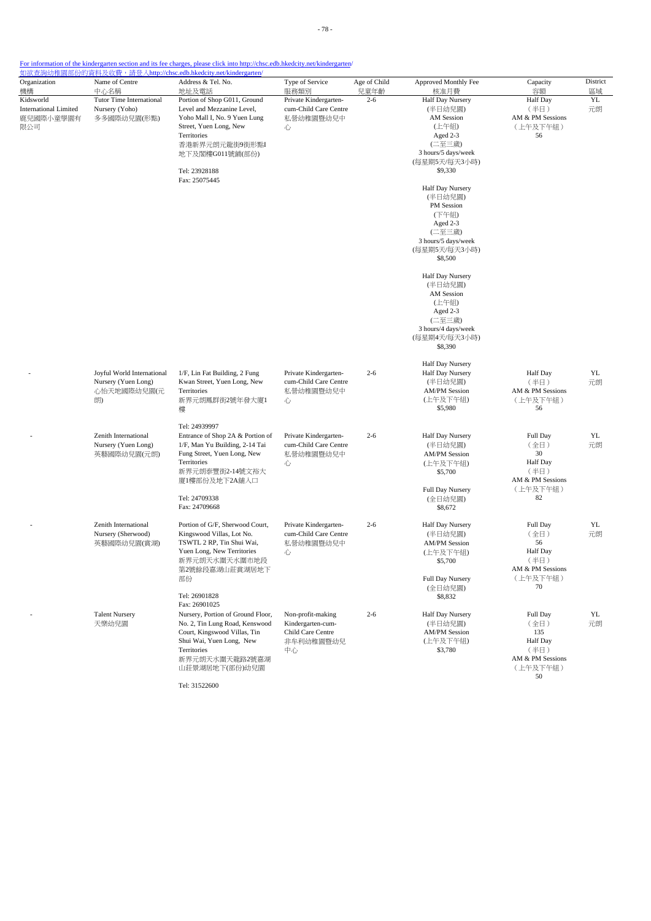| Organization                                                  | Name of Centre                                                         | 如欲查詢幼稚園部份的資料及收費,請登入http://chsc.edb.hkedcity.net/kindergarten/<br>Address & Tel. No.                                                                                                                        | Type of Service                                                                | Age of Child | Approved Monthly Fee                                                                                                                                                                                                                                       | Capacity                                                                                | District |
|---------------------------------------------------------------|------------------------------------------------------------------------|------------------------------------------------------------------------------------------------------------------------------------------------------------------------------------------------------------|--------------------------------------------------------------------------------|--------------|------------------------------------------------------------------------------------------------------------------------------------------------------------------------------------------------------------------------------------------------------------|-----------------------------------------------------------------------------------------|----------|
| 機構                                                            | 中心名稱                                                                   | 地址及電話                                                                                                                                                                                                      | 服務類別                                                                           | 兒童年齡         | 核准月費                                                                                                                                                                                                                                                       | 容額                                                                                      | 區域       |
| Kidsworld<br><b>International Limited</b><br>鹿兒國際小童學園有<br>限公司 | <b>Tutor Time International</b><br>Nursery (Yoho)<br>多多國際幼兒園(形點)       | Portion of Shop G011, Ground<br>Level and Mezzanine Level,<br>Yoho Mall I, No. 9 Yuen Lung<br>Street, Yuen Long, New<br>Territories<br>香港新界元朗元龍街9街形點I<br>地下及閣樓G011號鋪(部份)<br>Tel: 23928188<br>Fax: 25075445 | Private Kindergarten-<br>cum-Child Care Centre<br>私營幼稚園暨幼兒中<br>心               | $2 - 6$      | Half Day Nursery<br>(半日幼兒園)<br>AM Session<br>(上午組)<br>Aged 2-3<br>(二至三歲)<br>3 hours/5 days/week<br>(每星期5天/每天3小時)<br>\$9,330<br>Half Day Nursery<br>(半日幼兒園)<br>PM Session<br>(下午組)<br>Aged 2-3<br>(二至三歲)<br>3 hours/5 days/week<br>(每星期5天/每天3小時)<br>\$8,500 | Half Day<br>(半日)<br>AM & PM Sessions<br>(上午及下午組)<br>56                                  | YL<br>元朗 |
|                                                               |                                                                        |                                                                                                                                                                                                            |                                                                                |              | Half Day Nursery<br>(半日幼兒園)<br>AM Session<br>(上午組)<br>Aged 2-3<br>(二至三歲)<br>3 hours/4 days/week<br>(每星期4天/每天3小時)<br>\$8,390                                                                                                                                |                                                                                         |          |
|                                                               | Joyful World International<br>Nursery (Yuen Long)<br>心怡天地國際幼兒園(元<br>朗) | 1/F, Lin Fat Building, 2 Fung<br>Kwan Street, Yuen Long, New<br>Territories<br>新界元朗鳳群街2號年發大廈1<br>樓                                                                                                         | Private Kindergarten-<br>cum-Child Care Centre<br>私營幼稚園暨幼兒中<br>心               | $2 - 6$      | Half Day Nursery<br>Half Day Nursery<br>(半日幼兒園)<br><b>AM/PM Session</b><br>(上午及下午組)<br>\$5,980                                                                                                                                                             | <b>Half</b> Day<br>(半日)<br>AM & PM Sessions<br>(上午及下午組)<br>56                           | YL<br>元朗 |
|                                                               | Zenith International<br>Nursery (Yuen Long)<br>英藝國際幼兒園(元朗)             | Tel: 24939997<br>Entrance of Shop 2A & Portion of<br>1/F, Man Yu Building, 2-14 Tai<br>Fung Street, Yuen Long, New<br>Territories<br>新界元朗泰豐街2-14號文裕大<br>廈1樓部份及地下2A舖入口<br>Tel: 24709338<br>Fax: 24709668    | Private Kindergarten-<br>cum-Child Care Centre<br>私營幼稚園暨幼兒中<br>心               | $2 - 6$      | Half Day Nursery<br>(半日幼兒園)<br><b>AM/PM Session</b><br>(上午及下午組)<br>\$5,700<br>Full Day Nursery<br>(全日幼兒園)<br>\$8,672                                                                                                                                       | Full Day<br>(全日)<br>30<br><b>Half Day</b><br>(半日)<br>AM & PM Sessions<br>(上午及下午組)<br>82 | YL<br>元朗 |
|                                                               | Zenith International<br>Nursery (Sherwood)<br>英藝國際幼兒園(賞湖)              | Portion of G/F, Sherwood Court,<br>Kingswood Villas, Lot No.<br>TSWTL 2 RP, Tin Shui Wai,<br>Yuen Long, New Territories<br>新界元朗天水圍天水圍市地段<br>第2號餘段嘉湖山莊賞湖居地下<br>部份<br>Tel: 26901828<br>Fax: 26901025         | Private Kindergarten-<br>cum-Child Care Centre<br>私營幼稚園暨幼兒中<br>心               | $2 - 6$      | Half Day Nursery<br>(半日幼兒園)<br><b>AM/PM Session</b><br>(上午及下午組)<br>\$5,700<br>Full Day Nursery<br>(全日幼兒園)<br>\$8,832                                                                                                                                       | Full Day<br>(全日)<br>56<br>Half Day<br>(半日)<br>AM & PM Sessions<br>(上午及下午組)<br>70        | YL<br>元朗 |
|                                                               | <b>Talent Nursery</b><br>天樂幼兒園                                         | Nursery, Portion of Ground Floor,<br>No. 2, Tin Lung Road, Kenswood<br>Court, Kingswood Villas, Tin<br>Shui Wai, Yuen Long, New<br>Territories<br>新界元朗天水圍天龍路2號嘉湖<br>山莊景湖居地下(部份)幼兒園                         | Non-profit-making<br>Kindergarten-cum-<br>Child Care Centre<br>非牟利幼稚園暨幼兒<br>中心 | $2 - 6$      | Half Day Nursery<br>(半日幼兒園)<br><b>AM/PM Session</b><br>(上午及下午組)<br>\$3,780                                                                                                                                                                                 | Full Day<br>(全日)<br>135<br>Half Day<br>(半日)<br>AM & PM Sessions<br>(上午及下午組)<br>50       | YL<br>元朗 |

Tel: 31522600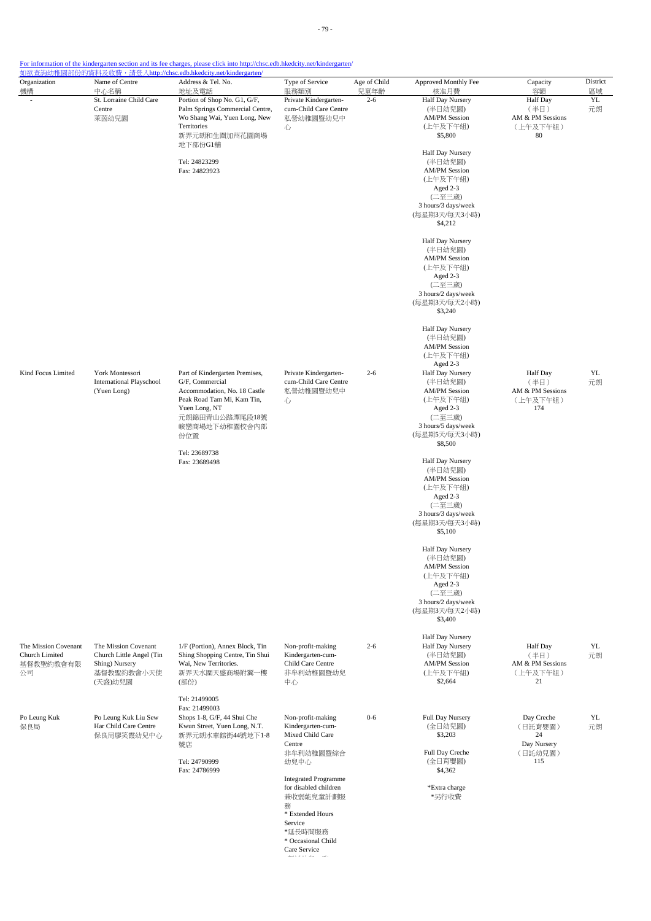For information of the kindergarten section and its fee charges, please click into http://chsc.edb.hkedcity.net/kindergarten/

| Organization<br>機構                                        | Name of Centre<br>中心名稱                                                                      | Address & Tel. No.<br>地址及電話                                                                                                                                                  | Type of Service<br>服務類別                                                                                                                | Age of Child<br>兒童年齡 | Approved Monthly Fee<br>核准月費                                                                                                                                                                                                                                                                                                                                                                                              | Capacity<br>容額                                                 | District<br>區域 |
|-----------------------------------------------------------|---------------------------------------------------------------------------------------------|------------------------------------------------------------------------------------------------------------------------------------------------------------------------------|----------------------------------------------------------------------------------------------------------------------------------------|----------------------|---------------------------------------------------------------------------------------------------------------------------------------------------------------------------------------------------------------------------------------------------------------------------------------------------------------------------------------------------------------------------------------------------------------------------|----------------------------------------------------------------|----------------|
|                                                           | St. Lorraine Child Care<br>Centre<br>萊茵幼兒園                                                  | Portion of Shop No. G1, G/F,<br>Palm Springs Commercial Centre,<br>Wo Shang Wai, Yuen Long, New<br>Territories<br>新界元朗和生圍加州花園商場<br>地下部份G1舖<br>Tel: 24823299<br>Fax: 24823923 | Private Kindergarten-<br>cum-Child Care Centre<br>私營幼稚園暨幼兒中<br>心                                                                       | $2 - 6$              | Half Day Nursery<br>(半日幼兒園)<br><b>AM/PM Session</b><br>(上午及下午組)<br>\$5,800<br>Half Day Nursery<br>(半日幼兒園)<br><b>AM/PM Session</b><br>(上午及下午組)<br>Aged 2-3<br>(二至三歲)<br>3 hours/3 days/week<br>(每星期3天/每天3小時)<br>\$4,212<br>Half Day Nursery<br>(半日幼兒園)<br><b>AM/PM Session</b><br>(上午及下午組)<br>Aged 2-3<br>(二至三歲)<br>3 hours/2 days/week<br>(每星期3天/每天2小時)<br>\$3,240<br>Half Day Nursery<br>(半日幼兒園)<br><b>AM/PM Session</b> | <b>Half</b> Day<br>(半日)<br>AM & PM Sessions<br>(上午及下午組)<br>80  | YL<br>元朗       |
| Kind Focus Limited                                        | York Montessori<br><b>International Playschool</b><br>(Yuen Long)                           | Part of Kindergarten Premises,<br>G/F, Commercial<br>Accommodation, No. 18 Castle<br>Peak Road Tam Mi, Kam Tin,<br>Yuen Long, NT<br>元朗錦田青山公路潭尾段18號<br>峻巒商場地下幼稚園校舍內部          | Private Kindergarten-<br>cum-Child Care Centre<br>私營幼稚園暨幼兒中<br>心                                                                       | $2 - 6$              | (上午及下午組)<br>Aged 2-3<br>Half Day Nursery<br>(半日幼兒園)<br><b>AM/PM Session</b><br>(上午及下午組)<br>Aged 2-3<br>(二至三歲)<br>3 hours/5 days/week                                                                                                                                                                                                                                                                                      | <b>Half</b> Day<br>(半日)<br>AM & PM Sessions<br>(上午及下午組)<br>174 | YL<br>元朗       |
|                                                           |                                                                                             | 份位置<br>Tel: 23689738<br>Fax: 23689498                                                                                                                                        |                                                                                                                                        |                      | (每星期5天/每天3小時)<br>\$8,500<br>Half Day Nursery<br>(半日幼兒園)<br><b>AM/PM Session</b><br>(上午及下午組)<br>Aged 2-3<br>(二至三歲)<br>3 hours/3 days/week<br>(每星期3天/每天3小時)<br>\$5,100                                                                                                                                                                                                                                                      |                                                                |                |
|                                                           |                                                                                             |                                                                                                                                                                              |                                                                                                                                        |                      | Half Day Nursery<br>(半日幼兒園)<br><b>AM/PM Session</b><br>(上午及下午組)<br>Aged 2-3<br>(二至三歲)<br>3 hours/2 days/week<br>(每星期3天/每天2小時)<br>\$3,400                                                                                                                                                                                                                                                                                  |                                                                |                |
| The Mission Covenant<br>Church Limited<br>基督教聖約教會有限<br>公司 | The Mission Covenant<br>Church Little Angel (Tin<br>Shing) Nursery<br>基督教聖約教會小天使<br>(天盛)幼兒園 | 1/F (Portion), Annex Block, Tin<br>Shing Shopping Centre, Tin Shui<br>Wai, New Territories.<br>新界天水圍天盛商場附翼一樓<br>(部份)                                                         | Non-profit-making<br>Kindergarten-cum-<br>Child Care Centre<br>非牟利幼稚園暨幼兒<br>中心                                                         | $2 - 6$              | Half Day Nursery<br>Half Day Nursery<br>(半日幼兒園)<br><b>AM/PM Session</b><br>(上午及下午組)<br>\$2,664                                                                                                                                                                                                                                                                                                                            | Half Day<br>(半日)<br>AM & PM Sessions<br>(上午及下午組)<br>21         | YL<br>元朗       |
| Po Leung Kuk<br>保良局                                       | Po Leung Kuk Liu Sew<br>Har Child Care Centre<br>保良局廖笑霞幼兒中心                                 | Tel: 21499005<br>Fax: 21499003<br>Shops 1-8, G/F, 44 Shui Che<br>Kwun Street, Yuen Long, N.T.<br>新界元朗水車館街44號地下1-8<br>號店<br>Tel: 24790999                                     | Non-profit-making<br>Kindergarten-cum-<br>Mixed Child Care<br>Centre<br>非牟利幼稚園暨綜合<br>幼兒中心                                              | $0 - 6$              | Full Day Nursery<br>(全日幼兒園)<br>\$3,203<br>Full Day Creche<br>(全日育嬰園)                                                                                                                                                                                                                                                                                                                                                      | Day Creche<br>(日託育嬰園)<br>24<br>Day Nursery<br>(日託幼兒園)<br>115   | YL.<br>元朗      |
|                                                           |                                                                                             | Fax: 24786999                                                                                                                                                                | <b>Integrated Programme</b><br>for disabled children<br>兼收弱能兒童計劃服<br>務<br>* Extended Hours<br>Service<br>*延長時間服務<br>* Occasional Child |                      | \$4,362<br>*Extra charge<br>*另行收費                                                                                                                                                                                                                                                                                                                                                                                         |                                                                |                |

Care Service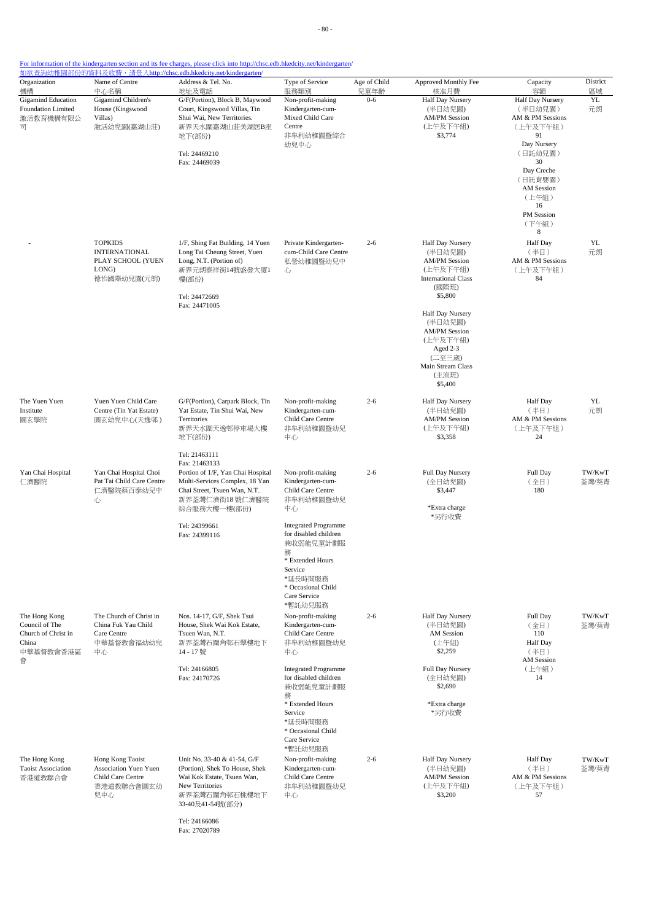- 80 -

### For information of the kindergarten section and its fee charges, please click into http://chsc.edb.hkedcity.net/kindergarten/

| Organization<br>機構                                                                | Name of Centre<br>中心名稱                                                              | Address & Tel. No.<br>地址及電話                                                                                                                                              | Type of Service<br>服務類別                                                                                                                                                                                                                             | Age of Child<br>兒童年齡 | Approved Monthly Fee<br>核准月費                                                                                                                                                                                                                        | Capacity<br>容額                                                                                                                                                                 | District<br>區域  |
|-----------------------------------------------------------------------------------|-------------------------------------------------------------------------------------|--------------------------------------------------------------------------------------------------------------------------------------------------------------------------|-----------------------------------------------------------------------------------------------------------------------------------------------------------------------------------------------------------------------------------------------------|----------------------|-----------------------------------------------------------------------------------------------------------------------------------------------------------------------------------------------------------------------------------------------------|--------------------------------------------------------------------------------------------------------------------------------------------------------------------------------|-----------------|
| <b>Gigamind Education</b><br>Foundation Limited<br>激活教育機構有限公<br>급                 | Gigamind Children's<br>House (Kingswood<br>Villas)<br>激活幼兒園(嘉湖山莊)                   | G/F(Portion), Block B, Maywood<br>Court, Kingswood Villas, Tin<br>Shui Wai, New Territories.<br>新界天水圍嘉湖山莊美湖居B座<br>地下(部份)<br>Tel: 24469210<br>Fax: 24469039               | Non-profit-making<br>Kindergarten-cum-<br>Mixed Child Care<br>Centre<br>非牟利幼稚園暨綜合<br>幼兒中心                                                                                                                                                           | $0 - 6$              | Half Day Nursery<br>(半日幼兒園)<br><b>AM/PM Session</b><br>(上午及下午組)<br>\$3,774                                                                                                                                                                          | Half Day Nursery<br>(半日幼兒園)<br>AM & PM Sessions<br>(上午及下午組)<br>91<br>Day Nursery<br>(日託幼兒園)<br>30<br>Day Creche<br>(日託育嬰園)<br>AM Session<br>(上午組)<br>16<br>PM Session<br>(下午組) | YL<br>元朗        |
|                                                                                   | <b>TOPKIDS</b><br><b>INTERNATIONAL</b><br>PLAY SCHOOL (YUEN<br>LONG)<br>德怡國際幼兒園(元朗) | 1/F, Shing Fat Building, 14 Yuen<br>Long Tai Cheung Street, Yuen<br>Long, N.T. (Portion of)<br>新界元朗泰祥街14號盛發大廈1<br>樓(部份)<br>Tel: 24472669<br>Fax: 24471005                | Private Kindergarten-<br>cum-Child Care Centre<br>私營幼稚園暨幼兒中<br>心                                                                                                                                                                                    | $2 - 6$              | Half Day Nursery<br>(半日幼兒園)<br><b>AM/PM Session</b><br>(上午及下午組)<br><b>International Class</b><br>(國際班)<br>\$5,800<br>Half Day Nursery<br>(半日幼兒園)<br><b>AM/PM Session</b><br>(上午及下午組)<br>Aged 2-3<br>(二至三歲)<br>Main Stream Class<br>(主流班)<br>\$5,400 | 8<br>Half Day<br>(半日)<br>AM & PM Sessions<br>(上午及下午組)<br>84                                                                                                                    | YL<br>元朗        |
| The Yuen Yuen<br>Institute<br>圓玄學院                                                | Yuen Yuen Child Care<br>Centre (Tin Yat Estate)<br>圓玄幼兒中心(天逸邨)                      | G/F(Portion), Carpark Block, Tin<br>Yat Estate, Tin Shui Wai, New<br>Territories<br>新界天水圍天逸邨停車場大樓<br>地下(部份)                                                              | Non-profit-making<br>Kindergarten-cum-<br>Child Care Centre<br>非牟利幼稚園暨幼兒<br>中心                                                                                                                                                                      | $2 - 6$              | Half Day Nursery<br>(半日幼兒園)<br><b>AM/PM Session</b><br>(上午及下午組)<br>\$3,358                                                                                                                                                                          | Half Day<br>(半日)<br>AM & PM Sessions<br>(上午及下午組)<br>24                                                                                                                         | YL<br>元朗        |
| Yan Chai Hospital<br>仁濟醫院                                                         | Yan Chai Hospital Choi<br>Pat Tai Child Care Centre<br>仁濟醫院蔡百泰幼兒中<br>心              | Tel: 21463111<br>Fax: 21463133<br>Portion of 1/F, Yan Chai Hospital<br>Multi-Services Complex, 18 Yan<br>Chai Street, Tsuen Wan, N.T.<br>新界荃灣仁濟街18 號仁濟醫院<br>綜合服務大樓一樓(部份) | Non-profit-making<br>Kindergarten-cum-<br>Child Care Centre<br>非牟利幼稚園暨幼兒<br>中心                                                                                                                                                                      | $2 - 6$              | Full Day Nursery<br>(全日幼兒園)<br>\$3,447<br>*Extra charge<br>*另行收費                                                                                                                                                                                    | Full Day<br>(全日)<br>180                                                                                                                                                        | TW/KwT<br>荃灣/葵青 |
| The Hong Kong<br>Council of The<br>Church of Christ in<br>China<br>中華基督教會香港區<br>會 | The Church of Christ in<br>China Fuk Yau Child<br>Care Centre<br>中華基督教會福幼幼兒<br>中心   | Tel: 24399661<br>Fax: 24399116<br>Nos. 14-17, G/F, Shek Tsui<br>House, Shek Wai Kok Estate,<br>Tsuen Wan, N.T.<br>新界荃灣石圍角邨石翠樓地下<br>14-17號                                | <b>Integrated Programme</b><br>for disabled children<br>兼收弱能兒童計劃服<br>務<br>* Extended Hours<br>Service<br>*延長時間服務<br>* Occasional Child<br>Care Service<br>*暫託幼兒服務<br>Non-profit-making<br>Kindergarten-cum-<br>Child Care Centre<br>非牟利幼稚園暨幼兒<br>中心 | $2 - 6$              | Half Day Nursery<br>(半日幼兒園)<br>AM Session<br>(上午組)<br>\$2,259                                                                                                                                                                                       | Full Day<br>(全日)<br>110<br>Half Day<br>(半日)<br>AM Session                                                                                                                      | TW/KwT<br>荃灣/葵青 |
|                                                                                   |                                                                                     | Tel: 24166805<br>Fax: 24170726                                                                                                                                           | <b>Integrated Programme</b><br>for disabled children<br>兼收弱能兒童計劃服<br>務<br>* Extended Hours<br>Service<br>*延長時間服務<br>* Occasional Child<br>Care Service<br>*暫託幼兒服務                                                                                   |                      | Full Day Nursery<br>(全日幼兒園)<br>\$2,690<br>*Extra charge<br>*另行收費                                                                                                                                                                                    | (上午組)<br>14                                                                                                                                                                    |                 |
| The Hong Kong<br><b>Taoist Association</b><br>香港道教聯合會                             | Hong Kong Taoist<br>Association Yuen Yuen<br>Child Care Centre<br>香港道教聯合會圓玄幼<br>兒中心 | Unit No. 33-40 & 41-54, G/F<br>(Portion), Shek To House, Shek<br>Wai Kok Estate, Tsuen Wan,<br>New Territories<br>新界荃灣石圍角邨石桃樓地下<br>33-40及41-54號(部分)                      | Non-profit-making<br>Kindergarten-cum-<br>Child Care Centre<br>非牟利幼稚園暨幼兒<br>中心                                                                                                                                                                      | $2 - 6$              | Half Day Nursery<br>(半日幼兒園)<br><b>AM/PM Session</b><br>(上午及下午組)<br>\$3,200                                                                                                                                                                          | <b>Half Day</b><br>(半日)<br>AM & PM Sessions<br>(上午及下午組)<br>57                                                                                                                  | TW/KwT<br>荃灣/葵青 |

Tel: 24166086 Fax: 27020789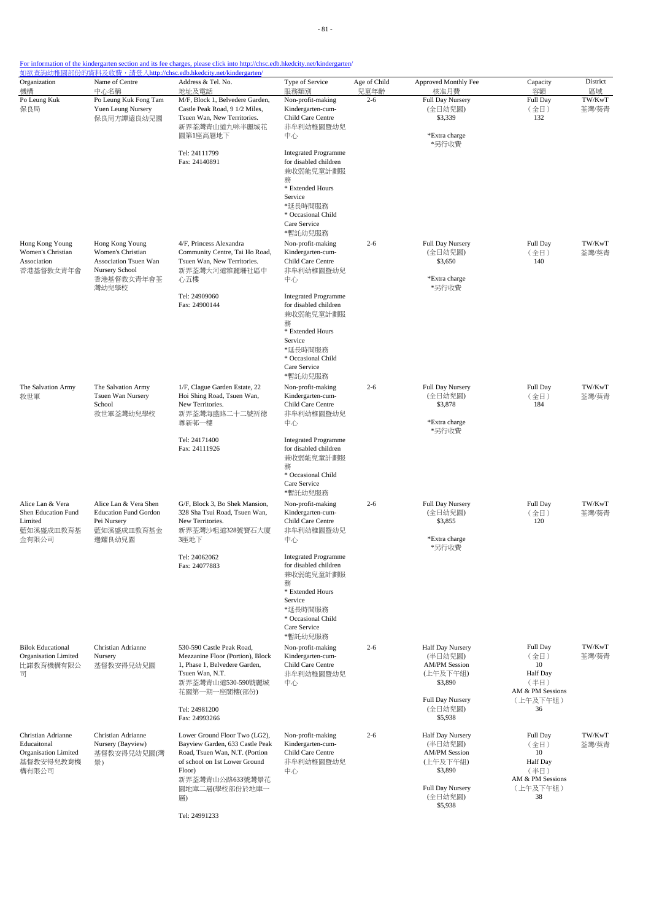| Organization<br>機構                                                                        | Name of Centre<br>中心名稱                                                                                 | Address & Tel. No.<br>地址及電話                                                                                                                                                                               | Type of Service<br>服務類別                                                                                                                                           | Age of Child<br>兒童年齡 | Approved Monthly Fee<br>核准月費                                                                                         | Capacity<br>容額                                                                          | District<br>區域  |
|-------------------------------------------------------------------------------------------|--------------------------------------------------------------------------------------------------------|-----------------------------------------------------------------------------------------------------------------------------------------------------------------------------------------------------------|-------------------------------------------------------------------------------------------------------------------------------------------------------------------|----------------------|----------------------------------------------------------------------------------------------------------------------|-----------------------------------------------------------------------------------------|-----------------|
| Po Leung Kuk<br>保良局                                                                       | Po Leung Kuk Fong Tam<br>Yuen Leung Nursery<br>保良局方譚遠良幼兒園                                              | M/F, Block 1, Belvedere Garden,<br>Castle Peak Road, 9 1/2 Miles,<br>Tsuen Wan, New Territories.<br>新界荃灣青山道九咪半麗城花<br>園第1座高層地下                                                                             | Non-profit-making<br>Kindergarten-cum-<br>Child Care Centre<br>非牟利幼稚園暨幼兒<br>中心                                                                                    | $2 - 6$              | Full Day Nursery<br>(全日幼兒園)<br>\$3,339<br>*Extra charge<br>*另行收費                                                     | Full Day<br>(全日)<br>132                                                                 | TW/KwT<br>荃灣/葵青 |
|                                                                                           |                                                                                                        | Tel: 24111799<br>Fax: 24140891                                                                                                                                                                            | <b>Integrated Programme</b><br>for disabled children<br>兼收弱能兒童計劃服<br>務<br>* Extended Hours                                                                        |                      |                                                                                                                      |                                                                                         |                 |
|                                                                                           |                                                                                                        |                                                                                                                                                                                                           | Service<br>*延長時間服務<br>* Occasional Child<br>Care Service<br>*暫託幼兒服務                                                                                               |                      |                                                                                                                      |                                                                                         |                 |
| Hong Kong Young<br>Women's Christian<br>Association<br>香港基督教女青年會                          | Hong Kong Young<br>Women's Christian<br>Association Tsuen Wan<br>Nursery School<br>香港基督教女青年會荃<br>灣幼兒學校 | 4/F, Princess Alexandra<br>Community Centre, Tai Ho Road,<br>Tsuen Wan, New Territories.<br>新界荃灣大河道雅麗珊社區中<br>心五樓                                                                                          | Non-profit-making<br>Kindergarten-cum-<br>Child Care Centre<br>非牟利幼稚園暨幼兒<br>中心                                                                                    | $2 - 6$              | Full Day Nursery<br>(全日幼兒園)<br>\$3,650<br>*Extra charge<br>*另行收費                                                     | Full Day<br>(全日)<br>140                                                                 | TW/KwT<br>荃灣/葵青 |
|                                                                                           |                                                                                                        | Tel: 24909060<br>Fax: 24900144                                                                                                                                                                            | <b>Integrated Programme</b><br>for disabled children<br>兼收弱能兒童計劃服<br>務<br>* Extended Hours<br>Service<br>*延長時間服務<br>* Occasional Child<br>Care Service<br>*暫託幼兒服務 |                      |                                                                                                                      |                                                                                         |                 |
| The Salvation Army<br>救世軍                                                                 | The Salvation Army<br>Tsuen Wan Nursery<br>School<br>救世軍荃灣幼兒學校                                         | 1/F, Clague Garden Estate, 22<br>Hoi Shing Road, Tsuen Wan,<br>New Territories.<br>新界荃灣海盛路二十二號祈德<br>尊新邨一樓                                                                                                 | Non-profit-making<br>Kindergarten-cum-<br>Child Care Centre<br>非牟利幼稚園暨幼兒<br>中心                                                                                    | $2 - 6$              | Full Day Nursery<br>(全日幼兒園)<br>\$3,878<br>*Extra charge                                                              | Full Day<br>(全日)<br>184                                                                 | TW/KwT<br>荃灣/葵青 |
|                                                                                           |                                                                                                        | Tel: 24171400<br>Fax: 24111926                                                                                                                                                                            | <b>Integrated Programme</b><br>for disabled children<br>兼收弱能兒童計劃服<br>務<br>* Occasional Child<br>Care Service<br>*暫託幼兒服務                                           |                      | *另行收費                                                                                                                |                                                                                         |                 |
| Alice Lan & Vera<br>Shen Education Fund<br>Limited<br>藍如溪盛成皿教育基<br>金有限公司                  | Alice Lan & Vera Shen<br><b>Education Fund Gordon</b><br>Pei Nursery<br>藍如溪盛成皿教育基金<br>邊耀良幼兒園           | G/F, Block 3, Bo Shek Mansion,<br>328 Sha Tsui Road, Tsuen Wan,<br>New Territories.<br>新界荃灣沙咀道328號寶石大廈<br>3座地下                                                                                            | Non-profit-making<br>Kindergarten-cum-<br>Child Care Centre<br>非牟利幼稚園暨幼兒<br>中心                                                                                    | $2 - 6$              | Full Day Nursery<br>(全日幼兒園)<br>\$3,855<br>*Extra charge<br>*另行收費                                                     | Full Day<br>(全日)<br>120                                                                 | TW/KwT<br>荃灣/葵青 |
|                                                                                           |                                                                                                        | Tel: 24062062<br>Fax: 24077883                                                                                                                                                                            | <b>Integrated Programme</b><br>for disabled children<br>兼收弱能兒童計劃服<br>務<br>* Extended Hours<br>Service<br>*延長時間服務<br>* Occasional Child<br>Care Service<br>*暫託幼兒服務 |                      |                                                                                                                      |                                                                                         |                 |
| <b>Bilok Educational</b><br><b>Organisation Limited</b><br>比諾教育機構有限公<br>$\overline{\Box}$ | Christian Adrianne<br>Nursery<br>基督教安得兒幼兒園                                                             | 530-590 Castle Peak Road,<br>Mezzanine Floor (Portion), Block<br>1, Phase 1, Belvedere Garden,<br>Tsuen Wan, N.T.<br>新界荃灣青山道530-590號麗城<br>花園第一期一座閣樓(部份)                                                   | Non-profit-making<br>Kindergarten-cum-<br>Child Care Centre<br>非牟利幼稚園暨幼兒<br>中心                                                                                    | $2 - 6$              | Half Day Nursery<br>(半日幼兒園)<br><b>AM/PM Session</b><br>(上午及下午組)<br>\$3,890                                           | Full Day<br>(全日)<br>10<br>Half Day<br>(半日)<br>AM & PM Sessions                          | TW/KwT<br>荃灣/葵青 |
|                                                                                           |                                                                                                        | Tel: 24981200<br>Fax: 24993266                                                                                                                                                                            |                                                                                                                                                                   |                      | Full Day Nursery<br>(全日幼兒園)<br>\$5,938                                                                               | (上午及下午組)<br>36                                                                          |                 |
| Christian Adrianne<br>Educaitonal<br>Organisation Limited<br>基督教安得兒教育機<br>構有限公司           | Christian Adrianne<br>Nursery (Bayview)<br>基督教安得兒幼兒園(灣<br>景)                                           | Lower Ground Floor Two (LG2),<br>Bayview Garden, 633 Castle Peak<br>Road, Tsuen Wan, N.T. (Portion<br>of school on 1st Lower Ground<br>Floor)<br>新界荃灣青山公路633號灣景花<br>園地庫二層(學校部份於地庫一<br>層)<br>Tel: 24991233 | Non-profit-making<br>Kindergarten-cum-<br>Child Care Centre<br>非牟利幼稚園暨幼兒<br>中心                                                                                    | $2 - 6$              | Half Day Nursery<br>(半日幼兒園)<br><b>AM/PM Session</b><br>(上午及下午組)<br>\$3,890<br>Full Day Nursery<br>(全日幼兒園)<br>\$5,938 | Full Day<br>(全日)<br>10<br><b>Half</b> Day<br>(半日)<br>AM & PM Sessions<br>(上午及下午組)<br>38 | TW/KwT<br>荃灣/葵青 |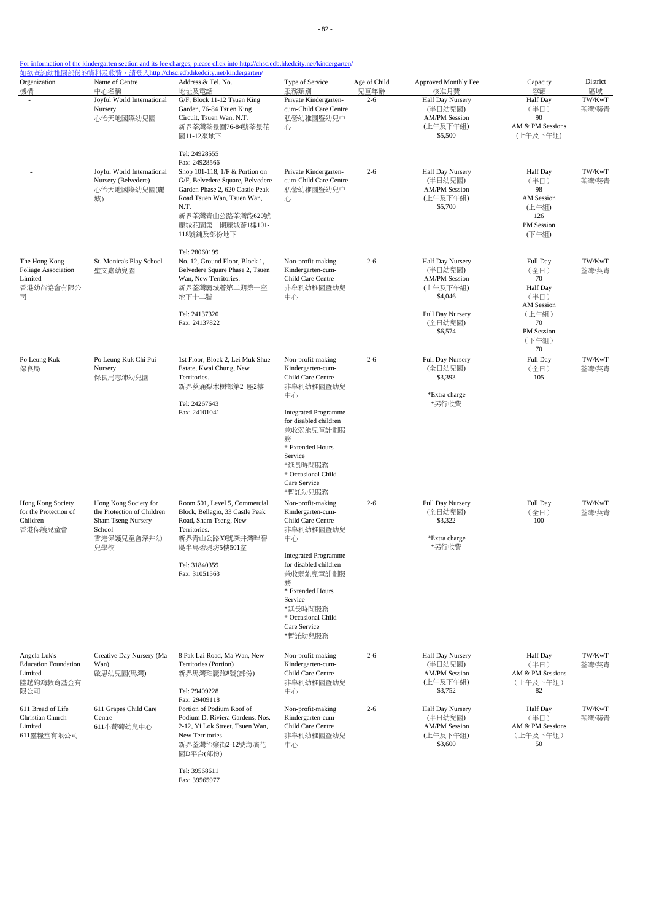- 82 -

### For information of the kindergarten section and its fee charges, please click into http://chsc.edb.hkedcity.net/kindergarten/

| Organization<br>機構                                                         | Name of Centre<br>中心名稱                                                                                   | <u> 如欲查詢幼稚園部份的資料及收費,請登入http://chsc.edb.hkedcity.net/kindergarten/</u><br>Address & Tel. No.<br>地址及電話                                                                                                                               | Type of Service<br>服務類別                                                                                                                                                                                                                                                                              | Age of Child<br>兒童年齡 | Approved Monthly Fee<br>核准月費                                                                                         | Capacity<br>容額                                                                                               | District              |
|----------------------------------------------------------------------------|----------------------------------------------------------------------------------------------------------|------------------------------------------------------------------------------------------------------------------------------------------------------------------------------------------------------------------------------------|------------------------------------------------------------------------------------------------------------------------------------------------------------------------------------------------------------------------------------------------------------------------------------------------------|----------------------|----------------------------------------------------------------------------------------------------------------------|--------------------------------------------------------------------------------------------------------------|-----------------------|
|                                                                            | Joyful World International<br>Nursery<br>心怡天地國際幼兒園                                                       | G/F, Block 11-12 Tsuen King<br>Garden, 76-84 Tsuen King<br>Circuit, Tsuen Wan, N.T.<br>新界荃灣荃景圍76-84號荃景花<br>圜11-12座地下                                                                                                               | Private Kindergarten-<br>cum-Child Care Centre<br>私營幼稚園暨幼兒中<br>心                                                                                                                                                                                                                                     | $2 - 6$              | Half Day Nursery<br>(半日幼兒園)<br><b>AM/PM Session</b><br>(上午及下午組)<br>\$5,500                                           | <b>Half</b> Day<br>(半日)<br>90<br>AM & PM Sessions<br>(上午及下午組)                                                | 區域<br>TW/KwT<br>荃灣/葵青 |
|                                                                            | Joyful World International<br>Nursery (Belvedere)<br>心怡天地國際幼兒園(麗<br>城)                                   | Tel: 24928555<br>Fax: 24928566<br>Shop 101-118, 1/F & Portion on<br>G/F, Belvedere Square, Belvedere<br>Garden Phase 2, 620 Castle Peak<br>Road Tsuen Wan, Tsuen Wan,<br>N.T.<br>新界荃灣青山公路荃灣段620號<br>麗城花園第二期麗城薈1樓101-<br>118號舖及部份地下 | Private Kindergarten-<br>cum-Child Care Centre<br>私營幼稚園暨幼兒中<br>心                                                                                                                                                                                                                                     | $2 - 6$              | Half Day Nursery<br>(半日幼兒園)<br><b>AM/PM Session</b><br>(上午及下午組)<br>\$5,700                                           | <b>Half</b> Day<br>(半日)<br>98<br><b>AM</b> Session<br>(上午組)<br>126<br>PM Session<br>(下午組)                    | TW/KwT<br>荃灣/葵青       |
| The Hong Kong<br><b>Foliage Association</b><br>Limited<br>香港幼苗協會有限公<br>급   | St. Monica's Play School<br>聖文嘉幼兒園                                                                       | Tel: 28060199<br>No. 12, Ground Floor, Block 1,<br>Belvedere Square Phase 2, Tsuen<br>Wan, New Territories.<br>新界荃灣麗城薈第二期第一座<br>地下十二號<br>Tel: 24137320<br>Fax: 24137822                                                            | Non-profit-making<br>Kindergarten-cum-<br>Child Care Centre<br>非牟利幼稚園暨幼兒<br>中心                                                                                                                                                                                                                       | $2 - 6$              | Half Day Nursery<br>(半日幼兒園)<br><b>AM/PM Session</b><br>(上午及下午組)<br>\$4,046<br>Full Day Nursery<br>(全日幼兒園)<br>\$6,574 | Full Day<br>(全日)<br>70<br><b>Half</b> Day<br>(半日)<br><b>AM</b> Session<br>(上午組)<br>70<br>PM Session<br>(下午組) | TW/KwT<br>荃灣/葵青       |
| Po Leung Kuk<br>保良局                                                        | Po Leung Kuk Chi Pui<br>Nursery<br>保良局志沛幼兒園                                                              | 1st Floor, Block 2, Lei Muk Shue<br>Estate, Kwai Chung, New<br>Territories.<br>新界葵涌梨木樹邨第2 座2樓<br>Tel: 24267643<br>Fax: 24101041                                                                                                    | Non-profit-making<br>Kindergarten-cum-<br>Child Care Centre<br>非牟利幼稚園暨幼兒<br>中心<br><b>Integrated Programme</b><br>for disabled children<br>兼收弱能兒童計劃服<br>務<br>* Extended Hours<br>Service                                                                                                              | $2 - 6$              | Full Day Nursery<br>(全日幼兒園)<br>\$3,393<br>*Extra charge<br>*另行收費                                                     | 70<br>Full Day<br>(全日)<br>105                                                                                | TW/KwT<br>荃灣/葵青       |
| Hong Kong Society<br>for the Protection of<br>Children<br>香港保護兒童會          | Hong Kong Society for<br>the Protection of Children<br>Sham Tseng Nursery<br>School<br>香港保護兒童會深井幼<br>兒學校 | Room 501, Level 5, Commercial<br>Block, Bellagio, 33 Castle Peak<br>Road, Sham Tseng, New<br>Territories.<br>新界青山公路33號深井灣畔碧<br>堤半島碧堤坊5樓501室<br>Tel: 31840359<br>Fax: 31051563                                                      | *延長時間服務<br>* Occasional Child<br>Care Service<br>*暫託幼兒服務<br>Non-profit-making<br>Kindergarten-cum-<br>Child Care Centre<br>非牟利幼稚園暨幼兒<br>中心<br><b>Integrated Programme</b><br>for disabled children<br>兼收弱能兒童計劃服<br>務<br>* Extended Hours<br>Service<br>*延長時間服務<br>* Occasional Child<br>Care Service | $2 - 6$              | Full Day Nursery<br>(全日幼兒園)<br>\$3,322<br>*Extra charge<br>*另行收費                                                     | Full Day<br>(全日)<br>100                                                                                      | TW/KwT<br>荃灣/葵青       |
| Angela Luk's<br><b>Education Foundation</b><br>Limited<br>陸趙鈞鴻教育基金有<br>限公司 | Creative Day Nursery (Ma<br>Wan)<br>啟思幼兒園(馬灣)                                                            | 8 Pak Lai Road, Ma Wan, New<br>Territories (Portion)<br>新界馬灣珀麗路8號(部份)<br>Tel: 29409228                                                                                                                                             | *暫託幼兒服務<br>Non-profit-making<br>Kindergarten-cum-<br>Child Care Centre<br>非牟利幼稚園暨幼兒<br>中心                                                                                                                                                                                                            | $2 - 6$              | Half Day Nursery<br>(半日幼兒園)<br><b>AM/PM Session</b><br>(上午及下午組)<br>\$3,752                                           | <b>Half</b> Day<br>(半日)<br>AM & PM Sessions<br>(上午及下午組)<br>82                                                | TW/KwT<br>荃灣/葵青       |
| 611 Bread of Life<br>Christian Church<br>Limited<br>611靈糧堂有限公司             | 611 Grapes Child Care<br>Centre<br>611小葡萄幼兒中心                                                            | Fax: 29409118<br>Portion of Podium Roof of<br>Podium D, Riviera Gardens, Nos.<br>2-12, Yi Lok Street, Tsuen Wan,<br>New Territories<br>新界荃灣怡樂街2-12號海濱花<br>園D平台(部份)                                                                 | Non-profit-making<br>Kindergarten-cum-<br>Child Care Centre<br>非牟利幼稚園暨幼兒<br>中心                                                                                                                                                                                                                       | $2 - 6$              | Half Day Nursery<br>(半日幼兒園)<br><b>AM/PM Session</b><br>(上午及下午組)<br>\$3,600                                           | Half Day<br>(半日)<br>AM & PM Sessions<br>(上午及下午組)<br>50                                                       | TW/KwT<br>荃灣/葵青       |

Tel: 39568611 Fax: 39565977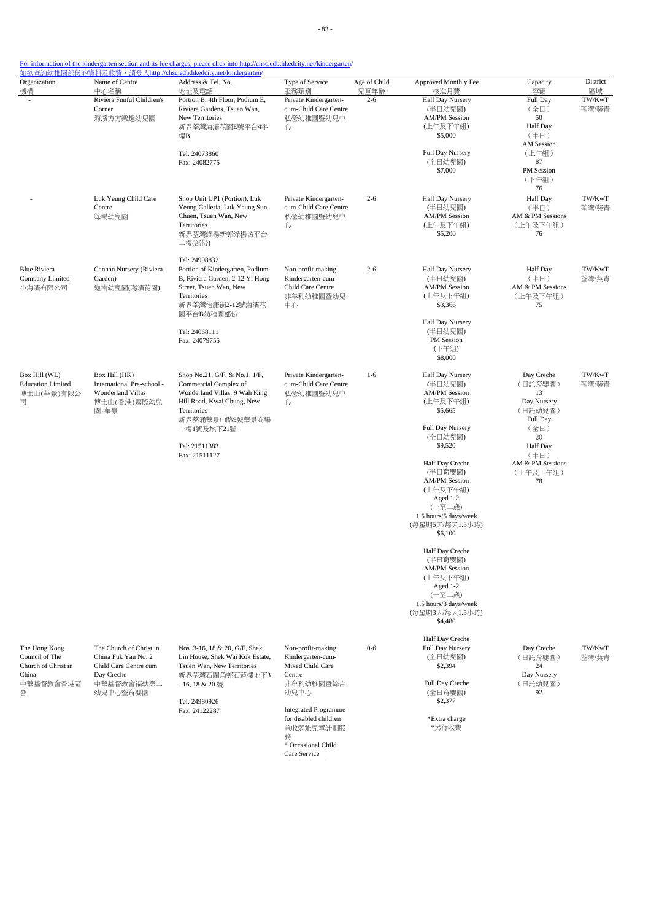| For information of the kindergarten section and its fee charges, please click into http://chsc.edb.hkedcity.net/kindergarten/                                                                                                  |  |  |  |
|--------------------------------------------------------------------------------------------------------------------------------------------------------------------------------------------------------------------------------|--|--|--|
| the police and the following the contract of the contract of the contract of the contract of the contract of the contract of the contract of the contract of the contract of the contract of the contract of the contract of t |  |  |  |

| Organization<br>機構                                                                | Name of Centre<br>中心名稱                                                                                          | Address & Tel. No.<br>地址及電話                                                                                                                                                                            | Type of Service<br>服務類別                                                                                                                                                                   | Age of Child<br>兒童年齡 | Approved Monthly Fee<br>核准月費                                                                                                                                                                                                                                                                                                                                                                                       | Capacity<br>容額                                                                                                                            | District<br>區域  |
|-----------------------------------------------------------------------------------|-----------------------------------------------------------------------------------------------------------------|--------------------------------------------------------------------------------------------------------------------------------------------------------------------------------------------------------|-------------------------------------------------------------------------------------------------------------------------------------------------------------------------------------------|----------------------|--------------------------------------------------------------------------------------------------------------------------------------------------------------------------------------------------------------------------------------------------------------------------------------------------------------------------------------------------------------------------------------------------------------------|-------------------------------------------------------------------------------------------------------------------------------------------|-----------------|
|                                                                                   | Riviera Funful Children's<br>Corner<br>海濱方方樂趣幼兒園                                                                | Portion B, 4th Floor, Podium E,<br>Riviera Gardens, Tsuen Wan,<br>New Territories<br>新界荃灣海濱花園E號平台4字<br>樓B<br>Tel: 24073860<br>Fax: 24082775                                                            | Private Kindergarten-<br>cum-Child Care Centre<br>私營幼稚園暨幼兒中<br>心                                                                                                                          | $2 - 6$              | <b>Half Day Nursery</b><br>(半日幼兒園)<br><b>AM/PM Session</b><br>(上午及下午組)<br>\$5,000<br>Full Day Nursery<br>(全日幼兒園)<br>\$7,000                                                                                                                                                                                                                                                                                        | Full Day<br>(全日)<br>50<br>Half Day<br>(半日)<br>AM Session<br>(上午組)<br>87<br>PM Session<br>(下午組)<br>76                                      | TW/KwT<br>荃灣/葵青 |
|                                                                                   | Luk Yeung Child Care<br>Centre<br>綠楊幼兒園                                                                         | Shop Unit UP1 (Portion), Luk<br>Yeung Galleria, Luk Yeung Sun<br>Chuen, Tsuen Wan, New<br>Territories.<br>新界荃灣綠楊新邨綠楊坊平台<br>二樓(部份)                                                                      | Private Kindergarten-<br>cum-Child Care Centre<br>私營幼稚園暨幼兒中<br>心                                                                                                                          | $2 - 6$              | Half Day Nursery<br>(半日幼兒園)<br><b>AM/PM Session</b><br>(上午及下午組)<br>\$5,200                                                                                                                                                                                                                                                                                                                                         | Half Day<br>(半日)<br>AM & PM Sessions<br>(上午及下午組)<br>76                                                                                    | TW/KwT<br>荃灣/葵青 |
| <b>Blue Riviera</b><br>Company Limited<br>小海濱有限公司                                 | Cannan Nursery (Riviera<br>Garden)<br>迦南幼兒園(海濱花園)                                                               | Tel: 24998832<br>Portion of Kindergarten, Podium<br>B, Riviera Garden, 2-12 Yi Hong<br>Street, Tsuen Wan, New<br>Territories<br>新界荃灣怡康街2-12號海濱花<br>園平台B幼稚園部份<br>Tel: 24068111<br>Fax: 24079755         | Non-profit-making<br>Kindergarten-cum-<br>Child Care Centre<br>非牟利幼稚園暨幼兒<br>中心                                                                                                            | $2 - 6$              | Half Day Nursery<br>(半日幼兒園)<br><b>AM/PM Session</b><br>(上午及下午組)<br>\$3,366<br>Half Day Nursery<br>(半日幼兒園)<br>PM Session<br>(下午組)<br>\$8,000                                                                                                                                                                                                                                                                        | <b>Half</b> Day<br>(半日)<br>AM & PM Sessions<br>(上午及下午組)<br>75                                                                             | TW/KwT<br>荃灣/葵青 |
| Box Hill (WL)<br><b>Education Limited</b><br>博士山(華景)有限公<br>급                      | Box Hill (HK)<br>International Pre-school -<br>Wonderland Villas<br>博士山(香港)國際幼兒<br>園-華景                         | Shop No.21, G/F, & No.1, 1/F,<br>Commercial Complex of<br>Wonderland Villas, 9 Wah King<br>Hill Road, Kwai Chung, New<br>Territories<br>新界葵涌華景山路9號華景商場<br>一樓1號及地下21號<br>Tel: 21511383<br>Fax: 21511127 | Private Kindergarten-<br>cum-Child Care Centre<br>私營幼稚園暨幼兒中<br>心                                                                                                                          | $1-6$                | Half Day Nursery<br>(半日幼兒園)<br><b>AM/PM Session</b><br>(上午及下午組)<br>\$5,665<br>Full Day Nursery<br>(全日幼兒園)<br>\$9,520<br>Half Day Creche<br>(半日育嬰園)<br><b>AM/PM Session</b><br>(上午及下午組)<br>Aged 1-2<br>(一至二歲)<br>1.5 hours/5 days/week<br>(每星期5天/每天1.5小時)<br>\$6,100<br>Half Day Creche<br>(半日育嬰園)<br><b>AM/PM Session</b><br>(上午及下午組)<br>Aged 1-2<br>(一至二歲)<br>1.5 hours/3 days/week<br>(每星期3天/每天1.5小時)<br>\$4,480 | Day Creche<br>(日託育嬰園)<br>13<br>Day Nursery<br>(日託幼兒園)<br>Full Day<br>(全日)<br>20<br>Half Day<br>(半日)<br>AM & PM Sessions<br>(上午及下午組)<br>78 | TW/KwT<br>荃灣/葵青 |
| The Hong Kong<br>Council of The<br>Church of Christ in<br>China<br>中華基督教會香港區<br>會 | The Church of Christ in<br>China Fuk Yau No. 2<br>Child Care Centre cum<br>Day Creche<br>中華基督教會福幼第二<br>幼兒中心暨育嬰園 | Nos. 3-16, 18 & 20, G/F, Shek<br>Lin House, Shek Wai Kok Estate,<br>Tsuen Wan, New Territories<br>新界荃灣石圍角邨石蓮樓地下3<br>- 16, 18 & 20號<br>Tel: 24980926<br>Fax: 24122287                                   | Non-profit-making<br>Kindergarten-cum-<br>Mixed Child Care<br>Centre<br>非牟利幼稚園暨綜合<br>幼兒中心<br><b>Integrated Programme</b><br>for disabled children<br>兼收弱能兒童計劃服<br>務<br>* Occasional Child | $0 - 6$              | Half Day Creche<br>Full Day Nursery<br>(全日幼兒園)<br>\$2,394<br>Full Day Creche<br>(全日育嬰園)<br>\$2,377<br>*Extra charge<br>*另行收費                                                                                                                                                                                                                                                                                       | Day Creche<br>(日託育嬰園)<br>24<br>Day Nursery<br>(日託幼兒園)<br>92                                                                               | TW/KwT<br>荃灣/葵青 |

Care Service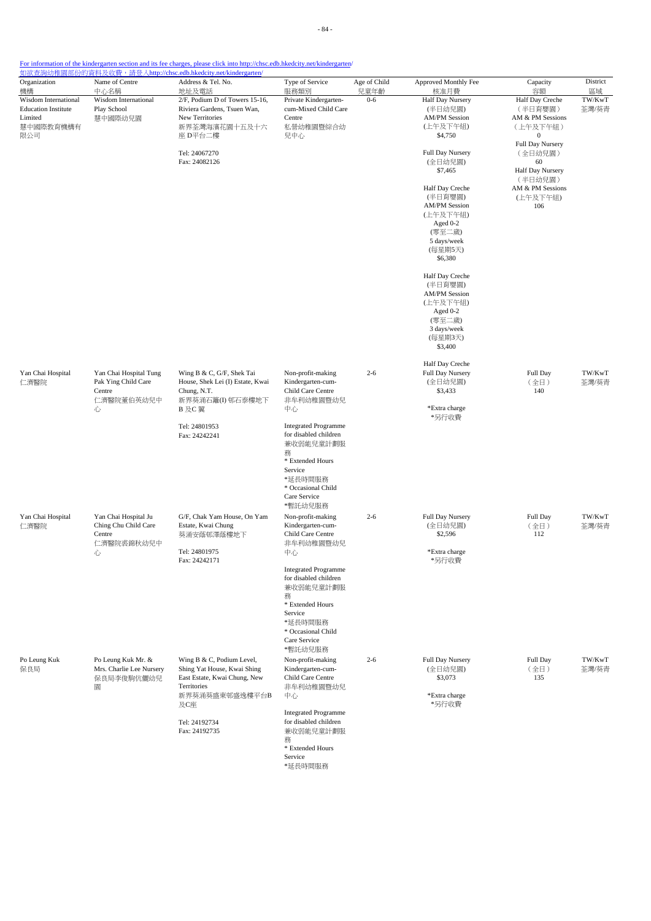| Organization                                                                            | Name of Centre                                                             | Address & Tel. No.                                                                                                                                      | Type of Service                                                                                                                                                   | Age of Child    | Approved Monthly Fee                                                                                                                                                                                                                                                                                            | Capacity                                                                                                                                                                         | District              |
|-----------------------------------------------------------------------------------------|----------------------------------------------------------------------------|---------------------------------------------------------------------------------------------------------------------------------------------------------|-------------------------------------------------------------------------------------------------------------------------------------------------------------------|-----------------|-----------------------------------------------------------------------------------------------------------------------------------------------------------------------------------------------------------------------------------------------------------------------------------------------------------------|----------------------------------------------------------------------------------------------------------------------------------------------------------------------------------|-----------------------|
| 機構<br>Wisdom International<br><b>Education Institute</b><br>Limited<br>慧中國際教育機構有<br>限公司 | 中心名稱<br>Wisdom International<br>Play School<br>慧中國際幼兒園                     | 地址及電話<br>2/F, Podium D of Towers 15-16,<br>Riviera Gardens, Tsuen Wan,<br>New Territories<br>新界荃灣海濱花園十五及十六<br>座 D平台二樓<br>Tel: 24067270<br>Fax: 24082126 | 服務類別<br>Private Kindergarten-<br>cum-Mixed Child Care<br>Centre<br>私營幼稚園暨綜合幼<br>兒中心                                                                               | 兒童年齡<br>$0 - 6$ | 核准月費<br>Half Day Nursery<br>(半日幼兒園)<br><b>AM/PM Session</b><br>(上午及下午組)<br>\$4,750<br>Full Day Nursery<br>(全日幼兒園)<br>\$7,465<br>Half Day Creche<br>(半日育嬰園)<br><b>AM/PM Session</b><br>(上午及下午組)<br>Aged 0-2<br>(零至二歲)<br>5 days/week<br>(每星期5天)<br>\$6,380<br>Half Day Creche<br>(半日育嬰園)<br><b>AM/PM Session</b> | 容額<br>Half Day Creche<br>(半日育嬰園)<br>AM & PM Sessions<br>(上午及下午組)<br>0<br>Full Day Nursery<br>(全日幼兒園)<br>60<br>Half Day Nursery<br>(半日幼兒園)<br>AM & PM Sessions<br>(上午及下午組)<br>106 | 區域<br>TW/KwT<br>荃灣/葵青 |
|                                                                                         |                                                                            |                                                                                                                                                         |                                                                                                                                                                   |                 | (上午及下午組)<br>Aged 0-2<br>(零至二歲)<br>3 days/week<br>(每星期3天)<br>\$3,400                                                                                                                                                                                                                                             |                                                                                                                                                                                  |                       |
| Yan Chai Hospital<br>仁濟醫院                                                               | Yan Chai Hospital Tung<br>Pak Ying Child Care<br>Centre<br>仁濟醫院董伯英幼兒中<br>心 | Wing B & C, G/F, Shek Tai<br>House, Shek Lei (I) Estate, Kwai<br>Chung, N.T.<br>新界葵涌石籬(I) 邨石泰樓地下<br>B 及C 翼                                              | Non-profit-making<br>Kindergarten-cum-<br>Child Care Centre<br>非牟利幼稚園暨幼兒<br>中心                                                                                    | $2 - 6$         | Half Day Creche<br>Full Day Nursery<br>(全日幼兒園)<br>\$3,433<br>*Extra charge<br>*另行收費                                                                                                                                                                                                                             | Full Day<br>(全日)<br>140                                                                                                                                                          | TW/KwT<br>荃灣/葵青       |
|                                                                                         |                                                                            | Tel: 24801953<br>Fax: 24242241                                                                                                                          | <b>Integrated Programme</b><br>for disabled children<br>兼收弱能兒童計劃服<br>務<br>* Extended Hours<br>Service<br>*延長時間服務<br>* Occasional Child<br>Care Service<br>*暫託幼兒服務 |                 |                                                                                                                                                                                                                                                                                                                 |                                                                                                                                                                                  |                       |
| Yan Chai Hospital<br>仁濟醫院                                                               | Yan Chai Hospital Ju<br>Ching Chu Child Care<br>Centre<br>仁濟醫院裘錦秋幼兒中<br>心  | G/F, Chak Yam House, On Yam<br>Estate, Kwai Chung<br>葵涌安蔭邨澤蔭樓地下<br>Tel: 24801975<br>Fax: 24242171                                                       | Non-profit-making<br>Kindergarten-cum-<br>Child Care Centre<br>非牟利幼稚園暨幼兒<br>中心<br><b>Integrated Programme</b><br>for disabled children<br>兼收弱能兒童計劃服<br>務          | $2 - 6$         | Full Day Nursery<br>(全日幼兒園)<br>\$2,596<br>*Extra charge<br>*另行收費                                                                                                                                                                                                                                                | Full Day<br>(全日)<br>112                                                                                                                                                          | TW/KwT<br>荃灣/葵青       |
|                                                                                         |                                                                            |                                                                                                                                                         | * Extended Hours<br>Service<br>*延長時間服務<br>* Occasional Child<br>Care Service<br>*暫託幼兒服務                                                                           |                 |                                                                                                                                                                                                                                                                                                                 |                                                                                                                                                                                  |                       |
| Po Leung Kuk<br>保良局                                                                     | Po Leung Kuk Mr. &<br>Mrs. Charlie Lee Nursery<br>保良局李俊駒伉儷幼兒<br>園          | Wing B & C, Podium Level,<br>Shing Yat House, Kwai Shing<br>East Estate, Kwai Chung, New<br>Territories<br>新界葵涌葵盛東邨盛逸樓平台B<br>及C座                        | Non-profit-making<br>Kindergarten-cum-<br>Child Care Centre<br>非牟利幼稚園暨幼兒<br>中心                                                                                    | $2 - 6$         | Full Day Nursery<br>(全日幼兒園)<br>\$3,073<br>*Extra charge<br>*另行收費                                                                                                                                                                                                                                                | Full Day<br>(全日)<br>135                                                                                                                                                          | TW/KwT<br>荃灣/葵青       |
|                                                                                         |                                                                            | Tel: 24192734<br>Fax: 24192735                                                                                                                          | <b>Integrated Programme</b><br>for disabled children<br>兼收弱能兒童計劃服<br>務<br>* Extended Hours<br>Service<br>*延長時間服務                                                  |                 |                                                                                                                                                                                                                                                                                                                 |                                                                                                                                                                                  |                       |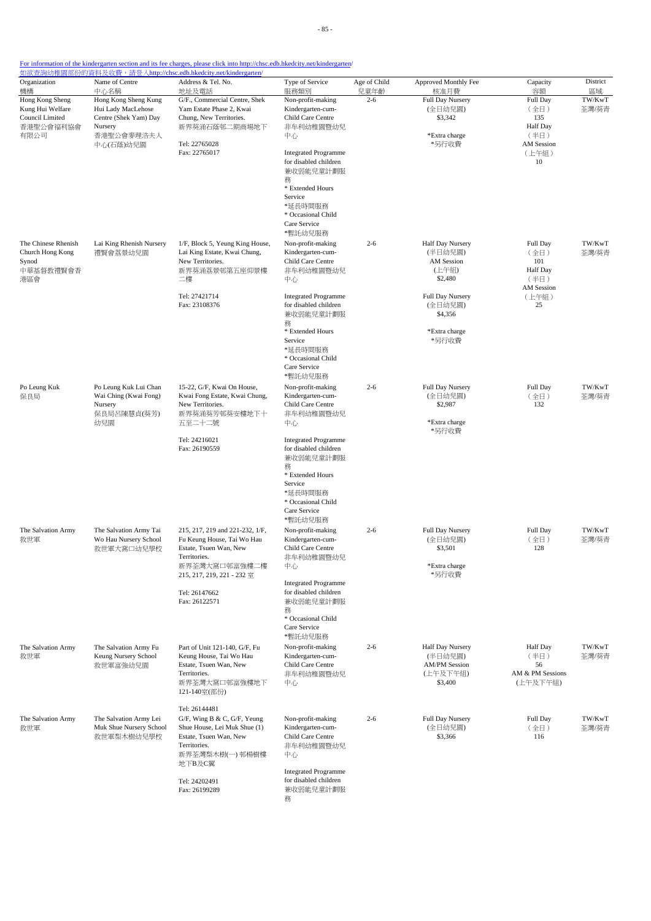| Organization<br>機構                                                          | Name of Centre<br>中心名稱                                                                                    | Address & Tel. No.<br>地址及電話                                                                                                                                                              | Type of Service<br>服務類別                                                                                                                                                                                                                  | Age of Child<br>兒童年齡 | Approved Monthly Fee<br>核准月費                                                                                   | Capacity<br>容額                                                                  | District<br>區域  |
|-----------------------------------------------------------------------------|-----------------------------------------------------------------------------------------------------------|------------------------------------------------------------------------------------------------------------------------------------------------------------------------------------------|------------------------------------------------------------------------------------------------------------------------------------------------------------------------------------------------------------------------------------------|----------------------|----------------------------------------------------------------------------------------------------------------|---------------------------------------------------------------------------------|-----------------|
| Hong Kong Sheng<br>Kung Hui Welfare<br>Council Limited<br>香港聖公會福利協會<br>有限公司 | Hong Kong Sheng Kung<br>Hui Lady MacLehose<br>Centre (Shek Yam) Day<br>Nursery<br>香港聖公會麥理浩夫人<br>中心(石蔭)幼兒園 | G/F., Commercial Centre, Shek<br>Yam Estate Phase 2, Kwai<br>Chung, New Territories.<br>新界葵涌石蔭邨二期商場地下<br>Tel: 22765028<br>Fax: 22765017                                                  | Non-profit-making<br>Kindergarten-cum-<br>Child Care Centre<br>非牟利幼稚園暨幼兒<br>中心<br><b>Integrated Programme</b><br>for disabled children<br>兼收弱能兒童計劃服<br>務<br>* Extended Hours<br>Service<br>*延長時間服務<br>* Occasional Child<br>Care Service | $2 - 6$              | Full Day Nursery<br>(全日幼兒園)<br>\$3,342<br>*Extra charge<br>*另行收費                                               | Full Day<br>(全日)<br>135<br>Half Day<br>(半日)<br><b>AM Session</b><br>(上午組)<br>10 | TW/KwT<br>荃灣/葵青 |
| The Chinese Rhenish<br>Church Hong Kong<br>Synod<br>中華基督教禮賢會香<br>港區會        | Lai King Rhenish Nursery<br>禮賢會荔景幼兒園                                                                      | 1/F, Block 5, Yeung King House,<br>Lai King Estate, Kwai Chung,<br>New Territories.<br>新界葵涌荔景邨第五座仰景樓<br>二樓<br>Tel: 27421714<br>Fax: 23108376                                             | *暫託幼兒服務<br>Non-profit-making<br>Kindergarten-cum-<br>Child Care Centre<br>非牟利幼稚園暨幼兒<br>中心<br><b>Integrated Programme</b><br>for disabled children<br>兼收弱能兒童計劃服                                                                           | $2 - 6$              | Half Day Nursery<br>(半日幼兒園)<br>AM Session<br>(上午組)<br>\$2,480<br><b>Full Day Nursery</b><br>(全日幼兒園)<br>\$4,356 | Full Day<br>(全日)<br>101<br>Half Day<br>(半日)<br>AM Session<br>(上午組)<br>25        | TW/KwT<br>荃灣/葵青 |
| Po Leung Kuk<br>保良局                                                         | Po Leung Kuk Lui Chan<br>Wai Ching (Kwai Fong)<br>Nursery                                                 | 15-22, G/F, Kwai On House,<br>Kwai Fong Estate, Kwai Chung,<br>New Territories.                                                                                                          | 務<br>* Extended Hours<br>Service<br>*延長時間服務<br>* Occasional Child<br>Care Service<br>*暫託幼兒服務<br>Non-profit-making<br>Kindergarten-cum-<br>Child Care Centre                                                                              | $2 - 6$              | *Extra charge<br>*另行收費<br><b>Full Day Nursery</b><br>(全日幼兒園)<br>\$2,987                                        | Full Day<br>(全日)<br>132                                                         | TW/KwT<br>荃灣/葵青 |
|                                                                             | 保良局呂陳慧貞(葵芳)<br>幼兒園                                                                                        | 新界葵涌葵芳邨葵安樓地下十<br>五至二十二號<br>Tel: 24216021<br>Fax: 26190559                                                                                                                                | 非牟利幼稚園暨幼兒<br>中心<br><b>Integrated Programme</b><br>for disabled children<br>兼收弱能兒童計劃服<br>務<br>* Extended Hours<br>Service<br>*延長時間服務<br>* Occasional Child<br>Care Service                                                                |                      | *Extra charge<br>*另行收費                                                                                         |                                                                                 |                 |
| The Salvation Army<br>救世軍                                                   | The Salvation Army Tai<br>Wo Hau Nursery School<br>救世軍大窩口幼兒學校                                             | 215, 217, 219 and 221-232, 1/F,<br>Fu Keung House, Tai Wo Hau<br>Estate, Tsuen Wan, New<br>Territories.<br>新界荃灣大窩口邨富強樓二樓<br>215, 217, 219, 221 - 232 室<br>Tel: 26147662<br>Fax: 26122571 | *暫託幼兒服務<br>Non-profit-making<br>Kindergarten-cum-<br>Child Care Centre<br>非牟利幼稚園暨幼兒<br>中心<br><b>Integrated Programme</b><br>for disabled children<br>兼收弱能兒童計劃服<br>務<br>* Occasional Child<br>Care Service<br>*暫託幼兒服務                     | $2 - 6$              | Full Day Nursery<br>(全日幼兒園)<br>\$3,501<br>*Extra charge<br>*另行收費                                               | Full Day<br>(全日)<br>128                                                         | TW/KwT<br>荃灣/葵青 |
| The Salvation Army<br>救世軍                                                   | The Salvation Army Fu<br>Keung Nursery School<br>救世軍富強幼兒園                                                 | Part of Unit 121-140, G/F, Fu<br>Keung House, Tai Wo Hau<br>Estate, Tsuen Wan, New<br>Territories.<br>新界荃灣大窩口邨富強樓地下<br>121-140室(部份)                                                      | Non-profit-making<br>Kindergarten-cum-<br>Child Care Centre<br>非牟利幼稚園暨幼兒<br>中心                                                                                                                                                           | $2 - 6$              | Half Day Nursery<br>(半日幼兒園)<br><b>AM/PM Session</b><br>(上午及下午組)<br>\$3,400                                     | Half Day<br>(半日)<br>56<br>AM & PM Sessions<br>(上午及下午組)                          | TW/KwT<br>荃灣/葵青 |
| The Salvation Army<br>救世軍                                                   | The Salvation Army Lei<br>Muk Shue Nursery School<br>救世軍梨木樹幼兒學校                                           | Tel: 26144481<br>G/F, Wing B & C, G/F, Yeung<br>Shue House, Lei Muk Shue (1)<br>Estate, Tsuen Wan, New<br>Territories.<br>新界荃灣梨木樹(一) 邨楊樹樓<br>地下B及C翼<br>Tel: 24202491<br>Fax: 26199289    | Non-profit-making<br>Kindergarten-cum-<br>Child Care Centre<br>非牟利幼稚園暨幼兒<br>中心<br><b>Integrated Programme</b><br>for disabled children<br>兼收弱能兒童計劃服<br>務                                                                                 | $2 - 6$              | Full Day Nursery<br>(全日幼兒園)<br>\$3,366                                                                         | Full Day<br>(全日)<br>116                                                         | TW/KwT<br>荃灣/葵青 |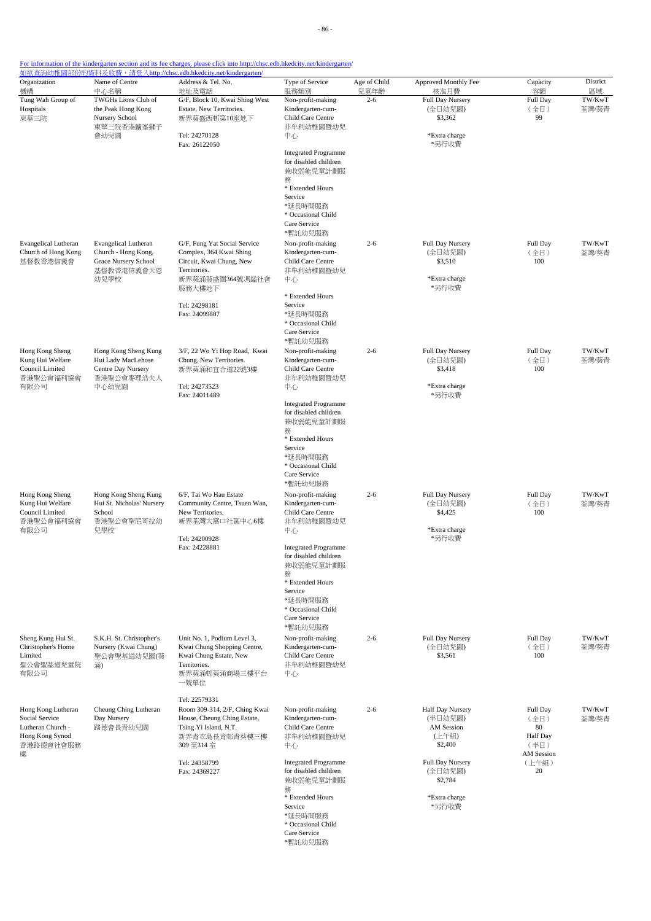| Organization<br>機構                                                  | Name of Centre<br>中心名稱                                                         | Address & Tel. No.<br>地址及電話                                                         | Type of Service<br>服務類別                                                      | Age of Child<br>兒童年齡 | Approved Monthly Fee<br>核准月費                  | Capacity<br>容額                       | District<br>區域  |
|---------------------------------------------------------------------|--------------------------------------------------------------------------------|-------------------------------------------------------------------------------------|------------------------------------------------------------------------------|----------------------|-----------------------------------------------|--------------------------------------|-----------------|
| Tung Wah Group of<br>Hospitals<br>東華三院                              | TWGHs Lions Club of<br>the Peak Hong Kong<br>Nursery School                    | G/F, Block 10, Kwai Shing West<br>Estate, New Territories.<br>新界葵盛西邨第10座地下          | Non-profit-making<br>Kindergarten-cum-<br>Child Care Centre                  | $2 - 6$              | Full Day Nursery<br>(全日幼兒園)<br>\$3,362        | Full Day<br>(全日)<br>99               | TW/KwT<br>荃灣/葵青 |
|                                                                     | 東華三院香港鑪峯獅子<br>會幼兒園                                                             | Tel: 24270128<br>Fax: 26122050                                                      | 非牟利幼稚園暨幼兒<br>中心                                                              |                      | *Extra charge<br>*另行收費                        |                                      |                 |
|                                                                     |                                                                                |                                                                                     | <b>Integrated Programme</b><br>for disabled children<br>兼收弱能兒童計劃服<br>務       |                      |                                               |                                      |                 |
|                                                                     |                                                                                |                                                                                     | * Extended Hours<br>Service                                                  |                      |                                               |                                      |                 |
|                                                                     |                                                                                |                                                                                     | *延長時間服務<br>* Occasional Child<br>Care Service<br>*暫託幼兒服務                     |                      |                                               |                                      |                 |
| <b>Evangelical Lutheran</b><br>Church of Hong Kong<br>基督教香港信義會      | <b>Evangelical Lutheran</b><br>Church - Hong Kong,<br>Grace Nursery School     | G/F, Fung Yat Social Service<br>Complex, 364 Kwai Shing<br>Circuit, Kwai Chung, New | Non-profit-making<br>Kindergarten-cum-<br>Child Care Centre                  | $2 - 6$              | Full Day Nursery<br>(全日幼兒園)<br>\$3,510        | Full Day<br>(全日)<br>100              | TW/KwT<br>荃灣/葵青 |
|                                                                     | 基督教香港信義會天恩<br>幼兒學校                                                             | Territories.<br>新界葵涌葵盛圍364號馮鎰社會<br>服務大樓地下                                           | 非牟利幼稚園暨幼兒<br>中心                                                              |                      | *Extra charge<br>*另行收費                        |                                      |                 |
|                                                                     |                                                                                | Tel: 24298181<br>Fax: 24099807                                                      | * Extended Hours<br>Service<br>*延長時間服務<br>* Occasional Child                 |                      |                                               |                                      |                 |
|                                                                     |                                                                                |                                                                                     | Care Service<br>*暫託幼兒服務                                                      |                      |                                               |                                      |                 |
| Hong Kong Sheng<br>Kung Hui Welfare<br>Council Limited<br>香港聖公會福利協會 | Hong Kong Sheng Kung<br>Hui Lady MacLehose<br>Centre Day Nursery<br>香港聖公會麥理浩夫人 | 3/F, 22 Wo Yi Hop Road, Kwai<br>Chung, New Territories.<br>新界葵涌和宜合道22號3樓            | Non-profit-making<br>Kindergarten-cum-<br>Child Care Centre<br>非牟利幼稚園暨幼兒     | $2 - 6$              | Full Day Nursery<br>(全日幼兒園)<br>\$3,418        | Full Day<br>(全日)<br>100              | TW/KwT<br>荃灣/葵青 |
| 有限公司                                                                | 中心幼兒園                                                                          | Tel: 24273523<br>Fax: 24011489                                                      | 中心                                                                           |                      | *Extra charge<br>*另行收費                        |                                      |                 |
|                                                                     |                                                                                |                                                                                     | <b>Integrated Programme</b><br>for disabled children<br>兼收弱能兒童計劃服<br>務       |                      |                                               |                                      |                 |
|                                                                     |                                                                                |                                                                                     | * Extended Hours<br>Service<br>*延長時間服務<br>* Occasional Child<br>Care Service |                      |                                               |                                      |                 |
| Hong Kong Sheng<br>Kung Hui Welfare<br>Council Limited              | Hong Kong Sheng Kung<br>Hui St. Nicholas' Nursery<br>School                    | 6/F, Tai Wo Hau Estate<br>Community Centre, Tsuen Wan,<br>New Territories.          | *暫託幼兒服務<br>Non-profit-making<br>Kindergarten-cum-<br>Child Care Centre       | $2 - 6$              | Full Day Nursery<br>(全日幼兒園)<br>\$4,425        | Full Day<br>(全日)<br>100              | TW/KwT<br>荃灣/葵青 |
| 香港聖公會福利協會<br>有限公司                                                   | 香港聖公會聖尼哥拉幼<br>兒學校                                                              | 新界荃灣大窩口社區中心6樓<br>Tel: 24200928<br>Fax: 24228881                                     | 非牟利幼稚園暨幼兒<br>中心<br><b>Integrated Programme</b>                               |                      | *Extra charge<br>*另行收費                        |                                      |                 |
|                                                                     |                                                                                |                                                                                     | for disabled children<br>兼收弱能兒童計劃服<br>務                                      |                      |                                               |                                      |                 |
|                                                                     |                                                                                |                                                                                     | * Extended Hours<br>Service<br>*延長時間服務<br>* Occasional Child<br>Care Service |                      |                                               |                                      |                 |
| Sheng Kung Hui St.<br>Christopher's Home                            | S.K.H. St. Christopher's<br>Nursery (Kwai Chung)                               | Unit No. 1, Podium Level 3,<br>Kwai Chung Shopping Centre,                          | *暫託幼兒服務<br>Non-profit-making<br>Kindergarten-cum-                            | $2 - 6$              | Full Day Nursery<br>(全日幼兒園)                   | Full Day<br>(全日)                     | TW/KwT<br>荃灣/葵青 |
| Limited<br>聖公會聖基道兒童院<br>有限公司                                        | 聖公會聖基道幼兒園(葵<br>涌)                                                              | Kwai Chung Estate, New<br>Territories.<br>新界葵涌邨葵涌商場三樓平台<br>一號單位                     | Child Care Centre<br>非牟利幼稚園暨幼兒<br>中心                                         |                      | \$3,561                                       | 100                                  |                 |
| Hong Kong Lutheran<br>Social Service                                | Cheung Ching Lutheran<br>Day Nursery                                           | Tel: 22579331<br>Room 309-314, 2/F, Ching Kwai<br>House, Cheung Ching Estate,       | Non-profit-making<br>Kindergarten-cum-                                       | $2 - 6$              | Half Day Nursery<br>(半日幼兒園)                   | Full Day<br>(全日)                     | TW/KwT<br>荃灣/葵青 |
| Lutheran Church -<br>Hong Kong Synod<br>香港路德會社會服務<br>處              | 路德會長青幼兒園                                                                       | Tsing Yi Island, N.T.<br>新界青衣島長青邨青葵樓三樓<br>309 至314 室                                | Child Care Centre<br>非牟利幼稚園暨幼兒<br>中心                                         |                      | <b>AM</b> Session<br>(上午組)<br>\$2,400         | 80<br>Half Day<br>(半日)<br>AM Session |                 |
|                                                                     |                                                                                | Tel: 24358799<br>Fax: 24369227                                                      | <b>Integrated Programme</b><br>for disabled children<br>兼收弱能兒童計劃服            |                      | <b>Full Day Nursery</b><br>(全日幼兒園)<br>\$2,784 | (上午組)<br>20                          |                 |
|                                                                     |                                                                                |                                                                                     | 務<br>* Extended Hours<br>Service<br>*延長時間服務                                  |                      | *Extra charge<br>*另行收費                        |                                      |                 |
|                                                                     |                                                                                |                                                                                     | * Occasional Child<br>Care Service<br>*暫託幼兒服務                                |                      |                                               |                                      |                 |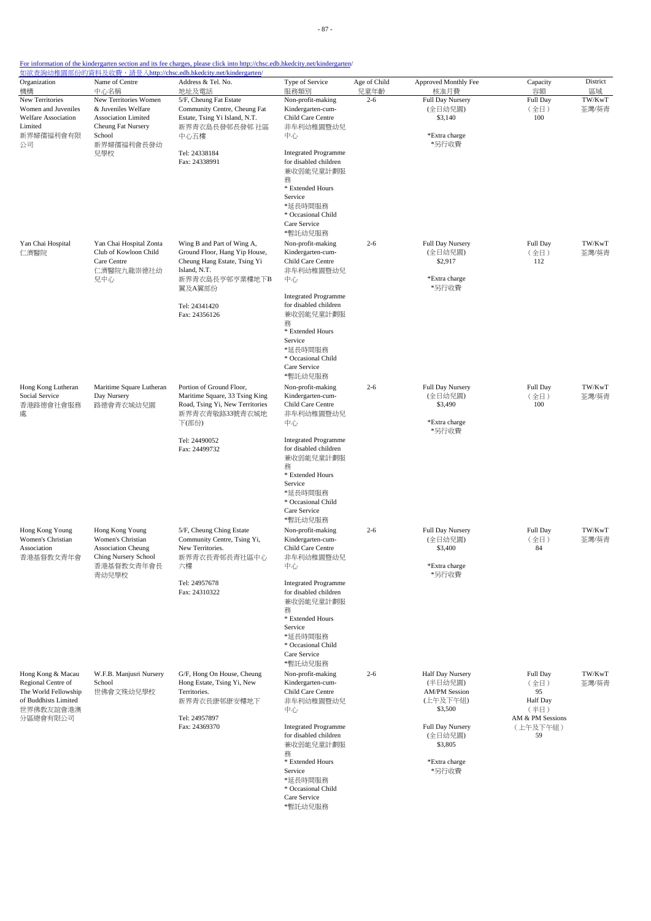| Organization<br>機構                                                                                               | Name of Centre<br>中心名稱                                                                                           | Address & Tel. No.<br>地址及電話                                                                                                             | Type of Service<br>服務類別                                                                                                                                                 | Age of Child<br>兒童年齡 | Approved Monthly Fee<br>核准月費                                               | Capacity<br>容額                                                        | District<br>區域  |
|------------------------------------------------------------------------------------------------------------------|------------------------------------------------------------------------------------------------------------------|-----------------------------------------------------------------------------------------------------------------------------------------|-------------------------------------------------------------------------------------------------------------------------------------------------------------------------|----------------------|----------------------------------------------------------------------------|-----------------------------------------------------------------------|-----------------|
| New Territories<br>Women and Juveniles<br><b>Welfare Association</b><br>Limited<br>新界婦孺福利會有限                     | New Territories Women<br>& Juveniles Welfare<br>Association Limited<br>Cheung Fat Nursery<br>School              | 5/F, Cheung Fat Estate<br>Community Centre, Cheung Fat<br>Estate, Tsing Yi Island, N.T.<br>新界青衣島長發邨長發邨 社區                               | Non-profit-making<br>Kindergarten-cum-<br>Child Care Centre<br>非牟利幼稚園暨幼兒                                                                                                | $2 - 6$              | Full Day Nursery<br>(全日幼兒園)<br>\$3,140<br>*Extra charge                    | Full Day<br>(全日)<br>100                                               | TW/KwT<br>荃灣/葵青 |
| 公司                                                                                                               | 新界婦孺福利會長發幼<br>兒學校                                                                                                | 中心五樓<br>Tel: 24338184<br>Fax: 24338991                                                                                                  | 中心<br><b>Integrated Programme</b><br>for disabled children<br>兼收弱能兒童計劃服<br>務<br>* Extended Hours<br>Service<br>*延長時間服務<br>* Occasional Child<br>Care Service<br>*暫託幼兒服務 |                      | *另行收費                                                                      |                                                                       |                 |
| Yan Chai Hospital<br>仁濟醫院                                                                                        | Yan Chai Hospital Zonta<br>Club of Kowloon Child<br>Care Centre<br>仁濟醫院九龍崇德社幼<br>兒中心                             | Wing B and Part of Wing A,<br>Ground Floor, Hang Yip House,<br>Cheung Hang Estate, Tsing Yi<br>Island, N.T.<br>新界青衣島長亨邨亨業樓地下B<br>翼及A翼部份 | Non-profit-making<br>Kindergarten-cum-<br>Child Care Centre<br>非牟利幼稚園暨幼兒<br>中心<br><b>Integrated Programme</b>                                                           | $2 - 6$              | Full Day Nursery<br>(全日幼兒園)<br>\$2,917<br>*Extra charge<br>*另行收費           | Full Day<br>(全日)<br>112                                               | TW/KwT<br>荃灣/葵青 |
|                                                                                                                  |                                                                                                                  | Tel: 24341420<br>Fax: 24356126                                                                                                          | for disabled children<br>兼收弱能兒童計劃服<br>務<br>* Extended Hours<br>Service<br>*延長時間服務<br>* Occasional Child<br>Care Service<br>*暫託幼兒服務                                      |                      |                                                                            |                                                                       |                 |
| Hong Kong Lutheran<br>Social Service<br>香港路德會社會服務<br>處                                                           | Maritime Square Lutheran<br>Day Nursery<br>路德會青衣城幼兒園                                                             | Portion of Ground Floor,<br>Maritime Square, 33 Tsing King<br>Road, Tsing Yi, New Territories<br>新界青衣青敬路33號青衣城地<br>下(部份)                | Non-profit-making<br>Kindergarten-cum-<br>Child Care Centre<br>非牟利幼稚園暨幼兒<br>中心                                                                                          | $2 - 6$              | Full Day Nursery<br>(全日幼兒園)<br>\$3,490<br>*Extra charge<br>*另行收費           | Full Day<br>(全日)<br>100                                               | TW/KwT<br>荃灣/葵青 |
|                                                                                                                  |                                                                                                                  | Tel: 24490052<br>Fax: 24499732                                                                                                          | <b>Integrated Programme</b><br>for disabled children<br>兼收弱能兒童計劃服<br>務<br>* Extended Hours<br>Service<br>*延長時間服務<br>* Occasional Child<br>Care Service<br>*暫託幼兒服務       |                      |                                                                            |                                                                       |                 |
| Hong Kong Young<br>Women's Christian<br>Association<br>香港基督教女青年會                                                 | Hong Kong Young<br>Women's Christian<br><b>Association Cheung</b><br>Ching Nursery School<br>香港基督教女青年會長<br>青幼兒學校 | 5/F, Cheung Ching Estate<br>Community Centre, Tsing Yi,<br>New Territories.<br>新界青衣長青邨長青社區中心<br>六樓<br>Tel: 24957678                     | Non-profit-making<br>Kindergarten-cum-<br>Child Care Centre<br>非牟利幼稚園暨幼兒<br>中心<br><b>Integrated Programme</b>                                                           | $2 - 6$              | Full Day Nursery<br>(全日幼兒園)<br>\$3,400<br>*Extra charge<br>*另行收費           | Full Day<br>(全日)<br>84                                                | TW/KwT<br>荃灣/葵青 |
|                                                                                                                  |                                                                                                                  | Fax: 24310322                                                                                                                           | for disabled children<br>兼收弱能兒童計劃服<br>務<br>* Extended Hours<br>Service<br>*延長時間服務<br>* Occasional Child<br>Care Service<br>*暫託幼兒服務                                      |                      |                                                                            |                                                                       |                 |
| Hong Kong & Macau<br>Regional Centre of<br>The World Fellowship<br>of Buddhists Limited<br>世界佛教友誼會港澳<br>分區總會有限公司 | W.F.B. Manjusri Nursery<br>School<br>世佛會文殊幼兒學校                                                                   | G/F, Hong On House, Cheung<br>Hong Estate, Tsing Yi, New<br>Territories.<br>新界青衣長康邨康安樓地下<br>Tel: 24957897                               | Non-profit-making<br>Kindergarten-cum-<br>Child Care Centre<br>非牟利幼稚園暨幼兒<br>中心                                                                                          | $2 - 6$              | Half Day Nursery<br>(半日幼兒園)<br><b>AM/PM Session</b><br>(上午及下午組)<br>\$3,500 | Full Day<br>(全日)<br>95<br><b>Half Day</b><br>(半日)<br>AM & PM Sessions | TW/KwT<br>荃灣/葵青 |
|                                                                                                                  |                                                                                                                  | Fax: 24369370                                                                                                                           | <b>Integrated Programme</b><br>for disabled children<br>兼收弱能兒童計劃服<br>務<br>* Extended Hours<br>Service                                                                   |                      | Full Day Nursery<br>(全日幼兒園)<br>\$3,805<br>*Extra charge<br>*另行收費           | (上午及下午組)<br>59                                                        |                 |
|                                                                                                                  |                                                                                                                  |                                                                                                                                         | *延長時間服務<br>* Occasional Child<br>Care Service<br>*暫託幼兒服務                                                                                                                |                      |                                                                            |                                                                       |                 |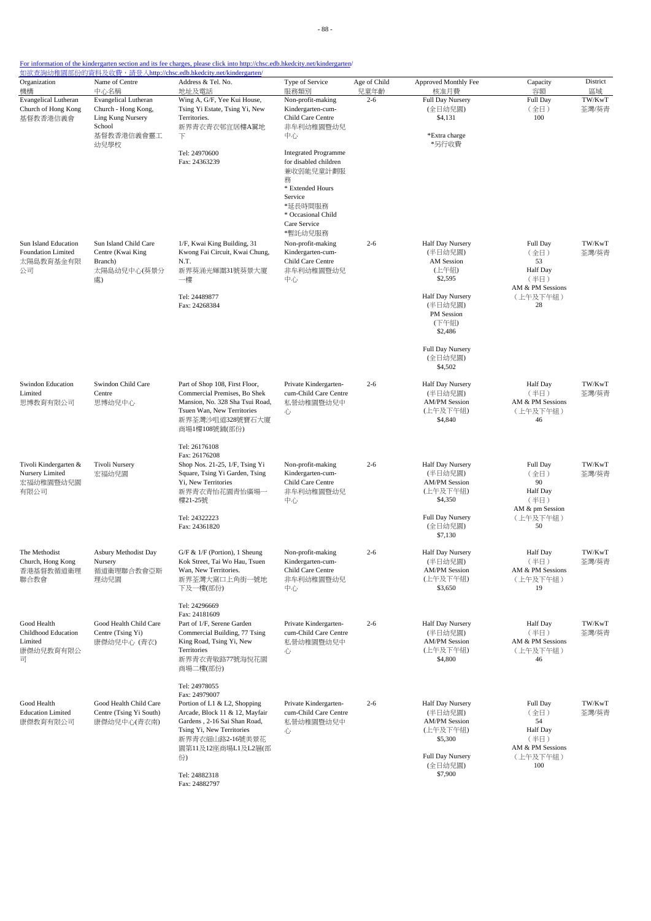| Organization<br>機構                                              | Name of Centre<br>中心名稱                                                                                  | Address & Tel. No.<br>地址及電話                                                                                                                                                                                  | Type of Service<br>服務類別                                                                                                                                           | Age of Child<br>兒童年齡 | Approved Monthly Fee<br>核准月費                                                                              | Capacity<br>容額                                                                    | District<br>區域  |
|-----------------------------------------------------------------|---------------------------------------------------------------------------------------------------------|--------------------------------------------------------------------------------------------------------------------------------------------------------------------------------------------------------------|-------------------------------------------------------------------------------------------------------------------------------------------------------------------|----------------------|-----------------------------------------------------------------------------------------------------------|-----------------------------------------------------------------------------------|-----------------|
| <b>Evangelical Lutheran</b><br>Church of Hong Kong<br>基督教香港信義會  | <b>Evangelical Lutheran</b><br>Church - Hong Kong,<br>Ling Kung Nursery<br>School<br>基督教香港信義會靈工<br>幼兒學校 | Wing A, G/F, Yee Kui House,<br>Tsing Yi Estate, Tsing Yi, New<br>Territories.<br>新界青衣青衣邨宜居樓A翼地<br>下                                                                                                          | Non-profit-making<br>Kindergarten-cum-<br>Child Care Centre<br>非牟利幼稚園暨幼兒<br>中心                                                                                    | $2 - 6$              | Full Day Nursery<br>(全日幼兒園)<br>\$4,131<br>*Extra charge<br>*另行收費                                          | Full Day<br>(全日)<br>100                                                           | TW/KwT<br>荃灣/葵青 |
|                                                                 |                                                                                                         | Tel: 24970600<br>Fax: 24363239                                                                                                                                                                               | <b>Integrated Programme</b><br>for disabled children<br>兼收弱能兒童計劃服<br>務<br>* Extended Hours<br>Service<br>*延長時間服務<br>* Occasional Child<br>Care Service<br>*暫託幼兒服務 |                      |                                                                                                           |                                                                                   |                 |
| Sun Island Education<br>Foundation Limited<br>太陽島教育基金有限<br>公司   | Sun Island Child Care<br>Centre (Kwai King<br>Branch)<br>太陽島幼兒中心(葵景分<br>處)                              | 1/F, Kwai King Building, 31<br>Kwong Fai Circuit, Kwai Chung,<br>N.T.<br>新界葵涌光輝圍31號葵景大廈<br>一樓                                                                                                                | Non-profit-making<br>Kindergarten-cum-<br>Child Care Centre<br>非牟利幼稚園暨幼兒<br>中心                                                                                    | $2 - 6$              | Half Day Nursery<br>(半日幼兒園)<br><b>AM</b> Session<br>(上午組)<br>\$2,595                                      | Full Day<br>(全日)<br>53<br><b>Half</b> Day<br>(半日)<br>AM & PM Sessions             | TW/KwT<br>荃灣/葵青 |
|                                                                 |                                                                                                         | Tel: 24489877<br>Fax: 24268384                                                                                                                                                                               |                                                                                                                                                                   |                      | Half Day Nursery<br>(半日幼兒園)<br>PM Session<br>(下午組)<br>\$2,486                                             | (上午及下午組)<br>28                                                                    |                 |
|                                                                 |                                                                                                         |                                                                                                                                                                                                              |                                                                                                                                                                   |                      | Full Day Nursery<br>(全日幼兒園)<br>\$4,502                                                                    |                                                                                   |                 |
| Swindon Education<br>Limited<br>思博教育有限公司                        | Swindon Child Care<br>Centre<br>思博幼兒中心                                                                  | Part of Shop 108, First Floor,<br>Commercial Premises, Bo Shek<br>Mansion, No. 328 Sha Tsui Road,<br>Tsuen Wan, New Territories<br>新界荃灣沙咀道328號寶石大廈<br>商場1樓108號鋪(部份)                                          | Private Kindergarten-<br>cum-Child Care Centre<br>私營幼稚園暨幼兒中<br>心                                                                                                  | $2 - 6$              | Half Day Nursery<br>(半日幼兒園)<br><b>AM/PM Session</b><br>(上午及下午組)<br>\$4,840                                | <b>Half</b> Day<br>(半日)<br>AM & PM Sessions<br>(上午及下午組)<br>46                     | TW/KwT<br>荃灣/葵青 |
| Tivoli Kindergarten &<br>Nursery Limited<br>宏福幼稚園暨幼兒園<br>有限公司   | Tivoli Nursery<br>宏福幼兒園                                                                                 | Tel: 26176108<br>Fax: 26176208<br>Shop Nos. 21-25, 1/F, Tsing Yi<br>Square, Tsing Yi Garden, Tsing<br>Yi, New Territories<br>新界青衣青怡花園青怡廣場一<br>樓21-25號                                                        | Non-profit-making<br>Kindergarten-cum-<br>Child Care Centre<br>非牟利幼稚園暨幼兒<br>中心                                                                                    | $2 - 6$              | Half Day Nursery<br>(半日幼兒園)<br><b>AM/PM Session</b><br>(上午及下午組)<br>\$4,350                                | Full Day<br>(全日)<br>90<br><b>Half</b> Day<br>(半日)<br>AM & pm Session              | TW/KwT<br>荃灣/葵青 |
|                                                                 |                                                                                                         | Tel: 24322223<br>Fax: 24361820                                                                                                                                                                               |                                                                                                                                                                   |                      | Full Day Nursery<br>(全日幼兒園)<br>\$7,130                                                                    | (上午及下午組)<br>50                                                                    |                 |
| The Methodist<br>Church, Hong Kong<br>香港基督教循道衛理<br>聯合教會         | Asbury Methodist Day<br>Nursery<br>循道衛理聯合教會亞斯<br>理幼兒園                                                   | $G/F$ & $1/F$ (Portion), 1 Sheung<br>Kok Street, Tai Wo Hau, Tsuen<br>Wan, New Territories.<br>新界荃灣大窩口上角街一號地<br>下及一樓(部份)                                                                                     | Non-profit-making<br>Kindergarten-cum-<br>Child Care Centre<br>非牟利幼稚園暨幼兒<br>中心                                                                                    | $2 - 6$              | Half Day Nursery<br>(半日幼兒園)<br><b>AM/PM Session</b><br>(上午及下午組)<br>\$3,650                                | <b>Half</b> Day<br>(半日)<br>AM & PM Sessions<br>(上午及下午組)<br>19                     | TW/KwT<br>荃灣/葵青 |
| Good Health<br>Childhood Education<br>Limited<br>康傑幼兒教育有限公<br>司 | Good Health Child Care<br>Centre (Tsing Yi)<br>康傑幼兒中心 (青衣)                                              | Tel: 24296669<br>Fax: 24181609<br>Part of 1/F, Serene Garden<br>Commercial Building, 77 Tsing<br>King Road, Tsing Yi, New<br>Territories<br>新界青衣青敬路77號海悅花園<br>商場二樓(部份)                                       | Private Kindergarten-<br>cum-Child Care Centre<br>私營幼稚園暨幼兒中<br>心                                                                                                  | $2 - 6$              | Half Day Nursery<br>(半日幼兒園)<br><b>AM/PM Session</b><br>(上午及下午組)<br>\$4,800                                | Half Day<br>(半日)<br>AM & PM Sessions<br>(上午及下午組)<br>46                            | TW/KwT<br>荃灣/葵青 |
| Good Health<br><b>Education Limited</b><br>康傑教育有限公司             | Good Health Child Care<br>Centre (Tsing Yi South)<br>康傑幼兒中心(青衣南)                                        | Tel: 24978055<br>Fax: 24979007<br>Portion of L1 & L2, Shopping<br>Arcade, Block 11 & 12, Mayfair<br>Gardens, 2-16 Sai Shan Road,<br>Tsing Yi, New Territories<br>新界青衣細山路2-16號美景花<br>園第11及12座商場L1及L2層(部<br>份) | Private Kindergarten-<br>cum-Child Care Centre<br>私營幼稚園暨幼兒中<br>心                                                                                                  | $2 - 6$              | Half Day Nursery<br>(半日幼兒園)<br><b>AM/PM Session</b><br>(上午及下午組)<br>\$5,300<br>Full Day Nursery<br>(全日幼兒園) | Full Day<br>(全日)<br>54<br>Half Day<br>(半日)<br>AM & PM Sessions<br>(上午及下午組)<br>100 | TW/KwT<br>荃灣/葵青 |
|                                                                 |                                                                                                         | Tel: 24882318<br>Fax: 24882797                                                                                                                                                                               |                                                                                                                                                                   |                      | \$7,900                                                                                                   |                                                                                   |                 |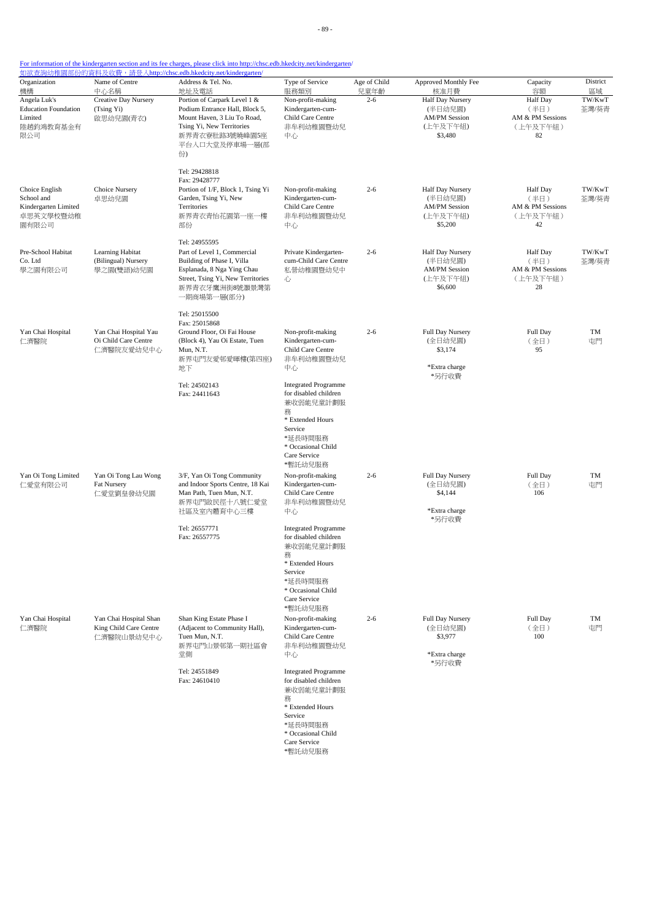- 89 -

# For information of the kindergarten section and its fee charges, please click into http://chsc.edb.hkedcity.net/kindergarten/

| Organization                                                               | Name of Centre                                                 | 如欲查詢幼稚園部份的資料及收費,請登入http://chsc.edb.hkedcity.net/kindergarten/<br>Address & Tel. No.                                                                                            | Type of Service                                                                                                                                                   | Age of Child | Approved Monthly Fee                                                       | Capacity                                                      | District        |
|----------------------------------------------------------------------------|----------------------------------------------------------------|--------------------------------------------------------------------------------------------------------------------------------------------------------------------------------|-------------------------------------------------------------------------------------------------------------------------------------------------------------------|--------------|----------------------------------------------------------------------------|---------------------------------------------------------------|-----------------|
| 機構                                                                         | 中心名稱                                                           | 地址及電話                                                                                                                                                                          | 服務類別                                                                                                                                                              | 兒童年齡         | 核准月費                                                                       | 容額                                                            | 區域              |
| Angela Luk's<br><b>Education Foundation</b><br>Limited<br>陸趙鈞鴻教育基金有<br>限公司 | <b>Creative Day Nursery</b><br>(Tsing Yi)<br>啟思幼兒園(青衣)         | Portion of Carpark Level 1 &<br>Podium Entrance Hall, Block 5,<br>Mount Haven, 3 Liu To Road,<br>Tsing Yi, New Territories<br>新界青衣寮肚路3號曉峰園5座<br>平台入口大堂及停車場一層(部<br>份            | Non-profit-making<br>Kindergarten-cum-<br>Child Care Centre<br>非牟利幼稚園暨幼兒<br>中心                                                                                    | $2 - 6$      | Half Day Nursery<br>(半日幼兒園)<br><b>AM/PM Session</b><br>(上午及下午組)<br>\$3,480 | <b>Half</b> Day<br>(半日)<br>AM & PM Sessions<br>(上午及下午組)<br>82 | TW/KwT<br>荃灣/葵青 |
| Choice English<br>School and<br>Kindergarten Limited<br>卓思英文學校暨幼稚<br>園有限公司 | Choice Nursery<br>卓思幼兒園                                        | Tel: 29428818<br>Fax: 29428777<br>Portion of 1/F, Block 1, Tsing Yi<br>Garden, Tsing Yi, New<br>Territories<br>新界青衣青怡花園第一座一樓<br>部份                                             | Non-profit-making<br>Kindergarten-cum-<br>Child Care Centre<br>非牟利幼稚園暨幼兒<br>中心                                                                                    | $2 - 6$      | Half Day Nursery<br>(半日幼兒園)<br><b>AM/PM Session</b><br>(上午及下午組)<br>\$5,200 | <b>Half</b> Day<br>(半日)<br>AM & PM Sessions<br>(上午及下午組)<br>42 | TW/KwT<br>荃灣/葵青 |
| Pre-School Habitat<br>Co. Ltd<br>學之園有限公司                                   | Learning Habitat<br>(Bilingual) Nursery<br>學之園(雙語)幼兒園          | Tel: 24955595<br>Part of Level 1, Commercial<br>Building of Phase I, Villa<br>Esplanada, 8 Nga Ying Chau<br>Street, Tsing Yi, New Territories<br>新界青衣牙鷹洲街8號灝景灣第<br>一期商場第一層(部分) | Private Kindergarten-<br>cum-Child Care Centre<br>私營幼稚園暨幼兒中<br>心                                                                                                  | $2 - 6$      | Half Day Nursery<br>(半日幼兒園)<br><b>AM/PM Session</b><br>(上午及下午組)<br>\$6,600 | <b>Half Day</b><br>(半日)<br>AM & PM Sessions<br>(上午及下午組)<br>28 | TW/KwT<br>荃灣/葵青 |
| Yan Chai Hospital<br>仁濟醫院                                                  | Yan Chai Hospital Yau<br>Oi Child Care Centre<br>仁濟醫院友愛幼兒中心    | Tel: 25015500<br>Fax: 25015868<br>Ground Floor, Oi Fai House<br>(Block 4), Yau Oi Estate, Tuen<br>Mun. N.T.<br>新界屯門友愛邨愛暉樓(第四座)<br>地下                                           | Non-profit-making<br>Kindergarten-cum-<br>Child Care Centre<br>非牟利幼稚園暨幼兒<br>中心                                                                                    | $2 - 6$      | Full Day Nursery<br>(全日幼兒園)<br>\$3,174<br>*Extra charge<br>*另行收費           | Full Day<br>(全日)<br>95                                        | TM<br>屯門        |
|                                                                            |                                                                | Tel: 24502143<br>Fax: 24411643                                                                                                                                                 | <b>Integrated Programme</b><br>for disabled children<br>兼收弱能兒童計劃服<br>務<br>* Extended Hours<br>Service<br>*延長時間服務<br>* Occasional Child<br>Care Service<br>*暫託幼兒服務 |              |                                                                            |                                                               |                 |
| Yan Oi Tong Limited<br>仁愛堂有限公司                                             | Yan Oi Tong Lau Wong<br><b>Fat Nursery</b><br>仁愛堂劉皇發幼兒園        | 3/F, Yan Oi Tong Community<br>and Indoor Sports Centre, 18 Kai<br>Man Path, Tuen Mun, N.T.<br>新界屯門啟民徑十八號仁愛堂<br>社區及室內體育中心三樓                                                     | Non-profit-making<br>Kindergarten-cum-<br>Child Care Centre<br>非牟利幼稚園暨幼兒<br>中心                                                                                    | $2 - 6$      | Full Day Nursery<br>(全日幼兒園)<br>\$4,144<br>*Extra charge<br>*另行收費           | Full Day<br>(全日)<br>106                                       | TM<br>屯門        |
|                                                                            |                                                                | Tel: 26557771<br>Fax: 26557775                                                                                                                                                 | <b>Integrated Programme</b><br>for disabled children<br>兼收弱能兒童計劃服<br>務<br>* Extended Hours<br>Service<br>*延長時間服務<br>* Occasional Child<br>Care Service<br>*暫託幼兒服務 |              |                                                                            |                                                               |                 |
| Yan Chai Hospital<br>仁濟醫院                                                  | Yan Chai Hospital Shan<br>King Child Care Centre<br>仁濟醫院山景幼兒中心 | Shan King Estate Phase I<br>(Adjacent to Community Hall),<br>Tuen Mun, N.T.<br>新界屯門山景邨第一期社區會<br>堂側                                                                             | Non-profit-making<br>Kindergarten-cum-<br>Child Care Centre<br>非牟利幼稚園暨幼兒<br>中心                                                                                    | $2 - 6$      | Full Day Nursery<br>(全日幼兒園)<br>\$3,977<br>*Extra charge<br>*另行收費           | Full Day<br>(全日)<br>100                                       | TM<br>屯門        |
|                                                                            |                                                                | Tel: 24551849<br>Fax: 24610410                                                                                                                                                 | <b>Integrated Programme</b><br>for disabled children<br>兼收弱能兒童計劃服<br>務<br>* Extended Hours<br>Service<br>*延長時間服務<br>* Occasional Child<br>Care Service            |              |                                                                            |                                                               |                 |

\*暫託幼兒服務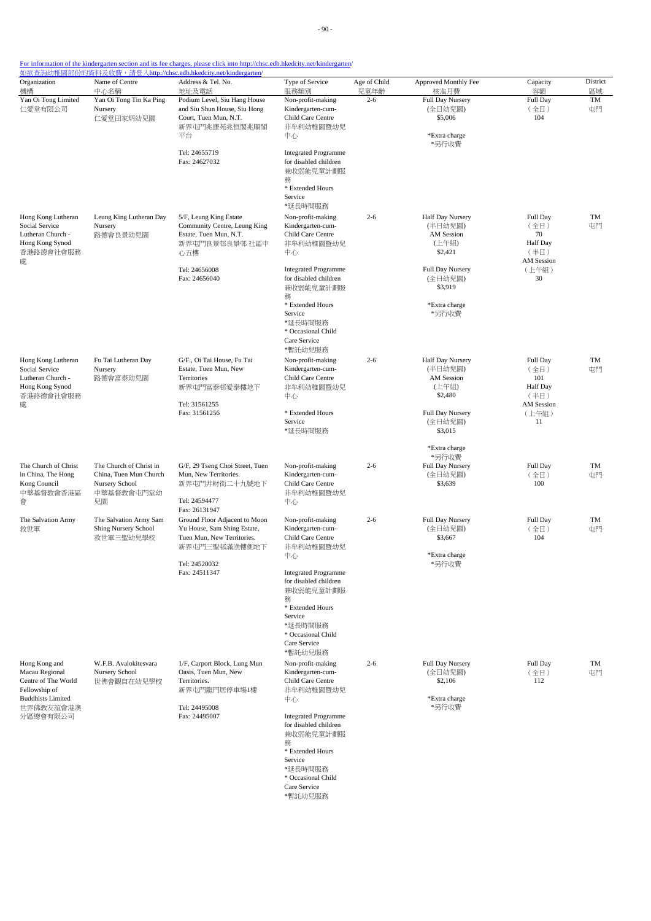| Organization<br>機構                                                                             | Name of Centre<br>中心名稱                                                                  | Address & Tel. No.<br>地址及電話                                                                                  | Type of Service<br>服務類別                                                                                                                      | Age of Child<br>兒童年齡 | Approved Monthly Fee<br>核准月費                                            | Capacity<br>容額                                           | District<br>區域 |
|------------------------------------------------------------------------------------------------|-----------------------------------------------------------------------------------------|--------------------------------------------------------------------------------------------------------------|----------------------------------------------------------------------------------------------------------------------------------------------|----------------------|-------------------------------------------------------------------------|----------------------------------------------------------|----------------|
| Yan Oi Tong Limited<br>仁愛堂有限公司                                                                 | Yan Oi Tong Tin Ka Ping<br>Nursery<br>仁愛堂田家炳幼兒園                                         | Podium Level, Siu Hang House<br>and Siu Shun House, Siu Hong<br>Court, Tuen Mun, N.T.<br>新界屯門兆康苑兆恒閣兆順閣<br>平台 | Non-profit-making<br>Kindergarten-cum-<br>Child Care Centre<br>非牟利幼稚園暨幼兒<br>中心                                                               | $2 - 6$              | Full Day Nursery<br>(全日幼兒園)<br>\$5,006<br>*Extra charge                 | Full Day<br>(全日)<br>104                                  | TM<br>屯門       |
|                                                                                                |                                                                                         | Tel: 24655719<br>Fax: 24627032                                                                               | <b>Integrated Programme</b><br>for disabled children<br>兼收弱能兒童計劃服<br>務<br>* Extended Hours<br>Service<br>*延長時間服務                             |                      | *另行收費                                                                   |                                                          |                |
| Hong Kong Lutheran<br>Social Service<br>Lutheran Church -<br>Hong Kong Synod<br>香港路德會社會服務<br>處 | Leung King Lutheran Day<br>Nursery<br>路德會良景幼兒園                                          | 5/F, Leung King Estate<br>Community Centre, Leung King<br>Estate, Tuen Mun, N.T.<br>新界屯門良景邨良景邨 社區中<br>心五樓    | Non-profit-making<br>Kindergarten-cum-<br>Child Care Centre<br>非牟利幼稚園暨幼兒<br>中心                                                               | $2 - 6$              | Half Day Nursery<br>(半日幼兒園)<br>AM Session<br>(上午組)<br>\$2,421           | Full Day<br>(全日)<br>70<br>Half Day<br>(半日)<br>AM Session | TM<br>屯門       |
|                                                                                                |                                                                                         | Tel: 24656008<br>Fax: 24656040                                                                               | <b>Integrated Programme</b><br>for disabled children<br>兼收弱能兒童計劃服<br>務<br>* Extended Hours                                                   |                      | Full Day Nursery<br>(全日幼兒園)<br>\$3,919<br>*Extra charge                 | (上午組)<br>30                                              |                |
|                                                                                                |                                                                                         |                                                                                                              | Service<br>*延長時間服務<br>* Occasional Child<br>Care Service<br>*暫託幼兒服務                                                                          |                      | *另行收費                                                                   |                                                          |                |
| Hong Kong Lutheran<br>Social Service<br>Lutheran Church -<br>Hong Kong Synod<br>香港路德會社會服務      | Fu Tai Lutheran Day<br>Nursery<br>路德會富泰幼兒園                                              | G/F., Oi Tai House, Fu Tai<br>Estate, Tuen Mun, New<br>Territories<br>新界屯門富泰邨愛泰樓地下                           | Non-profit-making<br>Kindergarten-cum-<br>Child Care Centre<br>非牟利幼稚園暨幼兒<br>中心                                                               | $2 - 6$              | Half Day Nursery<br>(半日幼兒園)<br><b>AM</b> Session<br>(上午組)<br>\$2,480    | Full Day<br>(全日)<br>101<br>Half Day<br>(半日)              | TM<br>屯門       |
| 處                                                                                              |                                                                                         | Tel: 31561255<br>Fax: 31561256                                                                               | * Extended Hours<br>Service<br>*延長時間服務                                                                                                       |                      | Full Day Nursery<br>(全日幼兒園)<br>\$3,015                                  | <b>AM</b> Session<br>(上午組)<br>11                         |                |
| The Church of Christ<br>in China, The Hong<br>Kong Council<br>中華基督教會香港區<br>會                   | The Church of Christ in<br>China, Tuen Mun Church<br>Nursery School<br>中華基督教會屯門堂幼<br>兒園 | G/F, 29 Tseng Choi Street, Tuen<br>Mun, New Territories.<br>新界屯門井財街二十九號地下<br>Tel: 24594477<br>Fax: 26131947  | Non-profit-making<br>Kindergarten-cum-<br>Child Care Centre<br>非牟利幼稚園暨幼兒<br>中心                                                               | $2 - 6$              | *Extra charge<br>*另行收費<br><b>Full Day Nursery</b><br>(全日幼兒園)<br>\$3,639 | Full Day<br>(全日)<br>100                                  | TM<br>屯門       |
| The Salvation Army<br>救世軍                                                                      | The Salvation Army Sam<br>Shing Nursery School<br>救世軍三聖幼兒學校                             | Ground Floor Adjacent to Moon<br>Yu House, Sam Shing Estate,<br>Tuen Mun, New Territories.<br>新界屯門三聖邨滿漁樓側地下  | Non-profit-making<br>Kindergarten-cum-<br>Child Care Centre<br>非牟利幼稚園暨幼兒                                                                     | $2 - 6$              | Full Day Nursery<br>(全日幼兒園)<br>\$3,667                                  | Full Day<br>(全日)<br>104                                  | TM<br>屯門       |
|                                                                                                |                                                                                         | Tel: 24520032<br>Fax: 24511347                                                                               | 中心<br><b>Integrated Programme</b><br>for disabled children<br>兼收弱能兒童計劃服<br>務<br>* Extended Hours<br>Service<br>*延長時間服務<br>* Occasional Child |                      | *Extra charge<br>*另行收費                                                  |                                                          |                |
| Hong Kong and<br>Macau Regional                                                                | W.F.B. Avalokitesvara<br>Nursery School                                                 | 1/F, Carport Block, Lung Mun<br>Oasis, Tuen Mun, New                                                         | Care Service<br>*暫託幼兒服務<br>Non-profit-making<br>Kindergarten-cum-                                                                            | $2 - 6$              | Full Day Nursery<br>(全日幼兒園)                                             | Full Day<br>(全日)                                         | TM<br>屯門       |
| Centre of The World<br>Fellowship of<br><b>Buddhists Limited</b><br>世界佛教友誼會港澳                  | 世佛會觀自在幼兒學校                                                                              | Territories.<br>新界屯門龍門居停車場1樓<br>Tel: 24495008                                                                | Child Care Centre<br>非牟利幼稚園暨幼兒<br>中心                                                                                                         |                      | \$2,106<br>*Extra charge<br>*另行收費                                       | 112                                                      |                |
| 分區總會有限公司                                                                                       |                                                                                         | Fax: 24495007                                                                                                | <b>Integrated Programme</b><br>for disabled children<br>兼收弱能兒童計劃服<br>務<br>* Extended Hours<br>Service<br>*延長時間服務<br>* Occasional Child       |                      |                                                                         |                                                          |                |

Care Service

\*暫託幼兒服務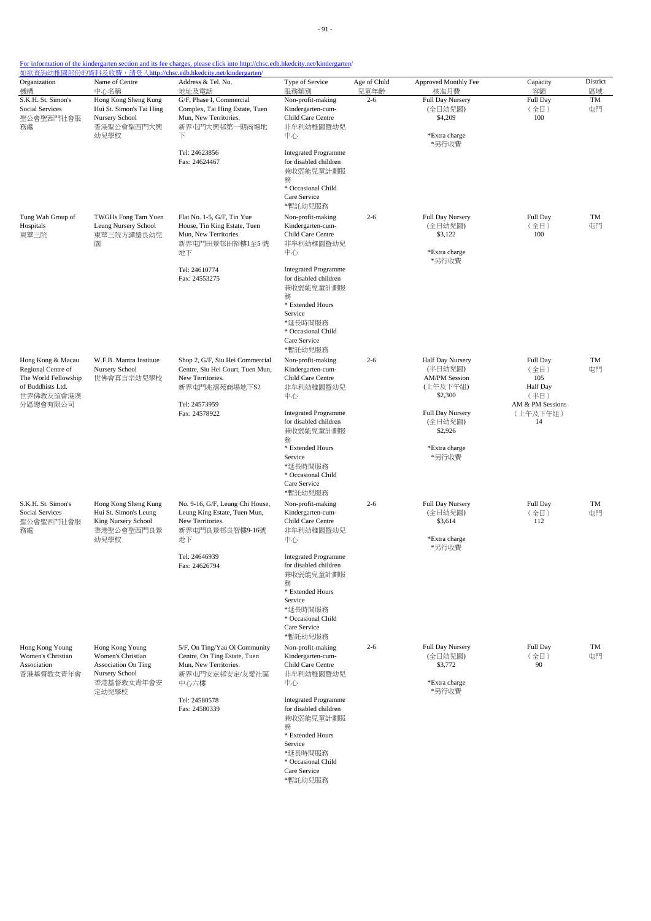|  |  | For information of the kindergarten section and its fee charges, please click into http://chsc.edb.hkedcity.net/kindergarten/ |
|--|--|-------------------------------------------------------------------------------------------------------------------------------|
|  |  |                                                                                                                               |

| Organization                                                                                                  | Name of Centre                                                                                              | 如欲查詢幼稚園部份的資料及收費,請登入http://chsc.edb.hkedcity.net/kindergarten/<br>Address & Tel. No.                                                        | Type of Service                                                                                                                                                   | Age of Child | Approved Monthly Fee                                                                           | Capacity                                                                    | District |
|---------------------------------------------------------------------------------------------------------------|-------------------------------------------------------------------------------------------------------------|--------------------------------------------------------------------------------------------------------------------------------------------|-------------------------------------------------------------------------------------------------------------------------------------------------------------------|--------------|------------------------------------------------------------------------------------------------|-----------------------------------------------------------------------------|----------|
| 機構                                                                                                            | 中心名稱                                                                                                        | 地址及電話                                                                                                                                      | 服務類別                                                                                                                                                              | 兒童年齡         | 核准月費                                                                                           | 容額                                                                          | 區域       |
| S.K.H. St. Simon's<br>Social Services<br>聖公會聖西門社會服<br>務處                                                      | Hong Kong Sheng Kung<br>Hui St. Simon's Tai Hing<br>Nursery School<br>香港聖公會聖西門大興<br>幼兒學校                    | G/F, Phase I, Commercial<br>Complex, Tai Hing Estate, Tuen<br>Mun, New Territories.<br>新界屯門大興邨第一期商場地<br>下                                  | Non-profit-making<br>Kindergarten-cum-<br>Child Care Centre<br>非牟利幼稚園暨幼兒<br>中心                                                                                    | $2 - 6$      | Full Day Nursery<br>(全日幼兒園)<br>\$4,209<br>*Extra charge<br>*另行收費                               | Full Day<br>(全日)<br>100                                                     | TM<br>屯門 |
|                                                                                                               |                                                                                                             | Tel: 24623856<br>Fax: 24624467                                                                                                             | <b>Integrated Programme</b><br>for disabled children<br>兼收弱能兒童計劃服<br>務<br>* Occasional Child<br>Care Service<br>*暫託幼兒服務                                           |              |                                                                                                |                                                                             |          |
| Tung Wah Group of<br>Hospitals<br>東華三院<br>圜                                                                   | TWGHs Fong Tam Yuen<br>Leung Nursery School<br>東華三院方譚遠良幼兒                                                   | Flat No. 1-5, G/F, Tin Yue<br>House, Tin King Estate, Tuen<br>Mun, New Territories.<br>新界屯門田景邨田裕樓1至5號<br>地下<br>Tel: 24610774               | Non-profit-making<br>Kindergarten-cum-<br>Child Care Centre<br>非牟利幼稚園暨幼兒<br>中心<br><b>Integrated Programme</b>                                                     | $2 - 6$      | Full Day Nursery<br>(全日幼兒園)<br>\$3,122<br>*Extra charge<br>*另行收費                               | Full Day<br>(全日)<br>100                                                     | TM<br>屯門 |
|                                                                                                               |                                                                                                             | Fax: 24553275                                                                                                                              | for disabled children<br>兼收弱能兒童計劃服<br>務<br>* Extended Hours<br>Service<br>*延長時間服務<br>* Occasional Child<br>Care Service<br>*暫託幼兒服務                                |              |                                                                                                |                                                                             |          |
| Hong Kong & Macau<br>Regional Centre of<br>The World Fellowship<br>of Buddhists Ltd.<br>世界佛教友誼會港澳<br>分區總會有限公司 | W.F.B. Mantra Institute<br>Nursery School<br>世佛會真言宗幼兒學校                                                     | Shop 2, G/F, Siu Hei Commercial<br>Centre, Siu Hei Court, Tuen Mun,<br>New Territories.<br>新界屯門兆禧苑商場地下S2<br>Tel: 24573959<br>Fax: 24578922 | Non-profit-making<br>Kindergarten-cum-<br>Child Care Centre<br>非牟利幼稚園暨幼兒<br>中心<br><b>Integrated Programme</b>                                                     | $2 - 6$      | Half Day Nursery<br>(半日幼兒園)<br><b>AM/PM Session</b><br>(上午及下午組)<br>\$2,300<br>Full Day Nursery | Full Day<br>(全日)<br>105<br>Half Day<br>(半日)<br>AM & PM Sessions<br>(上午及下午組) | TM<br>屯門 |
|                                                                                                               |                                                                                                             |                                                                                                                                            | for disabled children<br>兼收弱能兒童計劃服<br>務<br>* Extended Hours<br>Service<br>*延長時間服務<br>* Occasional Child<br>Care Service<br>*暫託幼兒服務                                |              | (全日幼兒園)<br>\$2,926<br>*Extra charge<br>*另行收費                                                   | 14                                                                          |          |
| S.K.H. St. Simon's<br><b>Social Services</b><br>聖公會聖西門社會服<br>務處                                               | Hong Kong Sheng Kung<br>Hui St. Simon's Leung<br>King Nursery School<br>香港聖公會聖西門良景<br>幼兒學校                  | No. 9-16, G/F, Leung Chi House,<br>Leung King Estate, Tuen Mun,<br>New Territories.<br>新界屯門良景邨良智樓9-16號<br>地下                               | Non-profit-making<br>Kindergarten-cum-<br>Child Care Centre<br>非牟利幼稚園暨幼兒<br>中心                                                                                    | $2 - 6$      | Full Day Nursery<br>(全日幼兒園)<br>\$3,614<br>*Extra charge<br>*另行收費                               | Full Day<br>(全日)<br>112                                                     | TM<br>屯門 |
|                                                                                                               |                                                                                                             | Tel: 24646939<br>Fax: 24626794                                                                                                             | <b>Integrated Programme</b><br>for disabled children<br>兼收弱能兒童計劃服<br>務<br>* Extended Hours<br>Service<br>*延長時間服務<br>* Occasional Child<br>Care Service<br>*暫託幼兒服務 |              |                                                                                                |                                                                             |          |
| Hong Kong Young<br>Women's Christian<br>Association<br>香港基督教女青年會                                              | Hong Kong Young<br>Women's Christian<br><b>Association On Ting</b><br>Nursery School<br>香港基督教女青年會安<br>定幼兒學校 | 5/F, On Ting/Yau Oi Community<br>Centre, On Ting Estate, Tuen<br>Mun, New Territories.<br>新界屯門安定邨安定/友愛社區<br>中心六樓                           | Non-profit-making<br>Kindergarten-cum-<br>Child Care Centre<br>非牟利幼稚園暨幼兒<br>中心                                                                                    | $2 - 6$      | Full Day Nursery<br>(全日幼兒園)<br>\$3,772<br>*Extra charge<br>*另行收費                               | Full Day<br>(全日)<br>90                                                      | TM<br>屯門 |
|                                                                                                               |                                                                                                             | Tel: 24580578<br>Fax: 24580339                                                                                                             | <b>Integrated Programme</b><br>for disabled children<br>兼收弱能兒童計劃服<br>務<br>* Extended Hours<br>Service<br>*延長時間服務<br>* Occasional Child<br>Care Service<br>*暫託幼兒服務 |              |                                                                                                |                                                                             |          |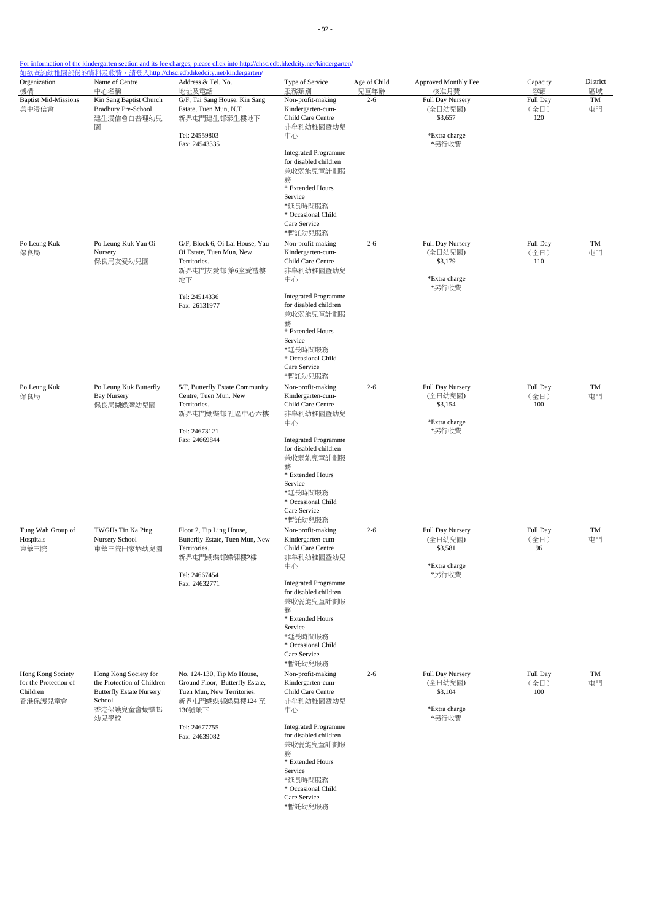| Organization<br>機構                         | Name of Centre<br>中心名稱                              | Address & Tel. No.<br>地址及電話                                   | Type of Service<br>服務類別                              | Age of Child<br>兒童年齡 | Approved Monthly Fee<br>核准月費 | Capacity<br>容額   | District<br>區域 |
|--------------------------------------------|-----------------------------------------------------|---------------------------------------------------------------|------------------------------------------------------|----------------------|------------------------------|------------------|----------------|
| <b>Baptist Mid-Missions</b>                | Kin Sang Baptist Church                             | G/F, Tai Sang House, Kin Sang                                 | Non-profit-making                                    | $2 - 6$              | Full Day Nursery             | Full Day         | TM             |
| 美中浸信會                                      | <b>Bradbury Pre-School</b>                          | Estate, Tuen Mun, N.T.                                        | Kindergarten-cum-<br>Child Care Centre               |                      | (全日幼兒園)<br>\$3,657           | (全日)<br>120      | 屯門             |
|                                            | 建生浸信會白普理幼兒<br>圜                                     | 新界屯門建生邨泰生樓地下                                                  | 非牟利幼稚園暨幼兒                                            |                      |                              |                  |                |
|                                            |                                                     | Tel: 24559803                                                 | 中心                                                   |                      | *Extra charge                |                  |                |
|                                            |                                                     | Fax: 24543335                                                 | <b>Integrated Programme</b>                          |                      | *另行收費                        |                  |                |
|                                            |                                                     |                                                               | for disabled children                                |                      |                              |                  |                |
|                                            |                                                     |                                                               | 兼收弱能兒童計劃服<br>務                                       |                      |                              |                  |                |
|                                            |                                                     |                                                               | * Extended Hours                                     |                      |                              |                  |                |
|                                            |                                                     |                                                               | Service<br>*延長時間服務                                   |                      |                              |                  |                |
|                                            |                                                     |                                                               | * Occasional Child<br>Care Service                   |                      |                              |                  |                |
|                                            |                                                     |                                                               | *暫託幼兒服務                                              |                      |                              |                  |                |
| Po Leung Kuk                               | Po Leung Kuk Yau Oi                                 | G/F, Block 6, Oi Lai House, Yau                               | Non-profit-making                                    | $2 - 6$              | Full Day Nursery             | Full Day         | TM             |
| 保良局                                        | Nursery<br>保良局友愛幼兒園                                 | Oi Estate, Tuen Mun, New<br>Territories.                      | Kindergarten-cum-<br>Child Care Centre               |                      | (全日幼兒園)<br>\$3,179           | (全日)<br>110      | 屯門             |
|                                            |                                                     | 新界屯門友愛邨 第6座愛禮樓                                                | 非牟利幼稚園暨幼兒                                            |                      |                              |                  |                |
|                                            |                                                     | 地下                                                            | 中心                                                   |                      | *Extra charge<br>*另行收費       |                  |                |
|                                            |                                                     | Tel: 24514336                                                 | <b>Integrated Programme</b>                          |                      |                              |                  |                |
|                                            |                                                     | Fax: 26131977                                                 | for disabled children<br>兼收弱能兒童計劃服                   |                      |                              |                  |                |
|                                            |                                                     |                                                               | 務<br>* Extended Hours                                |                      |                              |                  |                |
|                                            |                                                     |                                                               | Service                                              |                      |                              |                  |                |
|                                            |                                                     |                                                               | *延長時間服務<br>* Occasional Child                        |                      |                              |                  |                |
|                                            |                                                     |                                                               | Care Service                                         |                      |                              |                  |                |
|                                            |                                                     |                                                               | *暫託幼兒服務                                              |                      |                              |                  |                |
| Po Leung Kuk<br>保良局                        | Po Leung Kuk Butterfly<br><b>Bay Nursery</b>        | 5/F, Butterfly Estate Community<br>Centre, Tuen Mun, New      | Non-profit-making<br>Kindergarten-cum-               | $2 - 6$              | Full Day Nursery<br>(全日幼兒園)  | Full Day<br>(全日) | TM<br>屯門       |
|                                            | 保良局蝴蝶灣幼兒園                                           | Territories.                                                  | Child Care Centre                                    |                      | \$3,154                      | 100              |                |
|                                            |                                                     | 新界屯門蝴蝶邨 社區中心六樓                                                | 非牟利幼稚園暨幼兒<br>中心                                      |                      | *Extra charge                |                  |                |
|                                            |                                                     | Tel: 24673121                                                 |                                                      |                      | *另行收費                        |                  |                |
|                                            |                                                     | Fax: 24669844                                                 | <b>Integrated Programme</b><br>for disabled children |                      |                              |                  |                |
|                                            |                                                     |                                                               | 兼收弱能兒童計劃服<br>務                                       |                      |                              |                  |                |
|                                            |                                                     |                                                               | * Extended Hours                                     |                      |                              |                  |                |
|                                            |                                                     |                                                               | Service<br>*延長時間服務                                   |                      |                              |                  |                |
|                                            |                                                     |                                                               | * Occasional Child                                   |                      |                              |                  |                |
|                                            |                                                     |                                                               | Care Service<br>*暫託幼兒服務                              |                      |                              |                  |                |
| Tung Wah Group of                          | TWGHs Tin Ka Ping                                   | Floor 2, Tip Ling House,                                      | Non-profit-making                                    | $2 - 6$              | Full Day Nursery             | Full Day         | TM             |
| Hospitals                                  | Nursery School                                      | Butterfly Estate, Tuen Mun, New<br>Territories.               | Kindergarten-cum-<br>Child Care Centre               |                      | (全日幼兒園)<br>\$3,581           | (全日)             | 屯門             |
| 東華三院                                       | 東華三院田家炳幼兒園                                          | 新界屯門蝴蝶邨蝶翎樓2樓                                                  | 非牟利幼稚園暨幼兒                                            |                      |                              | 96               |                |
|                                            |                                                     | Tel: 24667454                                                 | 中心                                                   |                      | *Extra charge<br>*另行收費       |                  |                |
|                                            |                                                     | Fax: 24632771                                                 | <b>Integrated Programme</b>                          |                      |                              |                  |                |
|                                            |                                                     |                                                               | for disabled children<br>兼收弱能兒童計劃服                   |                      |                              |                  |                |
|                                            |                                                     |                                                               | 務                                                    |                      |                              |                  |                |
|                                            |                                                     |                                                               | * Extended Hours<br>Service                          |                      |                              |                  |                |
|                                            |                                                     |                                                               | *延長時間服務                                              |                      |                              |                  |                |
|                                            |                                                     |                                                               | * Occasional Child<br>Care Service                   |                      |                              |                  |                |
|                                            |                                                     |                                                               | *暫託幼兒服務                                              |                      |                              |                  |                |
| Hong Kong Society<br>for the Protection of | Hong Kong Society for<br>the Protection of Children | No. 124-130, Tip Mo House,<br>Ground Floor, Butterfly Estate, | Non-profit-making<br>Kindergarten-cum-               | $2 - 6$              | Full Day Nursery<br>(全日幼兒園)  | Full Day<br>(全日) | TM<br>屯門       |
| Children                                   | <b>Butterfly Estate Nursery</b>                     | Tuen Mun, New Territories.                                    | Child Care Centre                                    |                      | \$3,104                      | 100              |                |
| 香港保護兒童會                                    | School<br>香港保護兒童會蝴蝶邨                                | 新界屯門蝴蝶邨蝶舞樓124至<br>130號地下                                      | 非牟利幼稚園暨幼兒<br>中心                                      |                      | *Extra charge                |                  |                |
|                                            | 幼兒學校                                                |                                                               |                                                      |                      | *另行收費                        |                  |                |
|                                            |                                                     | Tel: 24677755<br>Fax: 24639082                                | <b>Integrated Programme</b><br>for disabled children |                      |                              |                  |                |
|                                            |                                                     |                                                               | 兼收弱能兒童計劃服                                            |                      |                              |                  |                |
|                                            |                                                     |                                                               | 務<br>* Extended Hours                                |                      |                              |                  |                |
|                                            |                                                     |                                                               | Service                                              |                      |                              |                  |                |
|                                            |                                                     |                                                               | *延長時間服務<br>* Occasional Child                        |                      |                              |                  |                |
|                                            |                                                     |                                                               | Care Service                                         |                      |                              |                  |                |
|                                            |                                                     |                                                               | *暫託幼兒服務                                              |                      |                              |                  |                |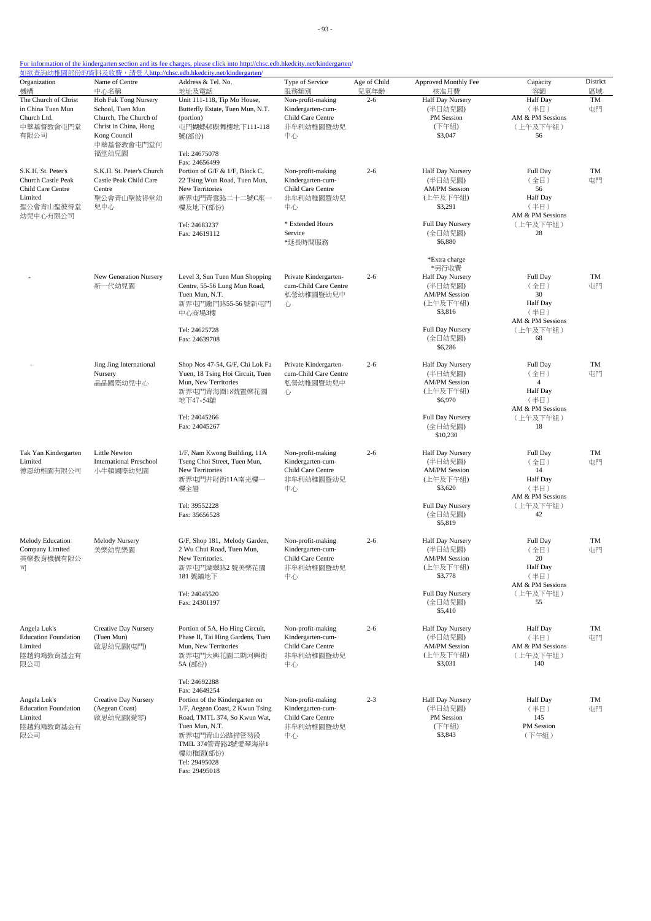|                                                                                                   |                                                                                                                                   | <u> 如欲查詢幼稚園部份的資料及收費,請登入http://chsc.edb.hkedcity.net/kindergarten/</u>                                                                                                                                                                     |                                                                                                                          |                      |                                                                                                                                                |                                                                                         |                |
|---------------------------------------------------------------------------------------------------|-----------------------------------------------------------------------------------------------------------------------------------|-------------------------------------------------------------------------------------------------------------------------------------------------------------------------------------------------------------------------------------------|--------------------------------------------------------------------------------------------------------------------------|----------------------|------------------------------------------------------------------------------------------------------------------------------------------------|-----------------------------------------------------------------------------------------|----------------|
| Organization<br>機構                                                                                | Name of Centre<br>中心名稱                                                                                                            | Address & Tel. No.<br>地址及電話                                                                                                                                                                                                               | Type of Service<br>服務類別                                                                                                  | Age of Child<br>兒童年齡 | Approved Monthly Fee<br>核准月費                                                                                                                   | Capacity<br>容額                                                                          | District<br>區域 |
| The Church of Christ<br>in China Tuen Mun<br>Church Ltd.<br>中華基督教會屯門堂<br>有限公司                     | Hoh Fuk Tong Nursery<br>School, Tuen Mun<br>Church, The Church of<br>Christ in China, Hong<br>Kong Council<br>中華基督教會屯門堂何<br>福堂幼兒園 | Unit 111-118, Tip Mo House,<br>Butterfly Estate, Tuen Mun, N.T.<br>(portion)<br>屯門蝴蝶邨蝶舞樓地下111-118<br>號(部份)<br>Tel: 24675078                                                                                                               | Non-profit-making<br>Kindergarten-cum-<br>Child Care Centre<br>非牟利幼稚園暨幼兒<br>中心                                           | $2 - 6$              | Half Day Nursery<br>(半日幼兒園)<br>PM Session<br>(下午組)<br>\$3,047                                                                                  | <b>Half</b> Day<br>(半日)<br>AM & PM Sessions<br>(上午及下午組)<br>56                           | TM<br>屯門       |
| S.K.H. St. Peter's<br>Church Castle Peak<br>Child Care Centre<br>Limited<br>聖公會青山聖彼得堂<br>幼兒中心有限公司 | S.K.H. St. Peter's Church<br>Castle Peak Child Care<br>Centre<br>聖公會青山聖彼得堂幼<br>兒中心                                                | Fax: 24656499<br>Portion of G/F & 1/F, Block C,<br>22 Tsing Wun Road, Tuen Mun,<br>New Territories<br>新界屯門青雲路二十二號C座一<br>樓及地下(部份)<br>Tel: 24683237<br>Fax: 24619112                                                                        | Non-profit-making<br>Kindergarten-cum-<br>Child Care Centre<br>非牟利幼稚園暨幼兒<br>中心<br>* Extended Hours<br>Service<br>*延長時間服務 | $2 - 6$              | Half Day Nursery<br>(半日幼兒園)<br><b>AM/PM Session</b><br>(上午及下午組)<br>\$3,291<br>Full Day Nursery<br>(全日幼兒園)<br>\$6,880                           | Full Day<br>(全日)<br>56<br>Half Day<br>(半日)<br>AM & PM Sessions<br>(上午及下午組)<br>28        | TM<br>屯門       |
|                                                                                                   | New Generation Nursery<br>新一代幼兒園                                                                                                  | Level 3, Sun Tuen Mun Shopping<br>Centre, 55-56 Lung Mun Road,<br>Tuen Mun, N.T.<br>新界屯門龍門路55-56 號新屯門<br>中心商場3樓<br>Tel: 24625728<br>Fax: 24639708                                                                                         | Private Kindergarten-<br>cum-Child Care Centre<br>私營幼稚園暨幼兒中<br>心                                                         | $2 - 6$              | *Extra charge<br>*另行收費<br>Half Day Nursery<br>(半日幼兒園)<br><b>AM/PM Session</b><br>(上午及下午組)<br>\$3,816<br>Full Day Nursery<br>(全日幼兒園)<br>\$6,286 | Full Day<br>(全日)<br>30<br>Half Day<br>(半日)<br>AM & PM Sessions<br>(上午及下午組)<br>68        | TM<br>屯門       |
|                                                                                                   | Jing Jing International<br>Nursery<br>晶晶國際幼兒中心                                                                                    | Shop Nos 47-54, G/F, Chi Lok Fa<br>Yuen, 18 Tsing Hoi Circuit, Tuen<br>Mun, New Territories<br>新界屯門青海圍18號置樂花園<br>地下47-54舖<br>Tel: 24045266<br>Fax: 24045267                                                                               | Private Kindergarten-<br>cum-Child Care Centre<br>私營幼稚園暨幼兒中<br>心                                                         | $2 - 6$              | Half Day Nursery<br>(半日幼兒園)<br><b>AM/PM Session</b><br>(上午及下午組)<br>\$6,970<br>Full Day Nursery<br>(全日幼兒園)<br>\$10,230                          | Full Day<br>(全日)<br>4<br><b>Half</b> Day<br>(半日)<br>AM & PM Sessions<br>(上午及下午組)<br>18  | TM<br>屯門       |
| Tak Yan Kindergarten<br>Limited<br>德恩幼稚園有限公司                                                      | Little Newton<br><b>International Preschool</b><br>小牛頓國際幼兒園                                                                       | 1/F, Nam Kwong Building, 11A<br>Tseng Choi Street, Tuen Mun,<br>New Territories<br>新界屯門井財街11A南光樓一<br>樓全層<br>Tel: 39552228<br>Fax: 35656528                                                                                                | Non-profit-making<br>Kindergarten-cum-<br>Child Care Centre<br>非牟利幼稚園暨幼兒<br>中心                                           | $2 - 6$              | Half Day Nursery<br>(半日幼兒園)<br><b>AM/PM Session</b><br>(上午及下午組)<br>\$3,620<br>Full Day Nursery<br>(全日幼兒園)<br>\$5,819                           | Full Day<br>(全日)<br>14<br><b>Half</b> Day<br>(半日)<br>AM & PM Sessions<br>(上午及下午組)<br>42 | TM<br>屯門       |
| Melody Education<br>Company Limited<br>美樂教育機構有限公<br>司                                             | Melody Nursery<br>美樂幼兒樂園                                                                                                          | G/F, Shop 181, Melody Garden,<br>2 Wu Chui Road, Tuen Mun,<br>New Territories.<br>新界屯門湖翠路2號美樂花園<br>181號鋪地下<br>Tel: 24045520<br>Fax: 24301197                                                                                              | Non-profit-making<br>Kindergarten-cum-<br>Child Care Centre<br>非牟利幼稚園暨幼兒<br>中心                                           | $2 - 6$              | Half Day Nursery<br>(半日幼兒園)<br><b>AM/PM Session</b><br>(上午及下午組)<br>\$3,778<br>Full Day Nursery<br>(全日幼兒園)<br>\$5,410                           | Full Day<br>(全日)<br>20<br>Half Day<br>(半日)<br>AM & PM Sessions<br>(上午及下午組)<br>55        | TM<br>屯門       |
| Angela Luk's<br><b>Education Foundation</b><br>Limited<br>陸趙鈞鴻教育基金有<br>限公司                        | Creative Day Nursery<br>(Tuen Mun)<br>啟思幼兒園(屯門)                                                                                   | Portion of 5A, Ho Hing Circuit,<br>Phase II, Tai Hing Gardens, Tuen<br>Mun, New Territories<br>新界屯門大興花園二期河興街<br>5A (部份)                                                                                                                   | Non-profit-making<br>Kindergarten-cum-<br>Child Care Centre<br>非牟利幼稚園暨幼兒<br>中心                                           | $2 - 6$              | Half Day Nursery<br>(半日幼兒園)<br><b>AM/PM Session</b><br>(上午及下午組)<br>\$3,031                                                                     | <b>Half Day</b><br>(半日)<br>AM & PM Sessions<br>(上午及下午組)<br>140                          | TM<br>屯門       |
| Angela Luk's<br><b>Education Foundation</b><br>Limited<br>陸趙鈞鴻教育基金有<br>限公司                        | Creative Day Nursery<br>(Aegean Coast)<br>啟思幼兒園(愛琴)                                                                               | Tel: 24692288<br>Fax: 24649254<br>Portion of the Kindergarten on<br>1/F, Aegean Coast, 2 Kwun Tsing<br>Road, TMTL 374, So Kwun Wat,<br>Tuen Mun, N.T.<br>新界屯門青山公路掃管芴段<br>TMIL 374管青路2號愛琴海岸1<br>樓幼稚園(部份)<br>Tel: 29495028<br>Fax: 29495018 | Non-profit-making<br>Kindergarten-cum-<br>Child Care Centre<br>非牟利幼稚園暨幼兒<br>中心                                           | $2 - 3$              | Half Day Nursery<br>(半日幼兒園)<br>PM Session<br>(下午組)<br>\$3,843                                                                                  | <b>Half</b> Day<br>(半日)<br>145<br>PM Session<br>(下午組)                                   | TM<br>屯門       |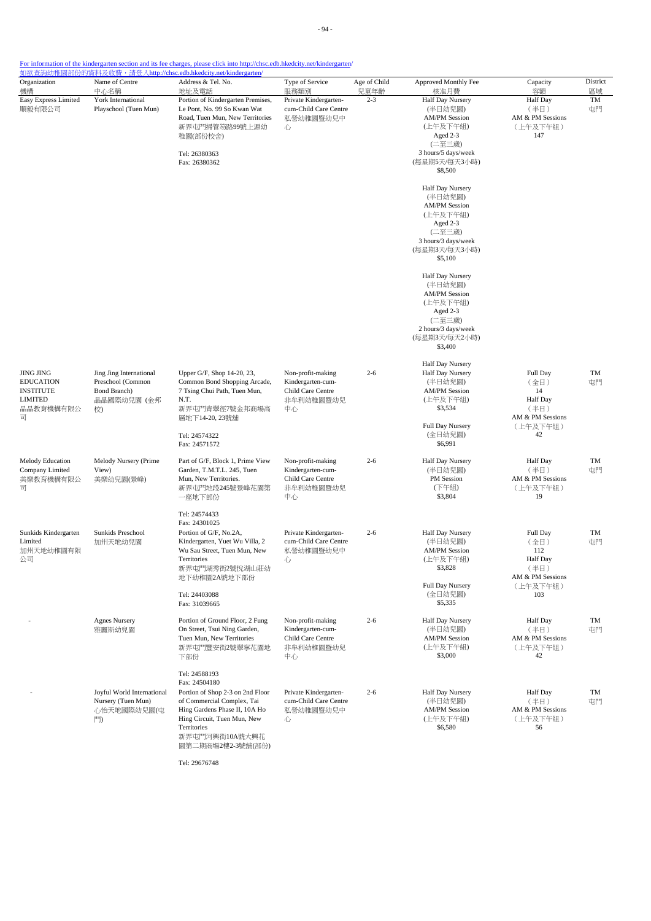- 94 -

#### For information of the kindergarten section and its fee charges, please click into http://chsc.edb.hkedcity.net/kindergarten/

| Organization<br>機構                                                                           | Name of Centre<br>中心名稱                                                            | Address & Tel. No.<br>地址及電話                                                                                                                                                          | Type of Service<br>服務類別                                                        | Age of Child<br>兒童年齡 | Approved Monthly Fee<br>核准月費                                                                                                             | Capacity<br>容額                                                                     | District<br>區域 |
|----------------------------------------------------------------------------------------------|-----------------------------------------------------------------------------------|--------------------------------------------------------------------------------------------------------------------------------------------------------------------------------------|--------------------------------------------------------------------------------|----------------------|------------------------------------------------------------------------------------------------------------------------------------------|------------------------------------------------------------------------------------|----------------|
| Easy Express Limited<br>順毅有限公司                                                               | York International<br>Playschool (Tuen Mun)                                       | Portion of Kindergarten Premises,<br>Le Pont, No. 99 So Kwan Wat<br>Road, Tuen Mun, New Territories<br>新界屯門掃管笏路99號上源幼<br>心<br>稚園(部份校舍)<br>Tel: 26380363<br>Fax: 26380362             | Private Kindergarten-<br>cum-Child Care Centre<br>私營幼稚園暨幼兒中                    | $2 - 3$              | Half Day Nursery<br>(半日幼兒園)<br><b>AM/PM</b> Session<br>(上午及下午組)<br>Aged 2-3<br>(二至三歲)<br>3 hours/5 days/week<br>(每星期5天/每天3小時)<br>\$8,500 | <b>Half</b> Day<br>(半日)<br>AM & PM Sessions<br>(上午及下午組)<br>147                     | TM<br>屯門       |
|                                                                                              |                                                                                   |                                                                                                                                                                                      |                                                                                |                      | Half Day Nursery<br>(半日幼兒園)<br><b>AM/PM</b> Session<br>(上午及下午組)<br>Aged 2-3<br>(二至三歲)<br>3 hours/3 days/week<br>(每星期3天/每天3小時)<br>\$5,100 |                                                                                    |                |
|                                                                                              |                                                                                   |                                                                                                                                                                                      |                                                                                |                      | Half Day Nursery<br>(半日幼兒園)<br><b>AM/PM</b> Session<br>(上午及下午組)<br>Aged 2-3<br>(二至三歲)<br>2 hours/3 days/week<br>(每星期3天/每天2小時)<br>\$3,400 |                                                                                    |                |
| <b>JING JING</b><br><b>EDUCATION</b><br><b>INSTITUTE</b><br><b>LIMITED</b><br>晶晶教育機構有限公<br>司 | Jing Jing International<br>Preschool (Common<br>Bond Branch)<br>晶晶國際幼兒園 (金邦<br>校) | Upper G/F, Shop 14-20, 23,<br>Common Bond Shopping Arcade,<br>7 Tsing Chui Path, Tuen Mun,<br>N.T.<br>新界屯門青翠徑7號金邦商場高<br>層地下14-20, 23號舖                                               | Non-profit-making<br>Kindergarten-cum-<br>Child Care Centre<br>非牟利幼稚園暨幼兒<br>中心 | $2 - 6$              | Half Day Nursery<br>Half Day Nursery<br>(半日幼兒園)<br><b>AM/PM</b> Session<br>(上午及下午組)<br>\$3,534<br>Full Day Nursery                       | Full Day<br>(全日)<br>14<br><b>Half Day</b><br>(半日)<br>AM & PM Sessions<br>(上午及下午組)  | TM<br>屯門       |
|                                                                                              |                                                                                   | Tel: 24574322<br>Fax: 24571572                                                                                                                                                       |                                                                                |                      | (全日幼兒園)<br>\$6,991                                                                                                                       | 42                                                                                 |                |
| Melody Education<br>Company Limited<br>美樂教育機構有限公<br>司                                        | Melody Nursery (Prime<br>View)<br>美樂幼兒園(景峰)                                       | Part of G/F, Block 1, Prime View<br>Garden, T.M.T.L. 245, Tuen<br>Mun, New Territories.<br>新界屯門地段245號景峰花園第<br>一座地下部份                                                                 | Non-profit-making<br>Kindergarten-cum-<br>Child Care Centre<br>非牟利幼稚園暨幼兒<br>中心 | $2 - 6$              | Half Day Nursery<br>(半日幼兒園)<br>PM Session<br>(下午組)<br>\$3,804                                                                            | <b>Half</b> Day<br>(半日)<br>AM & PM Sessions<br>(上午及下午組)<br>19                      | TM<br>屯門       |
|                                                                                              |                                                                                   | Tel: 24574433<br>Fax: 24301025                                                                                                                                                       |                                                                                |                      |                                                                                                                                          |                                                                                    |                |
| Sunkids Kindergarten<br>Limited<br>加州天地幼稚園有限<br>公司                                           | Sunkids Preschool<br>加州天地幼兒園                                                      | Portion of G/F, No.2A,<br>Kindergarten, Yuet Wu Villa, 2<br>Wu Sau Street, Tuen Mun, New<br>Territories<br>新界屯門湖秀街2號悅湖山莊幼<br>地下幼稚園2A號地下部份                                            | Private Kindergarten-<br>cum-Child Care Centre<br>私營幼稚園暨幼兒中<br>心。              | $2 - 6$              | Half Day Nursery<br>(半日幼兒園)<br><b>AM/PM</b> Session<br>(上午及下午組)<br>\$3,828<br>Full Day Nursery                                           | Full Day<br>(全日)<br>112<br><b>Half</b> Day<br>(半日)<br>AM & PM Sessions<br>(上午及下午組) | TM<br>屯門       |
|                                                                                              |                                                                                   | Tel: 24403088<br>Fax: 31039665                                                                                                                                                       |                                                                                |                      | (全日幼兒園)<br>\$5,335                                                                                                                       | 103                                                                                |                |
|                                                                                              | <b>Agnes Nursery</b><br>雅麗斯幼兒園                                                    | Portion of Ground Floor, 2 Fung<br>On Street, Tsui Ning Garden,<br>Tuen Mun, New Territories<br>新界屯門豐安街2號翠寧花園地<br>下部份                                                                | Non-profit-making<br>Kindergarten-cum-<br>Child Care Centre<br>非牟利幼稚園暨幼兒<br>中心 | $2 - 6$              | Half Day Nursery<br>(半日幼兒園)<br><b>AM/PM Session</b><br>(上午及下午組)<br>\$3,000                                                               | <b>Half</b> Day<br>(半日)<br>AM & PM Sessions<br>(上午及下午組)<br>42                      | TM<br>屯門       |
|                                                                                              |                                                                                   | Tel: 24588193<br>Fax: 24504180                                                                                                                                                       |                                                                                |                      |                                                                                                                                          |                                                                                    |                |
|                                                                                              | Joyful World International<br>Nursery (Tuen Mun)<br>心怡天地國際幼兒園(屯<br>門              | Portion of Shop 2-3 on 2nd Floor<br>of Commercial Complex, Tai<br>Hing Gardens Phase II, 10A Ho<br>Hing Circuit, Tuen Mun, New<br>Territories<br>新界屯門河興街10A號大興花<br>園第二期商場2樓2-3號舖(部份) | Private Kindergarten-<br>cum-Child Care Centre<br>私營幼稚園暨幼兒中<br>心               | $2 - 6$              | Half Day Nursery<br>(半日幼兒園)<br><b>AM/PM</b> Session<br>(上午及下午組)<br>\$6,580                                                               | <b>Half Day</b><br>(半日)<br>AM & PM Sessions<br>(上午及下午組)<br>56                      | TM<br>屯門       |

Tel: 29676748